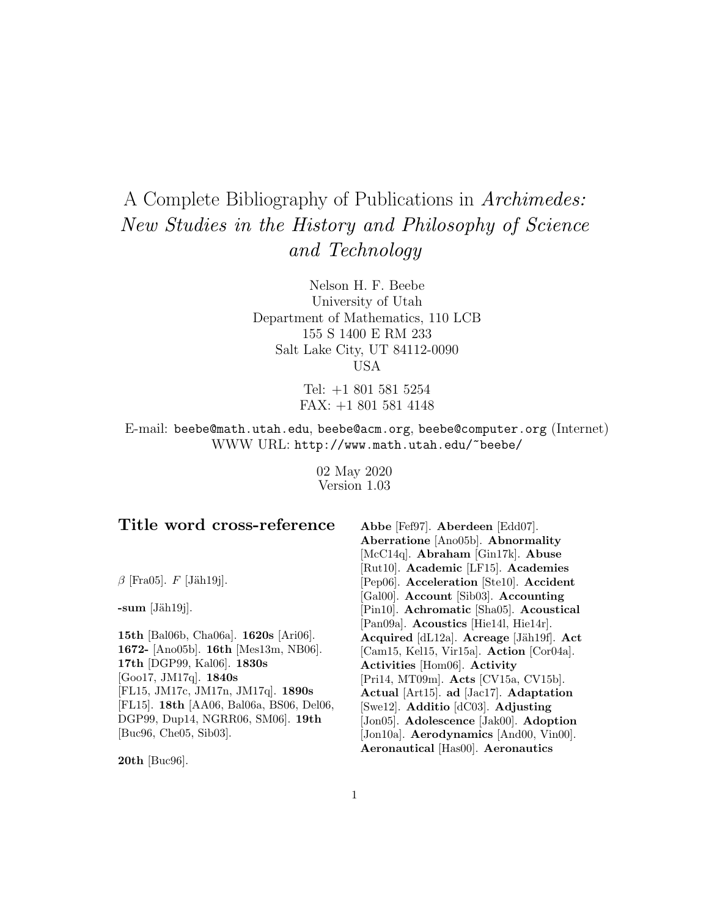# A Complete Bibliography of Publications in Archimedes: New Studies in the History and Philosophy of Science and Technology

Nelson H. F. Beebe University of Utah Department of Mathematics, 110 LCB 155 S 1400 E RM 233 Salt Lake City, UT 84112-0090 USA

> Tel: +1 801 581 5254 FAX: +1 801 581 4148

E-mail: beebe@math.utah.edu, beebe@acm.org, beebe@computer.org (Internet) WWW URL: http://www.math.utah.edu/~beebe/

> 02 May 2020 Version 1.03

 $\beta$  [Fra05]. F [Jäh19j].

 $-sum$  [Jäh $19j$ ].

**15th** [Bal06b, Cha06a]. **1620s** [Ari06]. **1672-** [Ano05b]. **16th** [Mes13m, NB06]. **17th** [DGP99, Kal06]. **1830s** [Goo17, JM17q]. **1840s** [FL15, JM17c, JM17n, JM17q]. **1890s** [FL15]. **18th** [AA06, Bal06a, BS06, Del06, DGP99, Dup14, NGRR06, SM06]. **19th** [Buc96, Che05, Sib03].

**Abbe** [Fef97]. **Aberdeen** [Edd07]. **Aberratione** [Ano05b]. **Abnormality** [McC14q]. **Abraham** [Gin17k]. **Abuse** [Rut10]. **Academic** [LF15]. **Academies** [Pep06]. **Acceleration** [Ste10]. **Accident** [Gal00]. **Account** [Sib03]. **Accounting** [Pin10]. **Achromatic** [Sha05]. **Acoustical** [Pan09a]. **Acoustics** [Hie14l, Hie14r]. **Acquired** [dL12a]. **Acreage** [Jäh19f]. **Act** [Cam15, Kel15, Vir15a]. **Action** [Cor04a]. **Activities** [Hom06]. **Activity** [Pri14, MT09m]. **Acts** [CV15a, CV15b]. **Actual** [Art15]. **ad** [Jac17]. **Adaptation** [Swe12]. **Additio** [dC03]. **Adjusting** [Jon05]. **Adolescence** [Jak00]. **Adoption** [Jon10a]. **Aerodynamics** [And00, Vin00]. **Aeronautical** [Has00]. **Aeronautics**

**20th** [Buc96].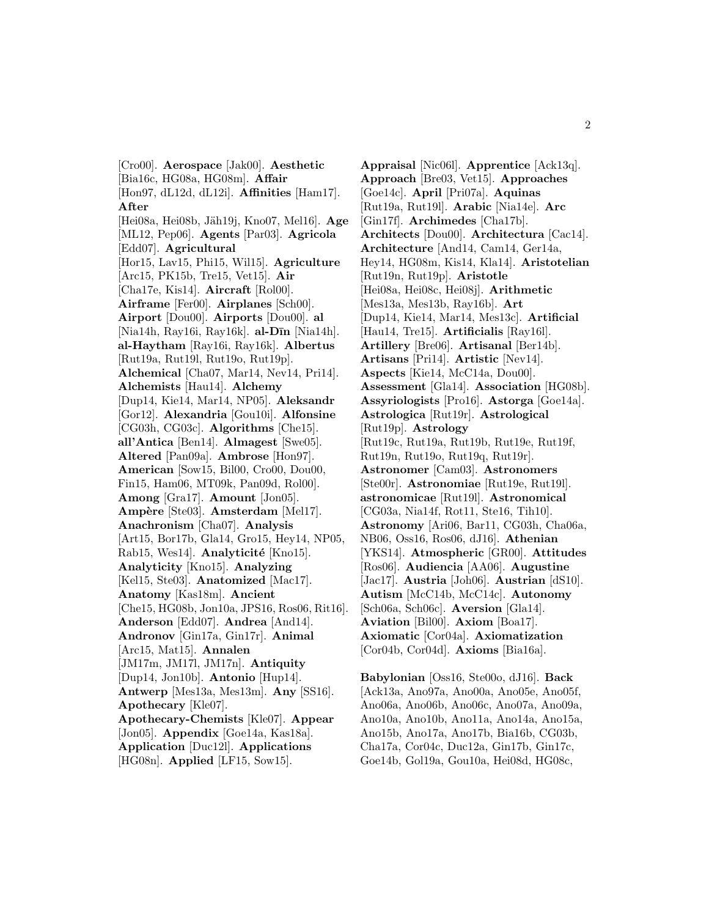[Cro00]. **Aerospace** [Jak00]. **Aesthetic** [Bia16c, HG08a, HG08m]. **Affair** [Hon97, dL12d, dL12i]. **Affinities** [Ham17]. **After** [Hei08a, Hei08b, Jäh19j, Kno07, Mel16]. **Age** [ML12, Pep06]. **Agents** [Par03]. **Agricola** [Edd07]. **Agricultural** [Hor15, Lav15, Phi15, Wil15]. **Agriculture** [Arc15, PK15b, Tre15, Vet15]. **Air** [Cha17e, Kis14]. **Aircraft** [Rol00]. **Airframe** [Fer00]. **Airplanes** [Sch00]. **Airport** [Dou00]. **Airports** [Dou00]. **al** [Nia14h, Ray16i, Ray16k]. **al-DIn** [Nia14h]. **al-Haytham** [Ray16i, Ray16k]. **Albertus** [Rut19a, Rut19l, Rut19o, Rut19p]. **Alchemical** [Cha07, Mar14, Nev14, Pri14]. **Alchemists** [Hau14]. **Alchemy** [Dup14, Kie14, Mar14, NP05]. **Aleksandr** [Gor12]. **Alexandria** [Gou10i]. **Alfonsine** [CG03h, CG03c]. **Algorithms** [Che15]. **all'Antica** [Ben14]. **Almagest** [Swe05]. **Altered** [Pan09a]. **Ambrose** [Hon97]. **American** [Sow15, Bil00, Cro00, Dou00, Fin15, Ham06, MT09k, Pan09d, Rol00]. **Among** [Gra17]. **Amount** [Jon05]. **Amp`ere** [Ste03]. **Amsterdam** [Mel17]. **Anachronism** [Cha07]. **Analysis** [Art15, Bor17b, Gla14, Gro15, Hey14, NP05, Rab15, Wes14]. **Analyticité** [Kno15]. **Analyticity** [Kno15]. **Analyzing** [Kel15, Ste03]. **Anatomized** [Mac17]. **Anatomy** [Kas18m]. **Ancient** [Che15, HG08b, Jon10a, JPS16, Ros06, Rit16]. **Anderson** [Edd07]. **Andrea** [And14]. **Andronov** [Gin17a, Gin17r]. **Animal** [Arc15, Mat15]. **Annalen** [JM17m, JM17l, JM17n]. **Antiquity** [Dup14, Jon10b]. **Antonio** [Hup14]. **Antwerp** [Mes13a, Mes13m]. **Any** [SS16]. **Apothecary** [Kle07]. **Apothecary-Chemists** [Kle07]. **Appear** [Jon05]. **Appendix** [Goe14a, Kas18a]. **Application** [Duc12l]. **Applications** [HG08n]. **Applied** [LF15, Sow15].

**Appraisal** [Nic06l]. **Apprentice** [Ack13q]. **Approach** [Bre03, Vet15]. **Approaches** [Goe14c]. **April** [Pri07a]. **Aquinas** [Rut19a, Rut19l]. **Arabic** [Nia14e]. **Arc** [Gin17f]. **Archimedes** [Cha17b]. **Architects** [Dou00]. **Architectura** [Cac14]. **Architecture** [And14, Cam14, Ger14a, Hey14, HG08m, Kis14, Kla14]. **Aristotelian** [Rut19n, Rut19p]. **Aristotle** [Hei08a, Hei08c, Hei08j]. **Arithmetic** [Mes13a, Mes13b, Ray16b]. **Art** [Dup14, Kie14, Mar14, Mes13c]. **Artificial** [Hau14, Tre15]. **Artificialis** [Ray16l]. **Artillery** [Bre06]. **Artisanal** [Ber14b]. **Artisans** [Pri14]. **Artistic** [Nev14]. **Aspects** [Kie14, McC14a, Dou00]. **Assessment** [Gla14]. **Association** [HG08b]. **Assyriologists** [Pro16]. **Astorga** [Goe14a]. **Astrologica** [Rut19r]. **Astrological** [Rut19p]. **Astrology** [Rut19c, Rut19a, Rut19b, Rut19e, Rut19f, Rut19n, Rut19o, Rut19q, Rut19r]. **Astronomer** [Cam03]. **Astronomers** [Ste00r]. **Astronomiae** [Rut19e, Rut19l]. **astronomicae** [Rut19l]. **Astronomical** [CG03a, Nia14f, Rot11, Ste16, Tih10]. **Astronomy** [Ari06, Bar11, CG03h, Cha06a, NB06, Oss16, Ros06, dJ16]. **Athenian** [YKS14]. **Atmospheric** [GR00]. **Attitudes** [Ros06]. **Audiencia** [AA06]. **Augustine** [Jac17]. **Austria** [Joh06]. **Austrian** [dS10]. **Autism** [McC14b, McC14c]. **Autonomy** [Sch06a, Sch06c]. **Aversion** [Gla14]. **Aviation** [Bil00]. **Axiom** [Boa17]. **Axiomatic** [Cor04a]. **Axiomatization** [Cor04b, Cor04d]. **Axioms** [Bia16a].

**Babylonian** [Oss16, Ste00o, dJ16]. **Back** [Ack13a, Ano97a, Ano00a, Ano05e, Ano05f, Ano06a, Ano06b, Ano06c, Ano07a, Ano09a, Ano10a, Ano10b, Ano11a, Ano14a, Ano15a, Ano15b, Ano17a, Ano17b, Bia16b, CG03b, Cha17a, Cor04c, Duc12a, Gin17b, Gin17c, Goe14b, Gol19a, Gou10a, Hei08d, HG08c,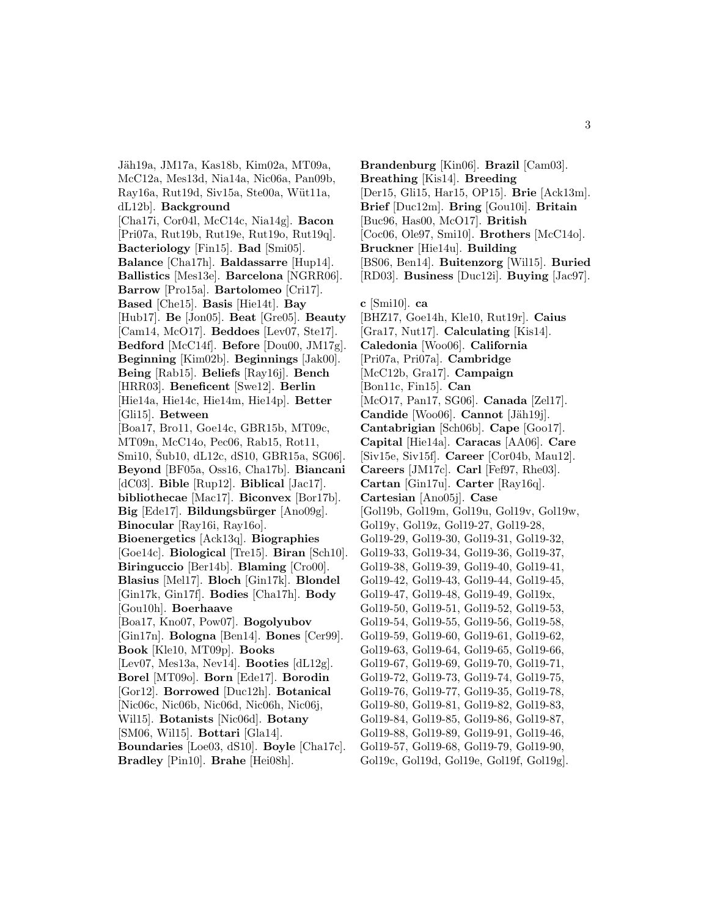Jäh19a, JM17a, Kas18b, Kim02a, MT09a, McC12a, Mes13d, Nia14a, Nic06a, Pan09b, Ray16a, Rut19d, Siv15a, Ste00a, Wüt11a, dL12b]. **Background** [Cha17i, Cor04l, McC14c, Nia14g]. **Bacon** [Pri07a, Rut19b, Rut19e, Rut19o, Rut19q]. **Bacteriology** [Fin15]. **Bad** [Smi05]. **Balance** [Cha17h]. **Baldassarre** [Hup14]. **Ballistics** [Mes13e]. **Barcelona** [NGRR06]. **Barrow** [Pro15a]. **Bartolomeo** [Cri17]. **Based** [Che15]. **Basis** [Hie14t]. **Bay** [Hub17]. **Be** [Jon05]. **Beat** [Gre05]. **Beauty** [Cam14, McO17]. **Beddoes** [Lev07, Ste17]. **Bedford** [McC14f]. **Before** [Dou00, JM17g]. **Beginning** [Kim02b]. **Beginnings** [Jak00]. **Being** [Rab15]. **Beliefs** [Ray16j]. **Bench** [HRR03]. **Beneficent** [Swe12]. **Berlin** [Hie14a, Hie14c, Hie14m, Hie14p]. **Better** [Gli15]. **Between** [Boa17, Bro11, Goe14c, GBR15b, MT09c, MT09n, McC14o, Pec06, Rab15, Rot11, Smi10, Sub10, dL12c, dS10, GBR15a, SG06. **Beyond** [BF05a, Oss16, Cha17b]. **Biancani** [dC03]. **Bible** [Rup12]. **Biblical** [Jac17]. **bibliothecae** [Mac17]. **Biconvex** [Bor17b]. Big [Ede17]. **Bildungsbürger** [Ano09g]. **Binocular** [Ray16i, Ray16o]. **Bioenergetics** [Ack13q]. **Biographies** [Goe14c]. **Biological** [Tre15]. **Biran** [Sch10]. **Biringuccio** [Ber14b]. **Blaming** [Cro00]. **Blasius** [Mel17]. **Bloch** [Gin17k]. **Blondel** [Gin17k, Gin17f]. **Bodies** [Cha17h]. **Body** [Gou10h]. **Boerhaave** [Boa17, Kno07, Pow07]. **Bogolyubov** [Gin17n]. **Bologna** [Ben14]. **Bones** [Cer99]. **Book** [Kle10, MT09p]. **Books** [Lev07, Mes13a, Nev14]. **Booties** [dL12g]. **Borel** [MT09o]. **Born** [Ede17]. **Borodin** [Gor12]. **Borrowed** [Duc12h]. **Botanical** [Nic06c, Nic06b, Nic06d, Nic06h, Nic06j, Wil15]. **Botanists** [Nic06d]. **Botany** [SM06, Wil15]. **Bottari** [Gla14]. **Boundaries** [Loe03, dS10]. **Boyle** [Cha17c]. **Bradley** [Pin10]. **Brahe** [Hei08h].

**Brandenburg** [Kin06]. **Brazil** [Cam03]. **Breathing** [Kis14]. **Breeding** [Der15, Gli15, Har15, OP15]. **Brie** [Ack13m]. **Brief** [Duc12m]. **Bring** [Gou10i]. **Britain** [Buc96, Has00, McO17]. **British** [Coc06, Ole97, Smi10]. **Brothers** [McC14o]. **Bruckner** [Hie14u]. **Building** [BS06, Ben14]. **Buitenzorg** [Wil15]. **Buried** [RD03]. **Business** [Duc12i]. **Buying** [Jac97]. **c** [Smi10]. **ca** [BHZ17, Goe14h, Kle10, Rut19r]. **Caius** [Gra17, Nut17]. **Calculating** [Kis14]. **Caledonia** [Woo06]. **California** [Pri07a, Pri07a]. **Cambridge** [McC12b, Gra17]. **Campaign** [Bon11c, Fin15]. **Can** [McO17, Pan17, SG06]. **Canada** [Zel17]. **Candide** [Woo06]. **Cannot** [Jäh19j]. **Cantabrigian** [Sch06b]. **Cape** [Goo17]. **Capital** [Hie14a]. **Caracas** [AA06]. **Care** [Siv15e, Siv15f]. **Career** [Cor04b, Mau12]. **Careers** [JM17c]. **Carl** [Fef97, Rhe03]. **Cartan** [Gin17u]. **Carter** [Ray16q]. **Cartesian** [Ano05j]. **Case** [Gol19b, Gol19m, Gol19u, Gol19v, Gol19w, Gol19y, Gol19z, Gol19-27, Gol19-28, Gol19-29, Gol19-30, Gol19-31, Gol19-32, Gol19-33, Gol19-34, Gol19-36, Gol19-37, Gol19-38, Gol19-39, Gol19-40, Gol19-41, Gol19-42, Gol19-43, Gol19-44, Gol19-45, Gol19-47, Gol19-48, Gol19-49, Gol19x, Gol19-50, Gol19-51, Gol19-52, Gol19-53, Gol19-54, Gol19-55, Gol19-56, Gol19-58, Gol19-59, Gol19-60, Gol19-61, Gol19-62, Gol19-63, Gol19-64, Gol19-65, Gol19-66, Gol19-67, Gol19-69, Gol19-70, Gol19-71, Gol19-72, Gol19-73, Gol19-74, Gol19-75, Gol19-76, Gol19-77, Gol19-35, Gol19-78, Gol19-80, Gol19-81, Gol19-82, Gol19-83, Gol19-84, Gol19-85, Gol19-86, Gol19-87, Gol19-88, Gol19-89, Gol19-91, Gol19-46, Gol19-57, Gol19-68, Gol19-79, Gol19-90, Gol19c, Gol19d, Gol19e, Gol19f, Gol19g].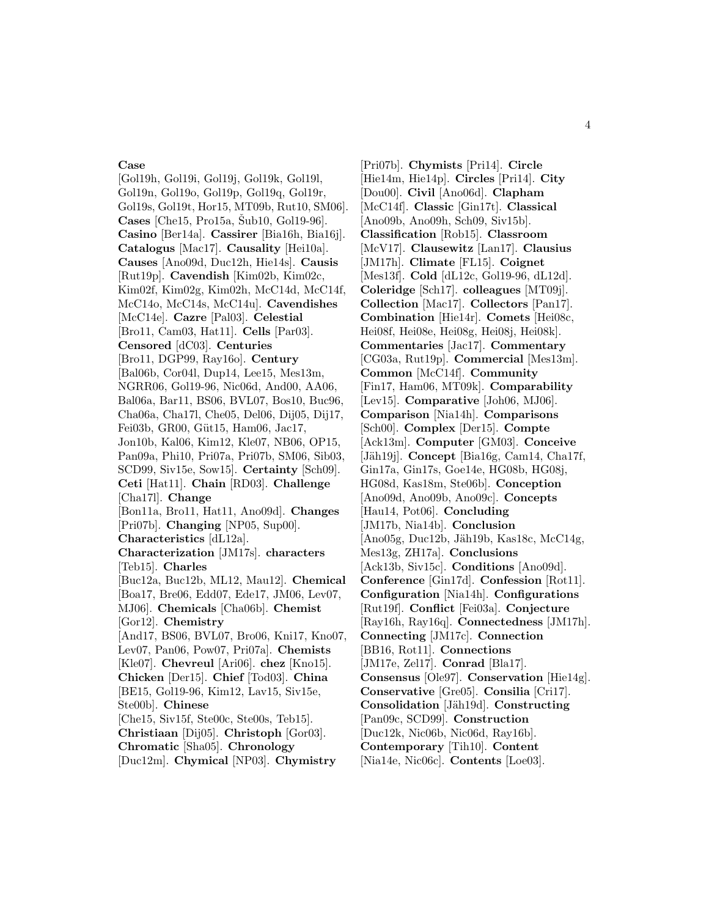# **Case**

[Gol19h, Gol19i, Gol19j, Gol19k, Gol19l, Gol19n, Gol19o, Gol19p, Gol19q, Gol19r, Gol19s, Gol19t, Hor15, MT09b, Rut10, SM06]. **Cases** [Che15, Pro15a,  $\text{\rSub10}$ , Gol19-96]. **Casino** [Ber14a]. **Cassirer** [Bia16h, Bia16j]. **Catalogus** [Mac17]. **Causality** [Hei10a]. **Causes** [Ano09d, Duc12h, Hie14s]. **Causis** [Rut19p]. **Cavendish** [Kim02b, Kim02c, Kim02f, Kim02g, Kim02h, McC14d, McC14f, McC14o, McC14s, McC14u]. **Cavendishes** [McC14e]. **Cazre** [Pal03]. **Celestial** [Bro11, Cam03, Hat11]. **Cells** [Par03]. **Censored** [dC03]. **Centuries** [Bro11, DGP99, Ray16o]. **Century** [Bal06b, Cor04l, Dup14, Lee15, Mes13m, NGRR06, Gol19-96, Nic06d, And00, AA06, Bal06a, Bar11, BS06, BVL07, Bos10, Buc96, Cha06a, Cha17l, Che05, Del06, Dij05, Dij17, Fei03b, GR00, Güt15, Ham06, Jac17, Jon10b, Kal06, Kim12, Kle07, NB06, OP15, Pan09a, Phi10, Pri07a, Pri07b, SM06, Sib03, SCD99, Siv15e, Sow15]. **Certainty** [Sch09]. **Ceti** [Hat11]. **Chain** [RD03]. **Challenge** [Cha17l]. **Change** [Bon11a, Bro11, Hat11, Ano09d]. **Changes** [Pri07b]. **Changing** [NP05, Sup00]. **Characteristics** [dL12a]. **Characterization** [JM17s]. **characters** [Teb15]. **Charles** [Buc12a, Buc12b, ML12, Mau12]. **Chemical** [Boa17, Bre06, Edd07, Ede17, JM06, Lev07, MJ06]. **Chemicals** [Cha06b]. **Chemist** [Gor12]. **Chemistry** [And17, BS06, BVL07, Bro06, Kni17, Kno07, Lev07, Pan06, Pow07, Pri07a]. **Chemists** [Kle07]. **Chevreul** [Ari06]. **chez** [Kno15]. **Chicken** [Der15]. **Chief** [Tod03]. **China** [BE15, Gol19-96, Kim12, Lav15, Siv15e, Ste00b]. **Chinese** [Che15, Siv15f, Ste00c, Ste00s, Teb15]. **Christiaan** [Dij05]. **Christoph** [Gor03]. **Chromatic** [Sha05]. **Chronology**

[Duc12m]. **Chymical** [NP03]. **Chymistry**

[Pri07b]. **Chymists** [Pri14]. **Circle** [Hie14m, Hie14p]. **Circles** [Pri14]. **City** [Dou00]. **Civil** [Ano06d]. **Clapham** [McC14f]. **Classic** [Gin17t]. **Classical** [Ano09b, Ano09h, Sch09, Siv15b]. **Classification** [Rob15]. **Classroom** [McV17]. **Clausewitz** [Lan17]. **Clausius** [JM17h]. **Climate** [FL15]. **Coignet** [Mes13f]. **Cold** [dL12c, Gol19-96, dL12d]. **Coleridge** [Sch17]. **colleagues** [MT09j]. **Collection** [Mac17]. **Collectors** [Pan17]. **Combination** [Hie14r]. **Comets** [Hei08c, Hei08f, Hei08e, Hei08g, Hei08j, Hei08k]. **Commentaries** [Jac17]. **Commentary** [CG03a, Rut19p]. **Commercial** [Mes13m]. **Common** [McC14f]. **Community** [Fin17, Ham06, MT09k]. **Comparability** [Lev15]. **Comparative** [Joh06, MJ06]. **Comparison** [Nia14h]. **Comparisons** [Sch00]. **Complex** [Der15]. **Compte** [Ack13m]. **Computer** [GM03]. **Conceive** [Jäh19j]. **Concept** [Bia16g, Cam14, Cha17f, Gin17a, Gin17s, Goe14e, HG08b, HG08j, HG08d, Kas18m, Ste06b]. **Conception** [Ano09d, Ano09b, Ano09c]. **Concepts** [Hau14, Pot06]. **Concluding** [JM17b, Nia14b]. **Conclusion** [Ano05g, Duc12b, J¨ah19b, Kas18c, McC14g, Mes13g, ZH17a]. **Conclusions** [Ack13b, Siv15c]. **Conditions** [Ano09d]. **Conference** [Gin17d]. **Confession** [Rot11]. **Configuration** [Nia14h]. **Configurations** [Rut19f]. **Conflict** [Fei03a]. **Conjecture** [Ray16h, Ray16q]. **Connectedness** [JM17h]. **Connecting** [JM17c]. **Connection** [BB16, Rot11]. **Connections** [JM17e, Zel17]. **Conrad** [Bla17]. **Consensus** [Ole97]. **Conservation** [Hie14g]. **Conservative** [Gre05]. **Consilia** [Cri17]. **Consolidation** [Jäh19d]. **Constructing** [Pan09c, SCD99]. **Construction** [Duc12k, Nic06b, Nic06d, Ray16b]. **Contemporary** [Tih10]. **Content**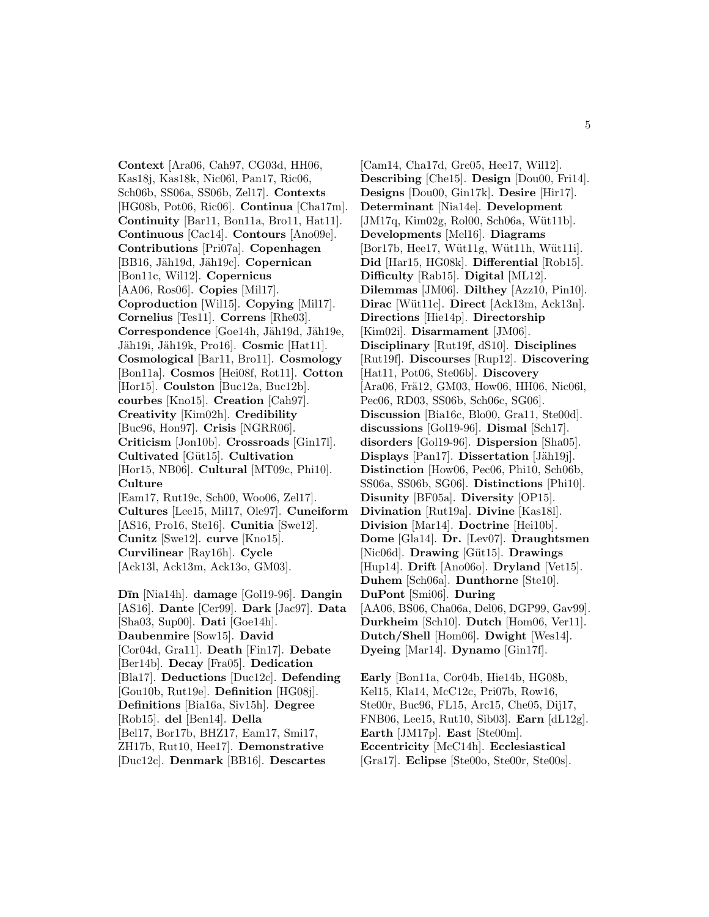**Context** [Ara06, Cah97, CG03d, HH06, Kas18j, Kas18k, Nic06l, Pan17, Ric06, Sch06b, SS06a, SS06b, Zel17]. **Contexts** [HG08b, Pot06, Ric06]. **Continua** [Cha17m]. **Continuity** [Bar11, Bon11a, Bro11, Hat11]. **Continuous** [Cac14]. **Contours** [Ano09e]. **Contributions** [Pri07a]. **Copenhagen** [BB16, Jäh19d, Jäh19c]. **Copernican** [Bon11c, Wil12]. **Copernicus** [AA06, Ros06]. **Copies** [Mil17]. **Coproduction** [Wil15]. **Copying** [Mil17]. **Cornelius** [Tes11]. **Correns** [Rhe03]. Correspondence<sup>[Goe14h, Jäh19d, Jäh19e,</sup> Jäh19i, Jäh19k, Pro16]. **Cosmic** [Hat11]. **Cosmological** [Bar11, Bro11]. **Cosmology** [Bon11a]. **Cosmos** [Hei08f, Rot11]. **Cotton** [Hor15]. **Coulston** [Buc12a, Buc12b]. **courbes** [Kno15]. **Creation** [Cah97]. **Creativity** [Kim02h]. **Credibility** [Buc96, Hon97]. **Crisis** [NGRR06]. **Criticism** [Jon10b]. **Crossroads** [Gin17l]. **Cultivated** [G¨ut15]. **Cultivation** [Hor15, NB06]. **Cultural** [MT09c, Phi10]. **Culture** [Eam17, Rut19c, Sch00, Woo06, Zel17]. **Cultures** [Lee15, Mil17, Ole97]. **Cuneiform** [AS16, Pro16, Ste16]. **Cunitia** [Swe12]. **Cunitz** [Swe12]. **curve** [Kno15]. **Curvilinear** [Ray16h]. **Cycle** [Ack13l, Ack13m, Ack13o, GM03].

**D¯ın** [Nia14h]. **damage** [Gol19-96]. **Dangin** [AS16]. **Dante** [Cer99]. **Dark** [Jac97]. **Data** [Sha03, Sup00]. **Dati** [Goe14h]. **Daubenmire** [Sow15]. **David** [Cor04d, Gra11]. **Death** [Fin17]. **Debate** [Ber14b]. **Decay** [Fra05]. **Dedication** [Bla17]. **Deductions** [Duc12c]. **Defending** [Gou10b, Rut19e]. **Definition** [HG08j]. **Definitions** [Bia16a, Siv15h]. **Degree** [Rob15]. **del** [Ben14]. **Della** [Bel17, Bor17b, BHZ17, Eam17, Smi17, ZH17b, Rut10, Hee17]. **Demonstrative** [Duc12c]. **Denmark** [BB16]. **Descartes**

[Cam14, Cha17d, Gre05, Hee17, Wil12]. **Describing** [Che15]. **Design** [Dou00, Fri14]. **Designs** [Dou00, Gin17k]. **Desire** [Hir17]. **Determinant** [Nia14e]. **Development**  $[JM17q, Kim02g, Rol00, Sch06a, Witt11b].$ **Developments** [Mel16]. **Diagrams** [Bor17b, Hee17, Wüt11g, Wüt11h, Wüt11i]. **Did** [Har15, HG08k]. **Differential** [Rob15]. **Difficulty** [Rab15]. **Digital** [ML12]. **Dilemmas** [JM06]. **Dilthey** [Azz10, Pin10]. **Dirac** [Wüt11c]. **Direct** [Ack13m, Ack13n]. **Directions** [Hie14p]. **Directorship** [Kim02i]. **Disarmament** [JM06]. **Disciplinary** [Rut19f, dS10]. **Disciplines** [Rut19f]. **Discourses** [Rup12]. **Discovering** [Hat11, Pot06, Ste06b]. **Discovery** [Ara06, Frä12, GM03, How06, HH06, Nic06l, Pec06, RD03, SS06b, Sch06c, SG06]. **Discussion** [Bia16c, Blo00, Gra11, Ste00d]. **discussions** [Gol19-96]. **Dismal** [Sch17]. **disorders** [Gol19-96]. **Dispersion** [Sha05]. **Displays** [Pan17]. **Dissertation** [Jäh19j]. **Distinction** [How06, Pec06, Phi10, Sch06b, SS06a, SS06b, SG06]. **Distinctions** [Phi10]. **Disunity** [BF05a]. **Diversity** [OP15]. **Divination** [Rut19a]. **Divine** [Kas18l]. **Division** [Mar14]. **Doctrine** [Hei10b]. **Dome** [Gla14]. **Dr.** [Lev07]. **Draughtsmen** [Nic06d]. **Drawing** [Güt15]. **Drawings** [Hup14]. **Drift** [Ano06o]. **Dryland** [Vet15]. **Duhem** [Sch06a]. **Dunthorne** [Ste10]. **DuPont** [Smi06]. **During** [AA06, BS06, Cha06a, Del06, DGP99, Gav99]. **Durkheim** [Sch10]. **Dutch** [Hom06, Ver11]. **Dutch/Shell** [Hom06]. **Dwight** [Wes14]. **Dyeing** [Mar14]. **Dynamo** [Gin17f].

**Early** [Bon11a, Cor04b, Hie14b, HG08b, Kel15, Kla14, McC12c, Pri07b, Row16, Ste00r, Buc96, FL15, Arc15, Che05, Dij17, FNB06, Lee15, Rut10, Sib03]. **Earn** [dL12g]. **Earth** [JM17p]. **East** [Ste00m]. **Eccentricity** [McC14h]. **Ecclesiastical** [Gra17]. **Eclipse** [Ste00o, Ste00r, Ste00s].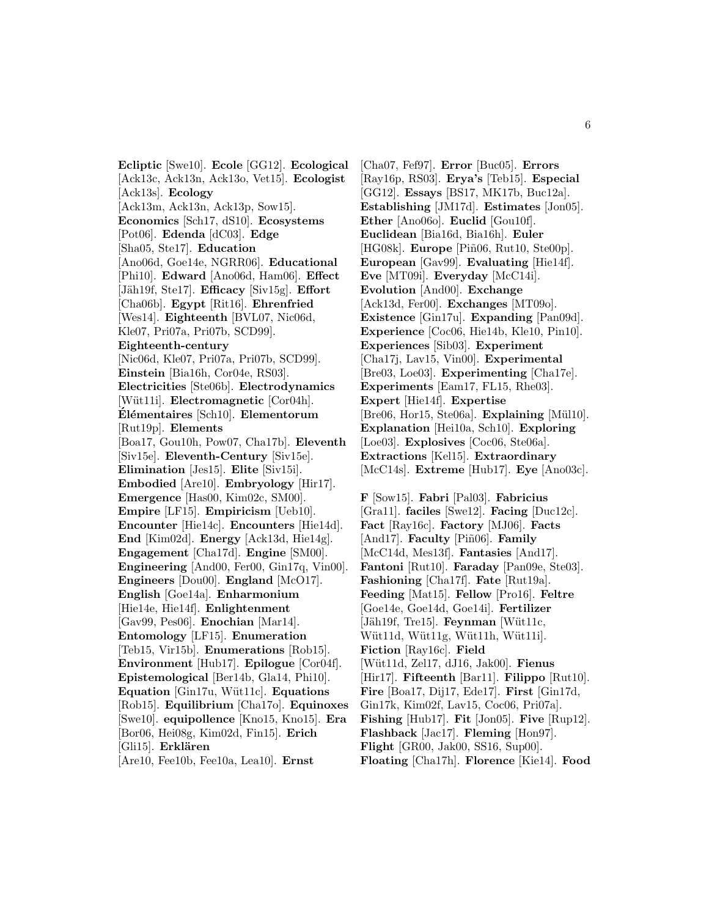**Ecliptic** [Swe10]. **Ecole** [GG12]. **Ecological** [Ack13c, Ack13n, Ack13o, Vet15]. **Ecologist** [Ack13s]. **Ecology** [Ack13m, Ack13n, Ack13p, Sow15]. **Economics** [Sch17, dS10]. **Ecosystems** [Pot06]. **Edenda** [dC03]. **Edge** [Sha05, Ste17]. **Education** [Ano06d, Goe14e, NGRR06]. **Educational** [Phi10]. **Edward** [Ano06d, Ham06]. **Effect** [Jäh19f, Ste17]. **Efficacy** [Siv15g]. **Effort** [Cha06b]. **Egypt** [Rit16]. **Ehrenfried** [Wes14]. **Eighteenth** [BVL07, Nic06d, Kle07, Pri07a, Pri07b, SCD99]. **Eighteenth-century** [Nic06d, Kle07, Pri07a, Pri07b, SCD99]. **Einstein** [Bia16h, Cor04e, RS03]. **Electricities** [Ste06b]. **Electrodynamics** [Wüt11i]. **Electromagnetic** [Cor04h]. **El´ ´ ementaires** [Sch10]. **Elementorum** [Rut19p]. **Elements** [Boa17, Gou10h, Pow07, Cha17b]. **Eleventh** [Siv15e]. **Eleventh-Century** [Siv15e]. **Elimination** [Jes15]. **Elite** [Siv15i]. **Embodied** [Are10]. **Embryology** [Hir17]. **Emergence** [Has00, Kim02c, SM00]. **Empire** [LF15]. **Empiricism** [Ueb10]. **Encounter** [Hie14c]. **Encounters** [Hie14d]. **End** [Kim02d]. **Energy** [Ack13d, Hie14g]. **Engagement** [Cha17d]. **Engine** [SM00]. **Engineering** [And00, Fer00, Gin17q, Vin00]. **Engineers** [Dou00]. **England** [McO17]. **English** [Goe14a]. **Enharmonium** [Hie14e, Hie14f]. **Enlightenment** [Gav99, Pes06]. **Enochian** [Mar14]. **Entomology** [LF15]. **Enumeration** [Teb15, Vir15b]. **Enumerations** [Rob15]. **Environment** [Hub17]. **Epilogue** [Cor04f]. **Epistemological** [Ber14b, Gla14, Phi10]. **Equation** [Gin17u, Wüt11c]. **Equations** [Rob15]. **Equilibrium** [Cha17o]. **Equinoxes** [Swe10]. **equipollence** [Kno15, Kno15]. **Era** [Bor06, Hei08g, Kim02d, Fin15]. **Erich** [Gli15]. **Erklären** [Are10, Fee10b, Fee10a, Lea10]. **Ernst**

[Cha07, Fef97]. **Error** [Buc05]. **Errors** [Ray16p, RS03]. **Erya's** [Teb15]. **Especial** [GG12]. **Essays** [BS17, MK17b, Buc12a]. **Establishing** [JM17d]. **Estimates** [Jon05]. **Ether** [Ano06o]. **Euclid** [Gou10f]. **Euclidean** [Bia16d, Bia16h]. **Euler** [HG08k]. **Europe** [Piñ06, Rut10, Ste00p]. **European** [Gav99]. **Evaluating** [Hie14f]. **Eve** [MT09i]. **Everyday** [McC14i]. **Evolution** [And00]. **Exchange** [Ack13d, Fer00]. **Exchanges** [MT09o]. **Existence** [Gin17u]. **Expanding** [Pan09d]. **Experience** [Coc06, Hie14b, Kle10, Pin10]. **Experiences** [Sib03]. **Experiment** [Cha17j, Lav15, Vin00]. **Experimental** [Bre03, Loe03]. **Experimenting** [Cha17e]. **Experiments** [Eam17, FL15, Rhe03]. **Expert** [Hie14f]. **Expertise** [Bre06, Hor15, Ste06a]. **Explaining** [Mül10]. **Explanation** [Hei10a, Sch10]. **Exploring** [Loe03]. **Explosives** [Coc06, Ste06a]. **Extractions** [Kel15]. **Extraordinary**

**F** [Sow15]. **Fabri** [Pal03]. **Fabricius** [Gra11]. **faciles** [Swe12]. **Facing** [Duc12c]. **Fact** [Ray16c]. **Factory** [MJ06]. **Facts** [And17]. **Faculty** [Piñ06]. **Family** [McC14d, Mes13f]. **Fantasies** [And17]. **Fantoni** [Rut10]. **Faraday** [Pan09e, Ste03]. **Fashioning** [Cha17f]. **Fate** [Rut19a]. **Feeding** [Mat15]. **Fellow** [Pro16]. **Feltre** [Goe14e, Goe14d, Goe14i]. **Fertilizer** [Jäh19f, Tre15]. **Feynman** [Wüt11c, Wüt11d, Wüt11g, Wüt11h, Wüt11i]. **Fiction** [Ray16c]. **Field** [W¨ut11d, Zel17, dJ16, Jak00]. **Fienus** [Hir17]. **Fifteenth** [Bar11]. **Filippo** [Rut10]. **Fire** [Boa17, Dij17, Ede17]. **First** [Gin17d, Gin17k, Kim02f, Lav15, Coc06, Pri07a]. **Fishing** [Hub17]. **Fit** [Jon05]. **Five** [Rup12]. **Flashback** [Jac17]. **Fleming** [Hon97]. **Flight** [GR00, Jak00, SS16, Sup00]. **Floating** [Cha17h]. **Florence** [Kie14]. **Food**

[McC14s]. **Extreme** [Hub17]. **Eye** [Ano03c].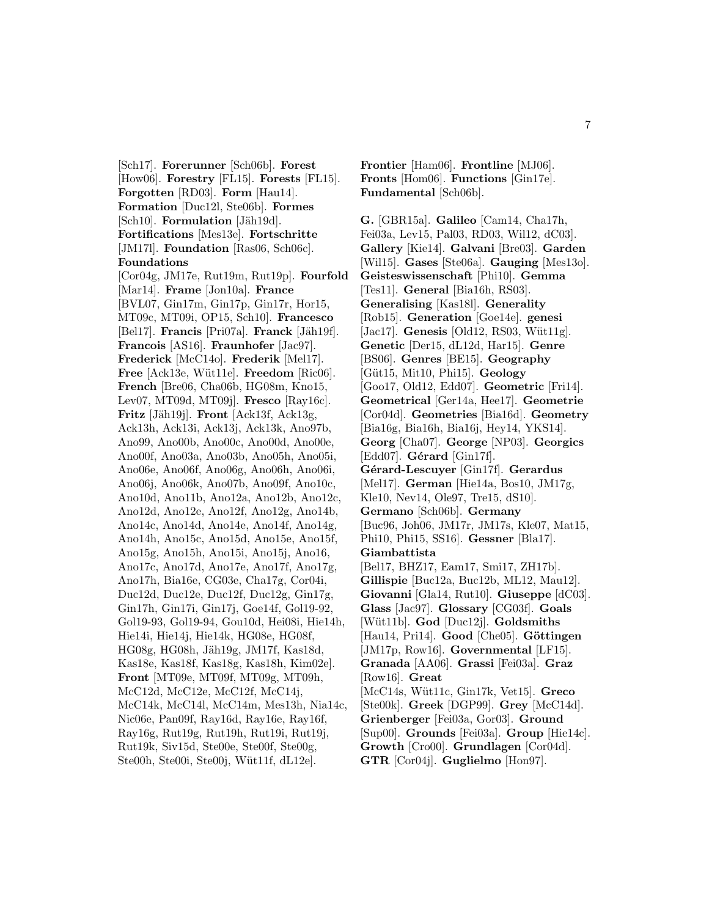[Sch17]. **Forerunner** [Sch06b]. **Forest** [How06]. **Forestry** [FL15]. **Forests** [FL15]. **Forgotten** [RD03]. **Form** [Hau14]. **Formation** [Duc12l, Ste06b]. **Formes** [Sch10]. **Formulation** [Jäh19d]. **Fortifications** [Mes13e]. **Fortschritte** [JM17l]. **Foundation** [Ras06, Sch06c]. **Foundations** [Cor04g, JM17e, Rut19m, Rut19p]. **Fourfold** [Mar14]. **Frame** [Jon10a]. **France** [BVL07, Gin17m, Gin17p, Gin17r, Hor15, MT09c, MT09i, OP15, Sch10]. **Francesco** [Bel17]. **Francis** [Pri07a]. **Franck** [Jäh19f]. **Francois** [AS16]. **Fraunhofer** [Jac97]. **Frederick** [McC14o]. **Frederik** [Mel17]. **Free** [Ack13e, Wüt11e]. **Freedom** [Ric06]. **French** [Bre06, Cha06b, HG08m, Kno15, Lev07, MT09d, MT09j]. **Fresco** [Ray16c]. **Fritz** [Jäh19j]. **Front** [Ack13f, Ack13g, Ack13h, Ack13i, Ack13j, Ack13k, Ano97b, Ano99, Ano00b, Ano00c, Ano00d, Ano00e, Ano00f, Ano03a, Ano03b, Ano05h, Ano05i, Ano06e, Ano06f, Ano06g, Ano06h, Ano06i, Ano06j, Ano06k, Ano07b, Ano09f, Ano10c, Ano10d, Ano11b, Ano12a, Ano12b, Ano12c, Ano12d, Ano12e, Ano12f, Ano12g, Ano14b, Ano14c, Ano14d, Ano14e, Ano14f, Ano14g, Ano14h, Ano15c, Ano15d, Ano15e, Ano15f, Ano15g, Ano15h, Ano15i, Ano15j, Ano16, Ano17c, Ano17d, Ano17e, Ano17f, Ano17g, Ano17h, Bia16e, CG03e, Cha17g, Cor04i, Duc12d, Duc12e, Duc12f, Duc12g, Gin17g, Gin17h, Gin17i, Gin17j, Goe14f, Gol19-92, Gol19-93, Gol19-94, Gou10d, Hei08i, Hie14h, Hie14i, Hie14j, Hie14k, HG08e, HG08f, HG08g, HG08h, Jäh19g, JM17f, Kas18d, Kas18e, Kas18f, Kas18g, Kas18h, Kim02e]. **Front** [MT09e, MT09f, MT09g, MT09h, McC12d, McC12e, McC12f, McC14j, McC14k, McC14l, McC14m, Mes13h, Nia14c, Nic06e, Pan09f, Ray16d, Ray16e, Ray16f, Ray16g, Rut19g, Rut19h, Rut19i, Rut19j, Rut19k, Siv15d, Ste00e, Ste00f, Ste00g, Ste00h, Ste00i, Ste00j, Wüt11f, dL12e.

**Frontier** [Ham06]. **Frontline** [MJ06]. **Fronts** [Hom06]. **Functions** [Gin17e]. **Fundamental** [Sch06b].

**G.** [GBR15a]. **Galileo** [Cam14, Cha17h, Fei03a, Lev15, Pal03, RD03, Wil12, dC03]. **Gallery** [Kie14]. **Galvani** [Bre03]. **Garden** [Wil15]. **Gases** [Ste06a]. **Gauging** [Mes13o]. **Geisteswissenschaft** [Phi10]. **Gemma** [Tes11]. **General** [Bia16h, RS03]. **Generalising** [Kas18l]. **Generality** [Rob15]. **Generation** [Goe14e]. **genesi** [Jac17]. **Genesis** [Old12, RS03, Wüt11g]. **Genetic** [Der15, dL12d, Har15]. **Genre** [BS06]. **Genres** [BE15]. **Geography** [G¨ut15, Mit10, Phi15]. **Geology** [Goo17, Old12, Edd07]. **Geometric** [Fri14]. **Geometrical** [Ger14a, Hee17]. **Geometrie** [Cor04d]. **Geometries** [Bia16d]. **Geometry** [Bia16g, Bia16h, Bia16j, Hey14, YKS14]. **Georg** [Cha07]. **George** [NP03]. **Georgics** [Edd07]. **Gérard** [Gin17f]. **G´erard-Lescuyer** [Gin17f]. **Gerardus** [Mel17]. **German** [Hie14a, Bos10, JM17g, Kle10, Nev14, Ole97, Tre15, dS10]. **Germano** [Sch06b]. **Germany** [Buc96, Joh06, JM17r, JM17s, Kle07, Mat15, Phi10, Phi15, SS16]. **Gessner** [Bla17]. **Giambattista** [Bel17, BHZ17, Eam17, Smi17, ZH17b]. **Gillispie** [Buc12a, Buc12b, ML12, Mau12]. **Giovanni** [Gla14, Rut10]. **Giuseppe** [dC03]. **Glass** [Jac97]. **Glossary** [CG03f]. **Goals** [W¨ut11b]. **God** [Duc12j]. **Goldsmiths** [Hau14, Pri14]. **Good** [Che05]. **Göttingen** [JM17p, Row16]. **Governmental** [LF15]. **Granada** [AA06]. **Grassi** [Fei03a]. **Graz** [Row16]. **Great** [McC14s, W¨ut11c, Gin17k, Vet15]. **Greco** [Ste00k]. **Greek** [DGP99]. **Grey** [McC14d]. **Grienberger** [Fei03a, Gor03]. **Ground** [Sup00]. **Grounds** [Fei03a]. **Group** [Hie14c]. **Growth** [Cro00]. **Grundlagen** [Cor04d]. **GTR** [Cor04j]. **Guglielmo** [Hon97].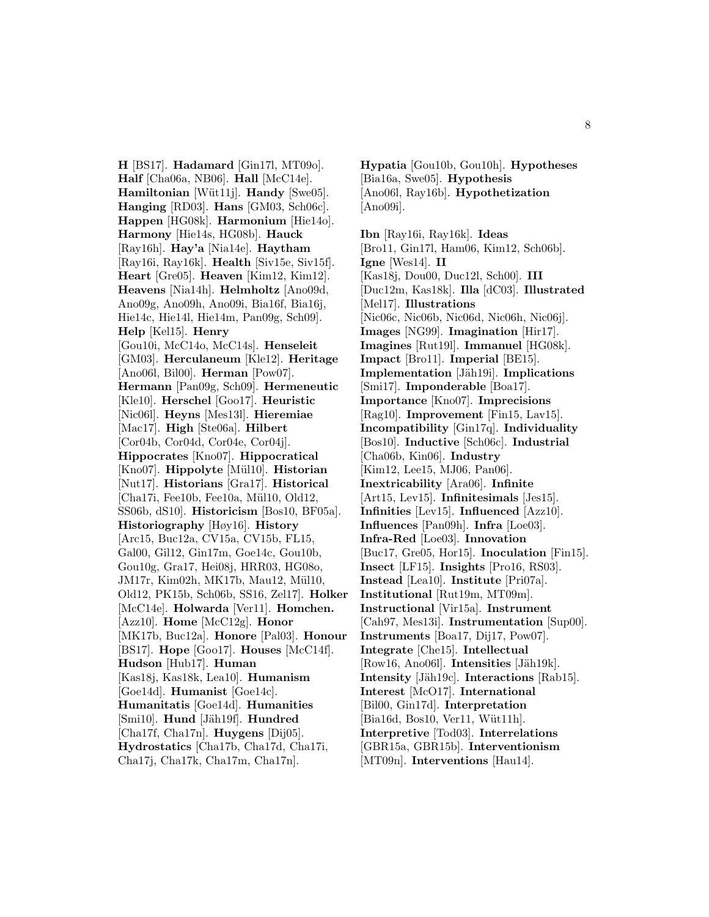**H** [BS17]. **Hadamard** [Gin17l, MT09o]. **Half** [Cha06a, NB06]. **Hall** [McC14e]. **Hamiltonian** [Wüt11j]. **Handy** [Swe05]. **Hanging** [RD03]. **Hans** [GM03, Sch06c]. **Happen** [HG08k]. **Harmonium** [Hie14o]. **Harmony** [Hie14s, HG08b]. **Hauck** [Ray16h]. **Hay'a** [Nia14e]. **Haytham** [Ray16i, Ray16k]. **Health** [Siv15e, Siv15f]. **Heart** [Gre05]. **Heaven** [Kim12, Kim12]. **Heavens** [Nia14h]. **Helmholtz** [Ano09d, Ano09g, Ano09h, Ano09i, Bia16f, Bia16j, Hie14c, Hie14l, Hie14m, Pan09g, Sch09]. **Help** [Kel15]. **Henry** [Gou10i, McC14o, McC14s]. **Henseleit** [GM03]. **Herculaneum** [Kle12]. **Heritage** [Ano06l, Bil00]. **Herman** [Pow07]. **Hermann** [Pan09g, Sch09]. **Hermeneutic** [Kle10]. **Herschel** [Goo17]. **Heuristic** [Nic06l]. **Heyns** [Mes13l]. **Hieremiae** [Mac17]. **High** [Ste06a]. **Hilbert** [Cor04b, Cor04d, Cor04e, Cor04j]. **Hippocrates** [Kno07]. **Hippocratical** [Kno07]. **Hippolyte** [Mül10]. **Historian** [Nut17]. **Historians** [Gra17]. **Historical** [Cha17i, Fee10b, Fee10a, Mül10, Old12, SS06b, dS10]. **Historicism** [Bos10, BF05a]. **Historiography** [Høy16]. **History** [Arc15, Buc12a, CV15a, CV15b, FL15, Gal00, Gil12, Gin17m, Goe14c, Gou10b, Gou10g, Gra17, Hei08j, HRR03, HG08o, JM17r, Kim02h, MK17b, Mau12, Mül10, Old12, PK15b, Sch06b, SS16, Zel17]. **Holker** [McC14e]. **Holwarda** [Ver11]. **Homchen.** [Azz10]. **Home** [McC12g]. **Honor** [MK17b, Buc12a]. **Honore** [Pal03]. **Honour** [BS17]. **Hope** [Goo17]. **Houses** [McC14f]. **Hudson** [Hub17]. **Human** [Kas18j, Kas18k, Lea10]. **Humanism** [Goe14d]. **Humanist** [Goe14c]. **Humanitatis** [Goe14d]. **Humanities** [Smi10]. **Hund** [Jäh19f]. **Hundred** [Cha17f, Cha17n]. **Huygens** [Dij05]. **Hydrostatics** [Cha17b, Cha17d, Cha17i, Cha17j, Cha17k, Cha17m, Cha17n].

**Hypatia** [Gou10b, Gou10h]. **Hypotheses** [Bia16a, Swe05]. **Hypothesis** [Ano06l, Ray16b]. **Hypothetization** [Ano09i].

**Ibn** [Ray16i, Ray16k]. **Ideas** [Bro11, Gin17l, Ham06, Kim12, Sch06b]. **Igne** [Wes14]. **II** [Kas18j, Dou00, Duc12l, Sch00]. **III** [Duc12m, Kas18k]. **Illa** [dC03]. **Illustrated** [Mel17]. **Illustrations** [Nic06c, Nic06b, Nic06d, Nic06h, Nic06j]. **Images** [NG99]. **Imagination** [Hir17]. **Imagines** [Rut19l]. **Immanuel** [HG08k]. **Impact** [Bro11]. **Imperial** [BE15]. **Implementation** [Jäh19i]. **Implications** [Smi17]. **Imponderable** [Boa17]. **Importance** [Kno07]. **Imprecisions** [Rag10]. **Improvement** [Fin15, Lav15]. **Incompatibility** [Gin17q]. **Individuality** [Bos10]. **Inductive** [Sch06c]. **Industrial** [Cha06b, Kin06]. **Industry** [Kim12, Lee15, MJ06, Pan06]. **Inextricability** [Ara06]. **Infinite** [Art15, Lev15]. **Infinitesimals** [Jes15]. **Infinities** [Lev15]. **Influenced** [Azz10]. **Influences** [Pan09h]. **Infra** [Loe03]. **Infra-Red** [Loe03]. **Innovation** [Buc17, Gre05, Hor15]. **Inoculation** [Fin15]. **Insect** [LF15]. **Insights** [Pro16, RS03]. **Instead** [Lea10]. **Institute** [Pri07a]. **Institutional** [Rut19m, MT09m]. **Instructional** [Vir15a]. **Instrument** [Cah97, Mes13i]. **Instrumentation** [Sup00]. **Instruments** [Boa17, Dij17, Pow07]. **Integrate** [Che15]. **Intellectual** [Row16, Ano06l]. **Intensities** [Jäh19k]. **Intensity** [Jäh19c]. **Interactions** [Rab15]. **Interest** [McO17]. **International** [Bil00, Gin17d]. **Interpretation** [Bia16d, Bos10, Ver11, Wüt11h]. **Interpretive** [Tod03]. **Interrelations** [GBR15a, GBR15b]. **Interventionism** [MT09n]. **Interventions** [Hau14].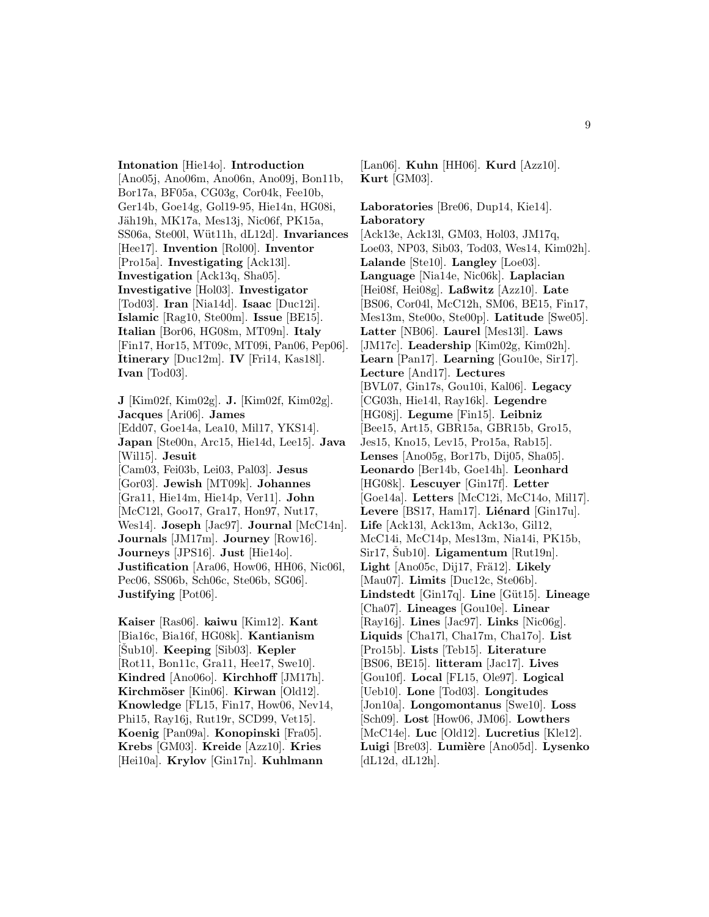**Intonation** [Hie14o]. **Introduction** [Ano05j, Ano06m, Ano06n, Ano09j, Bon11b, Bor17a, BF05a, CG03g, Cor04k, Fee10b, Ger14b, Goe14g, Gol19-95, Hie14n, HG08i, Jäh19h, MK17a, Mes13j, Nic06f, PK15a, SS06a, Ste00l, W¨ut11h, dL12d]. **Invariances** [Hee17]. **Invention** [Rol00]. **Inventor** [Pro15a]. **Investigating** [Ack13l]. **Investigation** [Ack13q, Sha05]. **Investigative** [Hol03]. **Investigator** [Tod03]. **Iran** [Nia14d]. **Isaac** [Duc12i]. **Islamic** [Rag10, Ste00m]. **Issue** [BE15]. **Italian** [Bor06, HG08m, MT09n]. **Italy** [Fin17, Hor15, MT09c, MT09i, Pan06, Pep06]. **Itinerary** [Duc12m]. **IV** [Fri14, Kas18l].

**J** [Kim02f, Kim02g]. **J.** [Kim02f, Kim02g]. **Jacques** [Ari06]. **James** [Edd07, Goe14a, Lea10, Mil17, YKS14]. **Japan** [Ste00n, Arc15, Hie14d, Lee15]. **Java** [Wil15]. **Jesuit** [Cam03, Fei03b, Lei03, Pal03]. **Jesus** [Gor03]. **Jewish** [MT09k]. **Johannes** [Gra11, Hie14m, Hie14p, Ver11]. **John** [McC12l, Goo17, Gra17, Hon97, Nut17, Wes14]. **Joseph** [Jac97]. **Journal** [McC14n]. **Journals** [JM17m]. **Journey** [Row16]. **Journeys** [JPS16]. **Just** [Hie14o]. **Justification** [Ara06, How06, HH06, Nic06l, Pec06, SS06b, Sch06c, Ste06b, SG06]. **Justifying** [Pot06].

**Ivan** [Tod03].

**Kaiser** [Ras06]. **kaiwu** [Kim12]. **Kant** [Bia16c, Bia16f, HG08k]. **Kantianism** [Sub10]. **Keeping** [Sib03]. **Kepler** [Rot11, Bon11c, Gra11, Hee17, Swe10]. **Kindred** [Ano06o]. **Kirchhoff** [JM17h]. **Kirchm¨oser** [Kin06]. **Kirwan** [Old12]. **Knowledge** [FL15, Fin17, How06, Nev14, Phi15, Ray16j, Rut19r, SCD99, Vet15]. **Koenig** [Pan09a]. **Konopinski** [Fra05]. **Krebs** [GM03]. **Kreide** [Azz10]. **Kries** [Hei10a]. **Krylov** [Gin17n]. **Kuhlmann**

[Lan06]. **Kuhn** [HH06]. **Kurd** [Azz10]. **Kurt** [GM03].

**Laboratories** [Bre06, Dup14, Kie14]. **Laboratory** [Ack13e, Ack13l, GM03, Hol03, JM17q, Loe03, NP03, Sib03, Tod03, Wes14, Kim02h]. **Lalande** [Ste10]. **Langley** [Loe03]. **Language** [Nia14e, Nic06k]. **Laplacian** [Hei08f, Hei08g]. **Laßwitz** [Azz10]. **Late** [BS06, Cor04l, McC12h, SM06, BE15, Fin17, Mes13m, Ste00o, Ste00p]. **Latitude** [Swe05]. **Latter** [NB06]. **Laurel** [Mes13l]. **Laws** [JM17c]. **Leadership** [Kim02g, Kim02h]. **Learn** [Pan17]. **Learning** [Gou10e, Sir17]. **Lecture** [And17]. **Lectures** [BVL07, Gin17s, Gou10i, Kal06]. **Legacy** [CG03h, Hie14l, Ray16k]. **Legendre** [HG08j]. **Legume** [Fin15]. **Leibniz** [Bee15, Art15, GBR15a, GBR15b, Gro15, Jes15, Kno15, Lev15, Pro15a, Rab15]. **Lenses** [Ano05g, Bor17b, Dij05, Sha05]. **Leonardo** [Ber14b, Goe14h]. **Leonhard** [HG08k]. **Lescuyer** [Gin17f]. **Letter** [Goe14a]. **Letters** [McC12i, McC14o, Mil17]. Levere [BS17, Ham17]. Liénard [Gin17u]. **Life** [Ack13l, Ack13m, Ack13o, Gil12, McC14i, McC14p, Mes13m, Nia14i, PK15b,  $Sir17, Šub10].$  **Ligamentum** [Rut19n]. Light [Ano05c, Dij17, Frä12]. Likely [Mau07]. **Limits** [Duc12c, Ste06b]. **Lindstedt** [Gin17q]. **Line** [G¨ut15]. **Lineage** [Cha07]. **Lineages** [Gou10e]. **Linear** [Ray16j]. **Lines** [Jac97]. **Links** [Nic06g]. **Liquids** [Cha17l, Cha17m, Cha17o]. **List** [Pro15b]. **Lists** [Teb15]. **Literature** [BS06, BE15]. **litteram** [Jac17]. **Lives** [Gou10f]. **Local** [FL15, Ole97]. **Logical** [Ueb10]. **Lone** [Tod03]. **Longitudes** [Jon10a]. **Longomontanus** [Swe10]. **Loss** [Sch09]. **Lost** [How06, JM06]. **Lowthers** [McC14e]. **Luc** [Old12]. **Lucretius** [Kle12]. **Luigi** [Bre03]. **Lumi`ere** [Ano05d]. **Lysenko**  $[dL12d, dL12h].$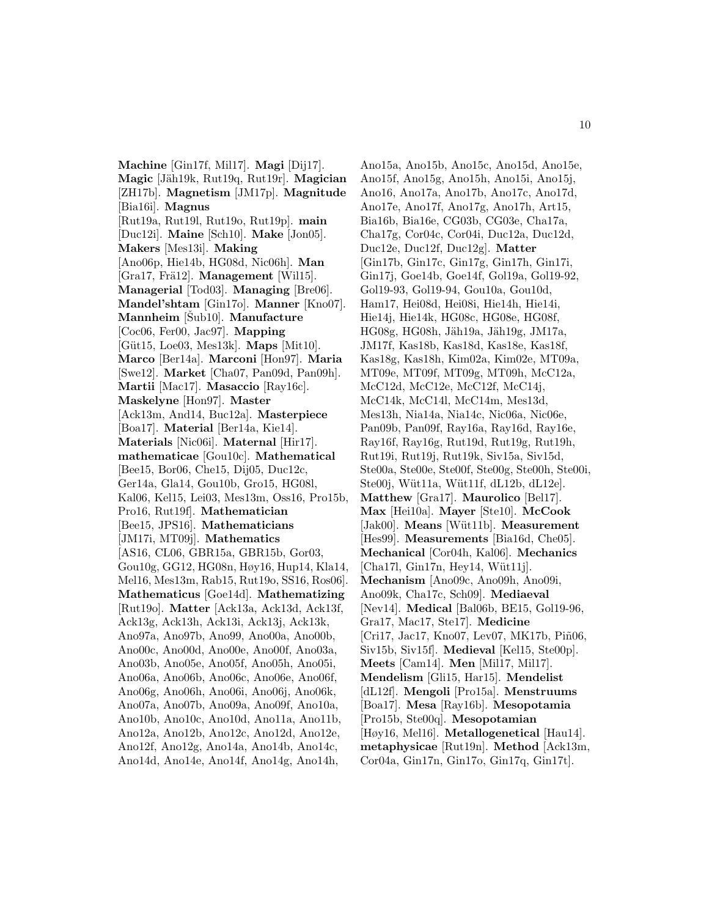**Machine** [Gin17f, Mil17]. **Magi** [Dij17]. **Magic** [J¨ah19k, Rut19q, Rut19r]. **Magician** [ZH17b]. **Magnetism** [JM17p]. **Magnitude** [Bia16i]. **Magnus** [Rut19a, Rut19l, Rut19o, Rut19p]. **main** [Duc12i]. **Maine** [Sch10]. **Make** [Jon05]. **Makers** [Mes13i]. **Making** [Ano06p, Hie14b, HG08d, Nic06h]. **Man** [Gra17, Frä12]. **Management** [Wil15]. **Managerial** [Tod03]. **Managing** [Bre06]. **Mandel'shtam** [Gin17o]. **Manner** [Kno07]. **Mannheim** [Sub10]. **Manufacture** [Coc06, Fer00, Jac97]. **Mapping** [G¨ut15, Loe03, Mes13k]. **Maps** [Mit10]. **Marco** [Ber14a]. **Marconi** [Hon97]. **Maria** [Swe12]. **Market** [Cha07, Pan09d, Pan09h]. **Martii** [Mac17]. **Masaccio** [Ray16c]. **Maskelyne** [Hon97]. **Master** [Ack13m, And14, Buc12a]. **Masterpiece** [Boa17]. **Material** [Ber14a, Kie14]. **Materials** [Nic06i]. **Maternal** [Hir17]. **mathematicae** [Gou10c]. **Mathematical** [Bee15, Bor06, Che15, Dij05, Duc12c, Ger14a, Gla14, Gou10b, Gro15, HG08l, Kal06, Kel15, Lei03, Mes13m, Oss16, Pro15b, Pro16, Rut19f]. **Mathematician** [Bee15, JPS16]. **Mathematicians** [JM17i, MT09j]. **Mathematics** [AS16, CL06, GBR15a, GBR15b, Gor03, Gou10g, GG12, HG08n, Høy16, Hup14, Kla14, Mel16, Mes13m, Rab15, Rut19o, SS16, Ros06]. **Mathematicus** [Goe14d]. **Mathematizing** [Rut19o]. **Matter** [Ack13a, Ack13d, Ack13f, Ack13g, Ack13h, Ack13i, Ack13j, Ack13k, Ano97a, Ano97b, Ano99, Ano00a, Ano00b, Ano00c, Ano00d, Ano00e, Ano00f, Ano03a, Ano03b, Ano05e, Ano05f, Ano05h, Ano05i, Ano06a, Ano06b, Ano06c, Ano06e, Ano06f, Ano06g, Ano06h, Ano06i, Ano06j, Ano06k, Ano07a, Ano07b, Ano09a, Ano09f, Ano10a, Ano10b, Ano10c, Ano10d, Ano11a, Ano11b, Ano12a, Ano12b, Ano12c, Ano12d, Ano12e, Ano12f, Ano12g, Ano14a, Ano14b, Ano14c, Ano14d, Ano14e, Ano14f, Ano14g, Ano14h,

Ano15a, Ano15b, Ano15c, Ano15d, Ano15e, Ano15f, Ano15g, Ano15h, Ano15i, Ano15j, Ano16, Ano17a, Ano17b, Ano17c, Ano17d, Ano17e, Ano17f, Ano17g, Ano17h, Art15, Bia16b, Bia16e, CG03b, CG03e, Cha17a, Cha17g, Cor04c, Cor04i, Duc12a, Duc12d, Duc12e, Duc12f, Duc12g]. **Matter** [Gin17b, Gin17c, Gin17g, Gin17h, Gin17i, Gin17j, Goe14b, Goe14f, Gol19a, Gol19-92, Gol19-93, Gol19-94, Gou10a, Gou10d, Ham17, Hei08d, Hei08i, Hie14h, Hie14i, Hie14j, Hie14k, HG08c, HG08e, HG08f, HG08g, HG08h, Jäh19a, Jäh19g, JM17a, JM17f, Kas18b, Kas18d, Kas18e, Kas18f, Kas18g, Kas18h, Kim02a, Kim02e, MT09a, MT09e, MT09f, MT09g, MT09h, McC12a, McC12d, McC12e, McC12f, McC14j, McC14k, McC14l, McC14m, Mes13d, Mes13h, Nia14a, Nia14c, Nic06a, Nic06e, Pan09b, Pan09f, Ray16a, Ray16d, Ray16e, Ray16f, Ray16g, Rut19d, Rut19g, Rut19h, Rut19i, Rut19j, Rut19k, Siv15a, Siv15d, Ste00a, Ste00e, Ste00f, Ste00g, Ste00h, Ste00i, Ste00j, Wüt11a, Wüt11f, dL12b, dL12e]. **Matthew** [Gra17]. **Maurolico** [Bel17]. **Max** [Hei10a]. **Mayer** [Ste10]. **McCook** [Jak00]. **Means** [Wüt11b]. **Measurement** [Hes99]. **Measurements** [Bia16d, Che05]. **Mechanical** [Cor04h, Kal06]. **Mechanics**  $[Cha17l, Gin17n, Hey14, Wütl1j].$ **Mechanism** [Ano09c, Ano09h, Ano09i, Ano09k, Cha17c, Sch09]. **Mediaeval** [Nev14]. **Medical** [Bal06b, BE15, Gol19-96, Gra17, Mac17, Ste17]. **Medicine** [Cri17, Jac17, Kno07, Lev07, MK17b, Piñ06, Siv15b, Siv15f]. **Medieval** [Kel15, Ste00p]. **Meets** [Cam14]. **Men** [Mil17, Mil17]. **Mendelism** [Gli15, Har15]. **Mendelist** [dL12f]. **Mengoli** [Pro15a]. **Menstruums** [Boa17]. **Mesa** [Ray16b]. **Mesopotamia** [Pro15b, Ste00q]. **Mesopotamian** [Høy16, Mel16]. **Metallogenetical** [Hau14]. **metaphysicae** [Rut19n]. **Method** [Ack13m, Cor04a, Gin17n, Gin17o, Gin17q, Gin17t].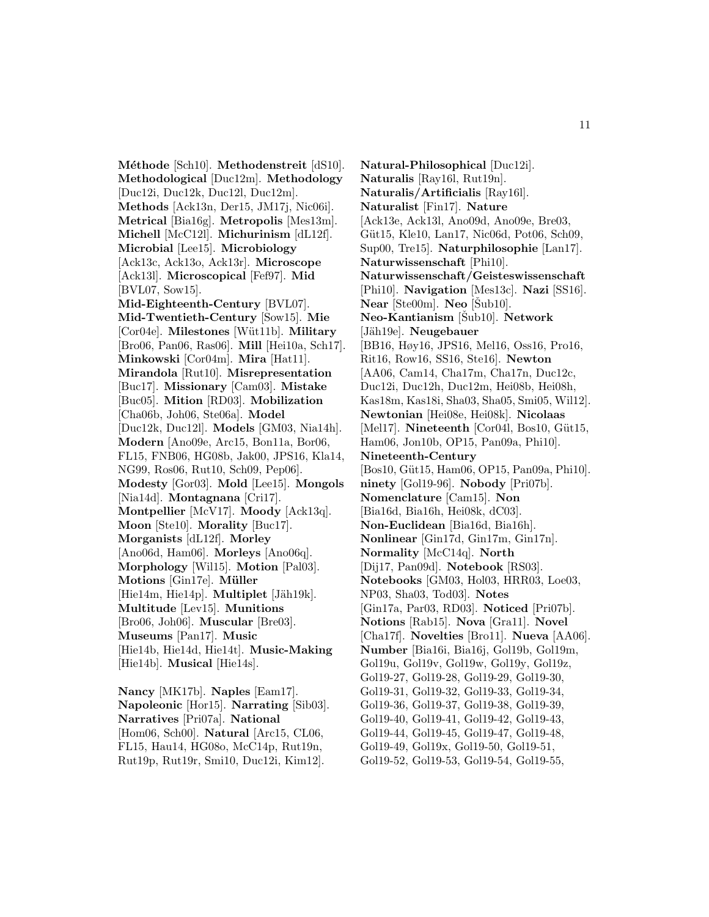**M´ethode** [Sch10]. **Methodenstreit** [dS10]. **Methodological** [Duc12m]. **Methodology** [Duc12i, Duc12k, Duc12l, Duc12m]. **Methods** [Ack13n, Der15, JM17j, Nic06i]. **Metrical** [Bia16g]. **Metropolis** [Mes13m]. **Michell** [McC12l]. **Michurinism** [dL12f]. **Microbial** [Lee15]. **Microbiology** [Ack13c, Ack13o, Ack13r]. **Microscope** [Ack13l]. **Microscopical** [Fef97]. **Mid** [BVL07, Sow15]. **Mid-Eighteenth-Century** [BVL07]. **Mid-Twentieth-Century** [Sow15]. **Mie** [Cor04e]. **Milestones** [W¨ut11b]. **Military** [Bro06, Pan06, Ras06]. **Mill** [Hei10a, Sch17]. **Minkowski** [Cor04m]. **Mira** [Hat11]. **Mirandola** [Rut10]. **Misrepresentation** [Buc17]. **Missionary** [Cam03]. **Mistake** [Buc05]. **Mition** [RD03]. **Mobilization** [Cha06b, Joh06, Ste06a]. **Model** [Duc12k, Duc12l]. **Models** [GM03, Nia14h]. **Modern** [Ano09e, Arc15, Bon11a, Bor06, FL15, FNB06, HG08b, Jak00, JPS16, Kla14, NG99, Ros06, Rut10, Sch09, Pep06]. **Modesty** [Gor03]. **Mold** [Lee15]. **Mongols** [Nia14d]. **Montagnana** [Cri17]. **Montpellier** [McV17]. **Moody** [Ack13q]. **Moon** [Ste10]. **Morality** [Buc17]. **Morganists** [dL12f]. **Morley** [Ano06d, Ham06]. **Morleys** [Ano06q]. **Morphology** [Wil15]. **Motion** [Pal03]. **Motions** [Gin17e]. **M¨uller** [Hie14m, Hie14p]. **Multiplet** [Jäh19k]. **Multitude** [Lev15]. **Munitions** [Bro06, Joh06]. **Muscular** [Bre03]. **Museums** [Pan17]. **Music** [Hie14b, Hie14d, Hie14t]. **Music-Making** [Hie14b]. **Musical** [Hie14s].

**Nancy** [MK17b]. **Naples** [Eam17]. **Napoleonic** [Hor15]. **Narrating** [Sib03]. **Narratives** [Pri07a]. **National** [Hom06, Sch00]. **Natural** [Arc15, CL06, FL15, Hau14, HG08o, McC14p, Rut19n, Rut19p, Rut19r, Smi10, Duc12i, Kim12].

**Natural-Philosophical** [Duc12i]. **Naturalis** [Ray16l, Rut19n]. **Naturalis/Artificialis** [Ray16l]. **Naturalist** [Fin17]. **Nature** [Ack13e, Ack13l, Ano09d, Ano09e, Bre03, Güt15, Kle10, Lan17, Nic06d, Pot06, Sch09, Sup00, Tre15]. **Naturphilosophie** [Lan17]. **Naturwissenschaft** [Phi10]. **Naturwissenschaft/Geisteswissenschaft** [Phi10]. **Navigation** [Mes13c]. **Nazi** [SS16].  $\textbf{Near}$  [Ste00m].  $\textbf{Neo}$  [Sub10]. **Neo-Kantianism** [Šub10]. **Network** [Jäh19e]. **Neugebauer** [BB16, Høy16, JPS16, Mel16, Oss16, Pro16, Rit16, Row16, SS16, Ste16]. **Newton** [AA06, Cam14, Cha17m, Cha17n, Duc12c, Duc12i, Duc12h, Duc12m, Hei08b, Hei08h, Kas18m, Kas18i, Sha03, Sha05, Smi05, Wil12]. **Newtonian** [Hei08e, Hei08k]. **Nicolaas** [Mel17]. **Nineteenth** [Cor04l, Bos10, Güt15, Ham06, Jon10b, OP15, Pan09a, Phi10]. **Nineteenth-Century** [Bos10, Güt15, Ham06, OP15, Pan09a, Phi10]. **ninety** [Gol19-96]. **Nobody** [Pri07b]. **Nomenclature** [Cam15]. **Non** [Bia16d, Bia16h, Hei08k, dC03]. **Non-Euclidean** [Bia16d, Bia16h]. **Nonlinear** [Gin17d, Gin17m, Gin17n]. **Normality** [McC14q]. **North** [Dij17, Pan09d]. **Notebook** [RS03]. **Notebooks** [GM03, Hol03, HRR03, Loe03, NP03, Sha03, Tod03]. **Notes** [Gin17a, Par03, RD03]. **Noticed** [Pri07b]. **Notions** [Rab15]. **Nova** [Gra11]. **Novel** [Cha17f]. **Novelties** [Bro11]. **Nueva** [AA06]. **Number** [Bia16i, Bia16j, Gol19b, Gol19m, Gol19u, Gol19v, Gol19w, Gol19y, Gol19z, Gol19-27, Gol19-28, Gol19-29, Gol19-30, Gol19-31, Gol19-32, Gol19-33, Gol19-34, Gol19-36, Gol19-37, Gol19-38, Gol19-39, Gol19-40, Gol19-41, Gol19-42, Gol19-43, Gol19-44, Gol19-45, Gol19-47, Gol19-48, Gol19-49, Gol19x, Gol19-50, Gol19-51, Gol19-52, Gol19-53, Gol19-54, Gol19-55,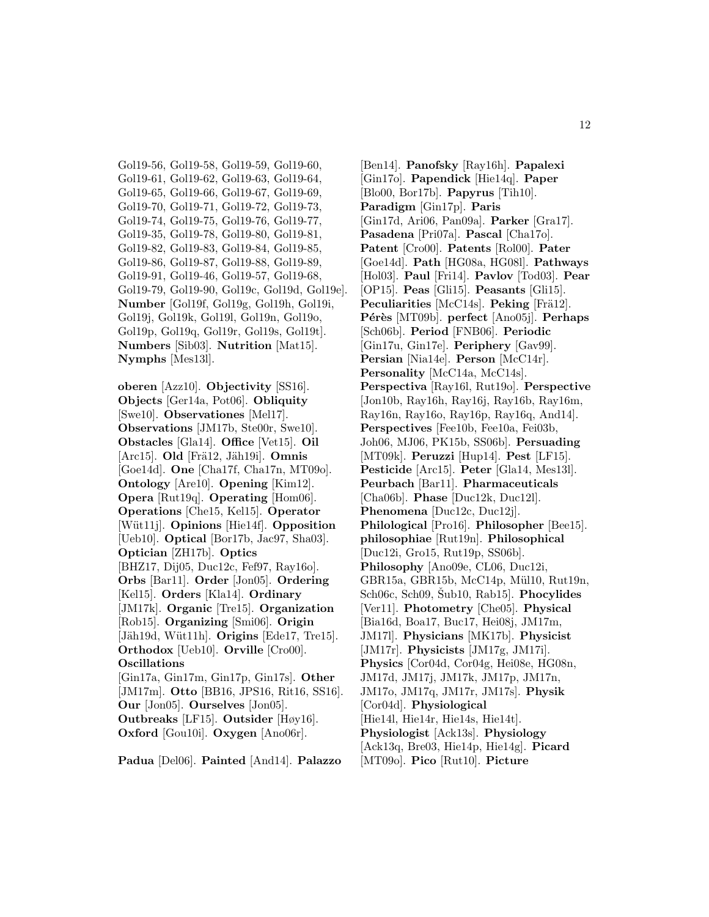Gol19-56, Gol19-58, Gol19-59, Gol19-60, Gol19-61, Gol19-62, Gol19-63, Gol19-64, Gol19-65, Gol19-66, Gol19-67, Gol19-69, Gol19-70, Gol19-71, Gol19-72, Gol19-73, Gol19-74, Gol19-75, Gol19-76, Gol19-77, Gol19-35, Gol19-78, Gol19-80, Gol19-81, Gol19-82, Gol19-83, Gol19-84, Gol19-85, Gol19-86, Gol19-87, Gol19-88, Gol19-89, Gol19-91, Gol19-46, Gol19-57, Gol19-68, Gol19-79, Gol19-90, Gol19c, Gol19d, Gol19e]. **Number** [Gol19f, Gol19g, Gol19h, Gol19i, Gol19j, Gol19k, Gol19l, Gol19n, Gol19o, Gol19p, Gol19q, Gol19r, Gol19s, Gol19t]. **Numbers** [Sib03]. **Nutrition** [Mat15]. **Nymphs** [Mes13l].

**oberen** [Azz10]. **Objectivity** [SS16]. **Objects** [Ger14a, Pot06]. **Obliquity** [Swe10]. **Observationes** [Mel17]. **Observations** [JM17b, Ste00r, Swe10]. **Obstacles** [Gla14]. **Office** [Vet15]. **Oil** [Arc15]. **Old** [Frä12, Jäh19i]. **Omnis** [Goe14d]. **One** [Cha17f, Cha17n, MT09o]. **Ontology** [Are10]. **Opening** [Kim12]. **Opera** [Rut19q]. **Operating** [Hom06]. **Operations** [Che15, Kel15]. **Operator** [W¨ut11j]. **Opinions** [Hie14f]. **Opposition** [Ueb10]. **Optical** [Bor17b, Jac97, Sha03]. **Optician** [ZH17b]. **Optics** [BHZ17, Dij05, Duc12c, Fef97, Ray16o]. **Orbs** [Bar11]. **Order** [Jon05]. **Ordering** [Kel15]. **Orders** [Kla14]. **Ordinary** [JM17k]. **Organic** [Tre15]. **Organization** [Rob15]. **Organizing** [Smi06]. **Origin** [Jäh19d, Wüt11h]. **Origins** [Ede17, Tre15]. **Orthodox** [Ueb10]. **Orville** [Cro00]. **Oscillations** [Gin17a, Gin17m, Gin17p, Gin17s]. **Other** [JM17m]. **Otto** [BB16, JPS16, Rit16, SS16].

**Our** [Jon05]. **Ourselves** [Jon05]. **Outbreaks** [LF15]. **Outsider** [Høy16]. **Oxford** [Gou10i]. **Oxygen** [Ano06r].

**Padua** [Del06]. **Painted** [And14]. **Palazzo**

[Ben14]. **Panofsky** [Ray16h]. **Papalexi** [Gin17o]. **Papendick** [Hie14q]. **Paper** [Blo00, Bor17b]. **Papyrus** [Tih10]. **Paradigm** [Gin17p]. **Paris** [Gin17d, Ari06, Pan09a]. **Parker** [Gra17]. **Pasadena** [Pri07a]. **Pascal** [Cha17o]. **Patent** [Cro00]. **Patents** [Rol00]. **Pater** [Goe14d]. **Path** [HG08a, HG08l]. **Pathways** [Hol03]. **Paul** [Fri14]. **Pavlov** [Tod03]. **Pear** [OP15]. **Peas** [Gli15]. **Peasants** [Gli15]. **Peculiarities** [McC14s]. **Peking** [Frä12]. **Pérès** [MT09b]. **perfect** [Ano05j]. **Perhaps** [Sch06b]. **Period** [FNB06]. **Periodic** [Gin17u, Gin17e]. **Periphery** [Gav99]. **Persian** [Nia14e]. **Person** [McC14r]. **Personality** [McC14a, McC14s]. **Perspectiva** [Ray16l, Rut19o]. **Perspective** [Jon10b, Ray16h, Ray16j, Ray16b, Ray16m, Ray16n, Ray16o, Ray16p, Ray16q, And14]. **Perspectives** [Fee10b, Fee10a, Fei03b, Joh06, MJ06, PK15b, SS06b]. **Persuading** [MT09k]. **Peruzzi** [Hup14]. **Pest** [LF15]. **Pesticide** [Arc15]. **Peter** [Gla14, Mes13l]. **Peurbach** [Bar11]. **Pharmaceuticals** [Cha06b]. **Phase** [Duc12k, Duc12l]. **Phenomena** [Duc12c, Duc12j]. **Philological** [Pro16]. **Philosopher** [Bee15]. **philosophiae** [Rut19n]. **Philosophical** [Duc12i, Gro15, Rut19p, SS06b]. **Philosophy** [Ano09e, CL06, Duc12i, GBR15a, GBR15b, McC14p, Mül10, Rut19n, Sch06c, Sch09, Sub10, Rab15. Phocylides [Ver11]. **Photometry** [Che05]. **Physical** [Bia16d, Boa17, Buc17, Hei08j, JM17m, JM17l]. **Physicians** [MK17b]. **Physicist** [JM17r]. **Physicists** [JM17g, JM17i]. **Physics** [Cor04d, Cor04g, Hei08e, HG08n, JM17d, JM17j, JM17k, JM17p, JM17n, JM17o, JM17q, JM17r, JM17s]. **Physik** [Cor04d]. **Physiological** [Hie14l, Hie14r, Hie14s, Hie14t]. **Physiologist** [Ack13s]. **Physiology** [Ack13q, Bre03, Hie14p, Hie14g]. **Picard** [MT09o]. **Pico** [Rut10]. **Picture**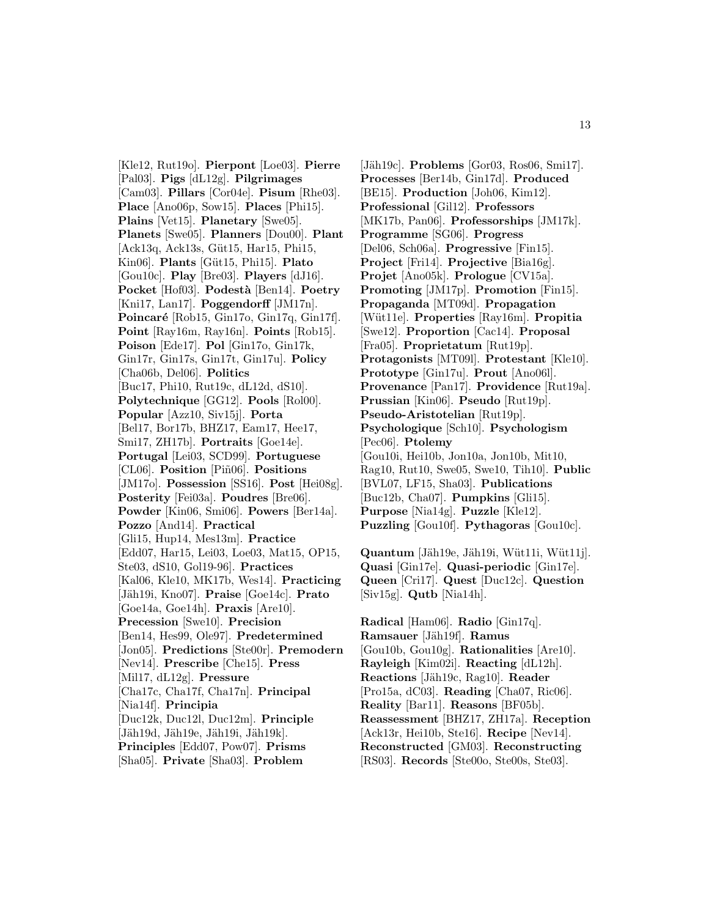[Kle12, Rut19o]. **Pierpont** [Loe03]. **Pierre** [Pal03]. **Pigs** [dL12g]. **Pilgrimages** [Cam03]. **Pillars** [Cor04e]. **Pisum** [Rhe03]. **Place** [Ano06p, Sow15]. **Places** [Phi15]. **Plains** [Vet15]. **Planetary** [Swe05]. **Planets** [Swe05]. **Planners** [Dou00]. **Plant** [Ack13q, Ack13s, Güt15, Har15, Phi15, Kin06]. **Plants** [G¨ut15, Phi15]. **Plato** [Gou10c]. **Play** [Bre03]. **Players** [dJ16]. **Pocket** [Hof03]. **Podest`a** [Ben14]. **Poetry** [Kni17, Lan17]. **Poggendorff** [JM17n]. **Poincaré** [Rob15, Gin17o, Gin17q, Gin17f]. **Point** [Ray16m, Ray16n]. **Points** [Rob15]. **Poison** [Ede17]. **Pol** [Gin17o, Gin17k, Gin17r, Gin17s, Gin17t, Gin17u]. **Policy** [Cha06b, Del06]. **Politics** [Buc17, Phi10, Rut19c, dL12d, dS10]. **Polytechnique** [GG12]. **Pools** [Rol00]. **Popular** [Azz10, Siv15j]. **Porta** [Bel17, Bor17b, BHZ17, Eam17, Hee17, Smi17, ZH17b]. **Portraits** [Goe14e]. **Portugal** [Lei03, SCD99]. **Portuguese** [CL06]. **Position** [Piñ06]. **Positions** [JM17o]. **Possession** [SS16]. **Post** [Hei08g]. **Posterity** [Fei03a]. **Poudres** [Bre06]. **Powder** [Kin06, Smi06]. **Powers** [Ber14a]. **Pozzo** [And14]. **Practical** [Gli15, Hup14, Mes13m]. **Practice** [Edd07, Har15, Lei03, Loe03, Mat15, OP15, Ste03, dS10, Gol19-96]. **Practices** [Kal06, Kle10, MK17b, Wes14]. **Practicing** [Jäh19i, Kno07]. **Praise** [Goe14c]. **Prato** [Goe14a, Goe14h]. **Praxis** [Are10]. **Precession** [Swe10]. **Precision** [Ben14, Hes99, Ole97]. **Predetermined** [Jon05]. **Predictions** [Ste00r]. **Premodern** [Nev14]. **Prescribe** [Che15]. **Press** [Mil17, dL12g]. **Pressure** [Cha17c, Cha17f, Cha17n]. **Principal** [Nia14f]. **Principia** [Duc12k, Duc12l, Duc12m]. **Principle** [Jäh19d, Jäh19e, Jäh19i, Jäh19k]. **Principles** [Edd07, Pow07]. **Prisms** [Sha05]. **Private** [Sha03]. **Problem**

[Jäh19c]. **Problems** [Gor03, Ros06, Smi17]. **Processes** [Ber14b, Gin17d]. **Produced** [BE15]. **Production** [Joh06, Kim12]. **Professional** [Gil12]. **Professors** [MK17b, Pan06]. **Professorships** [JM17k]. **Programme** [SG06]. **Progress** [Del06, Sch06a]. **Progressive** [Fin15]. **Project** [Fri14]. **Projective** [Bia16g]. **Projet** [Ano05k]. **Prologue** [CV15a]. **Promoting** [JM17p]. **Promotion** [Fin15]. **Propaganda** [MT09d]. **Propagation** [W¨ut11e]. **Properties** [Ray16m]. **Propitia** [Swe12]. **Proportion** [Cac14]. **Proposal** [Fra05]. **Proprietatum** [Rut19p]. **Protagonists** [MT09l]. **Protestant** [Kle10]. **Prototype** [Gin17u]. **Prout** [Ano06l]. **Provenance** [Pan17]. **Providence** [Rut19a]. **Prussian** [Kin06]. **Pseudo** [Rut19p]. **Pseudo-Aristotelian** [Rut19p]. **Psychologique** [Sch10]. **Psychologism** [Pec06]. **Ptolemy** [Gou10i, Hei10b, Jon10a, Jon10b, Mit10, Rag10, Rut10, Swe05, Swe10, Tih10]. **Public** [BVL07, LF15, Sha03]. **Publications** [Buc12b, Cha07]. **Pumpkins** [Gli15]. **Purpose** [Nia14g]. **Puzzle** [Kle12]. **Puzzling** [Gou10f]. **Pythagoras** [Gou10c].

**Quantum** [Jäh19e, Jäh19i, Wüt11i, Wüt11j]. **Quasi** [Gin17e]. **Quasi-periodic** [Gin17e]. **Queen** [Cri17]. **Quest** [Duc12c]. **Question** [Siv15g]. **Qutb** [Nia14h].

**Radical** [Ham06]. **Radio** [Gin17q]. **Ramsauer** [Jäh19f]. **Ramus** [Gou10b, Gou10g]. **Rationalities** [Are10]. **Rayleigh** [Kim02i]. **Reacting** [dL12h]. **Reactions** [Jäh19c, Rag10]. **Reader** [Pro15a, dC03]. **Reading** [Cha07, Ric06]. **Reality** [Bar11]. **Reasons** [BF05b]. **Reassessment** [BHZ17, ZH17a]. **Reception** [Ack13r, Hei10b, Ste16]. **Recipe** [Nev14]. **Reconstructed** [GM03]. **Reconstructing** [RS03]. **Records** [Ste00o, Ste00s, Ste03].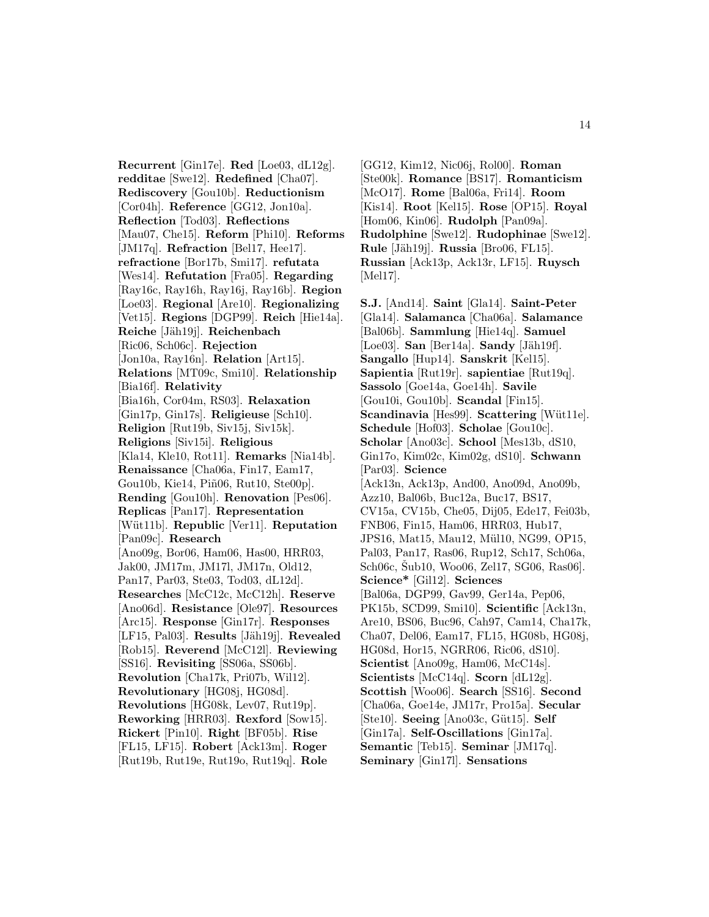**Recurrent** [Gin17e]. **Red** [Loe03, dL12g]. **redditae** [Swe12]. **Redefined** [Cha07]. **Rediscovery** [Gou10b]. **Reductionism** [Cor04h]. **Reference** [GG12, Jon10a]. **Reflection** [Tod03]. **Reflections** [Mau07, Che15]. **Reform** [Phi10]. **Reforms** [JM17q]. **Refraction** [Bel17, Hee17]. **refractione** [Bor17b, Smi17]. **refutata** [Wes14]. **Refutation** [Fra05]. **Regarding** [Ray16c, Ray16h, Ray16j, Ray16b]. **Region** [Loe03]. **Regional** [Are10]. **Regionalizing** [Vet15]. **Regions** [DGP99]. **Reich** [Hie14a]. **Reiche** [J¨ah19j]. **Reichenbach** [Ric06, Sch06c]. **Rejection** [Jon10a, Ray16n]. **Relation** [Art15]. **Relations** [MT09c, Smi10]. **Relationship** [Bia16f]. **Relativity** [Bia16h, Cor04m, RS03]. **Relaxation** [Gin17p, Gin17s]. **Religieuse** [Sch10]. **Religion** [Rut19b, Siv15j, Siv15k]. **Religions** [Siv15i]. **Religious** [Kla14, Kle10, Rot11]. **Remarks** [Nia14b]. **Renaissance** [Cha06a, Fin17, Eam17, Gou10b, Kie14, Piñ06, Rut10, Ste00p]. **Rending** [Gou10h]. **Renovation** [Pes06]. **Replicas** [Pan17]. **Representation** [Wüt11b]. **Republic** [Ver11]. **Reputation** [Pan09c]. **Research** [Ano09g, Bor06, Ham06, Has00, HRR03, Jak00, JM17m, JM17l, JM17n, Old12, Pan17, Par03, Ste03, Tod03, dL12d]. **Researches** [McC12c, McC12h]. **Reserve** [Ano06d]. **Resistance** [Ole97]. **Resources** [Arc15]. **Response** [Gin17r]. **Responses** [LF15, Pal03]. **Results** [Jäh19j]. **Revealed** [Rob15]. **Reverend** [McC12l]. **Reviewing** [SS16]. **Revisiting** [SS06a, SS06b]. **Revolution** [Cha17k, Pri07b, Wil12]. **Revolutionary** [HG08j, HG08d]. **Revolutions** [HG08k, Lev07, Rut19p]. **Reworking** [HRR03]. **Rexford** [Sow15]. **Rickert** [Pin10]. **Right** [BF05b]. **Rise** [FL15, LF15]. **Robert** [Ack13m]. **Roger** [Rut19b, Rut19e, Rut19o, Rut19q]. **Role**

[GG12, Kim12, Nic06j, Rol00]. **Roman** [Ste00k]. **Romance** [BS17]. **Romanticism** [McO17]. **Rome** [Bal06a, Fri14]. **Room** [Kis14]. **Root** [Kel15]. **Rose** [OP15]. **Royal** [Hom06, Kin06]. **Rudolph** [Pan09a]. **Rudolphine** [Swe12]. **Rudophinae** [Swe12]. **Rule** [Jäh19j]. **Russia** [Bro06, FL15]. **Russian** [Ack13p, Ack13r, LF15]. **Ruysch** [Mel17].

**S.J.** [And14]. **Saint** [Gla14]. **Saint-Peter** [Gla14]. **Salamanca** [Cha06a]. **Salamance** [Bal06b]. **Sammlung** [Hie14q]. **Samuel**  $[Loe03]$ . **San**  $[Ber14a]$ . **Sandy**  $[Jäh19f]$ . **Sangallo** [Hup14]. **Sanskrit** [Kel15]. **Sapientia** [Rut19r]. **sapientiae** [Rut19q]. **Sassolo** [Goe14a, Goe14h]. **Savile** [Gou10i, Gou10b]. **Scandal** [Fin15]. **Scandinavia** [Hes99]. **Scattering** [Wüt11e]. **Schedule** [Hof03]. **Scholae** [Gou10c]. **Scholar** [Ano03c]. **School** [Mes13b, dS10, Gin17o, Kim02c, Kim02g, dS10]. **Schwann** [Par03]. **Science** [Ack13n, Ack13p, And00, Ano09d, Ano09b, Azz10, Bal06b, Buc12a, Buc17, BS17, CV15a, CV15b, Che05, Dij05, Ede17, Fei03b, FNB06, Fin15, Ham06, HRR03, Hub17, JPS16, Mat15, Mau12, Mül10, NG99, OP15, Pal03, Pan17, Ras06, Rup12, Sch17, Sch06a, Sch06c, Šub10, Woo06, Zel17, SG06, Ras06]. **Science\*** [Gil12]. **Sciences** [Bal06a, DGP99, Gav99, Ger14a, Pep06, PK15b, SCD99, Smi10]. **Scientific** [Ack13n, Are10, BS06, Buc96, Cah97, Cam14, Cha17k, Cha07, Del06, Eam17, FL15, HG08b, HG08j, HG08d, Hor15, NGRR06, Ric06, dS10]. **Scientist** [Ano09g, Ham06, McC14s]. **Scientists** [McC14q]. **Scorn** [dL12g]. **Scottish** [Woo06]. **Search** [SS16]. **Second** [Cha06a, Goe14e, JM17r, Pro15a]. **Secular** [Ste10]. **Seeing** [Ano03c, Güt15]. **Self** [Gin17a]. **Self-Oscillations** [Gin17a]. **Semantic** [Teb15]. **Seminar** [JM17q]. **Seminary** [Gin17l]. **Sensations**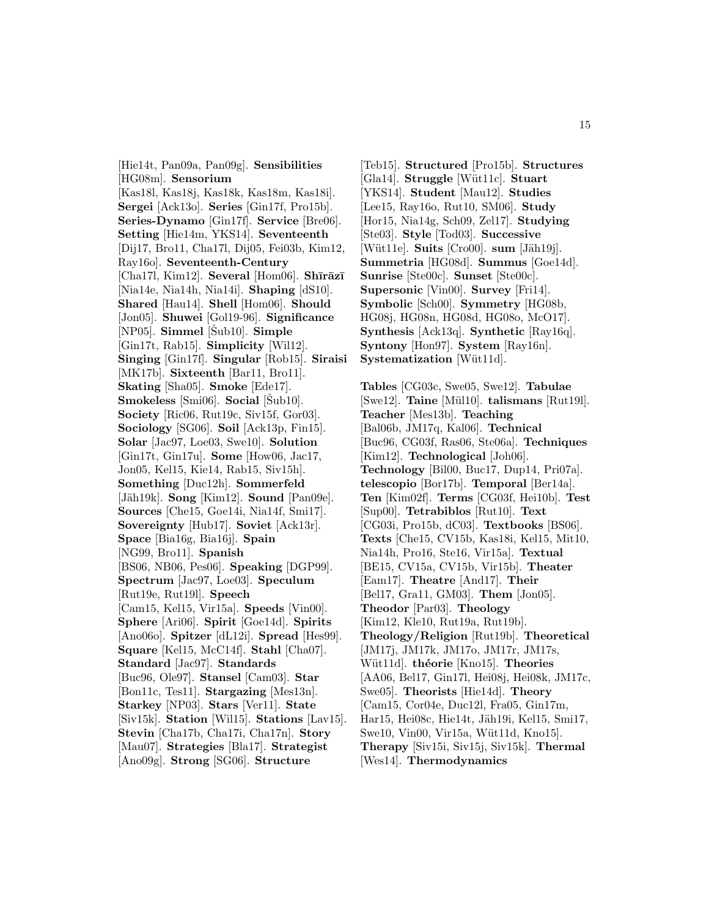[Hie14t, Pan09a, Pan09g]. **Sensibilities** [HG08m]. **Sensorium** [Kas18l, Kas18j, Kas18k, Kas18m, Kas18i]. **Sergei** [Ack13o]. **Series** [Gin17f, Pro15b]. **Series-Dynamo** [Gin17f]. **Service** [Bre06]. **Setting** [Hie14m, YKS14]. **Seventeenth** [Dij17, Bro11, Cha17l, Dij05, Fei03b, Kim12, Ray16o]. **Seventeenth-Century** [Cha17l, Kim12]. **Several** [Hom06]. **Shīrāzī** [Nia14e, Nia14h, Nia14i]. **Shaping** [dS10]. **Shared** [Hau14]. **Shell** [Hom06]. **Should** [Jon05]. **Shuwei** [Gol19-96]. **Significance** [NP05]. **Simmel** [Šub10]. **Simple** [Gin17t, Rab15]. **Simplicity** [Wil12]. **Singing** [Gin17f]. **Singular** [Rob15]. **Siraisi** [MK17b]. **Sixteenth** [Bar11, Bro11]. **Skating** [Sha05]. **Smoke** [Ede17]. **Smokeless** [Smi06]. **Social** [Sub10]. **Society** [Ric06, Rut19c, Siv15f, Gor03]. **Sociology** [SG06]. **Soil** [Ack13p, Fin15]. **Solar** [Jac97, Loe03, Swe10]. **Solution** [Gin17t, Gin17u]. **Some** [How06, Jac17, Jon05, Kel15, Kie14, Rab15, Siv15h]. **Something** [Duc12h]. **Sommerfeld** [Jäh19k]. **Song** [Kim12]. **Sound** [Pan09e]. **Sources** [Che15, Goe14i, Nia14f, Smi17]. **Sovereignty** [Hub17]. **Soviet** [Ack13r]. **Space** [Bia16g, Bia16j]. **Spain** [NG99, Bro11]. **Spanish** [BS06, NB06, Pes06]. **Speaking** [DGP99]. **Spectrum** [Jac97, Loe03]. **Speculum** [Rut19e, Rut19l]. **Speech** [Cam15, Kel15, Vir15a]. **Speeds** [Vin00]. **Sphere** [Ari06]. **Spirit** [Goe14d]. **Spirits** [Ano06o]. **Spitzer** [dL12i]. **Spread** [Hes99]. **Square** [Kel15, McC14f]. **Stahl** [Cha07]. **Standard** [Jac97]. **Standards** [Buc96, Ole97]. **Stansel** [Cam03]. **Star** [Bon11c, Tes11]. **Stargazing** [Mes13n]. **Starkey** [NP03]. **Stars** [Ver11]. **State** [Siv15k]. **Station** [Wil15]. **Stations** [Lav15]. **Stevin** [Cha17b, Cha17i, Cha17n]. **Story** [Mau07]. **Strategies** [Bla17]. **Strategist** [Ano09g]. **Strong** [SG06]. **Structure**

[Teb15]. **Structured** [Pro15b]. **Structures** [Gla14]. **Struggle** [W¨ut11c]. **Stuart** [YKS14]. **Student** [Mau12]. **Studies** [Lee15, Ray16o, Rut10, SM06]. **Study** [Hor15, Nia14g, Sch09, Zel17]. **Studying** [Ste03]. **Style** [Tod03]. **Successive** [Wüt11e]. **Suits** [Cro00]. **sum** [Jäh19j]. **Summetria** [HG08d]. **Summus** [Goe14d]. **Sunrise** [Ste00c]. **Sunset** [Ste00c]. **Supersonic** [Vin00]. **Survey** [Fri14]. **Symbolic** [Sch00]. **Symmetry** [HG08b, HG08j, HG08n, HG08d, HG08o, McO17]. **Synthesis** [Ack13q]. **Synthetic** [Ray16q]. **Syntony** [Hon97]. **System** [Ray16n]. **Systematization** [Wüt11d].

**Tables** [CG03c, Swe05, Swe12]. **Tabulae** [Swe12]. **Taine** [M¨ul10]. **talismans** [Rut19l]. **Teacher** [Mes13b]. **Teaching** [Bal06b, JM17q, Kal06]. **Technical** [Buc96, CG03f, Ras06, Ste06a]. **Techniques** [Kim12]. **Technological** [Joh06]. **Technology** [Bil00, Buc17, Dup14, Pri07a]. **telescopio** [Bor17b]. **Temporal** [Ber14a]. **Ten** [Kim02f]. **Terms** [CG03f, Hei10b]. **Test** [Sup00]. **Tetrabiblos** [Rut10]. **Text** [CG03i, Pro15b, dC03]. **Textbooks** [BS06]. **Texts** [Che15, CV15b, Kas18i, Kel15, Mit10, Nia14h, Pro16, Ste16, Vir15a]. **Textual** [BE15, CV15a, CV15b, Vir15b]. **Theater** [Eam17]. **Theatre** [And17]. **Their** [Bel17, Gra11, GM03]. **Them** [Jon05]. **Theodor** [Par03]. **Theology** [Kim12, Kle10, Rut19a, Rut19b]. **Theology/Religion** [Rut19b]. **Theoretical** [JM17j, JM17k, JM17o, JM17r, JM17s, Wüt11d. **théorie** [Kno15]. **Theories** [AA06, Bel17, Gin17l, Hei08j, Hei08k, JM17c, Swe05]. **Theorists** [Hie14d]. **Theory** [Cam15, Cor04e, Duc12l, Fra05, Gin17m, Har15, Hei08c, Hie14t, Jäh19i, Kel15, Smi17, Swe10, Vin00, Vir15a, Wüt11d, Kno15]. **Therapy** [Siv15i, Siv15j, Siv15k]. **Thermal** [Wes14]. **Thermodynamics**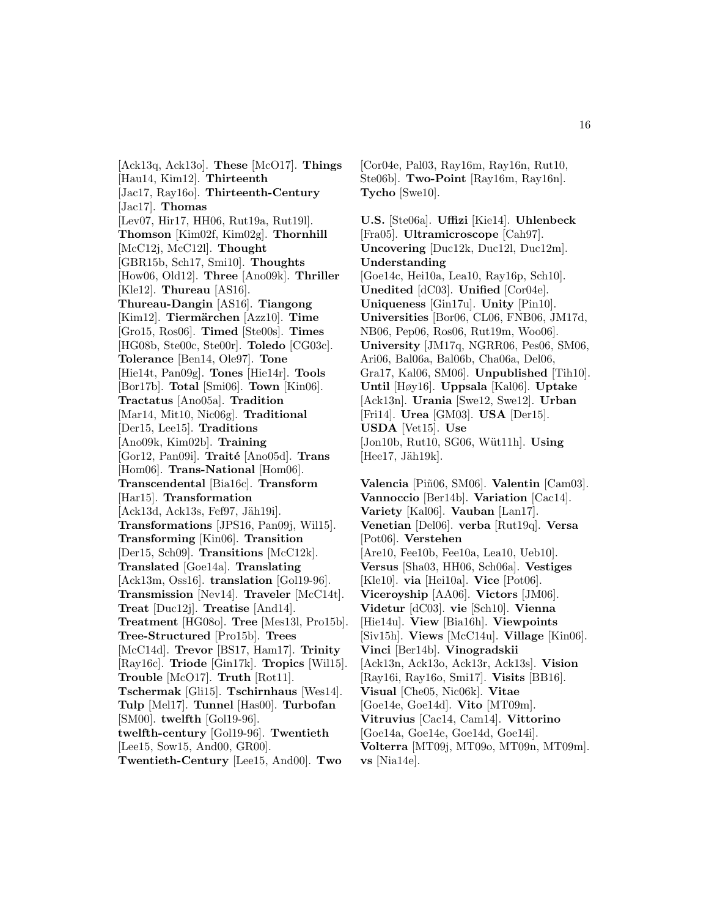[Ack13q, Ack13o]. **These** [McO17]. **Things** [Hau14, Kim12]. **Thirteenth** [Jac17, Ray16o]. **Thirteenth-Century** [Jac17]. **Thomas** [Lev07, Hir17, HH06, Rut19a, Rut19l]. **Thomson** [Kim02f, Kim02g]. **Thornhill** [McC12j, McC12l]. **Thought** [GBR15b, Sch17, Smi10]. **Thoughts** [How06, Old12]. **Three** [Ano09k]. **Thriller** [Kle12]. **Thureau** [AS16]. **Thureau-Dangin** [AS16]. **Tiangong** [Kim12]. **Tierm¨archen** [Azz10]. **Time** [Gro15, Ros06]. **Timed** [Ste00s]. **Times** [HG08b, Ste00c, Ste00r]. **Toledo** [CG03c]. **Tolerance** [Ben14, Ole97]. **Tone** [Hie14t, Pan09g]. **Tones** [Hie14r]. **Tools** [Bor17b]. **Total** [Smi06]. **Town** [Kin06]. **Tractatus** [Ano05a]. **Tradition** [Mar14, Mit10, Nic06g]. **Traditional** [Der15, Lee15]. **Traditions** [Ano09k, Kim02b]. **Training** [Gor12, Pan09i]. **Traité** [Ano05d]. **Trans** [Hom06]. **Trans-National** [Hom06]. **Transcendental** [Bia16c]. **Transform** [Har15]. **Transformation** [Ack13d, Ack13s, Fef97, Jäh19i]. **Transformations** [JPS16, Pan09j, Wil15]. **Transforming** [Kin06]. **Transition** [Der15, Sch09]. **Transitions** [McC12k]. **Translated** [Goe14a]. **Translating** [Ack13m, Oss16]. **translation** [Gol19-96]. **Transmission** [Nev14]. **Traveler** [McC14t]. **Treat** [Duc12j]. **Treatise** [And14]. **Treatment** [HG08o]. **Tree** [Mes13l, Pro15b]. **Tree-Structured** [Pro15b]. **Trees** [McC14d]. **Trevor** [BS17, Ham17]. **Trinity** [Ray16c]. **Triode** [Gin17k]. **Tropics** [Wil15]. **Trouble** [McO17]. **Truth** [Rot11]. **Tschermak** [Gli15]. **Tschirnhaus** [Wes14]. **Tulp** [Mel17]. **Tunnel** [Has00]. **Turbofan** [SM00]. **twelfth** [Gol19-96]. **twelfth-century** [Gol19-96]. **Twentieth** [Lee15, Sow15, And00, GR00]. **Twentieth-Century** [Lee15, And00]. **Two**

[Cor04e, Pal03, Ray16m, Ray16n, Rut10, Ste06b]. **Two-Point** [Ray16m, Ray16n]. **Tycho** [Swe10].

**U.S.** [Ste06a]. **Uffizi** [Kie14]. **Uhlenbeck** [Fra05]. **Ultramicroscope** [Cah97]. **Uncovering** [Duc12k, Duc12l, Duc12m]. **Understanding** [Goe14c, Hei10a, Lea10, Ray16p, Sch10]. **Unedited** [dC03]. **Unified** [Cor04e]. **Uniqueness** [Gin17u]. **Unity** [Pin10]. **Universities** [Bor06, CL06, FNB06, JM17d, NB06, Pep06, Ros06, Rut19m, Woo06]. **University** [JM17q, NGRR06, Pes06, SM06, Ari06, Bal06a, Bal06b, Cha06a, Del06, Gra17, Kal06, SM06]. **Unpublished** [Tih10]. **Until** [Høy16]. **Uppsala** [Kal06]. **Uptake** [Ack13n]. **Urania** [Swe12, Swe12]. **Urban** [Fri14]. **Urea** [GM03]. **USA** [Der15]. **USDA** [Vet15]. **Use** [Jon10b, Rut10, SG06, Wüt11h]. **Using**  $[Hee17, Jäh19k].$ 

**Valencia** [Piñ06, SM06]. **Valentin** [Cam03]. **Vannoccio** [Ber14b]. **Variation** [Cac14]. **Variety** [Kal06]. **Vauban** [Lan17]. **Venetian** [Del06]. **verba** [Rut19q]. **Versa** [Pot06]. **Verstehen** [Are10, Fee10b, Fee10a, Lea10, Ueb10]. **Versus** [Sha03, HH06, Sch06a]. **Vestiges** [Kle10]. **via** [Hei10a]. **Vice** [Pot06]. **Viceroyship** [AA06]. **Victors** [JM06]. **Videtur** [dC03]. **vie** [Sch10]. **Vienna** [Hie14u]. **View** [Bia16h]. **Viewpoints** [Siv15h]. **Views** [McC14u]. **Village** [Kin06]. **Vinci** [Ber14b]. **Vinogradskii** [Ack13n, Ack13o, Ack13r, Ack13s]. **Vision** [Ray16i, Ray16o, Smi17]. **Visits** [BB16]. **Visual** [Che05, Nic06k]. **Vitae** [Goe14e, Goe14d]. **Vito** [MT09m]. **Vitruvius** [Cac14, Cam14]. **Vittorino** [Goe14a, Goe14e, Goe14d, Goe14i]. **Volterra** [MT09j, MT09o, MT09n, MT09m]. **vs** [Nia14e].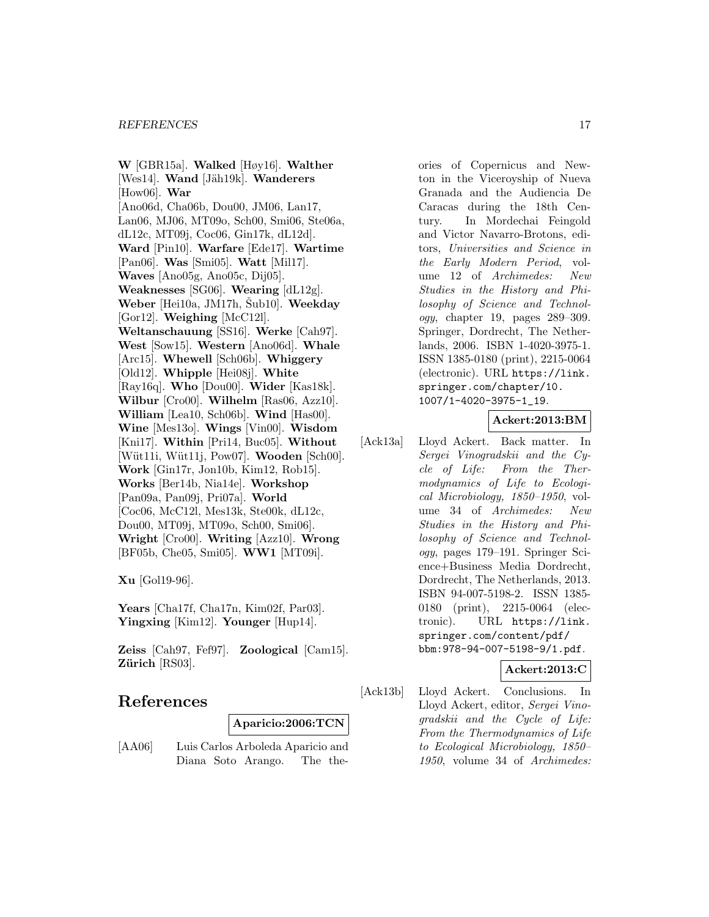**W** [GBR15a]. **Walked** [Høy16]. **Walther** [Wes14]. **Wand** [Jäh19k]. **Wanderers** [How06]. **War** [Ano06d, Cha06b, Dou00, JM06, Lan17, Lan06, MJ06, MT09o, Sch00, Smi06, Ste06a, dL12c, MT09j, Coc06, Gin17k, dL12d]. **Ward** [Pin10]. **Warfare** [Ede17]. **Wartime** [Pan06]. **Was** [Smi05]. **Watt** [Mil17]. **Waves** [Ano05g, Ano05c, Dij05]. **Weaknesses** [SG06]. **Wearing** [dL12g]. **Weber** [Hei10a, JM17h, Šub10]. **Weekday** [Gor12]. **Weighing** [McC12l]. **Weltanschauung** [SS16]. **Werke** [Cah97]. **West** [Sow15]. **Western** [Ano06d]. **Whale** [Arc15]. **Whewell** [Sch06b]. **Whiggery** [Old12]. **Whipple** [Hei08j]. **White** [Ray16q]. **Who** [Dou00]. **Wider** [Kas18k]. **Wilbur** [Cro00]. **Wilhelm** [Ras06, Azz10]. **William** [Lea10, Sch06b]. **Wind** [Has00]. **Wine** [Mes13o]. **Wings** [Vin00]. **Wisdom** [Kni17]. **Within** [Pri14, Buc05]. **Without** [W¨ut11i, W¨ut11j, Pow07]. **Wooden** [Sch00]. **Work** [Gin17r, Jon10b, Kim12, Rob15]. **Works** [Ber14b, Nia14e]. **Workshop** [Pan09a, Pan09j, Pri07a]. **World** [Coc06, McC12l, Mes13k, Ste00k, dL12c, Dou00, MT09j, MT09o, Sch00, Smi06]. **Wright** [Cro00]. **Writing** [Azz10]. **Wrong** [BF05b, Che05, Smi05]. **WW1** [MT09i].

**Xu** [Gol19-96].

**Years** [Cha17f, Cha17n, Kim02f, Par03]. **Yingxing** [Kim12]. **Younger** [Hup14].

**Zeiss** [Cah97, Fef97]. **Zoological** [Cam15]. **Zürich** [RS03].

# **References**

**Aparicio:2006:TCN**

[AA06] Luis Carlos Arboleda Aparicio and Diana Soto Arango. The theories of Copernicus and Newton in the Viceroyship of Nueva Granada and the Audiencia De Caracas during the 18th Century. In Mordechai Feingold and Victor Navarro-Brotons, editors, Universities and Science in the Early Modern Period, volume 12 of Archimedes: New Studies in the History and Philosophy of Science and Technology, chapter 19, pages 289–309. Springer, Dordrecht, The Netherlands, 2006. ISBN 1-4020-3975-1. ISSN 1385-0180 (print), 2215-0064 (electronic). URL https://link. springer.com/chapter/10. 1007/1-4020-3975-1\_19.

# **Ackert:2013:BM**

[Ack13a] Lloyd Ackert. Back matter. In Sergei Vinogradskii and the Cycle of Life: From the Thermodynamics of Life to Ecological Microbiology, 1850–1950, volume 34 of Archimedes: New Studies in the History and Philosophy of Science and Technology, pages 179–191. Springer Science+Business Media Dordrecht, Dordrecht, The Netherlands, 2013. ISBN 94-007-5198-2. ISSN 1385- 0180 (print), 2215-0064 (electronic). URL https://link. springer.com/content/pdf/ bbm:978-94-007-5198-9/1.pdf.

# **Ackert:2013:C**

[Ack13b] Lloyd Ackert. Conclusions. In Lloyd Ackert, editor, Sergei Vinogradskii and the Cycle of Life: From the Thermodynamics of Life to Ecological Microbiology, 1850– 1950, volume 34 of Archimedes: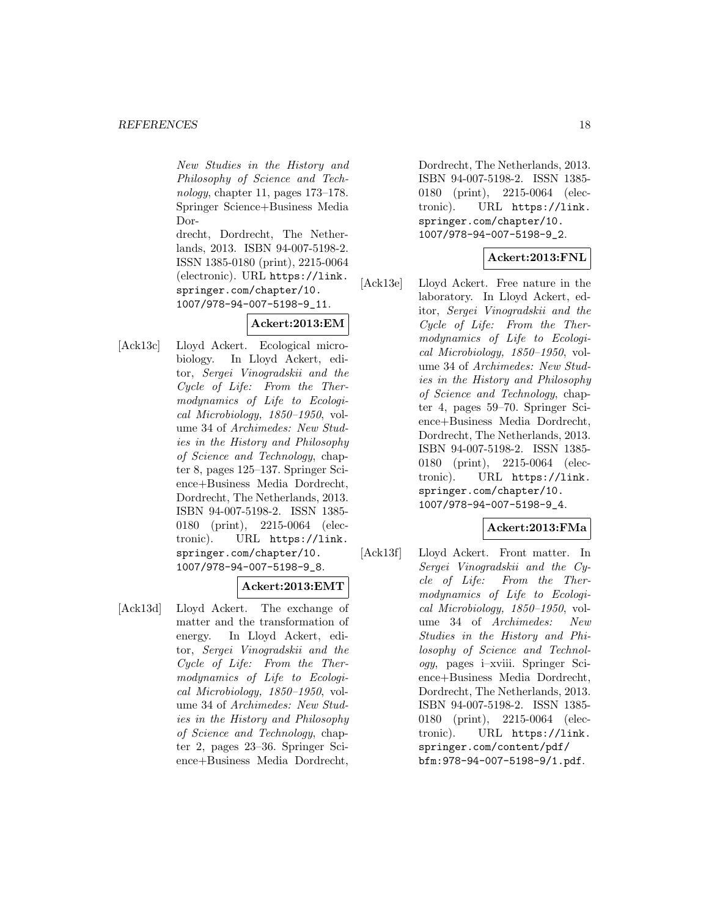New Studies in the History and Philosophy of Science and Technology, chapter 11, pages 173–178. Springer Science+Business Media Dor-

drecht, Dordrecht, The Netherlands, 2013. ISBN 94-007-5198-2. ISSN 1385-0180 (print), 2215-0064 (electronic). URL https://link. springer.com/chapter/10. 1007/978-94-007-5198-9\_11.

# **Ackert:2013:EM**

[Ack13c] Lloyd Ackert. Ecological microbiology. In Lloyd Ackert, editor, Sergei Vinogradskii and the Cycle of Life: From the Thermodynamics of Life to Ecological Microbiology, 1850–1950, volume 34 of Archimedes: New Studies in the History and Philosophy of Science and Technology, chapter 8, pages 125–137. Springer Science+Business Media Dordrecht, Dordrecht, The Netherlands, 2013. ISBN 94-007-5198-2. ISSN 1385- 0180 (print), 2215-0064 (electronic). URL https://link. springer.com/chapter/10. 1007/978-94-007-5198-9\_8.

# **Ackert:2013:EMT**

[Ack13d] Lloyd Ackert. The exchange of matter and the transformation of energy. In Lloyd Ackert, editor, Sergei Vinogradskii and the Cycle of Life: From the Thermodynamics of Life to Ecological Microbiology, 1850–1950, volume 34 of Archimedes: New Studies in the History and Philosophy of Science and Technology, chapter 2, pages 23–36. Springer Science+Business Media Dordrecht,

Dordrecht, The Netherlands, 2013. ISBN 94-007-5198-2. ISSN 1385- 0180 (print), 2215-0064 (electronic). URL https://link. springer.com/chapter/10. 1007/978-94-007-5198-9\_2.

# **Ackert:2013:FNL**

[Ack13e] Lloyd Ackert. Free nature in the laboratory. In Lloyd Ackert, editor, Sergei Vinogradskii and the Cycle of Life: From the Thermodynamics of Life to Ecological Microbiology, 1850–1950, volume 34 of Archimedes: New Studies in the History and Philosophy of Science and Technology, chapter 4, pages 59–70. Springer Science+Business Media Dordrecht, Dordrecht, The Netherlands, 2013. ISBN 94-007-5198-2. ISSN 1385- 0180 (print), 2215-0064 (electronic). URL https://link. springer.com/chapter/10. 1007/978-94-007-5198-9\_4.

# **Ackert:2013:FMa**

[Ack13f] Lloyd Ackert. Front matter. In Sergei Vinogradskii and the Cycle of Life: From the Thermodynamics of Life to Ecological Microbiology, 1850–1950, volume 34 of Archimedes: New Studies in the History and Philosophy of Science and Technology, pages i–xviii. Springer Science+Business Media Dordrecht, Dordrecht, The Netherlands, 2013. ISBN 94-007-5198-2. ISSN 1385- 0180 (print), 2215-0064 (electronic). URL https://link. springer.com/content/pdf/ bfm:978-94-007-5198-9/1.pdf.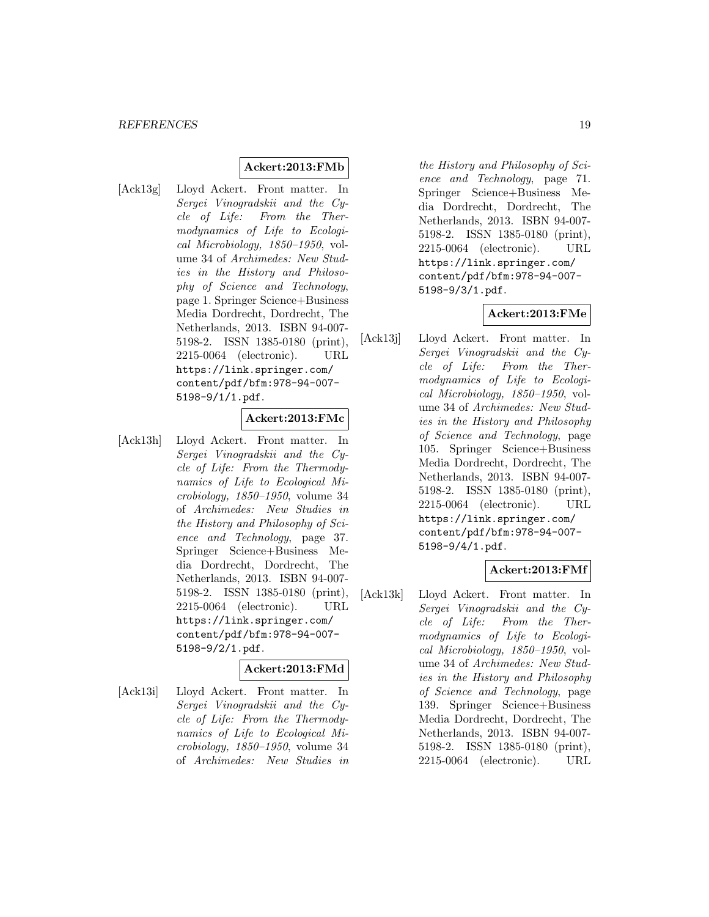# **Ackert:2013:FMb**

[Ack13g] Lloyd Ackert. Front matter. In Sergei Vinogradskii and the Cycle of Life: From the Thermodynamics of Life to Ecological Microbiology, 1850–1950, volume 34 of Archimedes: New Studies in the History and Philosophy of Science and Technology, page 1. Springer Science+Business Media Dordrecht, Dordrecht, The Netherlands, 2013. ISBN 94-007- 5198-2. ISSN 1385-0180 (print), 2215-0064 (electronic). URL https://link.springer.com/ content/pdf/bfm:978-94-007- 5198-9/1/1.pdf.

# **Ackert:2013:FMc**

[Ack13h] Lloyd Ackert. Front matter. In Sergei Vinogradskii and the Cycle of Life: From the Thermodynamics of Life to Ecological Microbiology, 1850–1950, volume 34 of Archimedes: New Studies in the History and Philosophy of Science and Technology, page 37. Springer Science+Business Media Dordrecht, Dordrecht, The Netherlands, 2013. ISBN 94-007- 5198-2. ISSN 1385-0180 (print), 2215-0064 (electronic). URL https://link.springer.com/ content/pdf/bfm:978-94-007- 5198-9/2/1.pdf.

# **Ackert:2013:FMd**

[Ack13i] Lloyd Ackert. Front matter. In Sergei Vinogradskii and the Cycle of Life: From the Thermodynamics of Life to Ecological Microbiology, 1850–1950, volume 34 of Archimedes: New Studies in

the History and Philosophy of Science and Technology, page 71. Springer Science+Business Media Dordrecht, Dordrecht, The Netherlands, 2013. ISBN 94-007- 5198-2. ISSN 1385-0180 (print), 2215-0064 (electronic). URL https://link.springer.com/ content/pdf/bfm:978-94-007- 5198-9/3/1.pdf.

# **Ackert:2013:FMe**

[Ack13j] Lloyd Ackert. Front matter. In Sergei Vinogradskii and the Cycle of Life: From the Thermodynamics of Life to Ecological Microbiology, 1850–1950, volume 34 of Archimedes: New Studies in the History and Philosophy of Science and Technology, page 105. Springer Science+Business Media Dordrecht, Dordrecht, The Netherlands, 2013. ISBN 94-007- 5198-2. ISSN 1385-0180 (print), 2215-0064 (electronic). URL https://link.springer.com/ content/pdf/bfm:978-94-007- 5198-9/4/1.pdf.

# **Ackert:2013:FMf**

[Ack13k] Lloyd Ackert. Front matter. In Sergei Vinogradskii and the Cycle of Life: From the Thermodynamics of Life to Ecological Microbiology, 1850–1950, volume 34 of Archimedes: New Studies in the History and Philosophy of Science and Technology, page 139. Springer Science+Business Media Dordrecht, Dordrecht, The Netherlands, 2013. ISBN 94-007- 5198-2. ISSN 1385-0180 (print), 2215-0064 (electronic). URL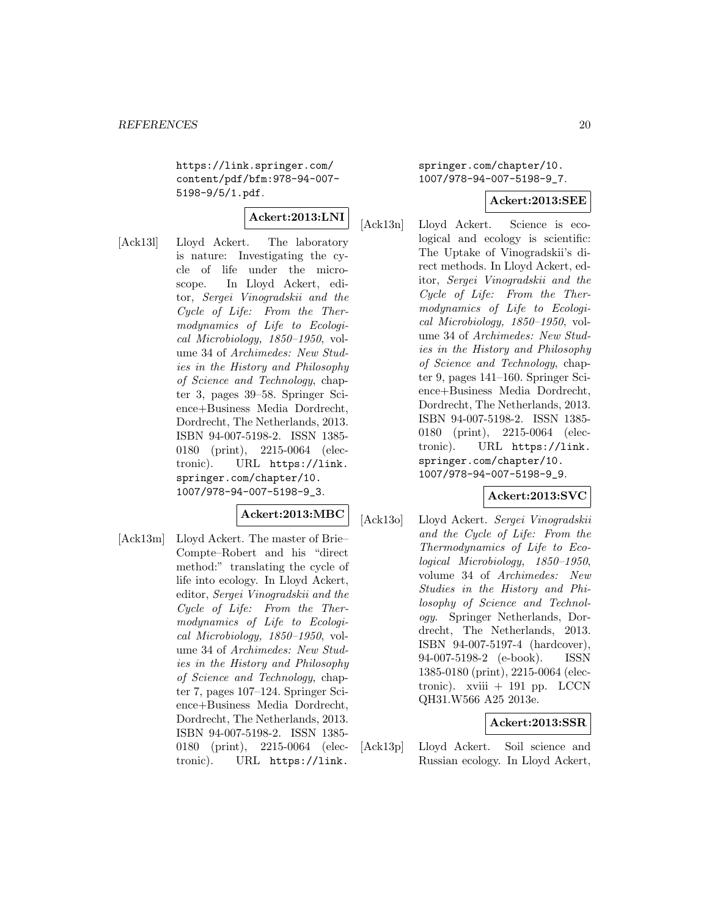https://link.springer.com/ content/pdf/bfm:978-94-007- 5198-9/5/1.pdf.

# **Ackert:2013:LNI**

[Ack13l] Lloyd Ackert. The laboratory is nature: Investigating the cycle of life under the microscope. In Lloyd Ackert, editor, Sergei Vinogradskii and the Cycle of Life: From the Thermodynamics of Life to Ecological Microbiology, 1850–1950, volume 34 of Archimedes: New Studies in the History and Philosophy of Science and Technology, chapter 3, pages 39–58. Springer Science+Business Media Dordrecht, Dordrecht, The Netherlands, 2013. ISBN 94-007-5198-2. ISSN 1385- 0180 (print), 2215-0064 (electronic). URL https://link. springer.com/chapter/10. 1007/978-94-007-5198-9\_3.

# **Ackert:2013:MBC**

[Ack13m] Lloyd Ackert. The master of Brie– Compte–Robert and his "direct method:" translating the cycle of life into ecology. In Lloyd Ackert, editor, Sergei Vinogradskii and the Cycle of Life: From the Thermodynamics of Life to Ecological Microbiology, 1850–1950, volume 34 of Archimedes: New Studies in the History and Philosophy of Science and Technology, chapter 7, pages 107–124. Springer Science+Business Media Dordrecht, Dordrecht, The Netherlands, 2013. ISBN 94-007-5198-2. ISSN 1385- 0180 (print), 2215-0064 (electronic). URL https://link.

springer.com/chapter/10. 1007/978-94-007-5198-9\_7.

### **Ackert:2013:SEE**

[Ack13n] Lloyd Ackert. Science is ecological and ecology is scientific: The Uptake of Vinogradskii's direct methods. In Lloyd Ackert, editor, Sergei Vinogradskii and the Cycle of Life: From the Thermodynamics of Life to Ecological Microbiology, 1850–1950, volume 34 of Archimedes: New Studies in the History and Philosophy of Science and Technology, chapter 9, pages 141–160. Springer Science+Business Media Dordrecht, Dordrecht, The Netherlands, 2013. ISBN 94-007-5198-2. ISSN 1385- 0180 (print), 2215-0064 (electronic). URL https://link. springer.com/chapter/10. 1007/978-94-007-5198-9\_9.

# **Ackert:2013:SVC**

[Ack13o] Lloyd Ackert. Sergei Vinogradskii and the Cycle of Life: From the Thermodynamics of Life to Ecological Microbiology, 1850–1950, volume 34 of Archimedes: New Studies in the History and Philosophy of Science and Technology. Springer Netherlands, Dordrecht, The Netherlands, 2013. ISBN 94-007-5197-4 (hardcover), 94-007-5198-2 (e-book). ISSN 1385-0180 (print), 2215-0064 (electronic). xviii  $+ 191$  pp. LCCN QH31.W566 A25 2013e.

# **Ackert:2013:SSR**

[Ack13p] Lloyd Ackert. Soil science and Russian ecology. In Lloyd Ackert,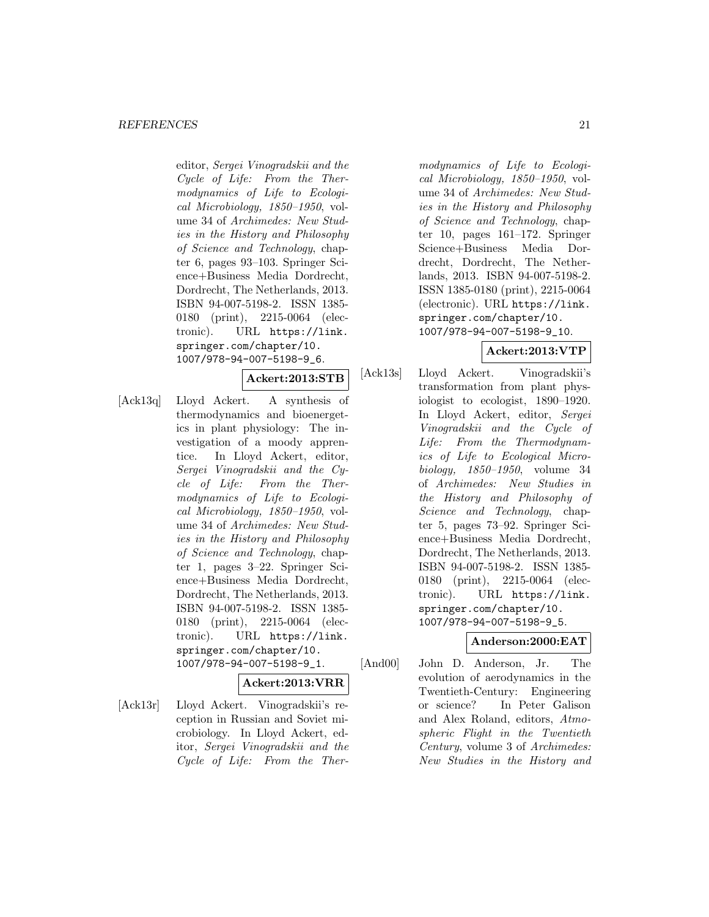#### *REFERENCES* 21

editor, Sergei Vinogradskii and the Cycle of Life: From the Thermodynamics of Life to Ecological Microbiology, 1850–1950, volume 34 of Archimedes: New Studies in the History and Philosophy of Science and Technology, chapter 6, pages 93–103. Springer Science+Business Media Dordrecht, Dordrecht, The Netherlands, 2013. ISBN 94-007-5198-2. ISSN 1385- 0180 (print), 2215-0064 (electronic). URL https://link. springer.com/chapter/10. 1007/978-94-007-5198-9\_6.

**Ackert:2013:STB**

[Ack13q] Lloyd Ackert. A synthesis of thermodynamics and bioenergetics in plant physiology: The investigation of a moody apprentice. In Lloyd Ackert, editor, Sergei Vinogradskii and the Cycle of Life: From the Thermodynamics of Life to Ecological Microbiology, 1850–1950, volume 34 of Archimedes: New Studies in the History and Philosophy of Science and Technology, chapter 1, pages 3–22. Springer Science+Business Media Dordrecht, Dordrecht, The Netherlands, 2013. ISBN 94-007-5198-2. ISSN 1385- 0180 (print), 2215-0064 (electronic). URL https://link. springer.com/chapter/10. 1007/978-94-007-5198-9\_1.

**Ackert:2013:VRR**

[Ack13r] Lloyd Ackert. Vinogradskii's reception in Russian and Soviet microbiology. In Lloyd Ackert, editor, Sergei Vinogradskii and the Cycle of Life: From the Ther-

modynamics of Life to Ecological Microbiology, 1850–1950, volume 34 of Archimedes: New Studies in the History and Philosophy of Science and Technology, chapter 10, pages 161–172. Springer Science+Business Media Dordrecht, Dordrecht, The Netherlands, 2013. ISBN 94-007-5198-2. ISSN 1385-0180 (print), 2215-0064 (electronic). URL https://link. springer.com/chapter/10. 1007/978-94-007-5198-9\_10.

# **Ackert:2013:VTP**

[Ack13s] Lloyd Ackert. Vinogradskii's transformation from plant physiologist to ecologist, 1890–1920. In Lloyd Ackert, editor, Sergei Vinogradskii and the Cycle of Life: From the Thermodynamics of Life to Ecological Microbiology, 1850–1950, volume 34 of Archimedes: New Studies in the History and Philosophy of Science and Technology, chapter 5, pages 73–92. Springer Science+Business Media Dordrecht, Dordrecht, The Netherlands, 2013. ISBN 94-007-5198-2. ISSN 1385- 0180 (print), 2215-0064 (electronic). URL https://link. springer.com/chapter/10. 1007/978-94-007-5198-9\_5.

# **Anderson:2000:EAT**

[And00] John D. Anderson, Jr. The evolution of aerodynamics in the Twentieth-Century: Engineering or science? In Peter Galison and Alex Roland, editors, Atmospheric Flight in the Twentieth Century, volume 3 of Archimedes: New Studies in the History and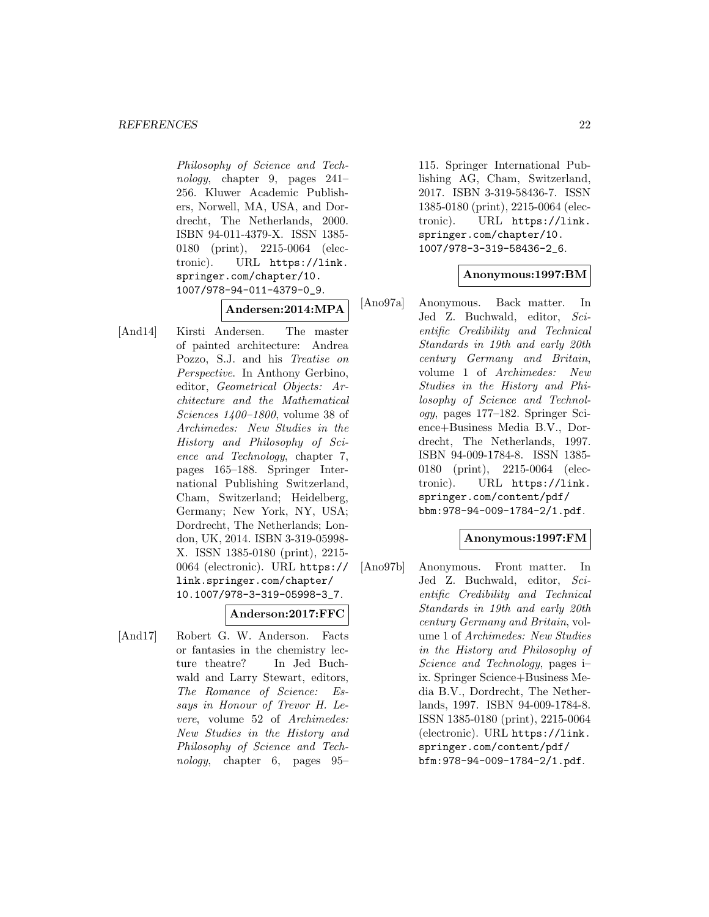Philosophy of Science and Technology, chapter 9, pages 241– 256. Kluwer Academic Publishers, Norwell, MA, USA, and Dordrecht, The Netherlands, 2000. ISBN 94-011-4379-X. ISSN 1385- 0180 (print), 2215-0064 (electronic). URL https://link. springer.com/chapter/10. 1007/978-94-011-4379-0\_9.

# **Andersen:2014:MPA**

[And14] Kirsti Andersen. The master of painted architecture: Andrea Pozzo, S.J. and his Treatise on Perspective. In Anthony Gerbino, editor, Geometrical Objects: Architecture and the Mathematical Sciences 1400–1800, volume 38 of Archimedes: New Studies in the History and Philosophy of Science and Technology, chapter 7, pages 165–188. Springer International Publishing Switzerland, Cham, Switzerland; Heidelberg, Germany; New York, NY, USA; Dordrecht, The Netherlands; London, UK, 2014. ISBN 3-319-05998- X. ISSN 1385-0180 (print), 2215- 0064 (electronic). URL https:// link.springer.com/chapter/ 10.1007/978-3-319-05998-3\_7.

# **Anderson:2017:FFC**

[And17] Robert G. W. Anderson. Facts or fantasies in the chemistry lecture theatre? In Jed Buchwald and Larry Stewart, editors, The Romance of Science: Essays in Honour of Trevor H. Levere, volume 52 of Archimedes: New Studies in the History and Philosophy of Science and Technology, chapter 6, pages 95–

115. Springer International Publishing AG, Cham, Switzerland, 2017. ISBN 3-319-58436-7. ISSN 1385-0180 (print), 2215-0064 (electronic). URL https://link. springer.com/chapter/10. 1007/978-3-319-58436-2\_6.

# **Anonymous:1997:BM**

[Ano97a] Anonymous. Back matter. In Jed Z. Buchwald, editor, Scientific Credibility and Technical Standards in 19th and early 20th century Germany and Britain, volume 1 of Archimedes: New Studies in the History and Philosophy of Science and Technology, pages 177–182. Springer Science+Business Media B.V., Dordrecht, The Netherlands, 1997. ISBN 94-009-1784-8. ISSN 1385- 0180 (print), 2215-0064 (electronic). URL https://link. springer.com/content/pdf/ bbm:978-94-009-1784-2/1.pdf.

# **Anonymous:1997:FM**

[Ano97b] Anonymous. Front matter. In Jed Z. Buchwald, editor, Scientific Credibility and Technical Standards in 19th and early 20th century Germany and Britain, volume 1 of Archimedes: New Studies in the History and Philosophy of Science and Technology, pages i– ix. Springer Science+Business Media B.V., Dordrecht, The Netherlands, 1997. ISBN 94-009-1784-8. ISSN 1385-0180 (print), 2215-0064 (electronic). URL https://link. springer.com/content/pdf/ bfm:978-94-009-1784-2/1.pdf.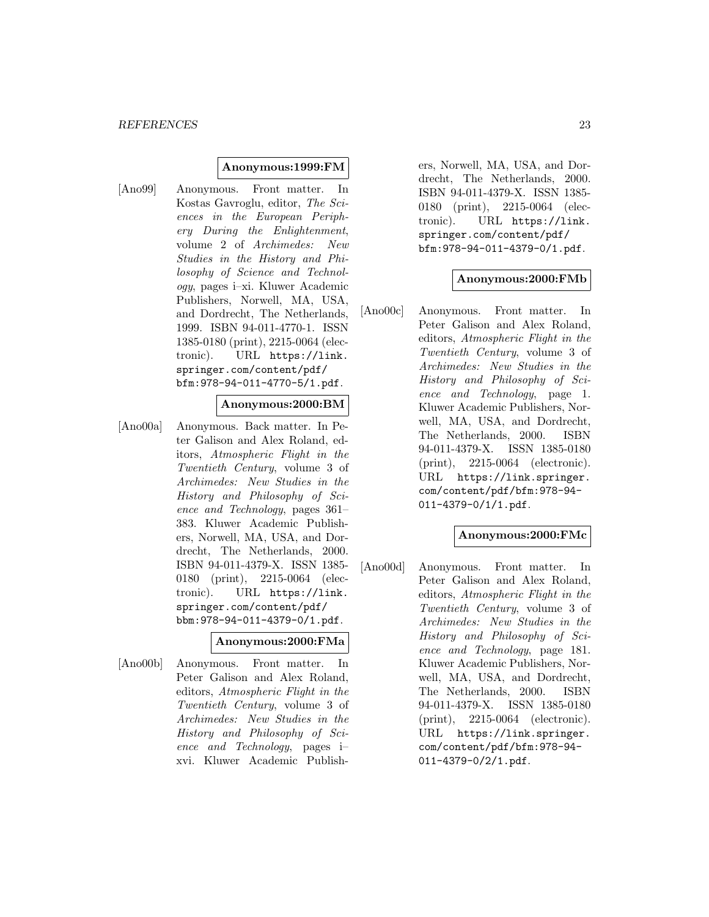### **Anonymous:1999:FM**

[Ano99] Anonymous. Front matter. In Kostas Gavroglu, editor, The Sciences in the European Periphery During the Enlightenment, volume 2 of Archimedes: New Studies in the History and Philosophy of Science and Technology, pages i–xi. Kluwer Academic Publishers, Norwell, MA, USA, and Dordrecht, The Netherlands, 1999. ISBN 94-011-4770-1. ISSN 1385-0180 (print), 2215-0064 (electronic). URL https://link. springer.com/content/pdf/ bfm:978-94-011-4770-5/1.pdf.

# **Anonymous:2000:BM**

[Ano00a] Anonymous. Back matter. In Peter Galison and Alex Roland, editors, Atmospheric Flight in the Twentieth Century, volume 3 of Archimedes: New Studies in the History and Philosophy of Science and Technology, pages 361– 383. Kluwer Academic Publishers, Norwell, MA, USA, and Dordrecht, The Netherlands, 2000. ISBN 94-011-4379-X. ISSN 1385- 0180 (print), 2215-0064 (electronic). URL https://link. springer.com/content/pdf/ bbm:978-94-011-4379-0/1.pdf.

# **Anonymous:2000:FMa**

[Ano00b] Anonymous. Front matter. In Peter Galison and Alex Roland, editors, Atmospheric Flight in the Twentieth Century, volume 3 of Archimedes: New Studies in the History and Philosophy of Science and Technology, pages i– xvi. Kluwer Academic Publishers, Norwell, MA, USA, and Dordrecht, The Netherlands, 2000. ISBN 94-011-4379-X. ISSN 1385- 0180 (print), 2215-0064 (electronic). URL https://link. springer.com/content/pdf/ bfm:978-94-011-4379-0/1.pdf.

### **Anonymous:2000:FMb**

[Ano00c] Anonymous. Front matter. In Peter Galison and Alex Roland, editors, Atmospheric Flight in the Twentieth Century, volume 3 of Archimedes: New Studies in the History and Philosophy of Science and Technology, page 1. Kluwer Academic Publishers, Norwell, MA, USA, and Dordrecht, The Netherlands, 2000. ISBN 94-011-4379-X. ISSN 1385-0180 (print), 2215-0064 (electronic). URL https://link.springer. com/content/pdf/bfm:978-94- 011-4379-0/1/1.pdf.

# **Anonymous:2000:FMc**

[Ano00d] Anonymous. Front matter. In Peter Galison and Alex Roland, editors, Atmospheric Flight in the Twentieth Century, volume 3 of Archimedes: New Studies in the History and Philosophy of Science and Technology, page 181. Kluwer Academic Publishers, Norwell, MA, USA, and Dordrecht, The Netherlands, 2000. ISBN 94-011-4379-X. ISSN 1385-0180 (print), 2215-0064 (electronic). URL https://link.springer. com/content/pdf/bfm:978-94- 011-4379-0/2/1.pdf.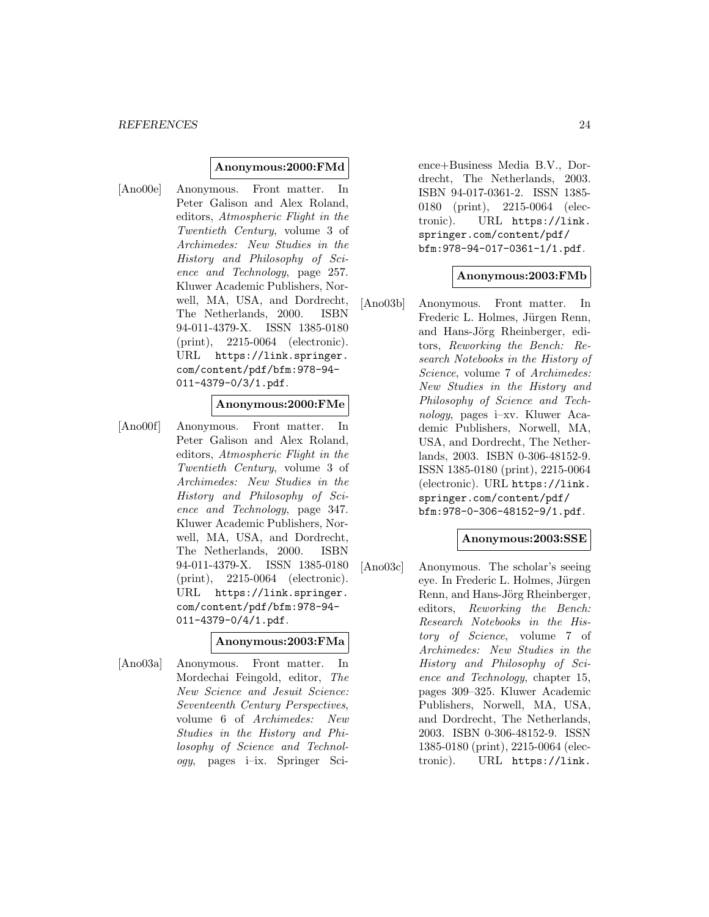### **Anonymous:2000:FMd**

[Ano00e] Anonymous. Front matter. In Peter Galison and Alex Roland, editors, Atmospheric Flight in the Twentieth Century, volume 3 of Archimedes: New Studies in the History and Philosophy of Science and Technology, page 257. Kluwer Academic Publishers, Norwell, MA, USA, and Dordrecht, The Netherlands, 2000. ISBN 94-011-4379-X. ISSN 1385-0180 (print), 2215-0064 (electronic). URL https://link.springer. com/content/pdf/bfm:978-94- 011-4379-0/3/1.pdf.

# **Anonymous:2000:FMe**

[Ano00f] Anonymous. Front matter. In Peter Galison and Alex Roland, editors, Atmospheric Flight in the Twentieth Century, volume 3 of Archimedes: New Studies in the History and Philosophy of Science and Technology, page 347. Kluwer Academic Publishers, Norwell, MA, USA, and Dordrecht, The Netherlands, 2000. ISBN 94-011-4379-X. ISSN 1385-0180 (print), 2215-0064 (electronic). URL https://link.springer. com/content/pdf/bfm:978-94- 011-4379-0/4/1.pdf.

# **Anonymous:2003:FMa**

[Ano03a] Anonymous. Front matter. In Mordechai Feingold, editor, The New Science and Jesuit Science: Seventeenth Century Perspectives, volume 6 of Archimedes: New Studies in the History and Philosophy of Science and Technology, pages i–ix. Springer Science+Business Media B.V., Dordrecht, The Netherlands, 2003. ISBN 94-017-0361-2. ISSN 1385- 0180 (print), 2215-0064 (electronic). URL https://link. springer.com/content/pdf/ bfm:978-94-017-0361-1/1.pdf.

# **Anonymous:2003:FMb**

[Ano03b] Anonymous. Front matter. In Frederic L. Holmes, Jürgen Renn, and Hans-Jörg Rheinberger, editors, Reworking the Bench: Research Notebooks in the History of Science, volume 7 of Archimedes: New Studies in the History and Philosophy of Science and Technology, pages i–xv. Kluwer Academic Publishers, Norwell, MA, USA, and Dordrecht, The Netherlands, 2003. ISBN 0-306-48152-9. ISSN 1385-0180 (print), 2215-0064 (electronic). URL https://link. springer.com/content/pdf/ bfm:978-0-306-48152-9/1.pdf.

### **Anonymous:2003:SSE**

[Ano03c] Anonymous. The scholar's seeing eye. In Frederic L. Holmes, Jürgen Renn, and Hans-Jörg Rheinberger, editors, Reworking the Bench: Research Notebooks in the History of Science, volume 7 of Archimedes: New Studies in the History and Philosophy of Science and Technology, chapter 15, pages 309–325. Kluwer Academic Publishers, Norwell, MA, USA, and Dordrecht, The Netherlands, 2003. ISBN 0-306-48152-9. ISSN 1385-0180 (print), 2215-0064 (electronic). URL https://link.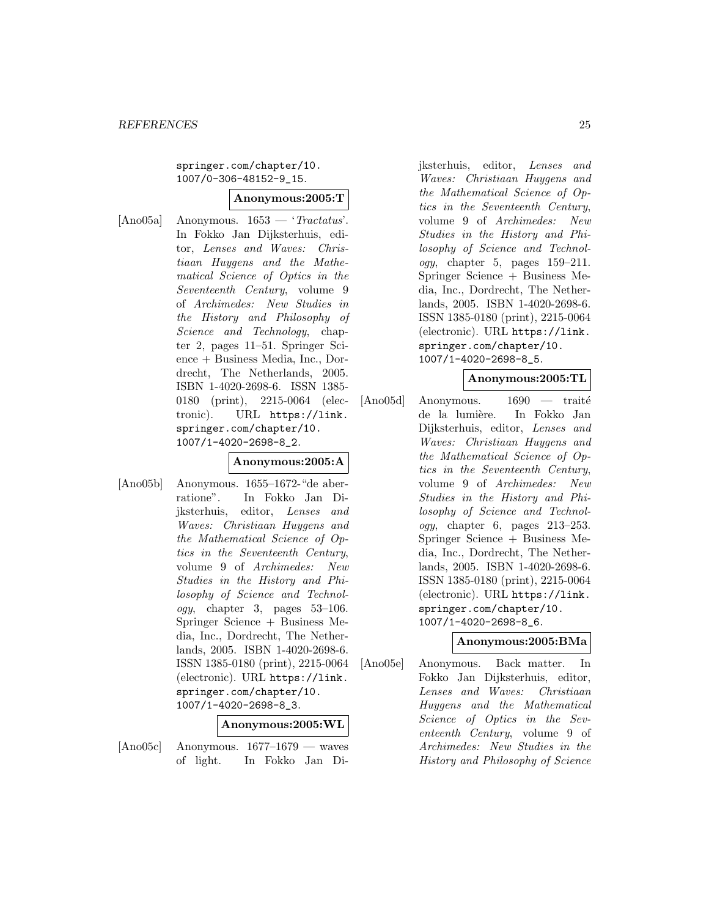# springer.com/chapter/10. 1007/0-306-48152-9\_15.

#### **Anonymous:2005:T**

[Ano05a] Anonymous.  $1653 - 'Tractatus'.$ In Fokko Jan Dijksterhuis, editor, Lenses and Waves: Christiaan Huygens and the Mathematical Science of Optics in the Seventeenth Century, volume 9 of Archimedes: New Studies in the History and Philosophy of Science and Technology, chapter 2, pages 11–51. Springer Science + Business Media, Inc., Dordrecht, The Netherlands, 2005. ISBN 1-4020-2698-6. ISSN 1385- 0180 (print), 2215-0064 (electronic). URL https://link. springer.com/chapter/10. 1007/1-4020-2698-8\_2.

# **Anonymous:2005:A**

[Ano05b] Anonymous. 1655–1672-"de aberratione". In Fokko Jan Dijksterhuis, editor, Lenses and Waves: Christiaan Huygens and the Mathematical Science of Optics in the Seventeenth Century, volume 9 of Archimedes: New Studies in the History and Philosophy of Science and Technol $oqy$ , chapter 3, pages 53–106. Springer Science + Business Media, Inc., Dordrecht, The Netherlands, 2005. ISBN 1-4020-2698-6. ISSN 1385-0180 (print), 2215-0064 (electronic). URL https://link. springer.com/chapter/10. 1007/1-4020-2698-8\_3.

# **Anonymous:2005:WL**

 $[Ano05c]$  Anonymous.  $1677-1679$  — waves of light. In Fokko Jan Dijksterhuis, editor, Lenses and Waves: Christiaan Huygens and the Mathematical Science of Optics in the Seventeenth Century, volume 9 of Archimedes: New Studies in the History and Philosophy of Science and Technology, chapter 5, pages 159–211. Springer Science + Business Media, Inc., Dordrecht, The Netherlands, 2005. ISBN 1-4020-2698-6. ISSN 1385-0180 (print), 2215-0064 (electronic). URL https://link. springer.com/chapter/10. 1007/1-4020-2698-8\_5.

# **Anonymous:2005:TL**

 $[Ano05d]$  Anonymous.  $1690$  — traité de la lumière. In Fokko Jan Dijksterhuis, editor, Lenses and Waves: Christiaan Huygens and the Mathematical Science of Optics in the Seventeenth Century, volume 9 of Archimedes: New Studies in the History and Philosophy of Science and Technology, chapter 6, pages 213–253. Springer Science + Business Media, Inc., Dordrecht, The Netherlands, 2005. ISBN 1-4020-2698-6. ISSN 1385-0180 (print), 2215-0064 (electronic). URL https://link. springer.com/chapter/10. 1007/1-4020-2698-8\_6.

# **Anonymous:2005:BMa**

[Ano05e] Anonymous. Back matter. In Fokko Jan Dijksterhuis, editor, Lenses and Waves: Christiaan Huygens and the Mathematical Science of Optics in the Seventeenth Century, volume 9 of Archimedes: New Studies in the History and Philosophy of Science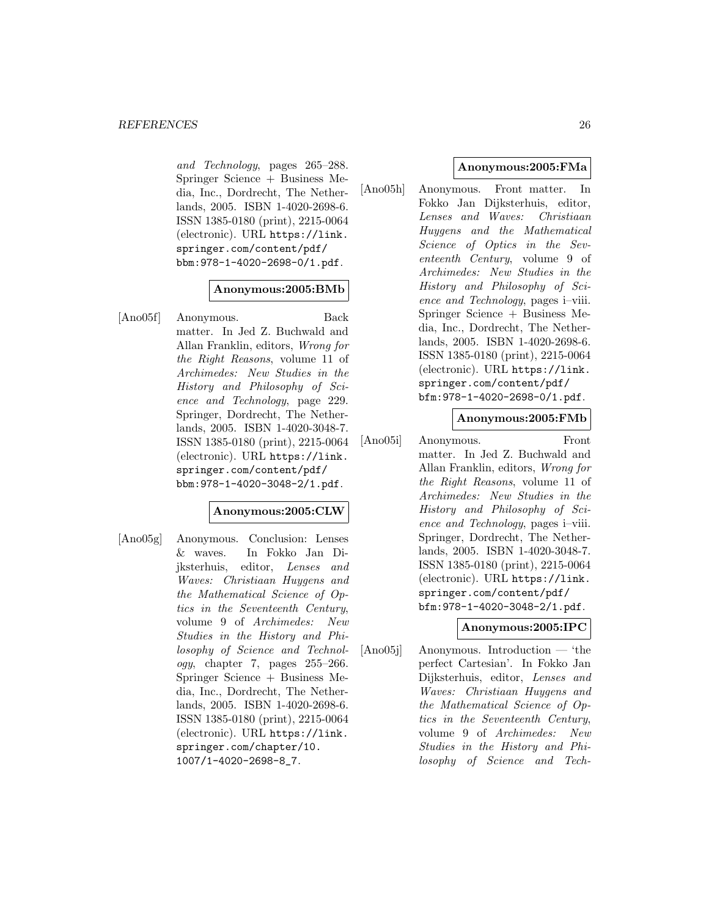and Technology, pages 265–288. Springer Science + Business Media, Inc., Dordrecht, The Netherlands, 2005. ISBN 1-4020-2698-6. ISSN 1385-0180 (print), 2215-0064 (electronic). URL https://link. springer.com/content/pdf/ bbm:978-1-4020-2698-0/1.pdf.

# **Anonymous:2005:BMb**

[Ano05f] Anonymous. Back matter. In Jed Z. Buchwald and Allan Franklin, editors, Wrong for the Right Reasons, volume 11 of Archimedes: New Studies in the History and Philosophy of Science and Technology, page 229. Springer, Dordrecht, The Netherlands, 2005. ISBN 1-4020-3048-7. ISSN 1385-0180 (print), 2215-0064 (electronic). URL https://link. springer.com/content/pdf/ bbm:978-1-4020-3048-2/1.pdf.

# **Anonymous:2005:CLW**

[Ano05g] Anonymous. Conclusion: Lenses & waves. In Fokko Jan Dijksterhuis, editor, Lenses and Waves: Christiaan Huygens and the Mathematical Science of Optics in the Seventeenth Century, volume 9 of Archimedes: New Studies in the History and Philosophy of Science and Technol $ogy,$  chapter 7, pages  $255-266$ . Springer Science + Business Media, Inc., Dordrecht, The Netherlands, 2005. ISBN 1-4020-2698-6. ISSN 1385-0180 (print), 2215-0064 (electronic). URL https://link. springer.com/chapter/10. 1007/1-4020-2698-8\_7.

# **Anonymous:2005:FMa**

[Ano05h] Anonymous. Front matter. In Fokko Jan Dijksterhuis, editor, Lenses and Waves: Christiaan Huygens and the Mathematical Science of Optics in the Seventeenth Century, volume 9 of Archimedes: New Studies in the History and Philosophy of Science and Technology, pages i–viii. Springer Science + Business Media, Inc., Dordrecht, The Netherlands, 2005. ISBN 1-4020-2698-6. ISSN 1385-0180 (print), 2215-0064 (electronic). URL https://link. springer.com/content/pdf/ bfm:978-1-4020-2698-0/1.pdf.

### **Anonymous:2005:FMb**

[Ano05i] Anonymous. Front matter. In Jed Z. Buchwald and Allan Franklin, editors, Wrong for the Right Reasons, volume 11 of Archimedes: New Studies in the History and Philosophy of Science and Technology, pages i–viii. Springer, Dordrecht, The Netherlands, 2005. ISBN 1-4020-3048-7. ISSN 1385-0180 (print), 2215-0064 (electronic). URL https://link. springer.com/content/pdf/ bfm:978-1-4020-3048-2/1.pdf.

# **Anonymous:2005:IPC**

[Ano05j] Anonymous. Introduction — 'the perfect Cartesian'. In Fokko Jan Dijksterhuis, editor, Lenses and Waves: Christiaan Huygens and the Mathematical Science of Optics in the Seventeenth Century, volume 9 of Archimedes: New Studies in the History and Philosophy of Science and Tech-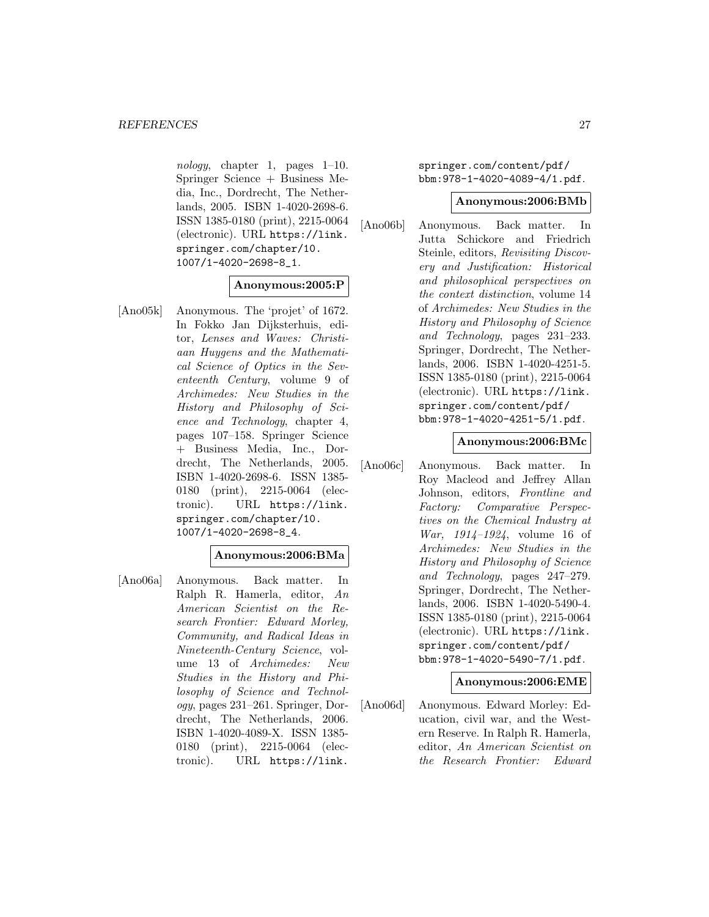nology, chapter 1, pages  $1-10$ . Springer Science + Business Media, Inc., Dordrecht, The Netherlands, 2005. ISBN 1-4020-2698-6. ISSN 1385-0180 (print), 2215-0064 (electronic). URL https://link. springer.com/chapter/10. 1007/1-4020-2698-8\_1.

# **Anonymous:2005:P**

[Ano05k] Anonymous. The 'projet' of 1672. In Fokko Jan Dijksterhuis, editor, Lenses and Waves: Christiaan Huygens and the Mathematical Science of Optics in the Seventeenth Century, volume 9 of Archimedes: New Studies in the History and Philosophy of Science and Technology, chapter 4, pages 107–158. Springer Science + Business Media, Inc., Dordrecht, The Netherlands, 2005. ISBN 1-4020-2698-6. ISSN 1385- 0180 (print), 2215-0064 (electronic). URL https://link. springer.com/chapter/10. 1007/1-4020-2698-8\_4.

#### **Anonymous:2006:BMa**

[Ano06a] Anonymous. Back matter. In Ralph R. Hamerla, editor, An American Scientist on the Research Frontier: Edward Morley, Community, and Radical Ideas in Nineteenth-Century Science, volume 13 of Archimedes: New Studies in the History and Philosophy of Science and Technology, pages 231–261. Springer, Dordrecht, The Netherlands, 2006. ISBN 1-4020-4089-X. ISSN 1385- 0180 (print), 2215-0064 (electronic). URL https://link.

springer.com/content/pdf/ bbm:978-1-4020-4089-4/1.pdf.

#### **Anonymous:2006:BMb**

[Ano06b] Anonymous. Back matter. In Jutta Schickore and Friedrich Steinle, editors, Revisiting Discovery and Justification: Historical and philosophical perspectives on the context distinction, volume 14 of Archimedes: New Studies in the History and Philosophy of Science and Technology, pages 231–233. Springer, Dordrecht, The Netherlands, 2006. ISBN 1-4020-4251-5. ISSN 1385-0180 (print), 2215-0064 (electronic). URL https://link. springer.com/content/pdf/ bbm:978-1-4020-4251-5/1.pdf.

#### **Anonymous:2006:BMc**

[Ano06c] Anonymous. Back matter. In Roy Macleod and Jeffrey Allan Johnson, editors, Frontline and Factory: Comparative Perspectives on the Chemical Industry at War, 1914–1924, volume 16 of Archimedes: New Studies in the History and Philosophy of Science and Technology, pages 247–279. Springer, Dordrecht, The Netherlands, 2006. ISBN 1-4020-5490-4. ISSN 1385-0180 (print), 2215-0064 (electronic). URL https://link. springer.com/content/pdf/ bbm:978-1-4020-5490-7/1.pdf.

#### **Anonymous:2006:EME**

[Ano06d] Anonymous. Edward Morley: Education, civil war, and the Western Reserve. In Ralph R. Hamerla, editor, An American Scientist on the Research Frontier: Edward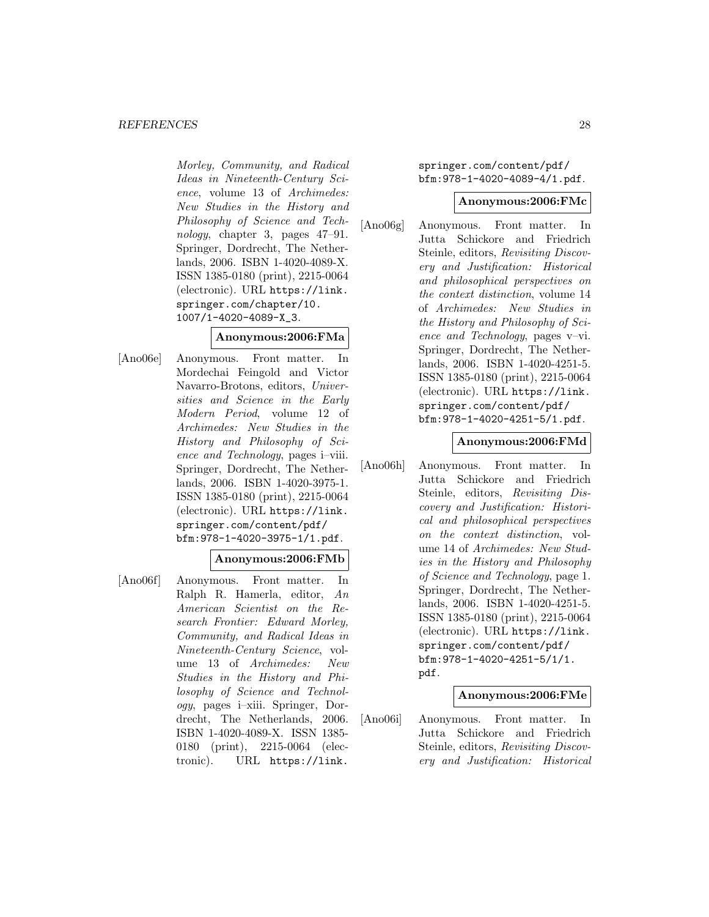#### *REFERENCES* 28

Morley, Community, and Radical Ideas in Nineteenth-Century Science, volume 13 of Archimedes: New Studies in the History and Philosophy of Science and Technology, chapter 3, pages 47–91. Springer, Dordrecht, The Netherlands, 2006. ISBN 1-4020-4089-X. ISSN 1385-0180 (print), 2215-0064 (electronic). URL https://link. springer.com/chapter/10. 1007/1-4020-4089-X\_3.

# **Anonymous:2006:FMa**

[Ano06e] Anonymous. Front matter. In Mordechai Feingold and Victor Navarro-Brotons, editors, Universities and Science in the Early Modern Period, volume 12 of Archimedes: New Studies in the History and Philosophy of Science and Technology, pages i–viii. Springer, Dordrecht, The Netherlands, 2006. ISBN 1-4020-3975-1. ISSN 1385-0180 (print), 2215-0064 (electronic). URL https://link. springer.com/content/pdf/ bfm:978-1-4020-3975-1/1.pdf.

### **Anonymous:2006:FMb**

[Ano06f] Anonymous. Front matter. In Ralph R. Hamerla, editor, An American Scientist on the Research Frontier: Edward Morley, Community, and Radical Ideas in Nineteenth-Century Science, volume 13 of Archimedes: New Studies in the History and Philosophy of Science and Technology, pages i–xiii. Springer, Dordrecht, The Netherlands, 2006. ISBN 1-4020-4089-X. ISSN 1385- 0180 (print), 2215-0064 (electronic). URL https://link.

springer.com/content/pdf/ bfm:978-1-4020-4089-4/1.pdf.

#### **Anonymous:2006:FMc**

[Ano06g] Anonymous. Front matter. In Jutta Schickore and Friedrich Steinle, editors, Revisiting Discovery and Justification: Historical and philosophical perspectives on the context distinction, volume 14 of Archimedes: New Studies in the History and Philosophy of Science and Technology, pages v–vi. Springer, Dordrecht, The Netherlands, 2006. ISBN 1-4020-4251-5. ISSN 1385-0180 (print), 2215-0064 (electronic). URL https://link. springer.com/content/pdf/ bfm:978-1-4020-4251-5/1.pdf.

#### **Anonymous:2006:FMd**

[Ano06h] Anonymous. Front matter. In Jutta Schickore and Friedrich Steinle, editors, Revisiting Discovery and Justification: Historical and philosophical perspectives on the context distinction, volume 14 of Archimedes: New Studies in the History and Philosophy of Science and Technology, page 1. Springer, Dordrecht, The Netherlands, 2006. ISBN 1-4020-4251-5. ISSN 1385-0180 (print), 2215-0064 (electronic). URL https://link. springer.com/content/pdf/ bfm:978-1-4020-4251-5/1/1. pdf.

# **Anonymous:2006:FMe**

[Ano06i] Anonymous. Front matter. In Jutta Schickore and Friedrich Steinle, editors, Revisiting Discovery and Justification: Historical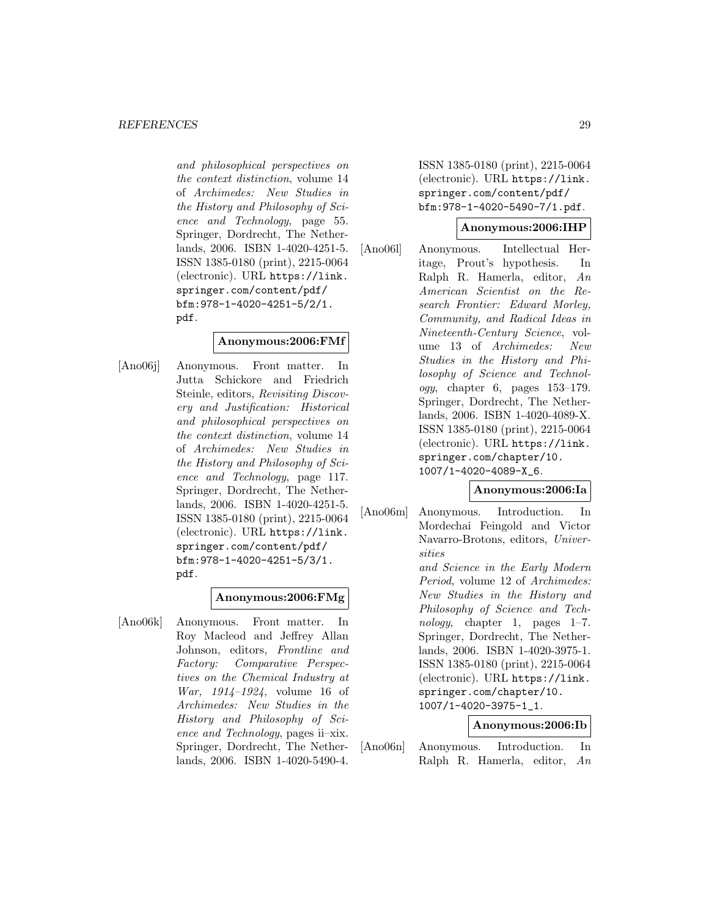and philosophical perspectives on the context distinction, volume 14 of Archimedes: New Studies in the History and Philosophy of Science and Technology, page 55. Springer, Dordrecht, The Netherlands, 2006. ISBN 1-4020-4251-5. ISSN 1385-0180 (print), 2215-0064 (electronic). URL https://link. springer.com/content/pdf/ bfm:978-1-4020-4251-5/2/1. pdf.

# **Anonymous:2006:FMf**

[Ano06j] Anonymous. Front matter. In Jutta Schickore and Friedrich Steinle, editors, Revisiting Discovery and Justification: Historical and philosophical perspectives on the context distinction, volume 14 of Archimedes: New Studies in the History and Philosophy of Science and Technology, page 117. Springer, Dordrecht, The Netherlands, 2006. ISBN 1-4020-4251-5. ISSN 1385-0180 (print), 2215-0064 (electronic). URL https://link. springer.com/content/pdf/ bfm:978-1-4020-4251-5/3/1. pdf.

### **Anonymous:2006:FMg**

[Ano06k] Anonymous. Front matter. In Roy Macleod and Jeffrey Allan Johnson, editors, Frontline and Factory: Comparative Perspectives on the Chemical Industry at War, 1914–1924, volume 16 of Archimedes: New Studies in the History and Philosophy of Science and Technology, pages ii–xix. Springer, Dordrecht, The Netherlands, 2006. ISBN 1-4020-5490-4.

ISSN 1385-0180 (print), 2215-0064 (electronic). URL https://link. springer.com/content/pdf/ bfm:978-1-4020-5490-7/1.pdf.

### **Anonymous:2006:IHP**

[Ano06l] Anonymous. Intellectual Heritage, Prout's hypothesis. In Ralph R. Hamerla, editor, An American Scientist on the Research Frontier: Edward Morley, Community, and Radical Ideas in Nineteenth-Century Science, volume 13 of Archimedes: New Studies in the History and Philosophy of Science and Technology, chapter 6, pages 153–179. Springer, Dordrecht, The Netherlands, 2006. ISBN 1-4020-4089-X. ISSN 1385-0180 (print), 2215-0064 (electronic). URL https://link. springer.com/chapter/10. 1007/1-4020-4089-X\_6.

# **Anonymous:2006:Ia**

[Ano06m] Anonymous. Introduction. In Mordechai Feingold and Victor Navarro-Brotons, editors, Universities and Science in the Early Modern Period, volume 12 of Archimedes: New Studies in the History and Philosophy of Science and Technology, chapter 1, pages 1–7. Springer, Dordrecht, The Netherlands, 2006. ISBN 1-4020-3975-1. ISSN 1385-0180 (print), 2215-0064 (electronic). URL https://link. springer.com/chapter/10. 1007/1-4020-3975-1\_1.

# **Anonymous:2006:Ib**

[Ano06n] Anonymous. Introduction. In Ralph R. Hamerla, editor, An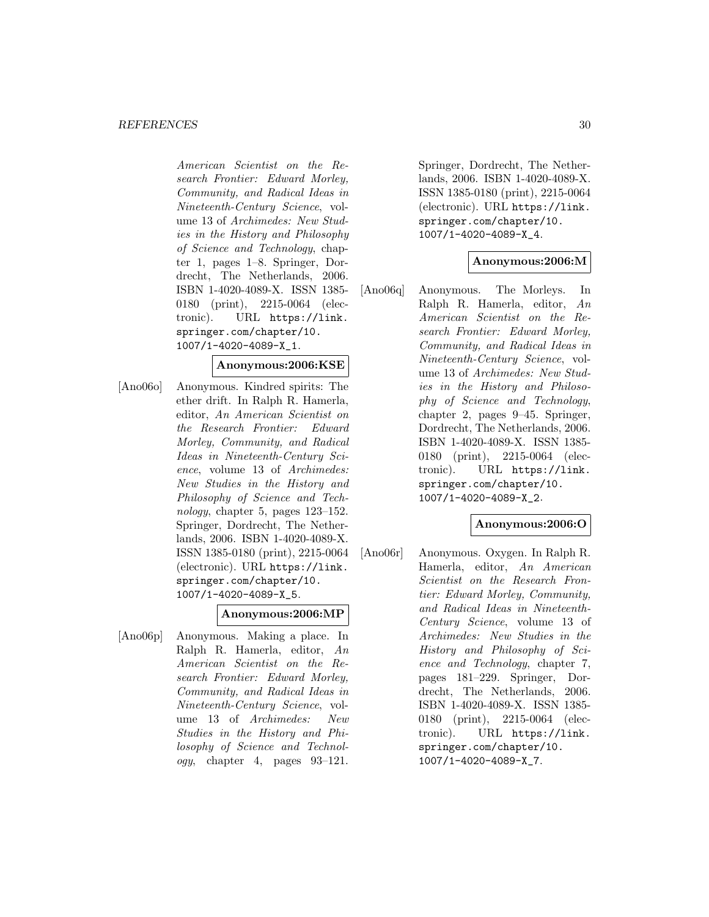#### *REFERENCES* 30

American Scientist on the Research Frontier: Edward Morley, Community, and Radical Ideas in Nineteenth-Century Science, volume 13 of Archimedes: New Studies in the History and Philosophy of Science and Technology, chapter 1, pages 1–8. Springer, Dordrecht, The Netherlands, 2006. ISBN 1-4020-4089-X. ISSN 1385- 0180 (print), 2215-0064 (electronic). URL https://link. springer.com/chapter/10. 1007/1-4020-4089-X\_1.

### **Anonymous:2006:KSE**

[Ano06o] Anonymous. Kindred spirits: The ether drift. In Ralph R. Hamerla, editor, An American Scientist on the Research Frontier: Edward Morley, Community, and Radical Ideas in Nineteenth-Century Science, volume 13 of Archimedes: New Studies in the History and Philosophy of Science and Technology, chapter 5, pages 123–152. Springer, Dordrecht, The Netherlands, 2006. ISBN 1-4020-4089-X. ISSN 1385-0180 (print), 2215-0064 (electronic). URL https://link. springer.com/chapter/10. 1007/1-4020-4089-X\_5.

# **Anonymous:2006:MP**

[Ano06p] Anonymous. Making a place. In Ralph R. Hamerla, editor, An American Scientist on the Research Frontier: Edward Morley, Community, and Radical Ideas in Nineteenth-Century Science, volume 13 of Archimedes: New Studies in the History and Philosophy of Science and Technol $oqy$ , chapter 4, pages  $93-121$ .

Springer, Dordrecht, The Netherlands, 2006. ISBN 1-4020-4089-X. ISSN 1385-0180 (print), 2215-0064 (electronic). URL https://link. springer.com/chapter/10. 1007/1-4020-4089-X\_4.

# **Anonymous:2006:M**

[Ano06q] Anonymous. The Morleys. In Ralph R. Hamerla, editor, An American Scientist on the Research Frontier: Edward Morley, Community, and Radical Ideas in Nineteenth-Century Science, volume 13 of Archimedes: New Studies in the History and Philosophy of Science and Technology, chapter 2, pages 9–45. Springer, Dordrecht, The Netherlands, 2006. ISBN 1-4020-4089-X. ISSN 1385- 0180 (print), 2215-0064 (electronic). URL https://link. springer.com/chapter/10. 1007/1-4020-4089-X\_2.

# **Anonymous:2006:O**

[Ano06r] Anonymous. Oxygen. In Ralph R. Hamerla, editor, An American Scientist on the Research Frontier: Edward Morley, Community, and Radical Ideas in Nineteenth-Century Science, volume 13 of Archimedes: New Studies in the History and Philosophy of Science and Technology, chapter 7, pages 181–229. Springer, Dordrecht, The Netherlands, 2006. ISBN 1-4020-4089-X. ISSN 1385- 0180 (print), 2215-0064 (electronic). URL https://link. springer.com/chapter/10. 1007/1-4020-4089-X\_7.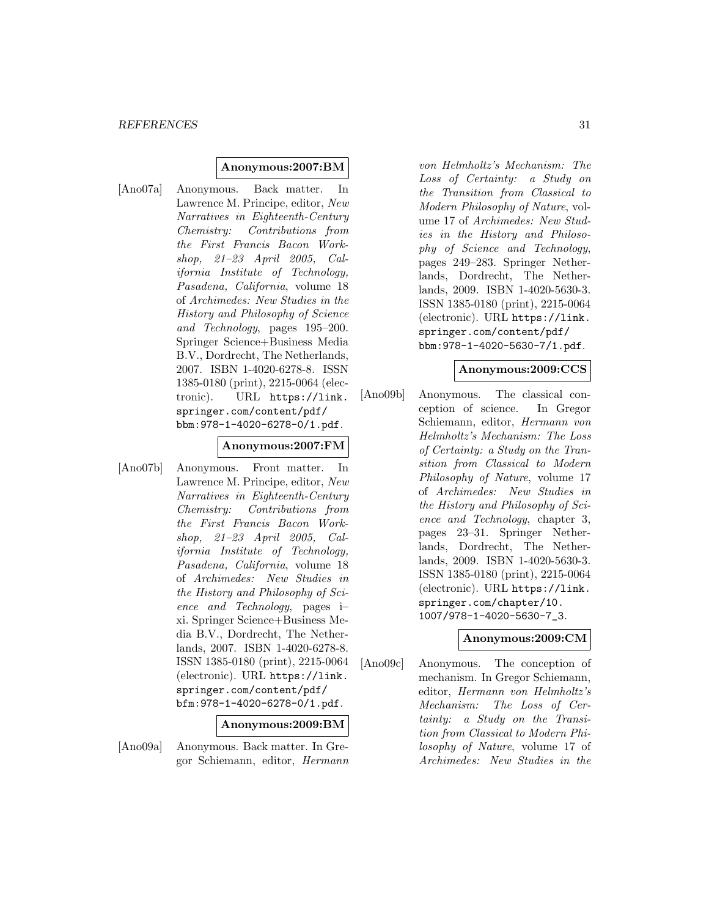### **Anonymous:2007:BM**

[Ano07a] Anonymous. Back matter. In Lawrence M. Principe, editor, New Narratives in Eighteenth-Century Chemistry: Contributions from the First Francis Bacon Workshop, 21–23 April 2005, California Institute of Technology, Pasadena, California, volume 18 of Archimedes: New Studies in the History and Philosophy of Science and Technology, pages 195–200. Springer Science+Business Media B.V., Dordrecht, The Netherlands, 2007. ISBN 1-4020-6278-8. ISSN 1385-0180 (print), 2215-0064 (electronic). URL https://link. springer.com/content/pdf/ bbm:978-1-4020-6278-0/1.pdf.

#### **Anonymous:2007:FM**

[Ano07b] Anonymous. Front matter. In Lawrence M. Principe, editor, New Narratives in Eighteenth-Century Chemistry: Contributions from the First Francis Bacon Workshop, 21–23 April 2005, California Institute of Technology, Pasadena, California, volume 18 of Archimedes: New Studies in the History and Philosophy of Science and Technology, pages i– xi. Springer Science+Business Media B.V., Dordrecht, The Netherlands, 2007. ISBN 1-4020-6278-8. ISSN 1385-0180 (print), 2215-0064 (electronic). URL https://link. springer.com/content/pdf/ bfm:978-1-4020-6278-0/1.pdf.

#### **Anonymous:2009:BM**

[Ano09a] Anonymous. Back matter. In Gregor Schiemann, editor, Hermann

von Helmholtz's Mechanism: The Loss of Certainty: a Study on the Transition from Classical to Modern Philosophy of Nature, volume 17 of Archimedes: New Studies in the History and Philosophy of Science and Technology, pages 249–283. Springer Netherlands, Dordrecht, The Netherlands, 2009. ISBN 1-4020-5630-3. ISSN 1385-0180 (print), 2215-0064 (electronic). URL https://link. springer.com/content/pdf/ bbm:978-1-4020-5630-7/1.pdf.

### **Anonymous:2009:CCS**

[Ano09b] Anonymous. The classical conception of science. In Gregor Schiemann, editor, Hermann von Helmholtz's Mechanism: The Loss of Certainty: a Study on the Transition from Classical to Modern Philosophy of Nature, volume 17 of Archimedes: New Studies in the History and Philosophy of Science and Technology, chapter 3, pages 23–31. Springer Netherlands, Dordrecht, The Netherlands, 2009. ISBN 1-4020-5630-3. ISSN 1385-0180 (print), 2215-0064 (electronic). URL https://link. springer.com/chapter/10. 1007/978-1-4020-5630-7\_3.

#### **Anonymous:2009:CM**

[Ano09c] Anonymous. The conception of mechanism. In Gregor Schiemann, editor, Hermann von Helmholtz's Mechanism: The Loss of Certainty: a Study on the Transition from Classical to Modern Philosophy of Nature, volume 17 of Archimedes: New Studies in the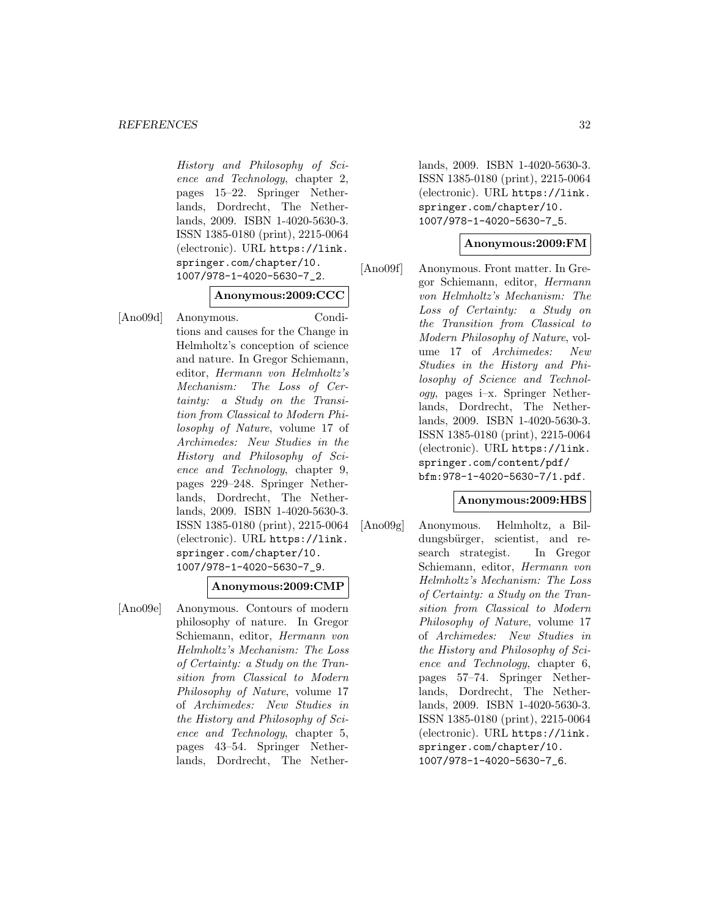History and Philosophy of Science and Technology, chapter 2, pages 15–22. Springer Netherlands, Dordrecht, The Netherlands, 2009. ISBN 1-4020-5630-3. ISSN 1385-0180 (print), 2215-0064 (electronic). URL https://link. springer.com/chapter/10. 1007/978-1-4020-5630-7\_2.

# **Anonymous:2009:CCC**

[Ano09d] Anonymous. Conditions and causes for the Change in Helmholtz's conception of science and nature. In Gregor Schiemann, editor, Hermann von Helmholtz's Mechanism: The Loss of Certainty: a Study on the Transition from Classical to Modern Philosophy of Nature, volume 17 of Archimedes: New Studies in the History and Philosophy of Science and Technology, chapter 9, pages 229–248. Springer Netherlands, Dordrecht, The Netherlands, 2009. ISBN 1-4020-5630-3. ISSN 1385-0180 (print), 2215-0064 (electronic). URL https://link. springer.com/chapter/10. 1007/978-1-4020-5630-7\_9.

# **Anonymous:2009:CMP**

[Ano09e] Anonymous. Contours of modern philosophy of nature. In Gregor Schiemann, editor, Hermann von Helmholtz's Mechanism: The Loss of Certainty: a Study on the Transition from Classical to Modern Philosophy of Nature, volume 17 of Archimedes: New Studies in the History and Philosophy of Science and Technology, chapter 5, pages 43–54. Springer Netherlands, Dordrecht, The Netherlands, 2009. ISBN 1-4020-5630-3. ISSN 1385-0180 (print), 2215-0064 (electronic). URL https://link. springer.com/chapter/10. 1007/978-1-4020-5630-7\_5.

# **Anonymous:2009:FM**

[Ano09f] Anonymous. Front matter. In Gregor Schiemann, editor, Hermann von Helmholtz's Mechanism: The Loss of Certainty: a Study on the Transition from Classical to Modern Philosophy of Nature, volume 17 of Archimedes: New Studies in the History and Philosophy of Science and Technology, pages i–x. Springer Netherlands, Dordrecht, The Netherlands, 2009. ISBN 1-4020-5630-3. ISSN 1385-0180 (print), 2215-0064 (electronic). URL https://link. springer.com/content/pdf/ bfm:978-1-4020-5630-7/1.pdf.

# **Anonymous:2009:HBS**

[Ano09g] Anonymous. Helmholtz, a Bildungsbürger, scientist, and research strategist. In Gregor Schiemann, editor, Hermann von Helmholtz's Mechanism: The Loss of Certainty: a Study on the Transition from Classical to Modern Philosophy of Nature, volume 17 of Archimedes: New Studies in the History and Philosophy of Science and Technology, chapter 6, pages 57–74. Springer Netherlands, Dordrecht, The Netherlands, 2009. ISBN 1-4020-5630-3. ISSN 1385-0180 (print), 2215-0064 (electronic). URL https://link. springer.com/chapter/10. 1007/978-1-4020-5630-7\_6.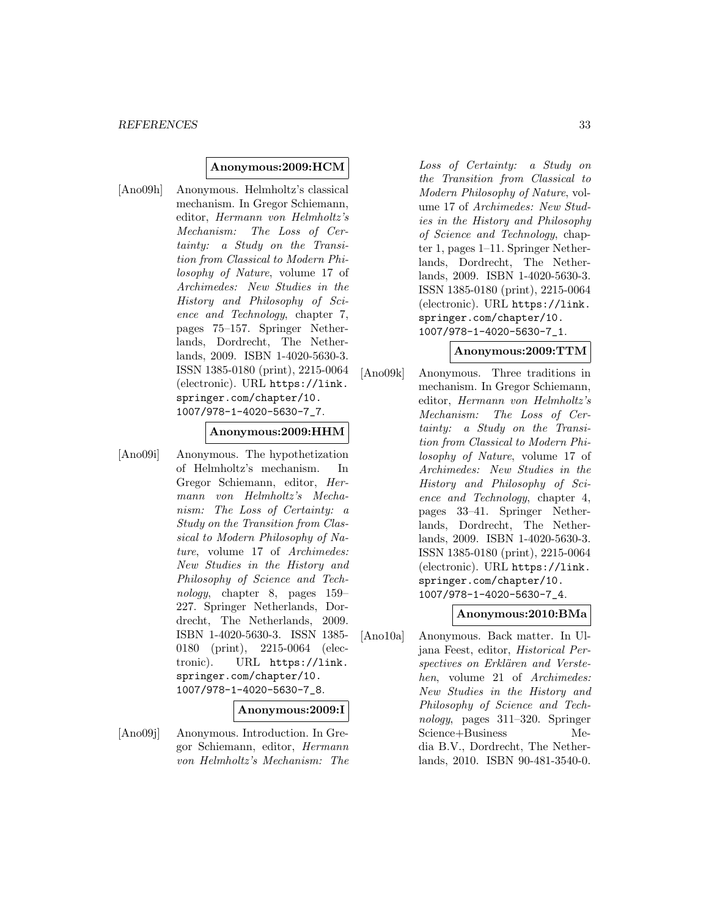### **Anonymous:2009:HCM**

[Ano09h] Anonymous. Helmholtz's classical mechanism. In Gregor Schiemann, editor, Hermann von Helmholtz's Mechanism: The Loss of Certainty: a Study on the Transition from Classical to Modern Philosophy of Nature, volume 17 of Archimedes: New Studies in the History and Philosophy of Science and Technology, chapter 7, pages 75–157. Springer Netherlands, Dordrecht, The Netherlands, 2009. ISBN 1-4020-5630-3. ISSN 1385-0180 (print), 2215-0064 (electronic). URL https://link. springer.com/chapter/10. 1007/978-1-4020-5630-7\_7.

### **Anonymous:2009:HHM**

[Ano09i] Anonymous. The hypothetization of Helmholtz's mechanism. In Gregor Schiemann, editor, Hermann von Helmholtz's Mechanism: The Loss of Certainty: a Study on the Transition from Classical to Modern Philosophy of Nature, volume 17 of Archimedes: New Studies in the History and Philosophy of Science and Technology, chapter 8, pages 159– 227. Springer Netherlands, Dordrecht, The Netherlands, 2009. ISBN 1-4020-5630-3. ISSN 1385- 0180 (print), 2215-0064 (electronic). URL https://link. springer.com/chapter/10. 1007/978-1-4020-5630-7\_8.

# **Anonymous:2009:I**

[Ano09j] Anonymous. Introduction. In Gregor Schiemann, editor, Hermann von Helmholtz's Mechanism: The

Loss of Certainty: a Study on the Transition from Classical to Modern Philosophy of Nature, volume 17 of Archimedes: New Studies in the History and Philosophy of Science and Technology, chapter 1, pages 1–11. Springer Netherlands, Dordrecht, The Netherlands, 2009. ISBN 1-4020-5630-3. ISSN 1385-0180 (print), 2215-0064 (electronic). URL https://link. springer.com/chapter/10. 1007/978-1-4020-5630-7\_1.

### **Anonymous:2009:TTM**

[Ano09k] Anonymous. Three traditions in mechanism. In Gregor Schiemann, editor, Hermann von Helmholtz's Mechanism: The Loss of Certainty: a Study on the Transition from Classical to Modern Philosophy of Nature, volume 17 of Archimedes: New Studies in the History and Philosophy of Science and Technology, chapter 4, pages 33–41. Springer Netherlands, Dordrecht, The Netherlands, 2009. ISBN 1-4020-5630-3. ISSN 1385-0180 (print), 2215-0064 (electronic). URL https://link. springer.com/chapter/10. 1007/978-1-4020-5630-7\_4.

# **Anonymous:2010:BMa**

[Ano10a] Anonymous. Back matter. In Uljana Feest, editor, Historical Perspectives on Erklären and Verstehen, volume 21 of Archimedes: New Studies in the History and Philosophy of Science and Technology, pages 311–320. Springer Science+Business Media B.V., Dordrecht, The Netherlands, 2010. ISBN 90-481-3540-0.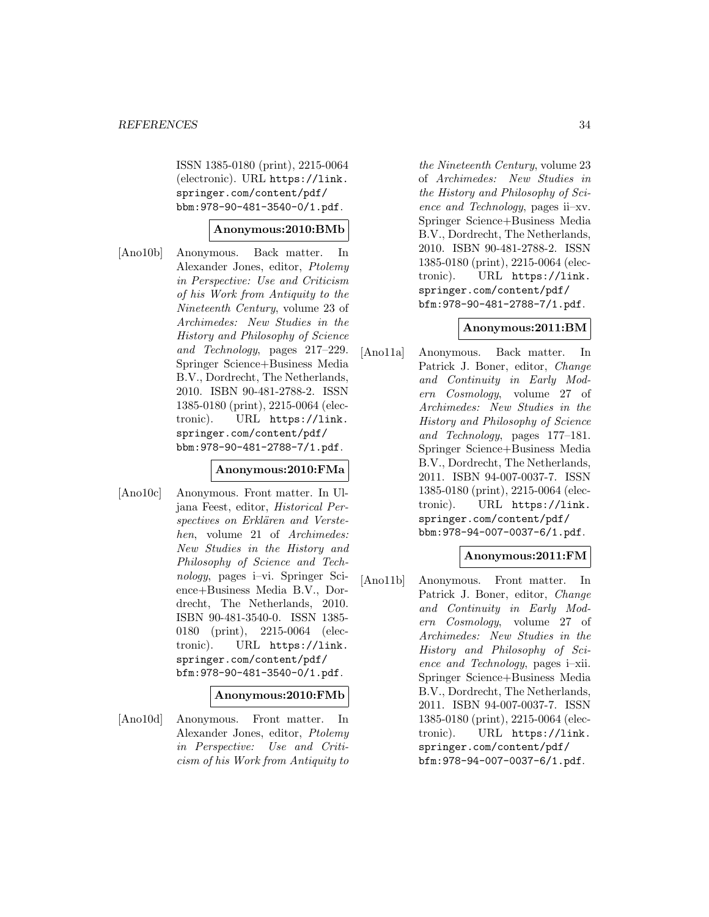ISSN 1385-0180 (print), 2215-0064 (electronic). URL https://link. springer.com/content/pdf/ bbm:978-90-481-3540-0/1.pdf.

# **Anonymous:2010:BMb**

[Ano10b] Anonymous. Back matter. In Alexander Jones, editor, Ptolemy in Perspective: Use and Criticism of his Work from Antiquity to the Nineteenth Century, volume 23 of Archimedes: New Studies in the History and Philosophy of Science and Technology, pages 217–229. Springer Science+Business Media B.V., Dordrecht, The Netherlands, 2010. ISBN 90-481-2788-2. ISSN 1385-0180 (print), 2215-0064 (electronic). URL https://link. springer.com/content/pdf/ bbm:978-90-481-2788-7/1.pdf.

# **Anonymous:2010:FMa**

[Ano10c] Anonymous. Front matter. In Uljana Feest, editor, Historical Perspectives on Erklären and Verstehen, volume 21 of Archimedes: New Studies in the History and Philosophy of Science and Technology, pages i–vi. Springer Science+Business Media B.V., Dordrecht, The Netherlands, 2010. ISBN 90-481-3540-0. ISSN 1385- 0180 (print), 2215-0064 (electronic). URL https://link. springer.com/content/pdf/ bfm:978-90-481-3540-0/1.pdf.

#### **Anonymous:2010:FMb**

[Ano10d] Anonymous. Front matter. In Alexander Jones, editor, Ptolemy in Perspective: Use and Criticism of his Work from Antiquity to

the Nineteenth Century, volume 23 of Archimedes: New Studies in the History and Philosophy of Science and Technology, pages ii–xv. Springer Science+Business Media B.V., Dordrecht, The Netherlands, 2010. ISBN 90-481-2788-2. ISSN 1385-0180 (print), 2215-0064 (electronic). URL https://link. springer.com/content/pdf/ bfm:978-90-481-2788-7/1.pdf.

# **Anonymous:2011:BM**

[Ano11a] Anonymous. Back matter. In Patrick J. Boner, editor, Change and Continuity in Early Modern Cosmology, volume 27 of Archimedes: New Studies in the History and Philosophy of Science and Technology, pages 177–181. Springer Science+Business Media B.V., Dordrecht, The Netherlands, 2011. ISBN 94-007-0037-7. ISSN 1385-0180 (print), 2215-0064 (electronic). URL https://link. springer.com/content/pdf/ bbm:978-94-007-0037-6/1.pdf.

# **Anonymous:2011:FM**

[Ano11b] Anonymous. Front matter. Patrick J. Boner, editor, Change and Continuity in Early Modern Cosmology, volume 27 of Archimedes: New Studies in the History and Philosophy of Science and Technology, pages i–xii. Springer Science+Business Media B.V., Dordrecht, The Netherlands, 2011. ISBN 94-007-0037-7. ISSN 1385-0180 (print), 2215-0064 (electronic). URL https://link. springer.com/content/pdf/ bfm:978-94-007-0037-6/1.pdf.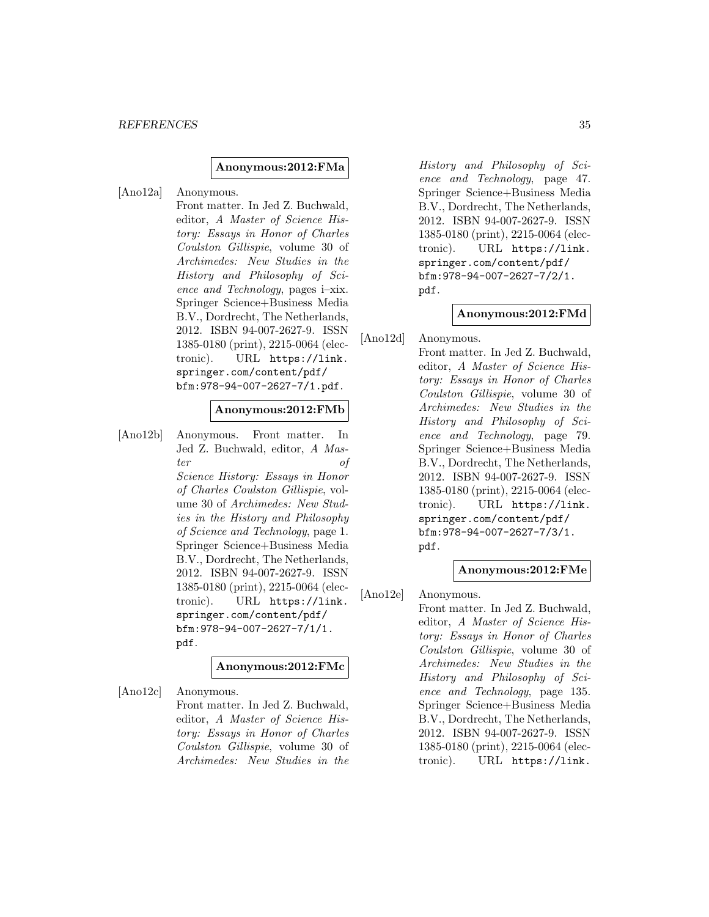#### **Anonymous:2012:FMa**

[Ano12a] Anonymous. Front matter. In Jed Z. Buchwald, editor, A Master of Science History: Essays in Honor of Charles Coulston Gillispie, volume 30 of Archimedes: New Studies in the History and Philosophy of Science and Technology, pages i–xix. Springer Science+Business Media B.V., Dordrecht, The Netherlands, 2012. ISBN 94-007-2627-9. ISSN 1385-0180 (print), 2215-0064 (electronic). URL https://link. springer.com/content/pdf/ bfm:978-94-007-2627-7/1.pdf.

### **Anonymous:2012:FMb**

[Ano12b] Anonymous. Front matter. In Jed Z. Buchwald, editor, A Master of Science History: Essays in Honor of Charles Coulston Gillispie, volume 30 of Archimedes: New Studies in the History and Philosophy of Science and Technology, page 1. Springer Science+Business Media B.V., Dordrecht, The Netherlands, 2012. ISBN 94-007-2627-9. ISSN 1385-0180 (print), 2215-0064 (electronic). URL https://link. springer.com/content/pdf/ bfm:978-94-007-2627-7/1/1. pdf.

# **Anonymous:2012:FMc**

[Ano12c] Anonymous. Front matter. In Jed Z. Buchwald, editor, A Master of Science History: Essays in Honor of Charles Coulston Gillispie, volume 30 of Archimedes: New Studies in the

History and Philosophy of Science and Technology, page 47. Springer Science+Business Media B.V., Dordrecht, The Netherlands, 2012. ISBN 94-007-2627-9. ISSN 1385-0180 (print), 2215-0064 (electronic). URL https://link. springer.com/content/pdf/ bfm:978-94-007-2627-7/2/1. pdf.

### **Anonymous:2012:FMd**

[Ano12d] Anonymous.

Front matter. In Jed Z. Buchwald, editor, A Master of Science History: Essays in Honor of Charles Coulston Gillispie, volume 30 of Archimedes: New Studies in the History and Philosophy of Science and Technology, page 79. Springer Science+Business Media B.V., Dordrecht, The Netherlands, 2012. ISBN 94-007-2627-9. ISSN 1385-0180 (print), 2215-0064 (electronic). URL https://link. springer.com/content/pdf/ bfm:978-94-007-2627-7/3/1. pdf.

### **Anonymous:2012:FMe**

[Ano12e] Anonymous. Front matter. In Jed Z. Buchwald, editor, A Master of Science History: Essays in Honor of Charles Coulston Gillispie, volume 30 of Archimedes: New Studies in the History and Philosophy of Science and Technology, page 135. Springer Science+Business Media B.V., Dordrecht, The Netherlands, 2012. ISBN 94-007-2627-9. ISSN 1385-0180 (print), 2215-0064 (electronic). URL https://link.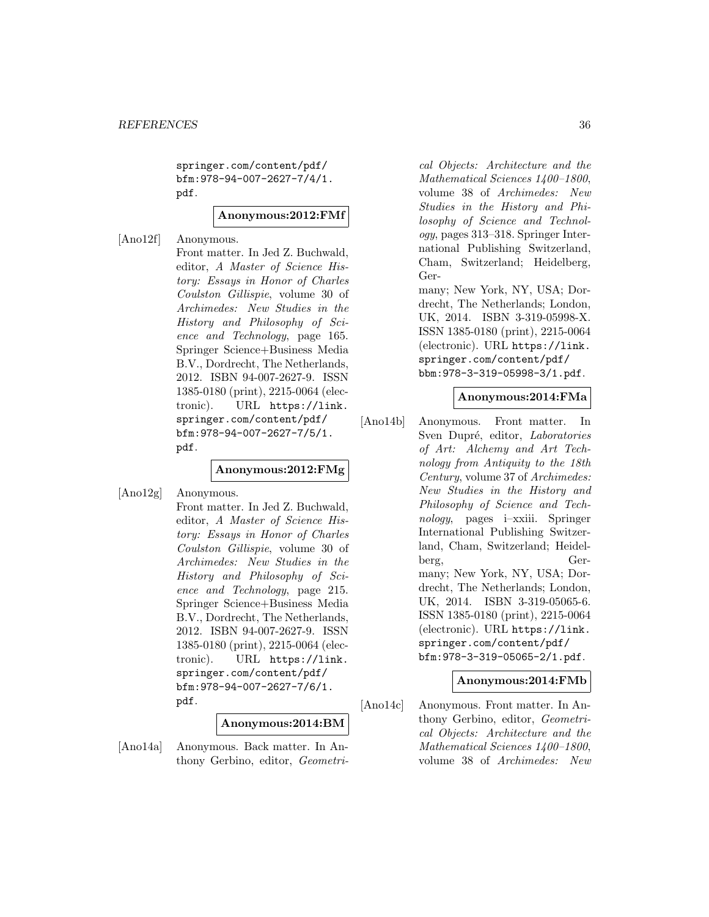springer.com/content/pdf/ bfm:978-94-007-2627-7/4/1. pdf.

**Anonymous:2012:FMf**

[Ano12f] Anonymous.

Front matter. In Jed Z. Buchwald, editor, A Master of Science History: Essays in Honor of Charles Coulston Gillispie, volume 30 of Archimedes: New Studies in the History and Philosophy of Science and Technology, page 165. Springer Science+Business Media B.V., Dordrecht, The Netherlands, 2012. ISBN 94-007-2627-9. ISSN 1385-0180 (print), 2215-0064 (electronic). URL https://link. springer.com/content/pdf/ bfm:978-94-007-2627-7/5/1. pdf.

# **Anonymous:2012:FMg**

[Ano12g] Anonymous. Front matter. In Jed Z. Buchwald, editor, A Master of Science History: Essays in Honor of Charles Coulston Gillispie, volume 30 of Archimedes: New Studies in the History and Philosophy of Science and Technology, page 215. Springer Science+Business Media B.V., Dordrecht, The Netherlands, 2012. ISBN 94-007-2627-9. ISSN 1385-0180 (print), 2215-0064 (electronic). URL https://link. springer.com/content/pdf/ bfm:978-94-007-2627-7/6/1. pdf.

#### **Anonymous:2014:BM**

[Ano14a] Anonymous. Back matter. In Anthony Gerbino, editor, Geometri-

cal Objects: Architecture and the Mathematical Sciences 1400–1800, volume 38 of Archimedes: New Studies in the History and Philosophy of Science and Technology, pages 313–318. Springer International Publishing Switzerland, Cham, Switzerland; Heidelberg, Ger-

many; New York, NY, USA; Dordrecht, The Netherlands; London, UK, 2014. ISBN 3-319-05998-X. ISSN 1385-0180 (print), 2215-0064 (electronic). URL https://link. springer.com/content/pdf/ bbm:978-3-319-05998-3/1.pdf.

# **Anonymous:2014:FMa**

[Ano14b] Anonymous. Front matter. In Sven Dupré, editor, Laboratories of Art: Alchemy and Art Technology from Antiquity to the 18th Century, volume 37 of Archimedes: New Studies in the History and Philosophy of Science and Technology, pages i–xxiii. Springer International Publishing Switzerland, Cham, Switzerland; Heidelberg, Germany; New York, NY, USA; Dordrecht, The Netherlands; London, UK, 2014. ISBN 3-319-05065-6. ISSN 1385-0180 (print), 2215-0064 (electronic). URL https://link. springer.com/content/pdf/ bfm:978-3-319-05065-2/1.pdf.

# **Anonymous:2014:FMb**

[Ano14c] Anonymous. Front matter. In Anthony Gerbino, editor, Geometrical Objects: Architecture and the Mathematical Sciences 1400–1800, volume 38 of Archimedes: New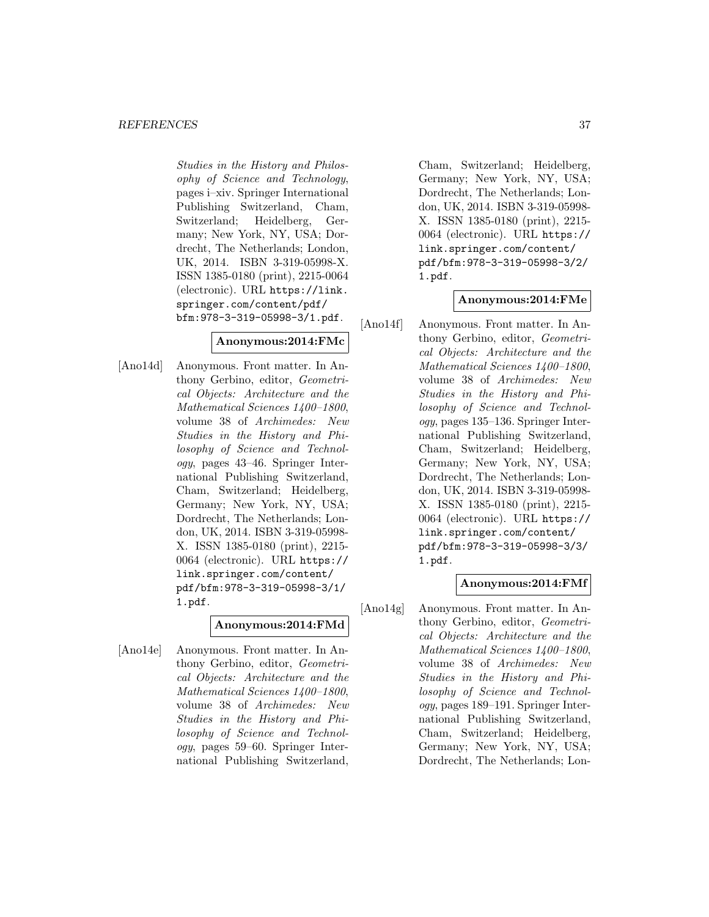#### *REFERENCES* 37

Studies in the History and Philosophy of Science and Technology, pages i–xiv. Springer International Publishing Switzerland, Cham, Switzerland; Heidelberg, Germany; New York, NY, USA; Dordrecht, The Netherlands; London, UK, 2014. ISBN 3-319-05998-X. ISSN 1385-0180 (print), 2215-0064 (electronic). URL https://link. springer.com/content/pdf/ bfm:978-3-319-05998-3/1.pdf.

### **Anonymous:2014:FMc**

[Ano14d] Anonymous. Front matter. In Anthony Gerbino, editor, Geometrical Objects: Architecture and the Mathematical Sciences 1400–1800, volume 38 of Archimedes: New Studies in the History and Philosophy of Science and Technology, pages 43–46. Springer International Publishing Switzerland, Cham, Switzerland; Heidelberg, Germany; New York, NY, USA; Dordrecht, The Netherlands; London, UK, 2014. ISBN 3-319-05998- X. ISSN 1385-0180 (print), 2215- 0064 (electronic). URL https:// link.springer.com/content/ pdf/bfm:978-3-319-05998-3/1/ 1.pdf.

### **Anonymous:2014:FMd**

[Ano14e] Anonymous. Front matter. In Anthony Gerbino, editor, Geometrical Objects: Architecture and the Mathematical Sciences 1400–1800, volume 38 of Archimedes: New Studies in the History and Philosophy of Science and Technology, pages 59–60. Springer International Publishing Switzerland,

Cham, Switzerland; Heidelberg, Germany; New York, NY, USA; Dordrecht, The Netherlands; London, UK, 2014. ISBN 3-319-05998- X. ISSN 1385-0180 (print), 2215- 0064 (electronic). URL https:// link.springer.com/content/ pdf/bfm:978-3-319-05998-3/2/ 1.pdf.

### **Anonymous:2014:FMe**

[Ano14f] Anonymous. Front matter. In Anthony Gerbino, editor, Geometrical Objects: Architecture and the Mathematical Sciences 1400–1800, volume 38 of Archimedes: New Studies in the History and Philosophy of Science and Technology, pages 135–136. Springer International Publishing Switzerland, Cham, Switzerland; Heidelberg, Germany; New York, NY, USA; Dordrecht, The Netherlands; London, UK, 2014. ISBN 3-319-05998- X. ISSN 1385-0180 (print), 2215- 0064 (electronic). URL https:// link.springer.com/content/ pdf/bfm:978-3-319-05998-3/3/ 1.pdf.

### **Anonymous:2014:FMf**

[Ano14g] Anonymous. Front matter. In Anthony Gerbino, editor, Geometrical Objects: Architecture and the Mathematical Sciences 1400–1800, volume 38 of Archimedes: New Studies in the History and Philosophy of Science and Technology, pages 189–191. Springer International Publishing Switzerland, Cham, Switzerland; Heidelberg, Germany; New York, NY, USA; Dordrecht, The Netherlands; Lon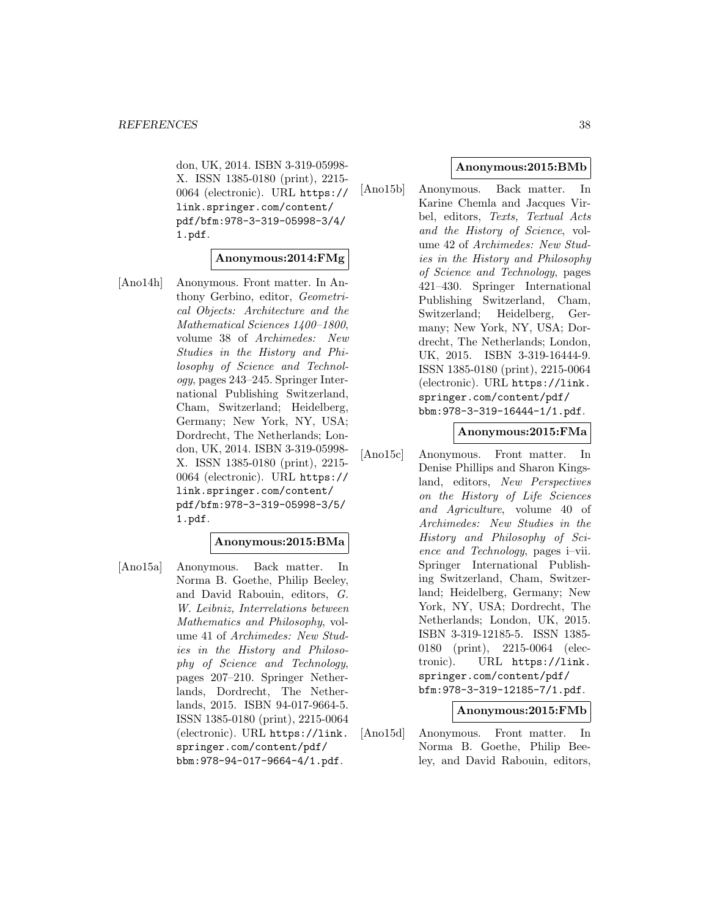don, UK, 2014. ISBN 3-319-05998- X. ISSN 1385-0180 (print), 2215- 0064 (electronic). URL https:// link.springer.com/content/ pdf/bfm:978-3-319-05998-3/4/ 1.pdf.

### **Anonymous:2014:FMg**

[Ano14h] Anonymous. Front matter. In Anthony Gerbino, editor, Geometrical Objects: Architecture and the Mathematical Sciences 1400–1800, volume 38 of Archimedes: New Studies in the History and Philosophy of Science and Technology, pages 243–245. Springer International Publishing Switzerland, Cham, Switzerland; Heidelberg, Germany; New York, NY, USA; Dordrecht, The Netherlands; London, UK, 2014. ISBN 3-319-05998- X. ISSN 1385-0180 (print), 2215- 0064 (electronic). URL https:// link.springer.com/content/ pdf/bfm:978-3-319-05998-3/5/ 1.pdf.

### **Anonymous:2015:BMa**

[Ano15a] Anonymous. Back matter. In Norma B. Goethe, Philip Beeley, and David Rabouin, editors, G. W. Leibniz, Interrelations between Mathematics and Philosophy, volume 41 of Archimedes: New Studies in the History and Philosophy of Science and Technology, pages 207–210. Springer Netherlands, Dordrecht, The Netherlands, 2015. ISBN 94-017-9664-5. ISSN 1385-0180 (print), 2215-0064 (electronic). URL https://link. springer.com/content/pdf/ bbm:978-94-017-9664-4/1.pdf.

### **Anonymous:2015:BMb**

[Ano15b] Anonymous. Back matter. In Karine Chemla and Jacques Virbel, editors, Texts, Textual Acts and the History of Science, volume 42 of Archimedes: New Studies in the History and Philosophy of Science and Technology, pages 421–430. Springer International Publishing Switzerland, Cham, Switzerland; Heidelberg, Germany; New York, NY, USA; Dordrecht, The Netherlands; London, UK, 2015. ISBN 3-319-16444-9. ISSN 1385-0180 (print), 2215-0064 (electronic). URL https://link. springer.com/content/pdf/ bbm:978-3-319-16444-1/1.pdf.

#### **Anonymous:2015:FMa**

[Ano15c] Anonymous. Front matter. In Denise Phillips and Sharon Kingsland, editors, New Perspectives on the History of Life Sciences and Agriculture, volume 40 of Archimedes: New Studies in the History and Philosophy of Science and Technology, pages i–vii. Springer International Publishing Switzerland, Cham, Switzerland; Heidelberg, Germany; New York, NY, USA; Dordrecht, The Netherlands; London, UK, 2015. ISBN 3-319-12185-5. ISSN 1385- 0180 (print), 2215-0064 (electronic). URL https://link. springer.com/content/pdf/ bfm:978-3-319-12185-7/1.pdf.

### **Anonymous:2015:FMb**

[Ano15d] Anonymous. Front matter. In Norma B. Goethe, Philip Beeley, and David Rabouin, editors,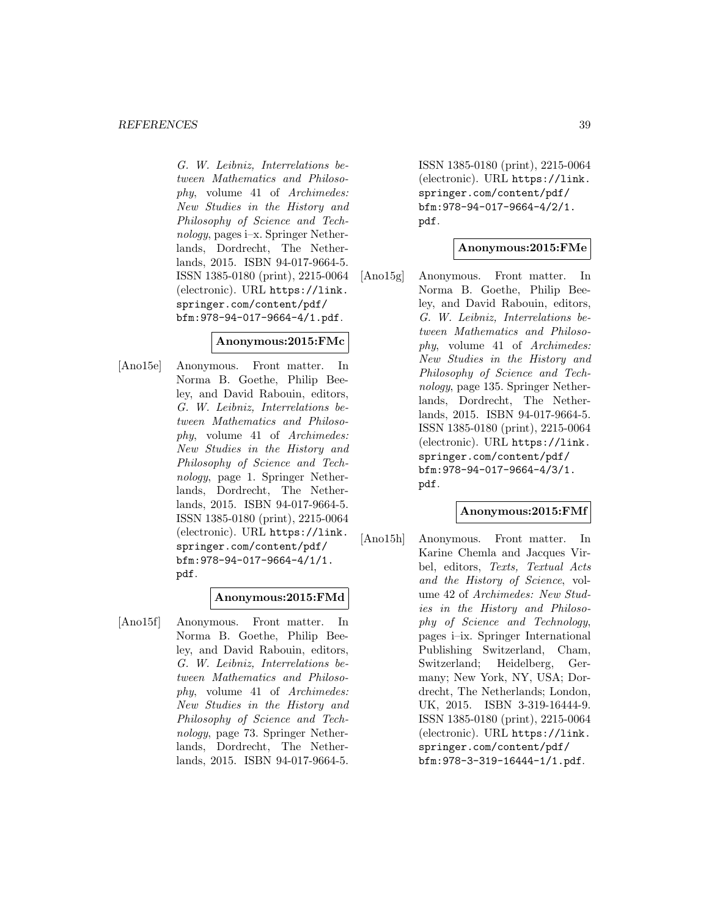G. W. Leibniz, Interrelations between Mathematics and Philosophy, volume 41 of Archimedes: New Studies in the History and Philosophy of Science and Technology, pages i–x. Springer Netherlands, Dordrecht, The Netherlands, 2015. ISBN 94-017-9664-5. ISSN 1385-0180 (print), 2215-0064 (electronic). URL https://link. springer.com/content/pdf/ bfm:978-94-017-9664-4/1.pdf.

#### **Anonymous:2015:FMc**

[Ano15e] Anonymous. Front matter. In Norma B. Goethe, Philip Beeley, and David Rabouin, editors, G. W. Leibniz, Interrelations between Mathematics and Philosophy, volume 41 of Archimedes: New Studies in the History and Philosophy of Science and Technology, page 1. Springer Netherlands, Dordrecht, The Netherlands, 2015. ISBN 94-017-9664-5. ISSN 1385-0180 (print), 2215-0064 (electronic). URL https://link. springer.com/content/pdf/ bfm:978-94-017-9664-4/1/1. pdf.

#### **Anonymous:2015:FMd**

[Ano15f] Anonymous. Front matter. In Norma B. Goethe, Philip Beeley, and David Rabouin, editors, G. W. Leibniz, Interrelations between Mathematics and Philosophy, volume 41 of Archimedes: New Studies in the History and Philosophy of Science and Technology, page 73. Springer Netherlands, Dordrecht, The Netherlands, 2015. ISBN 94-017-9664-5.

ISSN 1385-0180 (print), 2215-0064 (electronic). URL https://link. springer.com/content/pdf/ bfm:978-94-017-9664-4/2/1. pdf.

#### **Anonymous:2015:FMe**

[Ano15g] Anonymous. Front matter. In Norma B. Goethe, Philip Beeley, and David Rabouin, editors, G. W. Leibniz, Interrelations between Mathematics and Philosophy, volume 41 of Archimedes: New Studies in the History and Philosophy of Science and Technology, page 135. Springer Netherlands, Dordrecht, The Netherlands, 2015. ISBN 94-017-9664-5. ISSN 1385-0180 (print), 2215-0064 (electronic). URL https://link. springer.com/content/pdf/ bfm:978-94-017-9664-4/3/1. pdf.

### **Anonymous:2015:FMf**

[Ano15h] Anonymous. Front matter. In Karine Chemla and Jacques Virbel, editors, Texts, Textual Acts and the History of Science, volume 42 of Archimedes: New Studies in the History and Philosophy of Science and Technology, pages i–ix. Springer International Publishing Switzerland, Cham, Switzerland; Heidelberg, Germany; New York, NY, USA; Dordrecht, The Netherlands; London, UK, 2015. ISBN 3-319-16444-9. ISSN 1385-0180 (print), 2215-0064 (electronic). URL https://link. springer.com/content/pdf/ bfm:978-3-319-16444-1/1.pdf.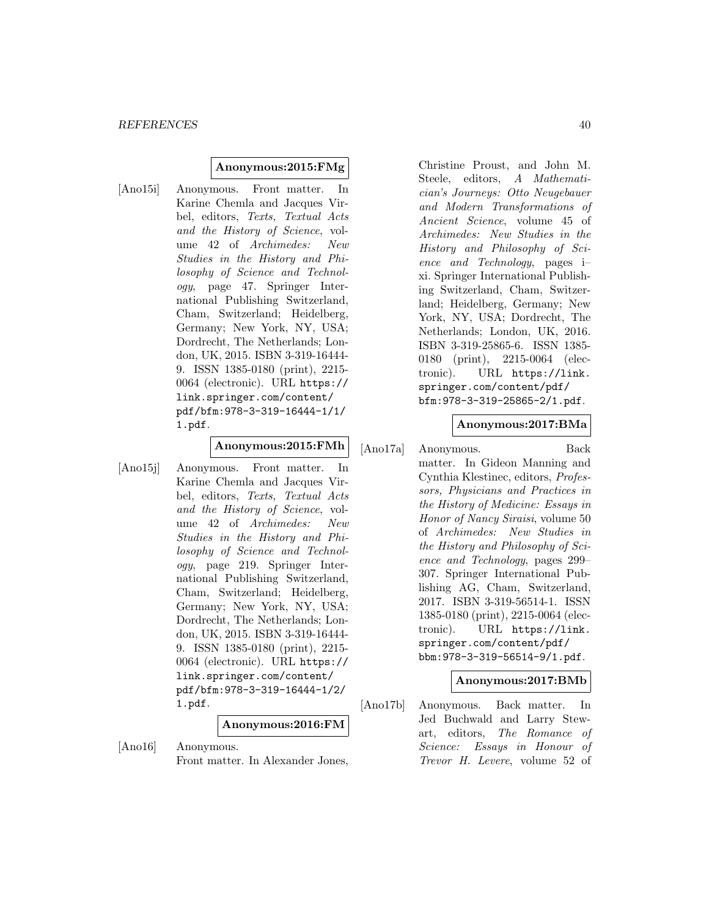### **Anonymous:2015:FMg**

[Ano15i] Anonymous. Front matter. In Karine Chemla and Jacques Virbel, editors, Texts, Textual Acts and the History of Science, volume 42 of Archimedes: New Studies in the History and Philosophy of Science and Technology, page 47. Springer International Publishing Switzerland, Cham, Switzerland; Heidelberg, Germany; New York, NY, USA; Dordrecht, The Netherlands; London, UK, 2015. ISBN 3-319-16444- 9. ISSN 1385-0180 (print), 2215- 0064 (electronic). URL https:// link.springer.com/content/ pdf/bfm:978-3-319-16444-1/1/ 1.pdf.

# **Anonymous:2015:FMh**

[Ano15j] Anonymous. Front matter. In Karine Chemla and Jacques Virbel, editors, Texts, Textual Acts and the History of Science, volume 42 of Archimedes: New Studies in the History and Philosophy of Science and Technology, page 219. Springer International Publishing Switzerland, Cham, Switzerland; Heidelberg, Germany; New York, NY, USA; Dordrecht, The Netherlands; London, UK, 2015. ISBN 3-319-16444- 9. ISSN 1385-0180 (print), 2215- 0064 (electronic). URL https:// link.springer.com/content/ pdf/bfm:978-3-319-16444-1/2/ 1.pdf.

**Anonymous:2016:FM**

[Ano16] Anonymous. Front matter. In Alexander Jones, Christine Proust, and John M. Steele, editors, A Mathematician's Journeys: Otto Neugebauer and Modern Transformations of Ancient Science, volume 45 of Archimedes: New Studies in the History and Philosophy of Science and Technology, pages i– xi. Springer International Publishing Switzerland, Cham, Switzerland; Heidelberg, Germany; New York, NY, USA; Dordrecht, The Netherlands; London, UK, 2016. ISBN 3-319-25865-6. ISSN 1385- 0180 (print), 2215-0064 (electronic). URL https://link. springer.com/content/pdf/ bfm:978-3-319-25865-2/1.pdf.

#### **Anonymous:2017:BMa**

[Ano17a] Anonymous. Back matter. In Gideon Manning and Cynthia Klestinec, editors, Professors, Physicians and Practices in the History of Medicine: Essays in Honor of Nancy Siraisi, volume 50 of Archimedes: New Studies in the History and Philosophy of Science and Technology, pages 299– 307. Springer International Publishing AG, Cham, Switzerland, 2017. ISBN 3-319-56514-1. ISSN 1385-0180 (print), 2215-0064 (electronic). URL https://link. springer.com/content/pdf/ bbm:978-3-319-56514-9/1.pdf.

#### **Anonymous:2017:BMb**

[Ano17b] Anonymous. Back matter. In Jed Buchwald and Larry Stewart, editors, The Romance of Science: Essays in Honour of Trevor H. Levere, volume 52 of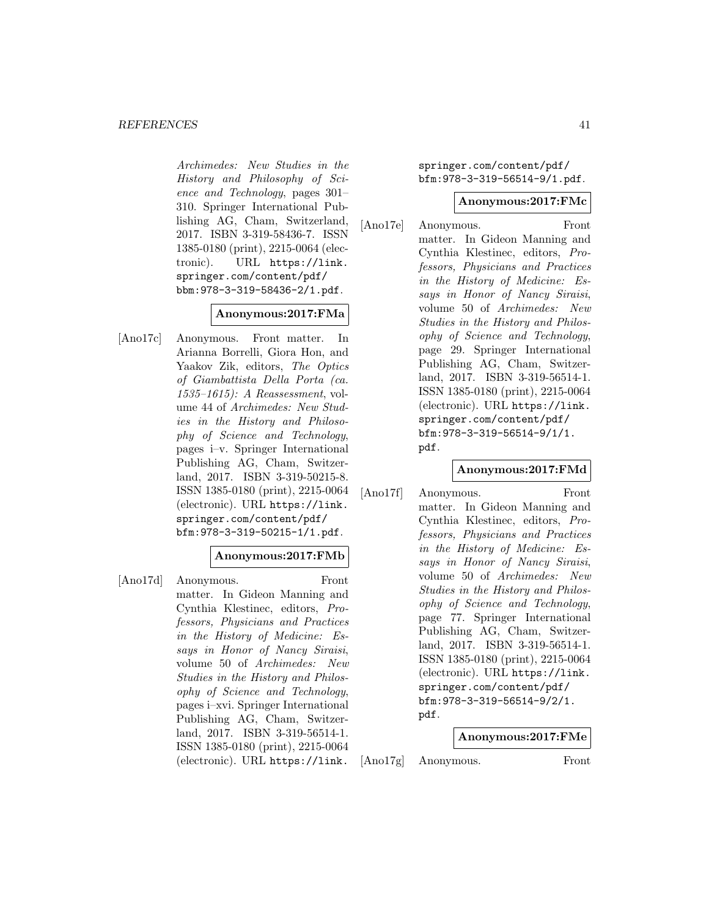Archimedes: New Studies in the History and Philosophy of Science and Technology, pages 301– 310. Springer International Publishing AG, Cham, Switzerland, 2017. ISBN 3-319-58436-7. ISSN 1385-0180 (print), 2215-0064 (electronic). URL https://link. springer.com/content/pdf/ bbm:978-3-319-58436-2/1.pdf.

### **Anonymous:2017:FMa**

[Ano17c] Anonymous. Front matter. In Arianna Borrelli, Giora Hon, and Yaakov Zik, editors, The Optics of Giambattista Della Porta (ca. 1535–1615): A Reassessment, volume 44 of Archimedes: New Studies in the History and Philosophy of Science and Technology, pages i–v. Springer International Publishing AG, Cham, Switzerland, 2017. ISBN 3-319-50215-8. ISSN 1385-0180 (print), 2215-0064 (electronic). URL https://link. springer.com/content/pdf/ bfm:978-3-319-50215-1/1.pdf.

### **Anonymous:2017:FMb**

[Ano17d] Anonymous. Front matter. In Gideon Manning and Cynthia Klestinec, editors, Professors, Physicians and Practices in the History of Medicine: Essays in Honor of Nancy Siraisi, volume 50 of Archimedes: New Studies in the History and Philosophy of Science and Technology, pages i–xvi. Springer International Publishing AG, Cham, Switzerland, 2017. ISBN 3-319-56514-1. ISSN 1385-0180 (print), 2215-0064 (electronic). URL https://link.

springer.com/content/pdf/ bfm:978-3-319-56514-9/1.pdf.

#### **Anonymous:2017:FMc**

[Ano17e] Anonymous. Front matter. In Gideon Manning and Cynthia Klestinec, editors, Professors, Physicians and Practices in the History of Medicine: Essays in Honor of Nancy Siraisi, volume 50 of Archimedes: New Studies in the History and Philosophy of Science and Technology, page 29. Springer International Publishing AG, Cham, Switzerland, 2017. ISBN 3-319-56514-1. ISSN 1385-0180 (print), 2215-0064 (electronic). URL https://link. springer.com/content/pdf/ bfm:978-3-319-56514-9/1/1. pdf.

### **Anonymous:2017:FMd**

[Ano17f] Anonymous. Front matter. In Gideon Manning and Cynthia Klestinec, editors, Professors, Physicians and Practices in the History of Medicine: Essays in Honor of Nancy Siraisi, volume 50 of Archimedes: New Studies in the History and Philosophy of Science and Technology, page 77. Springer International Publishing AG, Cham, Switzerland, 2017. ISBN 3-319-56514-1. ISSN 1385-0180 (print), 2215-0064 (electronic). URL https://link. springer.com/content/pdf/ bfm:978-3-319-56514-9/2/1. pdf.

### **Anonymous:2017:FMe**

[Ano17g] Anonymous. Front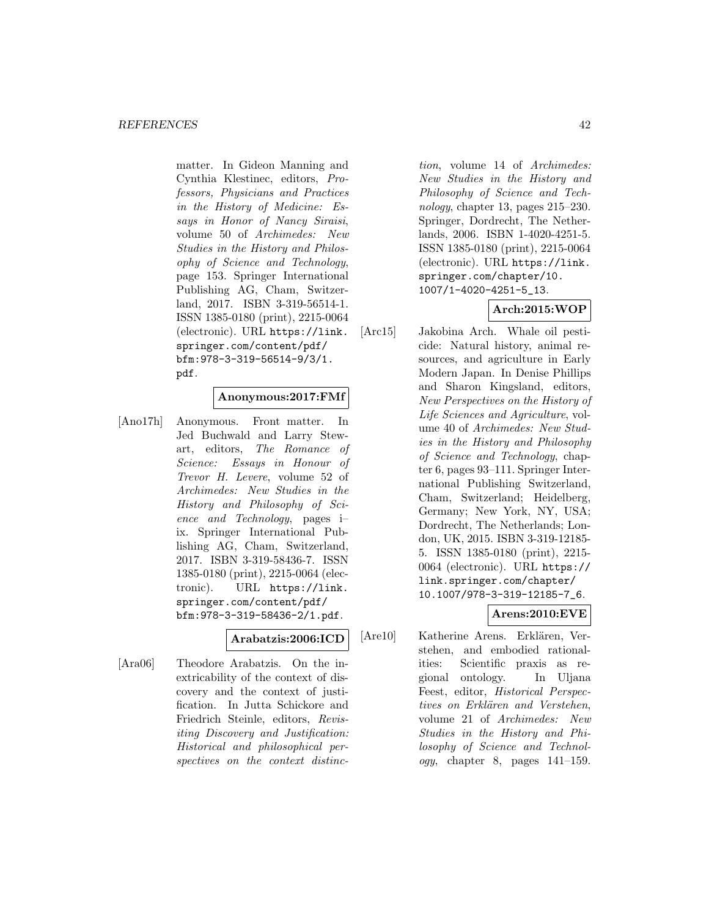matter. In Gideon Manning and Cynthia Klestinec, editors, Professors, Physicians and Practices in the History of Medicine: Essays in Honor of Nancy Siraisi, volume 50 of Archimedes: New Studies in the History and Philosophy of Science and Technology, page 153. Springer International Publishing AG, Cham, Switzerland, 2017. ISBN 3-319-56514-1. ISSN 1385-0180 (print), 2215-0064 (electronic). URL https://link. springer.com/content/pdf/ bfm:978-3-319-56514-9/3/1. pdf.

### **Anonymous:2017:FMf**

[Ano17h] Anonymous. Front matter. In Jed Buchwald and Larry Stewart, editors, The Romance of Science: Essays in Honour of Trevor H. Levere, volume 52 of Archimedes: New Studies in the History and Philosophy of Science and Technology, pages i– ix. Springer International Publishing AG, Cham, Switzerland, 2017. ISBN 3-319-58436-7. ISSN 1385-0180 (print), 2215-0064 (electronic). URL https://link. springer.com/content/pdf/ bfm:978-3-319-58436-2/1.pdf.

### **Arabatzis:2006:ICD**

[Ara06] Theodore Arabatzis. On the inextricability of the context of discovery and the context of justification. In Jutta Schickore and Friedrich Steinle, editors, Revisiting Discovery and Justification: Historical and philosophical perspectives on the context distinc-

tion, volume 14 of Archimedes: New Studies in the History and Philosophy of Science and Technology, chapter 13, pages 215–230. Springer, Dordrecht, The Netherlands, 2006. ISBN 1-4020-4251-5. ISSN 1385-0180 (print), 2215-0064 (electronic). URL https://link. springer.com/chapter/10. 1007/1-4020-4251-5\_13.

# **Arch:2015:WOP**

[Arc15] Jakobina Arch. Whale oil pesticide: Natural history, animal resources, and agriculture in Early Modern Japan. In Denise Phillips and Sharon Kingsland, editors, New Perspectives on the History of Life Sciences and Agriculture, volume 40 of Archimedes: New Studies in the History and Philosophy of Science and Technology, chapter 6, pages 93–111. Springer International Publishing Switzerland, Cham, Switzerland; Heidelberg, Germany; New York, NY, USA; Dordrecht, The Netherlands; London, UK, 2015. ISBN 3-319-12185- 5. ISSN 1385-0180 (print), 2215- 0064 (electronic). URL https:// link.springer.com/chapter/ 10.1007/978-3-319-12185-7\_6.

# **Arens:2010:EVE**

[Are10] Katherine Arens. Erklären, Verstehen, and embodied rationalities: Scientific praxis as regional ontology. In Uljana Feest, editor, Historical Perspectives on Erklären and Verstehen, volume 21 of Archimedes: New Studies in the History and Philosophy of Science and Technol*ogy*, chapter 8, pages  $141-159$ .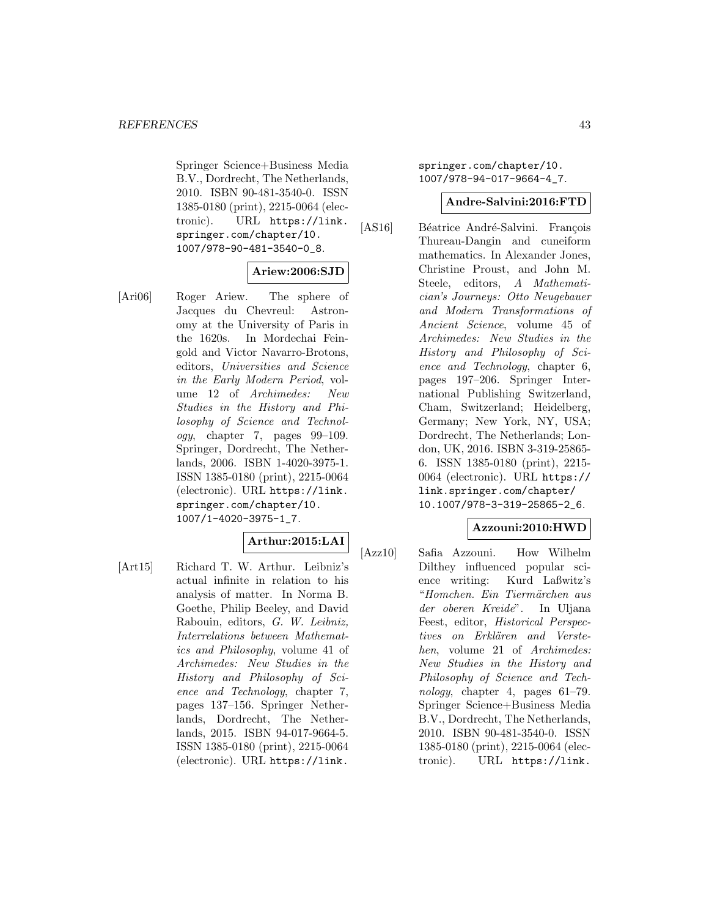Springer Science+Business Media B.V., Dordrecht, The Netherlands, 2010. ISBN 90-481-3540-0. ISSN 1385-0180 (print), 2215-0064 (electronic). URL https://link. springer.com/chapter/10. 1007/978-90-481-3540-0\_8.

### **Ariew:2006:SJD**

[Ari06] Roger Ariew. The sphere of Jacques du Chevreul: Astronomy at the University of Paris in the 1620s. In Mordechai Feingold and Victor Navarro-Brotons, editors, Universities and Science in the Early Modern Period, volume 12 of Archimedes: New Studies in the History and Philosophy of Science and Technology, chapter 7, pages 99–109. Springer, Dordrecht, The Netherlands, 2006. ISBN 1-4020-3975-1. ISSN 1385-0180 (print), 2215-0064 (electronic). URL https://link. springer.com/chapter/10. 1007/1-4020-3975-1\_7.

### **Arthur:2015:LAI**

[Art15] Richard T. W. Arthur. Leibniz's actual infinite in relation to his analysis of matter. In Norma B. Goethe, Philip Beeley, and David Rabouin, editors, G. W. Leibniz, Interrelations between Mathematics and Philosophy, volume 41 of Archimedes: New Studies in the History and Philosophy of Science and Technology, chapter 7, pages 137–156. Springer Netherlands, Dordrecht, The Netherlands, 2015. ISBN 94-017-9664-5. ISSN 1385-0180 (print), 2215-0064 (electronic). URL https://link.

springer.com/chapter/10. 1007/978-94-017-9664-4\_7.

#### **Andre-Salvini:2016:FTD**

[AS16] Béatrice André-Salvini. François Thureau-Dangin and cuneiform mathematics. In Alexander Jones, Christine Proust, and John M. Steele, editors, A Mathematician's Journeys: Otto Neugebauer and Modern Transformations of Ancient Science, volume 45 of Archimedes: New Studies in the History and Philosophy of Science and Technology, chapter 6, pages 197–206. Springer International Publishing Switzerland, Cham, Switzerland; Heidelberg, Germany; New York, NY, USA; Dordrecht, The Netherlands; London, UK, 2016. ISBN 3-319-25865- 6. ISSN 1385-0180 (print), 2215- 0064 (electronic). URL https:// link.springer.com/chapter/ 10.1007/978-3-319-25865-2\_6.

### **Azzouni:2010:HWD**

[Azz10] Safia Azzouni. How Wilhelm Dilthey influenced popular science writing: Kurd Laßwitz's "Homchen. Ein Tiermärchen aus der oberen Kreide". In Uljana Feest, editor, Historical Perspectives on Erklären and Verstehen, volume 21 of Archimedes: New Studies in the History and Philosophy of Science and Technology, chapter 4, pages 61–79. Springer Science+Business Media B.V., Dordrecht, The Netherlands, 2010. ISBN 90-481-3540-0. ISSN 1385-0180 (print), 2215-0064 (electronic). URL https://link.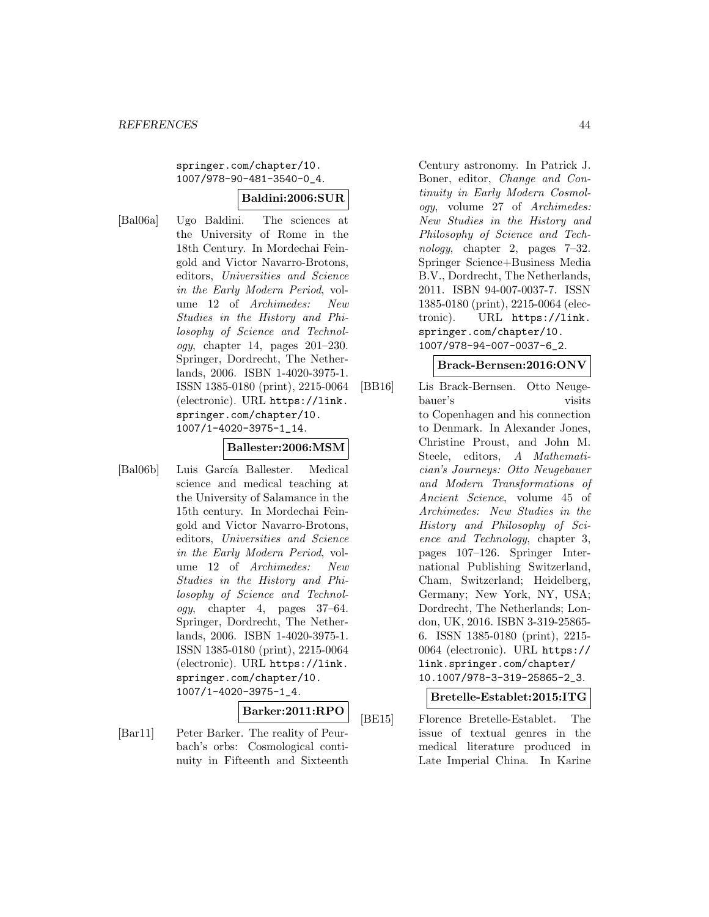### springer.com/chapter/10. 1007/978-90-481-3540-0\_4.

### **Baldini:2006:SUR**

[Bal06a] Ugo Baldini. The sciences at the University of Rome in the 18th Century. In Mordechai Feingold and Victor Navarro-Brotons, editors, Universities and Science in the Early Modern Period, volume 12 of Archimedes: New Studies in the History and Philosophy of Science and Technol $oqy$ , chapter 14, pages 201–230. Springer, Dordrecht, The Netherlands, 2006. ISBN 1-4020-3975-1. ISSN 1385-0180 (print), 2215-0064 (electronic). URL https://link. springer.com/chapter/10. 1007/1-4020-3975-1\_14.

#### **Ballester:2006:MSM**

[Bal06b] Luis García Ballester. Medical science and medical teaching at the University of Salamance in the 15th century. In Mordechai Feingold and Victor Navarro-Brotons, editors, Universities and Science in the Early Modern Period, volume 12 of Archimedes: New Studies in the History and Philosophy of Science and Technology, chapter 4, pages 37–64. Springer, Dordrecht, The Netherlands, 2006. ISBN 1-4020-3975-1. ISSN 1385-0180 (print), 2215-0064 (electronic). URL https://link. springer.com/chapter/10. 1007/1-4020-3975-1\_4.

# **Barker:2011:RPO**

[Bar11] Peter Barker. The reality of Peurbach's orbs: Cosmological continuity in Fifteenth and Sixteenth

Century astronomy. In Patrick J. Boner, editor, Change and Continuity in Early Modern Cosmology, volume 27 of Archimedes: New Studies in the History and Philosophy of Science and Technology, chapter 2, pages 7–32. Springer Science+Business Media B.V., Dordrecht, The Netherlands, 2011. ISBN 94-007-0037-7. ISSN 1385-0180 (print), 2215-0064 (electronic). URL https://link. springer.com/chapter/10. 1007/978-94-007-0037-6\_2.

#### **Brack-Bernsen:2016:ONV**

[BB16] Lis Brack-Bernsen. Otto Neugebauer's visits to Copenhagen and his connection to Denmark. In Alexander Jones, Christine Proust, and John M. Steele, editors, A Mathematician's Journeys: Otto Neugebauer and Modern Transformations of Ancient Science, volume 45 of Archimedes: New Studies in the History and Philosophy of Science and Technology, chapter 3, pages 107–126. Springer International Publishing Switzerland, Cham, Switzerland; Heidelberg, Germany; New York, NY, USA; Dordrecht, The Netherlands; London, UK, 2016. ISBN 3-319-25865- 6. ISSN 1385-0180 (print), 2215- 0064 (electronic). URL https:// link.springer.com/chapter/ 10.1007/978-3-319-25865-2\_3.

**Bretelle-Establet:2015:ITG**

[BE15] Florence Bretelle-Establet. The issue of textual genres in the medical literature produced in Late Imperial China. In Karine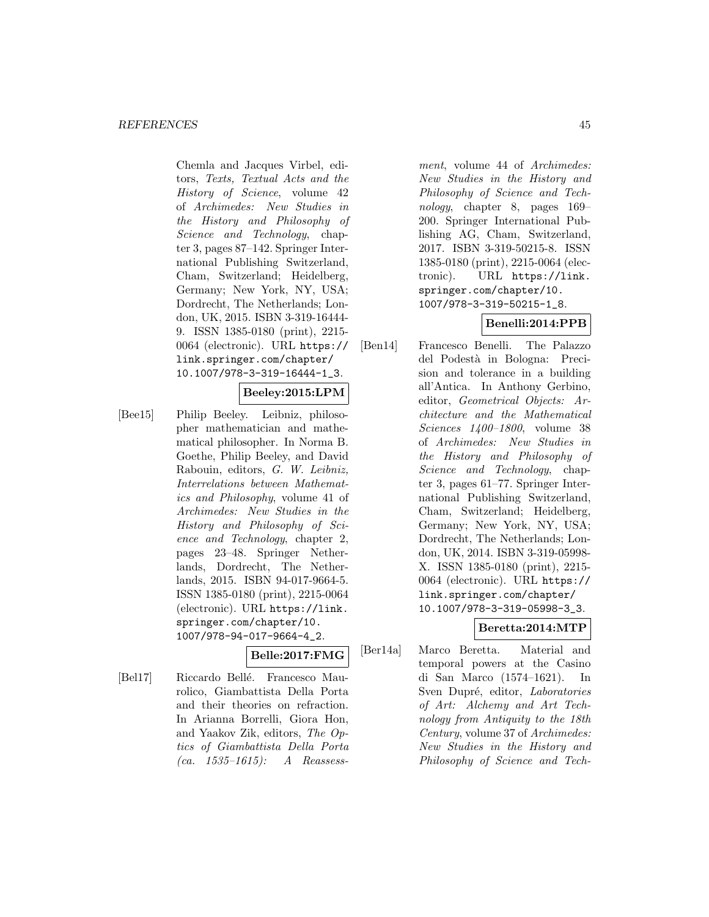Chemla and Jacques Virbel, editors, Texts, Textual Acts and the History of Science, volume 42 of Archimedes: New Studies in the History and Philosophy of Science and Technology, chapter 3, pages 87–142. Springer International Publishing Switzerland, Cham, Switzerland; Heidelberg, Germany; New York, NY, USA; Dordrecht, The Netherlands; London, UK, 2015. ISBN 3-319-16444- 9. ISSN 1385-0180 (print), 2215- 0064 (electronic). URL https:// link.springer.com/chapter/ 10.1007/978-3-319-16444-1\_3.

### **Beeley:2015:LPM**

[Bee15] Philip Beeley. Leibniz, philosopher mathematician and mathematical philosopher. In Norma B. Goethe, Philip Beeley, and David Rabouin, editors, G. W. Leibniz, Interrelations between Mathematics and Philosophy, volume 41 of Archimedes: New Studies in the History and Philosophy of Science and Technology, chapter 2, pages 23–48. Springer Netherlands, Dordrecht, The Netherlands, 2015. ISBN 94-017-9664-5. ISSN 1385-0180 (print), 2215-0064 (electronic). URL https://link. springer.com/chapter/10. 1007/978-94-017-9664-4\_2.

# **Belle:2017:FMG**

[Bel17] Riccardo Bellé. Francesco Maurolico, Giambattista Della Porta and their theories on refraction. In Arianna Borrelli, Giora Hon, and Yaakov Zik, editors, The Optics of Giambattista Della Porta (ca. 1535–1615): A Reassess-

ment, volume 44 of Archimedes: New Studies in the History and Philosophy of Science and Technology, chapter 8, pages 169– 200. Springer International Publishing AG, Cham, Switzerland, 2017. ISBN 3-319-50215-8. ISSN 1385-0180 (print), 2215-0064 (electronic). URL https://link. springer.com/chapter/10. 1007/978-3-319-50215-1\_8.

# **Benelli:2014:PPB**

[Ben14] Francesco Benelli. The Palazzo del Podest`a in Bologna: Precision and tolerance in a building all'Antica. In Anthony Gerbino, editor, Geometrical Objects: Architecture and the Mathematical Sciences 1400–1800, volume 38 of Archimedes: New Studies in the History and Philosophy of Science and Technology, chapter 3, pages 61–77. Springer International Publishing Switzerland, Cham, Switzerland; Heidelberg, Germany; New York, NY, USA; Dordrecht, The Netherlands; London, UK, 2014. ISBN 3-319-05998- X. ISSN 1385-0180 (print), 2215- 0064 (electronic). URL https:// link.springer.com/chapter/ 10.1007/978-3-319-05998-3\_3.

# **Beretta:2014:MTP**

[Ber14a] Marco Beretta. Material and temporal powers at the Casino di San Marco (1574–1621). In Sven Dupré, editor, Laboratories of Art: Alchemy and Art Technology from Antiquity to the 18th Century, volume 37 of Archimedes: New Studies in the History and Philosophy of Science and Tech-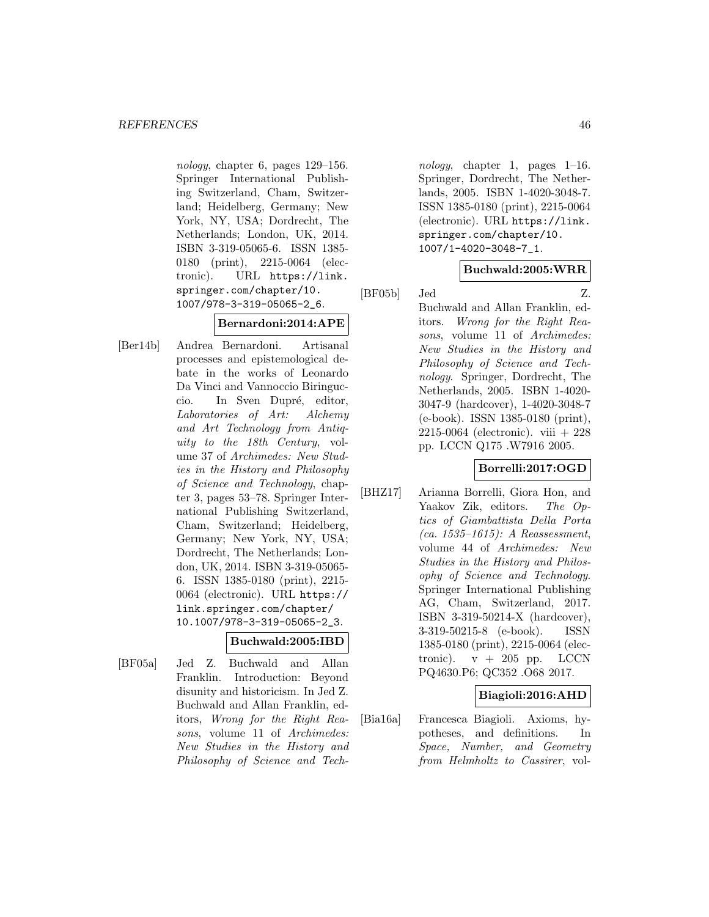nology, chapter 6, pages 129–156. Springer International Publishing Switzerland, Cham, Switzerland; Heidelberg, Germany; New York, NY, USA; Dordrecht, The Netherlands; London, UK, 2014. ISBN 3-319-05065-6. ISSN 1385- 0180 (print), 2215-0064 (electronic). URL https://link. springer.com/chapter/10. 1007/978-3-319-05065-2\_6.

### **Bernardoni:2014:APE**

[Ber14b] Andrea Bernardoni. Artisanal processes and epistemological debate in the works of Leonardo Da Vinci and Vannoccio Biringuccio. In Sven Dupré, editor, Laboratories of Art: Alchemy and Art Technology from Antiquity to the 18th Century, volume 37 of Archimedes: New Studies in the History and Philosophy of Science and Technology, chapter 3, pages 53–78. Springer International Publishing Switzerland, Cham, Switzerland; Heidelberg, Germany; New York, NY, USA; Dordrecht, The Netherlands; London, UK, 2014. ISBN 3-319-05065- 6. ISSN 1385-0180 (print), 2215- 0064 (electronic). URL https:// link.springer.com/chapter/ 10.1007/978-3-319-05065-2\_3.

### **Buchwald:2005:IBD**

[BF05a] Jed Z. Buchwald and Allan Franklin. Introduction: Beyond disunity and historicism. In Jed Z. Buchwald and Allan Franklin, editors, Wrong for the Right Reasons, volume 11 of Archimedes: New Studies in the History and Philosophy of Science and Tech-

nology, chapter 1, pages 1–16. Springer, Dordrecht, The Netherlands, 2005. ISBN 1-4020-3048-7. ISSN 1385-0180 (print), 2215-0064 (electronic). URL https://link. springer.com/chapter/10. 1007/1-4020-3048-7\_1.

### **Buchwald:2005:WRR**

[BF05b] Jed Z. Buchwald and Allan Franklin, editors. Wrong for the Right Reasons, volume 11 of Archimedes: New Studies in the History and Philosophy of Science and Technology. Springer, Dordrecht, The Netherlands, 2005. ISBN 1-4020- 3047-9 (hardcover), 1-4020-3048-7 (e-book). ISSN 1385-0180 (print), 2215-0064 (electronic). viii + 228 pp. LCCN Q175 .W7916 2005.

### **Borrelli:2017:OGD**

[BHZ17] Arianna Borrelli, Giora Hon, and Yaakov Zik, editors. The Optics of Giambattista Della Porta  $(ca. 1535–1615): A Reassesment,$ volume 44 of Archimedes: New Studies in the History and Philosophy of Science and Technology. Springer International Publishing AG, Cham, Switzerland, 2017. ISBN 3-319-50214-X (hardcover), 3-319-50215-8 (e-book). ISSN 1385-0180 (print), 2215-0064 (electronic).  $v + 205$  pp. LCCN PQ4630.P6; QC352 .O68 2017.

### **Biagioli:2016:AHD**

[Bia16a] Francesca Biagioli. Axioms, hypotheses, and definitions. In Space, Number, and Geometry from Helmholtz to Cassirer, vol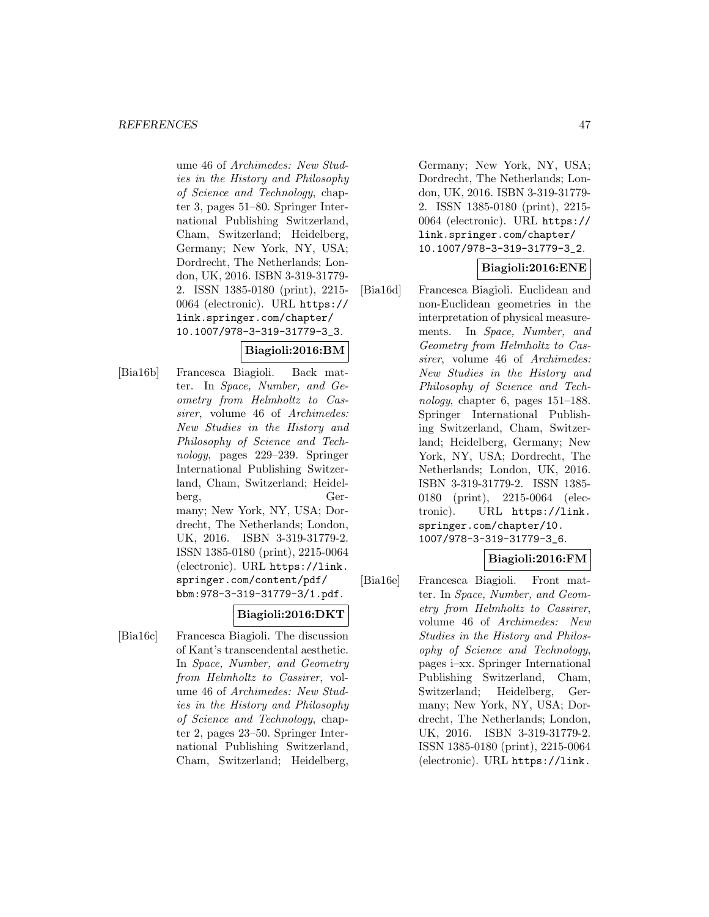ume 46 of Archimedes: New Studies in the History and Philosophy of Science and Technology, chapter 3, pages 51–80. Springer International Publishing Switzerland, Cham, Switzerland; Heidelberg, Germany; New York, NY, USA; Dordrecht, The Netherlands; London, UK, 2016. ISBN 3-319-31779- 2. ISSN 1385-0180 (print), 2215- 0064 (electronic). URL https:// link.springer.com/chapter/ 10.1007/978-3-319-31779-3\_3.

# **Biagioli:2016:BM**

[Bia16b] Francesca Biagioli. Back matter. In Space, Number, and Geometry from Helmholtz to Cassirer, volume 46 of Archimedes: New Studies in the History and Philosophy of Science and Technology, pages 229–239. Springer International Publishing Switzerland, Cham, Switzerland; Heidelberg, Germany; New York, NY, USA; Dordrecht, The Netherlands; London, UK, 2016. ISBN 3-319-31779-2. ISSN 1385-0180 (print), 2215-0064 (electronic). URL https://link. springer.com/content/pdf/ bbm:978-3-319-31779-3/1.pdf.

# **Biagioli:2016:DKT**

[Bia16c] Francesca Biagioli. The discussion of Kant's transcendental aesthetic. In Space, Number, and Geometry from Helmholtz to Cassirer, volume 46 of Archimedes: New Studies in the History and Philosophy of Science and Technology, chapter 2, pages 23–50. Springer International Publishing Switzerland, Cham, Switzerland; Heidelberg,

Germany; New York, NY, USA; Dordrecht, The Netherlands; London, UK, 2016. ISBN 3-319-31779- 2. ISSN 1385-0180 (print), 2215- 0064 (electronic). URL https:// link.springer.com/chapter/ 10.1007/978-3-319-31779-3\_2.

### **Biagioli:2016:ENE**

[Bia16d] Francesca Biagioli. Euclidean and non-Euclidean geometries in the interpretation of physical measurements. In Space, Number, and Geometry from Helmholtz to Cassirer, volume 46 of Archimedes: New Studies in the History and Philosophy of Science and Technology, chapter 6, pages 151–188. Springer International Publishing Switzerland, Cham, Switzerland; Heidelberg, Germany; New York, NY, USA; Dordrecht, The Netherlands; London, UK, 2016. ISBN 3-319-31779-2. ISSN 1385- 0180 (print), 2215-0064 (electronic). URL https://link. springer.com/chapter/10. 1007/978-3-319-31779-3\_6.

### **Biagioli:2016:FM**

[Bia16e] Francesca Biagioli. Front matter. In Space, Number, and Geometry from Helmholtz to Cassirer, volume 46 of Archimedes: New Studies in the History and Philosophy of Science and Technology, pages i–xx. Springer International Publishing Switzerland, Cham, Switzerland; Heidelberg, Germany; New York, NY, USA; Dordrecht, The Netherlands; London, UK, 2016. ISBN 3-319-31779-2. ISSN 1385-0180 (print), 2215-0064 (electronic). URL https://link.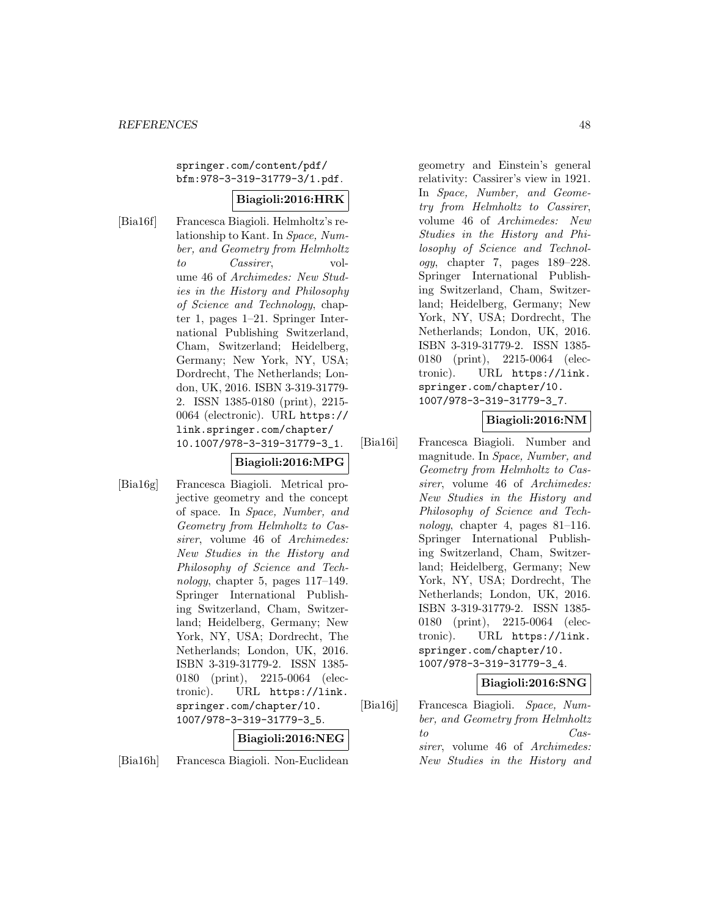springer.com/content/pdf/ bfm:978-3-319-31779-3/1.pdf.

### **Biagioli:2016:HRK**

[Bia16f] Francesca Biagioli. Helmholtz's relationship to Kant. In Space, Number, and Geometry from Helmholtz to Cassirer, volume 46 of Archimedes: New Studies in the History and Philosophy of Science and Technology, chapter 1, pages 1–21. Springer International Publishing Switzerland, Cham, Switzerland; Heidelberg, Germany; New York, NY, USA; Dordrecht, The Netherlands; London, UK, 2016. ISBN 3-319-31779- 2. ISSN 1385-0180 (print), 2215- 0064 (electronic). URL https:// link.springer.com/chapter/ 10.1007/978-3-319-31779-3\_1.

# **Biagioli:2016:MPG**

[Bia16g] Francesca Biagioli. Metrical projective geometry and the concept of space. In Space, Number, and Geometry from Helmholtz to Cassirer, volume 46 of Archimedes: New Studies in the History and Philosophy of Science and Technology, chapter 5, pages 117–149. Springer International Publishing Switzerland, Cham, Switzerland; Heidelberg, Germany; New York, NY, USA; Dordrecht, The Netherlands; London, UK, 2016. ISBN 3-319-31779-2. ISSN 1385- 0180 (print), 2215-0064 (electronic). URL https://link. springer.com/chapter/10. 1007/978-3-319-31779-3\_5.

### **Biagioli:2016:NEG**

[Bia16h] Francesca Biagioli. Non-Euclidean

geometry and Einstein's general relativity: Cassirer's view in 1921. In Space, Number, and Geometry from Helmholtz to Cassirer, volume 46 of Archimedes: New Studies in the History and Philosophy of Science and Technology, chapter 7, pages 189–228. Springer International Publishing Switzerland, Cham, Switzerland; Heidelberg, Germany; New York, NY, USA; Dordrecht, The Netherlands; London, UK, 2016. ISBN 3-319-31779-2. ISSN 1385- 0180 (print), 2215-0064 (electronic). URL https://link. springer.com/chapter/10. 1007/978-3-319-31779-3\_7.

# **Biagioli:2016:NM**

[Bia16i] Francesca Biagioli. Number and magnitude. In Space, Number, and Geometry from Helmholtz to Cassirer, volume 46 of Archimedes: New Studies in the History and Philosophy of Science and Technology, chapter 4, pages 81–116. Springer International Publishing Switzerland, Cham, Switzerland; Heidelberg, Germany; New York, NY, USA; Dordrecht, The Netherlands; London, UK, 2016. ISBN 3-319-31779-2. ISSN 1385- 0180 (print), 2215-0064 (electronic). URL https://link. springer.com/chapter/10. 1007/978-3-319-31779-3\_4.

### **Biagioli:2016:SNG**

[Bia16j] Francesca Biagioli. Space, Number, and Geometry from Helmholtz to Cassirer, volume 46 of Archimedes: New Studies in the History and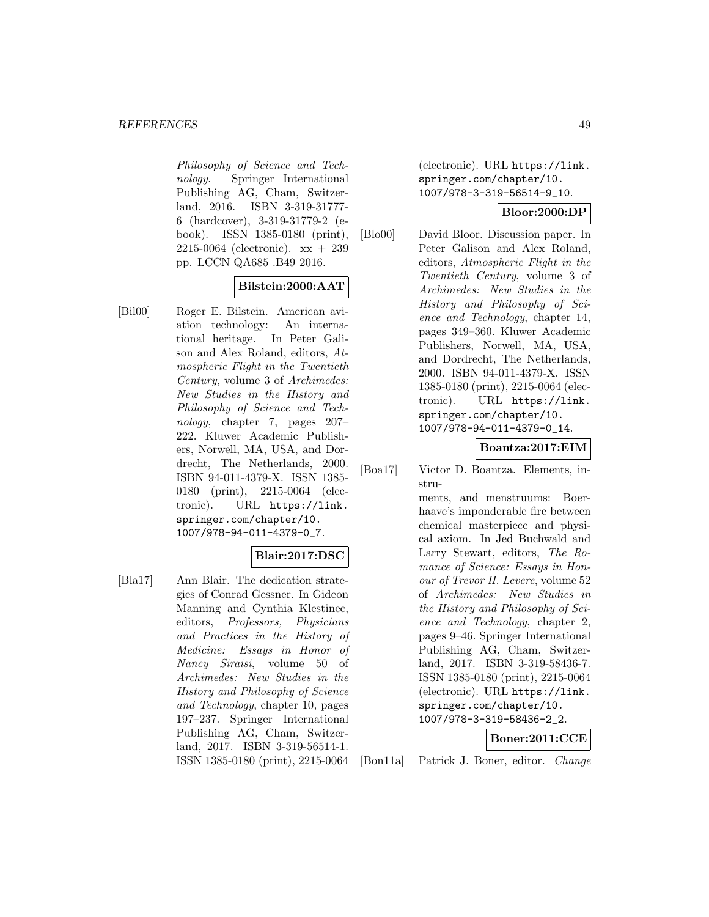Philosophy of Science and Technology. Springer International Publishing AG, Cham, Switzerland, 2016. ISBN 3-319-31777- 6 (hardcover), 3-319-31779-2 (ebook). ISSN 1385-0180 (print), 2215-0064 (electronic). xx + 239 pp. LCCN QA685 .B49 2016.

### **Bilstein:2000:AAT**

[Bil00] Roger E. Bilstein. American aviation technology: An international heritage. In Peter Galison and Alex Roland, editors, Atmospheric Flight in the Twentieth Century, volume 3 of Archimedes: New Studies in the History and Philosophy of Science and Technology, chapter 7, pages 207– 222. Kluwer Academic Publishers, Norwell, MA, USA, and Dordrecht, The Netherlands, 2000. ISBN 94-011-4379-X. ISSN 1385- 0180 (print), 2215-0064 (electronic). URL https://link. springer.com/chapter/10. 1007/978-94-011-4379-0\_7.

### **Blair:2017:DSC**

[Bla17] Ann Blair. The dedication strategies of Conrad Gessner. In Gideon Manning and Cynthia Klestinec, editors, Professors, Physicians and Practices in the History of Medicine: Essays in Honor of Nancy Siraisi, volume 50 of Archimedes: New Studies in the History and Philosophy of Science and Technology, chapter 10, pages 197–237. Springer International Publishing AG, Cham, Switzerland, 2017. ISBN 3-319-56514-1. ISSN 1385-0180 (print), 2215-0064

(electronic). URL https://link. springer.com/chapter/10. 1007/978-3-319-56514-9\_10.

### **Bloor:2000:DP**

[Blo00] David Bloor. Discussion paper. In Peter Galison and Alex Roland, editors, Atmospheric Flight in the Twentieth Century, volume 3 of Archimedes: New Studies in the History and Philosophy of Science and Technology, chapter 14, pages 349–360. Kluwer Academic Publishers, Norwell, MA, USA, and Dordrecht, The Netherlands, 2000. ISBN 94-011-4379-X. ISSN 1385-0180 (print), 2215-0064 (electronic). URL https://link. springer.com/chapter/10. 1007/978-94-011-4379-0\_14.

### **Boantza:2017:EIM**

[Boa17] Victor D. Boantza. Elements, instru-

> ments, and menstruums: Boerhaave's imponderable fire between chemical masterpiece and physical axiom. In Jed Buchwald and Larry Stewart, editors, The Romance of Science: Essays in Honour of Trevor H. Levere, volume 52 of Archimedes: New Studies in the History and Philosophy of Science and Technology, chapter 2, pages 9–46. Springer International Publishing AG, Cham, Switzerland, 2017. ISBN 3-319-58436-7. ISSN 1385-0180 (print), 2215-0064 (electronic). URL https://link. springer.com/chapter/10. 1007/978-3-319-58436-2\_2.

### **Boner:2011:CCE**

[Bon11a] Patrick J. Boner, editor. Change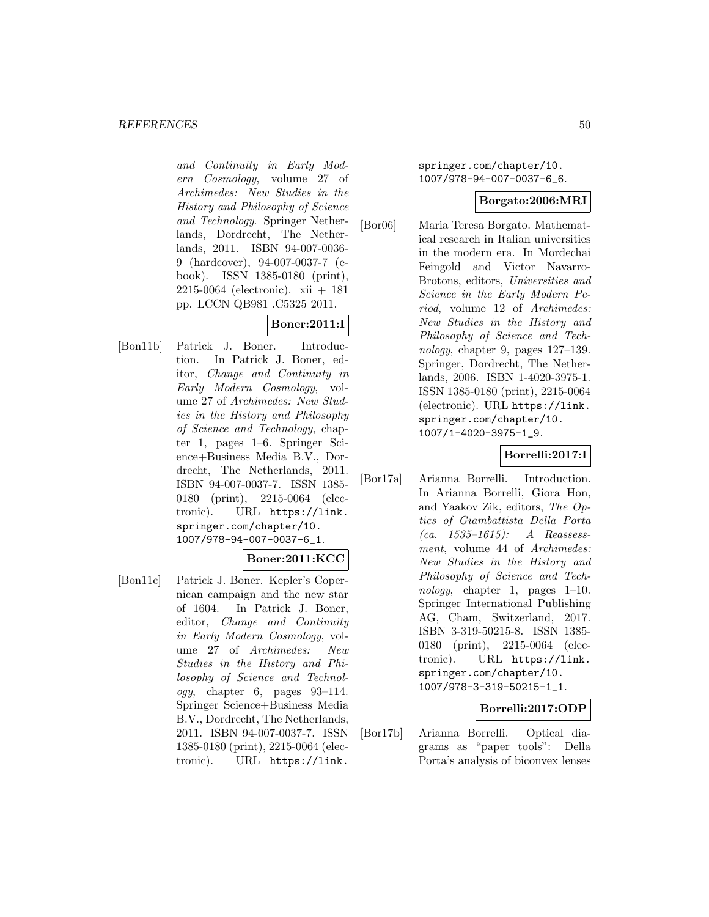and Continuity in Early Modern Cosmology, volume 27 of Archimedes: New Studies in the History and Philosophy of Science and Technology. Springer Netherlands, Dordrecht, The Netherlands, 2011. ISBN 94-007-0036- 9 (hardcover), 94-007-0037-7 (ebook). ISSN 1385-0180 (print), 2215-0064 (electronic). xii + 181 pp. LCCN QB981 .C5325 2011.

# **Boner:2011:I**

[Bon11b] Patrick J. Boner. Introduction. In Patrick J. Boner, editor, Change and Continuity in Early Modern Cosmology, volume 27 of Archimedes: New Studies in the History and Philosophy of Science and Technology, chapter 1, pages 1–6. Springer Science+Business Media B.V., Dordrecht, The Netherlands, 2011. ISBN 94-007-0037-7. ISSN 1385- 0180 (print), 2215-0064 (electronic). URL https://link. springer.com/chapter/10. 1007/978-94-007-0037-6\_1.

### **Boner:2011:KCC**

[Bon11c] Patrick J. Boner. Kepler's Copernican campaign and the new star of 1604. In Patrick J. Boner, editor, Change and Continuity in Early Modern Cosmology, volume 27 of Archimedes: New Studies in the History and Philosophy of Science and Technol $ogy,$  chapter 6, pages  $93-114.$ Springer Science+Business Media B.V., Dordrecht, The Netherlands, 2011. ISBN 94-007-0037-7. ISSN 1385-0180 (print), 2215-0064 (electronic). URL https://link.

springer.com/chapter/10. 1007/978-94-007-0037-6\_6.

### **Borgato:2006:MRI**

[Bor06] Maria Teresa Borgato. Mathematical research in Italian universities in the modern era. In Mordechai Feingold and Victor Navarro-Brotons, editors, Universities and Science in the Early Modern Period, volume 12 of Archimedes: New Studies in the History and Philosophy of Science and Technology, chapter 9, pages 127–139. Springer, Dordrecht, The Netherlands, 2006. ISBN 1-4020-3975-1. ISSN 1385-0180 (print), 2215-0064 (electronic). URL https://link. springer.com/chapter/10. 1007/1-4020-3975-1\_9.

### **Borrelli:2017:I**

[Bor17a] Arianna Borrelli. Introduction. In Arianna Borrelli, Giora Hon, and Yaakov Zik, editors, The Optics of Giambattista Della Porta (ca.  $1535-1615$ ): A Reassessment, volume 44 of Archimedes: New Studies in the History and Philosophy of Science and Technology, chapter 1, pages 1–10. Springer International Publishing AG, Cham, Switzerland, 2017. ISBN 3-319-50215-8. ISSN 1385- 0180 (print), 2215-0064 (electronic). URL https://link. springer.com/chapter/10. 1007/978-3-319-50215-1\_1.

### **Borrelli:2017:ODP**

[Bor17b] Arianna Borrelli. Optical diagrams as "paper tools": Della Porta's analysis of biconvex lenses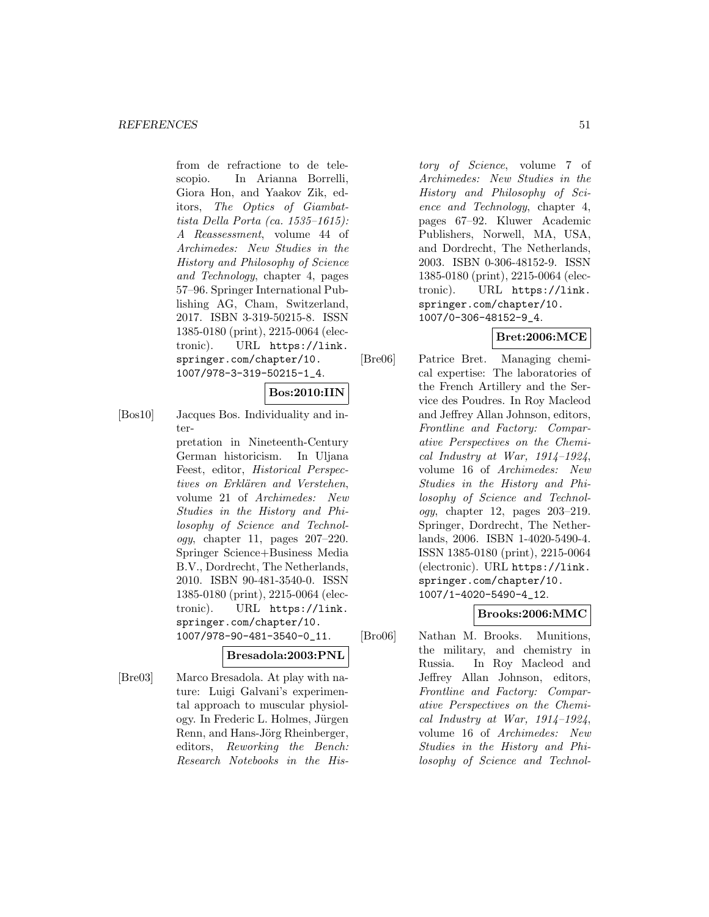from de refractione to de telescopio. In Arianna Borrelli, Giora Hon, and Yaakov Zik, editors, The Optics of Giambattista Della Porta (ca. 1535–1615): A Reassessment, volume 44 of Archimedes: New Studies in the History and Philosophy of Science and Technology, chapter 4, pages 57–96. Springer International Publishing AG, Cham, Switzerland, 2017. ISBN 3-319-50215-8. ISSN 1385-0180 (print), 2215-0064 (electronic). URL https://link. springer.com/chapter/10. 1007/978-3-319-50215-1\_4.

#### **Bos:2010:IIN**

[Bos10] Jacques Bos. Individuality and inter-

> pretation in Nineteenth-Century German historicism. In Uljana Feest, editor, Historical Perspectives on Erklären and Verstehen, volume 21 of Archimedes: New Studies in the History and Philosophy of Science and Technology, chapter 11, pages 207–220. Springer Science+Business Media B.V., Dordrecht, The Netherlands, 2010. ISBN 90-481-3540-0. ISSN 1385-0180 (print), 2215-0064 (electronic). URL https://link. springer.com/chapter/10. 1007/978-90-481-3540-0\_11.

### **Bresadola:2003:PNL**

[Bre03] Marco Bresadola. At play with nature: Luigi Galvani's experimental approach to muscular physiology. In Frederic L. Holmes, Jürgen Renn, and Hans-Jörg Rheinberger, editors, Reworking the Bench: Research Notebooks in the His-

tory of Science, volume 7 of Archimedes: New Studies in the History and Philosophy of Science and Technology, chapter 4, pages 67–92. Kluwer Academic Publishers, Norwell, MA, USA, and Dordrecht, The Netherlands, 2003. ISBN 0-306-48152-9. ISSN 1385-0180 (print), 2215-0064 (electronic). URL https://link. springer.com/chapter/10. 1007/0-306-48152-9\_4.

# **Bret:2006:MCE**

[Bre06] Patrice Bret. Managing chemical expertise: The laboratories of the French Artillery and the Service des Poudres. In Roy Macleod and Jeffrey Allan Johnson, editors, Frontline and Factory: Comparative Perspectives on the Chemical Industry at War,  $1914-1924$ , volume 16 of Archimedes: New Studies in the History and Philosophy of Science and Technology, chapter 12, pages 203–219. Springer, Dordrecht, The Netherlands, 2006. ISBN 1-4020-5490-4. ISSN 1385-0180 (print), 2215-0064 (electronic). URL https://link. springer.com/chapter/10. 1007/1-4020-5490-4\_12.

### **Brooks:2006:MMC**

[Bro06] Nathan M. Brooks. Munitions, the military, and chemistry in Russia. In Roy Macleod and Jeffrey Allan Johnson, editors, Frontline and Factory: Comparative Perspectives on the Chemical Industry at War,  $1914-1924$ , volume 16 of Archimedes: New Studies in the History and Philosophy of Science and Technol-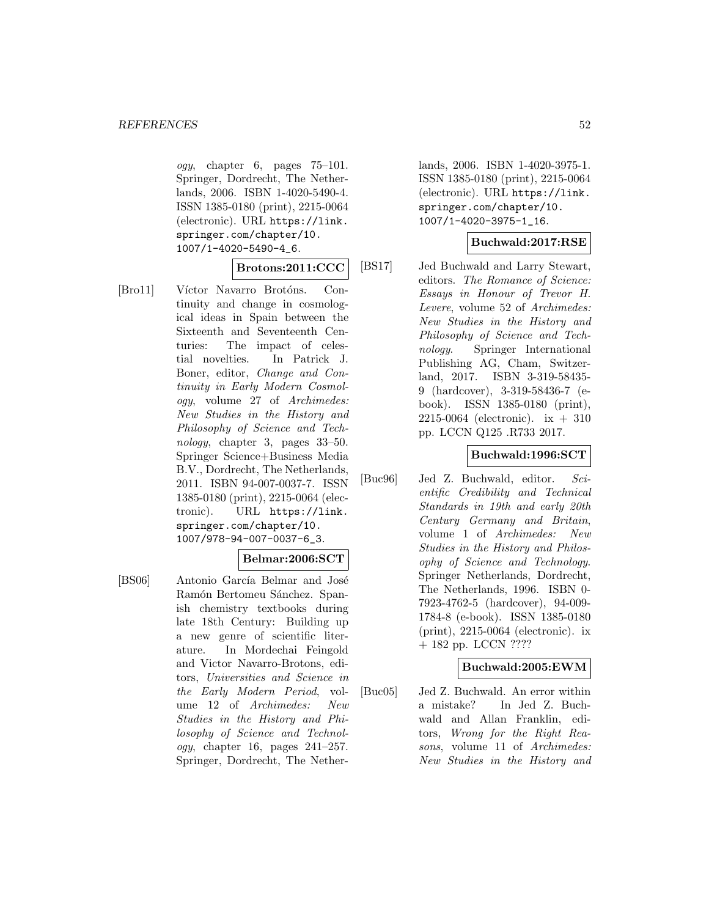ogy, chapter 6, pages 75–101. Springer, Dordrecht, The Netherlands, 2006. ISBN 1-4020-5490-4. ISSN 1385-0180 (print), 2215-0064 (electronic). URL https://link. springer.com/chapter/10. 1007/1-4020-5490-4\_6.

### **Brotons:2011:CCC**

[Bro11] Víctor Navarro Brotóns. Continuity and change in cosmological ideas in Spain between the Sixteenth and Seventeenth Centuries: The impact of celestial novelties. In Patrick J. Boner, editor, Change and Continuity in Early Modern Cosmology, volume 27 of Archimedes: New Studies in the History and Philosophy of Science and Technology, chapter 3, pages 33–50. Springer Science+Business Media B.V., Dordrecht, The Netherlands, 2011. ISBN 94-007-0037-7. ISSN 1385-0180 (print), 2215-0064 (electronic). URL https://link. springer.com/chapter/10. 1007/978-94-007-0037-6\_3.

### **Belmar:2006:SCT**

[BS06] Antonio García Belmar and José Ramón Bertomeu Sánchez. Spanish chemistry textbooks during late 18th Century: Building up a new genre of scientific literature. In Mordechai Feingold and Victor Navarro-Brotons, editors, Universities and Science in the Early Modern Period, volume 12 of Archimedes: New Studies in the History and Philosophy of Science and Technol $oqu$ , chapter 16, pages  $241-257$ . Springer, Dordrecht, The Netherlands, 2006. ISBN 1-4020-3975-1. ISSN 1385-0180 (print), 2215-0064 (electronic). URL https://link. springer.com/chapter/10. 1007/1-4020-3975-1\_16.

# **Buchwald:2017:RSE**

[BS17] Jed Buchwald and Larry Stewart, editors. The Romance of Science: Essays in Honour of Trevor H. Levere, volume 52 of Archimedes: New Studies in the History and Philosophy of Science and Technology. Springer International Publishing AG, Cham, Switzerland, 2017. ISBN 3-319-58435- 9 (hardcover), 3-319-58436-7 (ebook). ISSN 1385-0180 (print), 2215-0064 (electronic).  $ix + 310$ pp. LCCN Q125 .R733 2017.

### **Buchwald:1996:SCT**

[Buc96] Jed Z. Buchwald, editor. Scientific Credibility and Technical Standards in 19th and early 20th Century Germany and Britain, volume 1 of Archimedes: New Studies in the History and Philosophy of Science and Technology. Springer Netherlands, Dordrecht, The Netherlands, 1996. ISBN 0- 7923-4762-5 (hardcover), 94-009- 1784-8 (e-book). ISSN 1385-0180 (print), 2215-0064 (electronic). ix + 182 pp. LCCN ????

### **Buchwald:2005:EWM**

[Buc05] Jed Z. Buchwald. An error within a mistake? In Jed Z. Buchwald and Allan Franklin, editors, Wrong for the Right Reasons, volume 11 of Archimedes: New Studies in the History and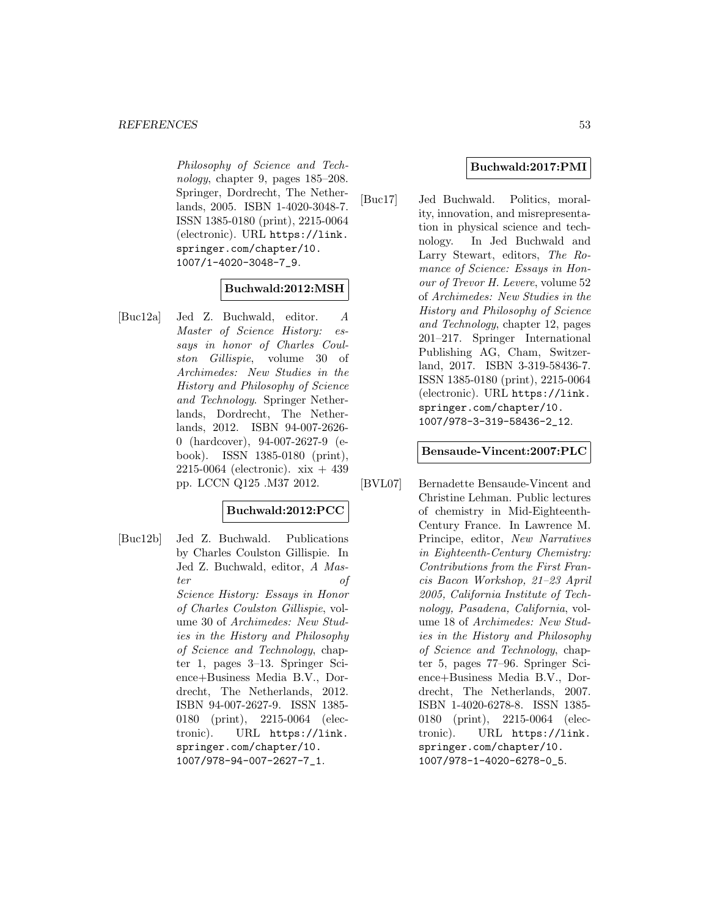Philosophy of Science and Technology, chapter 9, pages 185–208. Springer, Dordrecht, The Netherlands, 2005. ISBN 1-4020-3048-7. ISSN 1385-0180 (print), 2215-0064 (electronic). URL https://link. springer.com/chapter/10. 1007/1-4020-3048-7\_9.

### **Buchwald:2012:MSH**

[Buc12a] Jed Z. Buchwald, editor. A Master of Science History: essays in honor of Charles Coulston Gillispie, volume 30 of Archimedes: New Studies in the History and Philosophy of Science and Technology. Springer Netherlands, Dordrecht, The Netherlands, 2012. ISBN 94-007-2626- 0 (hardcover), 94-007-2627-9 (ebook). ISSN 1385-0180 (print), 2215-0064 (electronic).  $xix + 439$ pp. LCCN Q125 .M37 2012.

### **Buchwald:2012:PCC**

[Buc12b] Jed Z. Buchwald. Publications by Charles Coulston Gillispie. In Jed Z. Buchwald, editor, A Master of Science History: Essays in Honor of Charles Coulston Gillispie, volume 30 of Archimedes: New Studies in the History and Philosophy of Science and Technology, chapter 1, pages 3–13. Springer Science+Business Media B.V., Dordrecht, The Netherlands, 2012. ISBN 94-007-2627-9. ISSN 1385- 0180 (print), 2215-0064 (electronic). URL https://link. springer.com/chapter/10. 1007/978-94-007-2627-7\_1.

### **Buchwald:2017:PMI**

[Buc17] Jed Buchwald. Politics, morality, innovation, and misrepresentation in physical science and technology. In Jed Buchwald and Larry Stewart, editors, The Romance of Science: Essays in Honour of Trevor H. Levere, volume 52 of Archimedes: New Studies in the History and Philosophy of Science and Technology, chapter 12, pages 201–217. Springer International Publishing AG, Cham, Switzerland, 2017. ISBN 3-319-58436-7. ISSN 1385-0180 (print), 2215-0064 (electronic). URL https://link. springer.com/chapter/10. 1007/978-3-319-58436-2\_12.

#### **Bensaude-Vincent:2007:PLC**

[BVL07] Bernadette Bensaude-Vincent and Christine Lehman. Public lectures of chemistry in Mid-Eighteenth-Century France. In Lawrence M. Principe, editor, New Narratives in Eighteenth-Century Chemistry: Contributions from the First Francis Bacon Workshop, 21–23 April 2005, California Institute of Technology, Pasadena, California, volume 18 of Archimedes: New Studies in the History and Philosophy of Science and Technology, chapter 5, pages 77–96. Springer Science+Business Media B.V., Dordrecht, The Netherlands, 2007. ISBN 1-4020-6278-8. ISSN 1385- 0180 (print), 2215-0064 (electronic). URL https://link. springer.com/chapter/10. 1007/978-1-4020-6278-0\_5.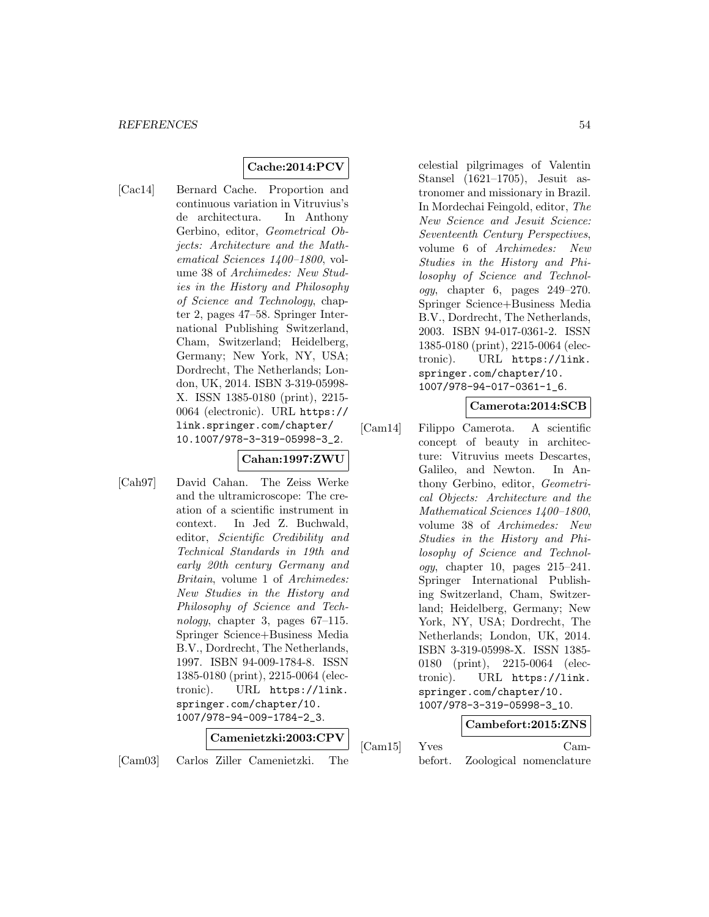# **Cache:2014:PCV**

[Cac14] Bernard Cache. Proportion and continuous variation in Vitruvius's de architectura. In Anthony Gerbino, editor, Geometrical Objects: Architecture and the Mathematical Sciences 1400–1800, volume 38 of Archimedes: New Studies in the History and Philosophy of Science and Technology, chapter 2, pages 47–58. Springer International Publishing Switzerland, Cham, Switzerland; Heidelberg, Germany; New York, NY, USA; Dordrecht, The Netherlands; London, UK, 2014. ISBN 3-319-05998- X. ISSN 1385-0180 (print), 2215- 0064 (electronic). URL https:// link.springer.com/chapter/ 10.1007/978-3-319-05998-3\_2.

# **Cahan:1997:ZWU**

[Cah97] David Cahan. The Zeiss Werke and the ultramicroscope: The creation of a scientific instrument in context. In Jed Z. Buchwald, editor, Scientific Credibility and Technical Standards in 19th and early 20th century Germany and Britain, volume 1 of Archimedes: New Studies in the History and Philosophy of Science and Technology, chapter 3, pages 67–115. Springer Science+Business Media B.V., Dordrecht, The Netherlands, 1997. ISBN 94-009-1784-8. ISSN 1385-0180 (print), 2215-0064 (electronic). URL https://link. springer.com/chapter/10. 1007/978-94-009-1784-2\_3.

# **Camenietzki:2003:CPV**

[Cam03] Carlos Ziller Camenietzki. The

celestial pilgrimages of Valentin Stansel (1621–1705), Jesuit astronomer and missionary in Brazil. In Mordechai Feingold, editor, The New Science and Jesuit Science: Seventeenth Century Perspectives, volume 6 of Archimedes: New Studies in the History and Philosophy of Science and Technol*ogy*, chapter 6, pages  $249-270$ . Springer Science+Business Media B.V., Dordrecht, The Netherlands, 2003. ISBN 94-017-0361-2. ISSN 1385-0180 (print), 2215-0064 (electronic). URL https://link. springer.com/chapter/10. 1007/978-94-017-0361-1\_6.

### **Camerota:2014:SCB**

[Cam14] Filippo Camerota. A scientific concept of beauty in architecture: Vitruvius meets Descartes, Galileo, and Newton. In Anthony Gerbino, editor, Geometrical Objects: Architecture and the Mathematical Sciences 1400–1800, volume 38 of Archimedes: New Studies in the History and Philosophy of Science and Technology, chapter 10, pages 215–241. Springer International Publishing Switzerland, Cham, Switzerland; Heidelberg, Germany; New York, NY, USA; Dordrecht, The Netherlands; London, UK, 2014. ISBN 3-319-05998-X. ISSN 1385- 0180 (print), 2215-0064 (electronic). URL https://link. springer.com/chapter/10. 1007/978-3-319-05998-3\_10.

# **Cambefort:2015:ZNS**

# [Cam15] Yves Cam-

befort. Zoological nomenclature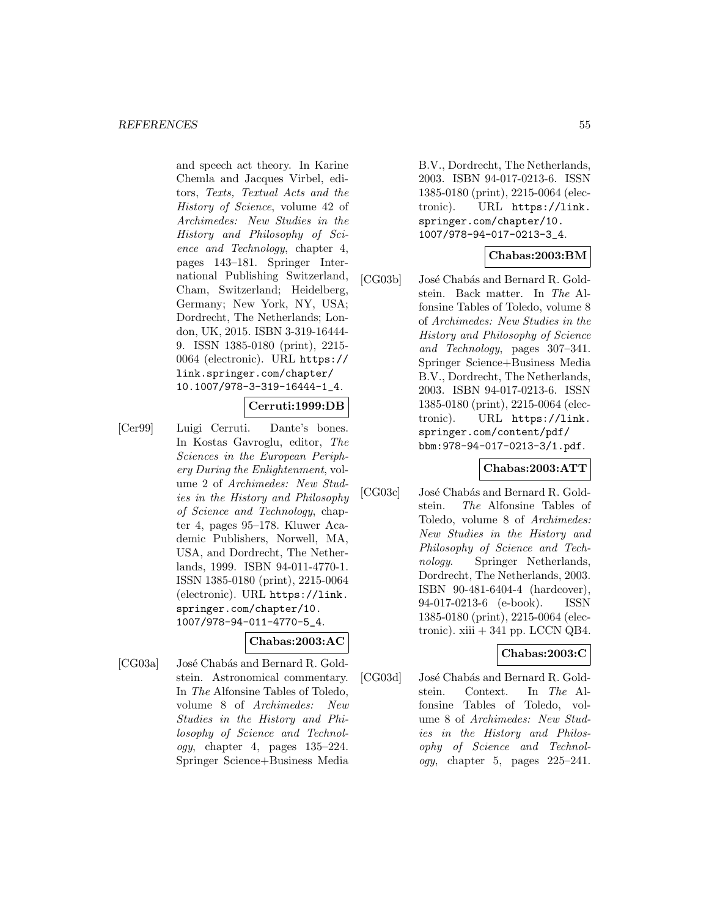and speech act theory. In Karine Chemla and Jacques Virbel, editors, Texts, Textual Acts and the History of Science, volume 42 of Archimedes: New Studies in the History and Philosophy of Science and Technology, chapter 4, pages 143–181. Springer International Publishing Switzerland, Cham, Switzerland; Heidelberg, Germany; New York, NY, USA; Dordrecht, The Netherlands; London, UK, 2015. ISBN 3-319-16444- 9. ISSN 1385-0180 (print), 2215- 0064 (electronic). URL https:// link.springer.com/chapter/ 10.1007/978-3-319-16444-1\_4.

### **Cerruti:1999:DB**

[Cer99] Luigi Cerruti. Dante's bones. In Kostas Gavroglu, editor, The Sciences in the European Periphery During the Enlightenment, volume 2 of Archimedes: New Studies in the History and Philosophy of Science and Technology, chapter 4, pages 95–178. Kluwer Academic Publishers, Norwell, MA, USA, and Dordrecht, The Netherlands, 1999. ISBN 94-011-4770-1. ISSN 1385-0180 (print), 2215-0064 (electronic). URL https://link. springer.com/chapter/10. 1007/978-94-011-4770-5\_4.

$$
{\rm Chabas: } 2003 {\rm: } {\rm AC} \,\big|\,
$$

[CG03a] José Chabás and Bernard R. Goldstein. Astronomical commentary. In The Alfonsine Tables of Toledo, volume 8 of Archimedes: New Studies in the History and Philosophy of Science and Technol $oqu$ , chapter 4, pages  $135-224$ . Springer Science+Business Media

B.V., Dordrecht, The Netherlands, 2003. ISBN 94-017-0213-6. ISSN 1385-0180 (print), 2215-0064 (electronic). URL https://link. springer.com/chapter/10. 1007/978-94-017-0213-3\_4.

### **Chabas:2003:BM**

[CG03b] José Chabás and Bernard R. Goldstein. Back matter. In The Alfonsine Tables of Toledo, volume 8 of Archimedes: New Studies in the History and Philosophy of Science and Technology, pages 307–341. Springer Science+Business Media B.V., Dordrecht, The Netherlands, 2003. ISBN 94-017-0213-6. ISSN 1385-0180 (print), 2215-0064 (electronic). URL https://link. springer.com/content/pdf/ bbm:978-94-017-0213-3/1.pdf.

### **Chabas:2003:ATT**

[CG03c] José Chabás and Bernard R. Goldstein. The Alfonsine Tables of Toledo, volume 8 of Archimedes: New Studies in the History and Philosophy of Science and Technology. Springer Netherlands, Dordrecht, The Netherlands, 2003. ISBN 90-481-6404-4 (hardcover), 94-017-0213-6 (e-book). ISSN 1385-0180 (print), 2215-0064 (electronic).  $xiii + 341$  pp. LCCN QB4.

### **Chabas:2003:C**

[CG03d] José Chabás and Bernard R. Goldstein. Context. In The Alfonsine Tables of Toledo, volume 8 of Archimedes: New Studies in the History and Philosophy of Science and Technol*ogy*, chapter 5, pages  $225-241$ .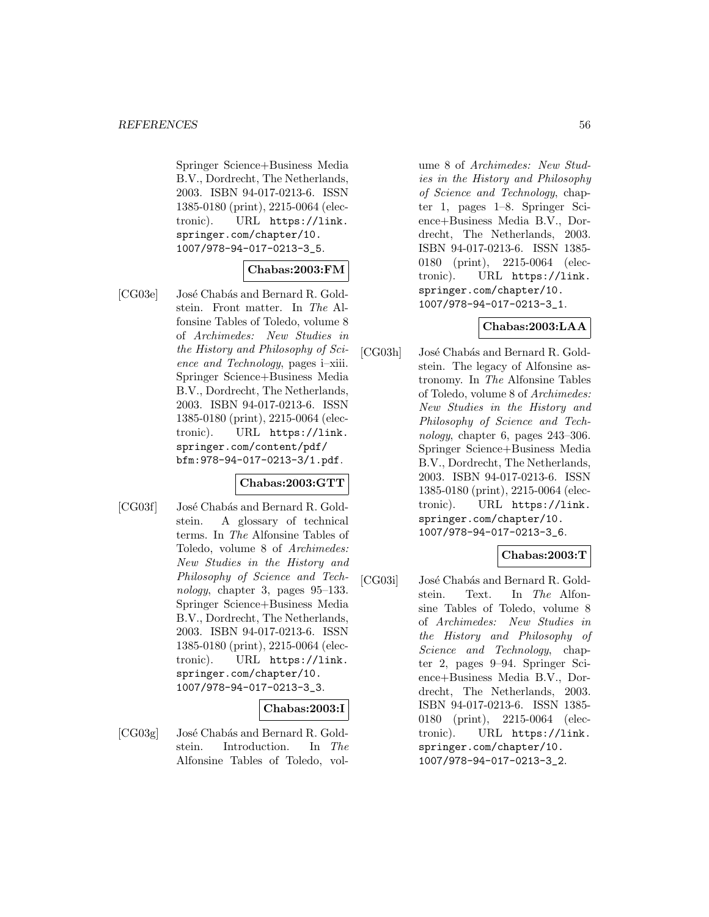Springer Science+Business Media B.V., Dordrecht, The Netherlands, 2003. ISBN 94-017-0213-6. ISSN 1385-0180 (print), 2215-0064 (electronic). URL https://link. springer.com/chapter/10. 1007/978-94-017-0213-3\_5.

### **Chabas:2003:FM**

[CG03e] José Chabás and Bernard R. Goldstein. Front matter. In The Alfonsine Tables of Toledo, volume 8 of Archimedes: New Studies in the History and Philosophy of Science and Technology, pages i–xiii. Springer Science+Business Media B.V., Dordrecht, The Netherlands, 2003. ISBN 94-017-0213-6. ISSN 1385-0180 (print), 2215-0064 (electronic). URL https://link. springer.com/content/pdf/ bfm:978-94-017-0213-3/1.pdf.

### **Chabas:2003:GTT**

[CG03f] José Chabás and Bernard R. Goldstein. A glossary of technical terms. In The Alfonsine Tables of Toledo, volume 8 of Archimedes: New Studies in the History and Philosophy of Science and Technology, chapter 3, pages 95–133. Springer Science+Business Media B.V., Dordrecht, The Netherlands, 2003. ISBN 94-017-0213-6. ISSN 1385-0180 (print), 2215-0064 (electronic). URL https://link. springer.com/chapter/10. 1007/978-94-017-0213-3\_3.

### **Chabas:2003:I**

[CG03g] José Chabás and Bernard R. Goldstein. Introduction. In The Alfonsine Tables of Toledo, volume 8 of Archimedes: New Studies in the History and Philosophy of Science and Technology, chapter 1, pages 1–8. Springer Science+Business Media B.V., Dordrecht, The Netherlands, 2003. ISBN 94-017-0213-6. ISSN 1385- 0180 (print), 2215-0064 (electronic). URL https://link. springer.com/chapter/10. 1007/978-94-017-0213-3\_1.

### **Chabas:2003:LAA**

[CG03h] José Chabás and Bernard R. Goldstein. The legacy of Alfonsine astronomy. In The Alfonsine Tables of Toledo, volume 8 of Archimedes: New Studies in the History and Philosophy of Science and Technology, chapter 6, pages 243–306. Springer Science+Business Media B.V., Dordrecht, The Netherlands, 2003. ISBN 94-017-0213-6. ISSN 1385-0180 (print), 2215-0064 (electronic). URL https://link. springer.com/chapter/10. 1007/978-94-017-0213-3\_6.

# **Chabas:2003:T**

[CG03i] José Chabás and Bernard R. Goldstein. Text. In The Alfonsine Tables of Toledo, volume 8 of Archimedes: New Studies in the History and Philosophy of Science and Technology, chapter 2, pages 9–94. Springer Science+Business Media B.V., Dordrecht, The Netherlands, 2003. ISBN 94-017-0213-6. ISSN 1385- 0180 (print), 2215-0064 (electronic). URL https://link. springer.com/chapter/10. 1007/978-94-017-0213-3\_2.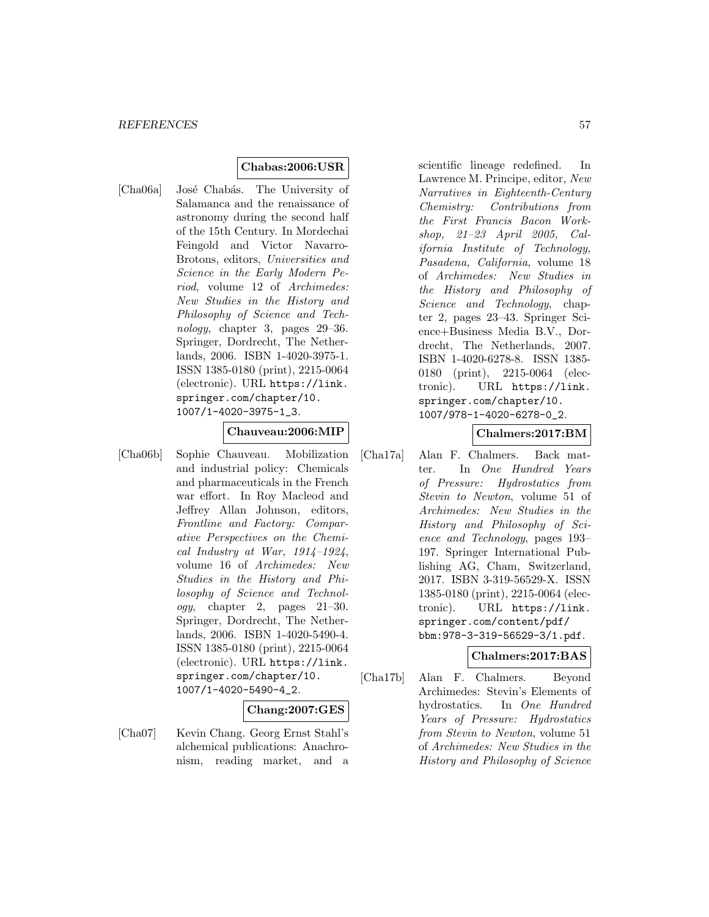### **Chabas:2006:USR**

[Cha06a] José Chabás. The University of Salamanca and the renaissance of astronomy during the second half of the 15th Century. In Mordechai Feingold and Victor Navarro-Brotons, editors, Universities and Science in the Early Modern Period, volume 12 of Archimedes: New Studies in the History and Philosophy of Science and Technology, chapter 3, pages  $29-36$ . Springer, Dordrecht, The Netherlands, 2006. ISBN 1-4020-3975-1. ISSN 1385-0180 (print), 2215-0064 (electronic). URL https://link. springer.com/chapter/10. 1007/1-4020-3975-1\_3.

### **Chauveau:2006:MIP**

[Cha06b] Sophie Chauveau. Mobilization and industrial policy: Chemicals and pharmaceuticals in the French war effort. In Roy Macleod and Jeffrey Allan Johnson, editors, Frontline and Factory: Comparative Perspectives on the Chemical Industry at War,  $1914-1924$ , volume 16 of Archimedes: New Studies in the History and Philosophy of Science and Technology, chapter 2, pages 21–30. Springer, Dordrecht, The Netherlands, 2006. ISBN 1-4020-5490-4. ISSN 1385-0180 (print), 2215-0064 (electronic). URL https://link. springer.com/chapter/10. 1007/1-4020-5490-4\_2.

### **Chang:2007:GES**

[Cha07] Kevin Chang. Georg Ernst Stahl's alchemical publications: Anachronism, reading market, and a

scientific lineage redefined. In Lawrence M. Principe, editor, New Narratives in Eighteenth-Century Chemistry: Contributions from the First Francis Bacon Workshop, 21–23 April 2005, California Institute of Technology, Pasadena, California, volume 18 of Archimedes: New Studies in the History and Philosophy of Science and Technology, chapter 2, pages 23–43. Springer Science+Business Media B.V., Dordrecht, The Netherlands, 2007. ISBN 1-4020-6278-8. ISSN 1385- 0180 (print), 2215-0064 (electronic). URL https://link. springer.com/chapter/10. 1007/978-1-4020-6278-0\_2.

### **Chalmers:2017:BM**

[Cha17a] Alan F. Chalmers. Back matter. In One Hundred Years of Pressure: Hydrostatics from Stevin to Newton, volume 51 of Archimedes: New Studies in the History and Philosophy of Science and Technology, pages 193– 197. Springer International Publishing AG, Cham, Switzerland, 2017. ISBN 3-319-56529-X. ISSN 1385-0180 (print), 2215-0064 (electronic). URL https://link. springer.com/content/pdf/ bbm:978-3-319-56529-3/1.pdf.

### **Chalmers:2017:BAS**

[Cha17b] Alan F. Chalmers. Beyond Archimedes: Stevin's Elements of hydrostatics. In One Hundred Years of Pressure: Hydrostatics from Stevin to Newton, volume 51 of Archimedes: New Studies in the History and Philosophy of Science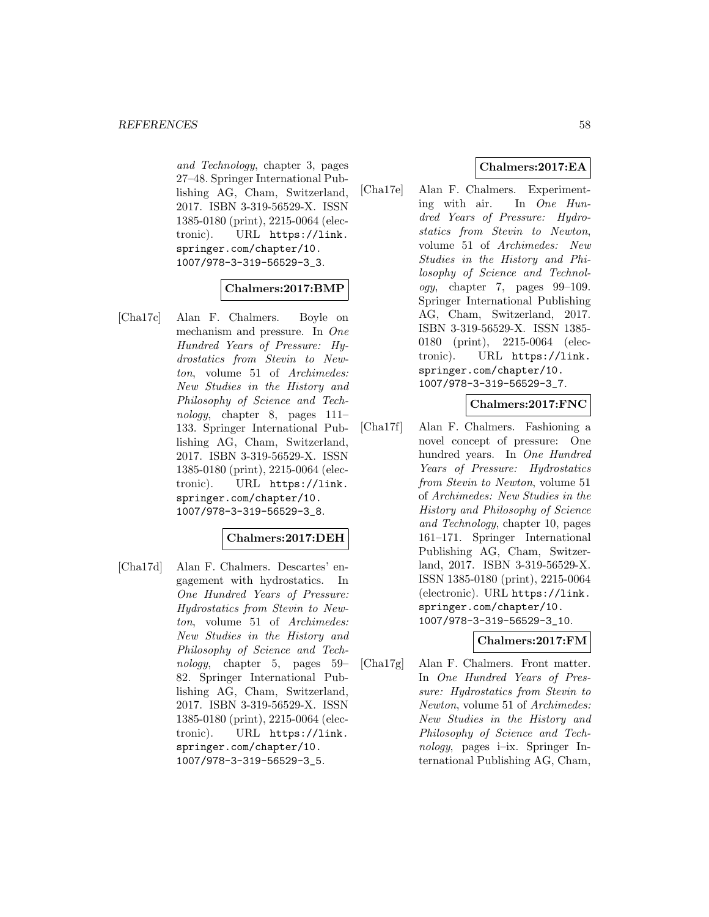and Technology, chapter 3, pages 27–48. Springer International Publishing AG, Cham, Switzerland, 2017. ISBN 3-319-56529-X. ISSN 1385-0180 (print), 2215-0064 (electronic). URL https://link. springer.com/chapter/10. 1007/978-3-319-56529-3\_3.

### **Chalmers:2017:BMP**

[Cha17c] Alan F. Chalmers. Boyle on mechanism and pressure. In One Hundred Years of Pressure: Hydrostatics from Stevin to Newton, volume 51 of Archimedes: New Studies in the History and Philosophy of Science and Technology, chapter 8, pages 111– 133. Springer International Publishing AG, Cham, Switzerland, 2017. ISBN 3-319-56529-X. ISSN 1385-0180 (print), 2215-0064 (electronic). URL https://link. springer.com/chapter/10. 1007/978-3-319-56529-3\_8.

### **Chalmers:2017:DEH**

[Cha17d] Alan F. Chalmers. Descartes' engagement with hydrostatics. In One Hundred Years of Pressure: Hydrostatics from Stevin to Newton, volume 51 of Archimedes: New Studies in the History and Philosophy of Science and Technology, chapter 5, pages 59– 82. Springer International Publishing AG, Cham, Switzerland, 2017. ISBN 3-319-56529-X. ISSN 1385-0180 (print), 2215-0064 (electronic). URL https://link. springer.com/chapter/10. 1007/978-3-319-56529-3\_5.

## **Chalmers:2017:EA**

[Cha17e] Alan F. Chalmers. Experimenting with air. In One Hundred Years of Pressure: Hydrostatics from Stevin to Newton, volume 51 of Archimedes: New Studies in the History and Philosophy of Science and Technology, chapter 7, pages 99–109. Springer International Publishing AG, Cham, Switzerland, 2017. ISBN 3-319-56529-X. ISSN 1385- 0180 (print), 2215-0064 (electronic). URL https://link. springer.com/chapter/10. 1007/978-3-319-56529-3\_7.

### **Chalmers:2017:FNC**

[Cha17f] Alan F. Chalmers. Fashioning a novel concept of pressure: One hundred years. In One Hundred Years of Pressure: Hydrostatics from Stevin to Newton, volume 51 of Archimedes: New Studies in the History and Philosophy of Science and Technology, chapter 10, pages 161–171. Springer International Publishing AG, Cham, Switzerland, 2017. ISBN 3-319-56529-X. ISSN 1385-0180 (print), 2215-0064 (electronic). URL https://link. springer.com/chapter/10. 1007/978-3-319-56529-3\_10.

### **Chalmers:2017:FM**

[Cha17g] Alan F. Chalmers. Front matter. In One Hundred Years of Pressure: Hydrostatics from Stevin to Newton, volume 51 of Archimedes: New Studies in the History and Philosophy of Science and Technology, pages i–ix. Springer International Publishing AG, Cham,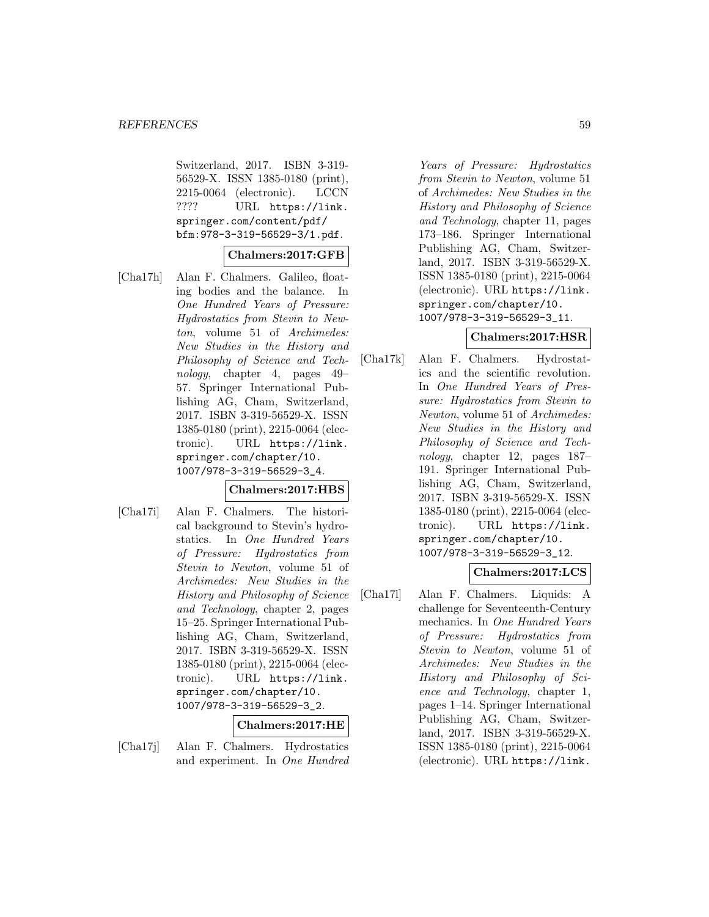Switzerland, 2017. ISBN 3-319- 56529-X. ISSN 1385-0180 (print), 2215-0064 (electronic). LCCN ???? URL https://link. springer.com/content/pdf/ bfm:978-3-319-56529-3/1.pdf.

### **Chalmers:2017:GFB**

[Cha17h] Alan F. Chalmers. Galileo, floating bodies and the balance. In One Hundred Years of Pressure: Hydrostatics from Stevin to Newton, volume 51 of Archimedes: New Studies in the History and Philosophy of Science and Technology, chapter 4, pages 49– 57. Springer International Publishing AG, Cham, Switzerland, 2017. ISBN 3-319-56529-X. ISSN 1385-0180 (print), 2215-0064 (electronic). URL https://link. springer.com/chapter/10. 1007/978-3-319-56529-3\_4.

# **Chalmers:2017:HBS**

[Cha17i] Alan F. Chalmers. The historical background to Stevin's hydrostatics. In One Hundred Years of Pressure: Hydrostatics from Stevin to Newton, volume 51 of Archimedes: New Studies in the History and Philosophy of Science and Technology, chapter 2, pages 15–25. Springer International Publishing AG, Cham, Switzerland, 2017. ISBN 3-319-56529-X. ISSN 1385-0180 (print), 2215-0064 (electronic). URL https://link. springer.com/chapter/10. 1007/978-3-319-56529-3\_2.

#### **Chalmers:2017:HE**

[Cha17j] Alan F. Chalmers. Hydrostatics and experiment. In One Hundred

Years of Pressure: Hydrostatics from Stevin to Newton, volume 51 of Archimedes: New Studies in the History and Philosophy of Science and Technology, chapter 11, pages 173–186. Springer International Publishing AG, Cham, Switzerland, 2017. ISBN 3-319-56529-X. ISSN 1385-0180 (print), 2215-0064 (electronic). URL https://link. springer.com/chapter/10. 1007/978-3-319-56529-3\_11.

### **Chalmers:2017:HSR**

[Cha17k] Alan F. Chalmers. Hydrostatics and the scientific revolution. In One Hundred Years of Pressure: Hydrostatics from Stevin to Newton, volume 51 of Archimedes: New Studies in the History and Philosophy of Science and Technology, chapter 12, pages 187– 191. Springer International Publishing AG, Cham, Switzerland, 2017. ISBN 3-319-56529-X. ISSN 1385-0180 (print), 2215-0064 (electronic). URL https://link. springer.com/chapter/10. 1007/978-3-319-56529-3\_12.

## **Chalmers:2017:LCS**

[Cha17l] Alan F. Chalmers. Liquids: A challenge for Seventeenth-Century mechanics. In One Hundred Years of Pressure: Hydrostatics from Stevin to Newton, volume 51 of Archimedes: New Studies in the History and Philosophy of Science and Technology, chapter 1, pages 1–14. Springer International Publishing AG, Cham, Switzerland, 2017. ISBN 3-319-56529-X. ISSN 1385-0180 (print), 2215-0064 (electronic). URL https://link.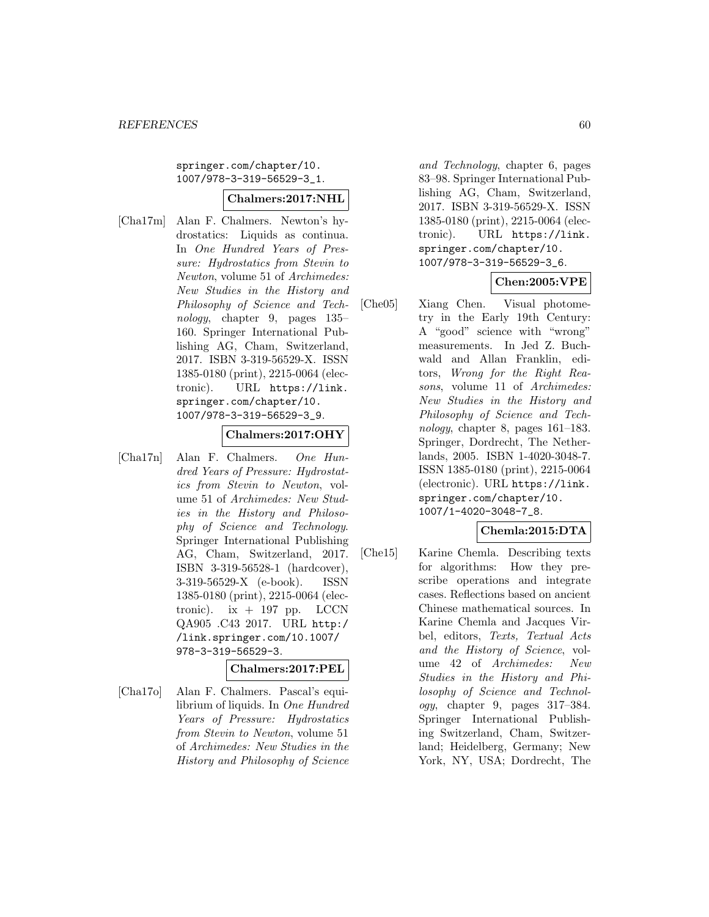springer.com/chapter/10. 1007/978-3-319-56529-3\_1.

#### **Chalmers:2017:NHL**

[Cha17m] Alan F. Chalmers. Newton's hydrostatics: Liquids as continua. In One Hundred Years of Pressure: Hydrostatics from Stevin to Newton, volume 51 of Archimedes: New Studies in the History and Philosophy of Science and Technology, chapter 9, pages 135– 160. Springer International Publishing AG, Cham, Switzerland, 2017. ISBN 3-319-56529-X. ISSN 1385-0180 (print), 2215-0064 (electronic). URL https://link. springer.com/chapter/10. 1007/978-3-319-56529-3\_9.

#### **Chalmers:2017:OHY**

[Cha17n] Alan F. Chalmers. One Hundred Years of Pressure: Hydrostatics from Stevin to Newton, volume 51 of Archimedes: New Studies in the History and Philosophy of Science and Technology. Springer International Publishing AG, Cham, Switzerland, 2017. ISBN 3-319-56528-1 (hardcover), 3-319-56529-X (e-book). ISSN 1385-0180 (print), 2215-0064 (electronic). ix  $+$  197 pp. LCCN QA905 .C43 2017. URL http:/ /link.springer.com/10.1007/ 978-3-319-56529-3.

### **Chalmers:2017:PEL**

[Cha17o] Alan F. Chalmers. Pascal's equilibrium of liquids. In One Hundred Years of Pressure: Hydrostatics from Stevin to Newton, volume 51 of Archimedes: New Studies in the History and Philosophy of Science

and Technology, chapter 6, pages 83–98. Springer International Publishing AG, Cham, Switzerland, 2017. ISBN 3-319-56529-X. ISSN 1385-0180 (print), 2215-0064 (electronic). URL https://link. springer.com/chapter/10. 1007/978-3-319-56529-3\_6.

### **Chen:2005:VPE**

[Che05] Xiang Chen. Visual photometry in the Early 19th Century: A "good" science with "wrong" measurements. In Jed Z. Buchwald and Allan Franklin, editors, Wrong for the Right Reasons, volume 11 of Archimedes: New Studies in the History and Philosophy of Science and Technology, chapter 8, pages 161–183. Springer, Dordrecht, The Netherlands, 2005. ISBN 1-4020-3048-7. ISSN 1385-0180 (print), 2215-0064 (electronic). URL https://link. springer.com/chapter/10. 1007/1-4020-3048-7\_8.

### **Chemla:2015:DTA**

[Che15] Karine Chemla. Describing texts for algorithms: How they prescribe operations and integrate cases. Reflections based on ancient Chinese mathematical sources. In Karine Chemla and Jacques Virbel, editors, Texts, Textual Acts and the History of Science, volume 42 of Archimedes: New Studies in the History and Philosophy of Science and Technology, chapter 9, pages 317–384. Springer International Publishing Switzerland, Cham, Switzerland; Heidelberg, Germany; New York, NY, USA; Dordrecht, The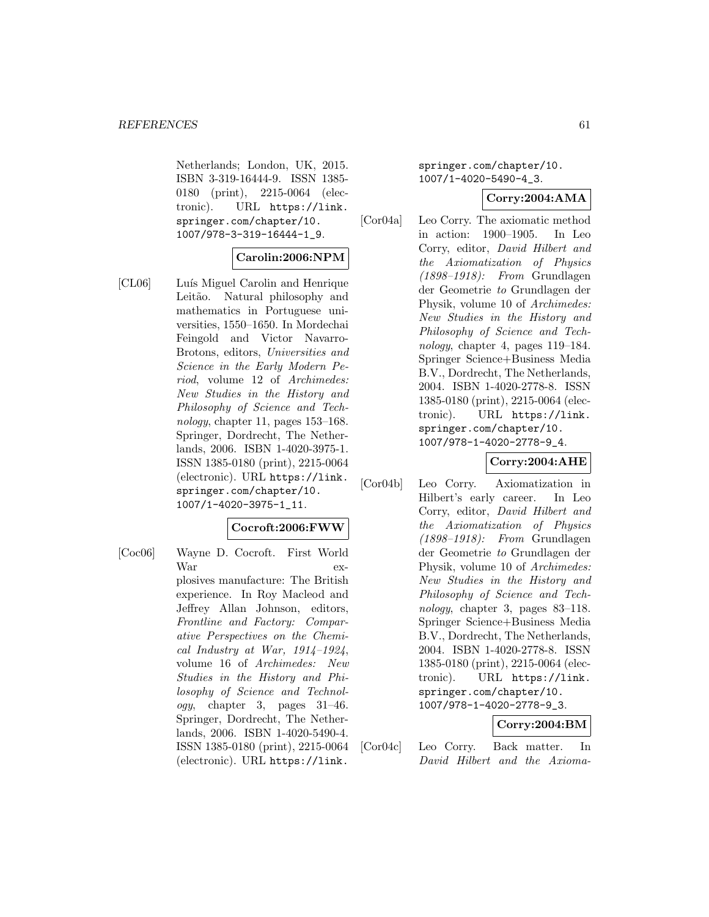Netherlands; London, UK, 2015. ISBN 3-319-16444-9. ISSN 1385- 0180 (print), 2215-0064 (electronic). URL https://link. springer.com/chapter/10. 1007/978-3-319-16444-1\_9.

### **Carolin:2006:NPM**

[CL06] Luís Miguel Carolin and Henrique Leitão. Natural philosophy and mathematics in Portuguese universities, 1550–1650. In Mordechai Feingold and Victor Navarro-Brotons, editors, Universities and Science in the Early Modern Period, volume 12 of Archimedes: New Studies in the History and Philosophy of Science and Technology, chapter 11, pages 153–168. Springer, Dordrecht, The Netherlands, 2006. ISBN 1-4020-3975-1. ISSN 1385-0180 (print), 2215-0064 (electronic). URL https://link. springer.com/chapter/10. 1007/1-4020-3975-1\_11.

### **Cocroft:2006:FWW**

[Coc06] Wayne D. Cocroft. First World War explosives manufacture: The British experience. In Roy Macleod and Jeffrey Allan Johnson, editors, Frontline and Factory: Comparative Perspectives on the Chemical Industry at War, 1914–1924, volume 16 of Archimedes: New Studies in the History and Philosophy of Science and Technology, chapter 3, pages 31–46. Springer, Dordrecht, The Netherlands, 2006. ISBN 1-4020-5490-4. ISSN 1385-0180 (print), 2215-0064 (electronic). URL https://link.

springer.com/chapter/10. 1007/1-4020-5490-4\_3.

### **Corry:2004:AMA**

[Cor04a] Leo Corry. The axiomatic method in action: 1900–1905. In Leo Corry, editor, David Hilbert and the Axiomatization of Physics (1898–1918): From Grundlagen der Geometrie to Grundlagen der Physik, volume 10 of Archimedes: New Studies in the History and Philosophy of Science and Technology, chapter 4, pages 119–184. Springer Science+Business Media B.V., Dordrecht, The Netherlands, 2004. ISBN 1-4020-2778-8. ISSN 1385-0180 (print), 2215-0064 (electronic). URL https://link. springer.com/chapter/10. 1007/978-1-4020-2778-9\_4.

## **Corry:2004:AHE**

[Cor04b] Leo Corry. Axiomatization in Hilbert's early career. In Leo Corry, editor, David Hilbert and the Axiomatization of Physics (1898–1918): From Grundlagen der Geometrie to Grundlagen der Physik, volume 10 of Archimedes: New Studies in the History and Philosophy of Science and Technology, chapter 3, pages 83–118. Springer Science+Business Media B.V., Dordrecht, The Netherlands, 2004. ISBN 1-4020-2778-8. ISSN 1385-0180 (print), 2215-0064 (electronic). URL https://link. springer.com/chapter/10. 1007/978-1-4020-2778-9\_3.

### **Corry:2004:BM**

[Cor04c] Leo Corry. Back matter. In David Hilbert and the Axioma-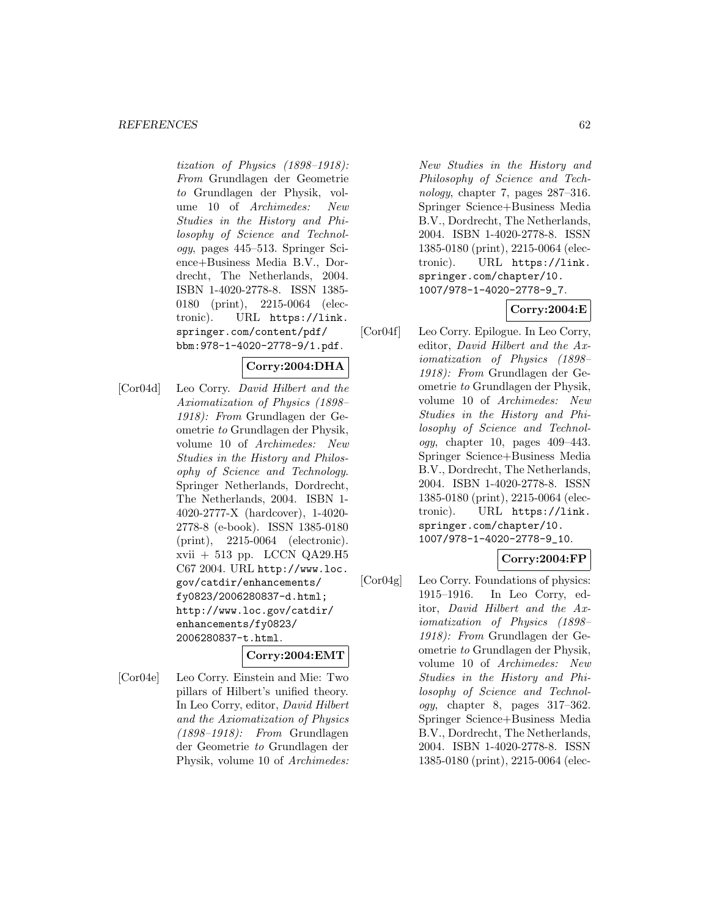#### *REFERENCES* 62

tization of Physics (1898–1918): From Grundlagen der Geometrie to Grundlagen der Physik, volume 10 of Archimedes: New Studies in the History and Philosophy of Science and Technology, pages 445–513. Springer Science+Business Media B.V., Dordrecht, The Netherlands, 2004. ISBN 1-4020-2778-8. ISSN 1385- 0180 (print), 2215-0064 (electronic). URL https://link. springer.com/content/pdf/ bbm:978-1-4020-2778-9/1.pdf.

### **Corry:2004:DHA**

[Cor04d] Leo Corry. David Hilbert and the Axiomatization of Physics (1898– 1918): From Grundlagen der Geometrie to Grundlagen der Physik, volume 10 of Archimedes: New Studies in the History and Philosophy of Science and Technology. Springer Netherlands, Dordrecht, The Netherlands, 2004. ISBN 1- 4020-2777-X (hardcover), 1-4020- 2778-8 (e-book). ISSN 1385-0180 (print), 2215-0064 (electronic). xvii + 513 pp. LCCN QA29.H5 C67 2004. URL http://www.loc. gov/catdir/enhancements/ fy0823/2006280837-d.html; http://www.loc.gov/catdir/ enhancements/fy0823/ 2006280837-t.html.

#### **Corry:2004:EMT**

[Cor04e] Leo Corry. Einstein and Mie: Two pillars of Hilbert's unified theory. In Leo Corry, editor, David Hilbert and the Axiomatization of Physics (1898–1918): From Grundlagen der Geometrie to Grundlagen der Physik, volume 10 of Archimedes:

New Studies in the History and Philosophy of Science and Technology, chapter 7, pages 287–316. Springer Science+Business Media B.V., Dordrecht, The Netherlands, 2004. ISBN 1-4020-2778-8. ISSN 1385-0180 (print), 2215-0064 (electronic). URL https://link. springer.com/chapter/10. 1007/978-1-4020-2778-9\_7.

### **Corry:2004:E**

[Cor04f] Leo Corry. Epilogue. In Leo Corry, editor, David Hilbert and the Axiomatization of Physics (1898– 1918): From Grundlagen der Geometrie to Grundlagen der Physik, volume 10 of Archimedes: New Studies in the History and Philosophy of Science and Technology, chapter 10, pages  $409-443$ . Springer Science+Business Media B.V., Dordrecht, The Netherlands, 2004. ISBN 1-4020-2778-8. ISSN 1385-0180 (print), 2215-0064 (electronic). URL https://link. springer.com/chapter/10. 1007/978-1-4020-2778-9\_10.

## **Corry:2004:FP**

[Cor04g] Leo Corry. Foundations of physics: 1915–1916. In Leo Corry, editor, David Hilbert and the Axiomatization of Physics (1898– 1918): From Grundlagen der Geometrie to Grundlagen der Physik, volume 10 of Archimedes: New Studies in the History and Philosophy of Science and Technology, chapter 8, pages 317–362. Springer Science+Business Media B.V., Dordrecht, The Netherlands, 2004. ISBN 1-4020-2778-8. ISSN 1385-0180 (print), 2215-0064 (elec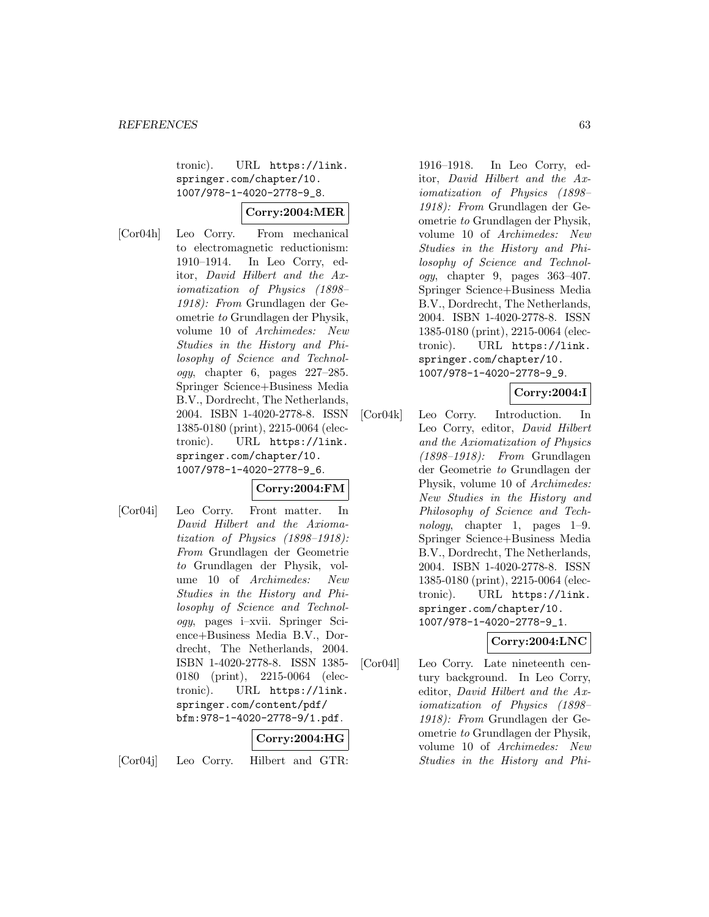tronic). URL https://link. springer.com/chapter/10. 1007/978-1-4020-2778-9\_8.

# **Corry:2004:MER**

[Cor04h] Leo Corry. From mechanical to electromagnetic reductionism: 1910–1914. In Leo Corry, editor, David Hilbert and the Axiomatization of Physics (1898– 1918): From Grundlagen der Geometrie to Grundlagen der Physik, volume 10 of Archimedes: New Studies in the History and Philosophy of Science and Technol $oqu$ , chapter 6, pages  $227-285$ . Springer Science+Business Media B.V., Dordrecht, The Netherlands, 2004. ISBN 1-4020-2778-8. ISSN 1385-0180 (print), 2215-0064 (electronic). URL https://link. springer.com/chapter/10. 1007/978-1-4020-2778-9\_6.

### **Corry:2004:FM**

[Cor04i] Leo Corry. Front matter. In David Hilbert and the Axiomatization of Physics (1898–1918): From Grundlagen der Geometrie to Grundlagen der Physik, volume 10 of Archimedes: New Studies in the History and Philosophy of Science and Technology, pages i–xvii. Springer Science+Business Media B.V., Dordrecht, The Netherlands, 2004. ISBN 1-4020-2778-8. ISSN 1385- 0180 (print), 2215-0064 (electronic). URL https://link. springer.com/content/pdf/ bfm:978-1-4020-2778-9/1.pdf.

**Corry:2004:HG**

[Cor04j] Leo Corry. Hilbert and GTR:

1916–1918. In Leo Corry, editor, David Hilbert and the Axiomatization of Physics (1898– 1918): From Grundlagen der Geometrie to Grundlagen der Physik, volume 10 of Archimedes: New Studies in the History and Philosophy of Science and Technology, chapter 9, pages 363–407. Springer Science+Business Media B.V., Dordrecht, The Netherlands, 2004. ISBN 1-4020-2778-8. ISSN 1385-0180 (print), 2215-0064 (electronic). URL https://link. springer.com/chapter/10. 1007/978-1-4020-2778-9\_9.

### **Corry:2004:I**

[Cor04k] Leo Corry. Introduction. In Leo Corry, editor, David Hilbert and the Axiomatization of Physics (1898–1918): From Grundlagen der Geometrie to Grundlagen der Physik, volume 10 of Archimedes: New Studies in the History and Philosophy of Science and Technology, chapter 1, pages 1–9. Springer Science+Business Media B.V., Dordrecht, The Netherlands, 2004. ISBN 1-4020-2778-8. ISSN 1385-0180 (print), 2215-0064 (electronic). URL https://link. springer.com/chapter/10. 1007/978-1-4020-2778-9\_1.

### **Corry:2004:LNC**

[Cor04l] Leo Corry. Late nineteenth century background. In Leo Corry, editor, David Hilbert and the Axiomatization of Physics (1898– 1918): From Grundlagen der Geometrie to Grundlagen der Physik, volume 10 of Archimedes: New Studies in the History and Phi-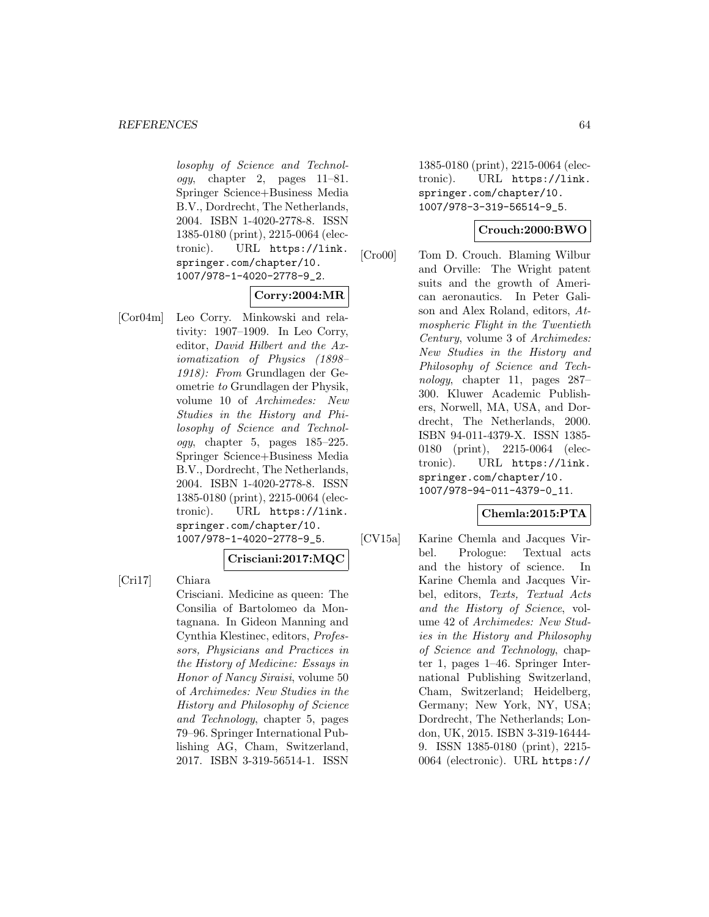#### *REFERENCES* 64

losophy of Science and Technology, chapter 2, pages 11–81. Springer Science+Business Media B.V., Dordrecht, The Netherlands, 2004. ISBN 1-4020-2778-8. ISSN 1385-0180 (print), 2215-0064 (electronic). URL https://link. springer.com/chapter/10. 1007/978-1-4020-2778-9\_2.

### **Corry:2004:MR**

[Cor04m] Leo Corry. Minkowski and relativity: 1907–1909. In Leo Corry, editor, David Hilbert and the Axiomatization of Physics (1898– 1918): From Grundlagen der Geometrie to Grundlagen der Physik, volume 10 of Archimedes: New Studies in the History and Philosophy of Science and Technol $ogy,$  chapter 5, pages  $185-225.$ Springer Science+Business Media B.V., Dordrecht, The Netherlands, 2004. ISBN 1-4020-2778-8. ISSN 1385-0180 (print), 2215-0064 (electronic). URL https://link. springer.com/chapter/10. 1007/978-1-4020-2778-9\_5.

# **Crisciani:2017:MQC**

[Cri17] Chiara

Crisciani. Medicine as queen: The Consilia of Bartolomeo da Montagnana. In Gideon Manning and Cynthia Klestinec, editors, Professors, Physicians and Practices in the History of Medicine: Essays in Honor of Nancy Siraisi, volume 50 of Archimedes: New Studies in the History and Philosophy of Science and Technology, chapter 5, pages 79–96. Springer International Publishing AG, Cham, Switzerland, 2017. ISBN 3-319-56514-1. ISSN

1385-0180 (print), 2215-0064 (electronic). URL https://link. springer.com/chapter/10. 1007/978-3-319-56514-9\_5.

### **Crouch:2000:BWO**

[Cro00] Tom D. Crouch. Blaming Wilbur and Orville: The Wright patent suits and the growth of American aeronautics. In Peter Galison and Alex Roland, editors, Atmospheric Flight in the Twentieth Century, volume 3 of Archimedes: New Studies in the History and Philosophy of Science and Technology, chapter 11, pages 287– 300. Kluwer Academic Publishers, Norwell, MA, USA, and Dordrecht, The Netherlands, 2000. ISBN 94-011-4379-X. ISSN 1385- 0180 (print), 2215-0064 (electronic). URL https://link. springer.com/chapter/10. 1007/978-94-011-4379-0\_11.

### **Chemla:2015:PTA**

[CV15a] Karine Chemla and Jacques Virbel. Prologue: Textual acts and the history of science. In Karine Chemla and Jacques Virbel, editors, Texts, Textual Acts and the History of Science, volume 42 of Archimedes: New Studies in the History and Philosophy of Science and Technology, chapter 1, pages 1–46. Springer International Publishing Switzerland, Cham, Switzerland; Heidelberg, Germany; New York, NY, USA; Dordrecht, The Netherlands; London, UK, 2015. ISBN 3-319-16444- 9. ISSN 1385-0180 (print), 2215- 0064 (electronic). URL https://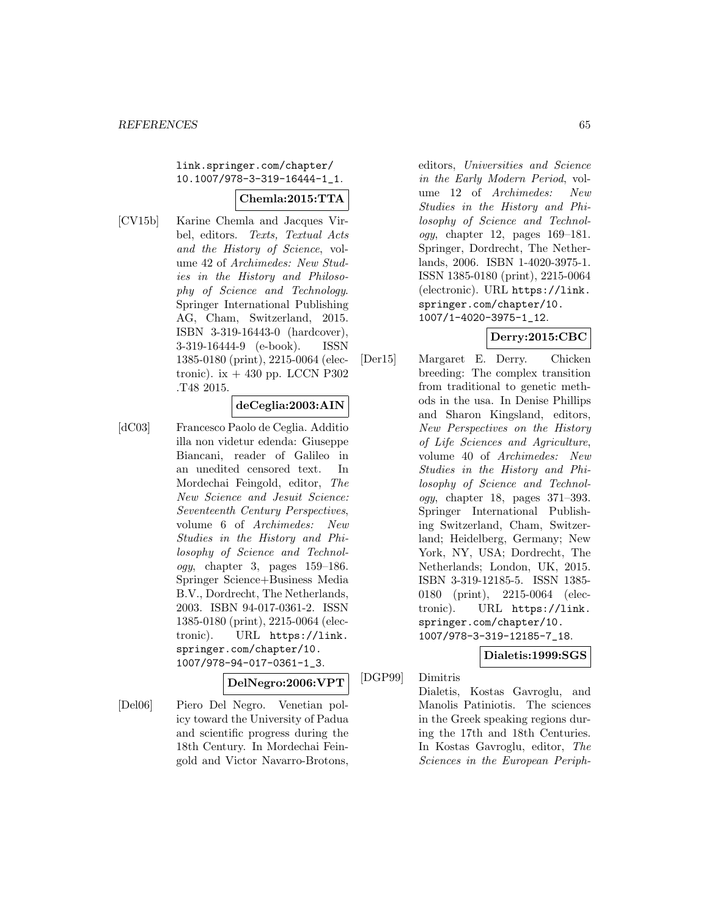link.springer.com/chapter/ 10.1007/978-3-319-16444-1\_1.

### **Chemla:2015:TTA**

[CV15b] Karine Chemla and Jacques Virbel, editors. Texts, Textual Acts and the History of Science, volume 42 of Archimedes: New Studies in the History and Philosophy of Science and Technology. Springer International Publishing AG, Cham, Switzerland, 2015. ISBN 3-319-16443-0 (hardcover), 3-319-16444-9 (e-book). ISSN 1385-0180 (print), 2215-0064 (electronic). ix  $+$  430 pp. LCCN P302 .T48 2015.

### **deCeglia:2003:AIN**

- 
- [dC03] Francesco Paolo de Ceglia. Additio illa non videtur edenda: Giuseppe Biancani, reader of Galileo in an unedited censored text. In Mordechai Feingold, editor, The New Science and Jesuit Science: Seventeenth Century Perspectives, volume 6 of Archimedes: New Studies in the History and Philosophy of Science and Technol $oqu$ , chapter 3, pages  $159-186$ . Springer Science+Business Media B.V., Dordrecht, The Netherlands, 2003. ISBN 94-017-0361-2. ISSN 1385-0180 (print), 2215-0064 (electronic). URL https://link. springer.com/chapter/10. 1007/978-94-017-0361-1\_3.

**DelNegro:2006:VPT**

[Del06] Piero Del Negro. Venetian policy toward the University of Padua and scientific progress during the 18th Century. In Mordechai Feingold and Victor Navarro-Brotons,

editors, Universities and Science in the Early Modern Period, volume 12 of Archimedes: New Studies in the History and Philosophy of Science and Technology, chapter 12, pages 169–181. Springer, Dordrecht, The Netherlands, 2006. ISBN 1-4020-3975-1. ISSN 1385-0180 (print), 2215-0064 (electronic). URL https://link. springer.com/chapter/10. 1007/1-4020-3975-1\_12.

### **Derry:2015:CBC**

[Der15] Margaret E. Derry. Chicken breeding: The complex transition from traditional to genetic methods in the usa. In Denise Phillips and Sharon Kingsland, editors, New Perspectives on the History of Life Sciences and Agriculture, volume 40 of Archimedes: New Studies in the History and Philosophy of Science and Technology, chapter 18, pages 371–393. Springer International Publishing Switzerland, Cham, Switzerland; Heidelberg, Germany; New York, NY, USA; Dordrecht, The Netherlands; London, UK, 2015. ISBN 3-319-12185-5. ISSN 1385- 0180 (print), 2215-0064 (electronic). URL https://link. springer.com/chapter/10. 1007/978-3-319-12185-7\_18.

# **Dialetis:1999:SGS**

[DGP99] Dimitris

Dialetis, Kostas Gavroglu, and Manolis Patiniotis. The sciences in the Greek speaking regions during the 17th and 18th Centuries. In Kostas Gavroglu, editor, The Sciences in the European Periph-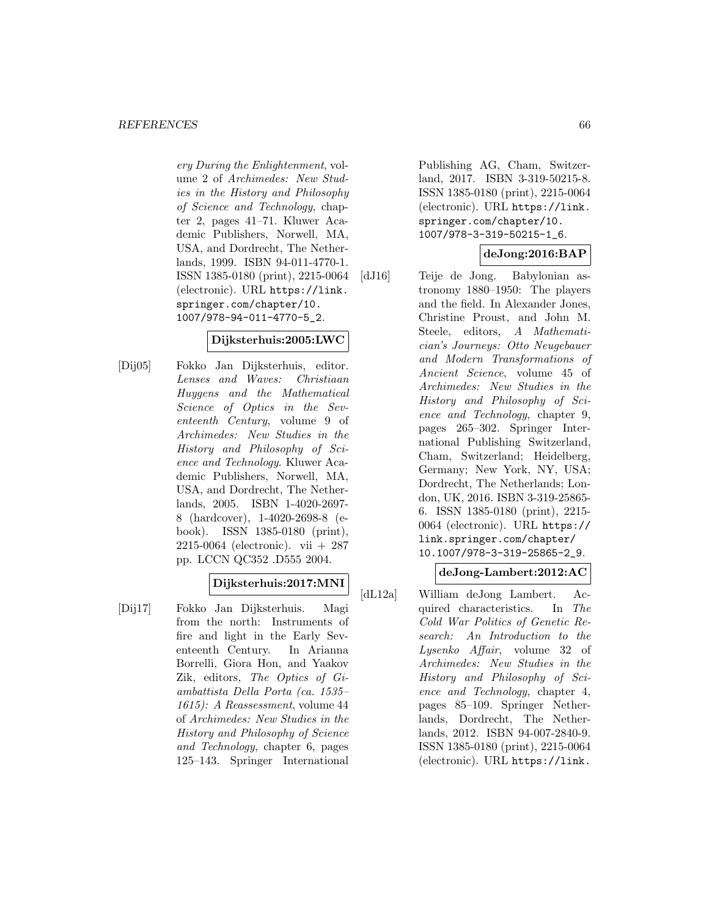#### *REFERENCES* 66

ery During the Enlightenment, volume 2 of Archimedes: New Studies in the History and Philosophy of Science and Technology, chapter 2, pages 41–71. Kluwer Academic Publishers, Norwell, MA, USA, and Dordrecht, The Netherlands, 1999. ISBN 94-011-4770-1. ISSN 1385-0180 (print), 2215-0064 (electronic). URL https://link. springer.com/chapter/10. 1007/978-94-011-4770-5\_2.

### **Dijksterhuis:2005:LWC**

[Dij05] Fokko Jan Dijksterhuis, editor. Lenses and Waves: Christiaan Huygens and the Mathematical Science of Optics in the Seventeenth Century, volume 9 of Archimedes: New Studies in the History and Philosophy of Science and Technology. Kluwer Academic Publishers, Norwell, MA, USA, and Dordrecht, The Netherlands, 2005. ISBN 1-4020-2697- 8 (hardcover), 1-4020-2698-8 (ebook). ISSN 1385-0180 (print), 2215-0064 (electronic). vii + 287 pp. LCCN QC352 .D555 2004.

### **Dijksterhuis:2017:MNI**

[Dij17] Fokko Jan Dijksterhuis. Magi from the north: Instruments of fire and light in the Early Seventeenth Century. In Arianna Borrelli, Giora Hon, and Yaakov Zik, editors, The Optics of Giambattista Della Porta (ca. 1535– 1615): A Reassessment, volume 44 of Archimedes: New Studies in the History and Philosophy of Science and Technology, chapter 6, pages 125–143. Springer International

Publishing AG, Cham, Switzerland, 2017. ISBN 3-319-50215-8. ISSN 1385-0180 (print), 2215-0064 (electronic). URL https://link. springer.com/chapter/10. 1007/978-3-319-50215-1\_6.

### **deJong:2016:BAP**

[dJ16] Teije de Jong. Babylonian astronomy 1880–1950: The players and the field. In Alexander Jones, Christine Proust, and John M. Steele, editors, A Mathematician's Journeys: Otto Neugebauer and Modern Transformations of Ancient Science, volume 45 of Archimedes: New Studies in the History and Philosophy of Science and Technology, chapter 9, pages 265–302. Springer International Publishing Switzerland, Cham, Switzerland; Heidelberg, Germany; New York, NY, USA; Dordrecht, The Netherlands; London, UK, 2016. ISBN 3-319-25865- 6. ISSN 1385-0180 (print), 2215- 0064 (electronic). URL https:// link.springer.com/chapter/ 10.1007/978-3-319-25865-2\_9.

## **deJong-Lambert:2012:AC**

[dL12a] William deJong Lambert. Acquired characteristics. In The Cold War Politics of Genetic Research: An Introduction to the Lysenko Affair, volume 32 of Archimedes: New Studies in the History and Philosophy of Science and Technology, chapter 4, pages 85–109. Springer Netherlands, Dordrecht, The Netherlands, 2012. ISBN 94-007-2840-9. ISSN 1385-0180 (print), 2215-0064 (electronic). URL https://link.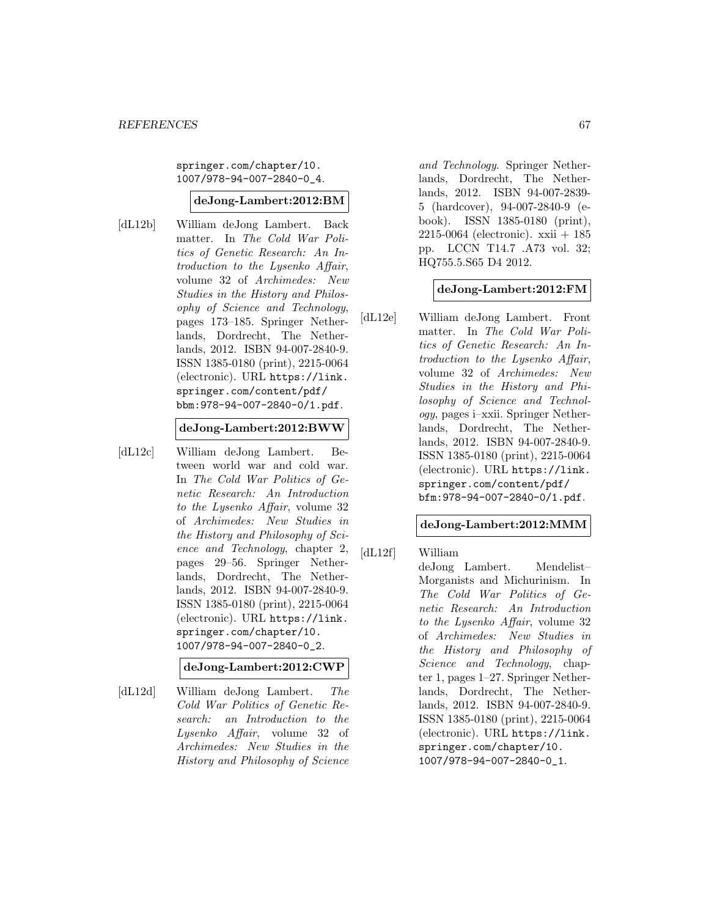springer.com/chapter/10. 1007/978-94-007-2840-0\_4.

#### **deJong-Lambert:2012:BM**

[dL12b] William deJong Lambert. Back matter. In The Cold War Politics of Genetic Research: An Introduction to the Lysenko Affair, volume 32 of Archimedes: New Studies in the History and Philosophy of Science and Technology, pages 173–185. Springer Netherlands, Dordrecht, The Netherlands, 2012. ISBN 94-007-2840-9. ISSN 1385-0180 (print), 2215-0064 (electronic). URL https://link. springer.com/content/pdf/ bbm:978-94-007-2840-0/1.pdf.

### **deJong-Lambert:2012:BWW**

[dL12c] William deJong Lambert. Between world war and cold war. In The Cold War Politics of Genetic Research: An Introduction to the Lysenko Affair, volume 32 of Archimedes: New Studies in the History and Philosophy of Science and Technology, chapter 2, pages 29–56. Springer Netherlands, Dordrecht, The Netherlands, 2012. ISBN 94-007-2840-9. ISSN 1385-0180 (print), 2215-0064 (electronic). URL https://link. springer.com/chapter/10. 1007/978-94-007-2840-0\_2.

# **deJong-Lambert:2012:CWP**

[dL12d] William deJong Lambert. The Cold War Politics of Genetic Research: an Introduction to the Lysenko Affair, volume 32 of Archimedes: New Studies in the History and Philosophy of Science

and Technology. Springer Netherlands, Dordrecht, The Netherlands, 2012. ISBN 94-007-2839- 5 (hardcover), 94-007-2840-9 (ebook). ISSN 1385-0180 (print), 2215-0064 (electronic). xxii + 185 pp. LCCN T14.7 .A73 vol. 32; HQ755.5.S65 D4 2012.

### **deJong-Lambert:2012:FM**

[dL12e] William deJong Lambert. Front matter. In The Cold War Politics of Genetic Research: An Introduction to the Lysenko Affair, volume 32 of Archimedes: New Studies in the History and Philosophy of Science and Technology, pages i–xxii. Springer Netherlands, Dordrecht, The Netherlands, 2012. ISBN 94-007-2840-9. ISSN 1385-0180 (print), 2215-0064 (electronic). URL https://link. springer.com/content/pdf/ bfm:978-94-007-2840-0/1.pdf.

#### **deJong-Lambert:2012:MMM**

[dL12f] William deJong Lambert. Mendelist– Morganists and Michurinism. In The Cold War Politics of Genetic Research: An Introduction to the Lysenko Affair, volume 32 of Archimedes: New Studies in the History and Philosophy of Science and Technology, chapter 1, pages 1–27. Springer Netherlands, Dordrecht, The Netherlands, 2012. ISBN 94-007-2840-9. ISSN 1385-0180 (print), 2215-0064 (electronic). URL https://link. springer.com/chapter/10. 1007/978-94-007-2840-0\_1.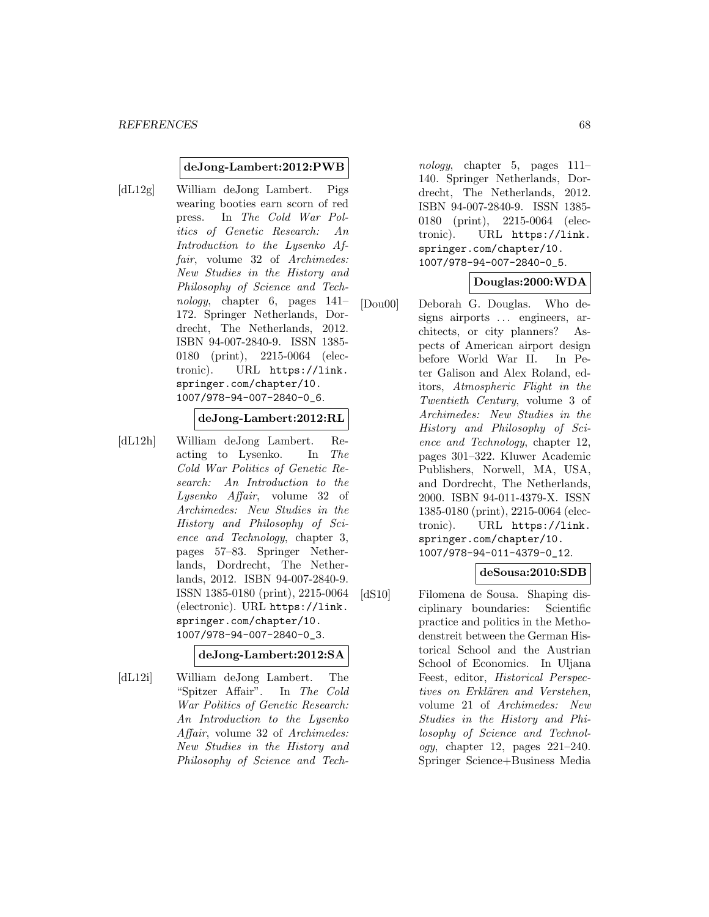#### **deJong-Lambert:2012:PWB**

[dL12g] William deJong Lambert. Pigs wearing booties earn scorn of red press. In The Cold War Politics of Genetic Research: An Introduction to the Lysenko Affair, volume 32 of Archimedes: New Studies in the History and Philosophy of Science and Technology, chapter 6, pages 141– 172. Springer Netherlands, Dordrecht, The Netherlands, 2012. ISBN 94-007-2840-9. ISSN 1385- 0180 (print), 2215-0064 (electronic). URL https://link. springer.com/chapter/10. 1007/978-94-007-2840-0\_6.

### **deJong-Lambert:2012:RL**

[dL12h] William deJong Lambert. Reacting to Lysenko. In The Cold War Politics of Genetic Research: An Introduction to the Lysenko Affair, volume 32 of Archimedes: New Studies in the History and Philosophy of Science and Technology, chapter 3, pages 57–83. Springer Netherlands, Dordrecht, The Netherlands, 2012. ISBN 94-007-2840-9. ISSN 1385-0180 (print), 2215-0064 (electronic). URL https://link. springer.com/chapter/10. 1007/978-94-007-2840-0\_3.

#### **deJong-Lambert:2012:SA**

[dL12i] William deJong Lambert. The "Spitzer Affair". In The Cold War Politics of Genetic Research: An Introduction to the Lysenko Affair, volume 32 of Archimedes: New Studies in the History and Philosophy of Science and Tech-

nology, chapter 5, pages 111– 140. Springer Netherlands, Dordrecht, The Netherlands, 2012. ISBN 94-007-2840-9. ISSN 1385- 0180 (print), 2215-0064 (electronic). URL https://link. springer.com/chapter/10. 1007/978-94-007-2840-0\_5.

### **Douglas:2000:WDA**

[Dou00] Deborah G. Douglas. Who designs airports ... engineers, architects, or city planners? Aspects of American airport design before World War II. In Peter Galison and Alex Roland, editors, Atmospheric Flight in the Twentieth Century, volume 3 of Archimedes: New Studies in the History and Philosophy of Science and Technology, chapter 12, pages 301–322. Kluwer Academic Publishers, Norwell, MA, USA, and Dordrecht, The Netherlands, 2000. ISBN 94-011-4379-X. ISSN 1385-0180 (print), 2215-0064 (electronic). URL https://link. springer.com/chapter/10. 1007/978-94-011-4379-0\_12.

# **deSousa:2010:SDB**

[dS10] Filomena de Sousa. Shaping disciplinary boundaries: Scientific practice and politics in the Methodenstreit between the German Historical School and the Austrian School of Economics. In Uljana Feest, editor, Historical Perspectives on Erklären and Verstehen, volume 21 of Archimedes: New Studies in the History and Philosophy of Science and Technol*ogy*, chapter 12, pages  $221-240$ . Springer Science+Business Media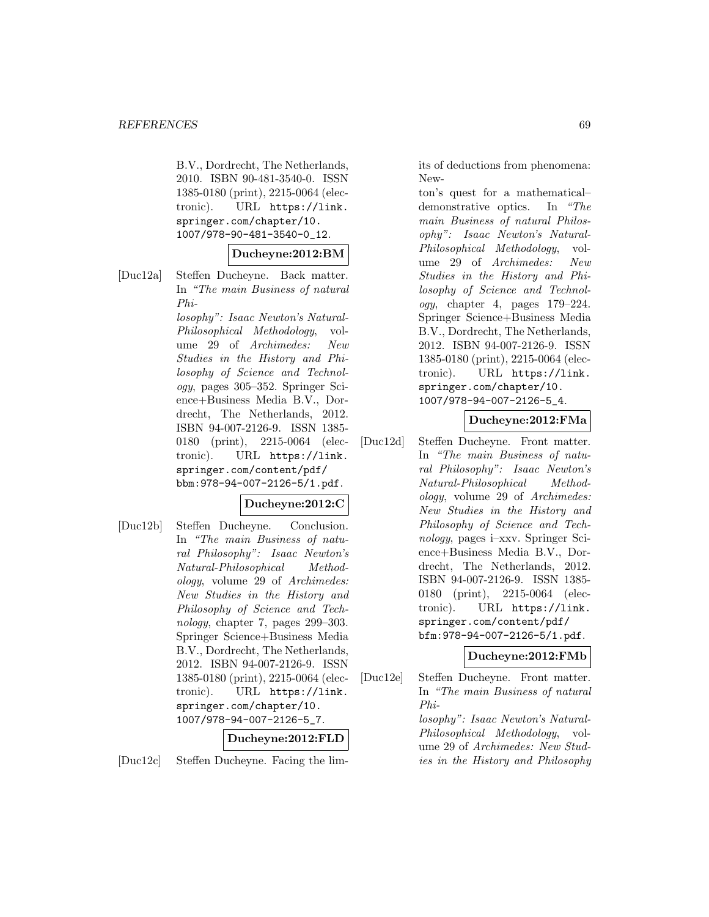B.V., Dordrecht, The Netherlands, 2010. ISBN 90-481-3540-0. ISSN 1385-0180 (print), 2215-0064 (electronic). URL https://link. springer.com/chapter/10. 1007/978-90-481-3540-0\_12.

#### **Ducheyne:2012:BM**

[Duc12a] Steffen Ducheyne. Back matter. In "The main Business of natural Phi-

> losophy": Isaac Newton's Natural-Philosophical Methodology, volume 29 of Archimedes: New Studies in the History and Philosophy of Science and Technology, pages 305–352. Springer Science+Business Media B.V., Dordrecht, The Netherlands, 2012. ISBN 94-007-2126-9. ISSN 1385- 0180 (print), 2215-0064 (electronic). URL https://link. springer.com/content/pdf/ bbm:978-94-007-2126-5/1.pdf.

### **Ducheyne:2012:C**

[Duc12b] Steffen Ducheyne. Conclusion. In "The main Business of natural Philosophy": Isaac Newton's Natural-Philosophical Methodology, volume 29 of Archimedes: New Studies in the History and Philosophy of Science and Technology, chapter 7, pages 299–303. Springer Science+Business Media B.V., Dordrecht, The Netherlands, 2012. ISBN 94-007-2126-9. ISSN 1385-0180 (print), 2215-0064 (electronic). URL https://link. springer.com/chapter/10. 1007/978-94-007-2126-5\_7.

#### **Ducheyne:2012:FLD**

[Duc12c] Steffen Ducheyne. Facing the lim-

its of deductions from phenomena: New-

ton's quest for a mathematical– demonstrative optics. In "The main Business of natural Philosophy": Isaac Newton's Natural-Philosophical Methodology, volume 29 of Archimedes: New Studies in the History and Philosophy of Science and Technology, chapter 4, pages 179–224. Springer Science+Business Media B.V., Dordrecht, The Netherlands, 2012. ISBN 94-007-2126-9. ISSN 1385-0180 (print), 2215-0064 (electronic). URL https://link. springer.com/chapter/10. 1007/978-94-007-2126-5\_4.

### **Ducheyne:2012:FMa**

[Duc12d] Steffen Ducheyne. Front matter. In "The main Business of natural Philosophy": Isaac Newton's Natural-Philosophical Methodology, volume 29 of Archimedes: New Studies in the History and Philosophy of Science and Technology, pages i–xxv. Springer Science+Business Media B.V., Dordrecht, The Netherlands, 2012. ISBN 94-007-2126-9. ISSN 1385- 0180 (print), 2215-0064 (electronic). URL https://link. springer.com/content/pdf/ bfm:978-94-007-2126-5/1.pdf.

#### **Ducheyne:2012:FMb**

[Duc12e] Steffen Ducheyne. Front matter. In "The main Business of natural Philosophy": Isaac Newton's Natural-Philosophical Methodology, volume 29 of Archimedes: New Studies in the History and Philosophy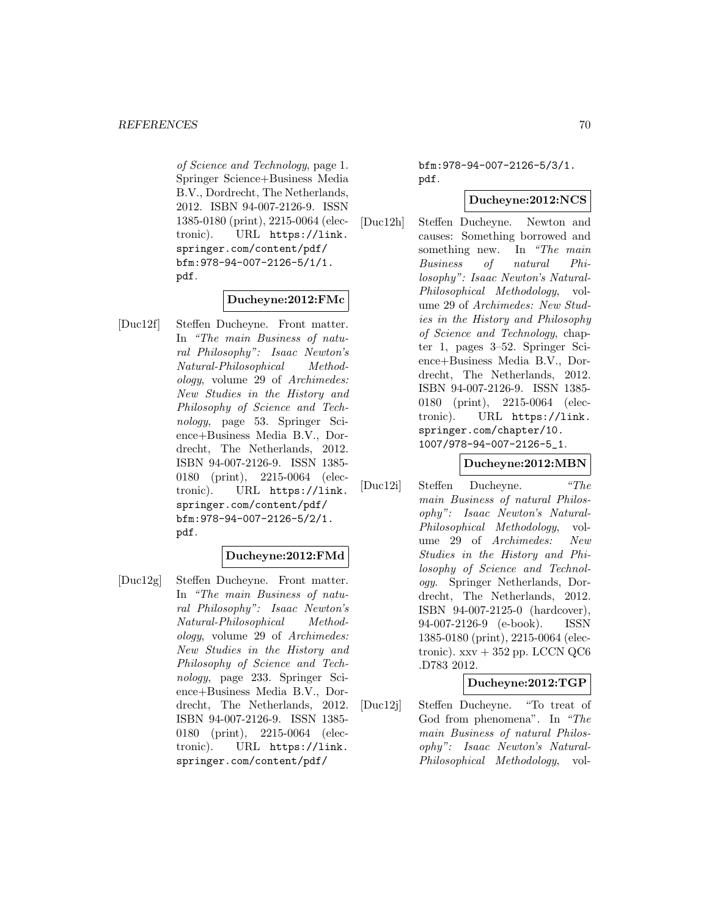of Science and Technology, page 1. Springer Science+Business Media B.V., Dordrecht, The Netherlands, 2012. ISBN 94-007-2126-9. ISSN 1385-0180 (print), 2215-0064 (electronic). URL https://link. springer.com/content/pdf/ bfm:978-94-007-2126-5/1/1. pdf.

### **Ducheyne:2012:FMc**

[Duc12f] Steffen Ducheyne. Front matter. In "The main Business of natural Philosophy": Isaac Newton's Natural-Philosophical Methodology, volume 29 of Archimedes: New Studies in the History and Philosophy of Science and Technology, page 53. Springer Science+Business Media B.V., Dordrecht, The Netherlands, 2012. ISBN 94-007-2126-9. ISSN 1385- 0180 (print), 2215-0064 (electronic). URL https://link. springer.com/content/pdf/ bfm:978-94-007-2126-5/2/1. pdf.

### **Ducheyne:2012:FMd**

[Duc12g] Steffen Ducheyne. Front matter. In "The main Business of natural Philosophy": Isaac Newton's Natural-Philosophical Methodology, volume 29 of Archimedes: New Studies in the History and Philosophy of Science and Technology, page 233. Springer Science+Business Media B.V., Dordrecht, The Netherlands, 2012. ISBN 94-007-2126-9. ISSN 1385- 0180 (print), 2215-0064 (electronic). URL https://link. springer.com/content/pdf/

bfm:978-94-007-2126-5/3/1. pdf.

### **Ducheyne:2012:NCS**

[Duc12h] Steffen Ducheyne. Newton and causes: Something borrowed and something new. In "The main Business of natural Philosophy": Isaac Newton's Natural-Philosophical Methodology, volume 29 of Archimedes: New Studies in the History and Philosophy of Science and Technology, chapter 1, pages 3–52. Springer Science+Business Media B.V., Dordrecht, The Netherlands, 2012. ISBN 94-007-2126-9. ISSN 1385- 0180 (print), 2215-0064 (electronic). URL https://link. springer.com/chapter/10. 1007/978-94-007-2126-5\_1.

### **Ducheyne:2012:MBN**

[Duc12i] Steffen Ducheyne. "The main Business of natural Philosophy": Isaac Newton's Natural-Philosophical Methodology, volume 29 of Archimedes: New Studies in the History and Philosophy of Science and Technology. Springer Netherlands, Dordrecht, The Netherlands, 2012. ISBN 94-007-2125-0 (hardcover), 94-007-2126-9 (e-book). ISSN 1385-0180 (print), 2215-0064 (electronic).  $xxv + 352$  pp. LCCN QC6 .D783 2012.

### **Ducheyne:2012:TGP**

[Duc12j] Steffen Ducheyne. "To treat of God from phenomena". In "The main Business of natural Philosophy": Isaac Newton's Natural-Philosophical Methodology, vol-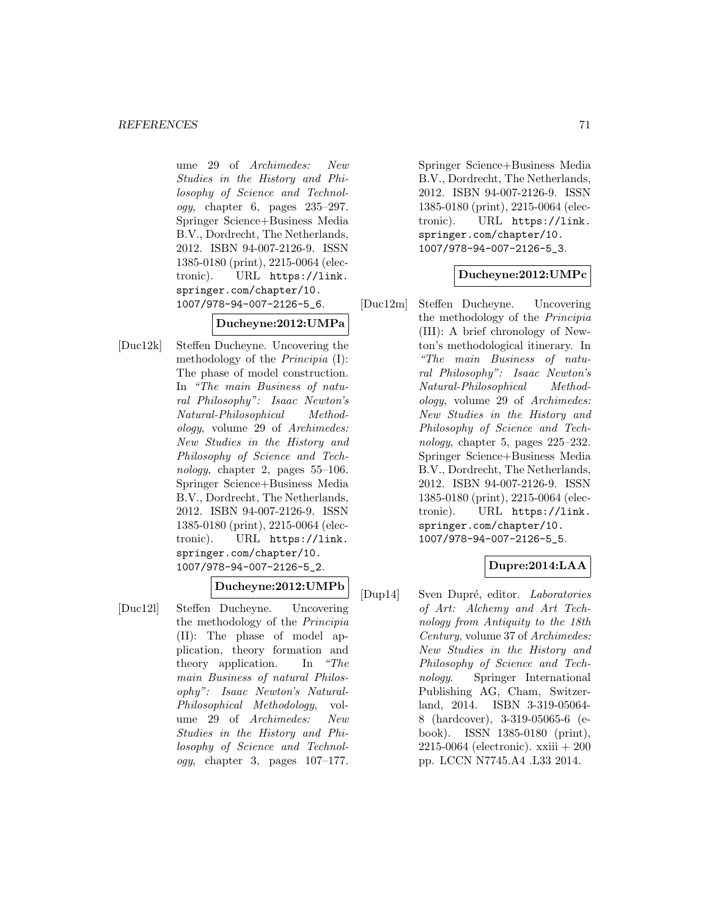ume 29 of Archimedes: New Studies in the History and Philosophy of Science and Technol $oqu$ , chapter 6, pages  $235-297$ . Springer Science+Business Media B.V., Dordrecht, The Netherlands, 2012. ISBN 94-007-2126-9. ISSN 1385-0180 (print), 2215-0064 (electronic). URL https://link. springer.com/chapter/10. 1007/978-94-007-2126-5\_6.

# **Ducheyne:2012:UMPa**

[Duc12k] Steffen Ducheyne. Uncovering the methodology of the Principia (I): The phase of model construction. In "The main Business of natural Philosophy": Isaac Newton's Natural-Philosophical Methodology, volume 29 of Archimedes: New Studies in the History and Philosophy of Science and Technology, chapter 2, pages  $55-106$ . Springer Science+Business Media B.V., Dordrecht, The Netherlands, 2012. ISBN 94-007-2126-9. ISSN 1385-0180 (print), 2215-0064 (electronic). URL https://link. springer.com/chapter/10. 1007/978-94-007-2126-5\_2.

## **Ducheyne:2012:UMPb**

[Duc12l] Steffen Ducheyne. Uncovering the methodology of the Principia (II): The phase of model application, theory formation and theory application. In "The main Business of natural Philosophy": Isaac Newton's Natural-Philosophical Methodology, volume 29 of Archimedes: New Studies in the History and Philosophy of Science and Technol $oqy$ , chapter 3, pages  $107-177$ .

Springer Science+Business Media B.V., Dordrecht, The Netherlands, 2012. ISBN 94-007-2126-9. ISSN 1385-0180 (print), 2215-0064 (electronic). URL https://link. springer.com/chapter/10. 1007/978-94-007-2126-5\_3.

### **Ducheyne:2012:UMPc**

[Duc12m] Steffen Ducheyne. Uncovering the methodology of the Principia (III): A brief chronology of Newton's methodological itinerary. In "The main Business of natural Philosophy": Isaac Newton's Natural-Philosophical Methodology, volume 29 of Archimedes: New Studies in the History and Philosophy of Science and Technology, chapter 5, pages 225–232. Springer Science+Business Media B.V., Dordrecht, The Netherlands, 2012. ISBN 94-007-2126-9. ISSN 1385-0180 (print), 2215-0064 (electronic). URL https://link. springer.com/chapter/10. 1007/978-94-007-2126-5\_5.

# **Dupre:2014:LAA**

[Dup14] Sven Dupré, editor. Laboratories of Art: Alchemy and Art Technology from Antiquity to the 18th Century, volume 37 of Archimedes: New Studies in the History and Philosophy of Science and Technology. Springer International Publishing AG, Cham, Switzerland, 2014. ISBN 3-319-05064- 8 (hardcover), 3-319-05065-6 (ebook). ISSN 1385-0180 (print),  $2215-0064$  (electronic).  $xxiii + 200$ pp. LCCN N7745.A4 .L33 2014.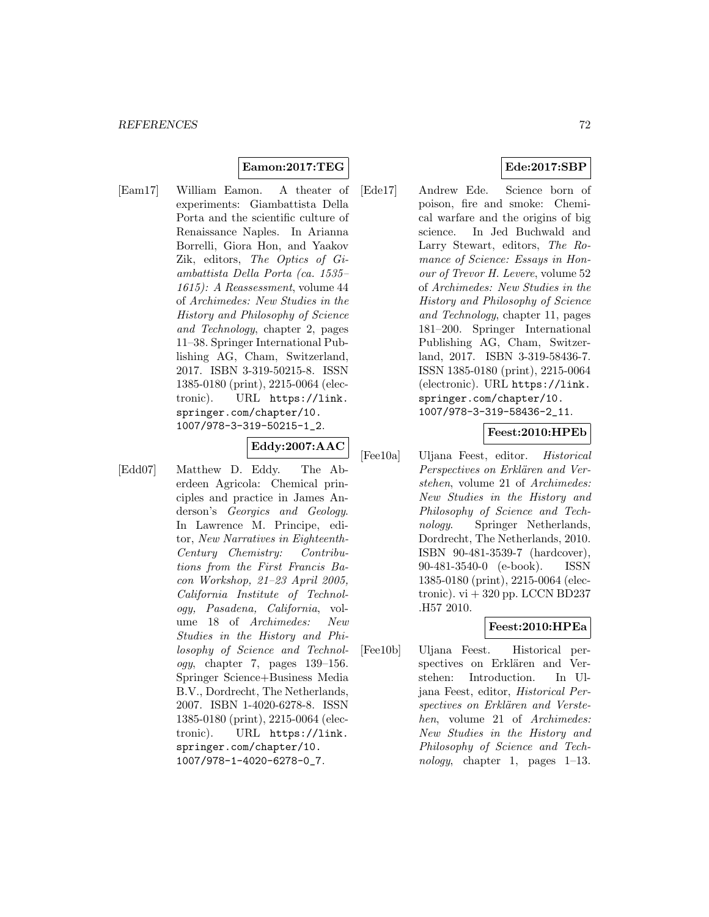### **Eamon:2017:TEG**

[Eam17] William Eamon. A theater of experiments: Giambattista Della Porta and the scientific culture of Renaissance Naples. In Arianna Borrelli, Giora Hon, and Yaakov Zik, editors, The Optics of Giambattista Della Porta (ca. 1535– 1615): A Reassessment, volume 44 of Archimedes: New Studies in the History and Philosophy of Science and Technology, chapter 2, pages 11–38. Springer International Publishing AG, Cham, Switzerland, 2017. ISBN 3-319-50215-8. ISSN 1385-0180 (print), 2215-0064 (electronic). URL https://link. springer.com/chapter/10. 1007/978-3-319-50215-1\_2.

# **Eddy:2007:AAC**

- 
- [Edd07] Matthew D. Eddy. The Aberdeen Agricola: Chemical principles and practice in James Anderson's Georgics and Geology. In Lawrence M. Principe, editor, New Narratives in Eighteenth-Century Chemistry: Contributions from the First Francis Bacon Workshop, 21–23 April 2005, California Institute of Technology, Pasadena, California, volume 18 of Archimedes: New Studies in the History and Philosophy of Science and Technol $ogy,$  chapter 7, pages 139–156. Springer Science+Business Media B.V., Dordrecht, The Netherlands, 2007. ISBN 1-4020-6278-8. ISSN 1385-0180 (print), 2215-0064 (electronic). URL https://link. springer.com/chapter/10. 1007/978-1-4020-6278-0\_7.

# **Ede:2017:SBP**

[Ede17] Andrew Ede. Science born of poison, fire and smoke: Chemical warfare and the origins of big science. In Jed Buchwald and Larry Stewart, editors, The Romance of Science: Essays in Honour of Trevor H. Levere, volume 52 of Archimedes: New Studies in the History and Philosophy of Science and Technology, chapter 11, pages 181–200. Springer International Publishing AG, Cham, Switzerland, 2017. ISBN 3-319-58436-7. ISSN 1385-0180 (print), 2215-0064 (electronic). URL https://link. springer.com/chapter/10. 1007/978-3-319-58436-2\_11.

# **Feest:2010:HPEb**

[Fee10a] Uljana Feest, editor. Historical Perspectives on Erklären and Verstehen, volume 21 of Archimedes: New Studies in the History and Philosophy of Science and Technology. Springer Netherlands, Dordrecht, The Netherlands, 2010. ISBN 90-481-3539-7 (hardcover), 90-481-3540-0 (e-book). ISSN 1385-0180 (print), 2215-0064 (electronic).  $vi + 320$  pp. LCCN BD237 .H57 2010.

### **Feest:2010:HPEa**

[Fee10b] Uljana Feest. Historical perspectives on Erklären and Verstehen: Introduction. In Uljana Feest, editor, Historical Perspectives on Erklären and Verstehen, volume 21 of Archimedes: New Studies in the History and Philosophy of Science and Technology, chapter 1, pages 1–13.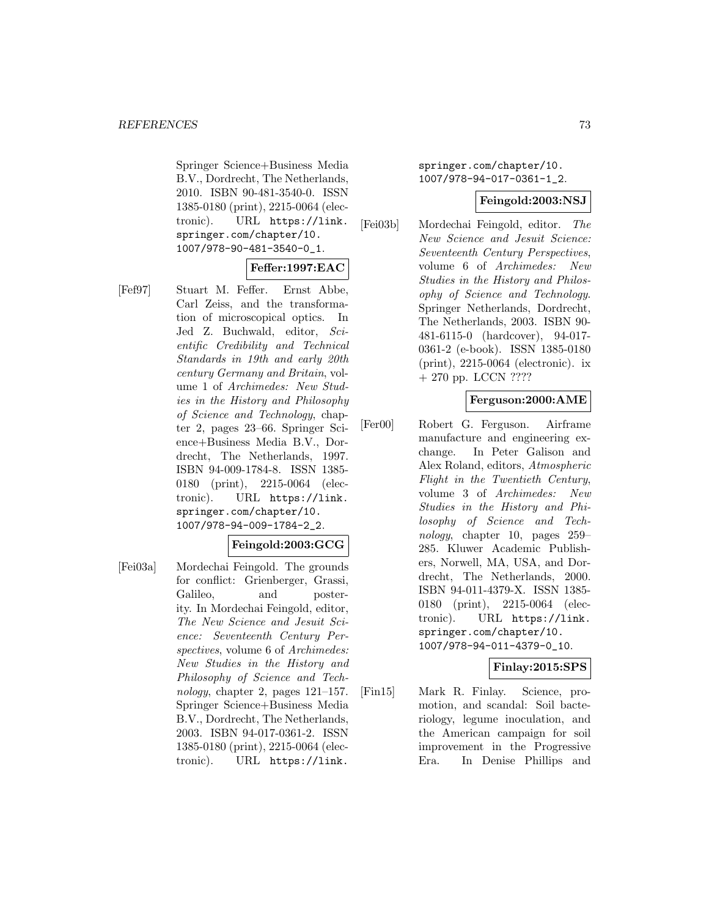Springer Science+Business Media B.V., Dordrecht, The Netherlands, 2010. ISBN 90-481-3540-0. ISSN 1385-0180 (print), 2215-0064 (electronic). URL https://link. springer.com/chapter/10. 1007/978-90-481-3540-0\_1.

# **Feffer:1997:EAC**

[Fef97] Stuart M. Feffer. Ernst Abbe, Carl Zeiss, and the transformation of microscopical optics. In Jed Z. Buchwald, editor, Scientific Credibility and Technical Standards in 19th and early 20th century Germany and Britain, volume 1 of Archimedes: New Studies in the History and Philosophy of Science and Technology, chapter 2, pages 23–66. Springer Science+Business Media B.V., Dordrecht, The Netherlands, 1997. ISBN 94-009-1784-8. ISSN 1385- 0180 (print), 2215-0064 (electronic). URL https://link. springer.com/chapter/10. 1007/978-94-009-1784-2\_2.

## **Feingold:2003:GCG**

[Fei03a] Mordechai Feingold. The grounds for conflict: Grienberger, Grassi, Galileo, and posterity. In Mordechai Feingold, editor, The New Science and Jesuit Science: Seventeenth Century Perspectives, volume 6 of Archimedes: New Studies in the History and Philosophy of Science and Technology, chapter 2, pages 121–157. Springer Science+Business Media B.V., Dordrecht, The Netherlands, 2003. ISBN 94-017-0361-2. ISSN 1385-0180 (print), 2215-0064 (electronic). URL https://link.

springer.com/chapter/10. 1007/978-94-017-0361-1\_2.

### **Feingold:2003:NSJ**

[Fei03b] Mordechai Feingold, editor. The New Science and Jesuit Science: Seventeenth Century Perspectives, volume 6 of Archimedes: New Studies in the History and Philosophy of Science and Technology. Springer Netherlands, Dordrecht, The Netherlands, 2003. ISBN 90- 481-6115-0 (hardcover), 94-017- 0361-2 (e-book). ISSN 1385-0180 (print), 2215-0064 (electronic). ix + 270 pp. LCCN ????

# **Ferguson:2000:AME**

[Fer00] Robert G. Ferguson. Airframe manufacture and engineering exchange. In Peter Galison and Alex Roland, editors, Atmospheric Flight in the Twentieth Century, volume 3 of Archimedes: New Studies in the History and Philosophy of Science and Technology, chapter 10, pages 259– 285. Kluwer Academic Publishers, Norwell, MA, USA, and Dordrecht, The Netherlands, 2000. ISBN 94-011-4379-X. ISSN 1385- 0180 (print), 2215-0064 (electronic). URL https://link. springer.com/chapter/10. 1007/978-94-011-4379-0\_10.

## **Finlay:2015:SPS**

[Fin15] Mark R. Finlay. Science, promotion, and scandal: Soil bacteriology, legume inoculation, and the American campaign for soil improvement in the Progressive Era. In Denise Phillips and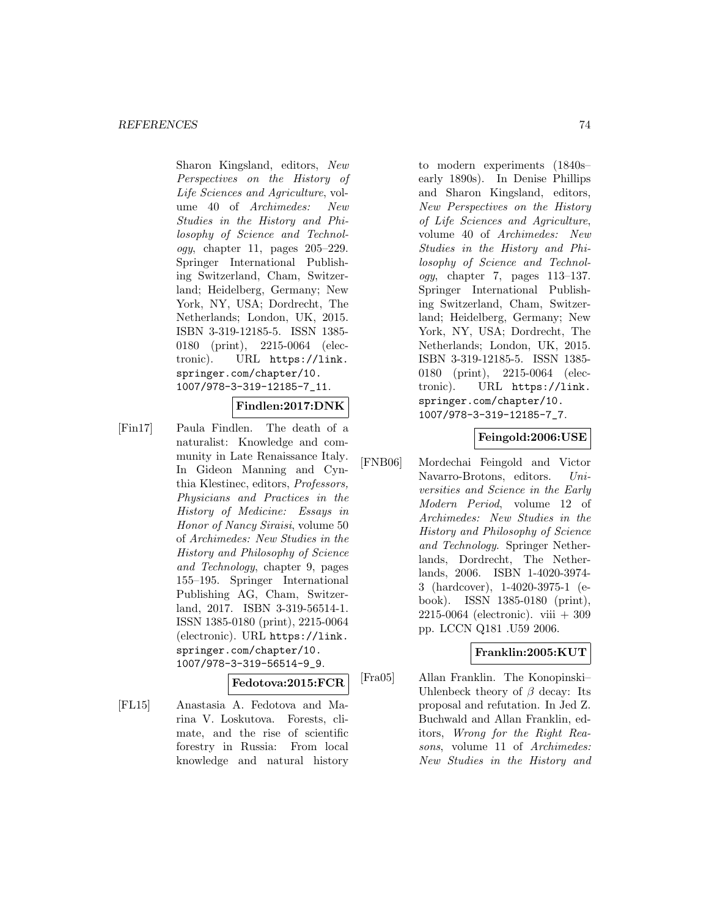Sharon Kingsland, editors, New Perspectives on the History of Life Sciences and Agriculture, volume 40 of Archimedes: New Studies in the History and Philosophy of Science and Technol $oqu$ , chapter 11, pages  $205-229$ . Springer International Publishing Switzerland, Cham, Switzerland; Heidelberg, Germany; New York, NY, USA; Dordrecht, The Netherlands; London, UK, 2015. ISBN 3-319-12185-5. ISSN 1385- 0180 (print), 2215-0064 (electronic). URL https://link. springer.com/chapter/10. 1007/978-3-319-12185-7\_11.

## **Findlen:2017:DNK**

[Fin17] Paula Findlen. The death of a naturalist: Knowledge and community in Late Renaissance Italy. In Gideon Manning and Cynthia Klestinec, editors, Professors, Physicians and Practices in the History of Medicine: Essays in Honor of Nancy Siraisi, volume 50 of Archimedes: New Studies in the History and Philosophy of Science and Technology, chapter 9, pages 155–195. Springer International Publishing AG, Cham, Switzerland, 2017. ISBN 3-319-56514-1. ISSN 1385-0180 (print), 2215-0064 (electronic). URL https://link. springer.com/chapter/10. 1007/978-3-319-56514-9\_9.

**Fedotova:2015:FCR**

[FL15] Anastasia A. Fedotova and Marina V. Loskutova. Forests, climate, and the rise of scientific forestry in Russia: From local knowledge and natural history

to modern experiments (1840s– early 1890s). In Denise Phillips and Sharon Kingsland, editors, New Perspectives on the History of Life Sciences and Agriculture, volume 40 of Archimedes: New Studies in the History and Philosophy of Science and Technology, chapter 7, pages 113–137. Springer International Publishing Switzerland, Cham, Switzerland; Heidelberg, Germany; New York, NY, USA; Dordrecht, The Netherlands; London, UK, 2015. ISBN 3-319-12185-5. ISSN 1385- 0180 (print), 2215-0064 (electronic). URL https://link. springer.com/chapter/10. 1007/978-3-319-12185-7\_7.

# **Feingold:2006:USE**

[FNB06] Mordechai Feingold and Victor Navarro-Brotons, editors. Universities and Science in the Early Modern Period, volume 12 of Archimedes: New Studies in the History and Philosophy of Science and Technology. Springer Netherlands, Dordrecht, The Netherlands, 2006. ISBN 1-4020-3974- 3 (hardcover), 1-4020-3975-1 (ebook). ISSN 1385-0180 (print), 2215-0064 (electronic). viii + 309 pp. LCCN Q181 .U59 2006.

## **Franklin:2005:KUT**

[Fra05] Allan Franklin. The Konopinski– Uhlenbeck theory of  $\beta$  decay: Its proposal and refutation. In Jed Z. Buchwald and Allan Franklin, editors, Wrong for the Right Reasons, volume 11 of Archimedes: New Studies in the History and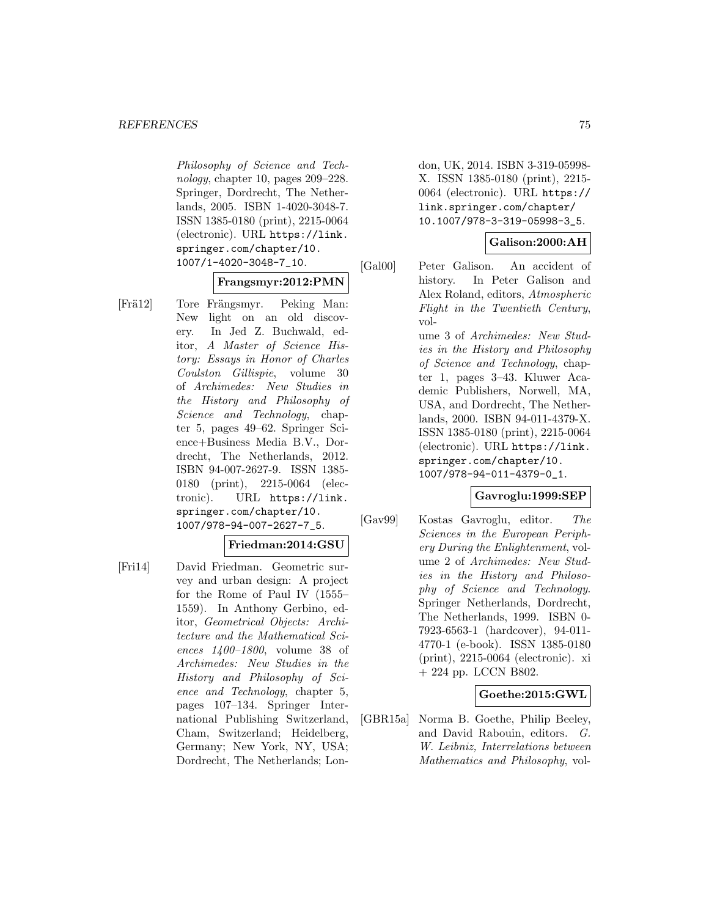Philosophy of Science and Technology, chapter 10, pages 209–228. Springer, Dordrecht, The Netherlands, 2005. ISBN 1-4020-3048-7. ISSN 1385-0180 (print), 2215-0064 (electronic). URL https://link. springer.com/chapter/10. 1007/1-4020-3048-7\_10.

# **Frangsmyr:2012:PMN**

[Frä12] Tore Frängsmyr. Peking Man: New light on an old discovery. In Jed Z. Buchwald, editor, A Master of Science History: Essays in Honor of Charles Coulston Gillispie, volume 30 of Archimedes: New Studies in the History and Philosophy of Science and Technology, chapter 5, pages 49–62. Springer Science+Business Media B.V., Dordrecht, The Netherlands, 2012. ISBN 94-007-2627-9. ISSN 1385- 0180 (print), 2215-0064 (electronic). URL https://link. springer.com/chapter/10. 1007/978-94-007-2627-7\_5.

## **Friedman:2014:GSU**

[Fri14] David Friedman. Geometric survey and urban design: A project for the Rome of Paul IV (1555– 1559). In Anthony Gerbino, editor, Geometrical Objects: Architecture and the Mathematical Sciences 1400–1800, volume 38 of Archimedes: New Studies in the History and Philosophy of Science and Technology, chapter 5, pages 107–134. Springer International Publishing Switzerland, Cham, Switzerland; Heidelberg, Germany; New York, NY, USA; Dordrecht, The Netherlands; London, UK, 2014. ISBN 3-319-05998- X. ISSN 1385-0180 (print), 2215- 0064 (electronic). URL https:// link.springer.com/chapter/ 10.1007/978-3-319-05998-3\_5.

## **Galison:2000:AH**

[Gal00] Peter Galison. An accident of history. In Peter Galison and Alex Roland, editors, Atmospheric Flight in the Twentieth Century, volume 3 of Archimedes: New Studies in the History and Philosophy of Science and Technology, chapter 1, pages 3–43. Kluwer Academic Publishers, Norwell, MA, USA, and Dordrecht, The Netherlands, 2000. ISBN 94-011-4379-X. ISSN 1385-0180 (print), 2215-0064 (electronic). URL https://link. springer.com/chapter/10.

1007/978-94-011-4379-0\_1.

# **Gavroglu:1999:SEP**

[Gav99] Kostas Gavroglu, editor. The Sciences in the European Periphery During the Enlightenment, volume 2 of Archimedes: New Studies in the History and Philosophy of Science and Technology. Springer Netherlands, Dordrecht, The Netherlands, 1999. ISBN 0- 7923-6563-1 (hardcover), 94-011- 4770-1 (e-book). ISSN 1385-0180 (print), 2215-0064 (electronic). xi  $+ 224$  pp. LCCN B802.

# **Goethe:2015:GWL**

[GBR15a] Norma B. Goethe, Philip Beeley, and David Rabouin, editors. G. W. Leibniz, Interrelations between Mathematics and Philosophy, vol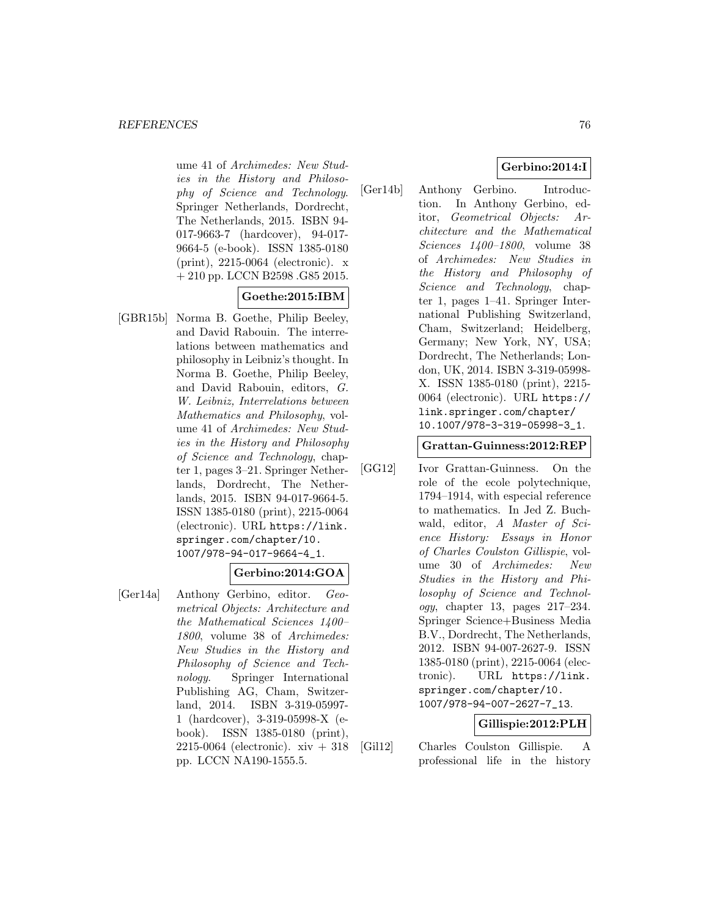ume 41 of Archimedes: New Studies in the History and Philosophy of Science and Technology. Springer Netherlands, Dordrecht, The Netherlands, 2015. ISBN 94- 017-9663-7 (hardcover), 94-017- 9664-5 (e-book). ISSN 1385-0180 (print), 2215-0064 (electronic). x + 210 pp. LCCN B2598 .G85 2015.

# **Goethe:2015:IBM**

[GBR15b] Norma B. Goethe, Philip Beeley, and David Rabouin. The interrelations between mathematics and philosophy in Leibniz's thought. In Norma B. Goethe, Philip Beeley, and David Rabouin, editors, G. W. Leibniz, Interrelations between Mathematics and Philosophy, volume 41 of Archimedes: New Studies in the History and Philosophy of Science and Technology, chapter 1, pages 3–21. Springer Netherlands, Dordrecht, The Netherlands, 2015. ISBN 94-017-9664-5. ISSN 1385-0180 (print), 2215-0064 (electronic). URL https://link. springer.com/chapter/10. 1007/978-94-017-9664-4\_1.

# **Gerbino:2014:GOA**

[Ger14a] Anthony Gerbino, editor. Geometrical Objects: Architecture and the Mathematical Sciences 1400– 1800, volume 38 of Archimedes: New Studies in the History and Philosophy of Science and Technology. Springer International Publishing AG, Cham, Switzerland, 2014. ISBN 3-319-05997- 1 (hardcover), 3-319-05998-X (ebook). ISSN 1385-0180 (print), 2215-0064 (electronic). xiv + 318 pp. LCCN NA190-1555.5.

# **Gerbino:2014:I**

[Ger14b] Anthony Gerbino. Introduction. In Anthony Gerbino, editor, Geometrical Objects: Architecture and the Mathematical Sciences 1400–1800, volume 38 of Archimedes: New Studies in the History and Philosophy of Science and Technology, chapter 1, pages 1–41. Springer International Publishing Switzerland, Cham, Switzerland; Heidelberg, Germany; New York, NY, USA; Dordrecht, The Netherlands; London, UK, 2014. ISBN 3-319-05998- X. ISSN 1385-0180 (print), 2215- 0064 (electronic). URL https:// link.springer.com/chapter/ 10.1007/978-3-319-05998-3\_1.

## **Grattan-Guinness:2012:REP**

[GG12] Ivor Grattan-Guinness. On the role of the ecole polytechnique, 1794–1914, with especial reference to mathematics. In Jed Z. Buchwald, editor, A Master of Science History: Essays in Honor of Charles Coulston Gillispie, volume 30 of Archimedes: New Studies in the History and Philosophy of Science and Technology, chapter 13, pages 217–234. Springer Science+Business Media B.V., Dordrecht, The Netherlands, 2012. ISBN 94-007-2627-9. ISSN 1385-0180 (print), 2215-0064 (electronic). URL https://link. springer.com/chapter/10. 1007/978-94-007-2627-7\_13.

# **Gillispie:2012:PLH**

[Gil12] Charles Coulston Gillispie. A professional life in the history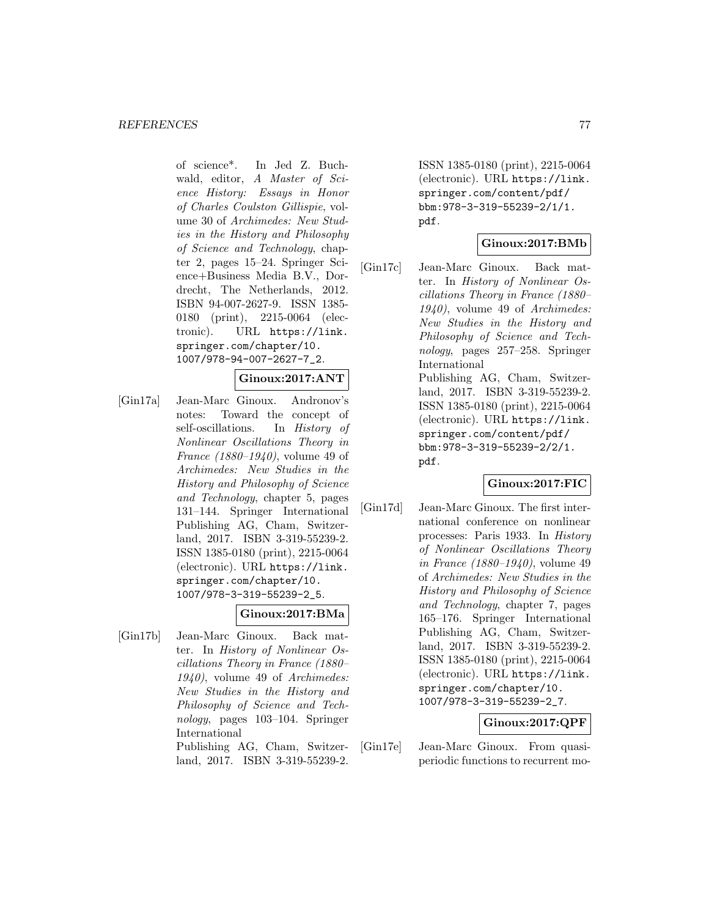of science\*. In Jed Z. Buchwald, editor, A Master of Science History: Essays in Honor of Charles Coulston Gillispie, volume 30 of Archimedes: New Studies in the History and Philosophy of Science and Technology, chapter 2, pages 15–24. Springer Science+Business Media B.V., Dordrecht, The Netherlands, 2012. ISBN 94-007-2627-9. ISSN 1385- 0180 (print), 2215-0064 (electronic). URL https://link. springer.com/chapter/10. 1007/978-94-007-2627-7\_2.

# **Ginoux:2017:ANT**

[Gin17a] Jean-Marc Ginoux. Andronov's notes: Toward the concept of self-oscillations. In History of Nonlinear Oscillations Theory in France (1880–1940), volume 49 of Archimedes: New Studies in the History and Philosophy of Science and Technology, chapter 5, pages 131–144. Springer International Publishing AG, Cham, Switzerland, 2017. ISBN 3-319-55239-2. ISSN 1385-0180 (print), 2215-0064 (electronic). URL https://link. springer.com/chapter/10. 1007/978-3-319-55239-2\_5.

## **Ginoux:2017:BMa**

[Gin17b] Jean-Marc Ginoux. Back matter. In History of Nonlinear Oscillations Theory in France (1880– 1940), volume 49 of Archimedes: New Studies in the History and Philosophy of Science and Technology, pages 103–104. Springer International

> Publishing AG, Cham, Switzerland, 2017. ISBN 3-319-55239-2.

ISSN 1385-0180 (print), 2215-0064 (electronic). URL https://link. springer.com/content/pdf/ bbm:978-3-319-55239-2/1/1. pdf.

# **Ginoux:2017:BMb**

[Gin17c] Jean-Marc Ginoux. Back matter. In History of Nonlinear Oscillations Theory in France (1880– 1940), volume 49 of Archimedes: New Studies in the History and Philosophy of Science and Technology, pages 257–258. Springer International Publishing AG, Cham, Switzerland, 2017. ISBN 3-319-55239-2. ISSN 1385-0180 (print), 2215-0064 (electronic). URL https://link. springer.com/content/pdf/ bbm:978-3-319-55239-2/2/1.

pdf.

# **Ginoux:2017:FIC**

[Gin17d] Jean-Marc Ginoux. The first international conference on nonlinear processes: Paris 1933. In History of Nonlinear Oscillations Theory in France (1880–1940), volume 49 of Archimedes: New Studies in the History and Philosophy of Science and Technology, chapter 7, pages 165–176. Springer International Publishing AG, Cham, Switzerland, 2017. ISBN 3-319-55239-2. ISSN 1385-0180 (print), 2215-0064 (electronic). URL https://link. springer.com/chapter/10. 1007/978-3-319-55239-2\_7.

# **Ginoux:2017:QPF**

[Gin17e] Jean-Marc Ginoux. From quasiperiodic functions to recurrent mo-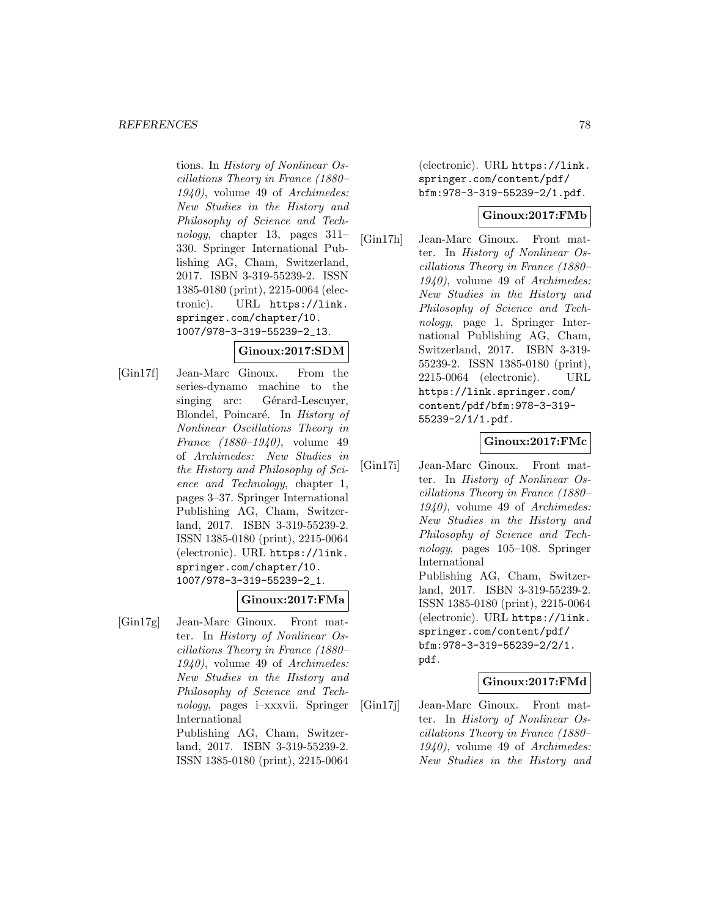tions. In History of Nonlinear Oscillations Theory in France (1880– 1940), volume 49 of Archimedes: New Studies in the History and Philosophy of Science and Technology, chapter 13, pages 311– 330. Springer International Publishing AG, Cham, Switzerland, 2017. ISBN 3-319-55239-2. ISSN 1385-0180 (print), 2215-0064 (electronic). URL https://link. springer.com/chapter/10. 1007/978-3-319-55239-2\_13.

# **Ginoux:2017:SDM**

[Gin17f] Jean-Marc Ginoux. From the series-dynamo machine to the singing arc: Gérard-Lescuyer, Blondel, Poincaré. In History of Nonlinear Oscillations Theory in France (1880–1940), volume 49 of Archimedes: New Studies in the History and Philosophy of Science and Technology, chapter 1, pages 3–37. Springer International Publishing AG, Cham, Switzerland, 2017. ISBN 3-319-55239-2. ISSN 1385-0180 (print), 2215-0064 (electronic). URL https://link. springer.com/chapter/10. 1007/978-3-319-55239-2\_1.

# **Ginoux:2017:FMa**

[Gin17g] Jean-Marc Ginoux. Front matter. In History of Nonlinear Oscillations Theory in France (1880– 1940), volume 49 of Archimedes: New Studies in the History and Philosophy of Science and Technology, pages i–xxxvii. Springer International Publishing AG, Cham, Switzer-

land, 2017. ISBN 3-319-55239-2. ISSN 1385-0180 (print), 2215-0064

(electronic). URL https://link. springer.com/content/pdf/ bfm:978-3-319-55239-2/1.pdf.

# **Ginoux:2017:FMb**

[Gin17h] Jean-Marc Ginoux. Front matter. In History of Nonlinear Oscillations Theory in France (1880– 1940), volume 49 of Archimedes: New Studies in the History and Philosophy of Science and Technology, page 1. Springer International Publishing AG, Cham, Switzerland, 2017. ISBN 3-319- 55239-2. ISSN 1385-0180 (print), 2215-0064 (electronic). URL https://link.springer.com/ content/pdf/bfm:978-3-319- 55239-2/1/1.pdf.

# **Ginoux:2017:FMc**

[Gin17i] Jean-Marc Ginoux. Front matter. In History of Nonlinear Oscillations Theory in France (1880– 1940), volume 49 of Archimedes: New Studies in the History and Philosophy of Science and Technology, pages 105–108. Springer International Publishing AG, Cham, Switzerland, 2017. ISBN 3-319-55239-2. ISSN 1385-0180 (print), 2215-0064 (electronic). URL https://link. springer.com/content/pdf/ bfm:978-3-319-55239-2/2/1. pdf.

## **Ginoux:2017:FMd**

[Gin17j] Jean-Marc Ginoux. Front matter. In History of Nonlinear Oscillations Theory in France (1880– 1940), volume 49 of Archimedes: New Studies in the History and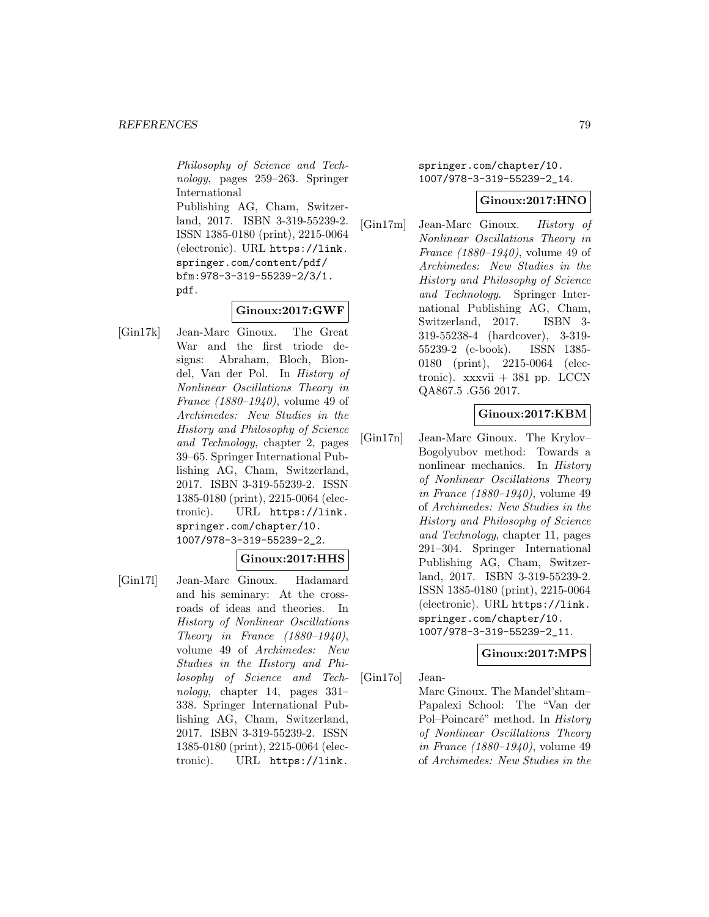Philosophy of Science and Technology, pages 259–263. Springer International

Publishing AG, Cham, Switzerland, 2017. ISBN 3-319-55239-2. ISSN 1385-0180 (print), 2215-0064 (electronic). URL https://link. springer.com/content/pdf/ bfm:978-3-319-55239-2/3/1. pdf.

# **Ginoux:2017:GWF**

[Gin17k] Jean-Marc Ginoux. The Great War and the first triode designs: Abraham, Bloch, Blondel, Van der Pol. In History of Nonlinear Oscillations Theory in France (1880–1940), volume 49 of Archimedes: New Studies in the History and Philosophy of Science and Technology, chapter 2, pages 39–65. Springer International Publishing AG, Cham, Switzerland, 2017. ISBN 3-319-55239-2. ISSN 1385-0180 (print), 2215-0064 (electronic). URL https://link. springer.com/chapter/10. 1007/978-3-319-55239-2\_2.

## **Ginoux:2017:HHS**

[Gin17l] Jean-Marc Ginoux. Hadamard and his seminary: At the crossroads of ideas and theories. In History of Nonlinear Oscillations Theory in France  $(1880-1940)$ , volume 49 of Archimedes: New Studies in the History and Philosophy of Science and Technology, chapter 14, pages 331– 338. Springer International Publishing AG, Cham, Switzerland, 2017. ISBN 3-319-55239-2. ISSN 1385-0180 (print), 2215-0064 (electronic). URL https://link.

springer.com/chapter/10. 1007/978-3-319-55239-2\_14.

# **Ginoux:2017:HNO**

[Gin17m] Jean-Marc Ginoux. History of Nonlinear Oscillations Theory in France (1880–1940), volume 49 of Archimedes: New Studies in the History and Philosophy of Science and Technology. Springer International Publishing AG, Cham, Switzerland, 2017. ISBN 3- 319-55238-4 (hardcover), 3-319- 55239-2 (e-book). ISSN 1385- 0180 (print), 2215-0064 (electronic). xxxvii + 381 pp. LCCN QA867.5 .G56 2017.

# **Ginoux:2017:KBM**

[Gin17n] Jean-Marc Ginoux. The Krylov– Bogolyubov method: Towards a nonlinear mechanics. In History of Nonlinear Oscillations Theory in France (1880–1940), volume 49 of Archimedes: New Studies in the History and Philosophy of Science and Technology, chapter 11, pages 291–304. Springer International Publishing AG, Cham, Switzerland, 2017. ISBN 3-319-55239-2. ISSN 1385-0180 (print), 2215-0064 (electronic). URL https://link. springer.com/chapter/10. 1007/978-3-319-55239-2\_11.

## **Ginoux:2017:MPS**

[Gin17o] Jean-

Marc Ginoux. The Mandel'shtam– Papalexi School: The "Van der Pol–Poincaré" method. In History of Nonlinear Oscillations Theory in France (1880–1940), volume 49 of Archimedes: New Studies in the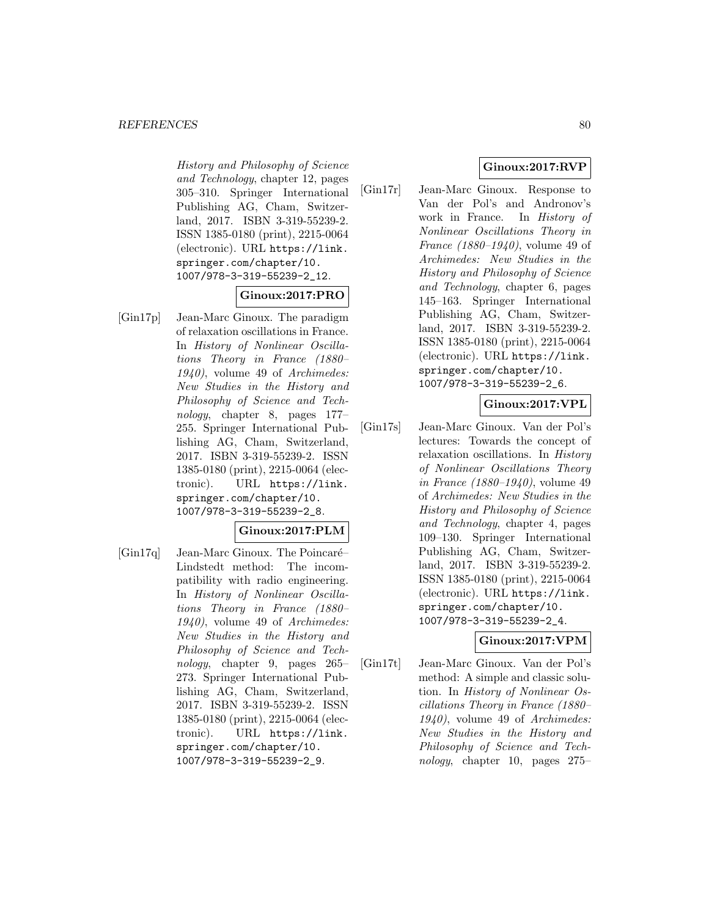History and Philosophy of Science and Technology, chapter 12, pages 305–310. Springer International Publishing AG, Cham, Switzerland, 2017. ISBN 3-319-55239-2. ISSN 1385-0180 (print), 2215-0064 (electronic). URL https://link. springer.com/chapter/10. 1007/978-3-319-55239-2\_12.

# **Ginoux:2017:PRO**

[Gin17p] Jean-Marc Ginoux. The paradigm of relaxation oscillations in France. In History of Nonlinear Oscillations Theory in France (1880– 1940), volume 49 of Archimedes: New Studies in the History and Philosophy of Science and Technology, chapter 8, pages 177– 255. Springer International Publishing AG, Cham, Switzerland, 2017. ISBN 3-319-55239-2. ISSN 1385-0180 (print), 2215-0064 (electronic). URL https://link. springer.com/chapter/10. 1007/978-3-319-55239-2\_8.

## **Ginoux:2017:PLM**

 $[Gin17q]$  Jean-Marc Ginoux. The Poincaré– Lindstedt method: The incompatibility with radio engineering. In History of Nonlinear Oscillations Theory in France (1880– 1940), volume 49 of Archimedes: New Studies in the History and Philosophy of Science and Technology, chapter 9, pages 265– 273. Springer International Publishing AG, Cham, Switzerland, 2017. ISBN 3-319-55239-2. ISSN 1385-0180 (print), 2215-0064 (electronic). URL https://link. springer.com/chapter/10. 1007/978-3-319-55239-2\_9.

# **Ginoux:2017:RVP**

[Gin17r] Jean-Marc Ginoux. Response to Van der Pol's and Andronov's work in France. In History of Nonlinear Oscillations Theory in France (1880–1940), volume 49 of Archimedes: New Studies in the History and Philosophy of Science and Technology, chapter 6, pages 145–163. Springer International Publishing AG, Cham, Switzerland, 2017. ISBN 3-319-55239-2. ISSN 1385-0180 (print), 2215-0064 (electronic). URL https://link. springer.com/chapter/10. 1007/978-3-319-55239-2\_6.

# **Ginoux:2017:VPL**

[Gin17s] Jean-Marc Ginoux. Van der Pol's lectures: Towards the concept of relaxation oscillations. In History of Nonlinear Oscillations Theory in France (1880–1940), volume 49 of Archimedes: New Studies in the History and Philosophy of Science and Technology, chapter 4, pages 109–130. Springer International Publishing AG, Cham, Switzerland, 2017. ISBN 3-319-55239-2. ISSN 1385-0180 (print), 2215-0064 (electronic). URL https://link. springer.com/chapter/10. 1007/978-3-319-55239-2\_4.

# **Ginoux:2017:VPM**

[Gin17t] Jean-Marc Ginoux. Van der Pol's method: A simple and classic solution. In History of Nonlinear Oscillations Theory in France (1880– 1940), volume 49 of Archimedes: New Studies in the History and Philosophy of Science and Technology, chapter 10, pages 275–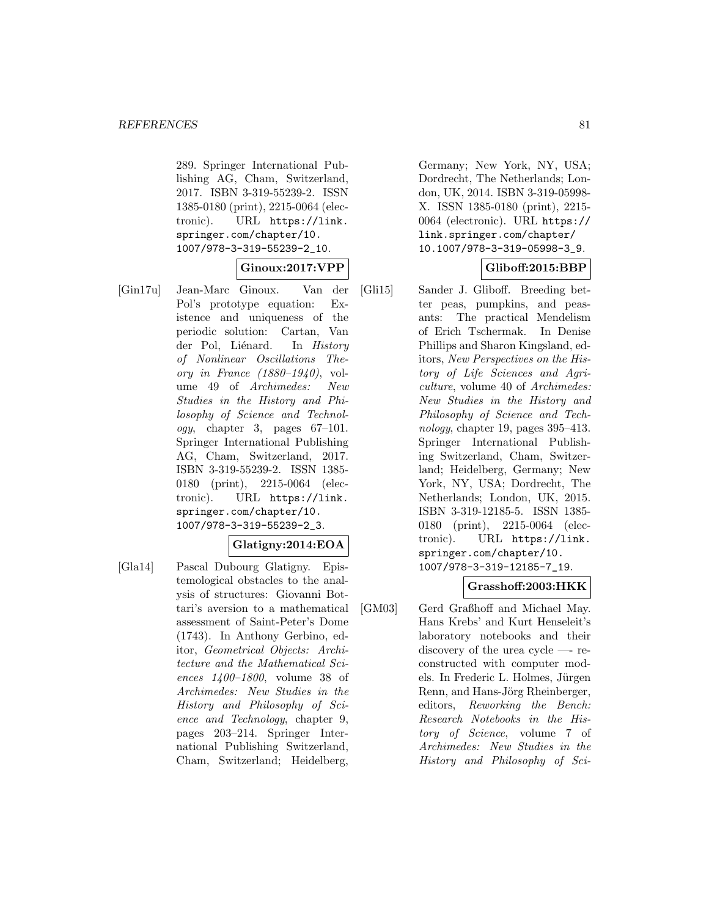289. Springer International Publishing AG, Cham, Switzerland, 2017. ISBN 3-319-55239-2. ISSN 1385-0180 (print), 2215-0064 (electronic). URL https://link. springer.com/chapter/10. 1007/978-3-319-55239-2\_10.

# **Ginoux:2017:VPP**

[Gin17u] Jean-Marc Ginoux. Van der Pol's prototype equation: Existence and uniqueness of the periodic solution: Cartan, Van der Pol, Liénard. In History of Nonlinear Oscillations Theory in France  $(1880-1940)$ , volume 49 of Archimedes: New Studies in the History and Philosophy of Science and Technology, chapter 3, pages 67–101. Springer International Publishing AG, Cham, Switzerland, 2017. ISBN 3-319-55239-2. ISSN 1385- 0180 (print), 2215-0064 (electronic). URL https://link. springer.com/chapter/10. 1007/978-3-319-55239-2\_3.

## **Glatigny:2014:EOA**

[Gla14] Pascal Dubourg Glatigny. Epistemological obstacles to the analysis of structures: Giovanni Bottari's aversion to a mathematical assessment of Saint-Peter's Dome (1743). In Anthony Gerbino, editor, Geometrical Objects: Architecture and the Mathematical Sciences 1400–1800, volume 38 of Archimedes: New Studies in the History and Philosophy of Science and Technology, chapter 9, pages 203–214. Springer International Publishing Switzerland, Cham, Switzerland; Heidelberg,

Germany; New York, NY, USA; Dordrecht, The Netherlands; London, UK, 2014. ISBN 3-319-05998- X. ISSN 1385-0180 (print), 2215- 0064 (electronic). URL https:// link.springer.com/chapter/ 10.1007/978-3-319-05998-3\_9.

# **Gliboff:2015:BBP**

[Gli15] Sander J. Gliboff. Breeding better peas, pumpkins, and peasants: The practical Mendelism of Erich Tschermak. In Denise Phillips and Sharon Kingsland, editors, New Perspectives on the History of Life Sciences and Agriculture, volume 40 of Archimedes: New Studies in the History and Philosophy of Science and Technology, chapter 19, pages 395–413. Springer International Publishing Switzerland, Cham, Switzerland; Heidelberg, Germany; New York, NY, USA; Dordrecht, The Netherlands; London, UK, 2015. ISBN 3-319-12185-5. ISSN 1385- 0180 (print), 2215-0064 (electronic). URL https://link. springer.com/chapter/10. 1007/978-3-319-12185-7\_19.

# **Grasshoff:2003:HKK**

[GM03] Gerd Graßhoff and Michael May. Hans Krebs' and Kurt Henseleit's laboratory notebooks and their discovery of the urea cycle —- reconstructed with computer models. In Frederic L. Holmes, Jürgen Renn, and Hans-Jörg Rheinberger, editors, Reworking the Bench: Research Notebooks in the History of Science, volume 7 of Archimedes: New Studies in the History and Philosophy of Sci-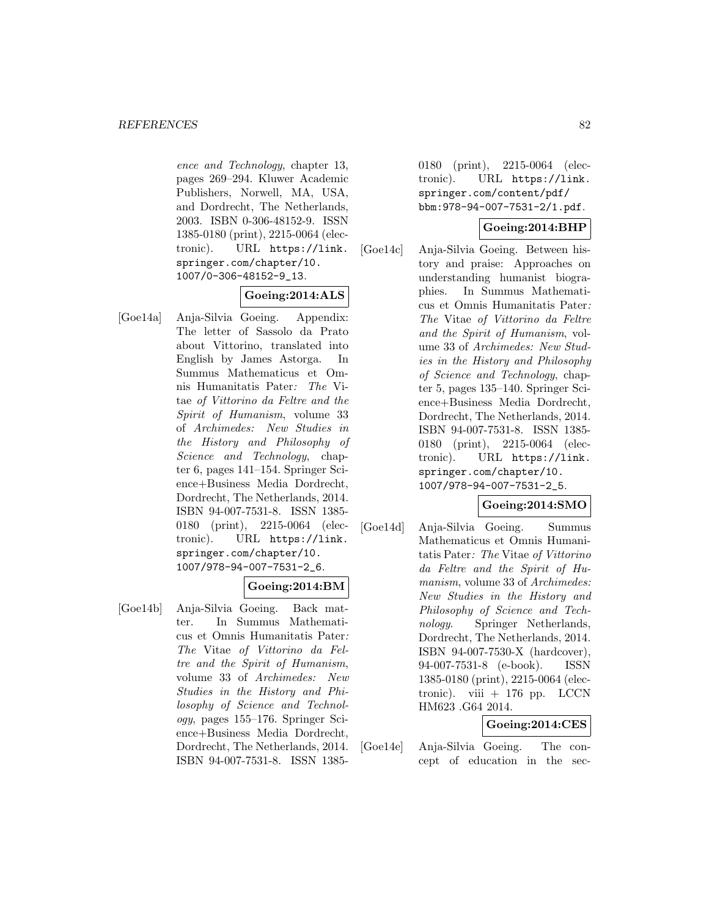ence and Technology, chapter 13, pages 269–294. Kluwer Academic Publishers, Norwell, MA, USA, and Dordrecht, The Netherlands, 2003. ISBN 0-306-48152-9. ISSN 1385-0180 (print), 2215-0064 (electronic). URL https://link. springer.com/chapter/10. 1007/0-306-48152-9\_13.

# **Goeing:2014:ALS**

[Goe14a] Anja-Silvia Goeing. Appendix: The letter of Sassolo da Prato about Vittorino, translated into English by James Astorga. In Summus Mathematicus et Omnis Humanitatis Pater: The Vitae of Vittorino da Feltre and the Spirit of Humanism, volume 33 of Archimedes: New Studies in the History and Philosophy of Science and Technology, chapter 6, pages 141–154. Springer Science+Business Media Dordrecht, Dordrecht, The Netherlands, 2014. ISBN 94-007-7531-8. ISSN 1385- 0180 (print), 2215-0064 (electronic). URL https://link. springer.com/chapter/10. 1007/978-94-007-7531-2\_6.

# **Goeing:2014:BM**

[Goe14b] Anja-Silvia Goeing. Back matter. In Summus Mathematicus et Omnis Humanitatis Pater: The Vitae of Vittorino da Feltre and the Spirit of Humanism, volume 33 of Archimedes: New Studies in the History and Philosophy of Science and Technology, pages 155–176. Springer Science+Business Media Dordrecht, Dordrecht, The Netherlands, 2014. ISBN 94-007-7531-8. ISSN 13850180 (print), 2215-0064 (electronic). URL https://link. springer.com/content/pdf/ bbm:978-94-007-7531-2/1.pdf.

# **Goeing:2014:BHP**

[Goe14c] Anja-Silvia Goeing. Between history and praise: Approaches on understanding humanist biographies. In Summus Mathematicus et Omnis Humanitatis Pater: The Vitae of Vittorino da Feltre and the Spirit of Humanism, volume 33 of Archimedes: New Studies in the History and Philosophy of Science and Technology, chapter 5, pages 135–140. Springer Science+Business Media Dordrecht, Dordrecht, The Netherlands, 2014. ISBN 94-007-7531-8. ISSN 1385- 0180 (print), 2215-0064 (electronic). URL https://link. springer.com/chapter/10. 1007/978-94-007-7531-2\_5.

## **Goeing:2014:SMO**

[Goe14d] Anja-Silvia Goeing. Summus Mathematicus et Omnis Humanitatis Pater: The Vitae of Vittorino da Feltre and the Spirit of Humanism, volume 33 of Archimedes: New Studies in the History and Philosophy of Science and Technology. Springer Netherlands, Dordrecht, The Netherlands, 2014. ISBN 94-007-7530-X (hardcover), 94-007-7531-8 (e-book). ISSN 1385-0180 (print), 2215-0064 (electronic). viii  $+$  176 pp. LCCN HM623 .G64 2014.

# **Goeing:2014:CES**

[Goe14e] Anja-Silvia Goeing. The concept of education in the sec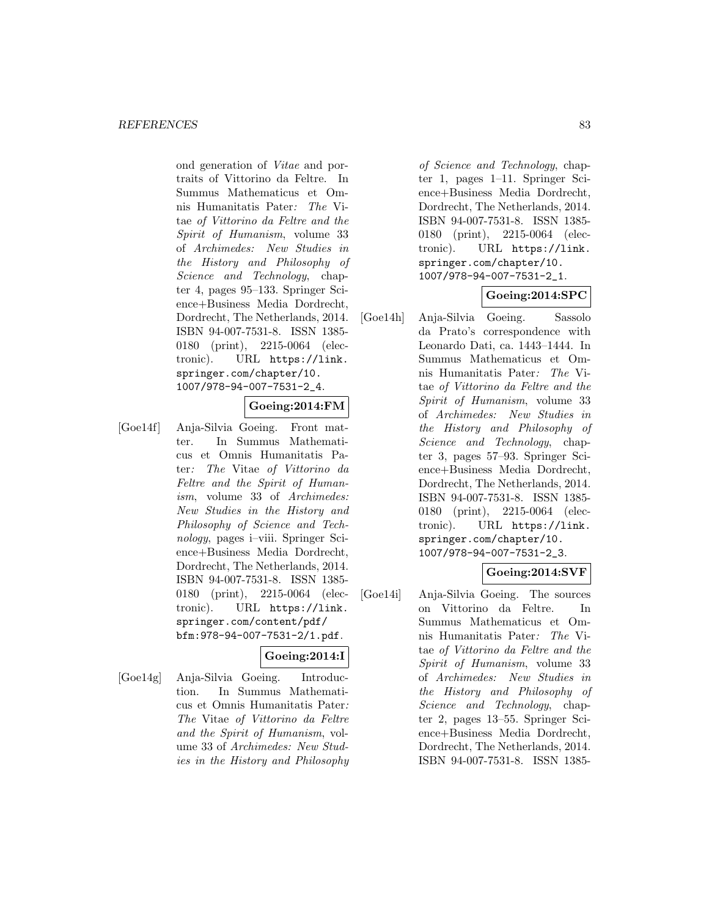ond generation of Vitae and portraits of Vittorino da Feltre. In Summus Mathematicus et Omnis Humanitatis Pater: The Vitae of Vittorino da Feltre and the Spirit of Humanism, volume 33 of Archimedes: New Studies in the History and Philosophy of Science and Technology, chapter 4, pages 95–133. Springer Science+Business Media Dordrecht, Dordrecht, The Netherlands, 2014. ISBN 94-007-7531-8. ISSN 1385- 0180 (print), 2215-0064 (electronic). URL https://link. springer.com/chapter/10. 1007/978-94-007-7531-2\_4.

## **Goeing:2014:FM**

[Goe14f] Anja-Silvia Goeing. Front matter. In Summus Mathematicus et Omnis Humanitatis Pater: The Vitae of Vittorino da Feltre and the Spirit of Humanism, volume 33 of Archimedes: New Studies in the History and Philosophy of Science and Technology, pages i–viii. Springer Science+Business Media Dordrecht, Dordrecht, The Netherlands, 2014. ISBN 94-007-7531-8. ISSN 1385- 0180 (print), 2215-0064 (electronic). URL https://link. springer.com/content/pdf/ bfm:978-94-007-7531-2/1.pdf.

## **Goeing:2014:I**

[Goe14g] Anja-Silvia Goeing. Introduction. In Summus Mathematicus et Omnis Humanitatis Pater: The Vitae of Vittorino da Feltre and the Spirit of Humanism, volume 33 of Archimedes: New Studies in the History and Philosophy

of Science and Technology, chapter 1, pages 1–11. Springer Science+Business Media Dordrecht, Dordrecht, The Netherlands, 2014. ISBN 94-007-7531-8. ISSN 1385- 0180 (print), 2215-0064 (electronic). URL https://link. springer.com/chapter/10. 1007/978-94-007-7531-2\_1.

# **Goeing:2014:SPC**

[Goe14h] Anja-Silvia Goeing. Sassolo da Prato's correspondence with Leonardo Dati, ca. 1443–1444. In Summus Mathematicus et Omnis Humanitatis Pater: The Vitae of Vittorino da Feltre and the Spirit of Humanism, volume 33 of Archimedes: New Studies in the History and Philosophy of Science and Technology, chapter 3, pages 57–93. Springer Science+Business Media Dordrecht, Dordrecht, The Netherlands, 2014. ISBN 94-007-7531-8. ISSN 1385- 0180 (print), 2215-0064 (electronic). URL https://link. springer.com/chapter/10. 1007/978-94-007-7531-2\_3.

# **Goeing:2014:SVF**

[Goe14i] Anja-Silvia Goeing. The sources on Vittorino da Feltre. In Summus Mathematicus et Omnis Humanitatis Pater: The Vitae of Vittorino da Feltre and the Spirit of Humanism, volume 33 of Archimedes: New Studies in the History and Philosophy of Science and Technology, chapter 2, pages 13–55. Springer Science+Business Media Dordrecht, Dordrecht, The Netherlands, 2014. ISBN 94-007-7531-8. ISSN 1385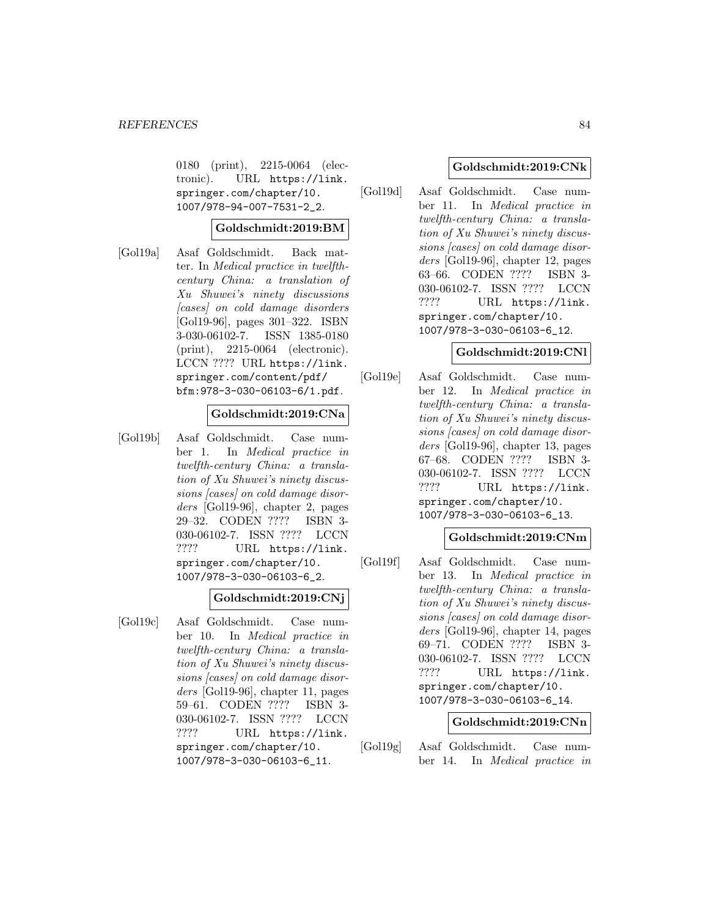0180 (print), 2215-0064 (electronic). URL https://link. springer.com/chapter/10. 1007/978-94-007-7531-2\_2.

# **Goldschmidt:2019:BM**

[Gol19a] Asaf Goldschmidt. Back matter. In Medical practice in twelfthcentury China: a translation of Xu Shuwei's ninety discussions [cases] on cold damage disorders [Gol19-96], pages 301–322. ISBN 3-030-06102-7. ISSN 1385-0180 (print), 2215-0064 (electronic). LCCN ???? URL https://link. springer.com/content/pdf/ bfm:978-3-030-06103-6/1.pdf.

# **Goldschmidt:2019:CNa**

[Gol19b] Asaf Goldschmidt. Case number 1. In Medical practice in twelfth-century China: a translation of Xu Shuwei's ninety discussions [cases] on cold damage disorders [Gol19-96], chapter 2, pages 29–32. CODEN ???? ISBN 3- 030-06102-7. ISSN ???? LCCN ???? URL https://link. springer.com/chapter/10. 1007/978-3-030-06103-6\_2.

## **Goldschmidt:2019:CNj**

[Gol19c] Asaf Goldschmidt. Case number 10. In Medical practice in twelfth-century China: a translation of Xu Shuwei's ninety discussions [cases] on cold damage disorders [Gol19-96], chapter 11, pages 59–61. CODEN ???? ISBN 3- 030-06102-7. ISSN ???? LCCN ???? URL https://link. springer.com/chapter/10. 1007/978-3-030-06103-6\_11.

## **Goldschmidt:2019:CNk**

[Gol19d] Asaf Goldschmidt. Case number 11. In Medical practice in twelfth-century China: a translation of Xu Shuwei's ninety discussions [cases] on cold damage disorders [Gol19-96], chapter 12, pages 63–66. CODEN ???? ISBN 3- 030-06102-7. ISSN ???? LCCN ???? URL https://link. springer.com/chapter/10. 1007/978-3-030-06103-6\_12.

## **Goldschmidt:2019:CNl**

[Gol19e] Asaf Goldschmidt. Case number 12. In Medical practice in twelfth-century China: a translation of Xu Shuwei's ninety discussions [cases] on cold damage disorders [Gol19-96], chapter 13, pages 67–68. CODEN ???? ISBN 3- 030-06102-7. ISSN ???? LCCN ???? URL https://link. springer.com/chapter/10. 1007/978-3-030-06103-6\_13.

## **Goldschmidt:2019:CNm**

[Gol19f] Asaf Goldschmidt. Case number 13. In Medical practice in twelfth-century China: a translation of Xu Shuwei's ninety discussions [cases] on cold damage disorders [Gol19-96], chapter 14, pages 69–71. CODEN ???? ISBN 3- 030-06102-7. ISSN ???? LCCN ???? URL https://link. springer.com/chapter/10. 1007/978-3-030-06103-6\_14.

#### **Goldschmidt:2019:CNn**

[Gol19g] Asaf Goldschmidt. Case number 14. In Medical practice in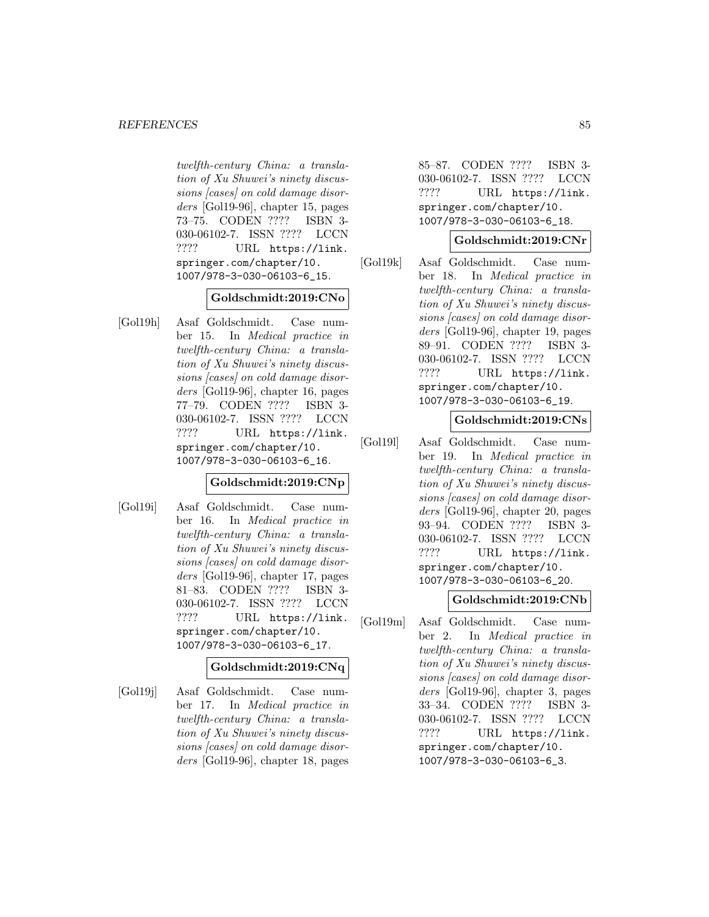twelfth-century China: a translation of Xu Shuwei's ninety discussions [cases] on cold damage disorders [Gol19-96], chapter 15, pages 73–75. CODEN ???? ISBN 3- 030-06102-7. ISSN ???? LCCN ???? URL https://link. springer.com/chapter/10. 1007/978-3-030-06103-6\_15.

## **Goldschmidt:2019:CNo**

[Gol19h] Asaf Goldschmidt. Case number 15. In Medical practice in twelfth-century China: a translation of Xu Shuwei's ninety discussions [cases] on cold damage disorders [Gol19-96], chapter 16, pages 77–79. CODEN ???? ISBN 3- 030-06102-7. ISSN ???? LCCN ???? URL https://link. springer.com/chapter/10. 1007/978-3-030-06103-6\_16.

# **Goldschmidt:2019:CNp**

[Gol19i] Asaf Goldschmidt. Case number 16. In Medical practice in twelfth-century China: a translation of Xu Shuwei's ninety discussions [cases] on cold damage disorders [Gol19-96], chapter 17, pages 81–83. CODEN ???? ISBN 3- 030-06102-7. ISSN ???? LCCN ???? URL https://link. springer.com/chapter/10. 1007/978-3-030-06103-6\_17.

## **Goldschmidt:2019:CNq**

[Gol19j] Asaf Goldschmidt. Case number 17. In Medical practice in twelfth-century China: a translation of Xu Shuwei's ninety discussions [cases] on cold damage disorders [Gol19-96], chapter 18, pages

85–87. CODEN ???? ISBN 3- 030-06102-7. ISSN ???? LCCN ???? URL https://link. springer.com/chapter/10. 1007/978-3-030-06103-6\_18.

## **Goldschmidt:2019:CNr**

[Gol19k] Asaf Goldschmidt. Case number 18. In Medical practice in twelfth-century China: a translation of Xu Shuwei's ninety discussions [cases] on cold damage disorders [Gol19-96], chapter 19, pages 89–91. CODEN ???? ISBN 3- 030-06102-7. ISSN ???? LCCN ???? URL https://link. springer.com/chapter/10. 1007/978-3-030-06103-6\_19.

# **Goldschmidt:2019:CNs**

[Gol19l] Asaf Goldschmidt. Case number 19. In Medical practice in twelfth-century China: a translation of Xu Shuwei's ninety discussions [cases] on cold damage disorders [Gol19-96], chapter 20, pages 93–94. CODEN ???? ISBN 3- 030-06102-7. ISSN ???? LCCN ???? URL https://link. springer.com/chapter/10. 1007/978-3-030-06103-6\_20.

#### **Goldschmidt:2019:CNb**

[Gol19m] Asaf Goldschmidt. Case number 2. In Medical practice in twelfth-century China: a translation of Xu Shuwei's ninety discussions [cases] on cold damage disorders [Gol19-96], chapter 3, pages 33–34. CODEN ???? ISBN 3- 030-06102-7. ISSN ???? LCCN ???? URL https://link. springer.com/chapter/10. 1007/978-3-030-06103-6\_3.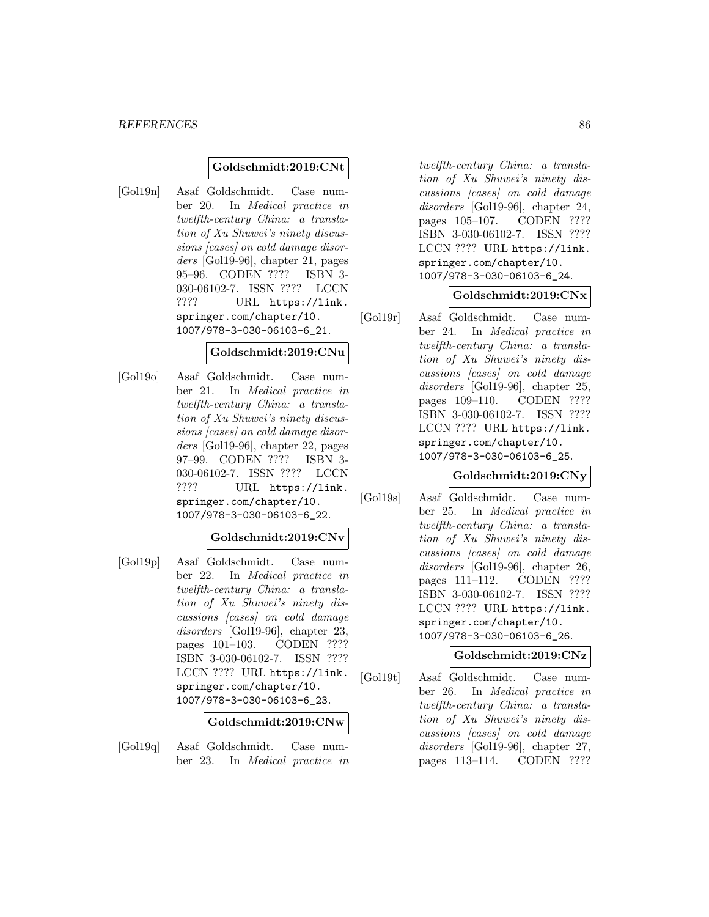# **Goldschmidt:2019:CNt**

[Gol19n] Asaf Goldschmidt. Case number 20. In Medical practice in twelfth-century China: a translation of Xu Shuwei's ninety discussions [cases] on cold damage disorders [Gol19-96], chapter 21, pages 95–96. CODEN ???? ISBN 3- 030-06102-7. ISSN ???? LCCN ???? URL https://link. springer.com/chapter/10. 1007/978-3-030-06103-6\_21.

### **Goldschmidt:2019:CNu**

[Gol19o] Asaf Goldschmidt. Case number 21. In Medical practice in twelfth-century China: a translation of Xu Shuwei's ninety discussions [cases] on cold damage disorders [Gol19-96], chapter 22, pages 97–99. CODEN ???? ISBN 3- 030-06102-7. ISSN ???? LCCN ???? URL https://link. springer.com/chapter/10. 1007/978-3-030-06103-6\_22.

## **Goldschmidt:2019:CNv**

[Gol19p] Asaf Goldschmidt. Case number 22. In Medical practice in twelfth-century China: a translation of Xu Shuwei's ninety discussions [cases] on cold damage disorders [Gol19-96], chapter 23, pages 101–103. CODEN ???? ISBN 3-030-06102-7. ISSN ???? LCCN ???? URL https://link. springer.com/chapter/10. 1007/978-3-030-06103-6\_23.

#### **Goldschmidt:2019:CNw**

[Gol19q] Asaf Goldschmidt. Case number 23. In Medical practice in

twelfth-century China: a translation of Xu Shuwei's ninety discussions [cases] on cold damage disorders [Gol19-96], chapter 24, pages 105–107. CODEN ???? ISBN 3-030-06102-7. ISSN ???? LCCN ???? URL https://link. springer.com/chapter/10. 1007/978-3-030-06103-6\_24.

## **Goldschmidt:2019:CNx**

[Gol19r] Asaf Goldschmidt. Case number 24. In Medical practice in twelfth-century China: a translation of Xu Shuwei's ninety discussions [cases] on cold damage disorders [Gol19-96], chapter 25, pages 109–110. CODEN ???? ISBN 3-030-06102-7. ISSN ???? LCCN ???? URL https://link. springer.com/chapter/10. 1007/978-3-030-06103-6\_25.

#### **Goldschmidt:2019:CNy**

[Gol19s] Asaf Goldschmidt. Case number 25. In Medical practice in twelfth-century China: a translation of Xu Shuwei's ninety discussions [cases] on cold damage disorders [Gol19-96], chapter 26, pages 111–112. CODEN ???? ISBN 3-030-06102-7. ISSN ???? LCCN ???? URL https://link. springer.com/chapter/10. 1007/978-3-030-06103-6\_26.

# **Goldschmidt:2019:CNz**

[Gol19t] Asaf Goldschmidt. Case number 26. In Medical practice in twelfth-century China: a translation of Xu Shuwei's ninety discussions [cases] on cold damage disorders [Gol19-96], chapter 27, pages 113–114. CODEN ????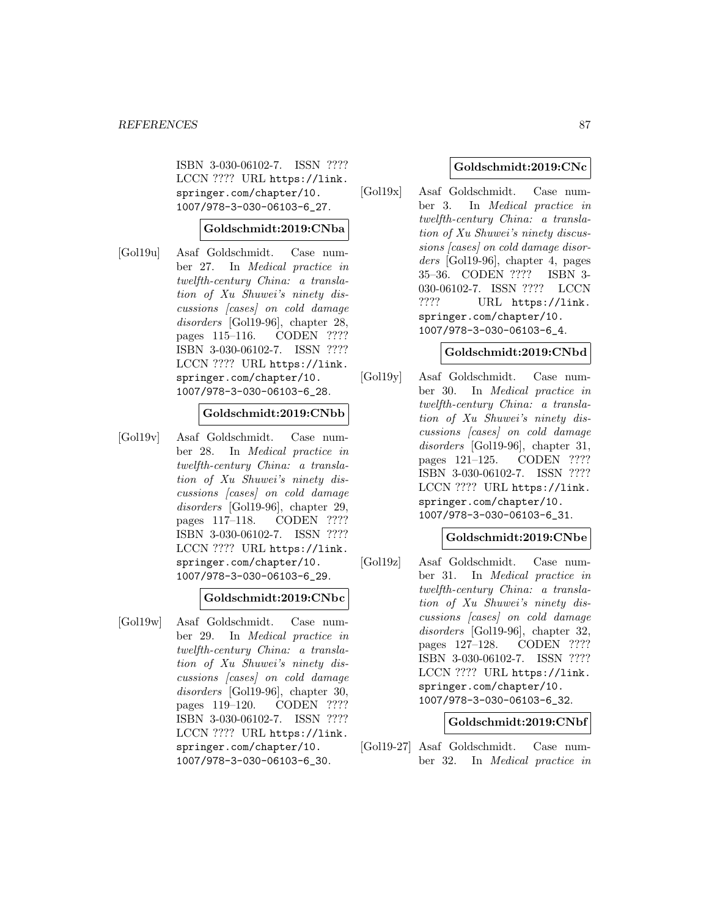ISBN 3-030-06102-7. ISSN ???? LCCN ???? URL https://link. springer.com/chapter/10. 1007/978-3-030-06103-6\_27.

### **Goldschmidt:2019:CNba**

[Gol19u] Asaf Goldschmidt. Case number 27. In Medical practice in twelfth-century China: a translation of Xu Shuwei's ninety discussions [cases] on cold damage disorders [Gol19-96], chapter 28, pages 115–116. CODEN ???? ISBN 3-030-06102-7. ISSN ???? LCCN ???? URL https://link. springer.com/chapter/10. 1007/978-3-030-06103-6\_28.

# **Goldschmidt:2019:CNbb**

[Gol19v] Asaf Goldschmidt. Case number 28. In Medical practice in twelfth-century China: a translation of Xu Shuwei's ninety discussions [cases] on cold damage disorders [Gol19-96], chapter 29, pages 117–118. CODEN ???? ISBN 3-030-06102-7. ISSN ???? LCCN ???? URL https://link. springer.com/chapter/10. 1007/978-3-030-06103-6\_29.

#### **Goldschmidt:2019:CNbc**

[Gol19w] Asaf Goldschmidt. Case number 29. In Medical practice in twelfth-century China: a translation of Xu Shuwei's ninety discussions [cases] on cold damage disorders [Gol19-96], chapter 30, pages 119–120. CODEN ???? ISBN 3-030-06102-7. ISSN ???? LCCN ???? URL https://link. springer.com/chapter/10. 1007/978-3-030-06103-6\_30.

## **Goldschmidt:2019:CNc**

[Gol19x] Asaf Goldschmidt. Case number 3. In Medical practice in twelfth-century China: a translation of Xu Shuwei's ninety discussions [cases] on cold damage disorders [Gol19-96], chapter 4, pages 35–36. CODEN ???? ISBN 3- 030-06102-7. ISSN ???? LCCN ???? URL https://link. springer.com/chapter/10. 1007/978-3-030-06103-6\_4.

#### **Goldschmidt:2019:CNbd**

[Gol19y] Asaf Goldschmidt. Case number 30. In Medical practice in twelfth-century China: a translation of Xu Shuwei's ninety discussions [cases] on cold damage disorders [Gol19-96], chapter 31, pages 121–125. CODEN ???? ISBN 3-030-06102-7. ISSN ???? LCCN ???? URL https://link. springer.com/chapter/10. 1007/978-3-030-06103-6\_31.

#### **Goldschmidt:2019:CNbe**

[Gol19z] Asaf Goldschmidt. Case number 31. In Medical practice in twelfth-century China: a translation of Xu Shuwei's ninety discussions [cases] on cold damage disorders [Gol19-96], chapter 32, pages 127–128. CODEN ???? ISBN 3-030-06102-7. ISSN ???? LCCN ???? URL https://link. springer.com/chapter/10. 1007/978-3-030-06103-6\_32.

#### **Goldschmidt:2019:CNbf**

[Gol19-27] Asaf Goldschmidt. Case number 32. In Medical practice in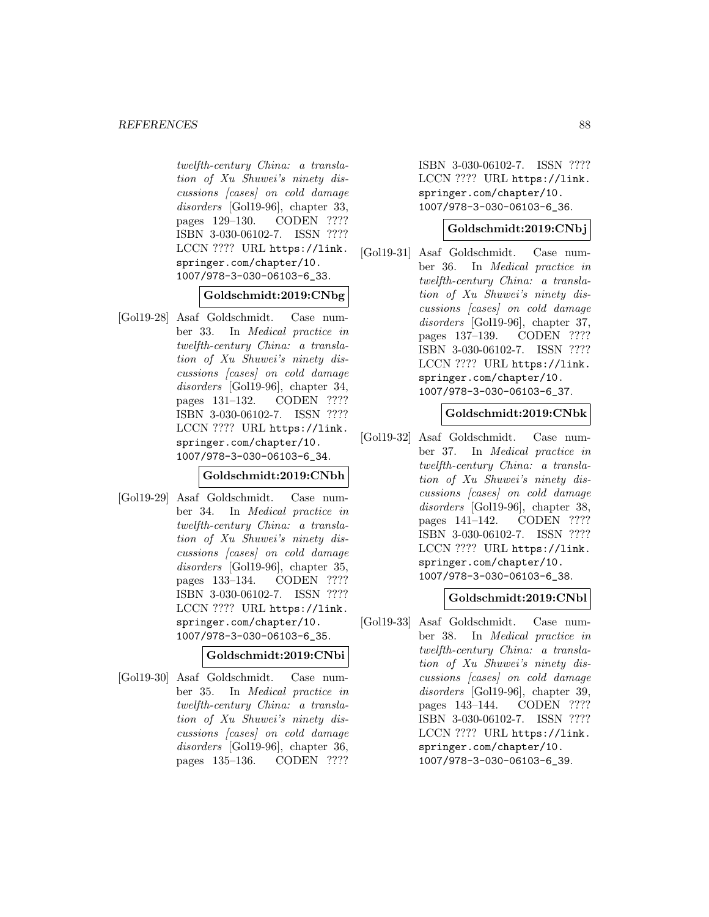twelfth-century China: a translation of Xu Shuwei's ninety discussions [cases] on cold damage disorders [Gol19-96], chapter 33, pages 129–130. CODEN ???? ISBN 3-030-06102-7. ISSN ???? LCCN ???? URL https://link. springer.com/chapter/10. 1007/978-3-030-06103-6\_33.

## **Goldschmidt:2019:CNbg**

[Gol19-28] Asaf Goldschmidt. Case number 33. In Medical practice in twelfth-century China: a translation of Xu Shuwei's ninety discussions [cases] on cold damage disorders [Gol19-96], chapter 34, pages 131–132. CODEN ???? ISBN 3-030-06102-7. ISSN ???? LCCN ???? URL https://link. springer.com/chapter/10. 1007/978-3-030-06103-6\_34.

# **Goldschmidt:2019:CNbh**

[Gol19-29] Asaf Goldschmidt. Case number 34. In Medical practice in twelfth-century China: a translation of Xu Shuwei's ninety discussions [cases] on cold damage disorders [Gol19-96], chapter 35, pages 133–134. CODEN ???? ISBN 3-030-06102-7. ISSN ???? LCCN ???? URL https://link. springer.com/chapter/10. 1007/978-3-030-06103-6\_35.

## **Goldschmidt:2019:CNbi**

[Gol19-30] Asaf Goldschmidt. Case number 35. In Medical practice in twelfth-century China: a translation of Xu Shuwei's ninety discussions [cases] on cold damage disorders [Gol19-96], chapter 36, pages 135–136. CODEN ????

ISBN 3-030-06102-7. ISSN ???? LCCN ???? URL https://link. springer.com/chapter/10. 1007/978-3-030-06103-6\_36.

## **Goldschmidt:2019:CNbj**

[Gol19-31] Asaf Goldschmidt. Case number 36. In Medical practice in twelfth-century China: a translation of Xu Shuwei's ninety discussions [cases] on cold damage disorders [Gol19-96], chapter 37, pages 137–139. CODEN ???? ISBN 3-030-06102-7. ISSN ???? LCCN ???? URL https://link. springer.com/chapter/10. 1007/978-3-030-06103-6\_37.

# **Goldschmidt:2019:CNbk**

[Gol19-32] Asaf Goldschmidt. Case number 37. In Medical practice in twelfth-century China: a translation of Xu Shuwei's ninety discussions [cases] on cold damage disorders [Gol19-96], chapter 38, pages 141–142. CODEN ???? ISBN 3-030-06102-7. ISSN ???? LCCN ???? URL https://link. springer.com/chapter/10. 1007/978-3-030-06103-6\_38.

# **Goldschmidt:2019:CNbl**

[Gol19-33] Asaf Goldschmidt. Case number 38. In Medical practice in twelfth-century China: a translation of Xu Shuwei's ninety discussions [cases] on cold damage disorders [Gol19-96], chapter 39, pages 143–144. CODEN ???? ISBN 3-030-06102-7. ISSN ???? LCCN ???? URL https://link. springer.com/chapter/10. 1007/978-3-030-06103-6\_39.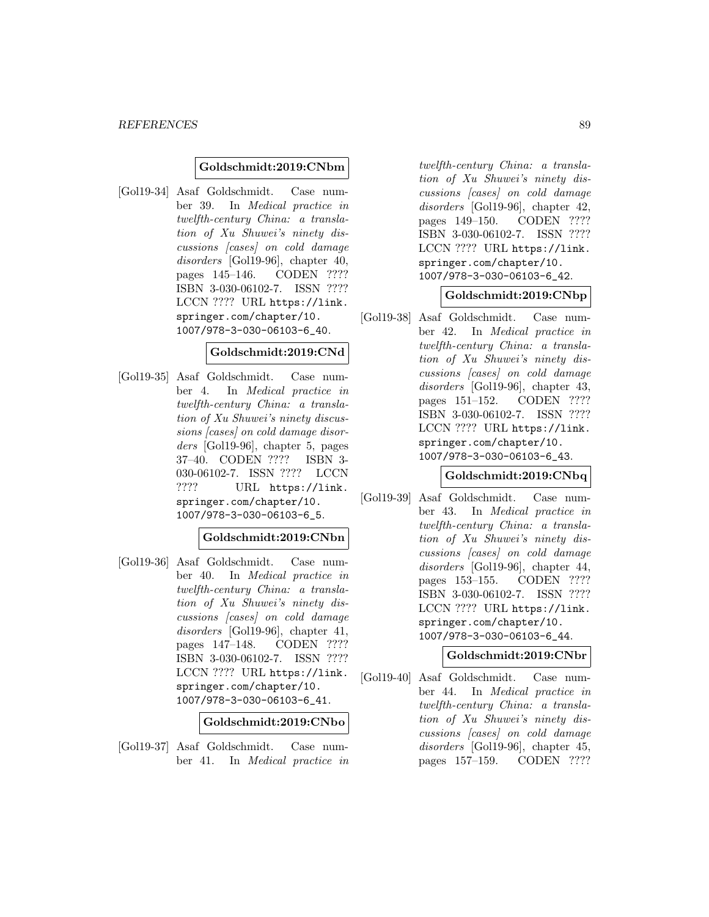### **Goldschmidt:2019:CNbm**

[Gol19-34] Asaf Goldschmidt. Case number 39. In Medical practice in twelfth-century China: a translation of Xu Shuwei's ninety discussions [cases] on cold damage disorders [Gol19-96], chapter 40, pages 145–146. CODEN ???? ISBN 3-030-06102-7. ISSN ???? LCCN ???? URL https://link. springer.com/chapter/10. 1007/978-3-030-06103-6\_40.

#### **Goldschmidt:2019:CNd**

[Gol19-35] Asaf Goldschmidt. Case number 4. In Medical practice in twelfth-century China: a translation of Xu Shuwei's ninety discussions [cases] on cold damage disorders [Gol19-96], chapter 5, pages 37–40. CODEN ???? ISBN 3- 030-06102-7. ISSN ???? LCCN ???? URL https://link. springer.com/chapter/10. 1007/978-3-030-06103-6\_5.

#### **Goldschmidt:2019:CNbn**

[Gol19-36] Asaf Goldschmidt. Case number 40. In Medical practice in twelfth-century China: a translation of Xu Shuwei's ninety discussions [cases] on cold damage disorders [Gol19-96], chapter 41, pages 147–148. CODEN ???? ISBN 3-030-06102-7. ISSN ???? LCCN ???? URL https://link. springer.com/chapter/10. 1007/978-3-030-06103-6\_41.

**Goldschmidt:2019:CNbo**

[Gol19-37] Asaf Goldschmidt. Case number 41. In Medical practice in

twelfth-century China: a translation of Xu Shuwei's ninety discussions [cases] on cold damage disorders [Gol19-96], chapter 42, pages 149–150. CODEN ???? ISBN 3-030-06102-7. ISSN ???? LCCN ???? URL https://link. springer.com/chapter/10. 1007/978-3-030-06103-6\_42.

### **Goldschmidt:2019:CNbp**

[Gol19-38] Asaf Goldschmidt. Case number 42. In Medical practice in twelfth-century China: a translation of Xu Shuwei's ninety discussions [cases] on cold damage disorders [Gol19-96], chapter 43, pages 151–152. CODEN ???? ISBN 3-030-06102-7. ISSN ???? LCCN ???? URL https://link. springer.com/chapter/10. 1007/978-3-030-06103-6\_43.

### **Goldschmidt:2019:CNbq**

[Gol19-39] Asaf Goldschmidt. Case number 43. In Medical practice in twelfth-century China: a translation of Xu Shuwei's ninety discussions [cases] on cold damage disorders [Gol19-96], chapter 44, pages 153–155. CODEN ???? ISBN 3-030-06102-7. ISSN ???? LCCN ???? URL https://link. springer.com/chapter/10. 1007/978-3-030-06103-6\_44.

# **Goldschmidt:2019:CNbr**

[Gol19-40] Asaf Goldschmidt. Case number 44. In Medical practice in twelfth-century China: a translation of Xu Shuwei's ninety discussions [cases] on cold damage disorders [Gol19-96], chapter 45, pages 157–159. CODEN ????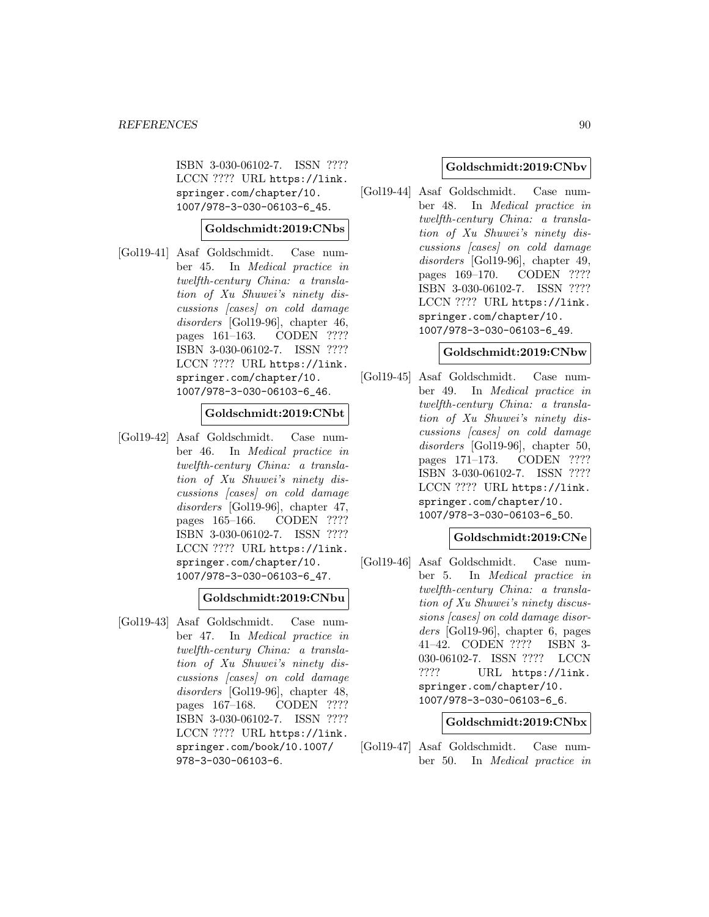ISBN 3-030-06102-7. ISSN ???? LCCN ???? URL https://link. springer.com/chapter/10. 1007/978-3-030-06103-6\_45.

## **Goldschmidt:2019:CNbs**

[Gol19-41] Asaf Goldschmidt. Case number 45. In Medical practice in twelfth-century China: a translation of Xu Shuwei's ninety discussions [cases] on cold damage disorders [Gol19-96], chapter 46, pages 161–163. CODEN ???? ISBN 3-030-06102-7. ISSN ???? LCCN ???? URL https://link. springer.com/chapter/10. 1007/978-3-030-06103-6\_46.

# **Goldschmidt:2019:CNbt**

[Gol19-42] Asaf Goldschmidt. Case number 46. In Medical practice in twelfth-century China: a translation of Xu Shuwei's ninety discussions [cases] on cold damage disorders [Gol19-96], chapter 47, pages 165–166. CODEN ???? ISBN 3-030-06102-7. ISSN ???? LCCN ???? URL https://link. springer.com/chapter/10. 1007/978-3-030-06103-6\_47.

#### **Goldschmidt:2019:CNbu**

[Gol19-43] Asaf Goldschmidt. Case number 47. In Medical practice in twelfth-century China: a translation of Xu Shuwei's ninety discussions [cases] on cold damage disorders [Gol19-96], chapter 48, pages 167–168. CODEN ???? ISBN 3-030-06102-7. ISSN ???? LCCN ???? URL https://link. springer.com/book/10.1007/ 978-3-030-06103-6.

### **Goldschmidt:2019:CNbv**

[Gol19-44] Asaf Goldschmidt. Case number 48. In Medical practice in twelfth-century China: a translation of Xu Shuwei's ninety discussions [cases] on cold damage disorders [Gol19-96], chapter 49, pages 169–170. CODEN ???? ISBN 3-030-06102-7. ISSN ???? LCCN ???? URL https://link. springer.com/chapter/10. 1007/978-3-030-06103-6\_49.

#### **Goldschmidt:2019:CNbw**

[Gol19-45] Asaf Goldschmidt. Case number 49. In Medical practice in twelfth-century China: a translation of Xu Shuwei's ninety discussions [cases] on cold damage disorders [Gol19-96], chapter 50, pages 171–173. CODEN ???? ISBN 3-030-06102-7. ISSN ???? LCCN ???? URL https://link. springer.com/chapter/10. 1007/978-3-030-06103-6\_50.

## **Goldschmidt:2019:CNe**

[Gol19-46] Asaf Goldschmidt. Case number 5. In Medical practice in twelfth-century China: a translation of Xu Shuwei's ninety discussions [cases] on cold damage disorders [Gol19-96], chapter 6, pages 41–42. CODEN ???? ISBN 3- 030-06102-7. ISSN ???? LCCN ???? URL https://link. springer.com/chapter/10. 1007/978-3-030-06103-6\_6.

### **Goldschmidt:2019:CNbx**

[Gol19-47] Asaf Goldschmidt. Case number 50. In Medical practice in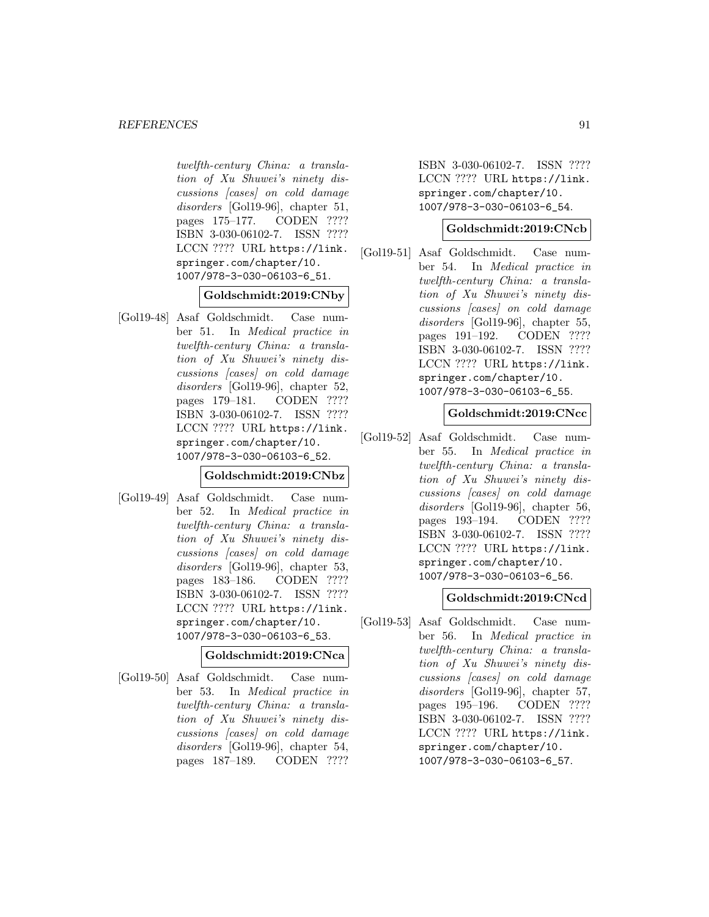twelfth-century China: a translation of Xu Shuwei's ninety discussions [cases] on cold damage disorders [Gol19-96], chapter 51, pages 175–177. CODEN ???? ISBN 3-030-06102-7. ISSN ???? LCCN ???? URL https://link. springer.com/chapter/10. 1007/978-3-030-06103-6\_51.

## **Goldschmidt:2019:CNby**

[Gol19-48] Asaf Goldschmidt. Case number 51. In Medical practice in twelfth-century China: a translation of Xu Shuwei's ninety discussions [cases] on cold damage disorders [Gol19-96], chapter 52, pages 179–181. CODEN ???? ISBN 3-030-06102-7. ISSN ???? LCCN ???? URL https://link. springer.com/chapter/10. 1007/978-3-030-06103-6\_52.

# **Goldschmidt:2019:CNbz**

[Gol19-49] Asaf Goldschmidt. Case number 52. In Medical practice in twelfth-century China: a translation of Xu Shuwei's ninety discussions [cases] on cold damage disorders [Gol19-96], chapter 53, pages 183–186. CODEN ???? ISBN 3-030-06102-7. ISSN ???? LCCN ???? URL https://link. springer.com/chapter/10. 1007/978-3-030-06103-6\_53.

#### **Goldschmidt:2019:CNca**

[Gol19-50] Asaf Goldschmidt. Case number 53. In Medical practice in twelfth-century China: a translation of Xu Shuwei's ninety discussions [cases] on cold damage disorders [Gol19-96], chapter 54, pages 187–189. CODEN ????

ISBN 3-030-06102-7. ISSN ???? LCCN ???? URL https://link. springer.com/chapter/10. 1007/978-3-030-06103-6\_54.

### **Goldschmidt:2019:CNcb**

[Gol19-51] Asaf Goldschmidt. Case number 54. In Medical practice in twelfth-century China: a translation of Xu Shuwei's ninety discussions [cases] on cold damage disorders [Gol19-96], chapter 55, pages 191–192. CODEN ???? ISBN 3-030-06102-7. ISSN ???? LCCN ???? URL https://link. springer.com/chapter/10. 1007/978-3-030-06103-6\_55.

# **Goldschmidt:2019:CNcc**

[Gol19-52] Asaf Goldschmidt. Case number 55. In Medical practice in twelfth-century China: a translation of Xu Shuwei's ninety discussions [cases] on cold damage disorders [Gol19-96], chapter 56, pages 193–194. CODEN ???? ISBN 3-030-06102-7. ISSN ???? LCCN ???? URL https://link. springer.com/chapter/10. 1007/978-3-030-06103-6\_56.

# **Goldschmidt:2019:CNcd**

[Gol19-53] Asaf Goldschmidt. Case number 56. In Medical practice in twelfth-century China: a translation of Xu Shuwei's ninety discussions [cases] on cold damage disorders [Gol19-96], chapter 57, pages 195–196. CODEN ???? ISBN 3-030-06102-7. ISSN ???? LCCN ???? URL https://link. springer.com/chapter/10. 1007/978-3-030-06103-6\_57.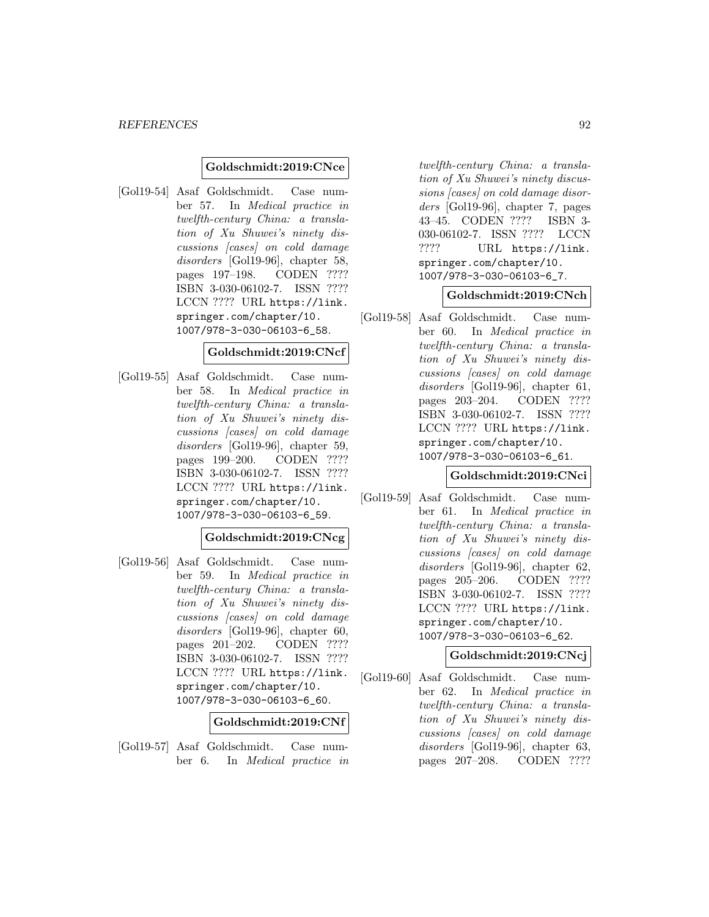### **Goldschmidt:2019:CNce**

[Gol19-54] Asaf Goldschmidt. Case number 57. In Medical practice in twelfth-century China: a translation of Xu Shuwei's ninety discussions [cases] on cold damage disorders [Gol19-96], chapter 58, pages 197–198. CODEN ???? ISBN 3-030-06102-7. ISSN ???? LCCN ???? URL https://link. springer.com/chapter/10. 1007/978-3-030-06103-6\_58.

### **Goldschmidt:2019:CNcf**

[Gol19-55] Asaf Goldschmidt. Case number 58. In Medical practice in twelfth-century China: a translation of Xu Shuwei's ninety discussions [cases] on cold damage disorders [Gol19-96], chapter 59, pages 199–200. CODEN ???? ISBN 3-030-06102-7. ISSN ???? LCCN ???? URL https://link. springer.com/chapter/10. 1007/978-3-030-06103-6\_59.

#### **Goldschmidt:2019:CNcg**

[Gol19-56] Asaf Goldschmidt. Case number 59. In Medical practice in twelfth-century China: a translation of Xu Shuwei's ninety discussions [cases] on cold damage disorders [Gol19-96], chapter 60, pages 201–202. CODEN ???? ISBN 3-030-06102-7. ISSN ???? LCCN ???? URL https://link. springer.com/chapter/10. 1007/978-3-030-06103-6\_60.

#### **Goldschmidt:2019:CNf**

[Gol19-57] Asaf Goldschmidt. Case number 6. In Medical practice in

twelfth-century China: a translation of Xu Shuwei's ninety discussions [cases] on cold damage disorders [Gol19-96], chapter 7, pages 43–45. CODEN ???? ISBN 3- 030-06102-7. ISSN ???? LCCN ???? URL https://link. springer.com/chapter/10. 1007/978-3-030-06103-6\_7.

### **Goldschmidt:2019:CNch**

[Gol19-58] Asaf Goldschmidt. Case number 60. In Medical practice in twelfth-century China: a translation of Xu Shuwei's ninety discussions [cases] on cold damage disorders [Gol19-96], chapter 61, pages 203–204. CODEN ???? ISBN 3-030-06102-7. ISSN ???? LCCN ???? URL https://link. springer.com/chapter/10. 1007/978-3-030-06103-6\_61.

### **Goldschmidt:2019:CNci**

[Gol19-59] Asaf Goldschmidt. Case number 61. In Medical practice in twelfth-century China: a translation of Xu Shuwei's ninety discussions [cases] on cold damage disorders [Gol19-96], chapter 62, pages 205–206. CODEN ???? ISBN 3-030-06102-7. ISSN ???? LCCN ???? URL https://link. springer.com/chapter/10. 1007/978-3-030-06103-6\_62.

# **Goldschmidt:2019:CNcj**

[Gol19-60] Asaf Goldschmidt. Case number 62. In Medical practice in twelfth-century China: a translation of Xu Shuwei's ninety discussions [cases] on cold damage disorders [Gol19-96], chapter 63, pages 207–208. CODEN ????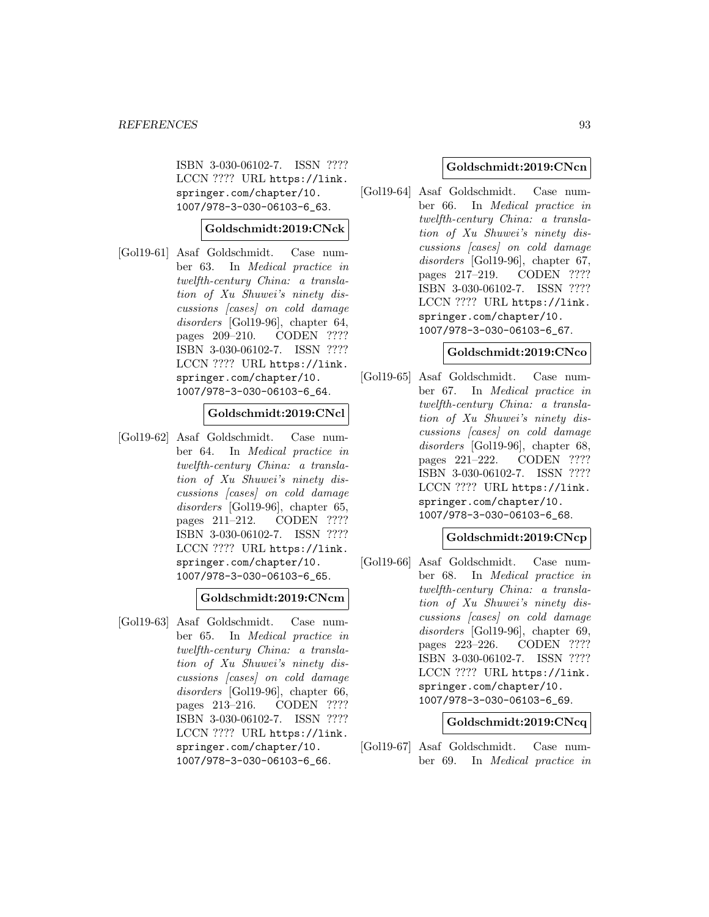ISBN 3-030-06102-7. ISSN ???? LCCN ???? URL https://link. springer.com/chapter/10. 1007/978-3-030-06103-6\_63.

**Goldschmidt:2019:CNck**

[Gol19-61] Asaf Goldschmidt. Case number 63. In Medical practice in twelfth-century China: a translation of Xu Shuwei's ninety discussions [cases] on cold damage disorders [Gol19-96], chapter 64, pages 209–210. CODEN ???? ISBN 3-030-06102-7. ISSN ???? LCCN ???? URL https://link. springer.com/chapter/10. 1007/978-3-030-06103-6\_64.

## **Goldschmidt:2019:CNcl**

[Gol19-62] Asaf Goldschmidt. Case number 64. In Medical practice in twelfth-century China: a translation of Xu Shuwei's ninety discussions [cases] on cold damage disorders [Gol19-96], chapter 65, pages 211–212. CODEN ???? ISBN 3-030-06102-7. ISSN ???? LCCN ???? URL https://link. springer.com/chapter/10. 1007/978-3-030-06103-6\_65.

### **Goldschmidt:2019:CNcm**

[Gol19-63] Asaf Goldschmidt. Case number 65. In Medical practice in twelfth-century China: a translation of Xu Shuwei's ninety discussions [cases] on cold damage disorders [Gol19-96], chapter 66, pages 213–216. CODEN ???? ISBN 3-030-06102-7. ISSN ???? LCCN ???? URL https://link. springer.com/chapter/10. 1007/978-3-030-06103-6\_66.

#### **Goldschmidt:2019:CNcn**

[Gol19-64] Asaf Goldschmidt. Case number 66. In Medical practice in twelfth-century China: a translation of Xu Shuwei's ninety discussions [cases] on cold damage disorders [Gol19-96], chapter 67, pages 217–219. CODEN ???? ISBN 3-030-06102-7. ISSN ???? LCCN ???? URL https://link. springer.com/chapter/10. 1007/978-3-030-06103-6\_67.

#### **Goldschmidt:2019:CNco**

[Gol19-65] Asaf Goldschmidt. Case number 67. In Medical practice in twelfth-century China: a translation of Xu Shuwei's ninety discussions [cases] on cold damage disorders [Gol19-96], chapter 68, pages 221–222. CODEN ???? ISBN 3-030-06102-7. ISSN ???? LCCN ???? URL https://link. springer.com/chapter/10. 1007/978-3-030-06103-6\_68.

### **Goldschmidt:2019:CNcp**

[Gol19-66] Asaf Goldschmidt. Case number 68. In Medical practice in twelfth-century China: a translation of Xu Shuwei's ninety discussions [cases] on cold damage disorders [Gol19-96], chapter 69, pages 223–226. CODEN ???? ISBN 3-030-06102-7. ISSN ???? LCCN ???? URL https://link. springer.com/chapter/10. 1007/978-3-030-06103-6\_69.

#### **Goldschmidt:2019:CNcq**

[Gol19-67] Asaf Goldschmidt. Case number 69. In Medical practice in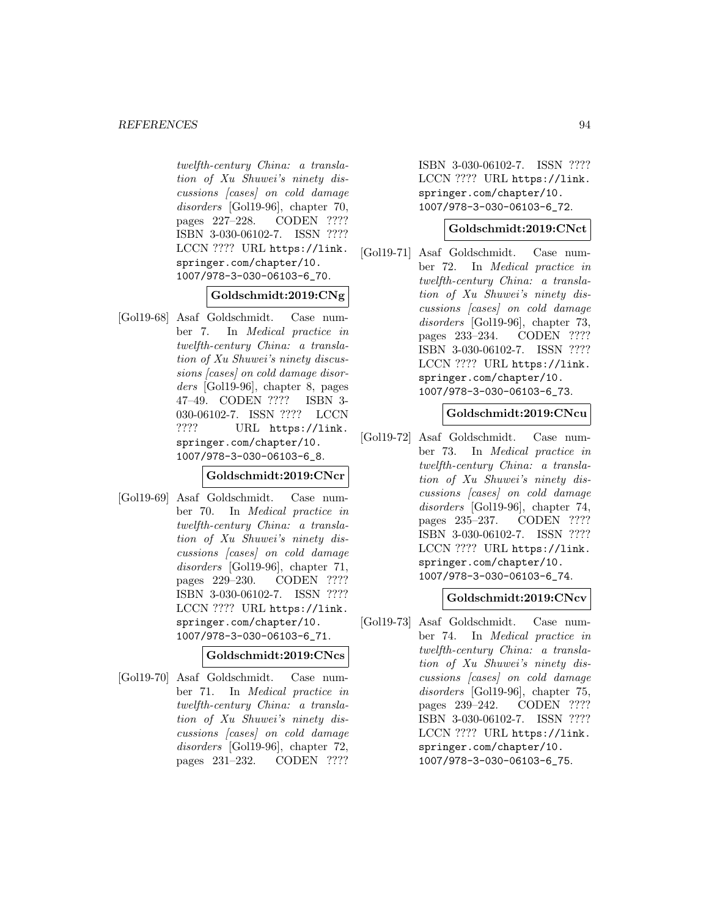twelfth-century China: a translation of Xu Shuwei's ninety discussions [cases] on cold damage disorders [Gol19-96], chapter 70, pages 227–228. CODEN ???? ISBN 3-030-06102-7. ISSN ???? LCCN ???? URL https://link. springer.com/chapter/10. 1007/978-3-030-06103-6\_70.

# **Goldschmidt:2019:CNg**

[Gol19-68] Asaf Goldschmidt. Case number 7. In Medical practice in twelfth-century China: a translation of Xu Shuwei's ninety discussions [cases] on cold damage disorders [Gol19-96], chapter 8, pages 47–49. CODEN ???? ISBN 3- 030-06102-7. ISSN ???? LCCN ???? URL https://link. springer.com/chapter/10. 1007/978-3-030-06103-6\_8.

# **Goldschmidt:2019:CNcr**

[Gol19-69] Asaf Goldschmidt. Case number 70. In Medical practice in twelfth-century China: a translation of Xu Shuwei's ninety discussions [cases] on cold damage disorders [Gol19-96], chapter 71, pages 229–230. CODEN ???? ISBN 3-030-06102-7. ISSN ???? LCCN ???? URL https://link. springer.com/chapter/10. 1007/978-3-030-06103-6\_71.

## **Goldschmidt:2019:CNcs**

[Gol19-70] Asaf Goldschmidt. Case number 71. In Medical practice in twelfth-century China: a translation of Xu Shuwei's ninety discussions [cases] on cold damage disorders [Gol19-96], chapter 72, pages 231–232. CODEN ????

ISBN 3-030-06102-7. ISSN ???? LCCN ???? URL https://link. springer.com/chapter/10. 1007/978-3-030-06103-6\_72.

## **Goldschmidt:2019:CNct**

[Gol19-71] Asaf Goldschmidt. Case number 72. In Medical practice in twelfth-century China: a translation of Xu Shuwei's ninety discussions [cases] on cold damage disorders [Gol19-96], chapter 73, pages 233–234. CODEN ???? ISBN 3-030-06102-7. ISSN ???? LCCN ???? URL https://link. springer.com/chapter/10. 1007/978-3-030-06103-6\_73.

# **Goldschmidt:2019:CNcu**

[Gol19-72] Asaf Goldschmidt. Case number 73. In Medical practice in twelfth-century China: a translation of Xu Shuwei's ninety discussions [cases] on cold damage disorders [Gol19-96], chapter 74, pages 235–237. CODEN ???? ISBN 3-030-06102-7. ISSN ???? LCCN ???? URL https://link. springer.com/chapter/10. 1007/978-3-030-06103-6\_74.

#### **Goldschmidt:2019:CNcv**

[Gol19-73] Asaf Goldschmidt. Case number 74. In Medical practice in twelfth-century China: a translation of Xu Shuwei's ninety discussions [cases] on cold damage disorders [Gol19-96], chapter 75, pages 239–242. CODEN ???? ISBN 3-030-06102-7. ISSN ???? LCCN ???? URL https://link. springer.com/chapter/10. 1007/978-3-030-06103-6\_75.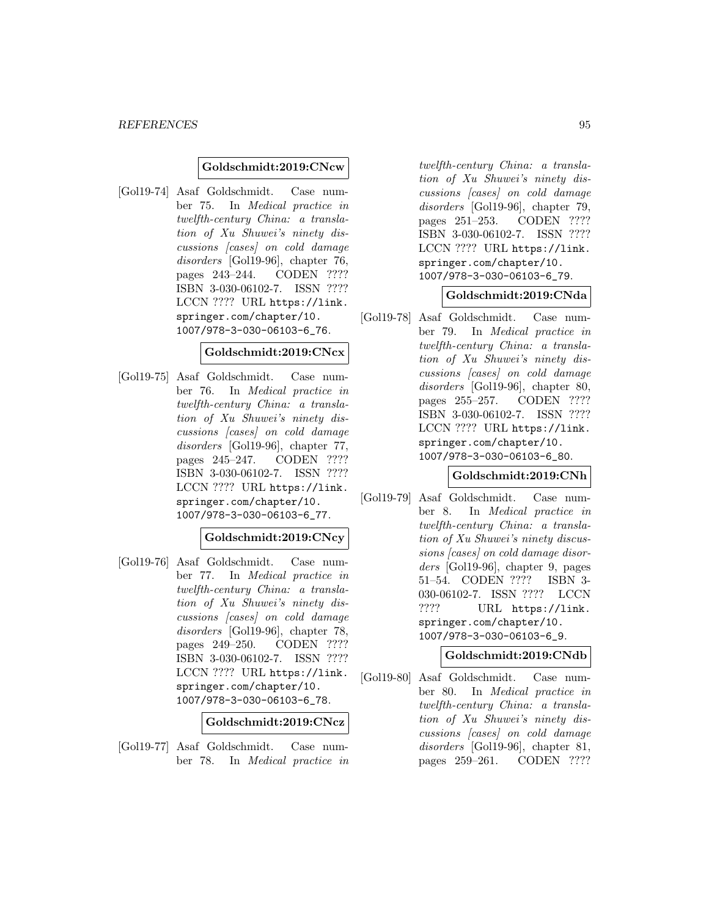#### **Goldschmidt:2019:CNcw**

[Gol19-74] Asaf Goldschmidt. Case number 75. In Medical practice in twelfth-century China: a translation of Xu Shuwei's ninety discussions [cases] on cold damage disorders [Gol19-96], chapter 76, pages 243–244. CODEN ???? ISBN 3-030-06102-7. ISSN ???? LCCN ???? URL https://link. springer.com/chapter/10. 1007/978-3-030-06103-6\_76.

### **Goldschmidt:2019:CNcx**

[Gol19-75] Asaf Goldschmidt. Case number 76. In Medical practice in twelfth-century China: a translation of Xu Shuwei's ninety discussions [cases] on cold damage disorders [Gol19-96], chapter 77, pages 245–247. CODEN ???? ISBN 3-030-06102-7. ISSN ???? LCCN ???? URL https://link. springer.com/chapter/10. 1007/978-3-030-06103-6\_77.

## **Goldschmidt:2019:CNcy**

[Gol19-76] Asaf Goldschmidt. Case number 77. In Medical practice in twelfth-century China: a translation of Xu Shuwei's ninety discussions [cases] on cold damage disorders [Gol19-96], chapter 78, pages 249–250. CODEN ???? ISBN 3-030-06102-7. ISSN ???? LCCN ???? URL https://link. springer.com/chapter/10. 1007/978-3-030-06103-6\_78.

**Goldschmidt:2019:CNcz**

[Gol19-77] Asaf Goldschmidt. Case number 78. In Medical practice in

twelfth-century China: a translation of Xu Shuwei's ninety discussions [cases] on cold damage disorders [Gol19-96], chapter 79, pages 251–253. CODEN ???? ISBN 3-030-06102-7. ISSN ???? LCCN ???? URL https://link. springer.com/chapter/10. 1007/978-3-030-06103-6\_79.

#### **Goldschmidt:2019:CNda**

[Gol19-78] Asaf Goldschmidt. Case number 79. In Medical practice in twelfth-century China: a translation of Xu Shuwei's ninety discussions [cases] on cold damage disorders [Gol19-96], chapter 80, pages 255–257. CODEN ???? ISBN 3-030-06102-7. ISSN ???? LCCN ???? URL https://link. springer.com/chapter/10. 1007/978-3-030-06103-6\_80.

### **Goldschmidt:2019:CNh**

[Gol19-79] Asaf Goldschmidt. Case number 8. In Medical practice in twelfth-century China: a translation of Xu Shuwei's ninety discussions [cases] on cold damage disorders [Gol19-96], chapter 9, pages 51–54. CODEN ???? ISBN 3- 030-06102-7. ISSN ???? LCCN ???? URL https://link. springer.com/chapter/10. 1007/978-3-030-06103-6\_9.

# **Goldschmidt:2019:CNdb**

[Gol19-80] Asaf Goldschmidt. Case number 80. In Medical practice in twelfth-century China: a translation of Xu Shuwei's ninety discussions [cases] on cold damage disorders [Gol19-96], chapter 81, pages 259–261. CODEN ????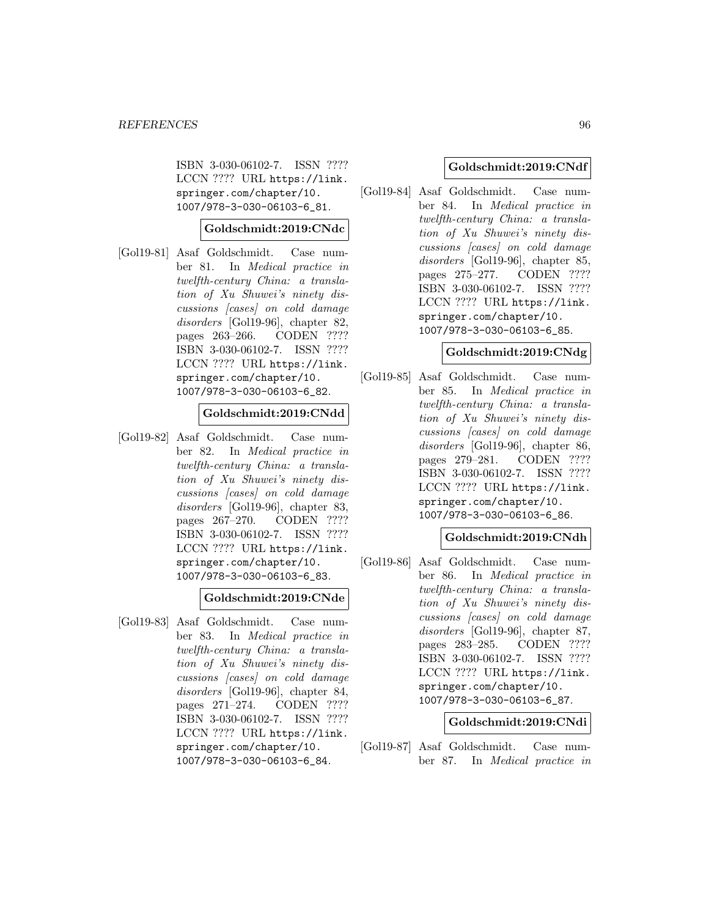ISBN 3-030-06102-7. ISSN ???? LCCN ???? URL https://link. springer.com/chapter/10. 1007/978-3-030-06103-6\_81.

## **Goldschmidt:2019:CNdc**

[Gol19-81] Asaf Goldschmidt. Case number 81. In Medical practice in twelfth-century China: a translation of Xu Shuwei's ninety discussions [cases] on cold damage disorders [Gol19-96], chapter 82, pages 263–266. CODEN ???? ISBN 3-030-06102-7. ISSN ???? LCCN ???? URL https://link. springer.com/chapter/10. 1007/978-3-030-06103-6\_82.

## **Goldschmidt:2019:CNdd**

[Gol19-82] Asaf Goldschmidt. Case number 82. In Medical practice in twelfth-century China: a translation of Xu Shuwei's ninety discussions [cases] on cold damage disorders [Gol19-96], chapter 83, pages 267–270. CODEN ???? ISBN 3-030-06102-7. ISSN ???? LCCN ???? URL https://link. springer.com/chapter/10. 1007/978-3-030-06103-6\_83.

### **Goldschmidt:2019:CNde**

[Gol19-83] Asaf Goldschmidt. Case number 83. In Medical practice in twelfth-century China: a translation of Xu Shuwei's ninety discussions [cases] on cold damage disorders [Gol19-96], chapter 84, pages 271–274. CODEN ???? ISBN 3-030-06102-7. ISSN ???? LCCN ???? URL https://link. springer.com/chapter/10. 1007/978-3-030-06103-6\_84.

### **Goldschmidt:2019:CNdf**

[Gol19-84] Asaf Goldschmidt. Case number 84. In Medical practice in twelfth-century China: a translation of Xu Shuwei's ninety discussions [cases] on cold damage disorders [Gol19-96], chapter 85, pages 275–277. CODEN ???? ISBN 3-030-06102-7. ISSN ???? LCCN ???? URL https://link. springer.com/chapter/10. 1007/978-3-030-06103-6\_85.

#### **Goldschmidt:2019:CNdg**

[Gol19-85] Asaf Goldschmidt. Case number 85. In Medical practice in twelfth-century China: a translation of Xu Shuwei's ninety discussions [cases] on cold damage disorders [Gol19-96], chapter 86, pages 279–281. CODEN ???? ISBN 3-030-06102-7. ISSN ???? LCCN ???? URL https://link. springer.com/chapter/10. 1007/978-3-030-06103-6\_86.

## **Goldschmidt:2019:CNdh**

[Gol19-86] Asaf Goldschmidt. Case number 86. In Medical practice in twelfth-century China: a translation of Xu Shuwei's ninety discussions [cases] on cold damage disorders [Gol19-96], chapter 87, pages 283–285. CODEN ???? ISBN 3-030-06102-7. ISSN ???? LCCN ???? URL https://link. springer.com/chapter/10. 1007/978-3-030-06103-6\_87.

#### **Goldschmidt:2019:CNdi**

[Gol19-87] Asaf Goldschmidt. Case number 87. In Medical practice in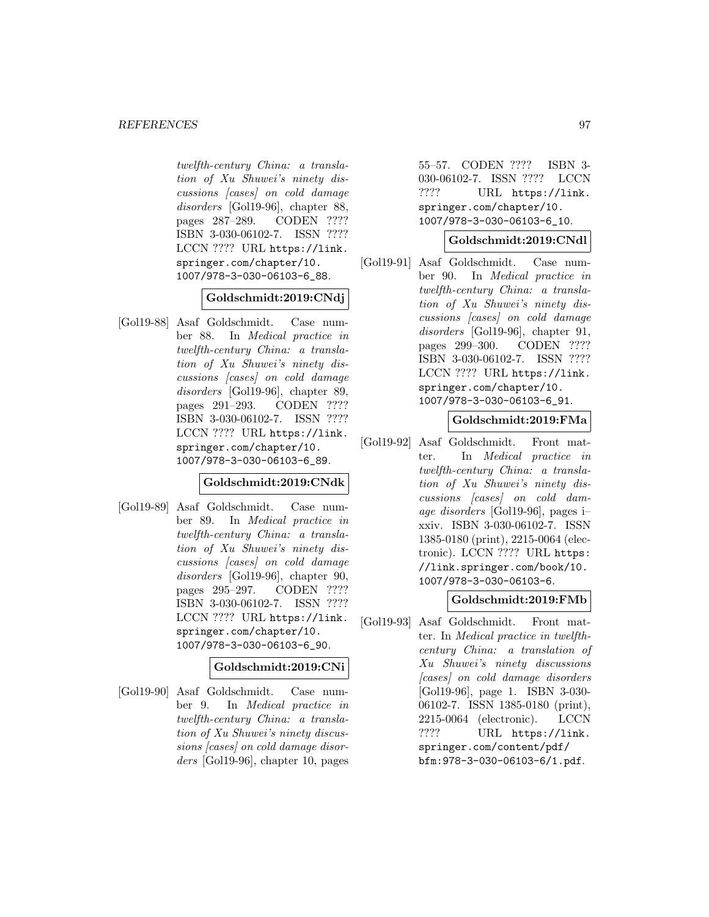twelfth-century China: a translation of Xu Shuwei's ninety discussions [cases] on cold damage disorders [Gol19-96], chapter 88, pages 287–289. CODEN ???? ISBN 3-030-06102-7. ISSN ???? LCCN ???? URL https://link. springer.com/chapter/10. 1007/978-3-030-06103-6\_88.

## **Goldschmidt:2019:CNdj**

[Gol19-88] Asaf Goldschmidt. Case number 88. In Medical practice in twelfth-century China: a translation of Xu Shuwei's ninety discussions [cases] on cold damage disorders [Gol19-96], chapter 89, pages 291–293. CODEN ???? ISBN 3-030-06102-7. ISSN ???? LCCN ???? URL https://link. springer.com/chapter/10. 1007/978-3-030-06103-6\_89.

# **Goldschmidt:2019:CNdk**

[Gol19-89] Asaf Goldschmidt. Case number 89. In Medical practice in twelfth-century China: a translation of Xu Shuwei's ninety discussions [cases] on cold damage disorders [Gol19-96], chapter 90, pages 295–297. CODEN ???? ISBN 3-030-06102-7. ISSN ???? LCCN ???? URL https://link. springer.com/chapter/10. 1007/978-3-030-06103-6\_90.

# **Goldschmidt:2019:CNi**

[Gol19-90] Asaf Goldschmidt. Case number 9. In Medical practice in twelfth-century China: a translation of Xu Shuwei's ninety discussions [cases] on cold damage disorders [Gol19-96], chapter 10, pages

55–57. CODEN ???? ISBN 3- 030-06102-7. ISSN ???? LCCN ???? URL https://link. springer.com/chapter/10. 1007/978-3-030-06103-6\_10.

# **Goldschmidt:2019:CNdl**

[Gol19-91] Asaf Goldschmidt. Case number 90. In Medical practice in twelfth-century China: a translation of Xu Shuwei's ninety discussions [cases] on cold damage disorders [Gol19-96], chapter 91, pages 299–300. CODEN ???? ISBN 3-030-06102-7. ISSN ???? LCCN ???? URL https://link. springer.com/chapter/10. 1007/978-3-030-06103-6\_91.

# **Goldschmidt:2019:FMa**

[Gol19-92] Asaf Goldschmidt. Front matter. In Medical practice in twelfth-century China: a translation of Xu Shuwei's ninety discussions [cases] on cold damage disorders [Gol19-96], pages i– xxiv. ISBN 3-030-06102-7. ISSN 1385-0180 (print), 2215-0064 (electronic). LCCN ???? URL https: //link.springer.com/book/10. 1007/978-3-030-06103-6.

# **Goldschmidt:2019:FMb**

[Gol19-93] Asaf Goldschmidt. Front matter. In Medical practice in twelfthcentury China: a translation of Xu Shuwei's ninety discussions [cases] on cold damage disorders [Gol19-96], page 1. ISBN 3-030- 06102-7. ISSN 1385-0180 (print), 2215-0064 (electronic). LCCN ???? URL https://link. springer.com/content/pdf/ bfm:978-3-030-06103-6/1.pdf.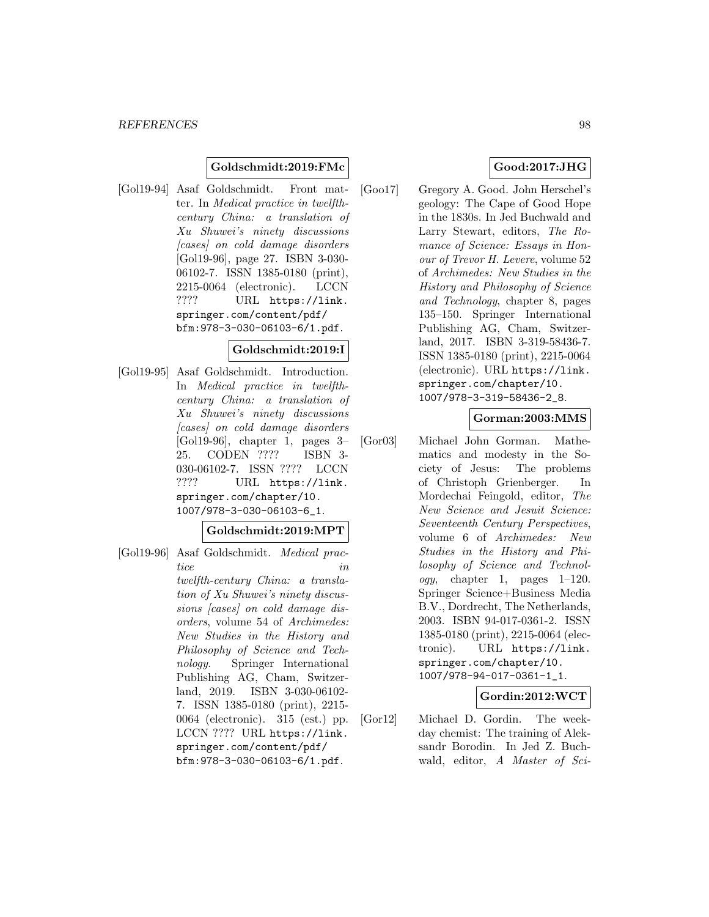## **Goldschmidt:2019:FMc**

[Gol19-94] Asaf Goldschmidt. Front matter. In Medical practice in twelfthcentury China: a translation of Xu Shuwei's ninety discussions [cases] on cold damage disorders [Gol19-96], page 27. ISBN 3-030- 06102-7. ISSN 1385-0180 (print), 2215-0064 (electronic). LCCN ???? URL https://link. springer.com/content/pdf/ bfm:978-3-030-06103-6/1.pdf.

### **Goldschmidt:2019:I**

[Gol19-95] Asaf Goldschmidt. Introduction. In Medical practice in twelfthcentury China: a translation of Xu Shuwei's ninety discussions [cases] on cold damage disorders [Gol19-96], chapter 1, pages 3– 25. CODEN ???? ISBN 3- 030-06102-7. ISSN ???? LCCN ???? URL https://link. springer.com/chapter/10. 1007/978-3-030-06103-6\_1.

**Goldschmidt:2019:MPT**

[Gol19-96] Asaf Goldschmidt. Medical practice in the set of  $\iota$ twelfth-century China: a translation of Xu Shuwei's ninety discussions [cases] on cold damage disorders, volume 54 of Archimedes: New Studies in the History and Philosophy of Science and Technology. Springer International Publishing AG, Cham, Switzerland, 2019. ISBN 3-030-06102- 7. ISSN 1385-0180 (print), 2215- 0064 (electronic). 315 (est.) pp. LCCN ???? URL https://link. springer.com/content/pdf/ bfm:978-3-030-06103-6/1.pdf.

# **Good:2017:JHG**

[Goo17] Gregory A. Good. John Herschel's geology: The Cape of Good Hope in the 1830s. In Jed Buchwald and Larry Stewart, editors, The Romance of Science: Essays in Honour of Trevor H. Levere, volume 52 of Archimedes: New Studies in the History and Philosophy of Science and Technology, chapter 8, pages 135–150. Springer International Publishing AG, Cham, Switzerland, 2017. ISBN 3-319-58436-7. ISSN 1385-0180 (print), 2215-0064 (electronic). URL https://link. springer.com/chapter/10. 1007/978-3-319-58436-2\_8.

### **Gorman:2003:MMS**

[Gor03] Michael John Gorman. Mathematics and modesty in the Society of Jesus: The problems of Christoph Grienberger. In Mordechai Feingold, editor, The New Science and Jesuit Science: Seventeenth Century Perspectives, volume 6 of Archimedes: New Studies in the History and Philosophy of Science and Technology, chapter 1, pages 1–120. Springer Science+Business Media B.V., Dordrecht, The Netherlands, 2003. ISBN 94-017-0361-2. ISSN 1385-0180 (print), 2215-0064 (electronic). URL https://link. springer.com/chapter/10. 1007/978-94-017-0361-1\_1.

## **Gordin:2012:WCT**

[Gor12] Michael D. Gordin. The weekday chemist: The training of Aleksandr Borodin. In Jed Z. Buchwald, editor, A Master of Sci-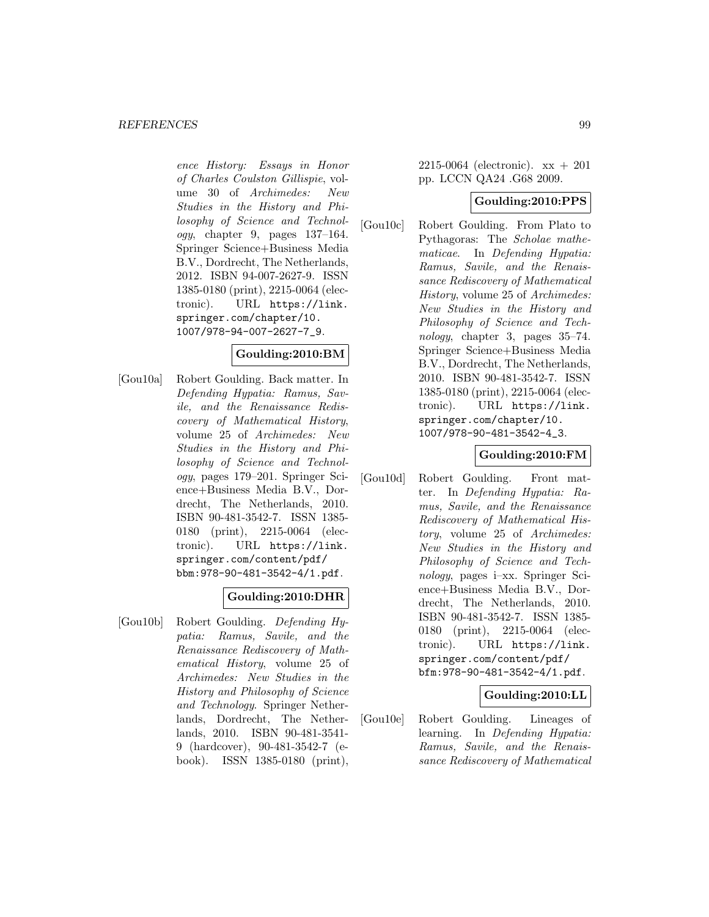ence History: Essays in Honor of Charles Coulston Gillispie, volume 30 of Archimedes: New Studies in the History and Philosophy of Science and Technology, chapter 9, pages 137–164. Springer Science+Business Media B.V., Dordrecht, The Netherlands, 2012. ISBN 94-007-2627-9. ISSN 1385-0180 (print), 2215-0064 (electronic). URL https://link. springer.com/chapter/10. 1007/978-94-007-2627-7\_9.

# **Goulding:2010:BM**

[Gou10a] Robert Goulding. Back matter. In Defending Hypatia: Ramus, Savile, and the Renaissance Rediscovery of Mathematical History, volume 25 of Archimedes: New Studies in the History and Philosophy of Science and Technology, pages 179–201. Springer Science+Business Media B.V., Dordrecht, The Netherlands, 2010. ISBN 90-481-3542-7. ISSN 1385- 0180 (print), 2215-0064 (electronic). URL https://link. springer.com/content/pdf/ bbm:978-90-481-3542-4/1.pdf.

## **Goulding:2010:DHR**

[Gou10b] Robert Goulding. Defending Hypatia: Ramus, Savile, and the Renaissance Rediscovery of Mathematical History, volume 25 of Archimedes: New Studies in the History and Philosophy of Science and Technology. Springer Netherlands, Dordrecht, The Netherlands, 2010. ISBN 90-481-3541- 9 (hardcover), 90-481-3542-7 (ebook). ISSN 1385-0180 (print),

2215-0064 (electronic). xx + 201 pp. LCCN QA24 .G68 2009.

# **Goulding:2010:PPS**

[Gou10c] Robert Goulding. From Plato to Pythagoras: The Scholae mathematicae. In Defending Hypatia: Ramus, Savile, and the Renaissance Rediscovery of Mathematical History, volume 25 of Archimedes: New Studies in the History and Philosophy of Science and Technology, chapter 3, pages 35–74. Springer Science+Business Media B.V., Dordrecht, The Netherlands, 2010. ISBN 90-481-3542-7. ISSN 1385-0180 (print), 2215-0064 (electronic). URL https://link. springer.com/chapter/10. 1007/978-90-481-3542-4\_3.

# **Goulding:2010:FM**

[Gou10d] Robert Goulding. Front matter. In Defending Hypatia: Ramus, Savile, and the Renaissance Rediscovery of Mathematical History, volume 25 of Archimedes: New Studies in the History and Philosophy of Science and Technology, pages i–xx. Springer Science+Business Media B.V., Dordrecht, The Netherlands, 2010. ISBN 90-481-3542-7. ISSN 1385- 0180 (print), 2215-0064 (electronic). URL https://link. springer.com/content/pdf/ bfm:978-90-481-3542-4/1.pdf.

# **Goulding:2010:LL**

[Gou10e] Robert Goulding. Lineages of learning. In Defending Hypatia: Ramus, Savile, and the Renaissance Rediscovery of Mathematical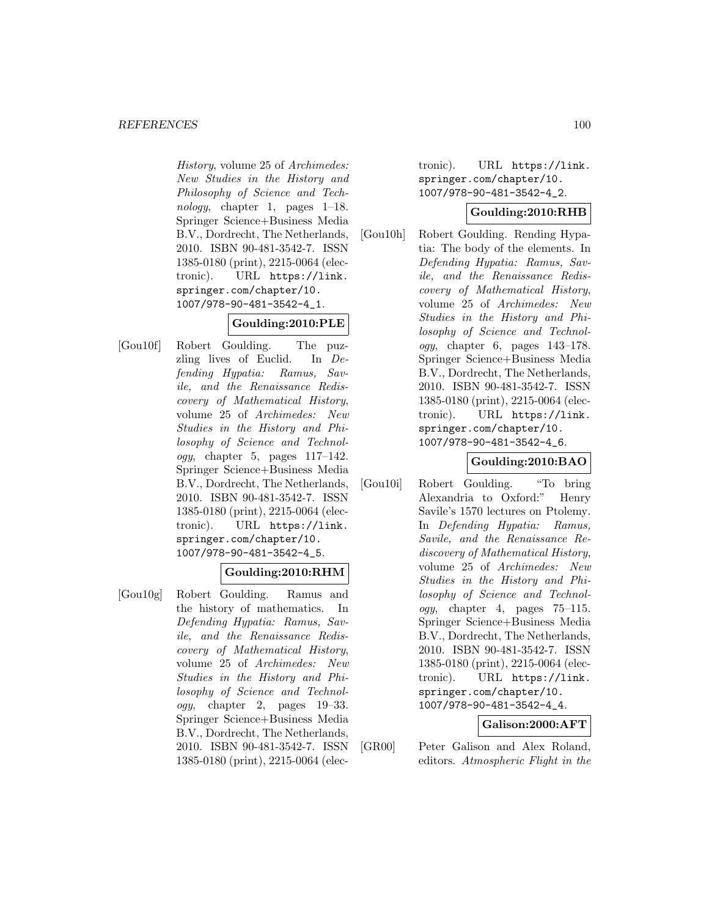History, volume 25 of Archimedes: New Studies in the History and Philosophy of Science and Technology, chapter 1, pages  $1-18$ . Springer Science+Business Media B.V., Dordrecht, The Netherlands, 2010. ISBN 90-481-3542-7. ISSN 1385-0180 (print), 2215-0064 (electronic). URL https://link. springer.com/chapter/10. 1007/978-90-481-3542-4\_1.

# **Goulding:2010:PLE**

[Gou10f] Robert Goulding. The puzzling lives of Euclid. In Defending Hypatia: Ramus, Savile, and the Renaissance Rediscovery of Mathematical History, volume 25 of Archimedes: New Studies in the History and Philosophy of Science and Technology, chapter 5, pages 117–142. Springer Science+Business Media B.V., Dordrecht, The Netherlands, 2010. ISBN 90-481-3542-7. ISSN 1385-0180 (print), 2215-0064 (electronic). URL https://link. springer.com/chapter/10. 1007/978-90-481-3542-4\_5.

# **Goulding:2010:RHM**

[Gou10g] Robert Goulding. Ramus and the history of mathematics. In Defending Hypatia: Ramus, Savile, and the Renaissance Rediscovery of Mathematical History, volume 25 of Archimedes: New Studies in the History and Philosophy of Science and Technology, chapter 2, pages 19–33. Springer Science+Business Media B.V., Dordrecht, The Netherlands, 2010. ISBN 90-481-3542-7. ISSN 1385-0180 (print), 2215-0064 (electronic). URL https://link. springer.com/chapter/10. 1007/978-90-481-3542-4\_2.

# **Goulding:2010:RHB**

[Gou10h] Robert Goulding. Rending Hypatia: The body of the elements. In Defending Hypatia: Ramus, Savile, and the Renaissance Rediscovery of Mathematical History, volume 25 of Archimedes: New Studies in the History and Philosophy of Science and Technology, chapter 6, pages 143–178. Springer Science+Business Media B.V., Dordrecht, The Netherlands, 2010. ISBN 90-481-3542-7. ISSN 1385-0180 (print), 2215-0064 (electronic). URL https://link. springer.com/chapter/10. 1007/978-90-481-3542-4\_6.

# **Goulding:2010:BAO**

[Gou10i] Robert Goulding. "To bring Alexandria to Oxford:" Henry Savile's 1570 lectures on Ptolemy. In Defending Hypatia: Ramus, Savile, and the Renaissance Rediscovery of Mathematical History, volume 25 of Archimedes: New Studies in the History and Philosophy of Science and Technology, chapter 4, pages 75–115. Springer Science+Business Media B.V., Dordrecht, The Netherlands, 2010. ISBN 90-481-3542-7. ISSN 1385-0180 (print), 2215-0064 (electronic). URL https://link. springer.com/chapter/10. 1007/978-90-481-3542-4\_4.

# **Galison:2000:AFT**

[GR00] Peter Galison and Alex Roland, editors. Atmospheric Flight in the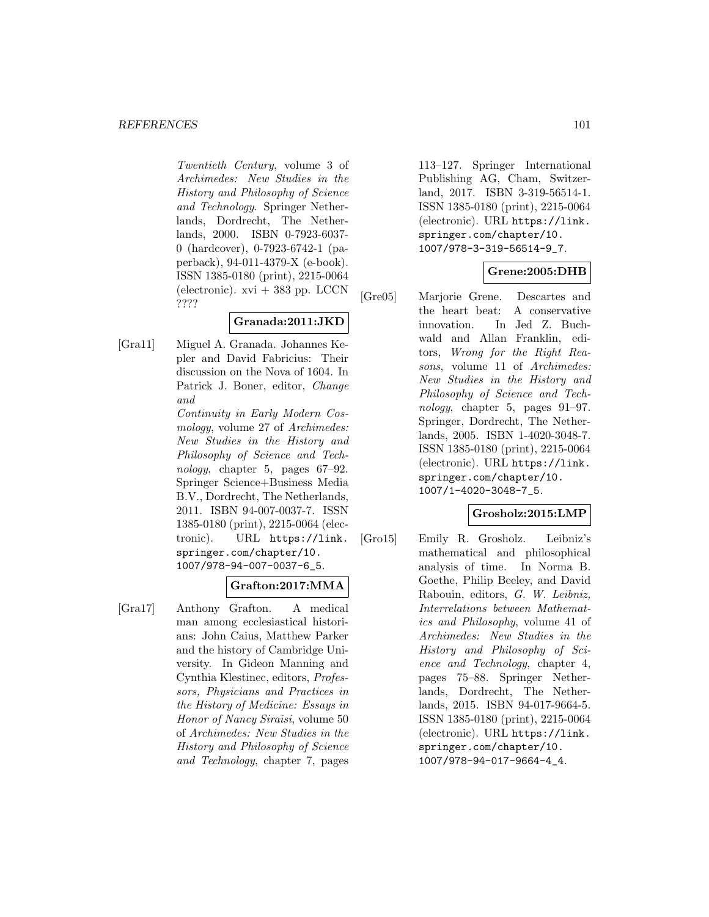Twentieth Century, volume 3 of Archimedes: New Studies in the History and Philosophy of Science and Technology. Springer Netherlands, Dordrecht, The Netherlands, 2000. ISBN 0-7923-6037- 0 (hardcover), 0-7923-6742-1 (paperback), 94-011-4379-X (e-book). ISSN 1385-0180 (print), 2215-0064 (electronic).  $xvi + 383$  pp. LCCN ????

# **Granada:2011:JKD**

[Gra11] Miguel A. Granada. Johannes Kepler and David Fabricius: Their discussion on the Nova of 1604. In Patrick J. Boner, editor, Change and

> Continuity in Early Modern Cosmology, volume 27 of Archimedes: New Studies in the History and Philosophy of Science and Technology, chapter 5, pages 67–92. Springer Science+Business Media B.V., Dordrecht, The Netherlands, 2011. ISBN 94-007-0037-7. ISSN 1385-0180 (print), 2215-0064 (electronic). URL https://link. springer.com/chapter/10. 1007/978-94-007-0037-6\_5.

# **Grafton:2017:MMA**

[Gra17] Anthony Grafton. A medical man among ecclesiastical historians: John Caius, Matthew Parker and the history of Cambridge University. In Gideon Manning and Cynthia Klestinec, editors, Professors, Physicians and Practices in the History of Medicine: Essays in Honor of Nancy Siraisi, volume 50 of Archimedes: New Studies in the History and Philosophy of Science and Technology, chapter 7, pages

113–127. Springer International Publishing AG, Cham, Switzerland, 2017. ISBN 3-319-56514-1. ISSN 1385-0180 (print), 2215-0064 (electronic). URL https://link. springer.com/chapter/10. 1007/978-3-319-56514-9\_7.

# **Grene:2005:DHB**

[Gre05] Marjorie Grene. Descartes and the heart beat: A conservative innovation. In Jed Z. Buchwald and Allan Franklin, editors, Wrong for the Right Reasons, volume 11 of Archimedes: New Studies in the History and Philosophy of Science and Technology, chapter 5, pages 91–97. Springer, Dordrecht, The Netherlands, 2005. ISBN 1-4020-3048-7. ISSN 1385-0180 (print), 2215-0064 (electronic). URL https://link. springer.com/chapter/10. 1007/1-4020-3048-7\_5.

## **Grosholz:2015:LMP**

[Gro15] Emily R. Grosholz. Leibniz's mathematical and philosophical analysis of time. In Norma B. Goethe, Philip Beeley, and David Rabouin, editors, G. W. Leibniz, Interrelations between Mathematics and Philosophy, volume 41 of Archimedes: New Studies in the History and Philosophy of Science and Technology, chapter 4, pages 75–88. Springer Netherlands, Dordrecht, The Netherlands, 2015. ISBN 94-017-9664-5. ISSN 1385-0180 (print), 2215-0064 (electronic). URL https://link. springer.com/chapter/10. 1007/978-94-017-9664-4\_4.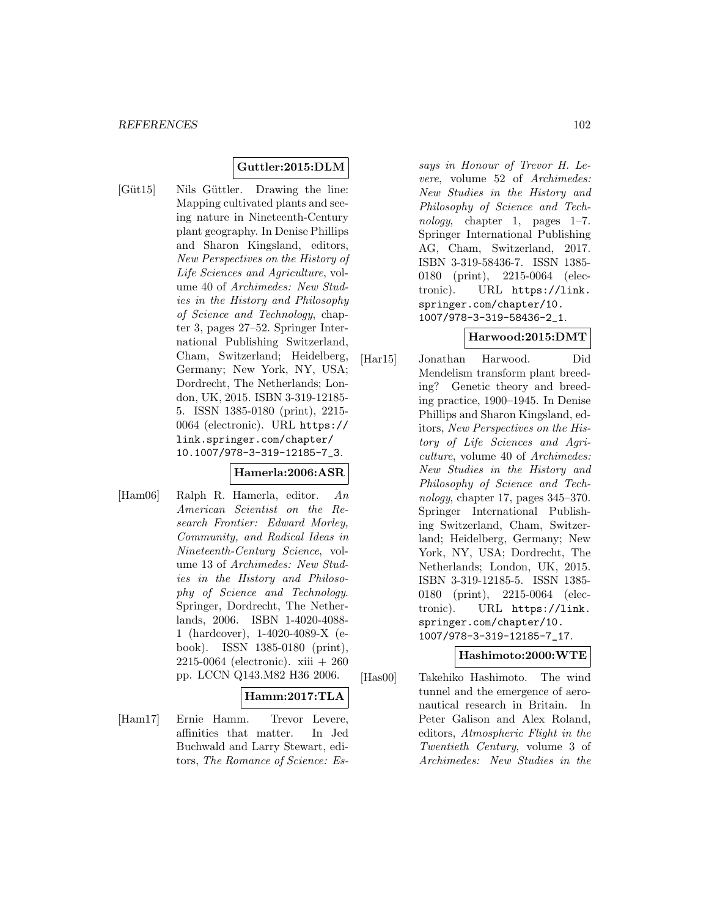# **Guttler:2015:DLM**

[Güt15] Nils Güttler. Drawing the line: Mapping cultivated plants and seeing nature in Nineteenth-Century plant geography. In Denise Phillips and Sharon Kingsland, editors, New Perspectives on the History of Life Sciences and Agriculture, volume 40 of Archimedes: New Studies in the History and Philosophy of Science and Technology, chapter 3, pages 27–52. Springer International Publishing Switzerland, Cham, Switzerland; Heidelberg, Germany; New York, NY, USA; Dordrecht, The Netherlands; London, UK, 2015. ISBN 3-319-12185- 5. ISSN 1385-0180 (print), 2215- 0064 (electronic). URL https:// link.springer.com/chapter/ 10.1007/978-3-319-12185-7\_3.

# **Hamerla:2006:ASR**

[Ham06] Ralph R. Hamerla, editor. An American Scientist on the Research Frontier: Edward Morley, Community, and Radical Ideas in Nineteenth-Century Science, volume 13 of Archimedes: New Studies in the History and Philosophy of Science and Technology. Springer, Dordrecht, The Netherlands, 2006. ISBN 1-4020-4088- 1 (hardcover), 1-4020-4089-X (ebook). ISSN 1385-0180 (print), 2215-0064 (electronic). xiii + 260 pp. LCCN Q143.M82 H36 2006.

## **Hamm:2017:TLA**

[Ham17] Ernie Hamm. Trevor Levere, affinities that matter. In Jed Buchwald and Larry Stewart, editors, The Romance of Science: Es-

says in Honour of Trevor H. Levere, volume 52 of Archimedes: New Studies in the History and Philosophy of Science and Technology, chapter 1, pages 1–7. Springer International Publishing AG, Cham, Switzerland, 2017. ISBN 3-319-58436-7. ISSN 1385- 0180 (print), 2215-0064 (electronic). URL https://link. springer.com/chapter/10. 1007/978-3-319-58436-2\_1.

## **Harwood:2015:DMT**

[Har15] Jonathan Harwood. Did Mendelism transform plant breeding? Genetic theory and breeding practice, 1900–1945. In Denise Phillips and Sharon Kingsland, editors, New Perspectives on the History of Life Sciences and Agriculture, volume 40 of Archimedes: New Studies in the History and Philosophy of Science and Technology, chapter 17, pages 345–370. Springer International Publishing Switzerland, Cham, Switzerland; Heidelberg, Germany; New York, NY, USA; Dordrecht, The Netherlands; London, UK, 2015. ISBN 3-319-12185-5. ISSN 1385- 0180 (print), 2215-0064 (electronic). URL https://link. springer.com/chapter/10. 1007/978-3-319-12185-7\_17.

# **Hashimoto:2000:WTE**

[Has00] Takehiko Hashimoto. The wind tunnel and the emergence of aeronautical research in Britain. In Peter Galison and Alex Roland, editors, Atmospheric Flight in the Twentieth Century, volume 3 of Archimedes: New Studies in the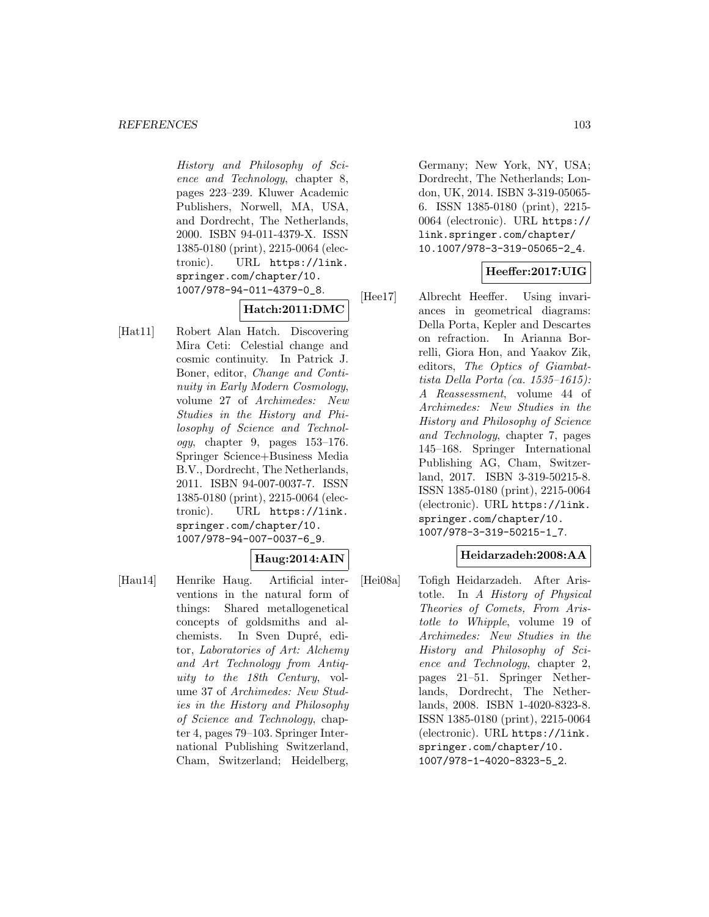History and Philosophy of Science and Technology, chapter 8, pages 223–239. Kluwer Academic Publishers, Norwell, MA, USA, and Dordrecht, The Netherlands, 2000. ISBN 94-011-4379-X. ISSN 1385-0180 (print), 2215-0064 (electronic). URL https://link. springer.com/chapter/10. 1007/978-94-011-4379-0\_8.

# **Hatch:2011:DMC**

[Hat11] Robert Alan Hatch. Discovering Mira Ceti: Celestial change and cosmic continuity. In Patrick J. Boner, editor, Change and Continuity in Early Modern Cosmology, volume 27 of Archimedes: New Studies in the History and Philosophy of Science and Technol $ogy,$  chapter 9, pages  $153-176.$ Springer Science+Business Media B.V., Dordrecht, The Netherlands, 2011. ISBN 94-007-0037-7. ISSN 1385-0180 (print), 2215-0064 (electronic). URL https://link. springer.com/chapter/10. 1007/978-94-007-0037-6\_9.

## **Haug:2014:AIN**

[Hau14] Henrike Haug. Artificial interventions in the natural form of things: Shared metallogenetical concepts of goldsmiths and alchemists. In Sven Dupré, editor, Laboratories of Art: Alchemy and Art Technology from Antiquity to the 18th Century, volume 37 of Archimedes: New Studies in the History and Philosophy of Science and Technology, chapter 4, pages 79–103. Springer International Publishing Switzerland, Cham, Switzerland; Heidelberg,

Germany; New York, NY, USA; Dordrecht, The Netherlands; London, UK, 2014. ISBN 3-319-05065- 6. ISSN 1385-0180 (print), 2215- 0064 (electronic). URL https:// link.springer.com/chapter/ 10.1007/978-3-319-05065-2\_4.

# **Heeffer:2017:UIG**

[Hee17] Albrecht Heeffer. Using invariances in geometrical diagrams: Della Porta, Kepler and Descartes on refraction. In Arianna Borrelli, Giora Hon, and Yaakov Zik, editors, The Optics of Giambattista Della Porta (ca. 1535–1615): A Reassessment, volume 44 of Archimedes: New Studies in the History and Philosophy of Science and Technology, chapter 7, pages 145–168. Springer International Publishing AG, Cham, Switzerland, 2017. ISBN 3-319-50215-8. ISSN 1385-0180 (print), 2215-0064 (electronic). URL https://link. springer.com/chapter/10. 1007/978-3-319-50215-1\_7.

# **Heidarzadeh:2008:AA**

[Hei08a] Tofigh Heidarzadeh. After Aristotle. In A History of Physical Theories of Comets, From Aristotle to Whipple, volume 19 of Archimedes: New Studies in the History and Philosophy of Science and Technology, chapter 2, pages 21–51. Springer Netherlands, Dordrecht, The Netherlands, 2008. ISBN 1-4020-8323-8. ISSN 1385-0180 (print), 2215-0064 (electronic). URL https://link. springer.com/chapter/10. 1007/978-1-4020-8323-5\_2.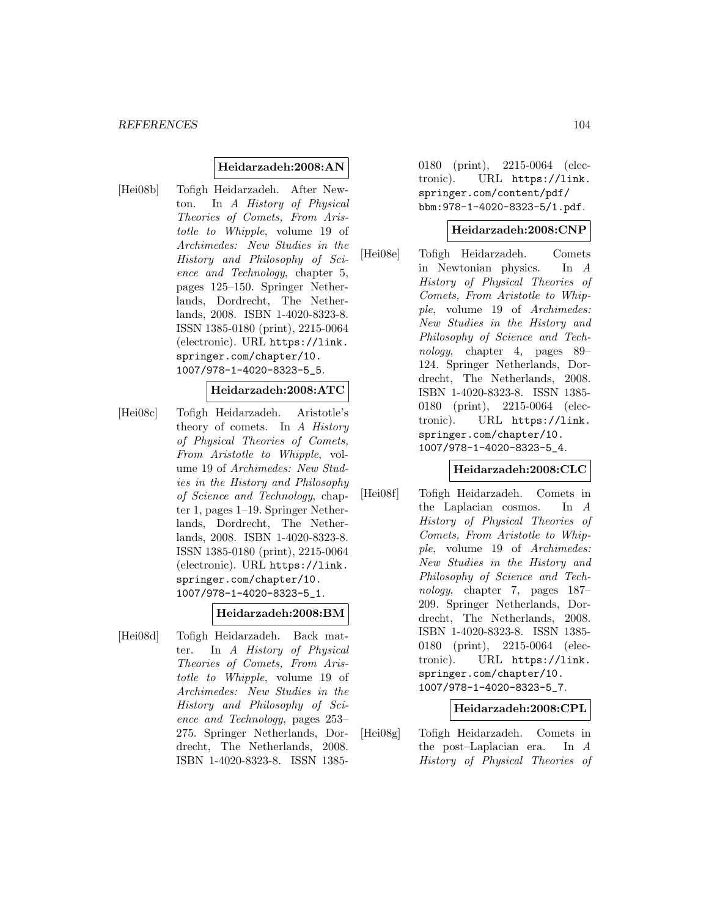## **Heidarzadeh:2008:AN**

[Hei08b] Tofigh Heidarzadeh. After Newton. In A History of Physical Theories of Comets, From Aristotle to Whipple, volume 19 of Archimedes: New Studies in the History and Philosophy of Science and Technology, chapter 5, pages 125–150. Springer Netherlands, Dordrecht, The Netherlands, 2008. ISBN 1-4020-8323-8. ISSN 1385-0180 (print), 2215-0064 (electronic). URL https://link. springer.com/chapter/10. 1007/978-1-4020-8323-5\_5.

#### **Heidarzadeh:2008:ATC**

[Hei08c] Tofigh Heidarzadeh. Aristotle's theory of comets. In A History of Physical Theories of Comets, From Aristotle to Whipple, volume 19 of Archimedes: New Studies in the History and Philosophy of Science and Technology, chapter 1, pages 1–19. Springer Netherlands, Dordrecht, The Netherlands, 2008. ISBN 1-4020-8323-8. ISSN 1385-0180 (print), 2215-0064 (electronic). URL https://link. springer.com/chapter/10. 1007/978-1-4020-8323-5\_1.

## **Heidarzadeh:2008:BM**

[Hei08d] Tofigh Heidarzadeh. Back matter. In A History of Physical Theories of Comets, From Aristotle to Whipple, volume 19 of Archimedes: New Studies in the History and Philosophy of Science and Technology, pages 253– 275. Springer Netherlands, Dordrecht, The Netherlands, 2008. ISBN 1-4020-8323-8. ISSN 13850180 (print), 2215-0064 (electronic). URL https://link. springer.com/content/pdf/ bbm:978-1-4020-8323-5/1.pdf.

# **Heidarzadeh:2008:CNP**

[Hei08e] Tofigh Heidarzadeh. Comets in Newtonian physics. In A History of Physical Theories of Comets, From Aristotle to Whipple, volume 19 of Archimedes: New Studies in the History and Philosophy of Science and Technology, chapter 4, pages 89– 124. Springer Netherlands, Dordrecht, The Netherlands, 2008. ISBN 1-4020-8323-8. ISSN 1385- 0180 (print), 2215-0064 (electronic). URL https://link. springer.com/chapter/10. 1007/978-1-4020-8323-5\_4.

#### **Heidarzadeh:2008:CLC**

[Hei08f] Tofigh Heidarzadeh. Comets in the Laplacian cosmos. In A History of Physical Theories of Comets, From Aristotle to Whipple, volume 19 of Archimedes: New Studies in the History and Philosophy of Science and Technology, chapter 7, pages 187– 209. Springer Netherlands, Dordrecht, The Netherlands, 2008. ISBN 1-4020-8323-8. ISSN 1385- 0180 (print), 2215-0064 (electronic). URL https://link. springer.com/chapter/10. 1007/978-1-4020-8323-5\_7.

## **Heidarzadeh:2008:CPL**

[Hei08g] Tofigh Heidarzadeh. Comets in the post–Laplacian era. In A History of Physical Theories of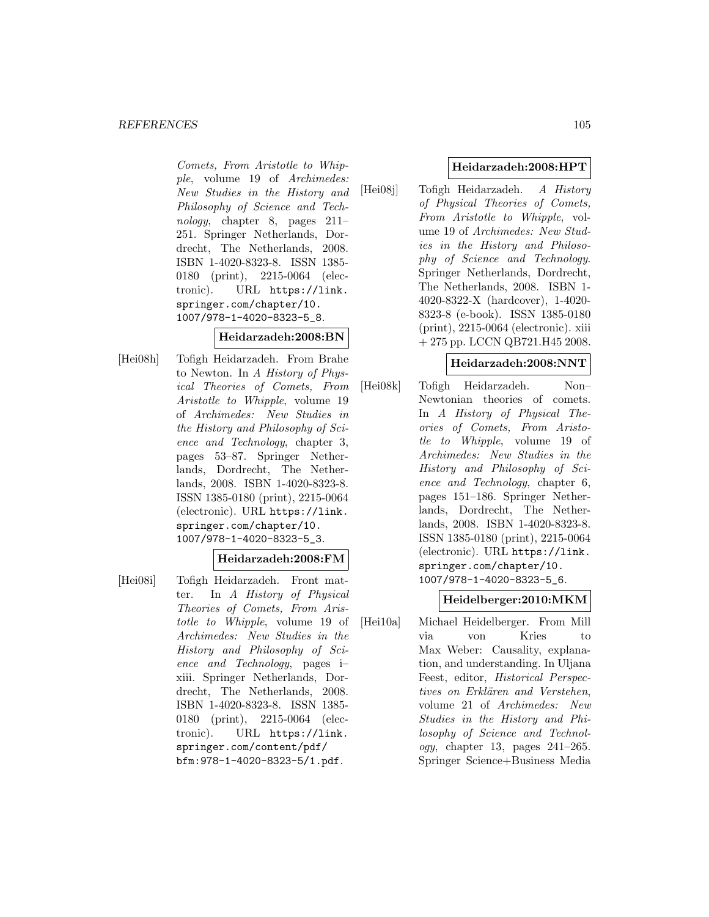Comets, From Aristotle to Whipple, volume 19 of Archimedes: New Studies in the History and Philosophy of Science and Technology, chapter 8, pages 211– 251. Springer Netherlands, Dordrecht, The Netherlands, 2008. ISBN 1-4020-8323-8. ISSN 1385- 0180 (print), 2215-0064 (electronic). URL https://link. springer.com/chapter/10. 1007/978-1-4020-8323-5\_8.

# **Heidarzadeh:2008:BN**

[Hei08h] Tofigh Heidarzadeh. From Brahe to Newton. In A History of Physical Theories of Comets, From Aristotle to Whipple, volume 19 of Archimedes: New Studies in the History and Philosophy of Science and Technology, chapter 3, pages 53–87. Springer Netherlands, Dordrecht, The Netherlands, 2008. ISBN 1-4020-8323-8. ISSN 1385-0180 (print), 2215-0064 (electronic). URL https://link. springer.com/chapter/10. 1007/978-1-4020-8323-5\_3.

# **Heidarzadeh:2008:FM**

[Hei08i] Tofigh Heidarzadeh. Front matter. In A History of Physical Theories of Comets, From Aristotle to Whipple, volume 19 of Archimedes: New Studies in the History and Philosophy of Science and Technology, pages i– xiii. Springer Netherlands, Dordrecht, The Netherlands, 2008. ISBN 1-4020-8323-8. ISSN 1385- 0180 (print), 2215-0064 (electronic). URL https://link. springer.com/content/pdf/ bfm:978-1-4020-8323-5/1.pdf.

# **Heidarzadeh:2008:HPT**

[Hei08j] Tofigh Heidarzadeh. A History of Physical Theories of Comets, From Aristotle to Whipple, volume 19 of Archimedes: New Studies in the History and Philosophy of Science and Technology. Springer Netherlands, Dordrecht, The Netherlands, 2008. ISBN 1- 4020-8322-X (hardcover), 1-4020- 8323-8 (e-book). ISSN 1385-0180 (print), 2215-0064 (electronic). xiii + 275 pp. LCCN QB721.H45 2008.

## **Heidarzadeh:2008:NNT**

[Hei08k] Tofigh Heidarzadeh. Non– Newtonian theories of comets. In A History of Physical Theories of Comets, From Aristotle to Whipple, volume 19 of Archimedes: New Studies in the History and Philosophy of Science and Technology, chapter 6, pages 151–186. Springer Netherlands, Dordrecht, The Netherlands, 2008. ISBN 1-4020-8323-8. ISSN 1385-0180 (print), 2215-0064 (electronic). URL https://link. springer.com/chapter/10. 1007/978-1-4020-8323-5\_6.

# **Heidelberger:2010:MKM**

[Hei10a] Michael Heidelberger. From Mill via von Kries to Max Weber: Causality, explanation, and understanding. In Uljana Feest, editor, Historical Perspectives on Erklären and Verstehen, volume 21 of Archimedes: New Studies in the History and Philosophy of Science and Technol*ogy*, chapter 13, pages  $241-265$ . Springer Science+Business Media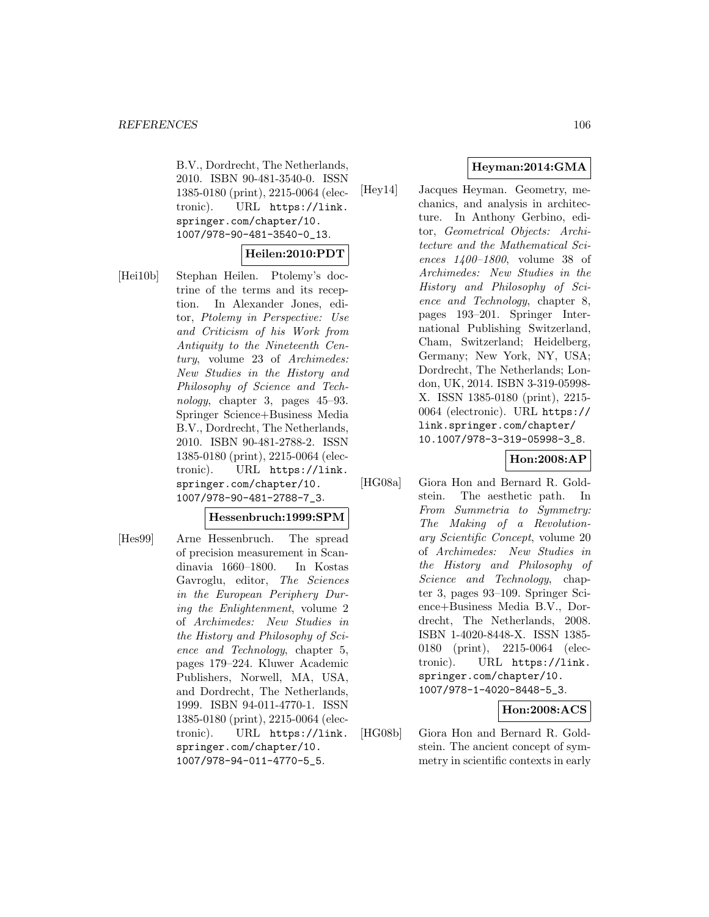B.V., Dordrecht, The Netherlands, 2010. ISBN 90-481-3540-0. ISSN 1385-0180 (print), 2215-0064 (electronic). URL https://link. springer.com/chapter/10. 1007/978-90-481-3540-0\_13.

# **Heilen:2010:PDT**

[Hei10b] Stephan Heilen. Ptolemy's doctrine of the terms and its reception. In Alexander Jones, editor, Ptolemy in Perspective: Use and Criticism of his Work from Antiquity to the Nineteenth Century, volume 23 of Archimedes: New Studies in the History and Philosophy of Science and Technology, chapter 3, pages 45–93. Springer Science+Business Media B.V., Dordrecht, The Netherlands, 2010. ISBN 90-481-2788-2. ISSN 1385-0180 (print), 2215-0064 (electronic). URL https://link. springer.com/chapter/10. 1007/978-90-481-2788-7\_3.

# **Hessenbruch:1999:SPM**

[Hes99] Arne Hessenbruch. The spread of precision measurement in Scandinavia 1660–1800. In Kostas Gavroglu, editor, The Sciences in the European Periphery During the Enlightenment, volume 2 of Archimedes: New Studies in the History and Philosophy of Science and Technology, chapter 5, pages 179–224. Kluwer Academic Publishers, Norwell, MA, USA, and Dordrecht, The Netherlands, 1999. ISBN 94-011-4770-1. ISSN 1385-0180 (print), 2215-0064 (electronic). URL https://link. springer.com/chapter/10. 1007/978-94-011-4770-5\_5.

# **Heyman:2014:GMA**

[Hey14] Jacques Heyman. Geometry, mechanics, and analysis in architecture. In Anthony Gerbino, editor, Geometrical Objects: Architecture and the Mathematical Sciences 1400–1800, volume 38 of Archimedes: New Studies in the History and Philosophy of Science and Technology, chapter 8, pages 193–201. Springer International Publishing Switzerland, Cham, Switzerland; Heidelberg, Germany; New York, NY, USA; Dordrecht, The Netherlands; London, UK, 2014. ISBN 3-319-05998- X. ISSN 1385-0180 (print), 2215- 0064 (electronic). URL https:// link.springer.com/chapter/ 10.1007/978-3-319-05998-3\_8.

# **Hon:2008:AP**

[HG08a] Giora Hon and Bernard R. Goldstein. The aesthetic path. In From Summetria to Symmetry: The Making of a Revolutionary Scientific Concept, volume 20 of Archimedes: New Studies in the History and Philosophy of Science and Technology, chapter 3, pages 93–109. Springer Science+Business Media B.V., Dordrecht, The Netherlands, 2008. ISBN 1-4020-8448-X. ISSN 1385- 0180 (print), 2215-0064 (electronic). URL https://link. springer.com/chapter/10. 1007/978-1-4020-8448-5\_3.

# **Hon:2008:ACS**

[HG08b] Giora Hon and Bernard R. Goldstein. The ancient concept of symmetry in scientific contexts in early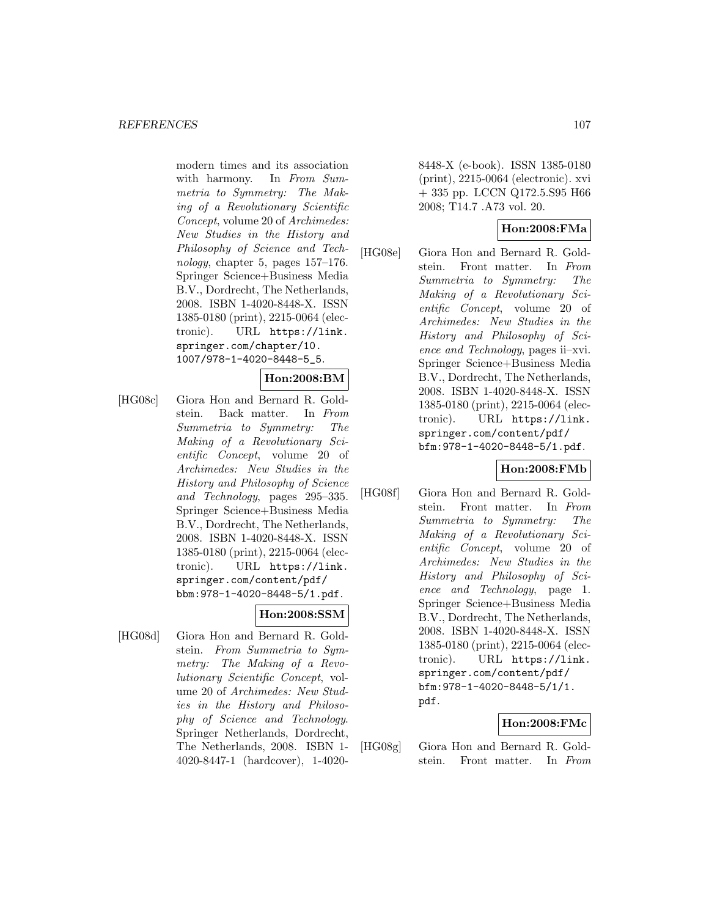modern times and its association with harmony. In From Summetria to Symmetry: The Making of a Revolutionary Scientific Concept, volume 20 of Archimedes: New Studies in the History and Philosophy of Science and Technology, chapter 5, pages 157–176. Springer Science+Business Media B.V., Dordrecht, The Netherlands, 2008. ISBN 1-4020-8448-X. ISSN 1385-0180 (print), 2215-0064 (electronic). URL https://link. springer.com/chapter/10. 1007/978-1-4020-8448-5\_5.

# **Hon:2008:BM**

[HG08c] Giora Hon and Bernard R. Goldstein. Back matter. In From Summetria to Symmetry: The Making of a Revolutionary Scientific Concept, volume 20 of Archimedes: New Studies in the History and Philosophy of Science and Technology, pages 295–335. Springer Science+Business Media B.V., Dordrecht, The Netherlands, 2008. ISBN 1-4020-8448-X. ISSN 1385-0180 (print), 2215-0064 (electronic). URL https://link. springer.com/content/pdf/ bbm:978-1-4020-8448-5/1.pdf.

# **Hon:2008:SSM**

[HG08d] Giora Hon and Bernard R. Goldstein. From Summetria to Symmetry: The Making of a Revolutionary Scientific Concept, volume 20 of Archimedes: New Studies in the History and Philosophy of Science and Technology. Springer Netherlands, Dordrecht, The Netherlands, 2008. ISBN 1- 4020-8447-1 (hardcover), 1-40208448-X (e-book). ISSN 1385-0180 (print), 2215-0064 (electronic). xvi + 335 pp. LCCN Q172.5.S95 H66 2008; T14.7 .A73 vol. 20.

# **Hon:2008:FMa**

[HG08e] Giora Hon and Bernard R. Goldstein. Front matter. In From Summetria to Symmetry: The Making of a Revolutionary Scientific Concept, volume 20 of Archimedes: New Studies in the History and Philosophy of Science and Technology, pages ii–xvi. Springer Science+Business Media B.V., Dordrecht, The Netherlands, 2008. ISBN 1-4020-8448-X. ISSN 1385-0180 (print), 2215-0064 (electronic). URL https://link. springer.com/content/pdf/ bfm:978-1-4020-8448-5/1.pdf.

# **Hon:2008:FMb**

[HG08f] Giora Hon and Bernard R. Goldstein. Front matter. In From Summetria to Symmetry: The Making of a Revolutionary Scientific Concept, volume 20 of Archimedes: New Studies in the History and Philosophy of Science and Technology, page 1. Springer Science+Business Media B.V., Dordrecht, The Netherlands, 2008. ISBN 1-4020-8448-X. ISSN 1385-0180 (print), 2215-0064 (electronic). URL https://link. springer.com/content/pdf/ bfm:978-1-4020-8448-5/1/1. pdf.

# **Hon:2008:FMc**

[HG08g] Giora Hon and Bernard R. Goldstein. Front matter. In From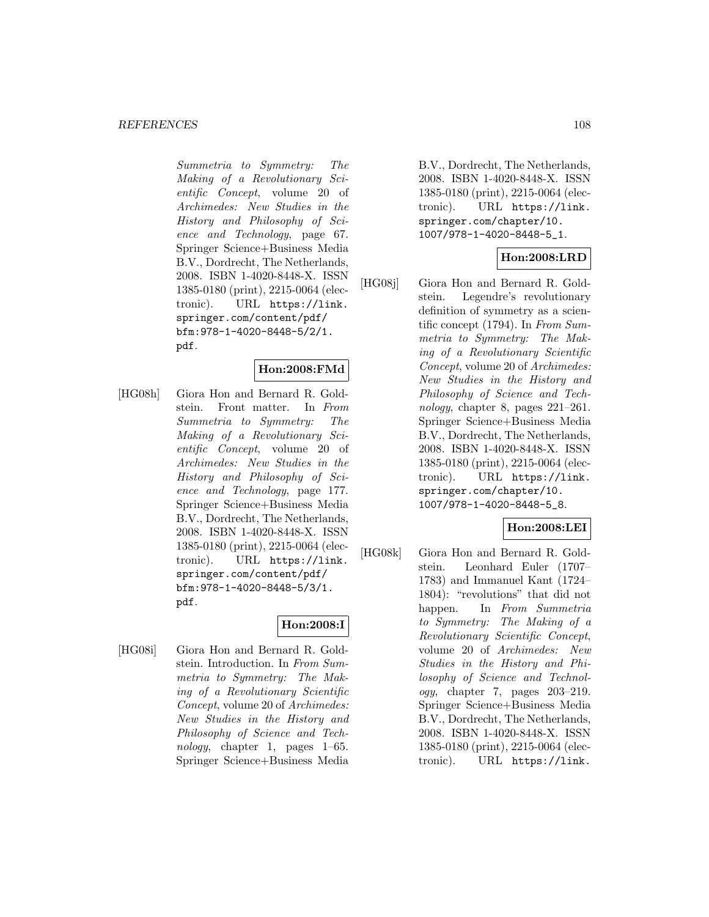Summetria to Symmetry: The Making of a Revolutionary Scientific Concept, volume 20 of Archimedes: New Studies in the History and Philosophy of Science and Technology, page 67. Springer Science+Business Media B.V., Dordrecht, The Netherlands, 2008. ISBN 1-4020-8448-X. ISSN 1385-0180 (print), 2215-0064 (electronic). URL https://link. springer.com/content/pdf/ bfm:978-1-4020-8448-5/2/1. pdf.

## **Hon:2008:FMd**

[HG08h] Giora Hon and Bernard R. Goldstein. Front matter. In From Summetria to Symmetry: The Making of a Revolutionary Scientific Concept, volume 20 of Archimedes: New Studies in the History and Philosophy of Science and Technology, page 177. Springer Science+Business Media B.V., Dordrecht, The Netherlands, 2008. ISBN 1-4020-8448-X. ISSN 1385-0180 (print), 2215-0064 (electronic). URL https://link. springer.com/content/pdf/ bfm:978-1-4020-8448-5/3/1. pdf.

# **Hon:2008:I**

[HG08i] Giora Hon and Bernard R. Goldstein. Introduction. In From Summetria to Symmetry: The Making of a Revolutionary Scientific Concept, volume 20 of Archimedes: New Studies in the History and Philosophy of Science and Technology, chapter 1, pages  $1-65$ . Springer Science+Business Media B.V., Dordrecht, The Netherlands, 2008. ISBN 1-4020-8448-X. ISSN 1385-0180 (print), 2215-0064 (electronic). URL https://link. springer.com/chapter/10. 1007/978-1-4020-8448-5\_1.

# **Hon:2008:LRD**

[HG08j] Giora Hon and Bernard R. Goldstein. Legendre's revolutionary definition of symmetry as a scientific concept (1794). In From Summetria to Symmetry: The Making of a Revolutionary Scientific Concept, volume 20 of Archimedes: New Studies in the History and Philosophy of Science and Technology, chapter 8, pages 221–261. Springer Science+Business Media B.V., Dordrecht, The Netherlands, 2008. ISBN 1-4020-8448-X. ISSN 1385-0180 (print), 2215-0064 (electronic). URL https://link. springer.com/chapter/10. 1007/978-1-4020-8448-5\_8.

## **Hon:2008:LEI**

[HG08k] Giora Hon and Bernard R. Goldstein. Leonhard Euler (1707– 1783) and Immanuel Kant (1724– 1804): "revolutions" that did not happen. In From Summetria to Symmetry: The Making of a Revolutionary Scientific Concept, volume 20 of Archimedes: New Studies in the History and Philosophy of Science and Technology, chapter 7, pages 203–219. Springer Science+Business Media B.V., Dordrecht, The Netherlands, 2008. ISBN 1-4020-8448-X. ISSN 1385-0180 (print), 2215-0064 (electronic). URL https://link.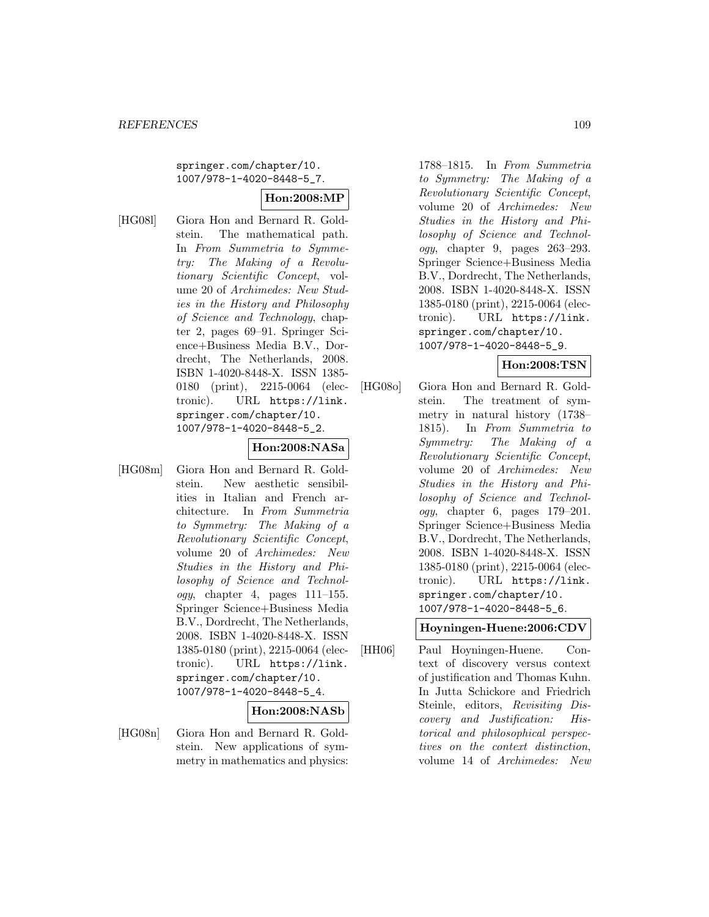springer.com/chapter/10. 1007/978-1-4020-8448-5\_7.

## **Hon:2008:MP**

- [HG08l] Giora Hon and Bernard R. Goldstein. The mathematical path. In From Summetria to Symmetry: The Making of a Revolutionary Scientific Concept, volume 20 of Archimedes: New Studies in the History and Philosophy of Science and Technology, chapter 2, pages 69–91. Springer Science+Business Media B.V., Dordrecht, The Netherlands, 2008. ISBN 1-4020-8448-X. ISSN 1385- 0180 (print), 2215-0064 (electronic). URL https://link. springer.com/chapter/10. 1007/978-1-4020-8448-5\_2. **Hon:2008:NASa**
	- [HG08m] Giora Hon and Bernard R. Goldstein. New aesthetic sensibilities in Italian and French architecture. In From Summetria to Symmetry: The Making of a Revolutionary Scientific Concept, volume 20 of Archimedes: New Studies in the History and Philosophy of Science and Technol $oqy$ , chapter 4, pages 111–155. Springer Science+Business Media B.V., Dordrecht, The Netherlands, 2008. ISBN 1-4020-8448-X. ISSN 1385-0180 (print), 2215-0064 (electronic). URL https://link. springer.com/chapter/10. 1007/978-1-4020-8448-5\_4.

# **Hon:2008:NASb**

[HG08n] Giora Hon and Bernard R. Goldstein. New applications of symmetry in mathematics and physics: 1788–1815. In From Summetria to Symmetry: The Making of a Revolutionary Scientific Concept, volume 20 of Archimedes: New Studies in the History and Philosophy of Science and Technology, chapter 9, pages 263–293. Springer Science+Business Media B.V., Dordrecht, The Netherlands, 2008. ISBN 1-4020-8448-X. ISSN 1385-0180 (print), 2215-0064 (electronic). URL https://link. springer.com/chapter/10. 1007/978-1-4020-8448-5\_9.

### **Hon:2008:TSN**

[HG08o] Giora Hon and Bernard R. Goldstein. The treatment of symmetry in natural history (1738– 1815). In From Summetria to Symmetry: The Making of a Revolutionary Scientific Concept, volume 20 of Archimedes: New Studies in the History and Philosophy of Science and Technology, chapter 6, pages 179–201. Springer Science+Business Media B.V., Dordrecht, The Netherlands, 2008. ISBN 1-4020-8448-X. ISSN 1385-0180 (print), 2215-0064 (electronic). URL https://link. springer.com/chapter/10. 1007/978-1-4020-8448-5\_6.

# **Hoyningen-Huene:2006:CDV**

[HH06] Paul Hoyningen-Huene. Context of discovery versus context of justification and Thomas Kuhn. In Jutta Schickore and Friedrich Steinle, editors, Revisiting Discovery and Justification: Historical and philosophical perspectives on the context distinction, volume 14 of Archimedes: New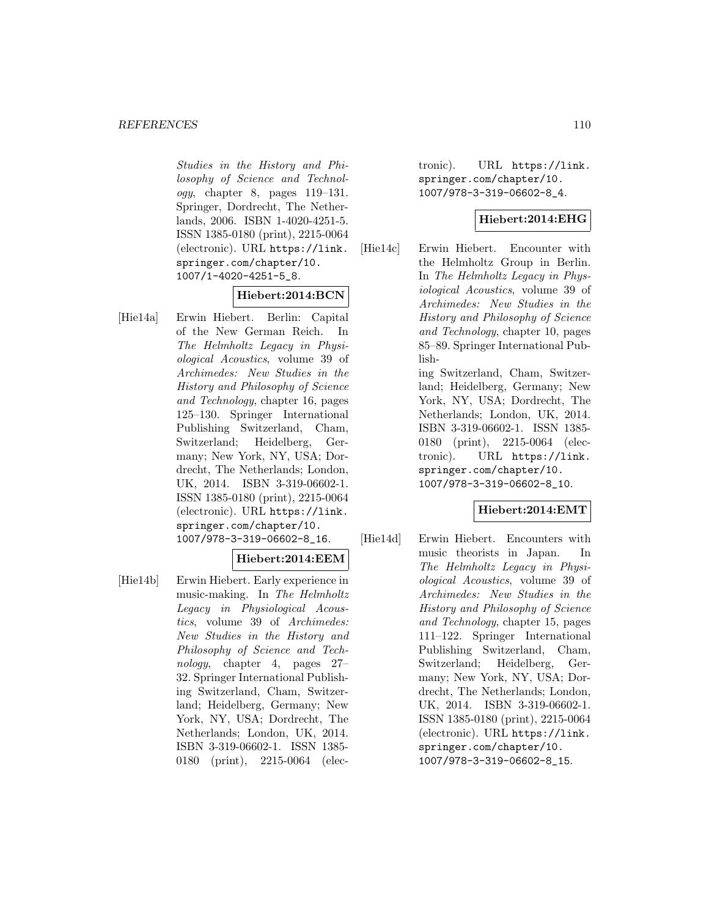#### *REFERENCES* 110

Studies in the History and Philosophy of Science and Technol $oqu$ , chapter 8, pages 119–131. Springer, Dordrecht, The Netherlands, 2006. ISBN 1-4020-4251-5. ISSN 1385-0180 (print), 2215-0064 (electronic). URL https://link. springer.com/chapter/10. 1007/1-4020-4251-5\_8.

# **Hiebert:2014:BCN**

[Hie14a] Erwin Hiebert. Berlin: Capital of the New German Reich. In The Helmholtz Legacy in Physiological Acoustics, volume 39 of Archimedes: New Studies in the History and Philosophy of Science and Technology, chapter 16, pages 125–130. Springer International Publishing Switzerland, Cham, Switzerland; Heidelberg, Germany; New York, NY, USA; Dordrecht, The Netherlands; London, UK, 2014. ISBN 3-319-06602-1. ISSN 1385-0180 (print), 2215-0064 (electronic). URL https://link. springer.com/chapter/10. 1007/978-3-319-06602-8\_16.

### **Hiebert:2014:EEM**

[Hie14b] Erwin Hiebert. Early experience in music-making. In The Helmholtz Legacy in Physiological Acoustics, volume 39 of Archimedes: New Studies in the History and Philosophy of Science and Technology, chapter 4, pages 27– 32. Springer International Publishing Switzerland, Cham, Switzerland; Heidelberg, Germany; New York, NY, USA; Dordrecht, The Netherlands; London, UK, 2014. ISBN 3-319-06602-1. ISSN 1385- 0180 (print), 2215-0064 (electronic). URL https://link. springer.com/chapter/10. 1007/978-3-319-06602-8\_4.

### **Hiebert:2014:EHG**

[Hie14c] Erwin Hiebert. Encounter with the Helmholtz Group in Berlin. In The Helmholtz Legacy in Physiological Acoustics, volume 39 of Archimedes: New Studies in the History and Philosophy of Science and Technology, chapter 10, pages 85–89. Springer International Publish-

> ing Switzerland, Cham, Switzerland; Heidelberg, Germany; New York, NY, USA; Dordrecht, The Netherlands; London, UK, 2014. ISBN 3-319-06602-1. ISSN 1385- 0180 (print), 2215-0064 (electronic). URL https://link. springer.com/chapter/10. 1007/978-3-319-06602-8\_10.

### **Hiebert:2014:EMT**

[Hie14d] Erwin Hiebert. Encounters with music theorists in Japan. In The Helmholtz Legacy in Physiological Acoustics, volume 39 of Archimedes: New Studies in the History and Philosophy of Science and Technology, chapter 15, pages 111–122. Springer International Publishing Switzerland, Cham, Switzerland; Heidelberg, Germany; New York, NY, USA; Dordrecht, The Netherlands; London, UK, 2014. ISBN 3-319-06602-1. ISSN 1385-0180 (print), 2215-0064 (electronic). URL https://link. springer.com/chapter/10. 1007/978-3-319-06602-8\_15.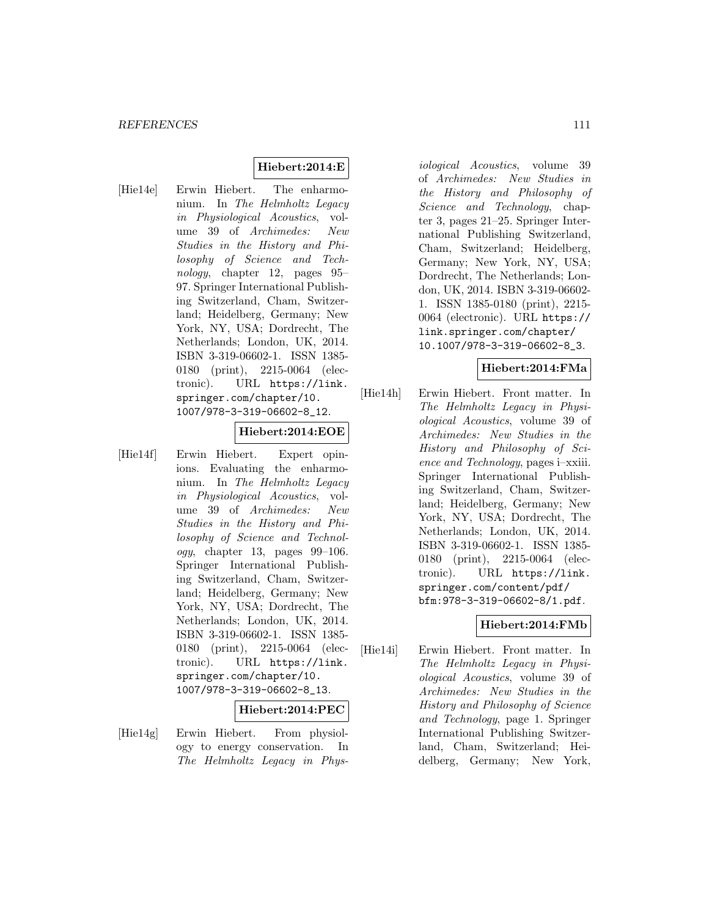# **Hiebert:2014:E**

[Hie14e] Erwin Hiebert. The enharmonium. In The Helmholtz Legacy in Physiological Acoustics, volume 39 of Archimedes: New Studies in the History and Philosophy of Science and Technology, chapter 12, pages 95– 97. Springer International Publishing Switzerland, Cham, Switzerland; Heidelberg, Germany; New York, NY, USA; Dordrecht, The Netherlands; London, UK, 2014. ISBN 3-319-06602-1. ISSN 1385- 0180 (print), 2215-0064 (electronic). URL https://link. springer.com/chapter/10. 1007/978-3-319-06602-8\_12.

### **Hiebert:2014:EOE**

[Hie14f] Erwin Hiebert. Expert opinions. Evaluating the enharmonium. In The Helmholtz Legacy in Physiological Acoustics, volume 39 of Archimedes: New Studies in the History and Philosophy of Science and Technol $ogy,$  chapter 13, pages 99–106. Springer International Publishing Switzerland, Cham, Switzerland; Heidelberg, Germany; New York, NY, USA; Dordrecht, The Netherlands; London, UK, 2014. ISBN 3-319-06602-1. ISSN 1385- 0180 (print), 2215-0064 (electronic). URL https://link. springer.com/chapter/10. 1007/978-3-319-06602-8\_13.

### **Hiebert:2014:PEC**

[Hie14g] Erwin Hiebert. From physiology to energy conservation. In The Helmholtz Legacy in Phys-

iological Acoustics, volume 39 of Archimedes: New Studies in the History and Philosophy of Science and Technology, chapter 3, pages 21–25. Springer International Publishing Switzerland, Cham, Switzerland; Heidelberg, Germany; New York, NY, USA; Dordrecht, The Netherlands; London, UK, 2014. ISBN 3-319-06602- 1. ISSN 1385-0180 (print), 2215- 0064 (electronic). URL https:// link.springer.com/chapter/ 10.1007/978-3-319-06602-8\_3.

### **Hiebert:2014:FMa**

[Hie14h] Erwin Hiebert. Front matter. In The Helmholtz Legacy in Physiological Acoustics, volume 39 of Archimedes: New Studies in the History and Philosophy of Science and Technology, pages i–xxiii. Springer International Publishing Switzerland, Cham, Switzerland; Heidelberg, Germany; New York, NY, USA; Dordrecht, The Netherlands; London, UK, 2014. ISBN 3-319-06602-1. ISSN 1385- 0180 (print), 2215-0064 (electronic). URL https://link. springer.com/content/pdf/ bfm:978-3-319-06602-8/1.pdf.

# **Hiebert:2014:FMb**

[Hie14i] Erwin Hiebert. Front matter. In The Helmholtz Legacy in Physiological Acoustics, volume 39 of Archimedes: New Studies in the History and Philosophy of Science and Technology, page 1. Springer International Publishing Switzerland, Cham, Switzerland; Heidelberg, Germany; New York,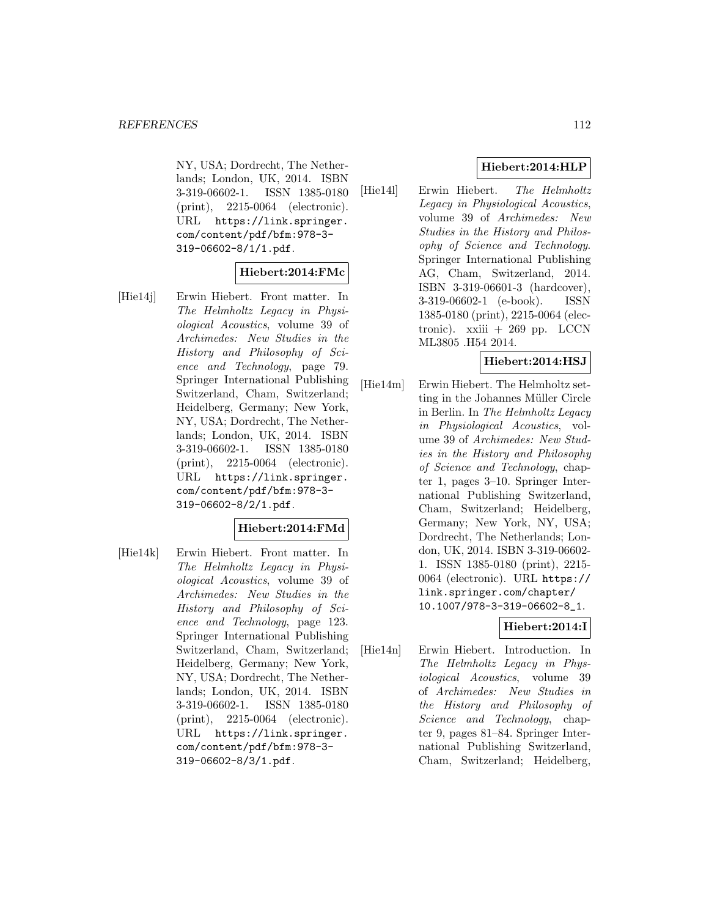NY, USA; Dordrecht, The Netherlands; London, UK, 2014. ISBN 3-319-06602-1. ISSN 1385-0180 (print), 2215-0064 (electronic). URL https://link.springer. com/content/pdf/bfm:978-3- 319-06602-8/1/1.pdf.

#### **Hiebert:2014:FMc**

[Hie14j] Erwin Hiebert. Front matter. In The Helmholtz Legacy in Physiological Acoustics, volume 39 of Archimedes: New Studies in the History and Philosophy of Science and Technology, page 79. Springer International Publishing Switzerland, Cham, Switzerland; Heidelberg, Germany; New York, NY, USA; Dordrecht, The Netherlands; London, UK, 2014. ISBN 3-319-06602-1. ISSN 1385-0180 (print), 2215-0064 (electronic). URL https://link.springer. com/content/pdf/bfm:978-3- 319-06602-8/2/1.pdf.

### **Hiebert:2014:FMd**

[Hie14k] Erwin Hiebert. Front matter. In The Helmholtz Legacy in Physiological Acoustics, volume 39 of Archimedes: New Studies in the History and Philosophy of Science and Technology, page 123. Springer International Publishing Switzerland, Cham, Switzerland; Heidelberg, Germany; New York, NY, USA; Dordrecht, The Netherlands; London, UK, 2014. ISBN 3-319-06602-1. ISSN 1385-0180 (print), 2215-0064 (electronic). URL https://link.springer. com/content/pdf/bfm:978-3- 319-06602-8/3/1.pdf.

# **Hiebert:2014:HLP**

[Hie14l] Erwin Hiebert. The Helmholtz Legacy in Physiological Acoustics, volume 39 of Archimedes: New Studies in the History and Philosophy of Science and Technology. Springer International Publishing AG, Cham, Switzerland, 2014. ISBN 3-319-06601-3 (hardcover), 3-319-06602-1 (e-book). ISSN 1385-0180 (print), 2215-0064 (electronic). xxiii + 269 pp. LCCN ML3805 .H54 2014.

### **Hiebert:2014:HSJ**

[Hie14m] Erwin Hiebert. The Helmholtz setting in the Johannes Müller Circle in Berlin. In The Helmholtz Legacy in Physiological Acoustics, volume 39 of Archimedes: New Studies in the History and Philosophy of Science and Technology, chapter 1, pages 3–10. Springer International Publishing Switzerland, Cham, Switzerland; Heidelberg, Germany; New York, NY, USA; Dordrecht, The Netherlands; London, UK, 2014. ISBN 3-319-06602- 1. ISSN 1385-0180 (print), 2215- 0064 (electronic). URL https:// link.springer.com/chapter/ 10.1007/978-3-319-06602-8\_1.

### **Hiebert:2014:I**

[Hie14n] Erwin Hiebert. Introduction. In The Helmholtz Legacy in Physiological Acoustics, volume 39 of Archimedes: New Studies in the History and Philosophy of Science and Technology, chapter 9, pages 81–84. Springer International Publishing Switzerland, Cham, Switzerland; Heidelberg,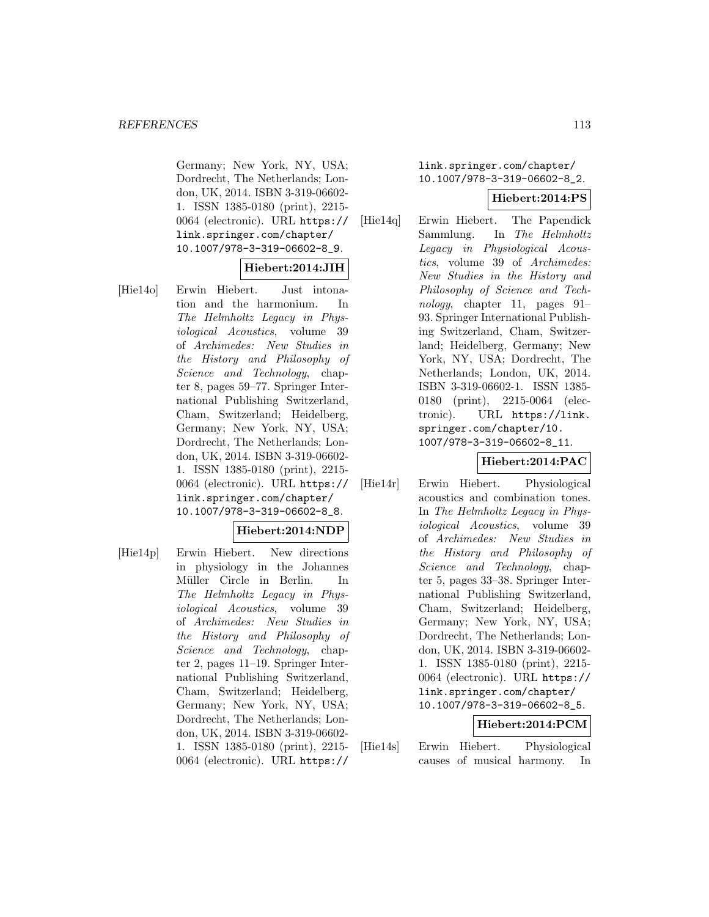Germany; New York, NY, USA; Dordrecht, The Netherlands; London, UK, 2014. ISBN 3-319-06602- 1. ISSN 1385-0180 (print), 2215- 0064 (electronic). URL https:// link.springer.com/chapter/ 10.1007/978-3-319-06602-8\_9.

# **Hiebert:2014:JIH**

[Hie14o] Erwin Hiebert. Just intonation and the harmonium. In The Helmholtz Legacy in Physiological Acoustics, volume 39 of Archimedes: New Studies in the History and Philosophy of Science and Technology, chapter 8, pages 59–77. Springer International Publishing Switzerland, Cham, Switzerland; Heidelberg, Germany; New York, NY, USA; Dordrecht, The Netherlands; London, UK, 2014. ISBN 3-319-06602- 1. ISSN 1385-0180 (print), 2215- 0064 (electronic). URL https:// link.springer.com/chapter/ 10.1007/978-3-319-06602-8\_8.

### **Hiebert:2014:NDP**

[Hie14p] Erwin Hiebert. New directions in physiology in the Johannes Müller Circle in Berlin. In The Helmholtz Legacy in Physiological Acoustics, volume 39 of Archimedes: New Studies in the History and Philosophy of Science and Technology, chapter 2, pages 11–19. Springer International Publishing Switzerland, Cham, Switzerland; Heidelberg, Germany; New York, NY, USA; Dordrecht, The Netherlands; London, UK, 2014. ISBN 3-319-06602- 1. ISSN 1385-0180 (print), 2215- 0064 (electronic). URL https://

link.springer.com/chapter/ 10.1007/978-3-319-06602-8\_2.

### **Hiebert:2014:PS**

[Hie14q] Erwin Hiebert. The Papendick Sammlung. In The Helmholtz Legacy in Physiological Acoustics, volume 39 of Archimedes: New Studies in the History and Philosophy of Science and Technology, chapter 11, pages 91– 93. Springer International Publishing Switzerland, Cham, Switzerland; Heidelberg, Germany; New York, NY, USA; Dordrecht, The Netherlands; London, UK, 2014. ISBN 3-319-06602-1. ISSN 1385- 0180 (print), 2215-0064 (electronic). URL https://link. springer.com/chapter/10. 1007/978-3-319-06602-8\_11.

# **Hiebert:2014:PAC**

[Hie14r] Erwin Hiebert. Physiological acoustics and combination tones. In The Helmholtz Legacy in Physiological Acoustics, volume 39 of Archimedes: New Studies in the History and Philosophy of Science and Technology, chapter 5, pages 33–38. Springer International Publishing Switzerland, Cham, Switzerland; Heidelberg, Germany; New York, NY, USA; Dordrecht, The Netherlands; London, UK, 2014. ISBN 3-319-06602- 1. ISSN 1385-0180 (print), 2215- 0064 (electronic). URL https:// link.springer.com/chapter/ 10.1007/978-3-319-06602-8\_5.

# **Hiebert:2014:PCM**

[Hie14s] Erwin Hiebert. Physiological causes of musical harmony. In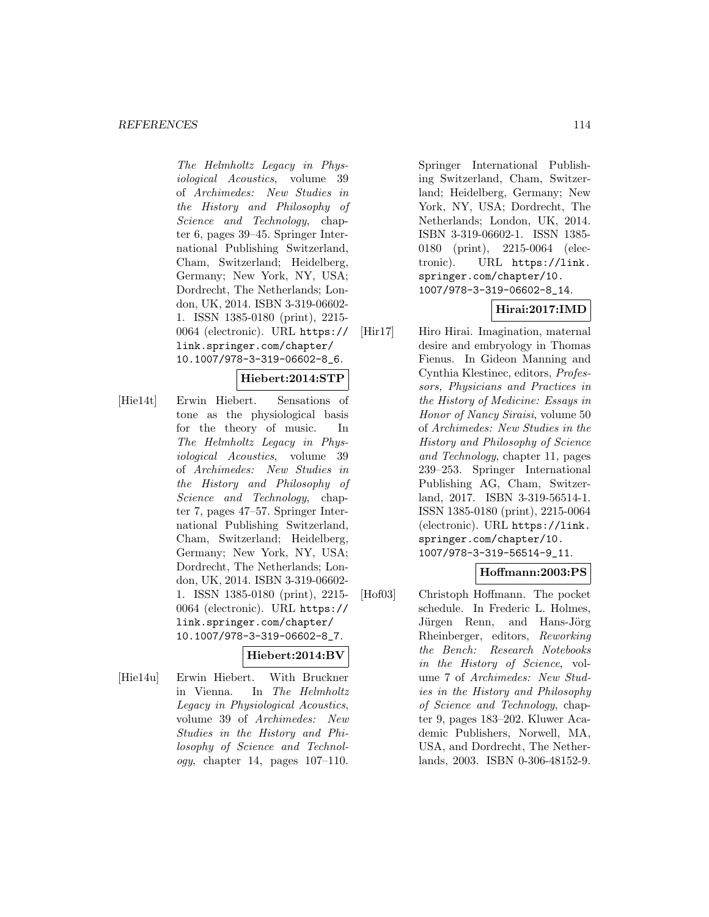#### *REFERENCES* 114

The Helmholtz Legacy in Physiological Acoustics, volume 39 of Archimedes: New Studies in the History and Philosophy of Science and Technology, chapter 6, pages 39–45. Springer International Publishing Switzerland, Cham, Switzerland; Heidelberg, Germany; New York, NY, USA; Dordrecht, The Netherlands; London, UK, 2014. ISBN 3-319-06602- 1. ISSN 1385-0180 (print), 2215- 0064 (electronic). URL https:// link.springer.com/chapter/ 10.1007/978-3-319-06602-8\_6.

### **Hiebert:2014:STP**

[Hie14t] Erwin Hiebert. Sensations of tone as the physiological basis for the theory of music. In The Helmholtz Legacy in Physiological Acoustics, volume 39 of Archimedes: New Studies in the History and Philosophy of Science and Technology, chapter 7, pages 47–57. Springer International Publishing Switzerland, Cham, Switzerland; Heidelberg, Germany; New York, NY, USA; Dordrecht, The Netherlands; London, UK, 2014. ISBN 3-319-06602- 1. ISSN 1385-0180 (print), 2215- 0064 (electronic). URL https:// link.springer.com/chapter/ 10.1007/978-3-319-06602-8\_7.

### **Hiebert:2014:BV**

[Hie14u] Erwin Hiebert. With Bruckner in Vienna. In The Helmholtz Legacy in Physiological Acoustics, volume 39 of Archimedes: New Studies in the History and Philosophy of Science and Technol $oqy$ , chapter 14, pages 107–110.

Springer International Publishing Switzerland, Cham, Switzerland; Heidelberg, Germany; New York, NY, USA; Dordrecht, The Netherlands; London, UK, 2014. ISBN 3-319-06602-1. ISSN 1385- 0180 (print), 2215-0064 (electronic). URL https://link. springer.com/chapter/10. 1007/978-3-319-06602-8\_14.

# **Hirai:2017:IMD**

[Hir17] Hiro Hirai. Imagination, maternal desire and embryology in Thomas Fienus. In Gideon Manning and Cynthia Klestinec, editors, Professors, Physicians and Practices in the History of Medicine: Essays in Honor of Nancy Siraisi, volume 50 of Archimedes: New Studies in the History and Philosophy of Science and Technology, chapter 11, pages 239–253. Springer International Publishing AG, Cham, Switzerland, 2017. ISBN 3-319-56514-1. ISSN 1385-0180 (print), 2215-0064 (electronic). URL https://link. springer.com/chapter/10. 1007/978-3-319-56514-9\_11.

# **Hoffmann:2003:PS**

[Hof03] Christoph Hoffmann. The pocket schedule. In Frederic L. Holmes, Jürgen Renn, and Hans-Jörg Rheinberger, editors, Reworking the Bench: Research Notebooks in the History of Science, volume 7 of Archimedes: New Studies in the History and Philosophy of Science and Technology, chapter 9, pages 183–202. Kluwer Academic Publishers, Norwell, MA, USA, and Dordrecht, The Netherlands, 2003. ISBN 0-306-48152-9.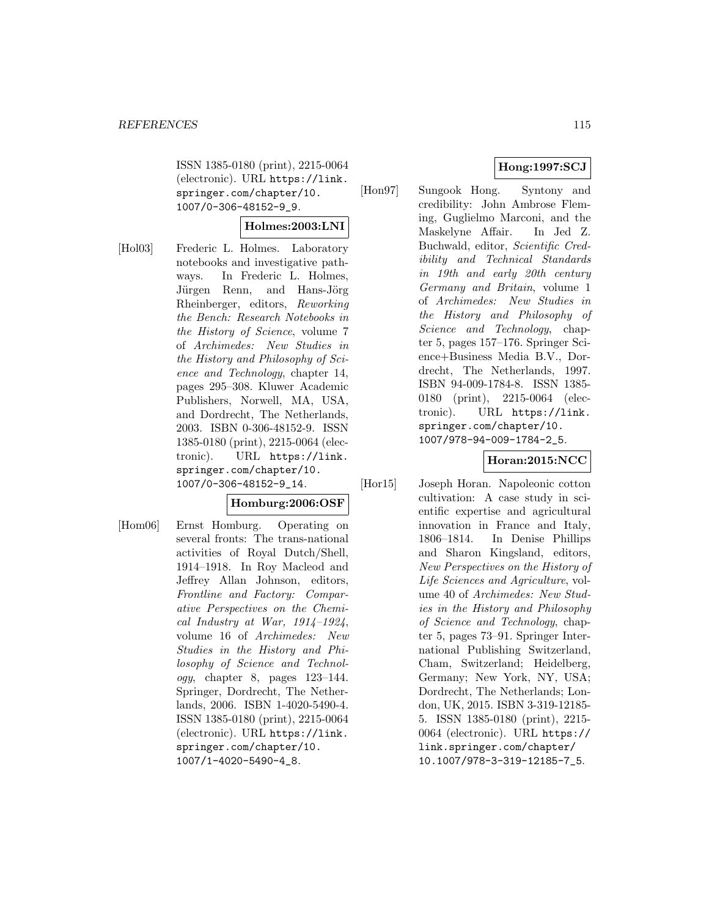ISSN 1385-0180 (print), 2215-0064 (electronic). URL https://link. springer.com/chapter/10. 1007/0-306-48152-9\_9.

### **Holmes:2003:LNI**

[Hol03] Frederic L. Holmes. Laboratory notebooks and investigative pathways. In Frederic L. Holmes, Jürgen Renn, and Hans-Jörg Rheinberger, editors, Reworking the Bench: Research Notebooks in the History of Science, volume 7 of Archimedes: New Studies in the History and Philosophy of Science and Technology, chapter 14, pages 295–308. Kluwer Academic Publishers, Norwell, MA, USA, and Dordrecht, The Netherlands, 2003. ISBN 0-306-48152-9. ISSN 1385-0180 (print), 2215-0064 (electronic). URL https://link. springer.com/chapter/10. 1007/0-306-48152-9\_14.

# **Homburg:2006:OSF**

[Hom06] Ernst Homburg. Operating on several fronts: The trans-national activities of Royal Dutch/Shell, 1914–1918. In Roy Macleod and Jeffrey Allan Johnson, editors, Frontline and Factory: Comparative Perspectives on the Chemical Industry at War,  $1914-1924$ , volume 16 of Archimedes: New Studies in the History and Philosophy of Science and Technol $ogy$ , chapter 8, pages  $123-144$ . Springer, Dordrecht, The Netherlands, 2006. ISBN 1-4020-5490-4. ISSN 1385-0180 (print), 2215-0064 (electronic). URL https://link. springer.com/chapter/10. 1007/1-4020-5490-4\_8.

# **Hong:1997:SCJ**

[Hon97] Sungook Hong. Syntony and credibility: John Ambrose Fleming, Guglielmo Marconi, and the Maskelyne Affair. In Jed Z. Buchwald, editor, Scientific Credibility and Technical Standards in 19th and early 20th century Germany and Britain, volume 1 of Archimedes: New Studies in the History and Philosophy of Science and Technology, chapter 5, pages 157–176. Springer Science+Business Media B.V., Dordrecht, The Netherlands, 1997. ISBN 94-009-1784-8. ISSN 1385- 0180 (print), 2215-0064 (electronic). URL https://link. springer.com/chapter/10. 1007/978-94-009-1784-2\_5.

# **Horan:2015:NCC**

[Hor15] Joseph Horan. Napoleonic cotton cultivation: A case study in scientific expertise and agricultural innovation in France and Italy, 1806–1814. In Denise Phillips and Sharon Kingsland, editors, New Perspectives on the History of Life Sciences and Agriculture, volume 40 of Archimedes: New Studies in the History and Philosophy of Science and Technology, chapter 5, pages 73–91. Springer International Publishing Switzerland, Cham, Switzerland; Heidelberg, Germany; New York, NY, USA; Dordrecht, The Netherlands; London, UK, 2015. ISBN 3-319-12185- 5. ISSN 1385-0180 (print), 2215- 0064 (electronic). URL https:// link.springer.com/chapter/ 10.1007/978-3-319-12185-7\_5.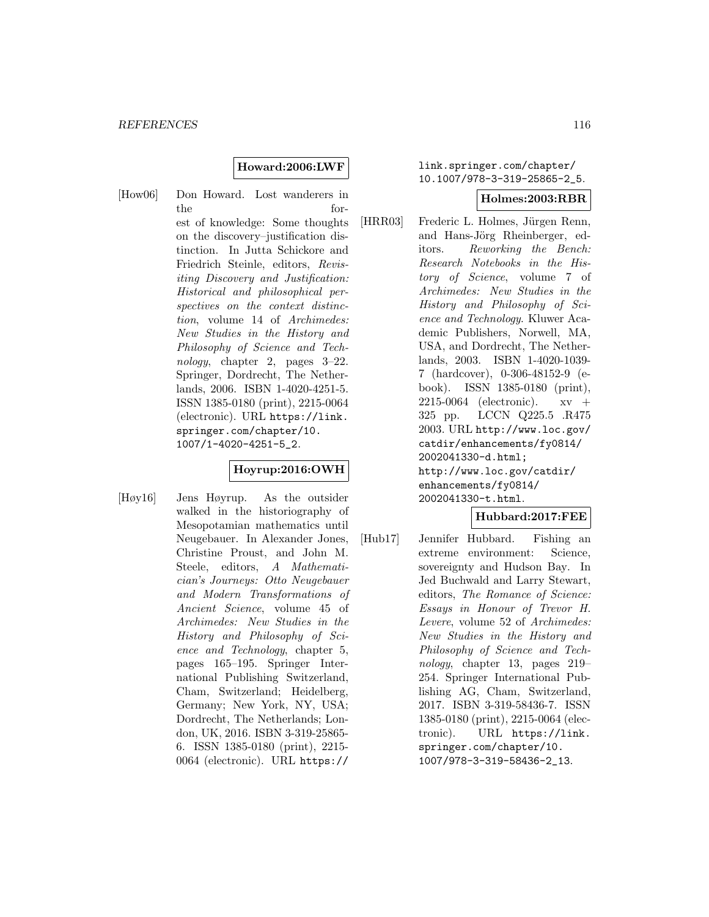#### **Howard:2006:LWF**

[How06] Don Howard. Lost wanderers in the forest of knowledge: Some thoughts on the discovery–justification distinction. In Jutta Schickore and Friedrich Steinle, editors, Revisiting Discovery and Justification: Historical and philosophical perspectives on the context distinction, volume 14 of Archimedes: New Studies in the History and Philosophy of Science and Technology, chapter 2, pages 3–22. Springer, Dordrecht, The Netherlands, 2006. ISBN 1-4020-4251-5. ISSN 1385-0180 (print), 2215-0064 (electronic). URL https://link. springer.com/chapter/10. 1007/1-4020-4251-5\_2.

# **Hoyrup:2016:OWH**

[Høy16] Jens Høyrup. As the outsider walked in the historiography of Mesopotamian mathematics until Neugebauer. In Alexander Jones, Christine Proust, and John M. Steele, editors, A Mathematician's Journeys: Otto Neugebauer and Modern Transformations of Ancient Science, volume 45 of Archimedes: New Studies in the History and Philosophy of Science and Technology, chapter 5, pages 165–195. Springer International Publishing Switzerland, Cham, Switzerland; Heidelberg, Germany; New York, NY, USA; Dordrecht, The Netherlands; London, UK, 2016. ISBN 3-319-25865- 6. ISSN 1385-0180 (print), 2215- 0064 (electronic). URL https://

## link.springer.com/chapter/ 10.1007/978-3-319-25865-2\_5.

#### **Holmes:2003:RBR**

[HRR03] Frederic L. Holmes, Jürgen Renn, and Hans-Jörg Rheinberger, editors. Reworking the Bench: Research Notebooks in the History of Science, volume 7 of Archimedes: New Studies in the History and Philosophy of Science and Technology. Kluwer Academic Publishers, Norwell, MA, USA, and Dordrecht, The Netherlands, 2003. ISBN 1-4020-1039- 7 (hardcover), 0-306-48152-9 (ebook). ISSN 1385-0180 (print), 2215-0064 (electronic). xv + 325 pp. LCCN Q225.5 .R475 2003. URL http://www.loc.gov/ catdir/enhancements/fy0814/ 2002041330-d.html; http://www.loc.gov/catdir/ enhancements/fy0814/ 2002041330-t.html.

### **Hubbard:2017:FEE**

[Hub17] Jennifer Hubbard. Fishing an extreme environment: Science, sovereignty and Hudson Bay. In Jed Buchwald and Larry Stewart, editors, The Romance of Science: Essays in Honour of Trevor H. Levere, volume 52 of Archimedes: New Studies in the History and Philosophy of Science and Technology, chapter 13, pages 219– 254. Springer International Publishing AG, Cham, Switzerland, 2017. ISBN 3-319-58436-7. ISSN 1385-0180 (print), 2215-0064 (electronic). URL https://link. springer.com/chapter/10. 1007/978-3-319-58436-2\_13.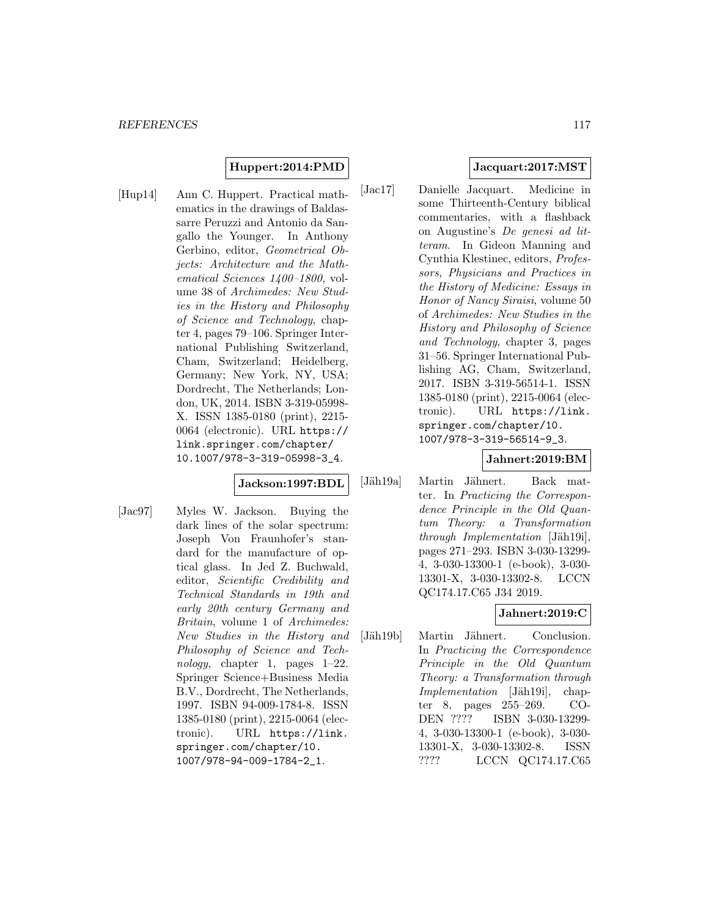### **Huppert:2014:PMD**

[Hup14] Ann C. Huppert. Practical mathematics in the drawings of Baldassarre Peruzzi and Antonio da Sangallo the Younger. In Anthony Gerbino, editor, Geometrical Objects: Architecture and the Mathematical Sciences 1400–1800, volume 38 of Archimedes: New Studies in the History and Philosophy of Science and Technology, chapter 4, pages 79–106. Springer International Publishing Switzerland, Cham, Switzerland; Heidelberg, Germany; New York, NY, USA; Dordrecht, The Netherlands; London, UK, 2014. ISBN 3-319-05998- X. ISSN 1385-0180 (print), 2215- 0064 (electronic). URL https:// link.springer.com/chapter/ 10.1007/978-3-319-05998-3\_4.

#### **Jackson:1997:BDL**

[Jac97] Myles W. Jackson. Buying the dark lines of the solar spectrum: Joseph Von Fraunhofer's standard for the manufacture of optical glass. In Jed Z. Buchwald, editor, Scientific Credibility and Technical Standards in 19th and early 20th century Germany and Britain, volume 1 of Archimedes: New Studies in the History and Philosophy of Science and Technology, chapter 1, pages 1–22. Springer Science+Business Media B.V., Dordrecht, The Netherlands, 1997. ISBN 94-009-1784-8. ISSN 1385-0180 (print), 2215-0064 (electronic). URL https://link. springer.com/chapter/10. 1007/978-94-009-1784-2\_1.

## **Jacquart:2017:MST**

[Jac17] Danielle Jacquart. Medicine in some Thirteenth-Century biblical commentaries, with a flashback on Augustine's De genesi ad litteram. In Gideon Manning and Cynthia Klestinec, editors, Professors, Physicians and Practices in the History of Medicine: Essays in Honor of Nancy Siraisi, volume 50 of Archimedes: New Studies in the History and Philosophy of Science and Technology, chapter 3, pages 31–56. Springer International Publishing AG, Cham, Switzerland, 2017. ISBN 3-319-56514-1. ISSN 1385-0180 (print), 2215-0064 (electronic). URL https://link. springer.com/chapter/10. 1007/978-3-319-56514-9\_3.

## **Jahnert:2019:BM**

[Jäh19a] Martin Jähnert. Back matter. In Practicing the Correspondence Principle in the Old Quantum Theory: a Transformation  $through\ Implementation$  [Jäh19i], pages 271–293. ISBN 3-030-13299- 4, 3-030-13300-1 (e-book), 3-030- 13301-X, 3-030-13302-8. LCCN QC174.17.C65 J34 2019.

# **Jahnert:2019:C**

[Jäh19b] Martin Jähnert. Conclusion. In Practicing the Correspondence Principle in the Old Quantum Theory: a Transformation through Implementation [Jäh19i], chapter 8, pages 255–269. CO-DEN ???? ISBN 3-030-13299- 4, 3-030-13300-1 (e-book), 3-030- 13301-X, 3-030-13302-8. ISSN ???? LCCN QC174.17.C65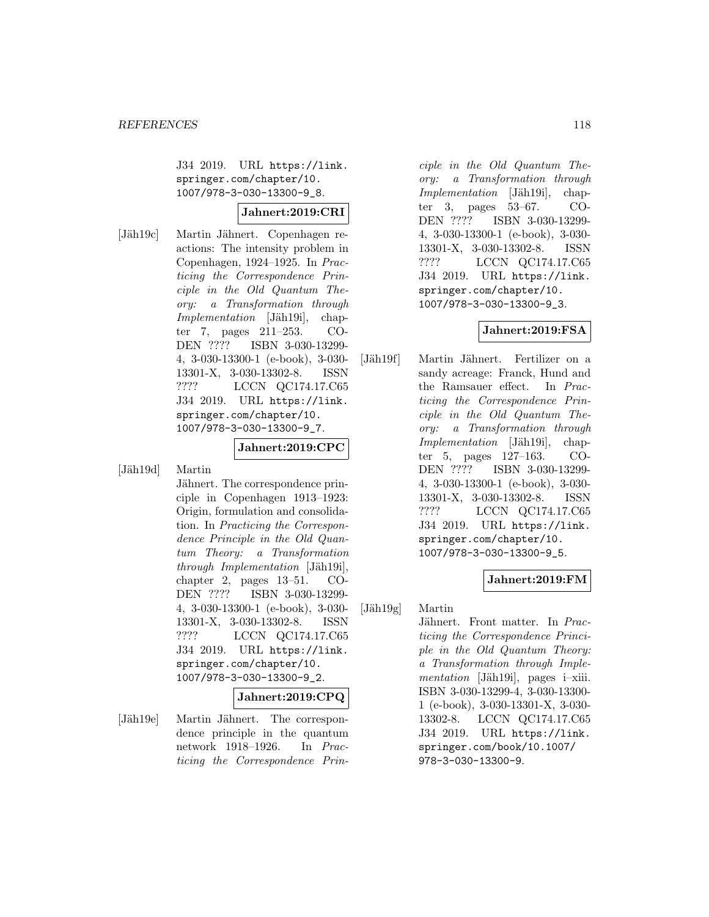J34 2019. URL https://link. springer.com/chapter/10. 1007/978-3-030-13300-9\_8.

### **Jahnert:2019:CRI**

[Jäh19c] Martin Jähnert. Copenhagen reactions: The intensity problem in Copenhagen, 1924–1925. In Practicing the Correspondence Principle in the Old Quantum Theory: a Transformation through Implementation [Jäh19i], chapter 7, pages 211–253. CO-DEN ???? ISBN 3-030-13299- 4, 3-030-13300-1 (e-book), 3-030- 13301-X, 3-030-13302-8. ISSN ???? LCCN QC174.17.C65 J34 2019. URL https://link. springer.com/chapter/10. 1007/978-3-030-13300-9\_7.

#### **Jahnert:2019:CPC**

[Jäh19d] Martin

Jähnert. The correspondence principle in Copenhagen 1913–1923: Origin, formulation and consolidation. In Practicing the Correspondence Principle in the Old Quantum Theory: a Transformation  $through\ Implementation$  [Jäh19i], chapter 2, pages 13–51. CO-DEN ???? ISBN 3-030-13299- 4, 3-030-13300-1 (e-book), 3-030- 13301-X, 3-030-13302-8. ISSN ???? LCCN QC174.17.C65 J34 2019. URL https://link. springer.com/chapter/10. 1007/978-3-030-13300-9\_2.

#### **Jahnert:2019:CPQ**

[Jäh19e] Martin Jähnert. The correspondence principle in the quantum network 1918–1926. In Practicing the Correspondence Prin-

ciple in the Old Quantum Theory: a Transformation through  $Implementation$  [Jäh19i], chapter 3, pages 53–67. CO-DEN ???? ISBN 3-030-13299- 4, 3-030-13300-1 (e-book), 3-030- 13301-X, 3-030-13302-8. ISSN ???? LCCN QC174.17.C65 J34 2019. URL https://link. springer.com/chapter/10. 1007/978-3-030-13300-9\_3.

### **Jahnert:2019:FSA**

[Jäh19f] Martin Jähnert. Fertilizer on a sandy acreage: Franck, Hund and the Ramsauer effect. In Practicing the Correspondence Principle in the Old Quantum Theory: a Transformation through  $Implementation$  [Jäh19i], chapter 5, pages 127–163. CO-DEN ???? ISBN 3-030-13299- 4, 3-030-13300-1 (e-book), 3-030- 13301-X, 3-030-13302-8. ISSN ???? LCCN QC174.17.C65 J34 2019. URL https://link. springer.com/chapter/10. 1007/978-3-030-13300-9\_5.

### **Jahnert:2019:FM**

 $[J\ddot{a}h19g]$  Martin

Jähnert. Front matter. In Practicing the Correspondence Principle in the Old Quantum Theory: a Transformation through Implementation [Jäh19i], pages i–xiii. ISBN 3-030-13299-4, 3-030-13300- 1 (e-book), 3-030-13301-X, 3-030- 13302-8. LCCN QC174.17.C65 J34 2019. URL https://link. springer.com/book/10.1007/ 978-3-030-13300-9.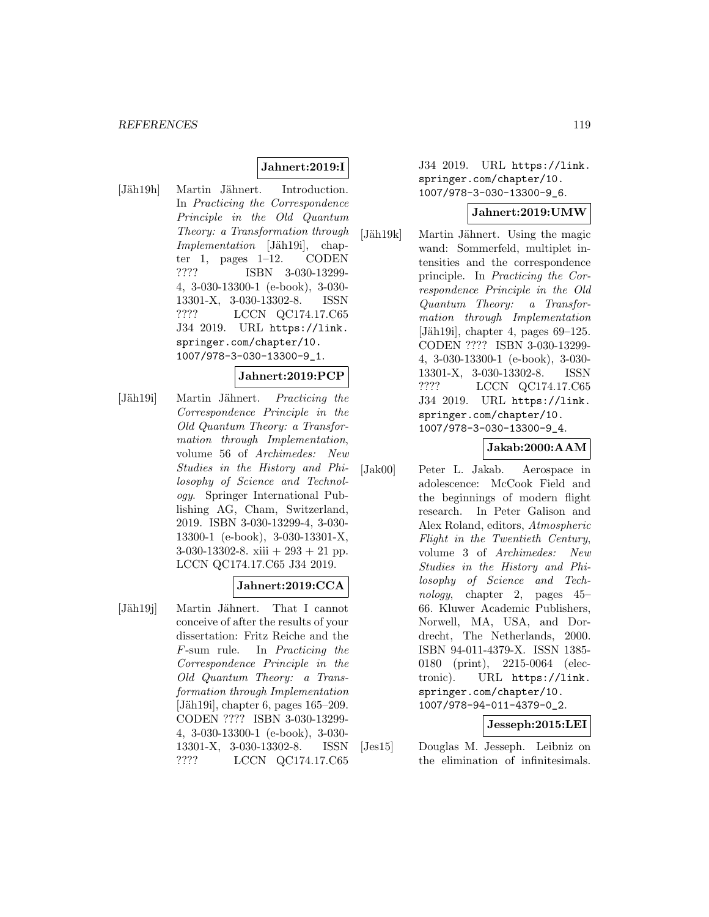## **Jahnert:2019:I**

[Jäh19h] Martin Jähnert. Introduction. In Practicing the Correspondence Principle in the Old Quantum Theory: a Transformation through Implementation [Jäh19i], chapter 1, pages  $1-12$ . CODEN ???? ISBN 3-030-13299- 4, 3-030-13300-1 (e-book), 3-030- 13301-X, 3-030-13302-8. ISSN ???? LCCN QC174.17.C65 J34 2019. URL https://link. springer.com/chapter/10. 1007/978-3-030-13300-9\_1.

### **Jahnert:2019:PCP**

[Jäh19i] Martin Jähnert. Practicing the Correspondence Principle in the Old Quantum Theory: a Transformation through Implementation, volume 56 of Archimedes: New Studies in the History and Philosophy of Science and Technology. Springer International Publishing AG, Cham, Switzerland, 2019. ISBN 3-030-13299-4, 3-030- 13300-1 (e-book), 3-030-13301-X, 3-030-13302-8. xiii + 293 + 21 pp. LCCN QC174.17.C65 J34 2019.

### **Jahnert:2019:CCA**

[Jäh19j] Martin Jähnert. That I cannot conceive of after the results of your dissertation: Fritz Reiche and the F-sum rule. In Practicing the Correspondence Principle in the Old Quantum Theory: a Transformation through Implementation [Jäh19i], chapter 6, pages  $165-209$ . CODEN ???? ISBN 3-030-13299- 4, 3-030-13300-1 (e-book), 3-030- 13301-X, 3-030-13302-8. ISSN ???? LCCN QC174.17.C65

J34 2019. URL https://link. springer.com/chapter/10. 1007/978-3-030-13300-9\_6.

#### **Jahnert:2019:UMW**

[Jäh19k] Martin Jähnert. Using the magic wand: Sommerfeld, multiplet intensities and the correspondence principle. In Practicing the Correspondence Principle in the Old Quantum Theory: a Transformation through Implementation [Jäh19i], chapter 4, pages  $69-125$ . CODEN ???? ISBN 3-030-13299- 4, 3-030-13300-1 (e-book), 3-030- 13301-X, 3-030-13302-8. ISSN ???? LCCN QC174.17.C65 J34 2019. URL https://link. springer.com/chapter/10. 1007/978-3-030-13300-9\_4.

### **Jakab:2000:AAM**

[Jak00] Peter L. Jakab. Aerospace in adolescence: McCook Field and the beginnings of modern flight research. In Peter Galison and Alex Roland, editors, Atmospheric Flight in the Twentieth Century, volume 3 of Archimedes: New Studies in the History and Philosophy of Science and Technology, chapter 2, pages 45– 66. Kluwer Academic Publishers, Norwell, MA, USA, and Dordrecht, The Netherlands, 2000. ISBN 94-011-4379-X. ISSN 1385- 0180 (print), 2215-0064 (electronic). URL https://link. springer.com/chapter/10. 1007/978-94-011-4379-0\_2.

### **Jesseph:2015:LEI**

[Jes15] Douglas M. Jesseph. Leibniz on the elimination of infinitesimals.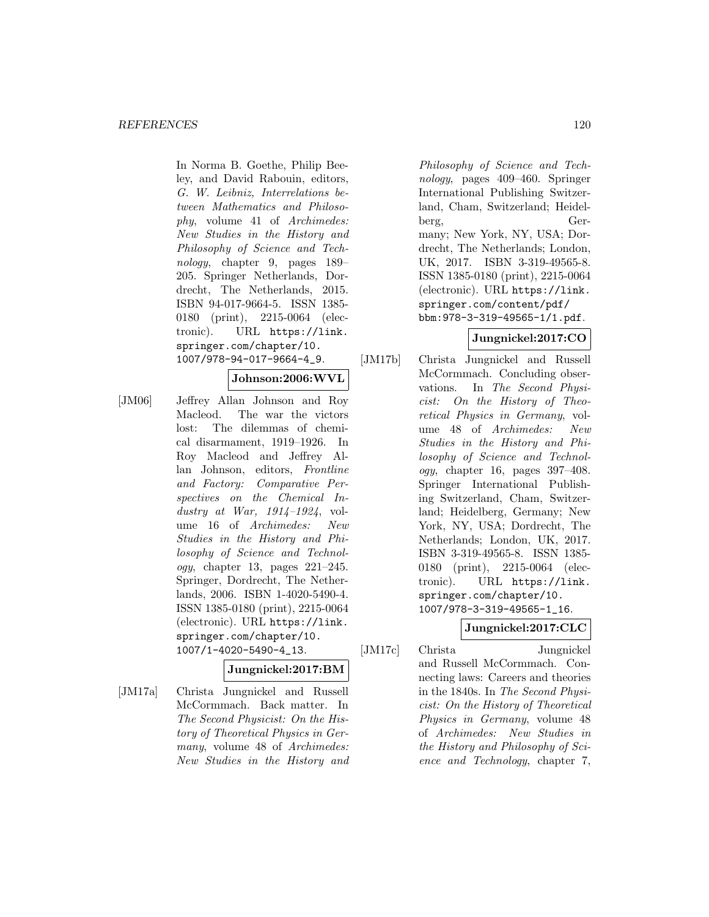In Norma B. Goethe, Philip Beeley, and David Rabouin, editors, G. W. Leibniz, Interrelations between Mathematics and Philosophy, volume 41 of Archimedes: New Studies in the History and Philosophy of Science and Technology, chapter 9, pages 189– 205. Springer Netherlands, Dordrecht, The Netherlands, 2015. ISBN 94-017-9664-5. ISSN 1385- 0180 (print), 2215-0064 (electronic). URL https://link. springer.com/chapter/10. 1007/978-94-017-9664-4\_9.

### **Johnson:2006:WVL**

[JM06] Jeffrey Allan Johnson and Roy Macleod. The war the victors lost: The dilemmas of chemical disarmament, 1919–1926. In Roy Macleod and Jeffrey Allan Johnson, editors, Frontline and Factory: Comparative Perspectives on the Chemical Industry at War,  $1914-1924$ , volume 16 of Archimedes: New Studies in the History and Philosophy of Science and Technology, chapter 13, pages 221–245. Springer, Dordrecht, The Netherlands, 2006. ISBN 1-4020-5490-4. ISSN 1385-0180 (print), 2215-0064 (electronic). URL https://link. springer.com/chapter/10. 1007/1-4020-5490-4\_13.

### **Jungnickel:2017:BM**

[JM17a] Christa Jungnickel and Russell McCormmach. Back matter. In The Second Physicist: On the History of Theoretical Physics in Germany, volume 48 of Archimedes: New Studies in the History and

Philosophy of Science and Technology, pages 409–460. Springer International Publishing Switzerland, Cham, Switzerland; Heidelberg, Germany; New York, NY, USA; Dordrecht, The Netherlands; London, UK, 2017. ISBN 3-319-49565-8. ISSN 1385-0180 (print), 2215-0064 (electronic). URL https://link. springer.com/content/pdf/ bbm:978-3-319-49565-1/1.pdf.

# **Jungnickel:2017:CO**

[JM17b] Christa Jungnickel and Russell McCormmach. Concluding observations. In The Second Physicist: On the History of Theoretical Physics in Germany, volume 48 of Archimedes: New Studies in the History and Philosophy of Science and Technology, chapter 16, pages 397–408. Springer International Publishing Switzerland, Cham, Switzerland; Heidelberg, Germany; New York, NY, USA; Dordrecht, The Netherlands; London, UK, 2017. ISBN 3-319-49565-8. ISSN 1385- 0180 (print), 2215-0064 (electronic). URL https://link. springer.com/chapter/10. 1007/978-3-319-49565-1\_16.

# **Jungnickel:2017:CLC**

[JM17c] Christa Jungnickel and Russell McCormmach. Connecting laws: Careers and theories in the 1840s. In The Second Physicist: On the History of Theoretical Physics in Germany, volume 48 of Archimedes: New Studies in the History and Philosophy of Science and Technology, chapter 7,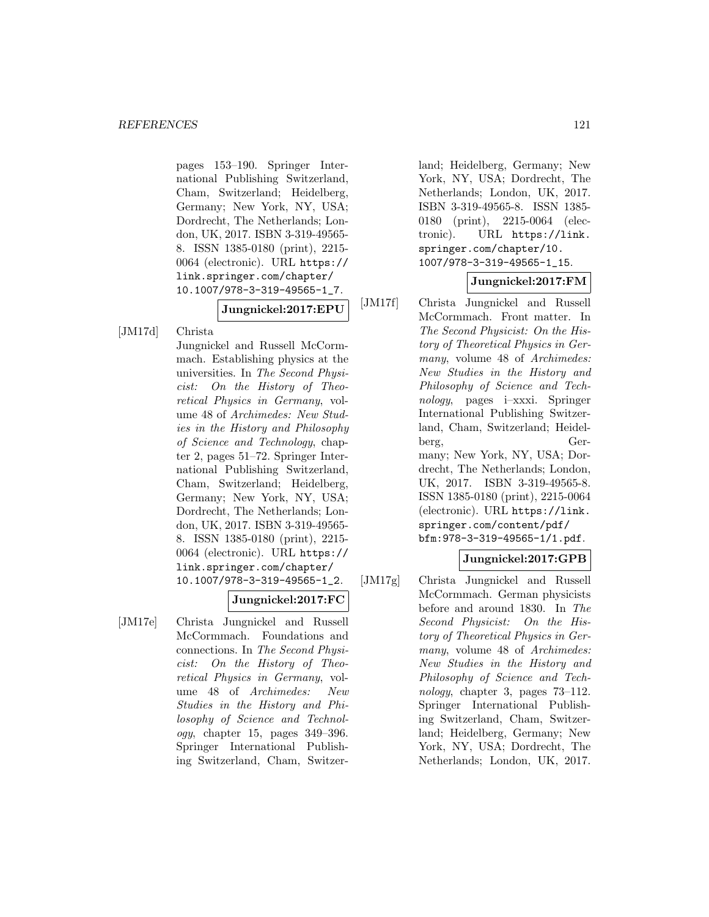pages 153–190. Springer International Publishing Switzerland, Cham, Switzerland; Heidelberg, Germany; New York, NY, USA; Dordrecht, The Netherlands; London, UK, 2017. ISBN 3-319-49565- 8. ISSN 1385-0180 (print), 2215- 0064 (electronic). URL https:// link.springer.com/chapter/ 10.1007/978-3-319-49565-1\_7.

**Jungnickel:2017:EPU**

[JM17d] Christa

Jungnickel and Russell McCormmach. Establishing physics at the universities. In The Second Physicist: On the History of Theoretical Physics in Germany, volume 48 of Archimedes: New Studies in the History and Philosophy of Science and Technology, chapter 2, pages 51–72. Springer International Publishing Switzerland, Cham, Switzerland; Heidelberg, Germany; New York, NY, USA; Dordrecht, The Netherlands; London, UK, 2017. ISBN 3-319-49565- 8. ISSN 1385-0180 (print), 2215- 0064 (electronic). URL https:// link.springer.com/chapter/ 10.1007/978-3-319-49565-1\_2.

### **Jungnickel:2017:FC**

[JM17e] Christa Jungnickel and Russell McCormmach. Foundations and connections. In The Second Physicist: On the History of Theoretical Physics in Germany, volume 48 of Archimedes: New Studies in the History and Philosophy of Science and Technology, chapter 15, pages 349–396. Springer International Publishing Switzerland, Cham, Switzerland; Heidelberg, Germany; New York, NY, USA; Dordrecht, The Netherlands; London, UK, 2017. ISBN 3-319-49565-8. ISSN 1385- 0180 (print), 2215-0064 (electronic). URL https://link. springer.com/chapter/10. 1007/978-3-319-49565-1\_15.

### **Jungnickel:2017:FM**

[JM17f] Christa Jungnickel and Russell McCormmach. Front matter. In The Second Physicist: On the History of Theoretical Physics in Germany, volume 48 of Archimedes: New Studies in the History and Philosophy of Science and Technology, pages i–xxxi. Springer International Publishing Switzerland, Cham, Switzerland; Heidelberg, Germany; New York, NY, USA; Dordrecht, The Netherlands; London, UK, 2017. ISBN 3-319-49565-8. ISSN 1385-0180 (print), 2215-0064 (electronic). URL https://link. springer.com/content/pdf/ bfm:978-3-319-49565-1/1.pdf.

### **Jungnickel:2017:GPB**

[JM17g] Christa Jungnickel and Russell McCormmach. German physicists before and around 1830. In The Second Physicist: On the History of Theoretical Physics in Germany, volume 48 of Archimedes: New Studies in the History and Philosophy of Science and Technology, chapter 3, pages 73–112. Springer International Publishing Switzerland, Cham, Switzerland; Heidelberg, Germany; New York, NY, USA; Dordrecht, The Netherlands; London, UK, 2017.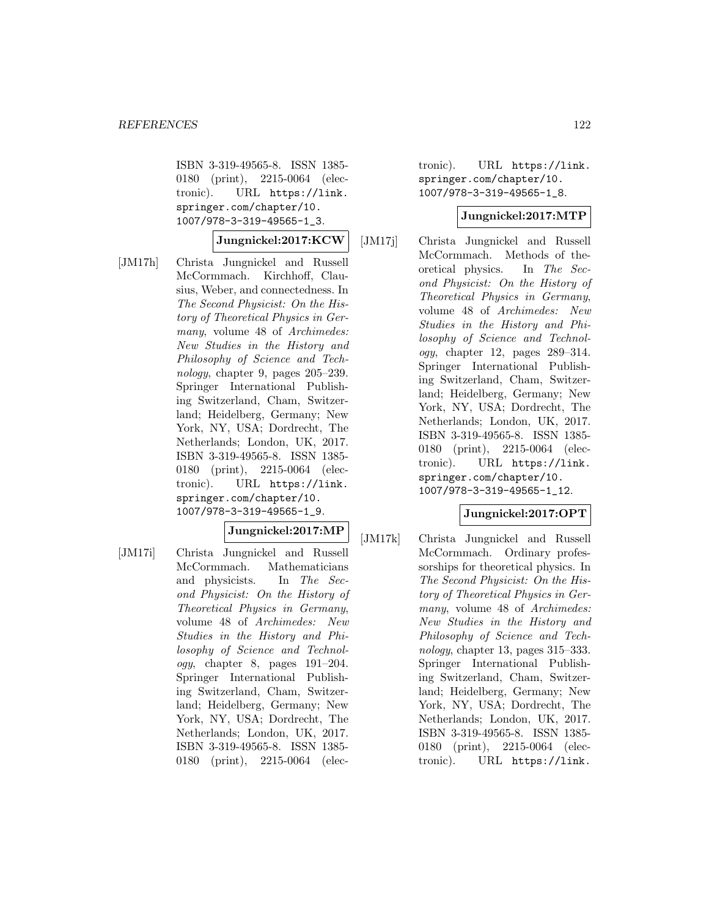ISBN 3-319-49565-8. ISSN 1385- 0180 (print), 2215-0064 (electronic). URL https://link. springer.com/chapter/10. 1007/978-3-319-49565-1\_3.

#### **Jungnickel:2017:KCW**

[JM17h] Christa Jungnickel and Russell McCormmach. Kirchhoff, Clausius, Weber, and connectedness. In The Second Physicist: On the History of Theoretical Physics in Germany, volume 48 of Archimedes: New Studies in the History and Philosophy of Science and Technology, chapter 9, pages  $205-239$ . Springer International Publishing Switzerland, Cham, Switzerland; Heidelberg, Germany; New York, NY, USA; Dordrecht, The Netherlands; London, UK, 2017. ISBN 3-319-49565-8. ISSN 1385- 0180 (print), 2215-0064 (electronic). URL https://link. springer.com/chapter/10. 1007/978-3-319-49565-1\_9.

**Jungnickel:2017:MP**

[JM17i] Christa Jungnickel and Russell McCormmach. Mathematicians and physicists. In The Second Physicist: On the History of Theoretical Physics in Germany, volume 48 of Archimedes: New Studies in the History and Philosophy of Science and Technol $ogy$ , chapter 8, pages  $191-204$ . Springer International Publishing Switzerland, Cham, Switzerland; Heidelberg, Germany; New York, NY, USA; Dordrecht, The Netherlands; London, UK, 2017. ISBN 3-319-49565-8. ISSN 1385- 0180 (print), 2215-0064 (electronic). URL https://link. springer.com/chapter/10. 1007/978-3-319-49565-1\_8.

#### **Jungnickel:2017:MTP**

[JM17j] Christa Jungnickel and Russell McCormmach. Methods of theoretical physics. In The Second Physicist: On the History of Theoretical Physics in Germany, volume 48 of Archimedes: New Studies in the History and Philosophy of Science and Technology, chapter 12, pages 289–314. Springer International Publishing Switzerland, Cham, Switzerland; Heidelberg, Germany; New York, NY, USA; Dordrecht, The Netherlands; London, UK, 2017. ISBN 3-319-49565-8. ISSN 1385- 0180 (print), 2215-0064 (electronic). URL https://link. springer.com/chapter/10. 1007/978-3-319-49565-1\_12.

### **Jungnickel:2017:OPT**

[JM17k] Christa Jungnickel and Russell McCormmach. Ordinary professorships for theoretical physics. In The Second Physicist: On the History of Theoretical Physics in Germany, volume 48 of Archimedes: New Studies in the History and Philosophy of Science and Technology, chapter 13, pages 315–333. Springer International Publishing Switzerland, Cham, Switzerland; Heidelberg, Germany; New York, NY, USA; Dordrecht, The Netherlands; London, UK, 2017. ISBN 3-319-49565-8. ISSN 1385- 0180 (print), 2215-0064 (electronic). URL https://link.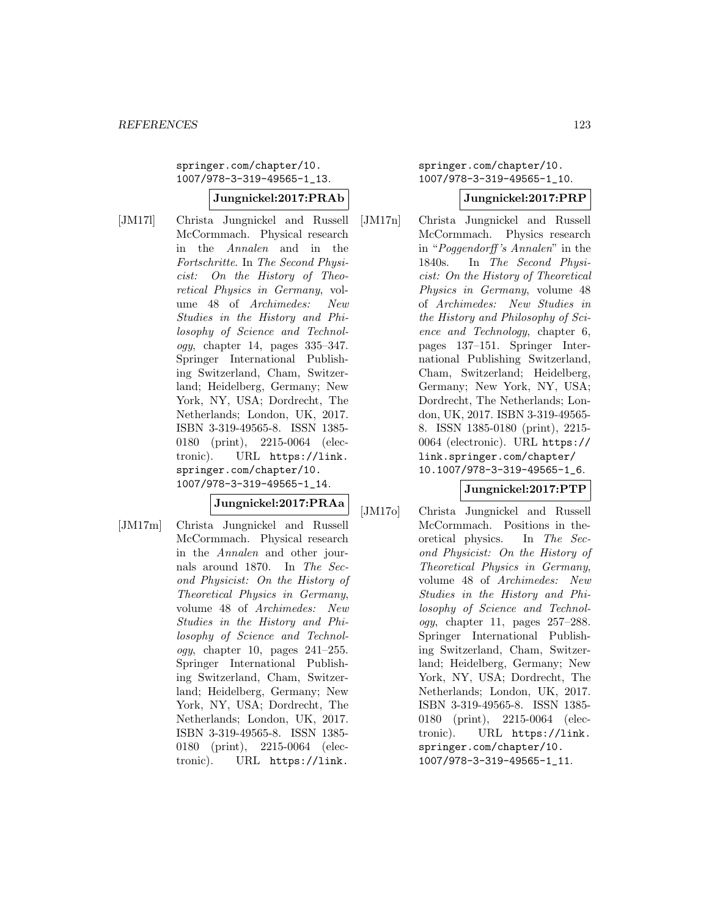springer.com/chapter/10. 1007/978-3-319-49565-1\_13.

### **Jungnickel:2017:PRAb**

[JM17l] Christa Jungnickel and Russell McCormmach. Physical research in the Annalen and in the Fortschritte. In The Second Physicist: On the History of Theoretical Physics in Germany, volume 48 of Archimedes: New Studies in the History and Philosophy of Science and Technol $oqy$ , chapter 14, pages 335–347. Springer International Publishing Switzerland, Cham, Switzerland; Heidelberg, Germany; New York, NY, USA; Dordrecht, The Netherlands; London, UK, 2017. ISBN 3-319-49565-8. ISSN 1385- 0180 (print), 2215-0064 (electronic). URL https://link. springer.com/chapter/10. 1007/978-3-319-49565-1\_14.

# **Jungnickel:2017:PRAa**

[JM17m] Christa Jungnickel and Russell McCormmach. Physical research in the Annalen and other journals around 1870. In The Second Physicist: On the History of Theoretical Physics in Germany, volume 48 of Archimedes: New Studies in the History and Philosophy of Science and Technol $ogy,$  chapter 10, pages  $241-255.$ Springer International Publishing Switzerland, Cham, Switzerland; Heidelberg, Germany; New York, NY, USA; Dordrecht, The Netherlands; London, UK, 2017. ISBN 3-319-49565-8. ISSN 1385- 0180 (print), 2215-0064 (electronic). URL https://link.

springer.com/chapter/10. 1007/978-3-319-49565-1\_10.

### **Jungnickel:2017:PRP**

[JM17n] Christa Jungnickel and Russell McCormmach. Physics research in "Poggendorff 's Annalen" in the 1840s. In The Second Physicist: On the History of Theoretical Physics in Germany, volume 48 of Archimedes: New Studies in the History and Philosophy of Science and Technology, chapter 6, pages 137–151. Springer International Publishing Switzerland, Cham, Switzerland; Heidelberg, Germany; New York, NY, USA; Dordrecht, The Netherlands; London, UK, 2017. ISBN 3-319-49565- 8. ISSN 1385-0180 (print), 2215- 0064 (electronic). URL https:// link.springer.com/chapter/ 10.1007/978-3-319-49565-1\_6.

# **Jungnickel:2017:PTP**

[JM17o] Christa Jungnickel and Russell McCormmach. Positions in theoretical physics. In The Second Physicist: On the History of Theoretical Physics in Germany, volume 48 of Archimedes: New Studies in the History and Philosophy of Science and Technology, chapter 11, pages 257–288. Springer International Publishing Switzerland, Cham, Switzerland; Heidelberg, Germany; New York, NY, USA; Dordrecht, The Netherlands; London, UK, 2017. ISBN 3-319-49565-8. ISSN 1385- 0180 (print), 2215-0064 (electronic). URL https://link. springer.com/chapter/10. 1007/978-3-319-49565-1\_11.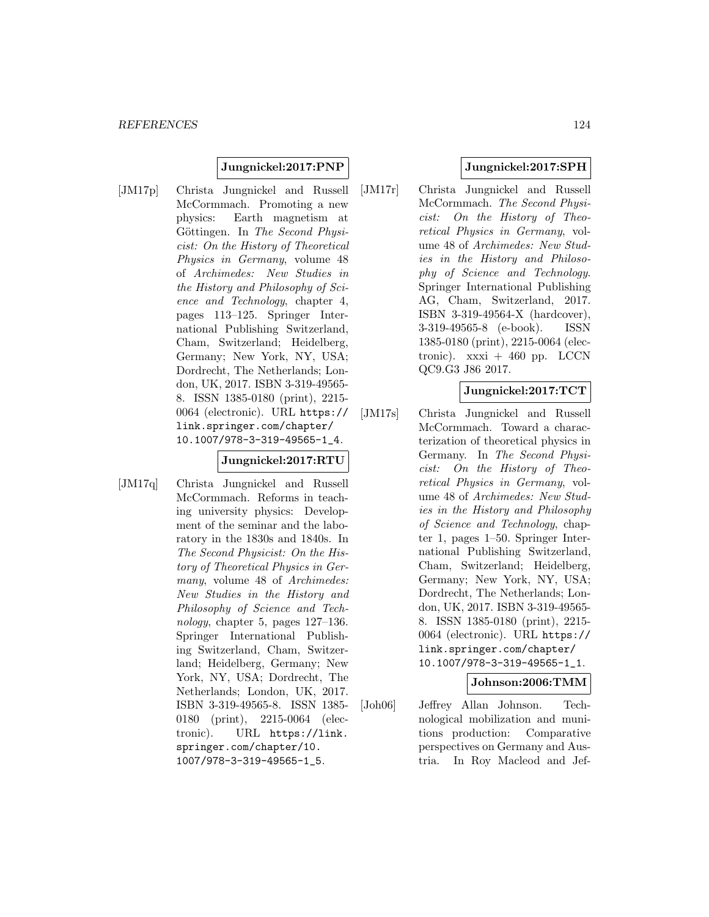#### **Jungnickel:2017:PNP**

[JM17p] Christa Jungnickel and Russell McCormmach. Promoting a new physics: Earth magnetism at Göttingen. In The Second Physicist: On the History of Theoretical Physics in Germany, volume 48 of Archimedes: New Studies in the History and Philosophy of Science and Technology, chapter 4, pages 113–125. Springer International Publishing Switzerland, Cham, Switzerland; Heidelberg, Germany; New York, NY, USA; Dordrecht, The Netherlands; London, UK, 2017. ISBN 3-319-49565- 8. ISSN 1385-0180 (print), 2215- 0064 (electronic). URL https:// link.springer.com/chapter/ 10.1007/978-3-319-49565-1\_4.

# **Jungnickel:2017:RTU**

[JM17q] Christa Jungnickel and Russell McCormmach. Reforms in teaching university physics: Development of the seminar and the laboratory in the 1830s and 1840s. In The Second Physicist: On the History of Theoretical Physics in Germany, volume 48 of Archimedes: New Studies in the History and Philosophy of Science and Technology, chapter 5, pages 127–136. Springer International Publishing Switzerland, Cham, Switzerland; Heidelberg, Germany; New York, NY, USA; Dordrecht, The Netherlands; London, UK, 2017. ISBN 3-319-49565-8. ISSN 1385- 0180 (print), 2215-0064 (electronic). URL https://link. springer.com/chapter/10. 1007/978-3-319-49565-1\_5.

### **Jungnickel:2017:SPH**

[JM17r] Christa Jungnickel and Russell McCormmach. The Second Physicist: On the History of Theoretical Physics in Germany, volume 48 of Archimedes: New Studies in the History and Philosophy of Science and Technology. Springer International Publishing AG, Cham, Switzerland, 2017. ISBN 3-319-49564-X (hardcover), 3-319-49565-8 (e-book). ISSN 1385-0180 (print), 2215-0064 (electronic).  $xxxi + 460$  pp. LCCN QC9.G3 J86 2017.

### **Jungnickel:2017:TCT**

[JM17s] Christa Jungnickel and Russell McCormmach. Toward a characterization of theoretical physics in Germany. In The Second Physicist: On the History of Theoretical Physics in Germany, volume 48 of Archimedes: New Studies in the History and Philosophy of Science and Technology, chapter 1, pages 1–50. Springer International Publishing Switzerland, Cham, Switzerland; Heidelberg, Germany; New York, NY, USA; Dordrecht, The Netherlands; London, UK, 2017. ISBN 3-319-49565- 8. ISSN 1385-0180 (print), 2215- 0064 (electronic). URL https:// link.springer.com/chapter/ 10.1007/978-3-319-49565-1\_1.

### **Johnson:2006:TMM**

[Joh06] Jeffrey Allan Johnson. Technological mobilization and munitions production: Comparative perspectives on Germany and Austria. In Roy Macleod and Jef-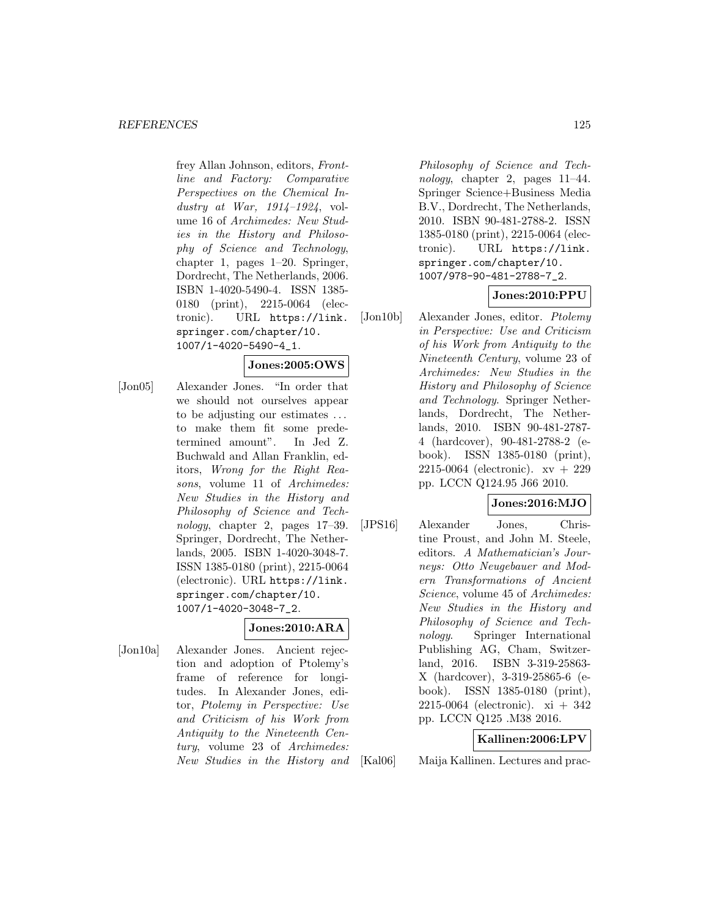frey Allan Johnson, editors, Frontline and Factory: Comparative Perspectives on the Chemical Industry at War,  $1914-1924$ , volume 16 of Archimedes: New Studies in the History and Philosophy of Science and Technology, chapter 1, pages 1–20. Springer, Dordrecht, The Netherlands, 2006. ISBN 1-4020-5490-4. ISSN 1385- 0180 (print), 2215-0064 (electronic). URL https://link. springer.com/chapter/10. 1007/1-4020-5490-4\_1.

# **Jones:2005:OWS**

[Jon05] Alexander Jones. "In order that we should not ourselves appear to be adjusting our estimates ... to make them fit some predetermined amount". In Jed Z. Buchwald and Allan Franklin, editors, Wrong for the Right Reasons, volume 11 of Archimedes: New Studies in the History and Philosophy of Science and Technology, chapter 2, pages 17–39. Springer, Dordrecht, The Netherlands, 2005. ISBN 1-4020-3048-7. ISSN 1385-0180 (print), 2215-0064 (electronic). URL https://link. springer.com/chapter/10. 1007/1-4020-3048-7\_2.

# **Jones:2010:ARA**

[Jon10a] Alexander Jones. Ancient rejection and adoption of Ptolemy's frame of reference for longitudes. In Alexander Jones, editor, Ptolemy in Perspective: Use and Criticism of his Work from Antiquity to the Nineteenth Century, volume 23 of Archimedes: New Studies in the History and

Philosophy of Science and Technology, chapter 2, pages 11–44. Springer Science+Business Media B.V., Dordrecht, The Netherlands, 2010. ISBN 90-481-2788-2. ISSN 1385-0180 (print), 2215-0064 (electronic). URL https://link. springer.com/chapter/10. 1007/978-90-481-2788-7\_2.

# **Jones:2010:PPU**

[Jon10b] Alexander Jones, editor. Ptolemy in Perspective: Use and Criticism of his Work from Antiquity to the Nineteenth Century, volume 23 of Archimedes: New Studies in the History and Philosophy of Science and Technology. Springer Netherlands, Dordrecht, The Netherlands, 2010. ISBN 90-481-2787- 4 (hardcover), 90-481-2788-2 (ebook). ISSN 1385-0180 (print), 2215-0064 (electronic). xv + 229 pp. LCCN Q124.95 J66 2010.

### **Jones:2016:MJO**

[JPS16] Alexander Jones, Christine Proust, and John M. Steele, editors. A Mathematician's Journeys: Otto Neugebauer and Modern Transformations of Ancient Science, volume 45 of Archimedes: New Studies in the History and Philosophy of Science and Technology. Springer International Publishing AG, Cham, Switzerland, 2016. ISBN 3-319-25863- X (hardcover), 3-319-25865-6 (ebook). ISSN 1385-0180 (print), 2215-0064 (electronic). xi + 342 pp. LCCN Q125 .M38 2016.

### **Kallinen:2006:LPV**

[Kal06] Maija Kallinen. Lectures and prac-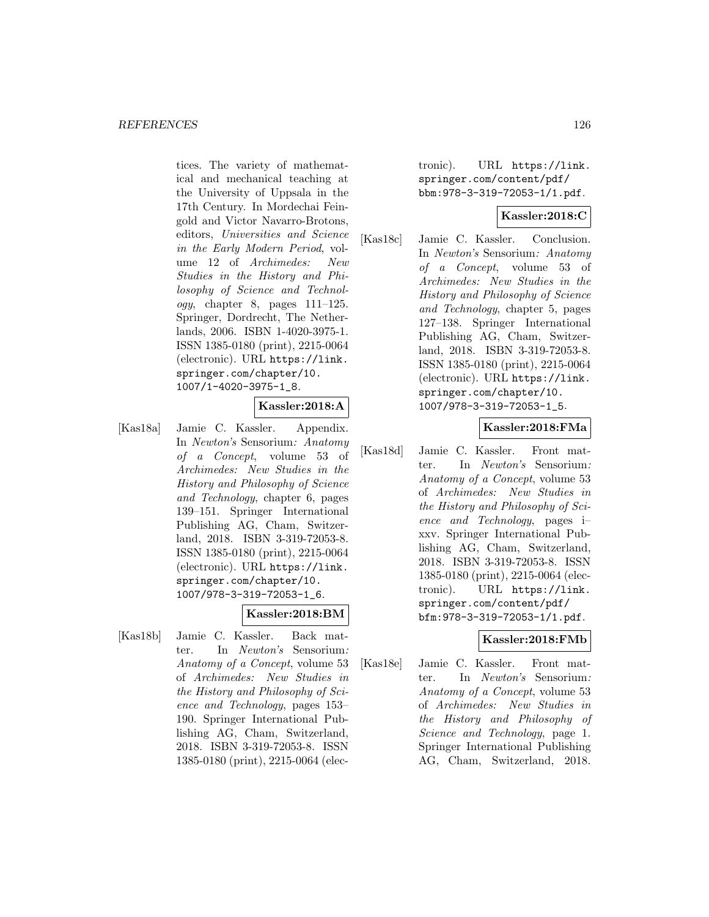tices. The variety of mathematical and mechanical teaching at the University of Uppsala in the 17th Century. In Mordechai Feingold and Victor Navarro-Brotons, editors, Universities and Science in the Early Modern Period, volume 12 of Archimedes: New Studies in the History and Philosophy of Science and Technol $ogy,$  chapter 8, pages  $111-125$ . Springer, Dordrecht, The Netherlands, 2006. ISBN 1-4020-3975-1. ISSN 1385-0180 (print), 2215-0064 (electronic). URL https://link. springer.com/chapter/10. 1007/1-4020-3975-1\_8.

# **Kassler:2018:A**

[Kas18a] Jamie C. Kassler. Appendix. In Newton's Sensorium: Anatomy of a Concept, volume 53 of Archimedes: New Studies in the History and Philosophy of Science and Technology, chapter 6, pages 139–151. Springer International Publishing AG, Cham, Switzerland, 2018. ISBN 3-319-72053-8. ISSN 1385-0180 (print), 2215-0064 (electronic). URL https://link. springer.com/chapter/10. 1007/978-3-319-72053-1\_6.

#### **Kassler:2018:BM**

[Kas18b] Jamie C. Kassler. Back matter. In Newton's Sensorium: Anatomy of a Concept, volume 53 of Archimedes: New Studies in the History and Philosophy of Science and Technology, pages 153– 190. Springer International Publishing AG, Cham, Switzerland, 2018. ISBN 3-319-72053-8. ISSN 1385-0180 (print), 2215-0064 (electronic). URL https://link. springer.com/content/pdf/ bbm:978-3-319-72053-1/1.pdf.

### **Kassler:2018:C**

[Kas18c] Jamie C. Kassler. Conclusion. In Newton's Sensorium: Anatomy of a Concept, volume 53 of Archimedes: New Studies in the History and Philosophy of Science and Technology, chapter 5, pages 127–138. Springer International Publishing AG, Cham, Switzerland, 2018. ISBN 3-319-72053-8. ISSN 1385-0180 (print), 2215-0064 (electronic). URL https://link. springer.com/chapter/10. 1007/978-3-319-72053-1\_5.

### **Kassler:2018:FMa**

[Kas18d] Jamie C. Kassler. Front matter. In Newton's Sensorium: Anatomy of a Concept, volume 53 of Archimedes: New Studies in the History and Philosophy of Science and Technology, pages i– xxv. Springer International Publishing AG, Cham, Switzerland, 2018. ISBN 3-319-72053-8. ISSN 1385-0180 (print), 2215-0064 (electronic). URL https://link. springer.com/content/pdf/ bfm:978-3-319-72053-1/1.pdf.

### **Kassler:2018:FMb**

[Kas18e] Jamie C. Kassler. Front matter. In Newton's Sensorium: Anatomy of a Concept, volume 53 of Archimedes: New Studies in the History and Philosophy of Science and Technology, page 1. Springer International Publishing AG, Cham, Switzerland, 2018.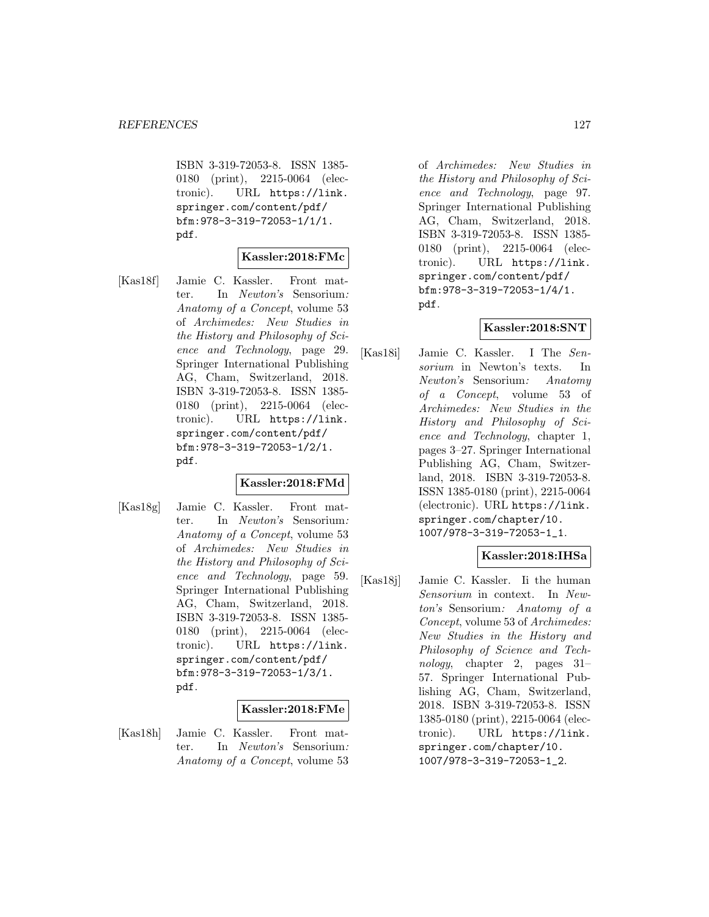ISBN 3-319-72053-8. ISSN 1385- 0180 (print), 2215-0064 (electronic). URL https://link. springer.com/content/pdf/ bfm:978-3-319-72053-1/1/1. pdf.

#### **Kassler:2018:FMc**

[Kas18f] Jamie C. Kassler. Front matter. In Newton's Sensorium: Anatomy of a Concept, volume 53 of Archimedes: New Studies in the History and Philosophy of Science and Technology, page 29. Springer International Publishing AG, Cham, Switzerland, 2018. ISBN 3-319-72053-8. ISSN 1385- 0180 (print), 2215-0064 (electronic). URL https://link. springer.com/content/pdf/ bfm:978-3-319-72053-1/2/1. pdf.

# **Kassler:2018:FMd**

[Kas18g] Jamie C. Kassler. Front matter. In Newton's Sensorium: Anatomy of a Concept, volume 53 of Archimedes: New Studies in the History and Philosophy of Science and Technology, page 59. Springer International Publishing AG, Cham, Switzerland, 2018. ISBN 3-319-72053-8. ISSN 1385- 0180 (print), 2215-0064 (electronic). URL https://link. springer.com/content/pdf/ bfm:978-3-319-72053-1/3/1. pdf.

### **Kassler:2018:FMe**

[Kas18h] Jamie C. Kassler. Front matter. In Newton's Sensorium: Anatomy of a Concept, volume 53

of Archimedes: New Studies in the History and Philosophy of Science and Technology, page 97. Springer International Publishing AG, Cham, Switzerland, 2018. ISBN 3-319-72053-8. ISSN 1385- 0180 (print), 2215-0064 (electronic). URL https://link. springer.com/content/pdf/ bfm:978-3-319-72053-1/4/1. pdf.

### **Kassler:2018:SNT**

[Kas18i] Jamie C. Kassler. I The Sensorium in Newton's texts. In Newton's Sensorium: Anatomy of a Concept, volume 53 of Archimedes: New Studies in the History and Philosophy of Science and Technology, chapter 1, pages 3–27. Springer International Publishing AG, Cham, Switzerland, 2018. ISBN 3-319-72053-8. ISSN 1385-0180 (print), 2215-0064 (electronic). URL https://link. springer.com/chapter/10. 1007/978-3-319-72053-1\_1.

## **Kassler:2018:IHSa**

[Kas18j] Jamie C. Kassler. Ii the human Sensorium in context. In Newton's Sensorium: Anatomy of a Concept, volume 53 of Archimedes: New Studies in the History and Philosophy of Science and Technology, chapter 2, pages 31– 57. Springer International Publishing AG, Cham, Switzerland, 2018. ISBN 3-319-72053-8. ISSN 1385-0180 (print), 2215-0064 (electronic). URL https://link. springer.com/chapter/10. 1007/978-3-319-72053-1\_2.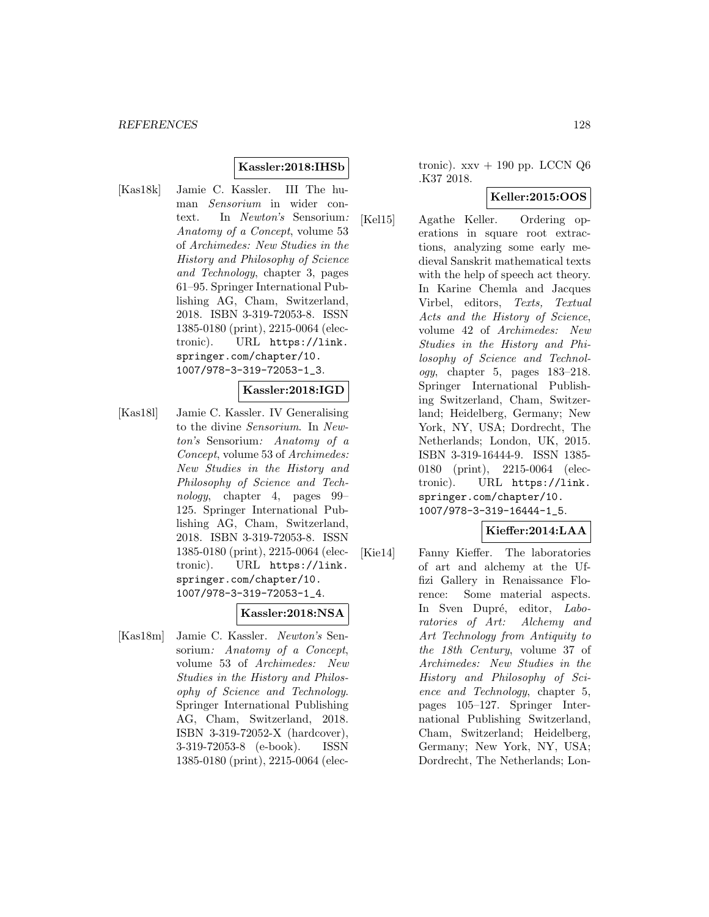#### **Kassler:2018:IHSb**

[Kas18k] Jamie C. Kassler. III The human Sensorium in wider context. In Newton's Sensorium: Anatomy of a Concept, volume 53 of Archimedes: New Studies in the History and Philosophy of Science and Technology, chapter 3, pages 61–95. Springer International Publishing AG, Cham, Switzerland, 2018. ISBN 3-319-72053-8. ISSN 1385-0180 (print), 2215-0064 (electronic). URL https://link. springer.com/chapter/10. 1007/978-3-319-72053-1\_3.

#### **Kassler:2018:IGD**

[Kas18l] Jamie C. Kassler. IV Generalising to the divine Sensorium. In Newton's Sensorium: Anatomy of a Concept, volume 53 of Archimedes: New Studies in the History and Philosophy of Science and Technology, chapter 4, pages 99– 125. Springer International Publishing AG, Cham, Switzerland, 2018. ISBN 3-319-72053-8. ISSN 1385-0180 (print), 2215-0064 (electronic). URL https://link. springer.com/chapter/10. 1007/978-3-319-72053-1\_4.

### **Kassler:2018:NSA**

[Kas18m] Jamie C. Kassler. Newton's Sensorium: Anatomy of a Concept, volume 53 of Archimedes: New Studies in the History and Philosophy of Science and Technology. Springer International Publishing AG, Cham, Switzerland, 2018. ISBN 3-319-72052-X (hardcover), 3-319-72053-8 (e-book). ISSN 1385-0180 (print), 2215-0064 (electronic).  $xxv + 190$  pp. LCCN  $Q6$ .K37 2018.

### **Keller:2015:OOS**

[Kel15] Agathe Keller. Ordering operations in square root extractions, analyzing some early medieval Sanskrit mathematical texts with the help of speech act theory. In Karine Chemla and Jacques Virbel, editors, Texts, Textual Acts and the History of Science, volume 42 of Archimedes: New Studies in the History and Philosophy of Science and Technology, chapter 5, pages 183–218. Springer International Publishing Switzerland, Cham, Switzerland; Heidelberg, Germany; New York, NY, USA; Dordrecht, The Netherlands; London, UK, 2015. ISBN 3-319-16444-9. ISSN 1385- 0180 (print), 2215-0064 (electronic). URL https://link. springer.com/chapter/10. 1007/978-3-319-16444-1\_5.

# **Kieffer:2014:LAA**

[Kie14] Fanny Kieffer. The laboratories of art and alchemy at the Uffizi Gallery in Renaissance Florence: Some material aspects. In Sven Dupré, editor, Laboratories of Art: Alchemy and Art Technology from Antiquity to the 18th Century, volume 37 of Archimedes: New Studies in the History and Philosophy of Science and Technology, chapter 5, pages 105–127. Springer International Publishing Switzerland, Cham, Switzerland; Heidelberg, Germany; New York, NY, USA; Dordrecht, The Netherlands; Lon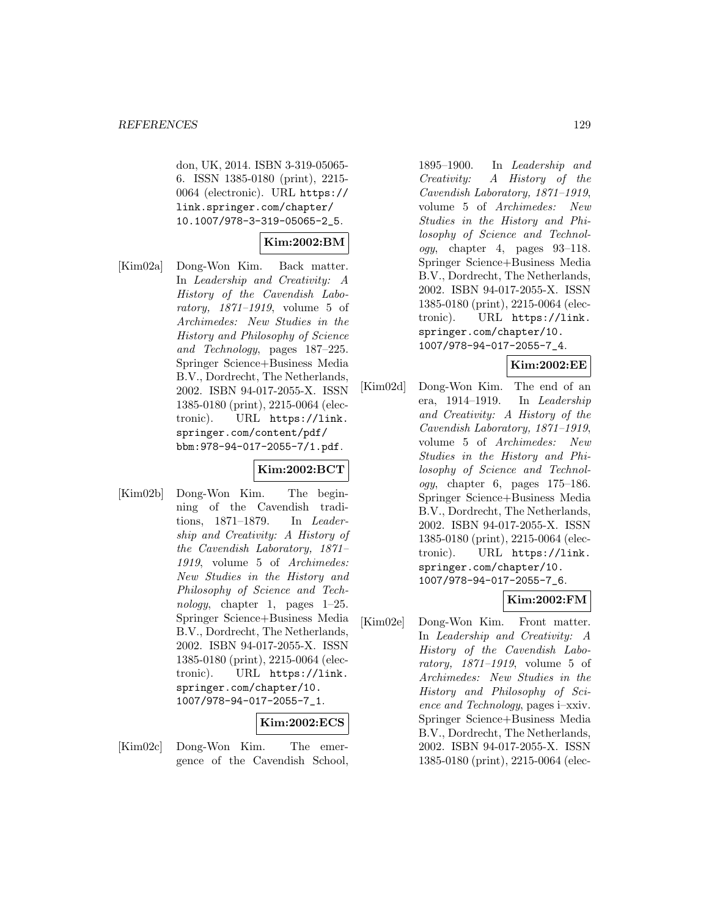don, UK, 2014. ISBN 3-319-05065- 6. ISSN 1385-0180 (print), 2215- 0064 (electronic). URL https:// link.springer.com/chapter/ 10.1007/978-3-319-05065-2\_5.

# **Kim:2002:BM**

[Kim02a] Dong-Won Kim. Back matter. In Leadership and Creativity: A History of the Cavendish Laboratory, 1871–1919, volume 5 of Archimedes: New Studies in the History and Philosophy of Science and Technology, pages 187–225. Springer Science+Business Media B.V., Dordrecht, The Netherlands, 2002. ISBN 94-017-2055-X. ISSN 1385-0180 (print), 2215-0064 (electronic). URL https://link. springer.com/content/pdf/ bbm:978-94-017-2055-7/1.pdf.

# **Kim:2002:BCT**

[Kim02b] Dong-Won Kim. The beginning of the Cavendish traditions, 1871–1879. In Leadership and Creativity: A History of the Cavendish Laboratory, 1871– 1919, volume 5 of Archimedes: New Studies in the History and Philosophy of Science and Technology, chapter 1, pages 1–25. Springer Science+Business Media B.V., Dordrecht, The Netherlands, 2002. ISBN 94-017-2055-X. ISSN 1385-0180 (print), 2215-0064 (electronic). URL https://link. springer.com/chapter/10. 1007/978-94-017-2055-7\_1.

# **Kim:2002:ECS**

[Kim02c] Dong-Won Kim. The emergence of the Cavendish School,

1895–1900. In Leadership and Creativity: A History of the Cavendish Laboratory, 1871–1919, volume 5 of Archimedes: New Studies in the History and Philosophy of Science and Technology, chapter 4, pages 93–118. Springer Science+Business Media B.V., Dordrecht, The Netherlands, 2002. ISBN 94-017-2055-X. ISSN 1385-0180 (print), 2215-0064 (electronic). URL https://link. springer.com/chapter/10. 1007/978-94-017-2055-7\_4.

### **Kim:2002:EE**

[Kim02d] Dong-Won Kim. The end of an era, 1914–1919. In Leadership and Creativity: A History of the Cavendish Laboratory, 1871–1919, volume 5 of Archimedes: New Studies in the History and Philosophy of Science and Technology, chapter 6, pages 175–186. Springer Science+Business Media B.V., Dordrecht, The Netherlands, 2002. ISBN 94-017-2055-X. ISSN 1385-0180 (print), 2215-0064 (electronic). URL https://link. springer.com/chapter/10. 1007/978-94-017-2055-7\_6.

# **Kim:2002:FM**

[Kim02e] Dong-Won Kim. Front matter. In Leadership and Creativity: A History of the Cavendish Laboratory, 1871–1919, volume 5 of Archimedes: New Studies in the History and Philosophy of Science and Technology, pages i–xxiv. Springer Science+Business Media B.V., Dordrecht, The Netherlands, 2002. ISBN 94-017-2055-X. ISSN 1385-0180 (print), 2215-0064 (elec-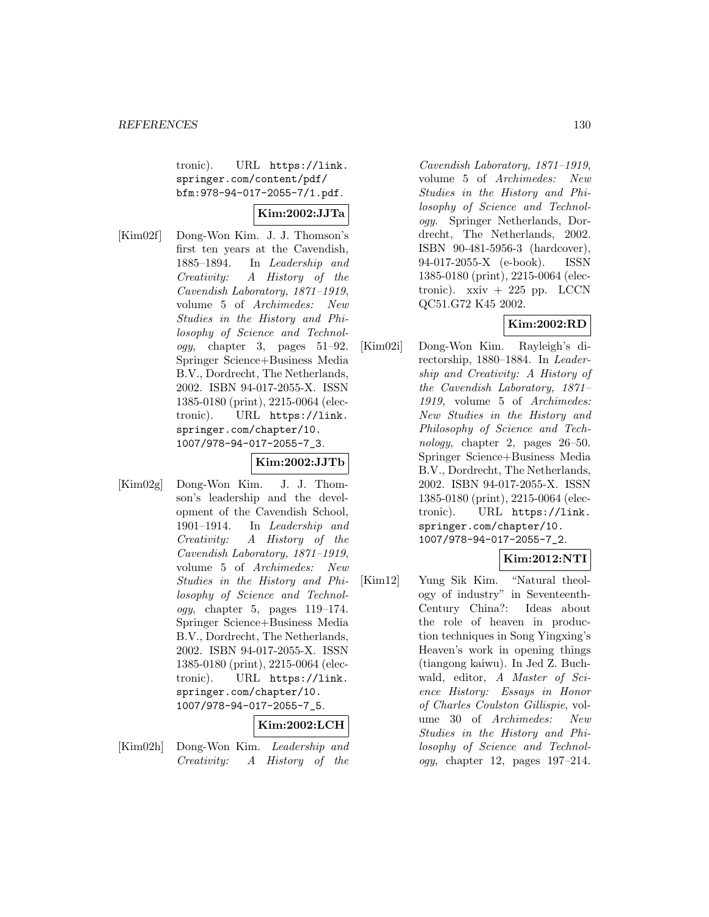tronic). URL https://link. springer.com/content/pdf/ bfm:978-94-017-2055-7/1.pdf.

# **Kim:2002:JJTa**

[Kim02f] Dong-Won Kim. J. J. Thomson's first ten years at the Cavendish, 1885–1894. In Leadership and Creativity: A History of the Cavendish Laboratory, 1871–1919, volume 5 of Archimedes: New Studies in the History and Philosophy of Science and Technology, chapter 3, pages 51–92. Springer Science+Business Media B.V., Dordrecht, The Netherlands, 2002. ISBN 94-017-2055-X. ISSN 1385-0180 (print), 2215-0064 (electronic). URL https://link. springer.com/chapter/10. 1007/978-94-017-2055-7\_3.

# **Kim:2002:JJTb**

[Kim02g] Dong-Won Kim. J. J. Thomson's leadership and the development of the Cavendish School, 1901–1914. In Leadership and Creativity: A History of the Cavendish Laboratory, 1871–1919, volume 5 of Archimedes: New Studies in the History and Philosophy of Science and Technol $ogy,$  chapter 5, pages 119–174. Springer Science+Business Media B.V., Dordrecht, The Netherlands, 2002. ISBN 94-017-2055-X. ISSN 1385-0180 (print), 2215-0064 (electronic). URL https://link. springer.com/chapter/10. 1007/978-94-017-2055-7\_5.

# **Kim:2002:LCH**

[Kim02h] Dong-Won Kim. Leadership and Creativity: A History of the

Cavendish Laboratory, 1871–1919, volume 5 of Archimedes: New Studies in the History and Philosophy of Science and Technology. Springer Netherlands, Dordrecht, The Netherlands, 2002. ISBN 90-481-5956-3 (hardcover), 94-017-2055-X (e-book). ISSN 1385-0180 (print), 2215-0064 (electronic).  $x\dot{x}$  + 225 pp. LCCN QC51.G72 K45 2002.

# **Kim:2002:RD**

[Kim02i] Dong-Won Kim. Rayleigh's directorship, 1880–1884. In Leadership and Creativity: A History of the Cavendish Laboratory, 1871– 1919, volume 5 of Archimedes: New Studies in the History and Philosophy of Science and Technology, chapter 2, pages 26–50. Springer Science+Business Media B.V., Dordrecht, The Netherlands, 2002. ISBN 94-017-2055-X. ISSN 1385-0180 (print), 2215-0064 (electronic). URL https://link. springer.com/chapter/10. 1007/978-94-017-2055-7\_2.

# **Kim:2012:NTI**

[Kim12] Yung Sik Kim. "Natural theology of industry" in Seventeenth-Century China?: Ideas about the role of heaven in production techniques in Song Yingxing's Heaven's work in opening things (tiangong kaiwu). In Jed Z. Buchwald, editor, A Master of Science History: Essays in Honor of Charles Coulston Gillispie, volume 30 of Archimedes: New Studies in the History and Philosophy of Science and Technology, chapter 12, pages 197–214.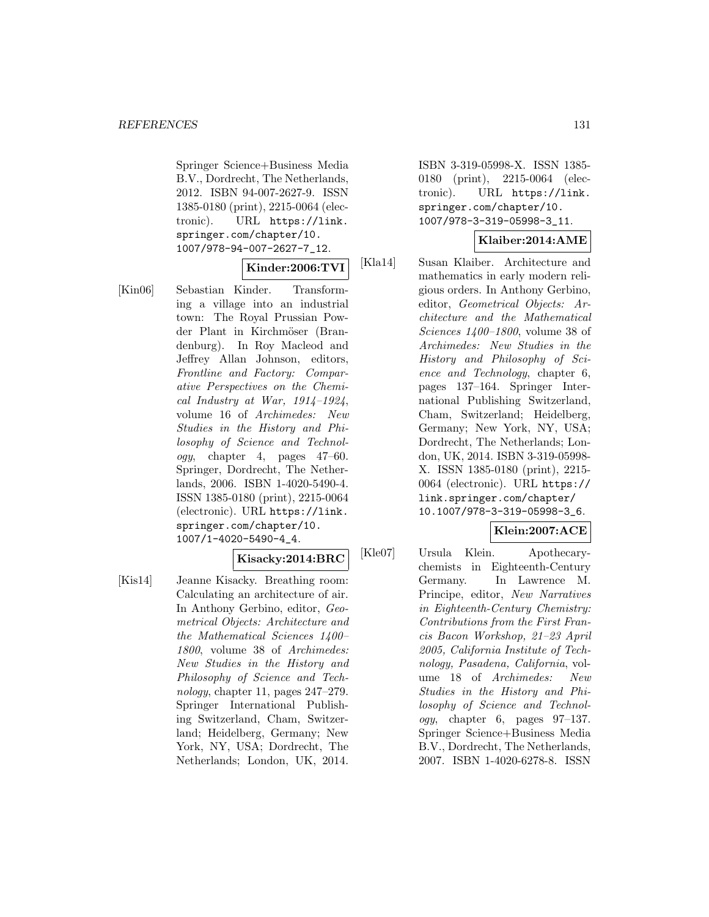Springer Science+Business Media B.V., Dordrecht, The Netherlands, 2012. ISBN 94-007-2627-9. ISSN 1385-0180 (print), 2215-0064 (electronic). URL https://link. springer.com/chapter/10. 1007/978-94-007-2627-7\_12.

### **Kinder:2006:TVI**

[Kin06] Sebastian Kinder. Transforming a village into an industrial town: The Royal Prussian Powder Plant in Kirchmöser (Brandenburg). In Roy Macleod and Jeffrey Allan Johnson, editors, Frontline and Factory: Comparative Perspectives on the Chemical Industry at War,  $1914-1924$ , volume 16 of Archimedes: New Studies in the History and Philosophy of Science and Technology, chapter 4, pages 47–60. Springer, Dordrecht, The Netherlands, 2006. ISBN 1-4020-5490-4. ISSN 1385-0180 (print), 2215-0064 (electronic). URL https://link. springer.com/chapter/10. 1007/1-4020-5490-4\_4.

#### **Kisacky:2014:BRC**

[Kis14] Jeanne Kisacky. Breathing room: Calculating an architecture of air. In Anthony Gerbino, editor, Geometrical Objects: Architecture and the Mathematical Sciences 1400– 1800, volume 38 of Archimedes: New Studies in the History and Philosophy of Science and Technology, chapter 11, pages  $247-279$ . Springer International Publishing Switzerland, Cham, Switzerland; Heidelberg, Germany; New York, NY, USA; Dordrecht, The Netherlands; London, UK, 2014.

ISBN 3-319-05998-X. ISSN 1385- 0180 (print), 2215-0064 (electronic). URL https://link. springer.com/chapter/10. 1007/978-3-319-05998-3\_11.

### **Klaiber:2014:AME**

[Kla14] Susan Klaiber. Architecture and mathematics in early modern religious orders. In Anthony Gerbino, editor, Geometrical Objects: Architecture and the Mathematical Sciences 1400–1800, volume 38 of Archimedes: New Studies in the History and Philosophy of Science and Technology, chapter 6, pages 137–164. Springer International Publishing Switzerland, Cham, Switzerland; Heidelberg, Germany; New York, NY, USA; Dordrecht, The Netherlands; London, UK, 2014. ISBN 3-319-05998- X. ISSN 1385-0180 (print), 2215- 0064 (electronic). URL https:// link.springer.com/chapter/ 10.1007/978-3-319-05998-3\_6.

# **Klein:2007:ACE**

[Kle07] Ursula Klein. Apothecarychemists in Eighteenth-Century Germany. In Lawrence M. Principe, editor, New Narratives in Eighteenth-Century Chemistry: Contributions from the First Francis Bacon Workshop, 21–23 April 2005, California Institute of Technology, Pasadena, California, volume 18 of Archimedes: New Studies in the History and Philosophy of Science and Technology, chapter 6, pages 97–137. Springer Science+Business Media B.V., Dordrecht, The Netherlands, 2007. ISBN 1-4020-6278-8. ISSN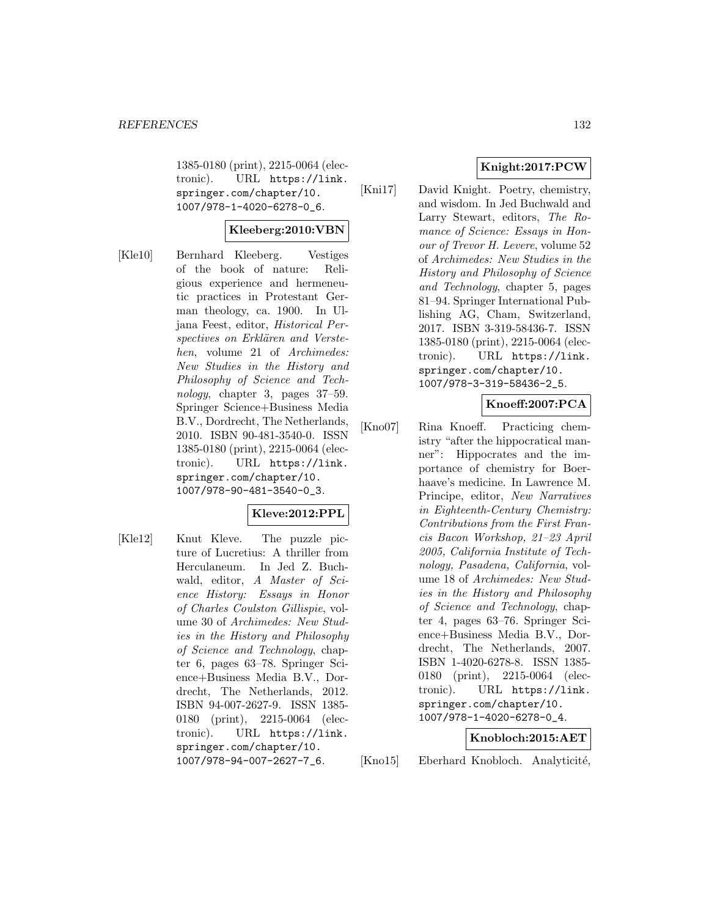1385-0180 (print), 2215-0064 (electronic). URL https://link. springer.com/chapter/10. 1007/978-1-4020-6278-0\_6.

# **Kleeberg:2010:VBN**

[Kle10] Bernhard Kleeberg. Vestiges of the book of nature: Religious experience and hermeneutic practices in Protestant German theology, ca. 1900. In Uljana Feest, editor, Historical Perspectives on Erklären and Verstehen, volume 21 of Archimedes: New Studies in the History and Philosophy of Science and Technology, chapter 3, pages 37–59. Springer Science+Business Media B.V., Dordrecht, The Netherlands, 2010. ISBN 90-481-3540-0. ISSN 1385-0180 (print), 2215-0064 (electronic). URL https://link. springer.com/chapter/10. 1007/978-90-481-3540-0\_3.

### **Kleve:2012:PPL**

[Kle12] Knut Kleve. The puzzle picture of Lucretius: A thriller from Herculaneum. In Jed Z. Buchwald, editor, A Master of Science History: Essays in Honor of Charles Coulston Gillispie, volume 30 of Archimedes: New Studies in the History and Philosophy of Science and Technology, chapter 6, pages 63–78. Springer Science+Business Media B.V., Dordrecht, The Netherlands, 2012. ISBN 94-007-2627-9. ISSN 1385- 0180 (print), 2215-0064 (electronic). URL https://link. springer.com/chapter/10. 1007/978-94-007-2627-7\_6.

# **Knight:2017:PCW**

[Kni17] David Knight. Poetry, chemistry, and wisdom. In Jed Buchwald and Larry Stewart, editors, The Romance of Science: Essays in Honour of Trevor H. Levere, volume 52 of Archimedes: New Studies in the History and Philosophy of Science and Technology, chapter 5, pages 81–94. Springer International Publishing AG, Cham, Switzerland, 2017. ISBN 3-319-58436-7. ISSN 1385-0180 (print), 2215-0064 (electronic). URL https://link. springer.com/chapter/10. 1007/978-3-319-58436-2\_5.

# **Knoeff:2007:PCA**

[Kno07] Rina Knoeff. Practicing chemistry "after the hippocratical manner": Hippocrates and the importance of chemistry for Boerhaave's medicine. In Lawrence M. Principe, editor, New Narratives in Eighteenth-Century Chemistry: Contributions from the First Francis Bacon Workshop, 21–23 April 2005, California Institute of Technology, Pasadena, California, volume 18 of Archimedes: New Studies in the History and Philosophy of Science and Technology, chapter 4, pages 63–76. Springer Science+Business Media B.V., Dordrecht, The Netherlands, 2007. ISBN 1-4020-6278-8. ISSN 1385- 0180 (print), 2215-0064 (electronic). URL https://link. springer.com/chapter/10. 1007/978-1-4020-6278-0\_4.

### **Knobloch:2015:AET**

[Kno15] Eberhard Knobloch. Analyticité,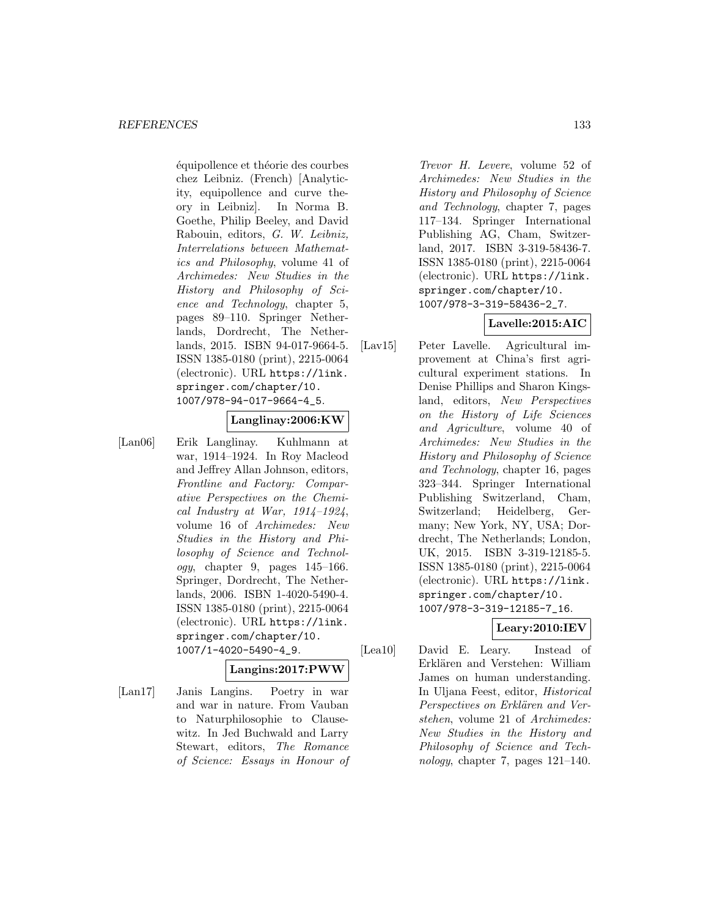équipollence et théorie des courbes chez Leibniz. (French) [Analyticity, equipollence and curve theory in Leibniz]. In Norma B. Goethe, Philip Beeley, and David Rabouin, editors, G. W. Leibniz, Interrelations between Mathematics and Philosophy, volume 41 of Archimedes: New Studies in the History and Philosophy of Science and Technology, chapter 5, pages 89–110. Springer Netherlands, Dordrecht, The Netherlands, 2015. ISBN 94-017-9664-5. ISSN 1385-0180 (print), 2215-0064 (electronic). URL https://link. springer.com/chapter/10. 1007/978-94-017-9664-4\_5.

## **Langlinay:2006:KW**

[Lan06] Erik Langlinay. Kuhlmann at war, 1914–1924. In Roy Macleod and Jeffrey Allan Johnson, editors, Frontline and Factory: Comparative Perspectives on the Chemical Industry at War,  $1914-1924$ , volume 16 of Archimedes: New Studies in the History and Philosophy of Science and Technology, chapter 9, pages 145–166. Springer, Dordrecht, The Netherlands, 2006. ISBN 1-4020-5490-4. ISSN 1385-0180 (print), 2215-0064 (electronic). URL https://link. springer.com/chapter/10. 1007/1-4020-5490-4\_9.

### **Langins:2017:PWW**

[Lan17] Janis Langins. Poetry in war and war in nature. From Vauban to Naturphilosophie to Clausewitz. In Jed Buchwald and Larry Stewart, editors, The Romance of Science: Essays in Honour of

Trevor H. Levere, volume 52 of Archimedes: New Studies in the History and Philosophy of Science and Technology, chapter 7, pages 117–134. Springer International Publishing AG, Cham, Switzerland, 2017. ISBN 3-319-58436-7. ISSN 1385-0180 (print), 2215-0064 (electronic). URL https://link. springer.com/chapter/10. 1007/978-3-319-58436-2\_7.

# **Lavelle:2015:AIC**

[Lav15] Peter Lavelle. Agricultural improvement at China's first agricultural experiment stations. In Denise Phillips and Sharon Kingsland, editors, New Perspectives on the History of Life Sciences and Agriculture, volume 40 of Archimedes: New Studies in the History and Philosophy of Science and Technology, chapter 16, pages 323–344. Springer International Publishing Switzerland, Cham, Switzerland; Heidelberg, Germany; New York, NY, USA; Dordrecht, The Netherlands; London, UK, 2015. ISBN 3-319-12185-5. ISSN 1385-0180 (print), 2215-0064 (electronic). URL https://link. springer.com/chapter/10. 1007/978-3-319-12185-7\_16.

# **Leary:2010:IEV**

[Lea10] David E. Leary. Instead of Erklären and Verstehen: William James on human understanding. In Uljana Feest, editor, Historical Perspectives on Erklären and Verstehen, volume 21 of Archimedes: New Studies in the History and Philosophy of Science and Technology, chapter 7, pages 121–140.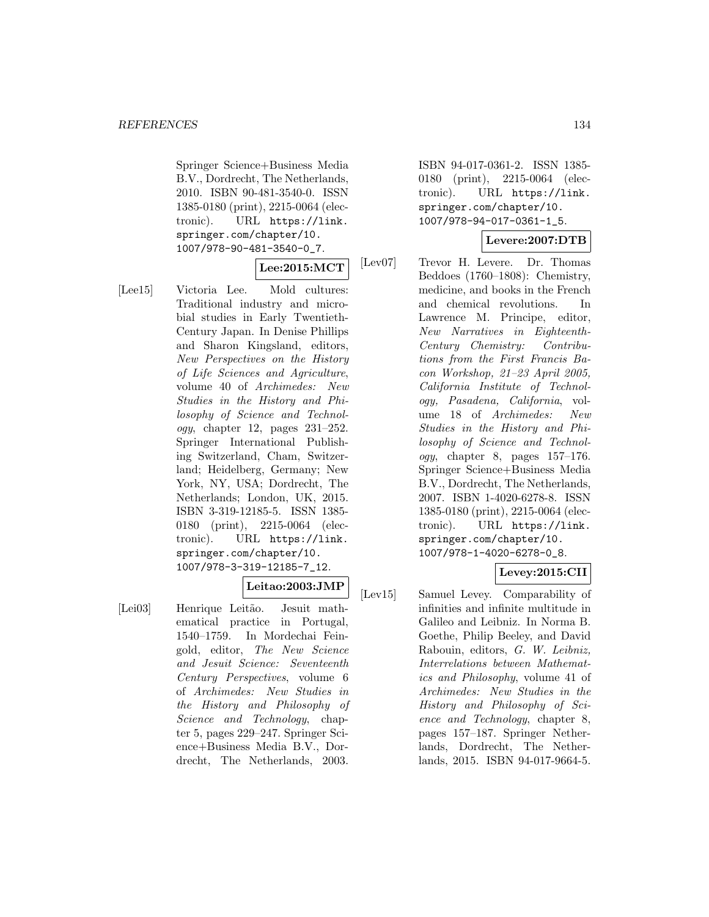Springer Science+Business Media B.V., Dordrecht, The Netherlands, 2010. ISBN 90-481-3540-0. ISSN 1385-0180 (print), 2215-0064 (electronic). URL https://link. springer.com/chapter/10. 1007/978-90-481-3540-0\_7.

### **Lee:2015:MCT**

[Lee15] Victoria Lee. Mold cultures: Traditional industry and microbial studies in Early Twentieth-Century Japan. In Denise Phillips and Sharon Kingsland, editors, New Perspectives on the History of Life Sciences and Agriculture, volume 40 of Archimedes: New Studies in the History and Philosophy of Science and Technology, chapter 12, pages 231–252. Springer International Publishing Switzerland, Cham, Switzerland; Heidelberg, Germany; New York, NY, USA; Dordrecht, The Netherlands; London, UK, 2015. ISBN 3-319-12185-5. ISSN 1385- 0180 (print), 2215-0064 (electronic). URL https://link. springer.com/chapter/10. 1007/978-3-319-12185-7\_12.

# **Leitao:2003:JMP**

[Lei03] Henrique Leitão. Jesuit mathematical practice in Portugal, 1540–1759. In Mordechai Feingold, editor, The New Science and Jesuit Science: Seventeenth Century Perspectives, volume 6 of Archimedes: New Studies in the History and Philosophy of Science and Technology, chapter 5, pages 229–247. Springer Science+Business Media B.V., Dordrecht, The Netherlands, 2003.

ISBN 94-017-0361-2. ISSN 1385- 0180 (print), 2215-0064 (electronic). URL https://link. springer.com/chapter/10. 1007/978-94-017-0361-1\_5.

# **Levere:2007:DTB**

[Lev07] Trevor H. Levere. Dr. Thomas Beddoes (1760–1808): Chemistry, medicine, and books in the French and chemical revolutions. In Lawrence M. Principe, editor, New Narratives in Eighteenth-Century Chemistry: Contributions from the First Francis Bacon Workshop, 21–23 April 2005, California Institute of Technology, Pasadena, California, volume 18 of Archimedes: New Studies in the History and Philosophy of Science and Technology, chapter 8, pages 157–176. Springer Science+Business Media B.V., Dordrecht, The Netherlands, 2007. ISBN 1-4020-6278-8. ISSN 1385-0180 (print), 2215-0064 (electronic). URL https://link. springer.com/chapter/10. 1007/978-1-4020-6278-0\_8.

# **Levey:2015:CII**

[Lev15] Samuel Levey. Comparability of infinities and infinite multitude in Galileo and Leibniz. In Norma B. Goethe, Philip Beeley, and David Rabouin, editors, G. W. Leibniz, Interrelations between Mathematics and Philosophy, volume 41 of Archimedes: New Studies in the History and Philosophy of Science and Technology, chapter 8, pages 157–187. Springer Netherlands, Dordrecht, The Netherlands, 2015. ISBN 94-017-9664-5.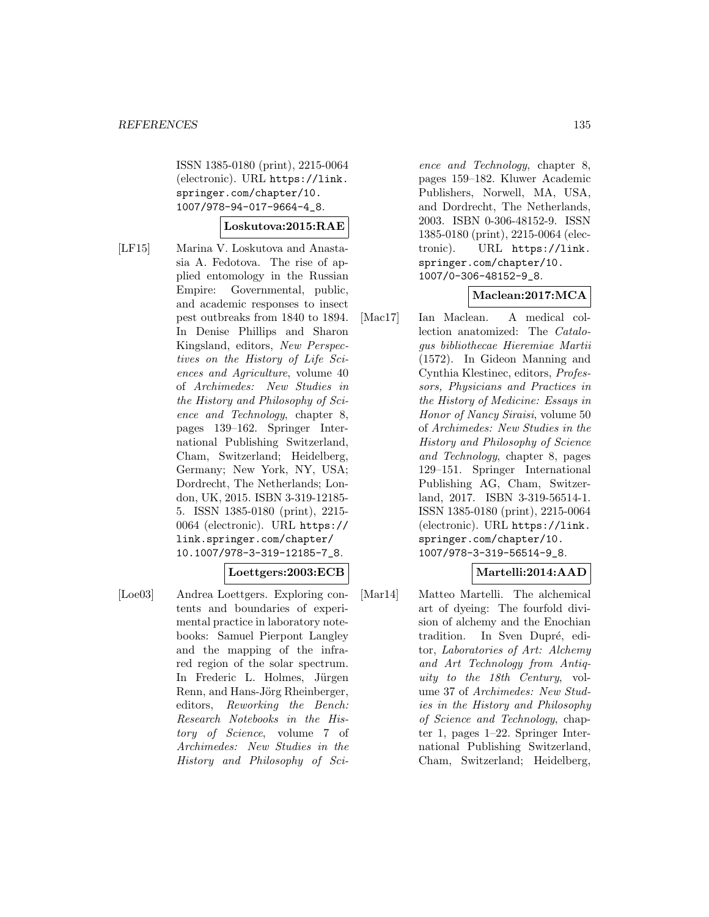ISSN 1385-0180 (print), 2215-0064 (electronic). URL https://link. springer.com/chapter/10. 1007/978-94-017-9664-4\_8.

### **Loskutova:2015:RAE**

[LF15] Marina V. Loskutova and Anastasia A. Fedotova. The rise of applied entomology in the Russian Empire: Governmental, public, and academic responses to insect pest outbreaks from 1840 to 1894. In Denise Phillips and Sharon Kingsland, editors, New Perspectives on the History of Life Sciences and Agriculture, volume 40 of Archimedes: New Studies in the History and Philosophy of Science and Technology, chapter 8, pages 139–162. Springer International Publishing Switzerland, Cham, Switzerland; Heidelberg, Germany; New York, NY, USA; Dordrecht, The Netherlands; London, UK, 2015. ISBN 3-319-12185- 5. ISSN 1385-0180 (print), 2215- 0064 (electronic). URL https:// link.springer.com/chapter/ 10.1007/978-3-319-12185-7\_8.

## **Loettgers:2003:ECB**

[Loe03] Andrea Loettgers. Exploring contents and boundaries of experimental practice in laboratory notebooks: Samuel Pierpont Langley and the mapping of the infrared region of the solar spectrum. In Frederic L. Holmes, Jürgen Renn, and Hans-Jörg Rheinberger, editors, Reworking the Bench: Research Notebooks in the History of Science, volume 7 of Archimedes: New Studies in the History and Philosophy of Sci-

ence and Technology, chapter 8, pages 159–182. Kluwer Academic Publishers, Norwell, MA, USA, and Dordrecht, The Netherlands, 2003. ISBN 0-306-48152-9. ISSN 1385-0180 (print), 2215-0064 (electronic). URL https://link. springer.com/chapter/10. 1007/0-306-48152-9\_8.

### **Maclean:2017:MCA**

[Mac17] Ian Maclean. A medical collection anatomized: The Catalogus bibliothecae Hieremiae Martii (1572). In Gideon Manning and Cynthia Klestinec, editors, Professors, Physicians and Practices in the History of Medicine: Essays in Honor of Nancy Siraisi, volume 50 of Archimedes: New Studies in the History and Philosophy of Science and Technology, chapter 8, pages 129–151. Springer International Publishing AG, Cham, Switzerland, 2017. ISBN 3-319-56514-1. ISSN 1385-0180 (print), 2215-0064 (electronic). URL https://link. springer.com/chapter/10. 1007/978-3-319-56514-9\_8.

## **Martelli:2014:AAD**

[Mar14] Matteo Martelli. The alchemical art of dyeing: The fourfold division of alchemy and the Enochian tradition. In Sven Dupré, editor, Laboratories of Art: Alchemy and Art Technology from Antiquity to the 18th Century, volume 37 of Archimedes: New Studies in the History and Philosophy of Science and Technology, chapter 1, pages 1–22. Springer International Publishing Switzerland, Cham, Switzerland; Heidelberg,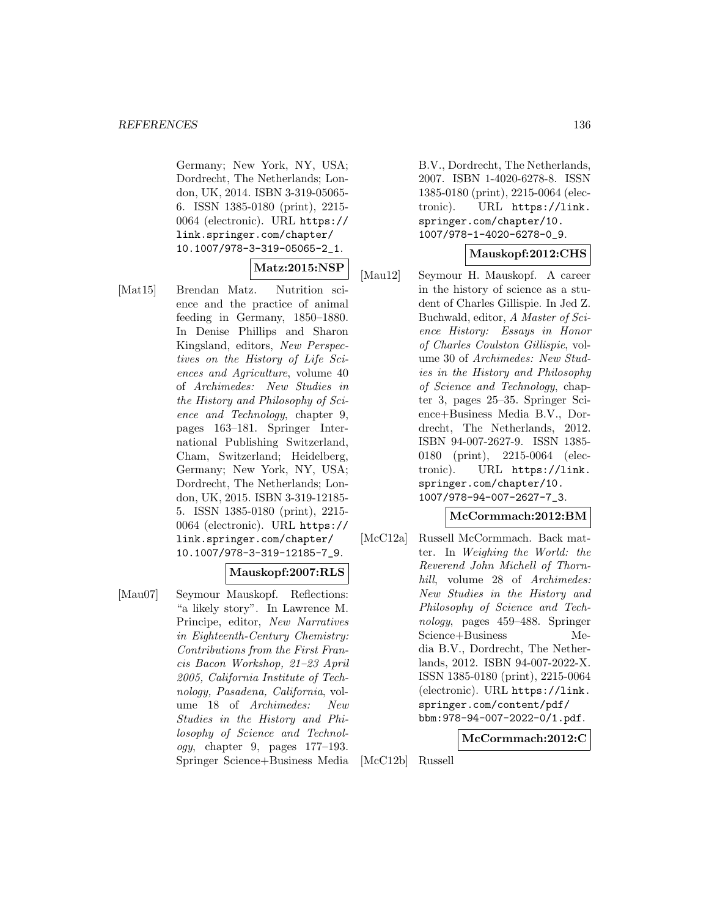Germany; New York, NY, USA; Dordrecht, The Netherlands; London, UK, 2014. ISBN 3-319-05065- 6. ISSN 1385-0180 (print), 2215- 0064 (electronic). URL https:// link.springer.com/chapter/ 10.1007/978-3-319-05065-2\_1.

### **Matz:2015:NSP**

[Mat15] Brendan Matz. Nutrition science and the practice of animal feeding in Germany, 1850–1880. In Denise Phillips and Sharon Kingsland, editors, New Perspectives on the History of Life Sciences and Agriculture, volume 40 of Archimedes: New Studies in the History and Philosophy of Science and Technology, chapter 9, pages 163–181. Springer International Publishing Switzerland, Cham, Switzerland; Heidelberg, Germany; New York, NY, USA; Dordrecht, The Netherlands; London, UK, 2015. ISBN 3-319-12185- 5. ISSN 1385-0180 (print), 2215- 0064 (electronic). URL https:// link.springer.com/chapter/ 10.1007/978-3-319-12185-7\_9.

# **Mauskopf:2007:RLS**

[Mau07] Seymour Mauskopf. Reflections: "a likely story". In Lawrence M. Principe, editor, New Narratives in Eighteenth-Century Chemistry: Contributions from the First Francis Bacon Workshop, 21–23 April 2005, California Institute of Technology, Pasadena, California, volume 18 of Archimedes: New Studies in the History and Philosophy of Science and Technol $oqu$ , chapter 9, pages  $177-193$ . Springer Science+Business Media B.V., Dordrecht, The Netherlands, 2007. ISBN 1-4020-6278-8. ISSN 1385-0180 (print), 2215-0064 (electronic). URL https://link. springer.com/chapter/10. 1007/978-1-4020-6278-0\_9.

### **Mauskopf:2012:CHS**

[Mau12] Seymour H. Mauskopf. A career in the history of science as a student of Charles Gillispie. In Jed Z. Buchwald, editor, A Master of Science History: Essays in Honor of Charles Coulston Gillispie, volume 30 of Archimedes: New Studies in the History and Philosophy of Science and Technology, chapter 3, pages 25–35. Springer Science+Business Media B.V., Dordrecht, The Netherlands, 2012. ISBN 94-007-2627-9. ISSN 1385- 0180 (print), 2215-0064 (electronic). URL https://link. springer.com/chapter/10. 1007/978-94-007-2627-7\_3.

# **McCormmach:2012:BM**

[McC12a] Russell McCormmach. Back matter. In Weighing the World: the Reverend John Michell of Thornhill, volume 28 of Archimedes: New Studies in the History and Philosophy of Science and Technology, pages 459–488. Springer Science+Business Media B.V., Dordrecht, The Netherlands, 2012. ISBN 94-007-2022-X. ISSN 1385-0180 (print), 2215-0064 (electronic). URL https://link. springer.com/content/pdf/ bbm:978-94-007-2022-0/1.pdf.

### **McCormmach:2012:C**

[McC12b] Russell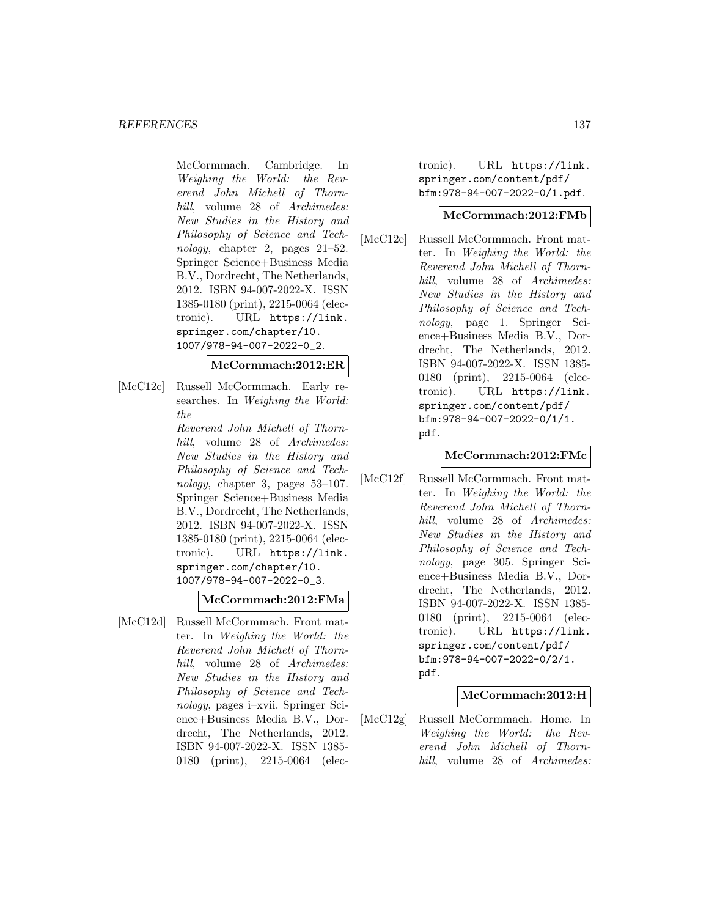McCormmach. Cambridge. In Weighing the World: the Reverend John Michell of Thornhill, volume 28 of Archimedes: New Studies in the History and Philosophy of Science and Technology, chapter 2, pages 21–52. Springer Science+Business Media B.V., Dordrecht, The Netherlands, 2012. ISBN 94-007-2022-X. ISSN 1385-0180 (print), 2215-0064 (electronic). URL https://link. springer.com/chapter/10. 1007/978-94-007-2022-0\_2.

#### **McCormmach:2012:ER**

[McC12c] Russell McCormmach. Early researches. In Weighing the World: the

> Reverend John Michell of Thornhill, volume 28 of Archimedes: New Studies in the History and Philosophy of Science and Technology, chapter 3, pages 53–107. Springer Science+Business Media B.V., Dordrecht, The Netherlands, 2012. ISBN 94-007-2022-X. ISSN 1385-0180 (print), 2215-0064 (electronic). URL https://link. springer.com/chapter/10. 1007/978-94-007-2022-0\_3.

### **McCormmach:2012:FMa**

[McC12d] Russell McCormmach. Front matter. In Weighing the World: the Reverend John Michell of Thornhill, volume 28 of Archimedes: New Studies in the History and Philosophy of Science and Technology, pages i–xvii. Springer Science+Business Media B.V., Dordrecht, The Netherlands, 2012. ISBN 94-007-2022-X. ISSN 1385- 0180 (print), 2215-0064 (electronic). URL https://link. springer.com/content/pdf/ bfm:978-94-007-2022-0/1.pdf.

### **McCormmach:2012:FMb**

[McC12e] Russell McCormmach. Front matter. In Weighing the World: the Reverend John Michell of Thornhill, volume 28 of Archimedes: New Studies in the History and Philosophy of Science and Technology, page 1. Springer Science+Business Media B.V., Dordrecht, The Netherlands, 2012. ISBN 94-007-2022-X. ISSN 1385- 0180 (print), 2215-0064 (electronic). URL https://link. springer.com/content/pdf/ bfm:978-94-007-2022-0/1/1. pdf.

### **McCormmach:2012:FMc**

[McC12f] Russell McCormmach. Front matter. In Weighing the World: the Reverend John Michell of Thornhill, volume 28 of Archimedes: New Studies in the History and Philosophy of Science and Technology, page 305. Springer Science+Business Media B.V., Dordrecht, The Netherlands, 2012. ISBN 94-007-2022-X. ISSN 1385- 0180 (print), 2215-0064 (electronic). URL https://link. springer.com/content/pdf/ bfm:978-94-007-2022-0/2/1. pdf.

### **McCormmach:2012:H**

[McC12g] Russell McCormmach. Home. In Weighing the World: the Reverend John Michell of Thornhill, volume 28 of Archimedes: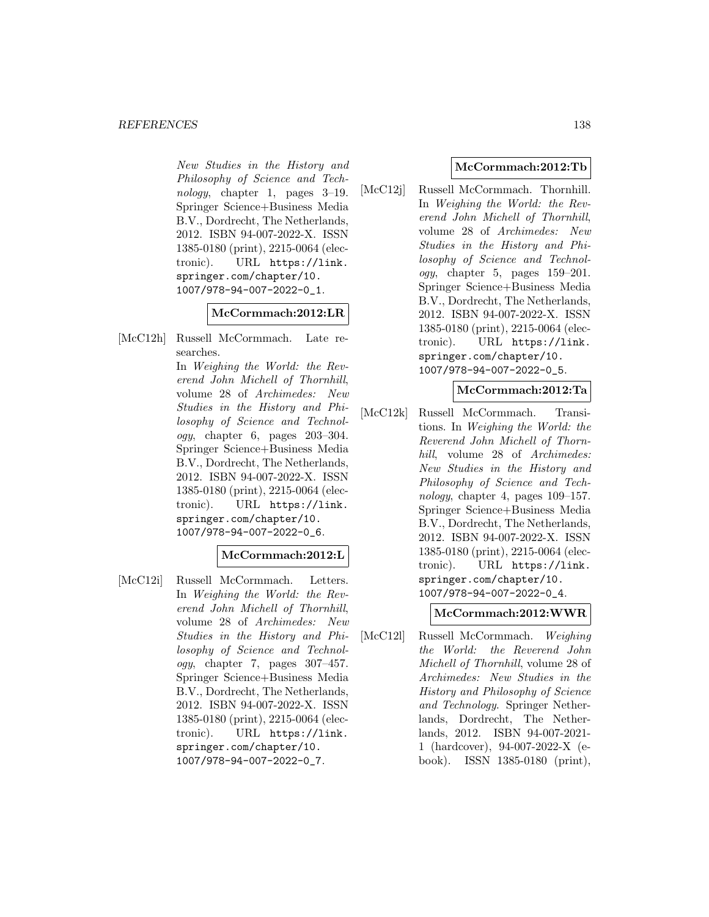#### *REFERENCES* 138

New Studies in the History and Philosophy of Science and Technology, chapter 1, pages 3–19. Springer Science+Business Media B.V., Dordrecht, The Netherlands, 2012. ISBN 94-007-2022-X. ISSN 1385-0180 (print), 2215-0064 (electronic). URL https://link. springer.com/chapter/10. 1007/978-94-007-2022-0\_1.

#### **McCormmach:2012:LR**

[McC12h] Russell McCormmach. Late researches. In Weighing the World: the Rev-

erend John Michell of Thornhill, volume 28 of Archimedes: New Studies in the History and Philosophy of Science and Technol $ogy$ , chapter 6, pages  $203-304$ . Springer Science+Business Media B.V., Dordrecht, The Netherlands, 2012. ISBN 94-007-2022-X. ISSN 1385-0180 (print), 2215-0064 (electronic). URL https://link. springer.com/chapter/10. 1007/978-94-007-2022-0\_6.

### **McCormmach:2012:L**

[McC12i] Russell McCormmach. Letters. In Weighing the World: the Reverend John Michell of Thornhill, volume 28 of Archimedes: New Studies in the History and Philosophy of Science and Technol $ogy$ , chapter 7, pages  $307-457$ . Springer Science+Business Media B.V., Dordrecht, The Netherlands, 2012. ISBN 94-007-2022-X. ISSN 1385-0180 (print), 2215-0064 (electronic). URL https://link. springer.com/chapter/10. 1007/978-94-007-2022-0\_7.

### **McCormmach:2012:Tb**

[McC12j] Russell McCormmach. Thornhill. In Weighing the World: the Reverend John Michell of Thornhill, volume 28 of Archimedes: New Studies in the History and Philosophy of Science and Technology, chapter 5, pages 159–201. Springer Science+Business Media B.V., Dordrecht, The Netherlands, 2012. ISBN 94-007-2022-X. ISSN 1385-0180 (print), 2215-0064 (electronic). URL https://link. springer.com/chapter/10. 1007/978-94-007-2022-0\_5.

#### **McCormmach:2012:Ta**

[McC12k] Russell McCormmach. Transitions. In Weighing the World: the Reverend John Michell of Thornhill, volume 28 of Archimedes: New Studies in the History and Philosophy of Science and Technology, chapter 4, pages 109–157. Springer Science+Business Media B.V., Dordrecht, The Netherlands, 2012. ISBN 94-007-2022-X. ISSN 1385-0180 (print), 2215-0064 (electronic). URL https://link. springer.com/chapter/10. 1007/978-94-007-2022-0\_4.

### **McCormmach:2012:WWR**

[McC12l] Russell McCormmach. Weighing the World: the Reverend John Michell of Thornhill, volume 28 of Archimedes: New Studies in the History and Philosophy of Science and Technology. Springer Netherlands, Dordrecht, The Netherlands, 2012. ISBN 94-007-2021- 1 (hardcover), 94-007-2022-X (ebook). ISSN 1385-0180 (print),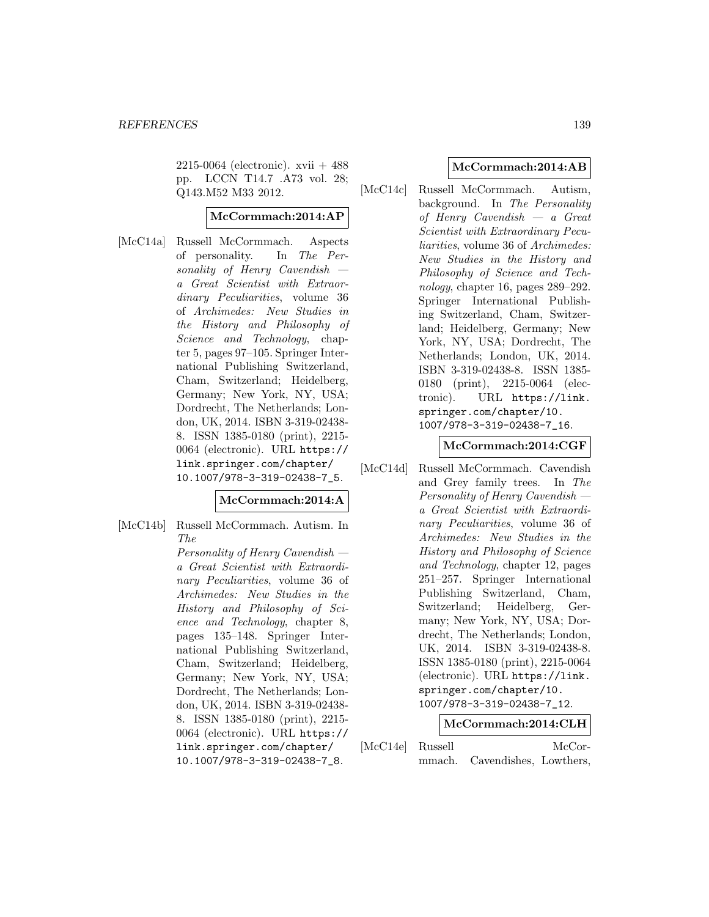$2215-0064$  (electronic). xvii  $+488$ pp. LCCN T14.7 .A73 vol. 28; Q143.M52 M33 2012.

#### **McCormmach:2014:AP**

[McC14a] Russell McCormmach. Aspects of personality. In The Personality of Henry Cavendish a Great Scientist with Extraordinary Peculiarities, volume 36 of Archimedes: New Studies in the History and Philosophy of Science and Technology, chapter 5, pages 97–105. Springer International Publishing Switzerland, Cham, Switzerland; Heidelberg, Germany; New York, NY, USA; Dordrecht, The Netherlands; London, UK, 2014. ISBN 3-319-02438- 8. ISSN 1385-0180 (print), 2215- 0064 (electronic). URL https:// link.springer.com/chapter/ 10.1007/978-3-319-02438-7\_5.

### **McCormmach:2014:A**

[McC14b] Russell McCormmach. Autism. In The

> Personality of Henry Cavendish a Great Scientist with Extraordinary Peculiarities, volume 36 of Archimedes: New Studies in the History and Philosophy of Science and Technology, chapter 8, pages 135–148. Springer International Publishing Switzerland, Cham, Switzerland; Heidelberg, Germany; New York, NY, USA; Dordrecht, The Netherlands; London, UK, 2014. ISBN 3-319-02438- 8. ISSN 1385-0180 (print), 2215- 0064 (electronic). URL https:// link.springer.com/chapter/ 10.1007/978-3-319-02438-7\_8.

#### **McCormmach:2014:AB**

[McC14c] Russell McCormmach. Autism, background. In The Personality of Henry Cavendish — a Great Scientist with Extraordinary Peculiarities, volume 36 of Archimedes: New Studies in the History and Philosophy of Science and Technology, chapter 16, pages 289–292. Springer International Publishing Switzerland, Cham, Switzerland; Heidelberg, Germany; New York, NY, USA; Dordrecht, The Netherlands; London, UK, 2014. ISBN 3-319-02438-8. ISSN 1385- 0180 (print), 2215-0064 (electronic). URL https://link. springer.com/chapter/10. 1007/978-3-319-02438-7\_16.

#### **McCormmach:2014:CGF**

[McC14d] Russell McCormmach. Cavendish and Grey family trees. In The Personality of Henry Cavendish a Great Scientist with Extraordinary Peculiarities, volume 36 of Archimedes: New Studies in the History and Philosophy of Science and Technology, chapter 12, pages 251–257. Springer International Publishing Switzerland, Cham, Switzerland; Heidelberg, Germany; New York, NY, USA; Dordrecht, The Netherlands; London, UK, 2014. ISBN 3-319-02438-8. ISSN 1385-0180 (print), 2215-0064 (electronic). URL https://link. springer.com/chapter/10. 1007/978-3-319-02438-7\_12.

### **McCormmach:2014:CLH**

| [McC14e] Russell |                               | McCor- |
|------------------|-------------------------------|--------|
|                  | mmach. Cavendishes, Lowthers, |        |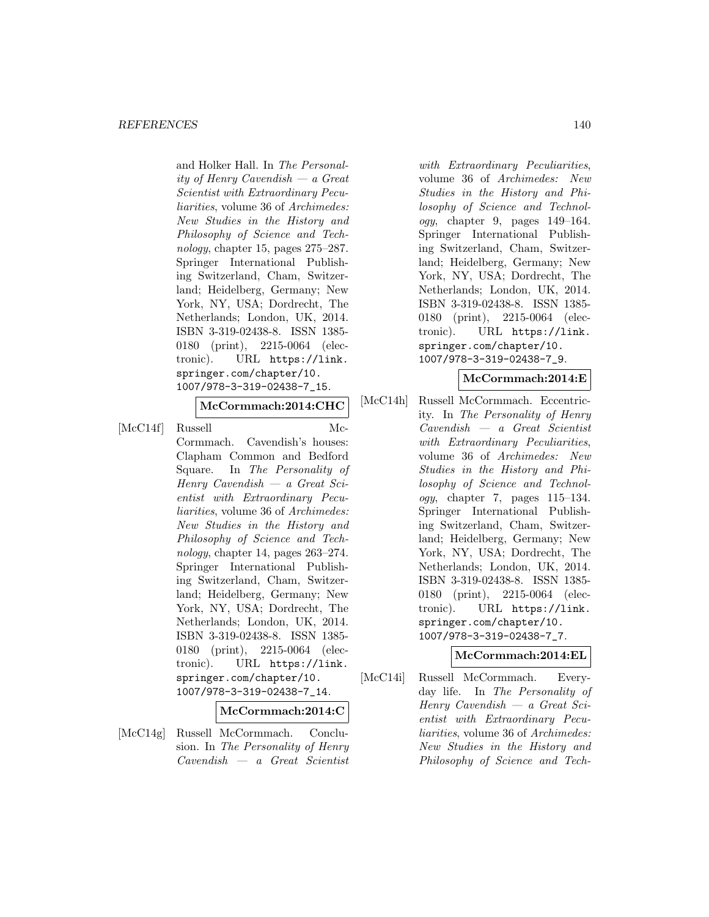#### *REFERENCES* 140

and Holker Hall. In The Personality of Henry Cavendish — a Great Scientist with Extraordinary Peculiarities, volume 36 of Archimedes: New Studies in the History and Philosophy of Science and Technology, chapter 15, pages 275–287. Springer International Publishing Switzerland, Cham, Switzerland; Heidelberg, Germany; New York, NY, USA; Dordrecht, The Netherlands; London, UK, 2014. ISBN 3-319-02438-8. ISSN 1385- 0180 (print), 2215-0064 (electronic). URL https://link. springer.com/chapter/10. 1007/978-3-319-02438-7\_15.

**McCormmach:2014:CHC**

[McC14f] Russell Mc-Cormmach. Cavendish's houses: Clapham Common and Bedford Square. In The Personality of Henry Cavendish — a Great Scientist with Extraordinary Peculiarities, volume 36 of Archimedes: New Studies in the History and Philosophy of Science and Technology, chapter 14, pages  $263-274$ . Springer International Publishing Switzerland, Cham, Switzerland; Heidelberg, Germany; New York, NY, USA; Dordrecht, The Netherlands; London, UK, 2014. ISBN 3-319-02438-8. ISSN 1385- 0180 (print), 2215-0064 (electronic). URL https://link. springer.com/chapter/10. 1007/978-3-319-02438-7\_14.

### **McCormmach:2014:C**

[McC14g] Russell McCormmach. Conclusion. In The Personality of Henry Cavendish — a Great Scientist

with Extraordinary Peculiarities, volume 36 of Archimedes: New Studies in the History and Philosophy of Science and Technology, chapter 9, pages 149–164. Springer International Publishing Switzerland, Cham, Switzerland; Heidelberg, Germany; New York, NY, USA; Dordrecht, The Netherlands; London, UK, 2014. ISBN 3-319-02438-8. ISSN 1385- 0180 (print), 2215-0064 (electronic). URL https://link. springer.com/chapter/10. 1007/978-3-319-02438-7\_9.

### **McCormmach:2014:E**

[McC14h] Russell McCormmach. Eccentricity. In The Personality of Henry Cavendish — a Great Scientist with Extraordinary Peculiarities, volume 36 of Archimedes: New Studies in the History and Philosophy of Science and Technology, chapter 7, pages 115–134. Springer International Publishing Switzerland, Cham, Switzerland; Heidelberg, Germany; New York, NY, USA; Dordrecht, The Netherlands; London, UK, 2014. ISBN 3-319-02438-8. ISSN 1385- 0180 (print), 2215-0064 (electronic). URL https://link. springer.com/chapter/10. 1007/978-3-319-02438-7\_7.

### **McCormmach:2014:EL**

[McC14i] Russell McCormmach. Everyday life. In The Personality of Henry Cavendish — a Great Scientist with Extraordinary Peculiarities, volume 36 of Archimedes: New Studies in the History and Philosophy of Science and Tech-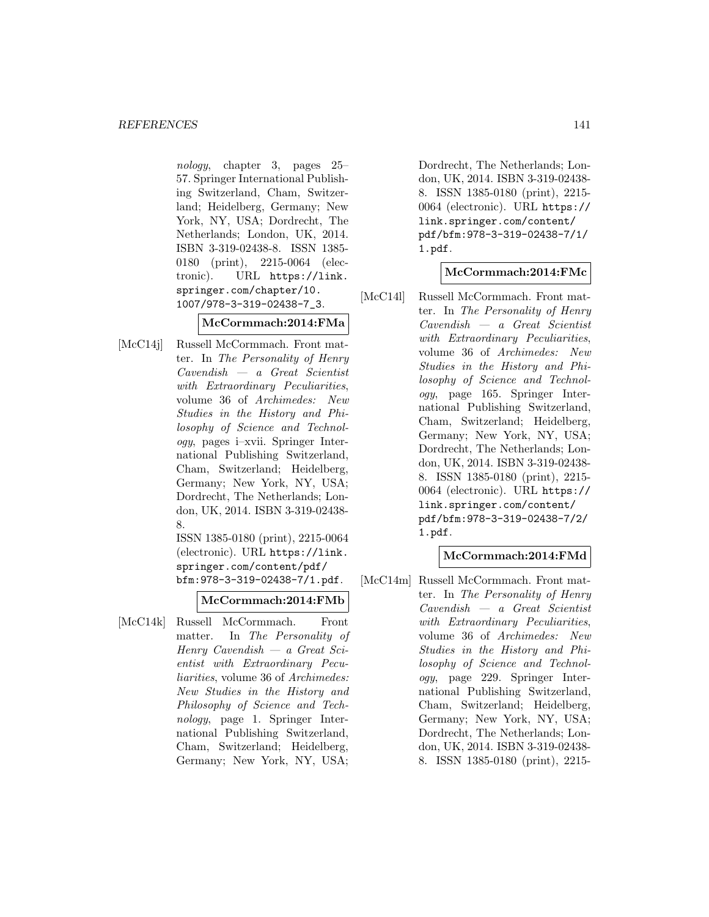nology, chapter 3, pages 25– 57. Springer International Publishing Switzerland, Cham, Switzerland; Heidelberg, Germany; New York, NY, USA; Dordrecht, The Netherlands; London, UK, 2014. ISBN 3-319-02438-8. ISSN 1385- 0180 (print), 2215-0064 (electronic). URL https://link. springer.com/chapter/10. 1007/978-3-319-02438-7\_3.

## **McCormmach:2014:FMa**

[McC14j] Russell McCormmach. Front matter. In The Personality of Henry Cavendish — a Great Scientist with Extraordinary Peculiarities, volume 36 of Archimedes: New Studies in the History and Philosophy of Science and Technology, pages i–xvii. Springer International Publishing Switzerland, Cham, Switzerland; Heidelberg, Germany; New York, NY, USA; Dordrecht, The Netherlands; London, UK, 2014. ISBN 3-319-02438- 8.

ISSN 1385-0180 (print), 2215-0064 (electronic). URL https://link. springer.com/content/pdf/ bfm:978-3-319-02438-7/1.pdf.

### **McCormmach:2014:FMb**

[McC14k] Russell McCormmach. Front matter. In The Personality of Henry Cavendish — a Great Scientist with Extraordinary Peculiarities, volume 36 of Archimedes: New Studies in the History and Philosophy of Science and Technology, page 1. Springer International Publishing Switzerland, Cham, Switzerland; Heidelberg, Germany; New York, NY, USA; Dordrecht, The Netherlands; London, UK, 2014. ISBN 3-319-02438- 8. ISSN 1385-0180 (print), 2215- 0064 (electronic). URL https:// link.springer.com/content/ pdf/bfm:978-3-319-02438-7/1/ 1.pdf.

### **McCormmach:2014:FMc**

[McC141] Russell McCormmach. Front matter. In The Personality of Henry Cavendish — a Great Scientist with Extraordinary Peculiarities, volume 36 of Archimedes: New Studies in the History and Philosophy of Science and Technology, page 165. Springer International Publishing Switzerland, Cham, Switzerland; Heidelberg, Germany; New York, NY, USA; Dordrecht, The Netherlands; London, UK, 2014. ISBN 3-319-02438- 8. ISSN 1385-0180 (print), 2215- 0064 (electronic). URL https:// link.springer.com/content/ pdf/bfm:978-3-319-02438-7/2/ 1.pdf.

### **McCormmach:2014:FMd**

[McC14m] Russell McCormmach. Front matter. In The Personality of Henry Cavendish — a Great Scientist with Extraordinary Peculiarities, volume 36 of Archimedes: New Studies in the History and Philosophy of Science and Technology, page 229. Springer International Publishing Switzerland, Cham, Switzerland; Heidelberg, Germany; New York, NY, USA; Dordrecht, The Netherlands; London, UK, 2014. ISBN 3-319-02438- 8. ISSN 1385-0180 (print), 2215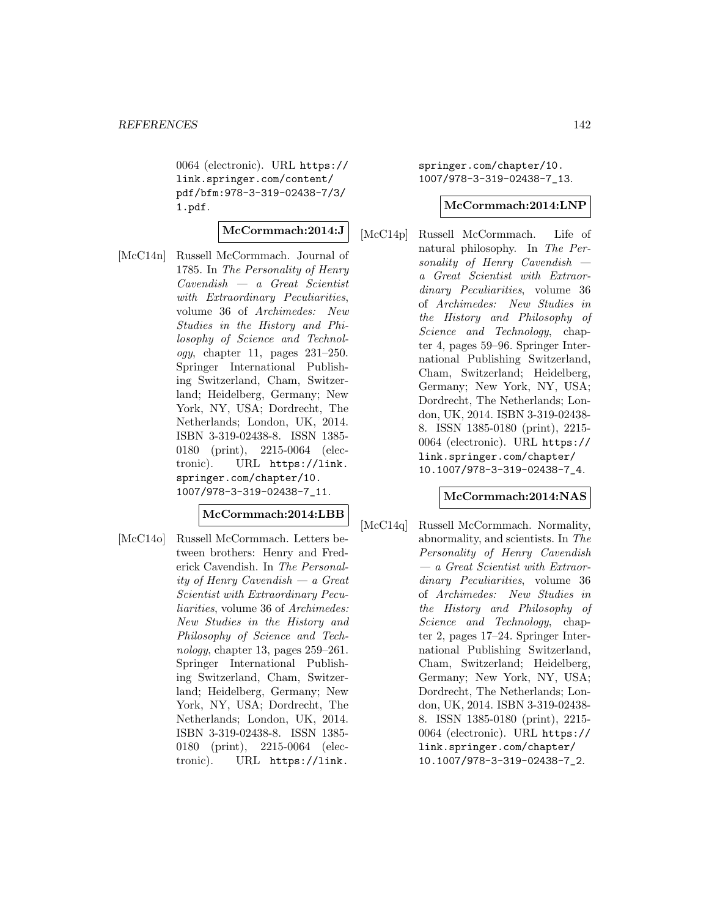0064 (electronic). URL https:// link.springer.com/content/ pdf/bfm:978-3-319-02438-7/3/ 1.pdf.

# **McCormmach:2014:J**

[McC14n] Russell McCormmach. Journal of 1785. In The Personality of Henry Cavendish — a Great Scientist with Extraordinary Peculiarities, volume 36 of Archimedes: New Studies in the History and Philosophy of Science and Technol $oqy$ , chapter 11, pages  $231-250$ . Springer International Publishing Switzerland, Cham, Switzerland; Heidelberg, Germany; New York, NY, USA; Dordrecht, The Netherlands; London, UK, 2014. ISBN 3-319-02438-8. ISSN 1385- 0180 (print), 2215-0064 (electronic). URL https://link. springer.com/chapter/10. 1007/978-3-319-02438-7\_11.

## **McCormmach:2014:LBB**

[McC14o] Russell McCormmach. Letters between brothers: Henry and Frederick Cavendish. In The Personality of Henry Cavendish — a Great Scientist with Extraordinary Peculiarities, volume 36 of Archimedes: New Studies in the History and Philosophy of Science and Technology, chapter 13, pages  $259-261$ . Springer International Publishing Switzerland, Cham, Switzerland; Heidelberg, Germany; New York, NY, USA; Dordrecht, The Netherlands; London, UK, 2014. ISBN 3-319-02438-8. ISSN 1385- 0180 (print), 2215-0064 (electronic). URL https://link.

springer.com/chapter/10. 1007/978-3-319-02438-7\_13.

#### **McCormmach:2014:LNP**

[McC14p] Russell McCormmach. Life of natural philosophy. In The Personality of Henry Cavendish a Great Scientist with Extraordinary Peculiarities, volume 36 of Archimedes: New Studies in the History and Philosophy of Science and Technology, chapter 4, pages 59–96. Springer International Publishing Switzerland, Cham, Switzerland; Heidelberg, Germany; New York, NY, USA; Dordrecht, The Netherlands; London, UK, 2014. ISBN 3-319-02438- 8. ISSN 1385-0180 (print), 2215- 0064 (electronic). URL https:// link.springer.com/chapter/ 10.1007/978-3-319-02438-7\_4.

### **McCormmach:2014:NAS**

[McC14q] Russell McCormmach. Normality, abnormality, and scientists. In The Personality of Henry Cavendish — a Great Scientist with Extraordinary Peculiarities, volume 36 of Archimedes: New Studies in the History and Philosophy of Science and Technology, chapter 2, pages 17–24. Springer International Publishing Switzerland, Cham, Switzerland; Heidelberg, Germany; New York, NY, USA; Dordrecht, The Netherlands; London, UK, 2014. ISBN 3-319-02438- 8. ISSN 1385-0180 (print), 2215- 0064 (electronic). URL https:// link.springer.com/chapter/ 10.1007/978-3-319-02438-7\_2.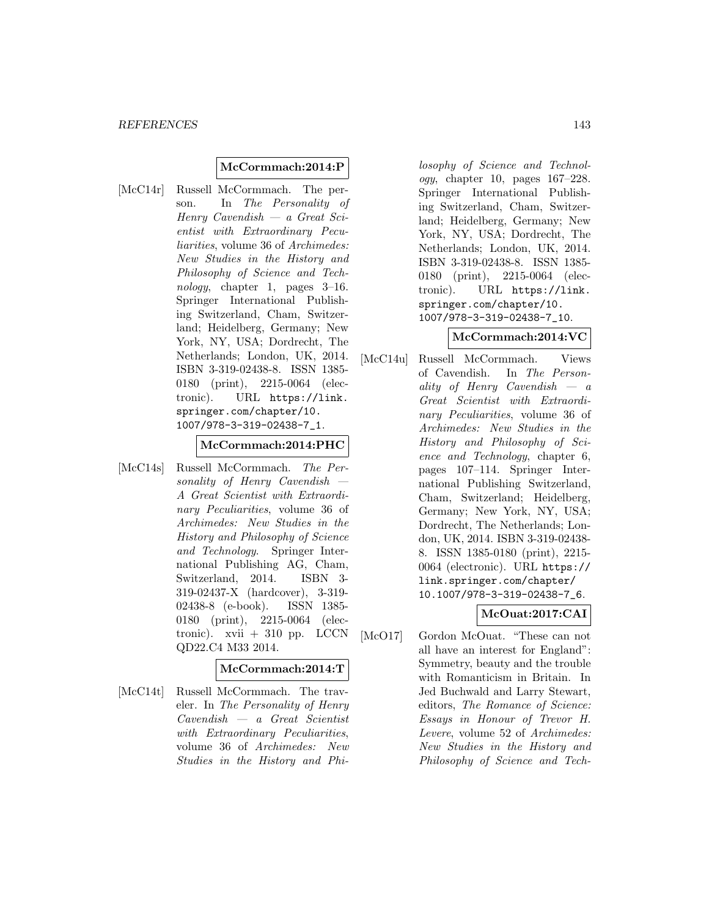### **McCormmach:2014:P**

[McC14r] Russell McCormmach. The person. In The Personality of Henry Cavendish — a Great Scientist with Extraordinary Peculiarities, volume 36 of Archimedes: New Studies in the History and Philosophy of Science and Technology, chapter 1, pages  $3-16$ . Springer International Publishing Switzerland, Cham, Switzerland; Heidelberg, Germany; New York, NY, USA; Dordrecht, The Netherlands; London, UK, 2014. ISBN 3-319-02438-8. ISSN 1385- 0180 (print), 2215-0064 (electronic). URL https://link. springer.com/chapter/10. 1007/978-3-319-02438-7\_1.

#### **McCormmach:2014:PHC**

[McC14s] Russell McCormmach. The Personality of Henry Cavendish A Great Scientist with Extraordinary Peculiarities, volume 36 of Archimedes: New Studies in the History and Philosophy of Science and Technology. Springer International Publishing AG, Cham, Switzerland, 2014. ISBN 3- 319-02437-X (hardcover), 3-319- 02438-8 (e-book). ISSN 1385- 0180 (print), 2215-0064 (electronic).  $xvii + 310$  pp. LCCN QD22.C4 M33 2014.

## **McCormmach:2014:T**

[McC14t] Russell McCormmach. The traveler. In The Personality of Henry Cavendish — a Great Scientist with Extraordinary Peculiarities, volume 36 of Archimedes: New Studies in the History and Phi-

losophy of Science and Technology, chapter 10, pages 167–228. Springer International Publishing Switzerland, Cham, Switzerland; Heidelberg, Germany; New York, NY, USA; Dordrecht, The Netherlands; London, UK, 2014. ISBN 3-319-02438-8. ISSN 1385- 0180 (print), 2215-0064 (electronic). URL https://link. springer.com/chapter/10. 1007/978-3-319-02438-7\_10.

### **McCormmach:2014:VC**

[McC14u] Russell McCormmach. Views of Cavendish. In The Personality of Henry Cavendish — a Great Scientist with Extraordinary Peculiarities, volume 36 of Archimedes: New Studies in the History and Philosophy of Science and Technology, chapter 6, pages 107–114. Springer International Publishing Switzerland, Cham, Switzerland; Heidelberg, Germany; New York, NY, USA; Dordrecht, The Netherlands; London, UK, 2014. ISBN 3-319-02438- 8. ISSN 1385-0180 (print), 2215- 0064 (electronic). URL https:// link.springer.com/chapter/ 10.1007/978-3-319-02438-7\_6.

# **McOuat:2017:CAI**

[McO17] Gordon McOuat. "These can not all have an interest for England": Symmetry, beauty and the trouble with Romanticism in Britain. In Jed Buchwald and Larry Stewart, editors, The Romance of Science: Essays in Honour of Trevor H. Levere, volume 52 of Archimedes: New Studies in the History and Philosophy of Science and Tech-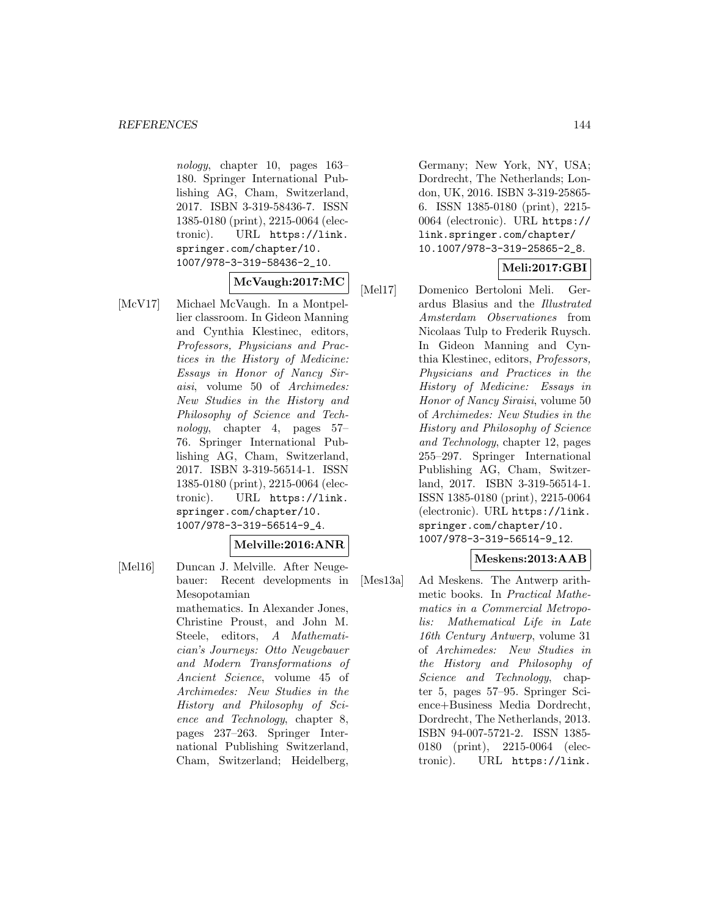nology, chapter 10, pages 163– 180. Springer International Publishing AG, Cham, Switzerland, 2017. ISBN 3-319-58436-7. ISSN 1385-0180 (print), 2215-0064 (electronic). URL https://link. springer.com/chapter/10. 1007/978-3-319-58436-2\_10.

### **McVaugh:2017:MC**

- [McV17] Michael McVaugh. In a Montpellier classroom. In Gideon Manning and Cynthia Klestinec, editors, Professors, Physicians and Practices in the History of Medicine: Essays in Honor of Nancy Siraisi, volume 50 of Archimedes: New Studies in the History and Philosophy of Science and Technology, chapter 4, pages 57– 76. Springer International Publishing AG, Cham, Switzerland, 2017. ISBN 3-319-56514-1. ISSN 1385-0180 (print), 2215-0064 (electronic). URL https://link. springer.com/chapter/10. 1007/978-3-319-56514-9\_4. **Melville:2016:ANR**
- [Mel16] Duncan J. Melville. After Neugebauer: Recent developments in Mesopotamian mathematics. In Alexander Jones, Christine Proust, and John M. Steele, editors, A Mathematician's Journeys: Otto Neugebauer and Modern Transformations of Ancient Science, volume 45 of Archimedes: New Studies in the History and Philosophy of Science and Technology, chapter 8, pages 237–263. Springer International Publishing Switzerland, Cham, Switzerland; Heidelberg,

Germany; New York, NY, USA; Dordrecht, The Netherlands; London, UK, 2016. ISBN 3-319-25865- 6. ISSN 1385-0180 (print), 2215- 0064 (electronic). URL https:// link.springer.com/chapter/ 10.1007/978-3-319-25865-2\_8.

# **Meli:2017:GBI**

[Mel17] Domenico Bertoloni Meli. Gerardus Blasius and the Illustrated Amsterdam Observationes from Nicolaas Tulp to Frederik Ruysch. In Gideon Manning and Cynthia Klestinec, editors, Professors, Physicians and Practices in the History of Medicine: Essays in Honor of Nancy Siraisi, volume 50 of Archimedes: New Studies in the History and Philosophy of Science and Technology, chapter 12, pages 255–297. Springer International Publishing AG, Cham, Switzerland, 2017. ISBN 3-319-56514-1. ISSN 1385-0180 (print), 2215-0064 (electronic). URL https://link. springer.com/chapter/10. 1007/978-3-319-56514-9\_12.

### **Meskens:2013:AAB**

[Mes13a] Ad Meskens. The Antwerp arithmetic books. In Practical Mathematics in a Commercial Metropolis: Mathematical Life in Late 16th Century Antwerp, volume 31 of Archimedes: New Studies in the History and Philosophy of Science and Technology, chapter 5, pages 57–95. Springer Science+Business Media Dordrecht, Dordrecht, The Netherlands, 2013. ISBN 94-007-5721-2. ISSN 1385- 0180 (print), 2215-0064 (electronic). URL https://link.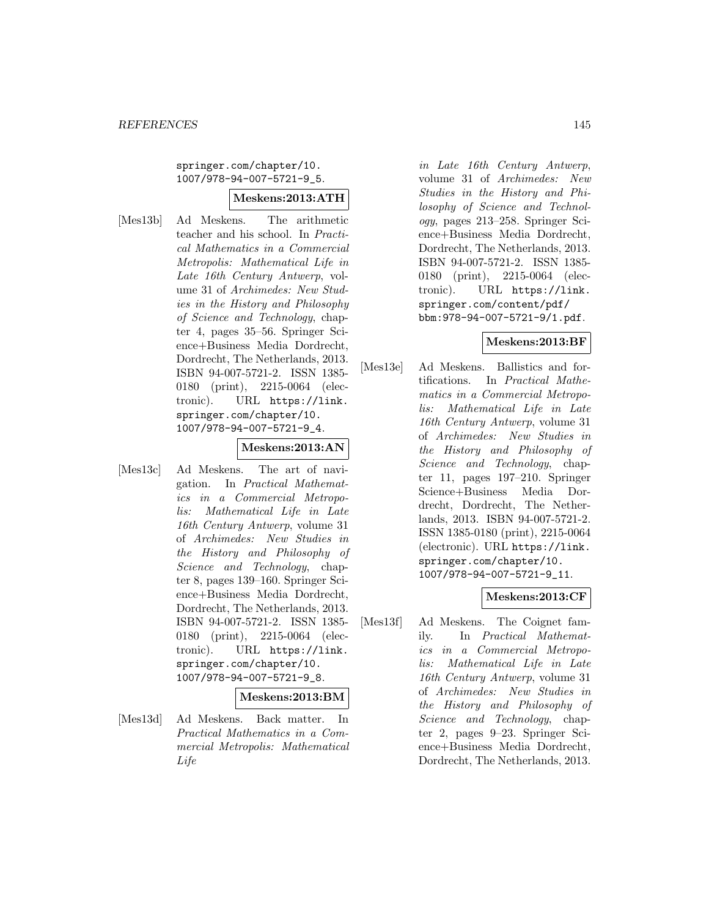#### springer.com/chapter/10. 1007/978-94-007-5721-9\_5.

#### **Meskens:2013:ATH**

[Mes13b] Ad Meskens. The arithmetic teacher and his school. In Practical Mathematics in a Commercial Metropolis: Mathematical Life in Late 16th Century Antwerp, volume 31 of Archimedes: New Studies in the History and Philosophy of Science and Technology, chapter 4, pages 35–56. Springer Science+Business Media Dordrecht, Dordrecht, The Netherlands, 2013. ISBN 94-007-5721-2. ISSN 1385- 0180 (print), 2215-0064 (electronic). URL https://link. springer.com/chapter/10. 1007/978-94-007-5721-9\_4.

## **Meskens:2013:AN**

[Mes13c] Ad Meskens. The art of navigation. In Practical Mathematics in a Commercial Metropolis: Mathematical Life in Late 16th Century Antwerp, volume 31 of Archimedes: New Studies in the History and Philosophy of Science and Technology, chapter 8, pages 139–160. Springer Science+Business Media Dordrecht, Dordrecht, The Netherlands, 2013. ISBN 94-007-5721-2. ISSN 1385- 0180 (print), 2215-0064 (electronic). URL https://link. springer.com/chapter/10. 1007/978-94-007-5721-9\_8.

#### **Meskens:2013:BM**

[Mes13d] Ad Meskens. Back matter. In Practical Mathematics in a Commercial Metropolis: Mathematical Life

in Late 16th Century Antwerp, volume 31 of Archimedes: New Studies in the History and Philosophy of Science and Technology, pages 213–258. Springer Science+Business Media Dordrecht, Dordrecht, The Netherlands, 2013. ISBN 94-007-5721-2. ISSN 1385- 0180 (print), 2215-0064 (electronic). URL https://link. springer.com/content/pdf/ bbm:978-94-007-5721-9/1.pdf.

#### **Meskens:2013:BF**

[Mes13e] Ad Meskens. Ballistics and fortifications. In Practical Mathematics in a Commercial Metropolis: Mathematical Life in Late 16th Century Antwerp, volume 31 of Archimedes: New Studies in the History and Philosophy of Science and Technology, chapter 11, pages 197–210. Springer Science+Business Media Dordrecht, Dordrecht, The Netherlands, 2013. ISBN 94-007-5721-2. ISSN 1385-0180 (print), 2215-0064 (electronic). URL https://link. springer.com/chapter/10. 1007/978-94-007-5721-9\_11.

#### **Meskens:2013:CF**

[Mes13f] Ad Meskens. The Coignet family. In Practical Mathematics in a Commercial Metropolis: Mathematical Life in Late 16th Century Antwerp, volume 31 of Archimedes: New Studies in the History and Philosophy of Science and Technology, chapter 2, pages 9–23. Springer Science+Business Media Dordrecht, Dordrecht, The Netherlands, 2013.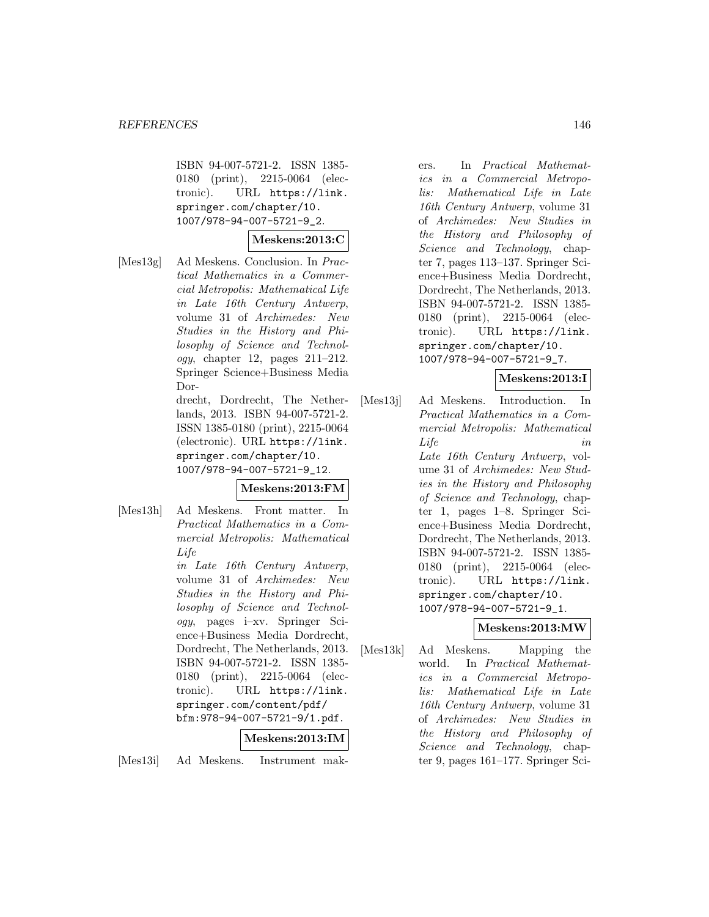ISBN 94-007-5721-2. ISSN 1385- 0180 (print), 2215-0064 (electronic). URL https://link. springer.com/chapter/10. 1007/978-94-007-5721-9\_2.

# **Meskens:2013:C**

[Mes13g] Ad Meskens. Conclusion. In Practical Mathematics in a Commercial Metropolis: Mathematical Life in Late 16th Century Antwerp, volume 31 of Archimedes: New Studies in the History and Philosophy of Science and Technol $oqu$ , chapter 12, pages  $211-212$ . Springer Science+Business Media Dor-

> drecht, Dordrecht, The Netherlands, 2013. ISBN 94-007-5721-2. ISSN 1385-0180 (print), 2215-0064 (electronic). URL https://link. springer.com/chapter/10. 1007/978-94-007-5721-9\_12.

## **Meskens:2013:FM**

[Mes13h] Ad Meskens. Front matter. In Practical Mathematics in a Commercial Metropolis: Mathematical Life

> in Late 16th Century Antwerp, volume 31 of Archimedes: New Studies in the History and Philosophy of Science and Technology, pages i–xv. Springer Science+Business Media Dordrecht, Dordrecht, The Netherlands, 2013. ISBN 94-007-5721-2. ISSN 1385- 0180 (print), 2215-0064 (electronic). URL https://link. springer.com/content/pdf/ bfm:978-94-007-5721-9/1.pdf.

# **Meskens:2013:IM**

[Mes13i] Ad Meskens. Instrument mak-

ers. In Practical Mathematics in a Commercial Metropolis: Mathematical Life in Late 16th Century Antwerp, volume 31 of Archimedes: New Studies in the History and Philosophy of Science and Technology, chapter 7, pages 113–137. Springer Science+Business Media Dordrecht, Dordrecht, The Netherlands, 2013. ISBN 94-007-5721-2. ISSN 1385- 0180 (print), 2215-0064 (electronic). URL https://link. springer.com/chapter/10. 1007/978-94-007-5721-9\_7.

# **Meskens:2013:I**

[Mes13j] Ad Meskens. Introduction. In Practical Mathematics in a Commercial Metropolis: Mathematical Life in Late 16th Century Antwerp, volume 31 of Archimedes: New Studies in the History and Philosophy of Science and Technology, chapter 1, pages 1–8. Springer Science+Business Media Dordrecht, Dordrecht, The Netherlands, 2013. ISBN 94-007-5721-2. ISSN 1385- 0180 (print), 2215-0064 (electronic). URL https://link. springer.com/chapter/10. 1007/978-94-007-5721-9\_1.

# **Meskens:2013:MW**

[Mes13k] Ad Meskens. Mapping the world. In Practical Mathematics in a Commercial Metropolis: Mathematical Life in Late 16th Century Antwerp, volume 31 of Archimedes: New Studies in the History and Philosophy of Science and Technology, chapter 9, pages 161–177. Springer Sci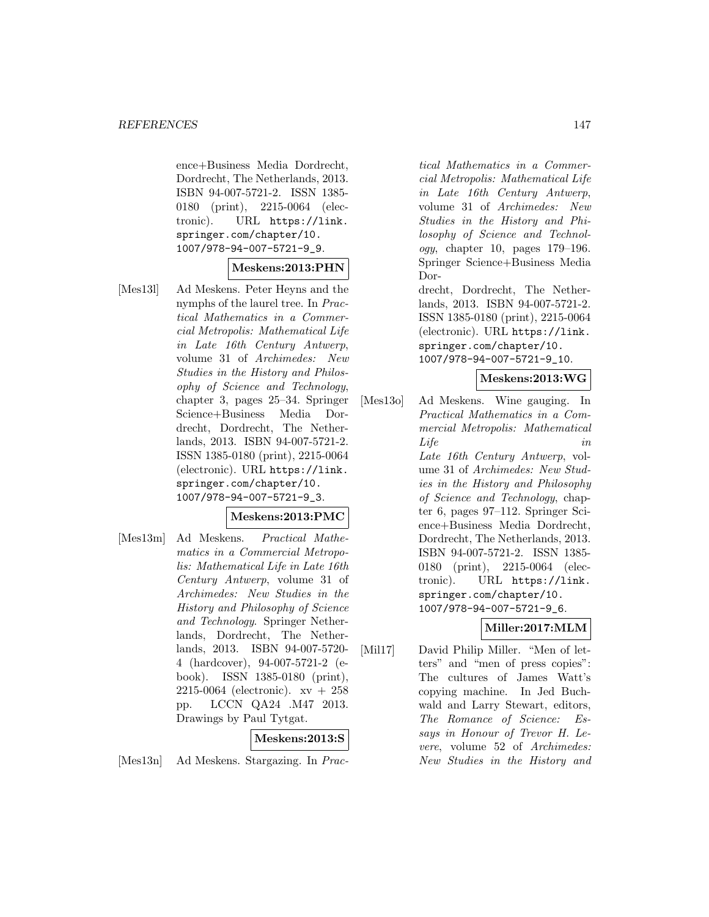ence+Business Media Dordrecht, Dordrecht, The Netherlands, 2013. ISBN 94-007-5721-2. ISSN 1385- 0180 (print), 2215-0064 (electronic). URL https://link. springer.com/chapter/10. 1007/978-94-007-5721-9\_9.

## **Meskens:2013:PHN**

[Mes13l] Ad Meskens. Peter Heyns and the nymphs of the laurel tree. In Practical Mathematics in a Commercial Metropolis: Mathematical Life in Late 16th Century Antwerp, volume 31 of Archimedes: New Studies in the History and Philosophy of Science and Technology, chapter 3, pages 25–34. Springer Science+Business Media Dordrecht, Dordrecht, The Netherlands, 2013. ISBN 94-007-5721-2. ISSN 1385-0180 (print), 2215-0064 (electronic). URL https://link. springer.com/chapter/10. 1007/978-94-007-5721-9\_3.

## **Meskens:2013:PMC**

[Mes13m] Ad Meskens. Practical Mathematics in a Commercial Metropolis: Mathematical Life in Late 16th Century Antwerp, volume 31 of Archimedes: New Studies in the History and Philosophy of Science and Technology. Springer Netherlands, Dordrecht, The Netherlands, 2013. ISBN 94-007-5720- 4 (hardcover), 94-007-5721-2 (ebook). ISSN 1385-0180 (print), 2215-0064 (electronic). xv + 258 pp. LCCN QA24 .M47 2013. Drawings by Paul Tytgat.

#### **Meskens:2013:S**

[Mes13n] Ad Meskens. Stargazing. In Prac-

tical Mathematics in a Commercial Metropolis: Mathematical Life in Late 16th Century Antwerp, volume 31 of Archimedes: New Studies in the History and Philosophy of Science and Technology, chapter 10, pages 179–196. Springer Science+Business Media Dor-

drecht, Dordrecht, The Netherlands, 2013. ISBN 94-007-5721-2. ISSN 1385-0180 (print), 2215-0064 (electronic). URL https://link. springer.com/chapter/10. 1007/978-94-007-5721-9\_10.

## **Meskens:2013:WG**

[Mes13o] Ad Meskens. Wine gauging. In Practical Mathematics in a Commercial Metropolis: Mathematical Life in Late 16th Century Antwerp, volume 31 of Archimedes: New Studies in the History and Philosophy of Science and Technology, chapter 6, pages 97–112. Springer Science+Business Media Dordrecht, Dordrecht, The Netherlands, 2013. ISBN 94-007-5721-2. ISSN 1385- 0180 (print), 2215-0064 (electronic). URL https://link. springer.com/chapter/10. 1007/978-94-007-5721-9\_6.

# **Miller:2017:MLM**

[Mil17] David Philip Miller. "Men of letters" and "men of press copies": The cultures of James Watt's copying machine. In Jed Buchwald and Larry Stewart, editors, The Romance of Science: Essays in Honour of Trevor H. Levere, volume 52 of Archimedes: New Studies in the History and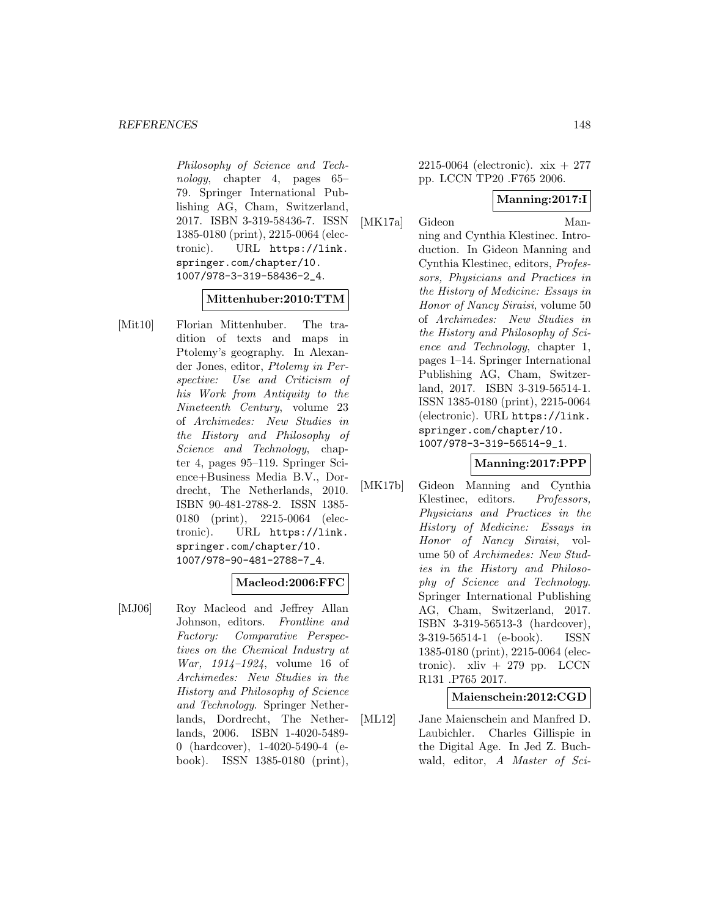Philosophy of Science and Technology, chapter 4, pages 65– 79. Springer International Publishing AG, Cham, Switzerland, 2017. ISBN 3-319-58436-7. ISSN 1385-0180 (print), 2215-0064 (electronic). URL https://link. springer.com/chapter/10. 1007/978-3-319-58436-2\_4.

## **Mittenhuber:2010:TTM**

[Mit10] Florian Mittenhuber. The tradition of texts and maps in Ptolemy's geography. In Alexander Jones, editor, Ptolemy in Perspective: Use and Criticism of his Work from Antiquity to the Nineteenth Century, volume 23 of Archimedes: New Studies in the History and Philosophy of Science and Technology, chapter 4, pages 95–119. Springer Science+Business Media B.V., Dordrecht, The Netherlands, 2010. ISBN 90-481-2788-2. ISSN 1385- 0180 (print), 2215-0064 (electronic). URL https://link. springer.com/chapter/10. 1007/978-90-481-2788-7\_4.

## **Macleod:2006:FFC**

[MJ06] Roy Macleod and Jeffrey Allan Johnson, editors. Frontline and Factory: Comparative Perspectives on the Chemical Industry at War, 1914–1924, volume 16 of Archimedes: New Studies in the History and Philosophy of Science and Technology. Springer Netherlands, Dordrecht, The Netherlands, 2006. ISBN 1-4020-5489- 0 (hardcover), 1-4020-5490-4 (ebook). ISSN 1385-0180 (print),

2215-0064 (electronic). xix + 277 pp. LCCN TP20 .F765 2006.

#### **Manning:2017:I**

[MK17a] Gideon Manning and Cynthia Klestinec. Introduction. In Gideon Manning and Cynthia Klestinec, editors, Professors, Physicians and Practices in the History of Medicine: Essays in Honor of Nancy Siraisi, volume 50 of Archimedes: New Studies in the History and Philosophy of Science and Technology, chapter 1, pages 1–14. Springer International Publishing AG, Cham, Switzerland, 2017. ISBN 3-319-56514-1. ISSN 1385-0180 (print), 2215-0064 (electronic). URL https://link. springer.com/chapter/10. 1007/978-3-319-56514-9\_1.

## **Manning:2017:PPP**

[MK17b] Gideon Manning and Cynthia Klestinec, editors. Professors, Physicians and Practices in the History of Medicine: Essays in Honor of Nancy Siraisi, volume 50 of Archimedes: New Studies in the History and Philosophy of Science and Technology. Springer International Publishing AG, Cham, Switzerland, 2017. ISBN 3-319-56513-3 (hardcover), 3-319-56514-1 (e-book). ISSN 1385-0180 (print), 2215-0064 (electronic).  $xliv + 279$  pp. LCCN R131 .P765 2017.

## **Maienschein:2012:CGD**

[ML12] Jane Maienschein and Manfred D. Laubichler. Charles Gillispie in the Digital Age. In Jed Z. Buchwald, editor, A Master of Sci-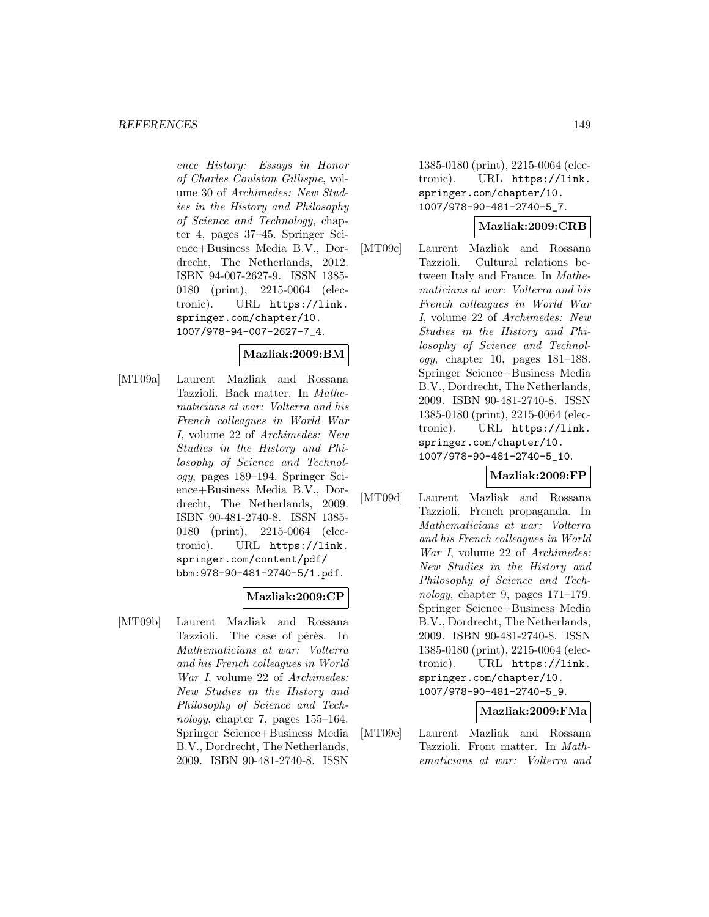ence History: Essays in Honor of Charles Coulston Gillispie, volume 30 of Archimedes: New Studies in the History and Philosophy of Science and Technology, chapter 4, pages 37–45. Springer Science+Business Media B.V., Dordrecht, The Netherlands, 2012. ISBN 94-007-2627-9. ISSN 1385- 0180 (print), 2215-0064 (electronic). URL https://link. springer.com/chapter/10. 1007/978-94-007-2627-7\_4.

## **Mazliak:2009:BM**

[MT09a] Laurent Mazliak and Rossana Tazzioli. Back matter. In Mathematicians at war: Volterra and his French colleagues in World War I, volume 22 of Archimedes: New Studies in the History and Philosophy of Science and Technology, pages 189–194. Springer Science+Business Media B.V., Dordrecht, The Netherlands, 2009. ISBN 90-481-2740-8. ISSN 1385- 0180 (print), 2215-0064 (electronic). URL https://link. springer.com/content/pdf/ bbm:978-90-481-2740-5/1.pdf.

#### **Mazliak:2009:CP**

[MT09b] Laurent Mazliak and Rossana Tazzioli. The case of pérès. In Mathematicians at war: Volterra and his French colleagues in World War I, volume 22 of Archimedes: New Studies in the History and Philosophy of Science and Technology, chapter 7, pages 155–164. Springer Science+Business Media B.V., Dordrecht, The Netherlands, 2009. ISBN 90-481-2740-8. ISSN

1385-0180 (print), 2215-0064 (electronic). URL https://link. springer.com/chapter/10. 1007/978-90-481-2740-5\_7.

#### **Mazliak:2009:CRB**

[MT09c] Laurent Mazliak and Rossana Tazzioli. Cultural relations between Italy and France. In Mathematicians at war: Volterra and his French colleagues in World War I, volume 22 of Archimedes: New Studies in the History and Philosophy of Science and Technology, chapter 10, pages  $181-188$ . Springer Science+Business Media B.V., Dordrecht, The Netherlands, 2009. ISBN 90-481-2740-8. ISSN 1385-0180 (print), 2215-0064 (electronic). URL https://link. springer.com/chapter/10. 1007/978-90-481-2740-5\_10.

#### **Mazliak:2009:FP**

[MT09d] Laurent Mazliak and Rossana Tazzioli. French propaganda. In Mathematicians at war: Volterra and his French colleagues in World War I, volume 22 of Archimedes: New Studies in the History and Philosophy of Science and Technology, chapter 9, pages 171–179. Springer Science+Business Media B.V., Dordrecht, The Netherlands, 2009. ISBN 90-481-2740-8. ISSN 1385-0180 (print), 2215-0064 (electronic). URL https://link. springer.com/chapter/10. 1007/978-90-481-2740-5\_9.

#### **Mazliak:2009:FMa**

[MT09e] Laurent Mazliak and Rossana Tazzioli. Front matter. In Mathematicians at war: Volterra and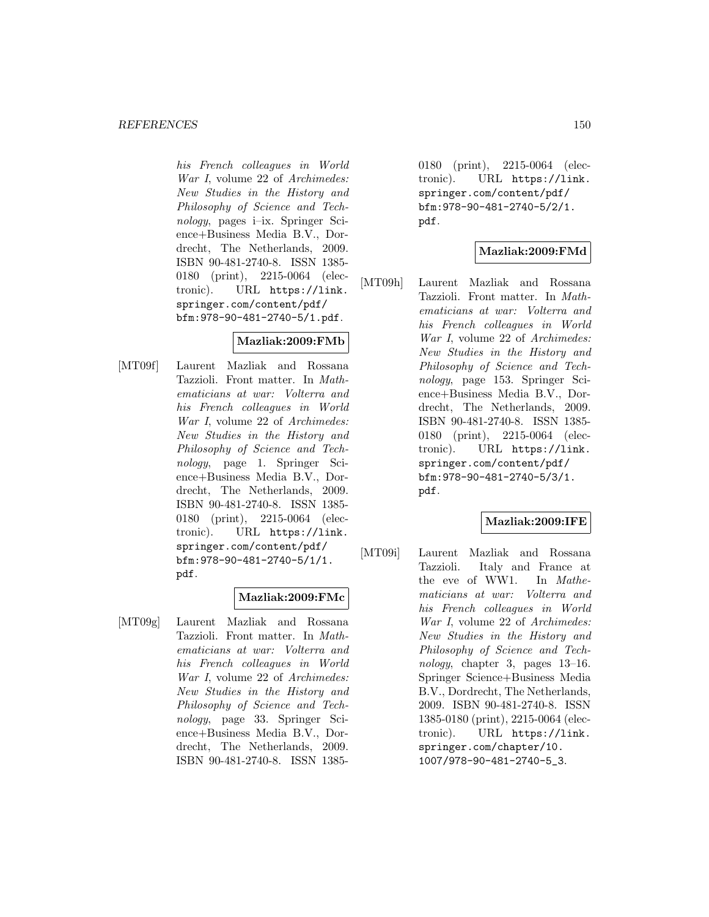his French colleagues in World War I, volume 22 of Archimedes: New Studies in the History and Philosophy of Science and Technology, pages i–ix. Springer Science+Business Media B.V., Dordrecht, The Netherlands, 2009. ISBN 90-481-2740-8. ISSN 1385- 0180 (print), 2215-0064 (electronic). URL https://link. springer.com/content/pdf/ bfm:978-90-481-2740-5/1.pdf.

#### **Mazliak:2009:FMb**

[MT09f] Laurent Mazliak and Rossana Tazzioli. Front matter. In Mathematicians at war: Volterra and his French colleagues in World War I, volume 22 of Archimedes: New Studies in the History and Philosophy of Science and Technology, page 1. Springer Science+Business Media B.V., Dordrecht, The Netherlands, 2009. ISBN 90-481-2740-8. ISSN 1385- 0180 (print), 2215-0064 (electronic). URL https://link. springer.com/content/pdf/ bfm:978-90-481-2740-5/1/1. pdf.

#### **Mazliak:2009:FMc**

[MT09g] Laurent Mazliak and Rossana Tazzioli. Front matter. In Mathematicians at war: Volterra and his French colleagues in World War I, volume 22 of Archimedes: New Studies in the History and Philosophy of Science and Technology, page 33. Springer Science+Business Media B.V., Dordrecht, The Netherlands, 2009. ISBN 90-481-2740-8. ISSN 13850180 (print), 2215-0064 (electronic). URL https://link. springer.com/content/pdf/ bfm:978-90-481-2740-5/2/1. pdf.

## **Mazliak:2009:FMd**

[MT09h] Laurent Mazliak and Rossana Tazzioli. Front matter. In Mathematicians at war: Volterra and his French colleagues in World War I, volume 22 of Archimedes: New Studies in the History and Philosophy of Science and Technology, page 153. Springer Science+Business Media B.V., Dordrecht, The Netherlands, 2009. ISBN 90-481-2740-8. ISSN 1385- 0180 (print), 2215-0064 (electronic). URL https://link. springer.com/content/pdf/ bfm:978-90-481-2740-5/3/1. pdf.

## **Mazliak:2009:IFE**

[MT09i] Laurent Mazliak and Rossana Tazzioli. Italy and France at the eve of WW1. In Mathematicians at war: Volterra and his French colleagues in World War I, volume 22 of Archimedes: New Studies in the History and Philosophy of Science and Technology, chapter 3, pages 13–16. Springer Science+Business Media B.V., Dordrecht, The Netherlands, 2009. ISBN 90-481-2740-8. ISSN 1385-0180 (print), 2215-0064 (electronic). URL https://link. springer.com/chapter/10. 1007/978-90-481-2740-5\_3.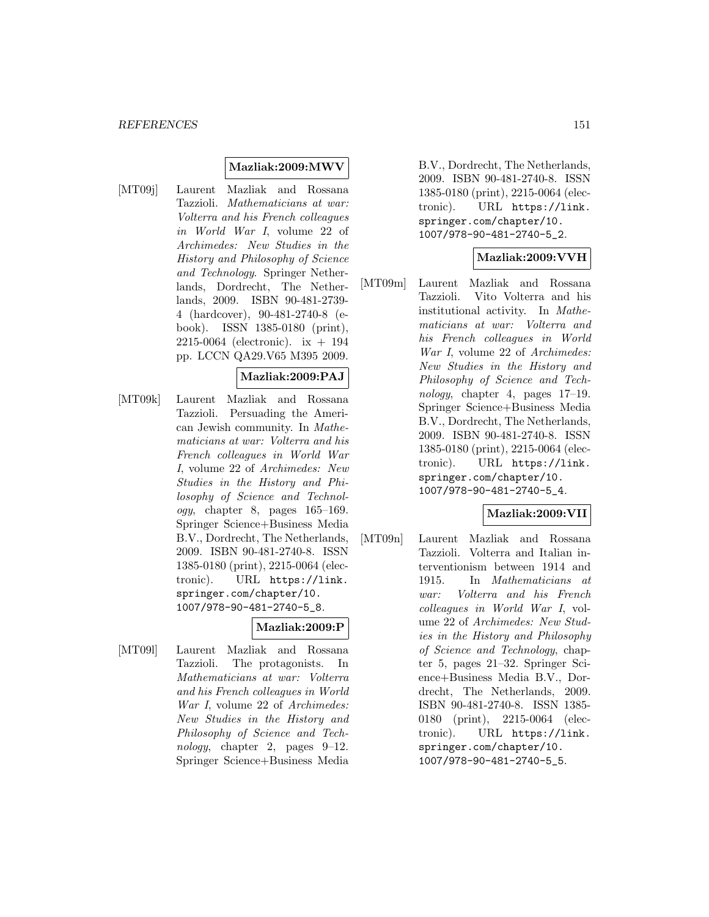#### **Mazliak:2009:MWV**

[MT09j] Laurent Mazliak and Rossana Tazzioli. Mathematicians at war: Volterra and his French colleagues in World War I, volume 22 of Archimedes: New Studies in the History and Philosophy of Science and Technology. Springer Netherlands, Dordrecht, The Netherlands, 2009. ISBN 90-481-2739- 4 (hardcover), 90-481-2740-8 (ebook). ISSN 1385-0180 (print), 2215-0064 (electronic). ix + 194 pp. LCCN QA29.V65 M395 2009.

#### **Mazliak:2009:PAJ**

[MT09k] Laurent Mazliak and Rossana Tazzioli. Persuading the American Jewish community. In Mathematicians at war: Volterra and his French colleagues in World War I, volume 22 of Archimedes: New Studies in the History and Philosophy of Science and Technology, chapter 8, pages 165–169. Springer Science+Business Media B.V., Dordrecht, The Netherlands, 2009. ISBN 90-481-2740-8. ISSN 1385-0180 (print), 2215-0064 (electronic). URL https://link. springer.com/chapter/10. 1007/978-90-481-2740-5\_8.

# **Mazliak:2009:P**

[MT09l] Laurent Mazliak and Rossana Tazzioli. The protagonists. In Mathematicians at war: Volterra and his French colleagues in World War I, volume 22 of Archimedes: New Studies in the History and Philosophy of Science and Technology, chapter 2, pages  $9-12$ . Springer Science+Business Media B.V., Dordrecht, The Netherlands, 2009. ISBN 90-481-2740-8. ISSN 1385-0180 (print), 2215-0064 (electronic). URL https://link. springer.com/chapter/10. 1007/978-90-481-2740-5\_2.

#### **Mazliak:2009:VVH**

[MT09m] Laurent Mazliak and Rossana Tazzioli. Vito Volterra and his institutional activity. In Mathematicians at war: Volterra and his French colleagues in World War I, volume 22 of Archimedes: New Studies in the History and Philosophy of Science and Technology, chapter 4, pages 17–19. Springer Science+Business Media B.V., Dordrecht, The Netherlands, 2009. ISBN 90-481-2740-8. ISSN 1385-0180 (print), 2215-0064 (electronic). URL https://link. springer.com/chapter/10. 1007/978-90-481-2740-5\_4.

#### **Mazliak:2009:VII**

[MT09n] Laurent Mazliak and Rossana Tazzioli. Volterra and Italian interventionism between 1914 and 1915. In Mathematicians at war: Volterra and his French colleagues in World War I, volume 22 of Archimedes: New Studies in the History and Philosophy of Science and Technology, chapter 5, pages 21–32. Springer Science+Business Media B.V., Dordrecht, The Netherlands, 2009. ISBN 90-481-2740-8. ISSN 1385- 0180 (print), 2215-0064 (electronic). URL https://link. springer.com/chapter/10. 1007/978-90-481-2740-5\_5.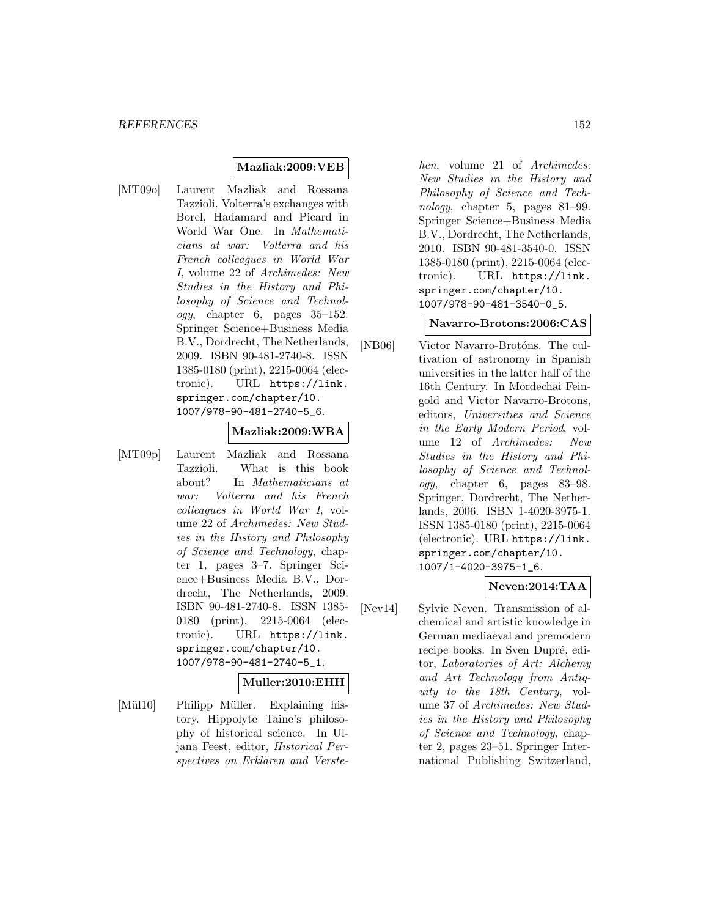#### **Mazliak:2009:VEB**

[MT09o] Laurent Mazliak and Rossana Tazzioli. Volterra's exchanges with Borel, Hadamard and Picard in World War One. In Mathematicians at war: Volterra and his French colleagues in World War I, volume 22 of Archimedes: New Studies in the History and Philosophy of Science and Technol $ogy,$  chapter 6, pages  $35-152.$ Springer Science+Business Media B.V., Dordrecht, The Netherlands, 2009. ISBN 90-481-2740-8. ISSN 1385-0180 (print), 2215-0064 (electronic). URL https://link. springer.com/chapter/10. 1007/978-90-481-2740-5\_6.

#### **Mazliak:2009:WBA**

[MT09p] Laurent Mazliak and Rossana Tazzioli. What is this book about? In Mathematicians at war: Volterra and his French colleagues in World War I, volume 22 of Archimedes: New Studies in the History and Philosophy of Science and Technology, chapter 1, pages 3–7. Springer Science+Business Media B.V., Dordrecht, The Netherlands, 2009. ISBN 90-481-2740-8. ISSN 1385- 0180 (print), 2215-0064 (electronic). URL https://link. springer.com/chapter/10. 1007/978-90-481-2740-5\_1.

## **Muller:2010:EHH**

[Mül10] Philipp Müller. Explaining history. Hippolyte Taine's philosophy of historical science. In Uljana Feest, editor, Historical Perspectives on Erklären and Verste-

hen, volume 21 of Archimedes: New Studies in the History and Philosophy of Science and Technology, chapter 5, pages 81–99. Springer Science+Business Media B.V., Dordrecht, The Netherlands, 2010. ISBN 90-481-3540-0. ISSN 1385-0180 (print), 2215-0064 (electronic). URL https://link. springer.com/chapter/10. 1007/978-90-481-3540-0\_5.

#### **Navarro-Brotons:2006:CAS**

[NB06] Victor Navarro-Brotóns. The cultivation of astronomy in Spanish universities in the latter half of the 16th Century. In Mordechai Feingold and Victor Navarro-Brotons, editors, Universities and Science in the Early Modern Period, volume 12 of Archimedes: New Studies in the History and Philosophy of Science and Technology, chapter 6, pages 83–98. Springer, Dordrecht, The Netherlands, 2006. ISBN 1-4020-3975-1. ISSN 1385-0180 (print), 2215-0064 (electronic). URL https://link. springer.com/chapter/10. 1007/1-4020-3975-1\_6.

## **Neven:2014:TAA**

[Nev14] Sylvie Neven. Transmission of alchemical and artistic knowledge in German mediaeval and premodern recipe books. In Sven Dupré, editor, Laboratories of Art: Alchemy and Art Technology from Antiquity to the 18th Century, volume 37 of Archimedes: New Studies in the History and Philosophy of Science and Technology, chapter 2, pages 23–51. Springer International Publishing Switzerland,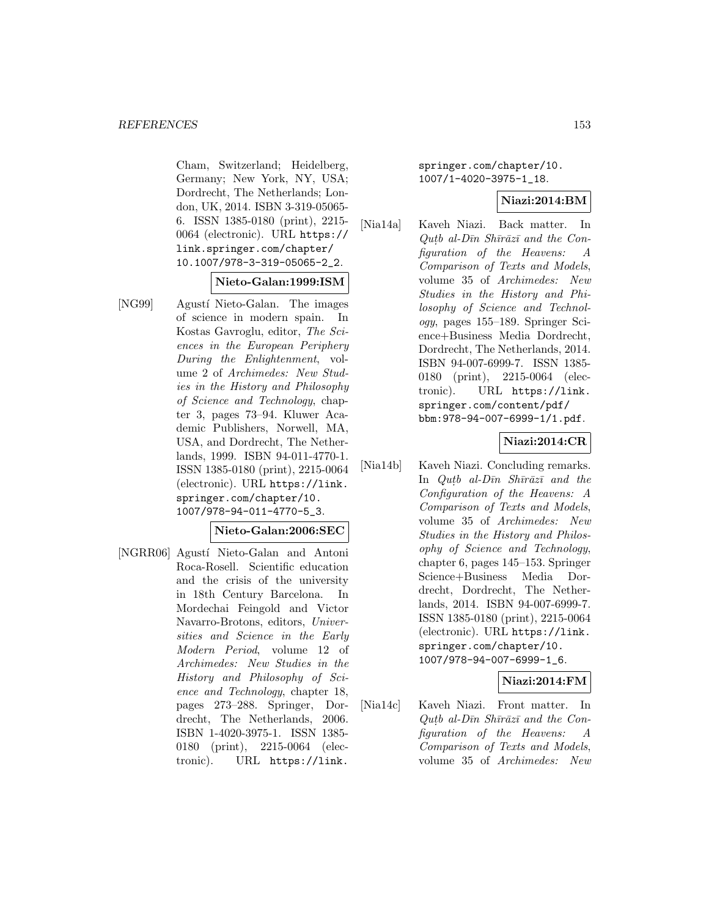Cham, Switzerland; Heidelberg, Germany; New York, NY, USA; Dordrecht, The Netherlands; London, UK, 2014. ISBN 3-319-05065- 6. ISSN 1385-0180 (print), 2215- 0064 (electronic). URL https:// link.springer.com/chapter/ 10.1007/978-3-319-05065-2\_2.

**Nieto-Galan:1999:ISM**

[NG99] Agustí Nieto-Galan. The images of science in modern spain. In Kostas Gavroglu, editor, The Sciences in the European Periphery During the Enlightenment, volume 2 of Archimedes: New Studies in the History and Philosophy of Science and Technology, chapter 3, pages 73–94. Kluwer Academic Publishers, Norwell, MA, USA, and Dordrecht, The Netherlands, 1999. ISBN 94-011-4770-1. ISSN 1385-0180 (print), 2215-0064 (electronic). URL https://link. springer.com/chapter/10. 1007/978-94-011-4770-5\_3.

#### **Nieto-Galan:2006:SEC**

[NGRR06] Agustí Nieto-Galan and Antoni Roca-Rosell. Scientific education and the crisis of the university in 18th Century Barcelona. In Mordechai Feingold and Victor Navarro-Brotons, editors, Universities and Science in the Early Modern Period, volume 12 of Archimedes: New Studies in the History and Philosophy of Science and Technology, chapter 18, pages 273–288. Springer, Dordrecht, The Netherlands, 2006. ISBN 1-4020-3975-1. ISSN 1385- 0180 (print), 2215-0064 (electronic). URL https://link.

springer.com/chapter/10. 1007/1-4020-3975-1\_18.

#### **Niazi:2014:BM**

[Nia14a] Kaveh Niazi. Back matter. In  $Qutb$  al- $D\bar{\imath}n$  Sh $\bar{\imath}r\bar{a}z\bar{\imath}$  and the Configuration of the Heavens: A Comparison of Texts and Models, volume 35 of Archimedes: New Studies in the History and Philosophy of Science and Technology, pages 155–189. Springer Science+Business Media Dordrecht, Dordrecht, The Netherlands, 2014. ISBN 94-007-6999-7. ISSN 1385- 0180 (print), 2215-0064 (electronic). URL https://link. springer.com/content/pdf/ bbm:978-94-007-6999-1/1.pdf.

#### **Niazi:2014:CR**

[Nia14b] Kaveh Niazi. Concluding remarks. In Qutb al- $D\bar{u}n$  Sh $\bar{n}\bar{a}z\bar{i}$  and the Configuration of the Heavens: A Comparison of Texts and Models, volume 35 of Archimedes: New Studies in the History and Philosophy of Science and Technology, chapter 6, pages 145–153. Springer Science+Business Media Dordrecht, Dordrecht, The Netherlands, 2014. ISBN 94-007-6999-7. ISSN 1385-0180 (print), 2215-0064 (electronic). URL https://link. springer.com/chapter/10. 1007/978-94-007-6999-1\_6.

## **Niazi:2014:FM**

[Nia14c] Kaveh Niazi. Front matter. In  $Q$ uth al-Dīn Shīrāzī and the Con-<br>figuration of the Heavens: A  $figuration of the Heavens:$ Comparison of Texts and Models, volume 35 of Archimedes: New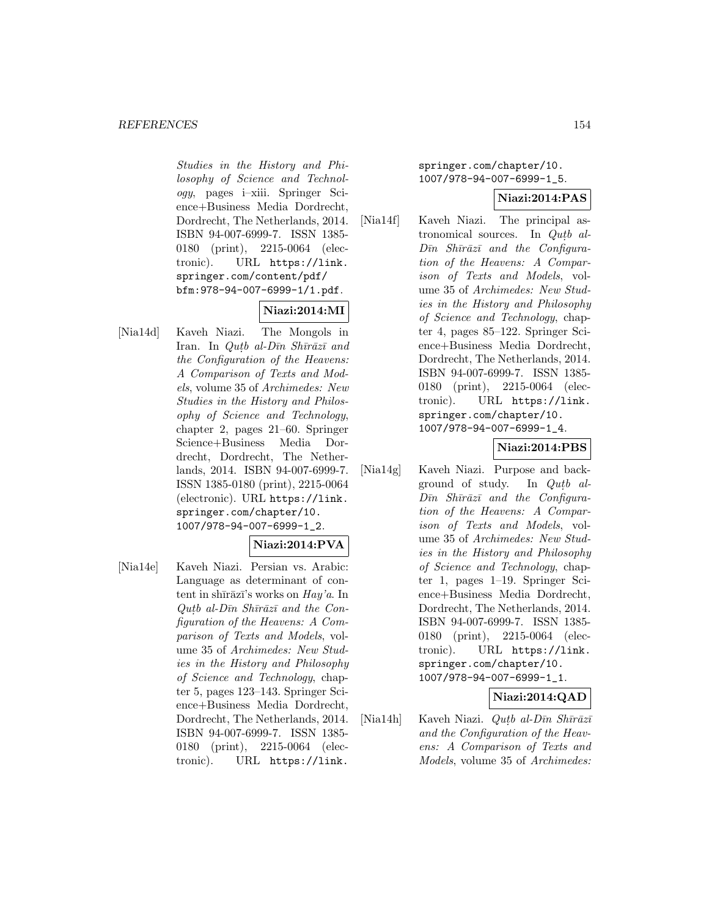Studies in the History and Philosophy of Science and Technology, pages i–xiii. Springer Science+Business Media Dordrecht, Dordrecht, The Netherlands, 2014. ISBN 94-007-6999-7. ISSN 1385- 0180 (print), 2215-0064 (electronic). URL https://link. springer.com/content/pdf/ bfm:978-94-007-6999-1/1.pdf.

# **Niazi:2014:MI**

[Nia14d] Kaveh Niazi. The Mongols in Iran. In Qutb al- $D\bar{u}n$  Sh $\bar{u}r\bar{a}z\bar{u}$  and the Configuration of the Heavens: A Comparison of Texts and Models, volume 35 of Archimedes: New Studies in the History and Philosophy of Science and Technology, chapter 2, pages 21–60. Springer Science+Business Media Dordrecht, Dordrecht, The Netherlands, 2014. ISBN 94-007-6999-7. ISSN 1385-0180 (print), 2215-0064 (electronic). URL https://link. springer.com/chapter/10. 1007/978-94-007-6999-1\_2.

## **Niazi:2014:PVA**

[Nia14e] Kaveh Niazi. Persian vs. Arabic: Language as determinant of content in shīrāzī's works on  $Hay'a$ . In Qutb al-Dīn Shīrāzī and the Configuration of the Heavens: A Comparison of Texts and Models, volume 35 of Archimedes: New Studies in the History and Philosophy of Science and Technology, chapter 5, pages 123–143. Springer Science+Business Media Dordrecht, Dordrecht, The Netherlands, 2014. ISBN 94-007-6999-7. ISSN 1385- 0180 (print), 2215-0064 (electronic). URL https://link.

springer.com/chapter/10. 1007/978-94-007-6999-1\_5.

#### **Niazi:2014:PAS**

[Nia14f] Kaveh Niazi. The principal astronomical sources. In  $Qutb$  al- $D\bar{\imath}n$  Sh $\bar{\imath}r\bar{a}z\bar{\imath}$  and the Configuration of the Heavens: A Comparison of Texts and Models, volume 35 of Archimedes: New Studies in the History and Philosophy of Science and Technology, chapter 4, pages 85–122. Springer Science+Business Media Dordrecht, Dordrecht, The Netherlands, 2014. ISBN 94-007-6999-7. ISSN 1385- 0180 (print), 2215-0064 (electronic). URL https://link. springer.com/chapter/10. 1007/978-94-007-6999-1\_4.

#### **Niazi:2014:PBS**

[Nia14g] Kaveh Niazi. Purpose and background of study. In  $Q$ ut $b$  al- $D\bar{\imath}n$  Sh $\bar{\imath}r\bar{a}z\bar{\imath}$  and the Configuration of the Heavens: A Comparison of Texts and Models, volume 35 of Archimedes: New Studies in the History and Philosophy of Science and Technology, chapter 1, pages 1–19. Springer Science+Business Media Dordrecht, Dordrecht, The Netherlands, 2014. ISBN 94-007-6999-7. ISSN 1385- 0180 (print), 2215-0064 (electronic). URL https://link. springer.com/chapter/10. 1007/978-94-007-6999-1\_1.

## **Niazi:2014:QAD**

[Nia14h] Kaveh Niazi. *Qutb al-Dīn Shīrāzī* and the Configuration of the Heavens: A Comparison of Texts and Models, volume 35 of Archimedes: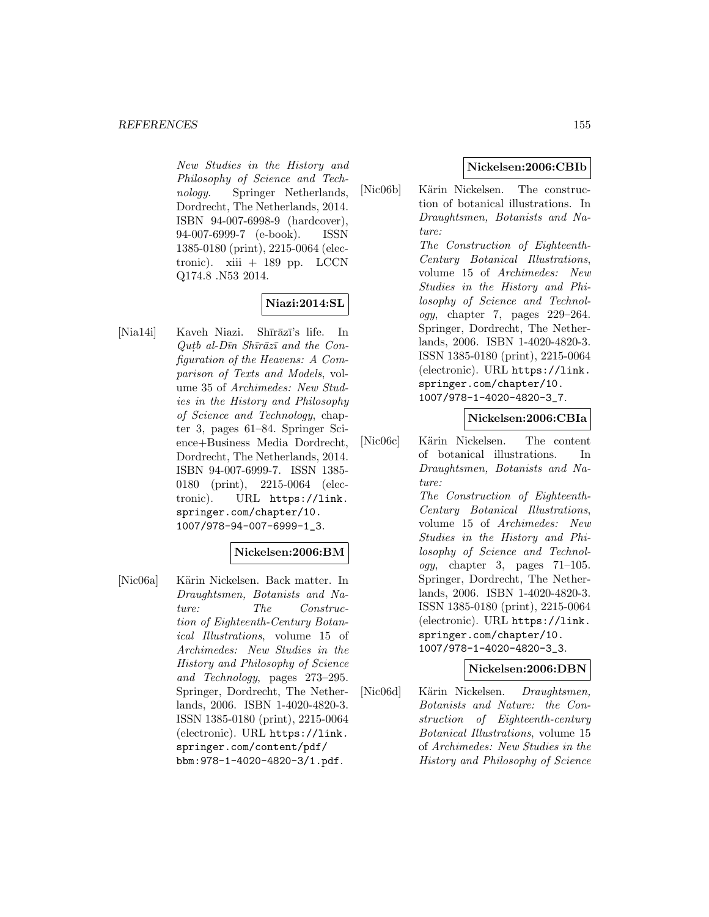New Studies in the History and Philosophy of Science and Technology. Springer Netherlands, Dordrecht, The Netherlands, 2014. ISBN 94-007-6998-9 (hardcover), 94-007-6999-7 (e-book). ISSN 1385-0180 (print), 2215-0064 (electronic).  $xiii + 189$  pp. LCCN Q174.8 .N53 2014.

## **Niazi:2014:SL**

[Nia14i] Kaveh Niazi. Shīrāzī's life. In  $Qutb$  al- $D\bar{u}n$  Sh $\bar{u}z\bar{u}$  and the Configuration of the Heavens: A Comparison of Texts and Models, volume 35 of Archimedes: New Studies in the History and Philosophy of Science and Technology, chapter 3, pages 61–84. Springer Science+Business Media Dordrecht, Dordrecht, The Netherlands, 2014. ISBN 94-007-6999-7. ISSN 1385- 0180 (print), 2215-0064 (electronic). URL https://link. springer.com/chapter/10. 1007/978-94-007-6999-1\_3.

## **Nickelsen:2006:BM**

[Nic06a] Kärin Nickelsen. Back matter. In Draughtsmen, Botanists and Nature: The Construction of Eighteenth-Century Botanical Illustrations, volume 15 of Archimedes: New Studies in the History and Philosophy of Science and Technology, pages 273–295. Springer, Dordrecht, The Netherlands, 2006. ISBN 1-4020-4820-3. ISSN 1385-0180 (print), 2215-0064 (electronic). URL https://link. springer.com/content/pdf/ bbm:978-1-4020-4820-3/1.pdf.

## **Nickelsen:2006:CBIb**

[Nic06b] Kärin Nickelsen. The construction of botanical illustrations. In Draughtsmen, Botanists and Nature: The Construction of Eighteenth-Century Botanical Illustrations, volume 15 of Archimedes: New Studies in the History and Philosophy of Science and Technology, chapter 7, pages 229–264. Springer, Dordrecht, The Netherlands, 2006. ISBN 1-4020-4820-3. ISSN 1385-0180 (print), 2215-0064 (electronic). URL https://link. springer.com/chapter/10. 1007/978-1-4020-4820-3\_7.

#### **Nickelsen:2006:CBIa**

[Nic06c] Kärin Nickelsen. The content of botanical illustrations. In Draughtsmen, Botanists and Nature:

The Construction of Eighteenth-Century Botanical Illustrations, volume 15 of Archimedes: New Studies in the History and Philosophy of Science and Technol $oqy$ , chapter 3, pages 71–105. Springer, Dordrecht, The Netherlands, 2006. ISBN 1-4020-4820-3. ISSN 1385-0180 (print), 2215-0064 (electronic). URL https://link. springer.com/chapter/10. 1007/978-1-4020-4820-3\_3.

#### **Nickelsen:2006:DBN**

[Nic06d] Kärin Nickelsen. Draughtsmen, Botanists and Nature: the Construction of Eighteenth-century Botanical Illustrations, volume 15 of Archimedes: New Studies in the History and Philosophy of Science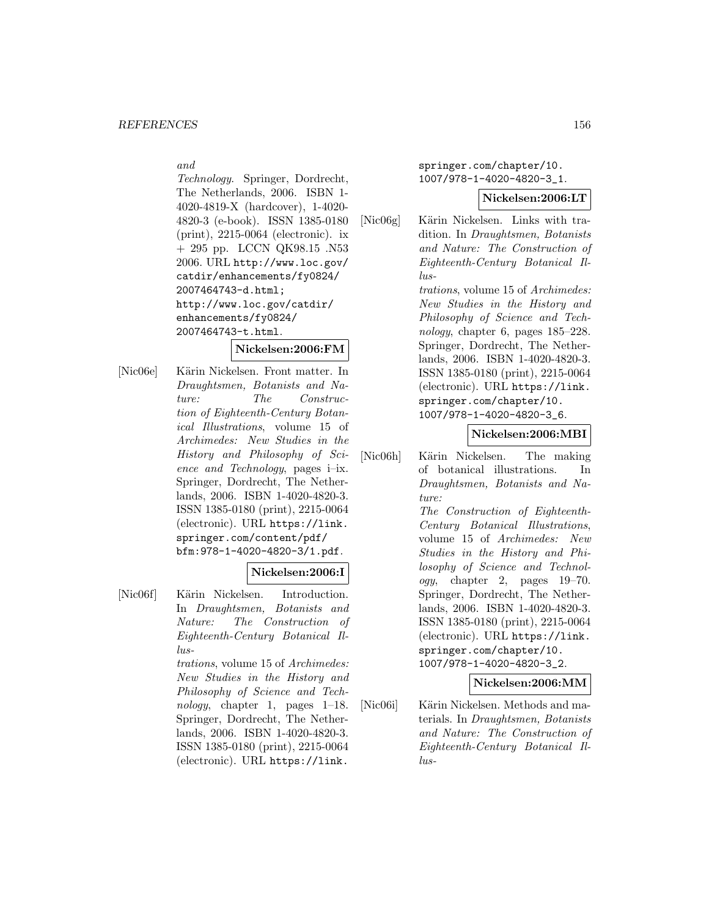and

Technology. Springer, Dordrecht, The Netherlands, 2006. ISBN 1- 4020-4819-X (hardcover), 1-4020- 4820-3 (e-book). ISSN 1385-0180 (print), 2215-0064 (electronic). ix + 295 pp. LCCN QK98.15 .N53 2006. URL http://www.loc.gov/ catdir/enhancements/fy0824/ 2007464743-d.html; http://www.loc.gov/catdir/ enhancements/fy0824/ 2007464743-t.html.

#### **Nickelsen:2006:FM**

[Nic06e] Kärin Nickelsen. Front matter. In Draughtsmen, Botanists and Nature: The Construction of Eighteenth-Century Botanical Illustrations, volume 15 of Archimedes: New Studies in the History and Philosophy of Science and Technology, pages i–ix. Springer, Dordrecht, The Netherlands, 2006. ISBN 1-4020-4820-3. ISSN 1385-0180 (print), 2215-0064 (electronic). URL https://link. springer.com/content/pdf/ bfm:978-1-4020-4820-3/1.pdf.

#### **Nickelsen:2006:I**

[Nic06f] Kärin Nickelsen. Introduction. In Draughtsmen, Botanists and Nature: The Construction of Eighteenth-Century Botanical Illus-

> trations, volume 15 of Archimedes: New Studies in the History and Philosophy of Science and Technology, chapter 1, pages  $1-18$ . Springer, Dordrecht, The Netherlands, 2006. ISBN 1-4020-4820-3. ISSN 1385-0180 (print), 2215-0064 (electronic). URL https://link.

springer.com/chapter/10. 1007/978-1-4020-4820-3\_1.

#### **Nickelsen:2006:LT**

[Nic06g] Kärin Nickelsen. Links with tradition. In Draughtsmen, Botanists and Nature: The Construction of Eighteenth-Century Botanical Illus-

trations, volume 15 of Archimedes: New Studies in the History and Philosophy of Science and Technology, chapter 6, pages 185–228. Springer, Dordrecht, The Netherlands, 2006. ISBN 1-4020-4820-3. ISSN 1385-0180 (print), 2215-0064 (electronic). URL https://link. springer.com/chapter/10. 1007/978-1-4020-4820-3\_6.

#### **Nickelsen:2006:MBI**

- [Nic06h] Kärin Nickelsen. The making of botanical illustrations. In Draughtsmen, Botanists and Nature: The Construction of Eighteenth-Century Botanical Illustrations, volume 15 of Archimedes: New Studies in the History and Philosophy of Science and Technology, chapter 2, pages 19–70. Springer, Dordrecht, The Netherlands, 2006. ISBN 1-4020-4820-3. ISSN 1385-0180 (print), 2215-0064 (electronic). URL https://link. springer.com/chapter/10. 1007/978-1-4020-4820-3\_2. **Nickelsen:2006:MM**
- [Nic06i] Kärin Nickelsen. Methods and materials. In Draughtsmen, Botanists and Nature: The Construction of Eighteenth-Century Botanical Illus-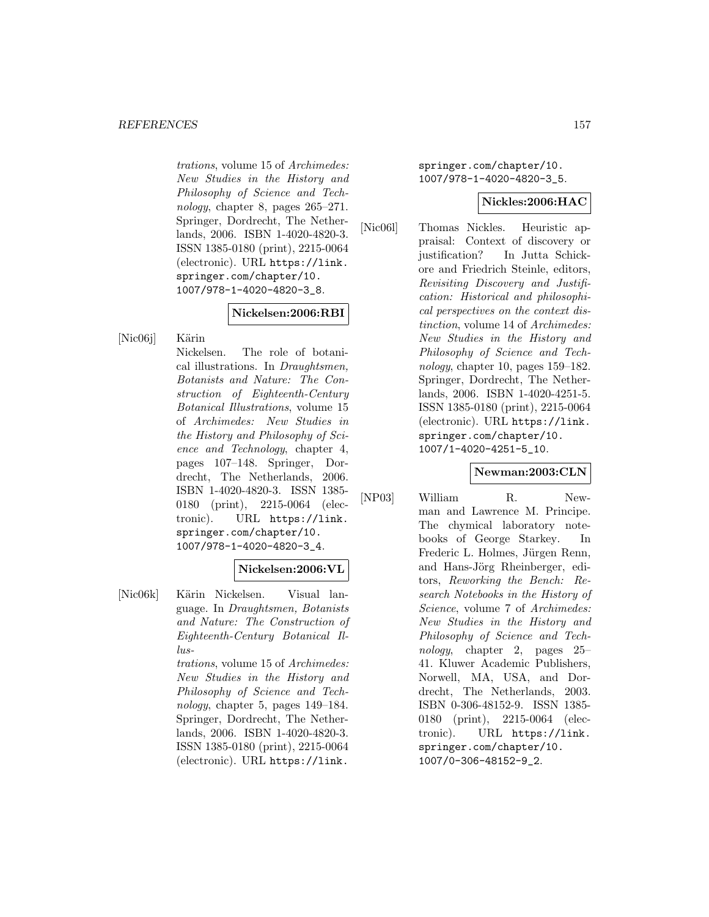trations, volume 15 of Archimedes: New Studies in the History and Philosophy of Science and Technology, chapter 8, pages  $265-271$ . Springer, Dordrecht, The Netherlands, 2006. ISBN 1-4020-4820-3. ISSN 1385-0180 (print), 2215-0064 (electronic). URL https://link. springer.com/chapter/10. 1007/978-1-4020-4820-3\_8.

## **Nickelsen:2006:RBI**

[Nic06j] Kärin

Nickelsen. The role of botanical illustrations. In Draughtsmen, Botanists and Nature: The Construction of Eighteenth-Century Botanical Illustrations, volume 15 of Archimedes: New Studies in the History and Philosophy of Science and Technology, chapter 4, pages 107–148. Springer, Dordrecht, The Netherlands, 2006. ISBN 1-4020-4820-3. ISSN 1385- 0180 (print), 2215-0064 (electronic). URL https://link. springer.com/chapter/10. 1007/978-1-4020-4820-3\_4.

#### **Nickelsen:2006:VL**

[Nic06k] Kärin Nickelsen. Visual language. In Draughtsmen, Botanists and Nature: The Construction of Eighteenth-Century Botanical Illus-

> trations, volume 15 of Archimedes: New Studies in the History and Philosophy of Science and Technology, chapter 5, pages 149–184. Springer, Dordrecht, The Netherlands, 2006. ISBN 1-4020-4820-3. ISSN 1385-0180 (print), 2215-0064 (electronic). URL https://link.

springer.com/chapter/10. 1007/978-1-4020-4820-3\_5.

#### **Nickles:2006:HAC**

[Nic06l] Thomas Nickles. Heuristic appraisal: Context of discovery or justification? In Jutta Schickore and Friedrich Steinle, editors, Revisiting Discovery and Justification: Historical and philosophical perspectives on the context distinction, volume 14 of Archimedes: New Studies in the History and Philosophy of Science and Technology, chapter 10, pages 159–182. Springer, Dordrecht, The Netherlands, 2006. ISBN 1-4020-4251-5. ISSN 1385-0180 (print), 2215-0064 (electronic). URL https://link. springer.com/chapter/10. 1007/1-4020-4251-5\_10.

#### **Newman:2003:CLN**

[NP03] William R. Newman and Lawrence M. Principe. The chymical laboratory notebooks of George Starkey. In Frederic L. Holmes, Jürgen Renn, and Hans-Jörg Rheinberger, editors, Reworking the Bench: Research Notebooks in the History of Science, volume 7 of Archimedes: New Studies in the History and Philosophy of Science and Technology, chapter 2, pages 25– 41. Kluwer Academic Publishers, Norwell, MA, USA, and Dordrecht, The Netherlands, 2003. ISBN 0-306-48152-9. ISSN 1385- 0180 (print), 2215-0064 (electronic). URL https://link. springer.com/chapter/10. 1007/0-306-48152-9\_2.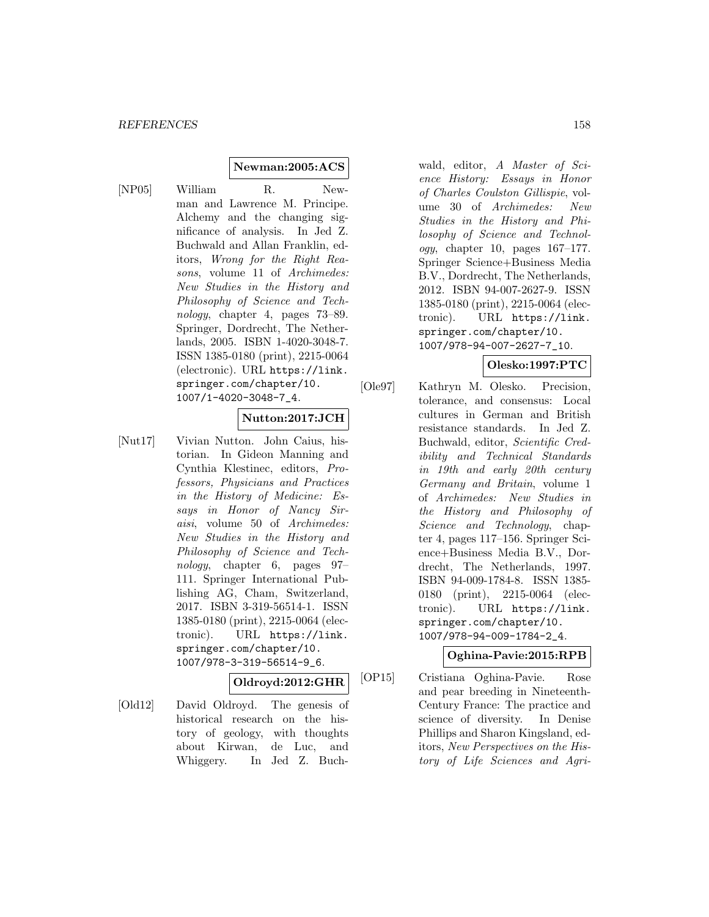#### **Newman:2005:ACS**

[NP05] William R. Newman and Lawrence M. Principe. Alchemy and the changing significance of analysis. In Jed Z. Buchwald and Allan Franklin, editors, Wrong for the Right Reasons, volume 11 of Archimedes: New Studies in the History and Philosophy of Science and Technology, chapter 4, pages 73–89. Springer, Dordrecht, The Netherlands, 2005. ISBN 1-4020-3048-7. ISSN 1385-0180 (print), 2215-0064 (electronic). URL https://link. springer.com/chapter/10. 1007/1-4020-3048-7\_4.

#### **Nutton:2017:JCH**

[Nut17] Vivian Nutton. John Caius, historian. In Gideon Manning and Cynthia Klestinec, editors, Professors, Physicians and Practices in the History of Medicine: Essays in Honor of Nancy Siraisi, volume 50 of Archimedes: New Studies in the History and Philosophy of Science and Technology, chapter 6, pages 97– 111. Springer International Publishing AG, Cham, Switzerland, 2017. ISBN 3-319-56514-1. ISSN 1385-0180 (print), 2215-0064 (electronic). URL https://link. springer.com/chapter/10. 1007/978-3-319-56514-9\_6.

# **Oldroyd:2012:GHR**

[Old12] David Oldroyd. The genesis of historical research on the history of geology, with thoughts about Kirwan, de Luc, and Whiggery. In Jed Z. Buchwald, editor, A Master of Science History: Essays in Honor of Charles Coulston Gillispie, volume 30 of Archimedes: New Studies in the History and Philosophy of Science and Technology, chapter 10, pages  $167-177$ . Springer Science+Business Media B.V., Dordrecht, The Netherlands, 2012. ISBN 94-007-2627-9. ISSN 1385-0180 (print), 2215-0064 (electronic). URL https://link. springer.com/chapter/10. 1007/978-94-007-2627-7\_10.

## **Olesko:1997:PTC**

[Ole97] Kathryn M. Olesko. Precision, tolerance, and consensus: Local cultures in German and British resistance standards. In Jed Z. Buchwald, editor, Scientific Credibility and Technical Standards in 19th and early 20th century Germany and Britain, volume 1 of Archimedes: New Studies in the History and Philosophy of Science and Technology, chapter 4, pages 117–156. Springer Science+Business Media B.V., Dordrecht, The Netherlands, 1997. ISBN 94-009-1784-8. ISSN 1385- 0180 (print), 2215-0064 (electronic). URL https://link. springer.com/chapter/10. 1007/978-94-009-1784-2\_4.

#### **Oghina-Pavie:2015:RPB**

[OP15] Cristiana Oghina-Pavie. Rose and pear breeding in Nineteenth-Century France: The practice and science of diversity. In Denise Phillips and Sharon Kingsland, editors, New Perspectives on the History of Life Sciences and Agri-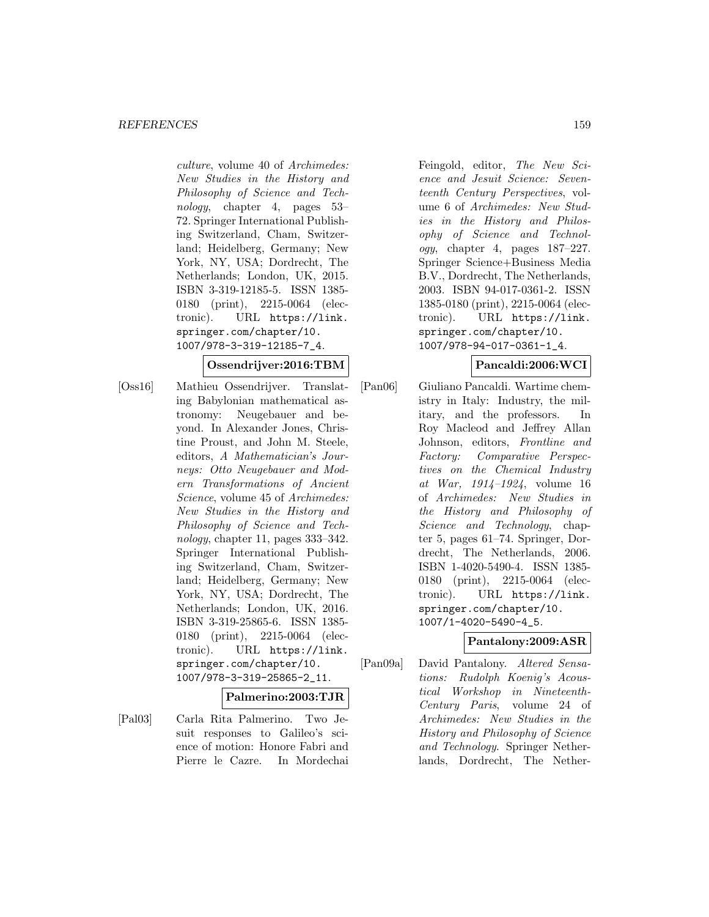culture, volume 40 of Archimedes: New Studies in the History and Philosophy of Science and Technology, chapter 4, pages 53– 72. Springer International Publishing Switzerland, Cham, Switzerland; Heidelberg, Germany; New York, NY, USA; Dordrecht, The Netherlands; London, UK, 2015. ISBN 3-319-12185-5. ISSN 1385- 0180 (print), 2215-0064 (electronic). URL https://link. springer.com/chapter/10. 1007/978-3-319-12185-7\_4.

#### **Ossendrijver:2016:TBM**

[Oss16] Mathieu Ossendrijver. Translating Babylonian mathematical astronomy: Neugebauer and beyond. In Alexander Jones, Christine Proust, and John M. Steele, editors, A Mathematician's Journeys: Otto Neugebauer and Modern Transformations of Ancient Science, volume 45 of Archimedes: New Studies in the History and Philosophy of Science and Technology, chapter 11, pages 333–342. Springer International Publishing Switzerland, Cham, Switzerland; Heidelberg, Germany; New York, NY, USA; Dordrecht, The Netherlands; London, UK, 2016. ISBN 3-319-25865-6. ISSN 1385- 0180 (print), 2215-0064 (electronic). URL https://link. springer.com/chapter/10. 1007/978-3-319-25865-2\_11.

#### **Palmerino:2003:TJR**

[Pal03] Carla Rita Palmerino. Two Jesuit responses to Galileo's science of motion: Honore Fabri and Pierre le Cazre. In Mordechai Feingold, editor, The New Science and Jesuit Science: Seventeenth Century Perspectives, volume 6 of Archimedes: New Studies in the History and Philosophy of Science and Technology, chapter 4, pages 187–227. Springer Science+Business Media B.V., Dordrecht, The Netherlands, 2003. ISBN 94-017-0361-2. ISSN 1385-0180 (print), 2215-0064 (electronic). URL https://link. springer.com/chapter/10. 1007/978-94-017-0361-1\_4.

## **Pancaldi:2006:WCI**

[Pan06] Giuliano Pancaldi. Wartime chemistry in Italy: Industry, the military, and the professors. In Roy Macleod and Jeffrey Allan Johnson, editors, Frontline and Factory: Comparative Perspectives on the Chemical Industry at War, 1914–1924, volume 16 of Archimedes: New Studies in the History and Philosophy of Science and Technology, chapter 5, pages 61–74. Springer, Dordrecht, The Netherlands, 2006. ISBN 1-4020-5490-4. ISSN 1385- 0180 (print), 2215-0064 (electronic). URL https://link. springer.com/chapter/10. 1007/1-4020-5490-4\_5.

## **Pantalony:2009:ASR**

[Pan09a] David Pantalony. Altered Sensations: Rudolph Koenig's Acoustical Workshop in Nineteenth-Century Paris, volume 24 of Archimedes: New Studies in the History and Philosophy of Science and Technology. Springer Netherlands, Dordrecht, The Nether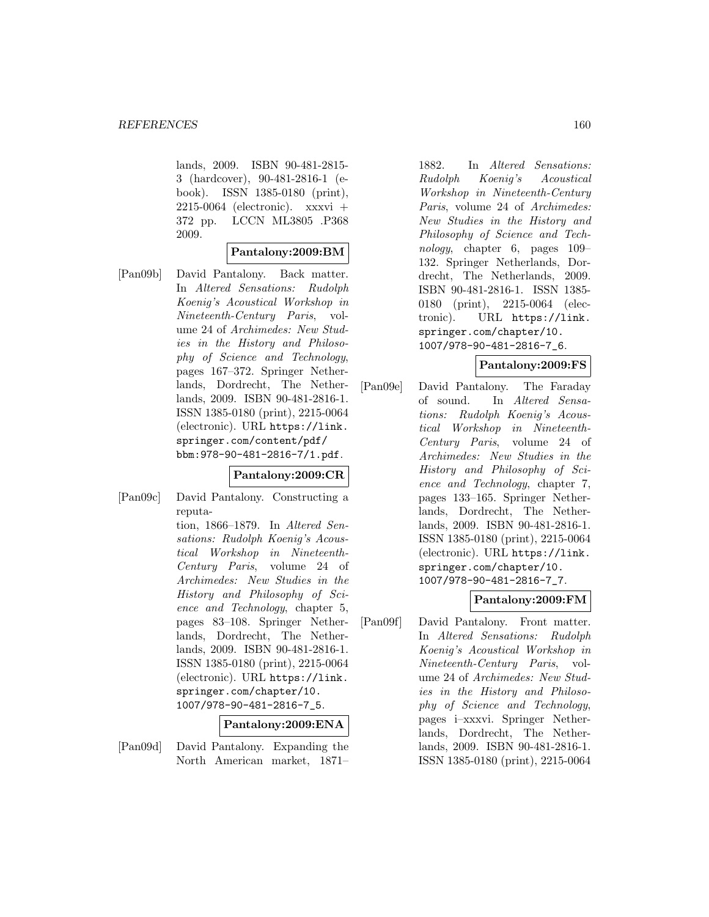lands, 2009. ISBN 90-481-2815- 3 (hardcover), 90-481-2816-1 (ebook). ISSN 1385-0180 (print),  $2215-0064$  (electronic). xxxvi + 372 pp. LCCN ML3805 .P368 2009.

## **Pantalony:2009:BM**

[Pan09b] David Pantalony. Back matter. In Altered Sensations: Rudolph Koenig's Acoustical Workshop in Nineteenth-Century Paris, volume 24 of Archimedes: New Studies in the History and Philosophy of Science and Technology, pages 167–372. Springer Netherlands, Dordrecht, The Netherlands, 2009. ISBN 90-481-2816-1. ISSN 1385-0180 (print), 2215-0064 (electronic). URL https://link. springer.com/content/pdf/ bbm:978-90-481-2816-7/1.pdf.

#### **Pantalony:2009:CR**

[Pan09c] David Pantalony. Constructing a reputation, 1866–1879. In Altered Sensations: Rudolph Koenig's Acoustical Workshop in Nineteenth-Century Paris, volume 24 of Archimedes: New Studies in the History and Philosophy of Science and Technology, chapter 5, pages 83–108. Springer Netherlands, Dordrecht, The Netherlands, 2009. ISBN 90-481-2816-1. ISSN 1385-0180 (print), 2215-0064 (electronic). URL https://link. springer.com/chapter/10. 1007/978-90-481-2816-7\_5. **Pantalony:2009:ENA**

# [Pan09d] David Pantalony. Expanding the North American market, 1871–

1882. In Altered Sensations: Rudolph Koenig's Acoustical Workshop in Nineteenth-Century Paris, volume 24 of Archimedes: New Studies in the History and Philosophy of Science and Technology, chapter 6, pages 109– 132. Springer Netherlands, Dordrecht, The Netherlands, 2009. ISBN 90-481-2816-1. ISSN 1385- 0180 (print), 2215-0064 (electronic). URL https://link. springer.com/chapter/10. 1007/978-90-481-2816-7\_6.

#### **Pantalony:2009:FS**

[Pan09e] David Pantalony. The Faraday of sound. In Altered Sensations: Rudolph Koenig's Acoustical Workshop in Nineteenth-Century Paris, volume 24 of Archimedes: New Studies in the History and Philosophy of Science and Technology, chapter 7, pages 133–165. Springer Netherlands, Dordrecht, The Netherlands, 2009. ISBN 90-481-2816-1. ISSN 1385-0180 (print), 2215-0064 (electronic). URL https://link. springer.com/chapter/10. 1007/978-90-481-2816-7\_7.

#### **Pantalony:2009:FM**

[Pan09f] David Pantalony. Front matter. In Altered Sensations: Rudolph Koenig's Acoustical Workshop in Nineteenth-Century Paris, volume 24 of Archimedes: New Studies in the History and Philosophy of Science and Technology, pages i–xxxvi. Springer Netherlands, Dordrecht, The Netherlands, 2009. ISBN 90-481-2816-1. ISSN 1385-0180 (print), 2215-0064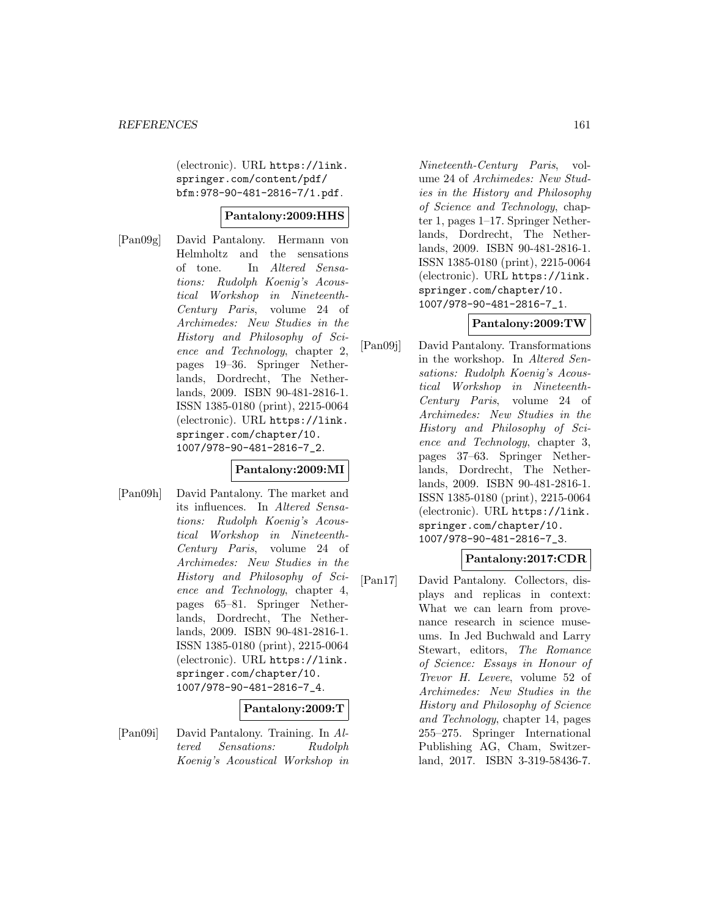(electronic). URL https://link. springer.com/content/pdf/ bfm:978-90-481-2816-7/1.pdf.

#### **Pantalony:2009:HHS**

[Pan09g] David Pantalony. Hermann von Helmholtz and the sensations of tone. In Altered Sensations: Rudolph Koenig's Acoustical Workshop in Nineteenth-Century Paris, volume 24 of Archimedes: New Studies in the History and Philosophy of Science and Technology, chapter 2, pages 19–36. Springer Netherlands, Dordrecht, The Netherlands, 2009. ISBN 90-481-2816-1. ISSN 1385-0180 (print), 2215-0064 (electronic). URL https://link. springer.com/chapter/10. 1007/978-90-481-2816-7\_2.

## **Pantalony:2009:MI**

[Pan09h] David Pantalony. The market and its influences. In Altered Sensations: Rudolph Koenig's Acoustical Workshop in Nineteenth-Century Paris, volume 24 of Archimedes: New Studies in the History and Philosophy of Science and Technology, chapter 4, pages 65–81. Springer Netherlands, Dordrecht, The Netherlands, 2009. ISBN 90-481-2816-1. ISSN 1385-0180 (print), 2215-0064 (electronic). URL https://link. springer.com/chapter/10. 1007/978-90-481-2816-7\_4.

## **Pantalony:2009:T**

[Pan09i] David Pantalony. Training. In Altered Sensations: Rudolph Koenig's Acoustical Workshop in

Nineteenth-Century Paris, volume 24 of Archimedes: New Studies in the History and Philosophy of Science and Technology, chapter 1, pages 1–17. Springer Netherlands, Dordrecht, The Netherlands, 2009. ISBN 90-481-2816-1. ISSN 1385-0180 (print), 2215-0064 (electronic). URL https://link. springer.com/chapter/10. 1007/978-90-481-2816-7\_1.

## **Pantalony:2009:TW**

[Pan09j] David Pantalony. Transformations in the workshop. In Altered Sensations: Rudolph Koenig's Acoustical Workshop in Nineteenth-Century Paris, volume 24 of Archimedes: New Studies in the History and Philosophy of Science and Technology, chapter 3, pages 37–63. Springer Netherlands, Dordrecht, The Netherlands, 2009. ISBN 90-481-2816-1. ISSN 1385-0180 (print), 2215-0064 (electronic). URL https://link. springer.com/chapter/10. 1007/978-90-481-2816-7\_3.

#### **Pantalony:2017:CDR**

[Pan17] David Pantalony. Collectors, displays and replicas in context: What we can learn from provenance research in science museums. In Jed Buchwald and Larry Stewart, editors, The Romance of Science: Essays in Honour of Trevor H. Levere, volume 52 of Archimedes: New Studies in the History and Philosophy of Science and Technology, chapter 14, pages 255–275. Springer International Publishing AG, Cham, Switzerland, 2017. ISBN 3-319-58436-7.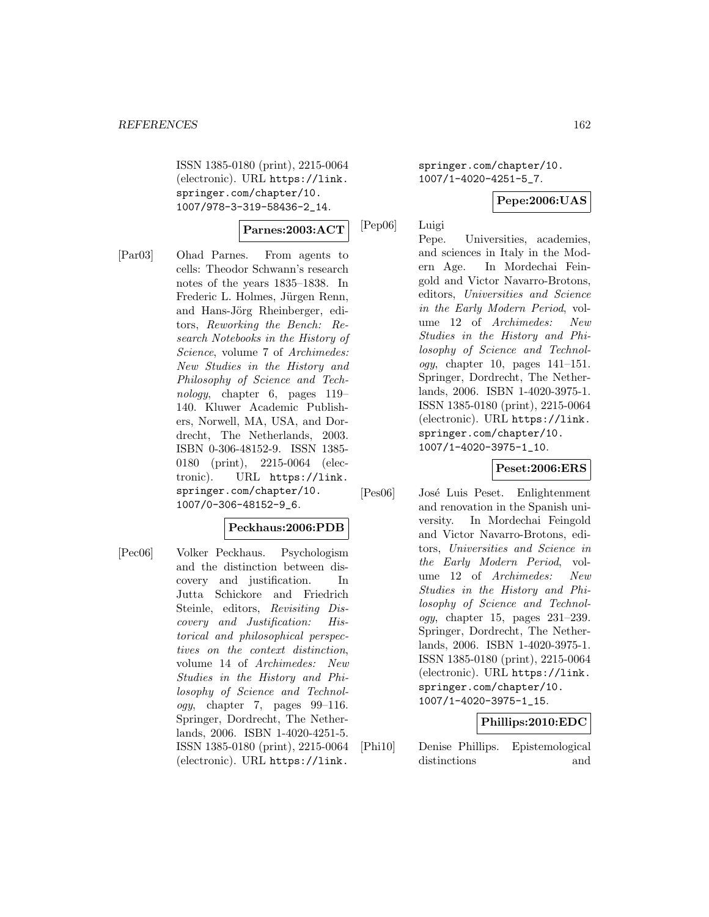ISSN 1385-0180 (print), 2215-0064 (electronic). URL https://link. springer.com/chapter/10. 1007/978-3-319-58436-2\_14.

## **Parnes:2003:ACT**

[Par03] Ohad Parnes. From agents to cells: Theodor Schwann's research notes of the years 1835–1838. In Frederic L. Holmes, Jürgen Renn, and Hans-Jörg Rheinberger, editors, Reworking the Bench: Research Notebooks in the History of Science, volume 7 of Archimedes: New Studies in the History and Philosophy of Science and Technology, chapter 6, pages 119– 140. Kluwer Academic Publishers, Norwell, MA, USA, and Dordrecht, The Netherlands, 2003. ISBN 0-306-48152-9. ISSN 1385- 0180 (print), 2215-0064 (electronic). URL https://link. springer.com/chapter/10. 1007/0-306-48152-9\_6.

## **Peckhaus:2006:PDB**

[Pec06] Volker Peckhaus. Psychologism and the distinction between discovery and justification. In Jutta Schickore and Friedrich Steinle, editors, Revisiting Discovery and Justification: Historical and philosophical perspectives on the context distinction, volume 14 of Archimedes: New Studies in the History and Philosophy of Science and Technology, chapter 7, pages 99–116. Springer, Dordrecht, The Netherlands, 2006. ISBN 1-4020-4251-5. ISSN 1385-0180 (print), 2215-0064 (electronic). URL https://link.

springer.com/chapter/10. 1007/1-4020-4251-5\_7.

## **Pepe:2006:UAS**

[Pep06] Luigi

Pepe. Universities, academies, and sciences in Italy in the Modern Age. In Mordechai Feingold and Victor Navarro-Brotons, editors, Universities and Science in the Early Modern Period, volume 12 of Archimedes: New Studies in the History and Philosophy of Science and Technology, chapter 10, pages 141–151. Springer, Dordrecht, The Netherlands, 2006. ISBN 1-4020-3975-1. ISSN 1385-0180 (print), 2215-0064 (electronic). URL https://link. springer.com/chapter/10. 1007/1-4020-3975-1\_10.

# **Peset:2006:ERS**

[Pes06] José Luis Peset. Enlightenment and renovation in the Spanish university. In Mordechai Feingold and Victor Navarro-Brotons, editors, Universities and Science in the Early Modern Period, volume 12 of Archimedes: New Studies in the History and Philosophy of Science and Technology, chapter 15, pages 231–239. Springer, Dordrecht, The Netherlands, 2006. ISBN 1-4020-3975-1. ISSN 1385-0180 (print), 2215-0064 (electronic). URL https://link. springer.com/chapter/10. 1007/1-4020-3975-1\_15.

## **Phillips:2010:EDC**

[Phi10] Denise Phillips. Epistemological distinctions and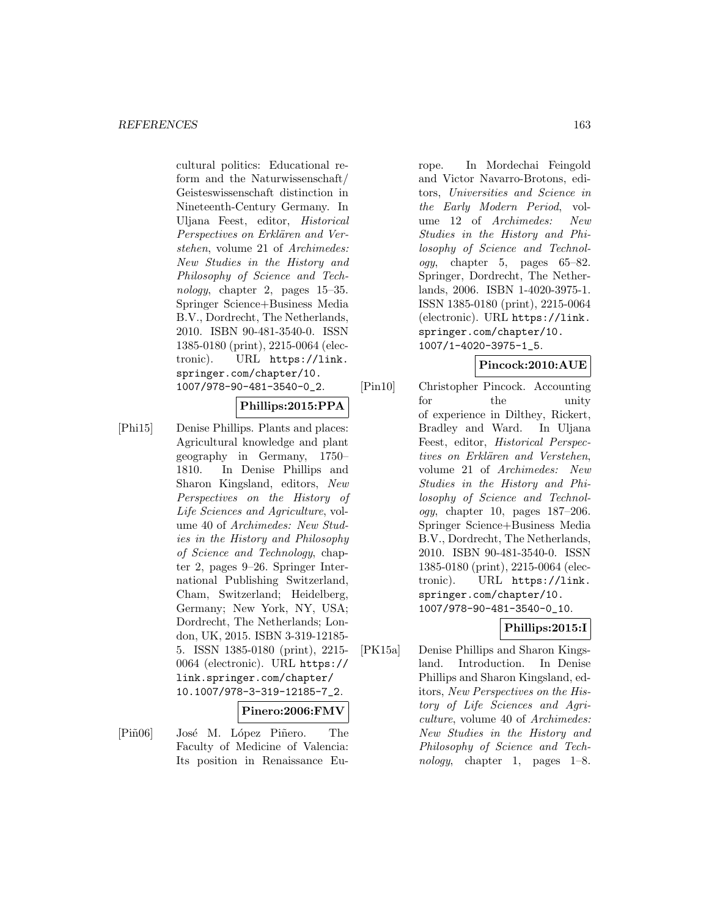cultural politics: Educational reform and the Naturwissenschaft/ Geisteswissenschaft distinction in Nineteenth-Century Germany. In Uljana Feest, editor, Historical Perspectives on Erklären and Verstehen, volume 21 of Archimedes: New Studies in the History and Philosophy of Science and Technology, chapter 2, pages  $15-35$ . Springer Science+Business Media B.V., Dordrecht, The Netherlands, 2010. ISBN 90-481-3540-0. ISSN 1385-0180 (print), 2215-0064 (electronic). URL https://link. springer.com/chapter/10. 1007/978-90-481-3540-0\_2.

## **Phillips:2015:PPA**

[Phi15] Denise Phillips. Plants and places: Agricultural knowledge and plant geography in Germany, 1750– 1810. In Denise Phillips and Sharon Kingsland, editors, New Perspectives on the History of Life Sciences and Agriculture, volume 40 of Archimedes: New Studies in the History and Philosophy of Science and Technology, chapter 2, pages 9–26. Springer International Publishing Switzerland, Cham, Switzerland; Heidelberg, Germany; New York, NY, USA; Dordrecht, The Netherlands; London, UK, 2015. ISBN 3-319-12185- 5. ISSN 1385-0180 (print), 2215- 0064 (electronic). URL https:// link.springer.com/chapter/ 10.1007/978-3-319-12185-7\_2.

#### **Pinero:2006:FMV**

[Piñ06] José M. López Piñero. The Faculty of Medicine of Valencia: Its position in Renaissance Europe. In Mordechai Feingold and Victor Navarro-Brotons, editors, Universities and Science in the Early Modern Period, volume 12 of Archimedes: New Studies in the History and Philosophy of Science and Technology, chapter 5, pages 65–82. Springer, Dordrecht, The Netherlands, 2006. ISBN 1-4020-3975-1. ISSN 1385-0180 (print), 2215-0064 (electronic). URL https://link. springer.com/chapter/10. 1007/1-4020-3975-1\_5.

#### **Pincock:2010:AUE**

[Pin10] Christopher Pincock. Accounting for the unity of experience in Dilthey, Rickert, Bradley and Ward. In Uljana Feest, editor, Historical Perspectives on Erklären and Verstehen, volume 21 of Archimedes: New Studies in the History and Philosophy of Science and Technology, chapter 10, pages 187–206. Springer Science+Business Media B.V., Dordrecht, The Netherlands, 2010. ISBN 90-481-3540-0. ISSN 1385-0180 (print), 2215-0064 (electronic). URL https://link. springer.com/chapter/10. 1007/978-90-481-3540-0\_10.

## **Phillips:2015:I**

[PK15a] Denise Phillips and Sharon Kingsland. Introduction. In Denise Phillips and Sharon Kingsland, editors, New Perspectives on the History of Life Sciences and Agriculture, volume 40 of Archimedes: New Studies in the History and Philosophy of Science and Technology, chapter 1, pages 1–8.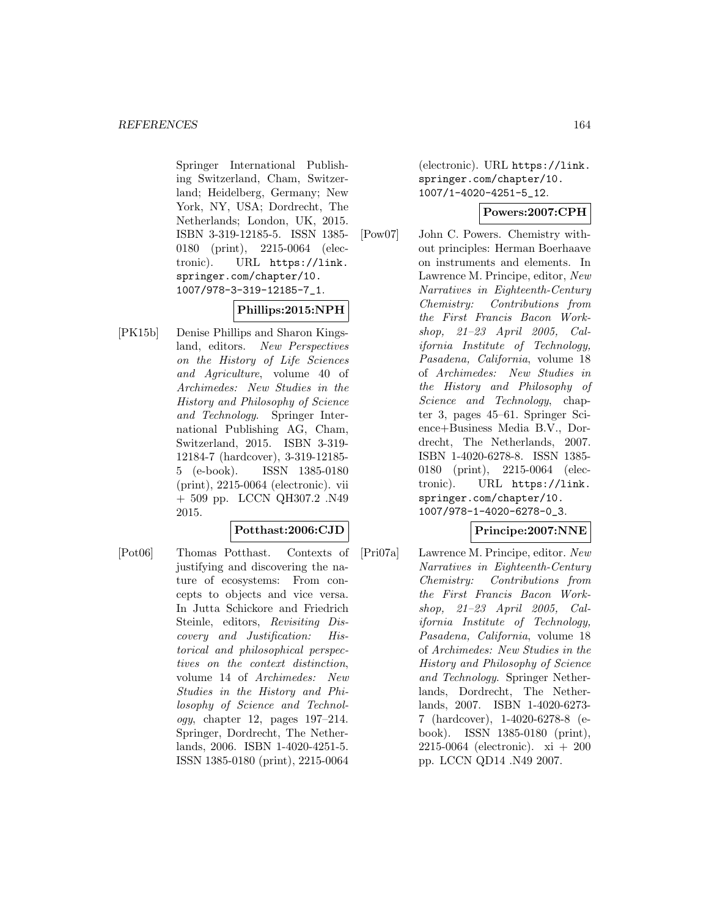Springer International Publishing Switzerland, Cham, Switzerland; Heidelberg, Germany; New York, NY, USA; Dordrecht, The Netherlands; London, UK, 2015. ISBN 3-319-12185-5. ISSN 1385- 0180 (print), 2215-0064 (electronic). URL https://link. springer.com/chapter/10. 1007/978-3-319-12185-7\_1.

# **Phillips:2015:NPH**

[PK15b] Denise Phillips and Sharon Kingsland, editors. New Perspectives on the History of Life Sciences and Agriculture, volume 40 of Archimedes: New Studies in the History and Philosophy of Science and Technology. Springer International Publishing AG, Cham, Switzerland, 2015. ISBN 3-319- 12184-7 (hardcover), 3-319-12185- 5 (e-book). ISSN 1385-0180 (print), 2215-0064 (electronic). vii + 509 pp. LCCN QH307.2 .N49 2015.

#### **Potthast:2006:CJD**

[Pot06] Thomas Potthast. Contexts of justifying and discovering the nature of ecosystems: From concepts to objects and vice versa. In Jutta Schickore and Friedrich Steinle, editors, Revisiting Discovery and Justification: Historical and philosophical perspectives on the context distinction, volume 14 of Archimedes: New Studies in the History and Philosophy of Science and Technology, chapter 12, pages 197–214. Springer, Dordrecht, The Netherlands, 2006. ISBN 1-4020-4251-5. ISSN 1385-0180 (print), 2215-0064

(electronic). URL https://link. springer.com/chapter/10. 1007/1-4020-4251-5\_12.

## **Powers:2007:CPH**

[Pow07] John C. Powers. Chemistry without principles: Herman Boerhaave on instruments and elements. In Lawrence M. Principe, editor, New Narratives in Eighteenth-Century Chemistry: Contributions from the First Francis Bacon Workshop, 21–23 April 2005, California Institute of Technology, Pasadena, California, volume 18 of Archimedes: New Studies in the History and Philosophy of Science and Technology, chapter 3, pages 45–61. Springer Science+Business Media B.V., Dordrecht, The Netherlands, 2007. ISBN 1-4020-6278-8. ISSN 1385- 0180 (print), 2215-0064 (electronic). URL https://link. springer.com/chapter/10. 1007/978-1-4020-6278-0\_3.

## **Principe:2007:NNE**

[Pri07a] Lawrence M. Principe, editor. New Narratives in Eighteenth-Century Chemistry: Contributions from the First Francis Bacon Workshop, 21–23 April 2005, California Institute of Technology, Pasadena, California, volume 18 of Archimedes: New Studies in the History and Philosophy of Science and Technology. Springer Netherlands, Dordrecht, The Netherlands, 2007. ISBN 1-4020-6273- 7 (hardcover), 1-4020-6278-8 (ebook). ISSN 1385-0180 (print), 2215-0064 (electronic). xi + 200 pp. LCCN QD14 .N49 2007.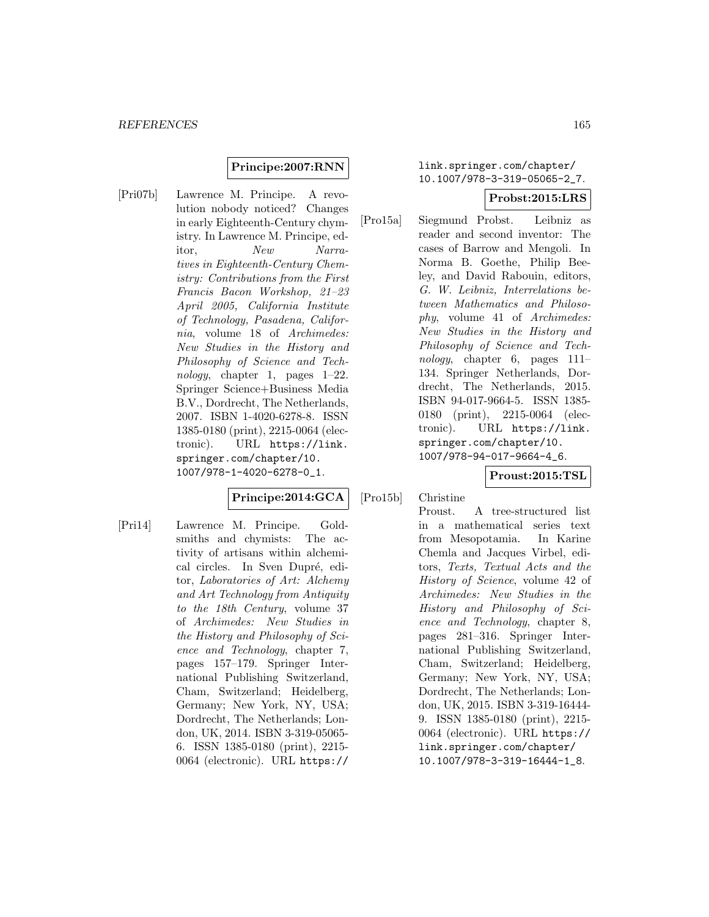## **Principe:2007:RNN**

[Pri07b] Lawrence M. Principe. A revolution nobody noticed? Changes in early Eighteenth-Century chymistry. In Lawrence M. Principe, editor, New Narratives in Eighteenth-Century Chemistry: Contributions from the First Francis Bacon Workshop, 21–23 April 2005, California Institute of Technology, Pasadena, California, volume 18 of Archimedes: New Studies in the History and Philosophy of Science and Technology, chapter 1, pages  $1-22$ . Springer Science+Business Media B.V., Dordrecht, The Netherlands, 2007. ISBN 1-4020-6278-8. ISSN 1385-0180 (print), 2215-0064 (electronic). URL https://link. springer.com/chapter/10. 1007/978-1-4020-6278-0\_1.

## **Principe:2014:GCA**

[Pri14] Lawrence M. Principe. Goldsmiths and chymists: The activity of artisans within alchemical circles. In Sven Dupré, editor, Laboratories of Art: Alchemy and Art Technology from Antiquity to the 18th Century, volume 37 of Archimedes: New Studies in the History and Philosophy of Science and Technology, chapter 7, pages 157–179. Springer International Publishing Switzerland, Cham, Switzerland; Heidelberg, Germany; New York, NY, USA; Dordrecht, The Netherlands; London, UK, 2014. ISBN 3-319-05065- 6. ISSN 1385-0180 (print), 2215- 0064 (electronic). URL https://

## link.springer.com/chapter/ 10.1007/978-3-319-05065-2\_7.

#### **Probst:2015:LRS**

[Pro15a] Siegmund Probst. Leibniz as reader and second inventor: The cases of Barrow and Mengoli. In Norma B. Goethe, Philip Beeley, and David Rabouin, editors, G. W. Leibniz, Interrelations between Mathematics and Philosophy, volume 41 of Archimedes: New Studies in the History and Philosophy of Science and Technology, chapter 6, pages 111– 134. Springer Netherlands, Dordrecht, The Netherlands, 2015. ISBN 94-017-9664-5. ISSN 1385- 0180 (print), 2215-0064 (electronic). URL https://link. springer.com/chapter/10. 1007/978-94-017-9664-4\_6.

## **Proust:2015:TSL**

[Pro15b] Christine

Proust. A tree-structured list in a mathematical series text from Mesopotamia. In Karine Chemla and Jacques Virbel, editors, Texts, Textual Acts and the History of Science, volume 42 of Archimedes: New Studies in the History and Philosophy of Science and Technology, chapter 8, pages 281–316. Springer International Publishing Switzerland, Cham, Switzerland; Heidelberg, Germany; New York, NY, USA; Dordrecht, The Netherlands; London, UK, 2015. ISBN 3-319-16444- 9. ISSN 1385-0180 (print), 2215- 0064 (electronic). URL https:// link.springer.com/chapter/ 10.1007/978-3-319-16444-1\_8.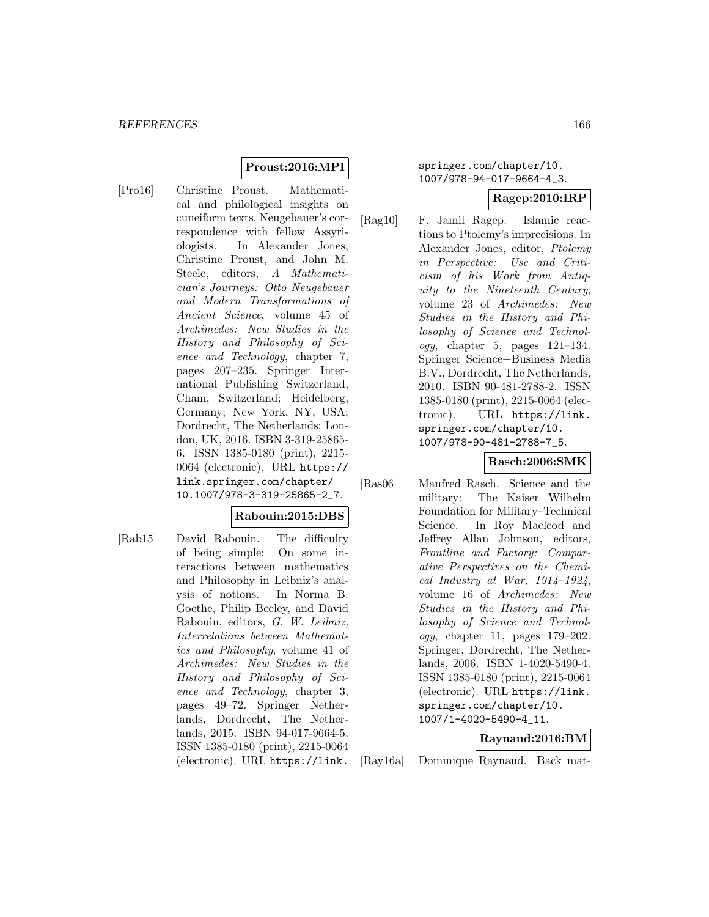## **Proust:2016:MPI**

[Pro16] Christine Proust. Mathematical and philological insights on cuneiform texts. Neugebauer's correspondence with fellow Assyriologists. In Alexander Jones, Christine Proust, and John M. Steele, editors, A Mathematician's Journeys: Otto Neugebauer and Modern Transformations of Ancient Science, volume 45 of Archimedes: New Studies in the History and Philosophy of Science and Technology, chapter 7, pages 207–235. Springer International Publishing Switzerland, Cham, Switzerland; Heidelberg, Germany; New York, NY, USA; Dordrecht, The Netherlands; London, UK, 2016. ISBN 3-319-25865- 6. ISSN 1385-0180 (print), 2215- 0064 (electronic). URL https:// link.springer.com/chapter/ 10.1007/978-3-319-25865-2\_7.

## **Rabouin:2015:DBS**

[Rab15] David Rabouin. The difficulty of being simple: On some interactions between mathematics and Philosophy in Leibniz's analysis of notions. In Norma B. Goethe, Philip Beeley, and David Rabouin, editors, G. W. Leibniz, Interrelations between Mathematics and Philosophy, volume 41 of Archimedes: New Studies in the History and Philosophy of Science and Technology, chapter 3, pages 49–72. Springer Netherlands, Dordrecht, The Netherlands, 2015. ISBN 94-017-9664-5. ISSN 1385-0180 (print), 2215-0064 (electronic). URL https://link.

springer.com/chapter/10. 1007/978-94-017-9664-4\_3.

#### **Ragep:2010:IRP**

[Rag10] F. Jamil Ragep. Islamic reactions to Ptolemy's imprecisions. In Alexander Jones, editor, Ptolemy in Perspective: Use and Criticism of his Work from Antiquity to the Nineteenth Century, volume 23 of Archimedes: New Studies in the History and Philosophy of Science and Technol $oqy$ , chapter 5, pages 121–134. Springer Science+Business Media B.V., Dordrecht, The Netherlands, 2010. ISBN 90-481-2788-2. ISSN 1385-0180 (print), 2215-0064 (electronic). URL https://link. springer.com/chapter/10. 1007/978-90-481-2788-7\_5.

## **Rasch:2006:SMK**

[Ras06] Manfred Rasch. Science and the military: The Kaiser Wilhelm Foundation for Military–Technical Science. In Roy Macleod and Jeffrey Allan Johnson, editors, Frontline and Factory: Comparative Perspectives on the Chemical Industry at War,  $1914-1924$ , volume 16 of Archimedes: New Studies in the History and Philosophy of Science and Technology, chapter 11, pages 179–202. Springer, Dordrecht, The Netherlands, 2006. ISBN 1-4020-5490-4. ISSN 1385-0180 (print), 2215-0064 (electronic). URL https://link. springer.com/chapter/10. 1007/1-4020-5490-4\_11.

#### **Raynaud:2016:BM**

[Ray16a] Dominique Raynaud. Back mat-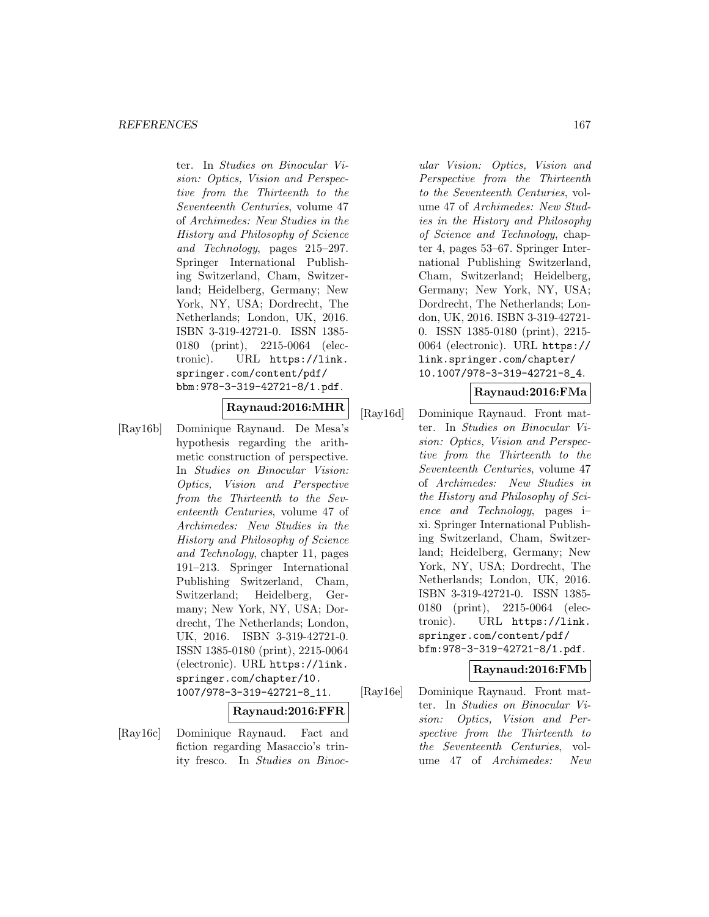ter. In Studies on Binocular Vision: Optics, Vision and Perspective from the Thirteenth to the Seventeenth Centuries, volume 47 of Archimedes: New Studies in the History and Philosophy of Science and Technology, pages 215–297. Springer International Publishing Switzerland, Cham, Switzerland; Heidelberg, Germany; New York, NY, USA; Dordrecht, The Netherlands; London, UK, 2016. ISBN 3-319-42721-0. ISSN 1385- 0180 (print), 2215-0064 (electronic). URL https://link. springer.com/content/pdf/ bbm:978-3-319-42721-8/1.pdf.

# **Raynaud:2016:MHR**

[Ray16b] Dominique Raynaud. De Mesa's hypothesis regarding the arithmetic construction of perspective. In Studies on Binocular Vision: Optics, Vision and Perspective from the Thirteenth to the Seventeenth Centuries, volume 47 of Archimedes: New Studies in the History and Philosophy of Science and Technology, chapter 11, pages 191–213. Springer International Publishing Switzerland, Cham, Switzerland; Heidelberg, Germany; New York, NY, USA; Dordrecht, The Netherlands; London, UK, 2016. ISBN 3-319-42721-0. ISSN 1385-0180 (print), 2215-0064 (electronic). URL https://link. springer.com/chapter/10. 1007/978-3-319-42721-8\_11.

## **Raynaud:2016:FFR**

[Ray16c] Dominique Raynaud. Fact and fiction regarding Masaccio's trinity fresco. In Studies on Binoc-

ular Vision: Optics, Vision and Perspective from the Thirteenth to the Seventeenth Centuries, volume 47 of Archimedes: New Studies in the History and Philosophy of Science and Technology, chapter 4, pages 53–67. Springer International Publishing Switzerland, Cham, Switzerland; Heidelberg, Germany; New York, NY, USA; Dordrecht, The Netherlands; London, UK, 2016. ISBN 3-319-42721- 0. ISSN 1385-0180 (print), 2215- 0064 (electronic). URL https:// link.springer.com/chapter/ 10.1007/978-3-319-42721-8\_4.

## **Raynaud:2016:FMa**

[Ray16d] Dominique Raynaud. Front matter. In Studies on Binocular Vision: Optics, Vision and Perspective from the Thirteenth to the Seventeenth Centuries, volume 47 of Archimedes: New Studies in the History and Philosophy of Science and Technology, pages i– xi. Springer International Publishing Switzerland, Cham, Switzerland; Heidelberg, Germany; New York, NY, USA; Dordrecht, The Netherlands; London, UK, 2016. ISBN 3-319-42721-0. ISSN 1385- 0180 (print), 2215-0064 (electronic). URL https://link. springer.com/content/pdf/ bfm:978-3-319-42721-8/1.pdf.

# **Raynaud:2016:FMb**

[Ray16e] Dominique Raynaud. Front matter. In Studies on Binocular Vision: Optics, Vision and Perspective from the Thirteenth to the Seventeenth Centuries, volume 47 of Archimedes: New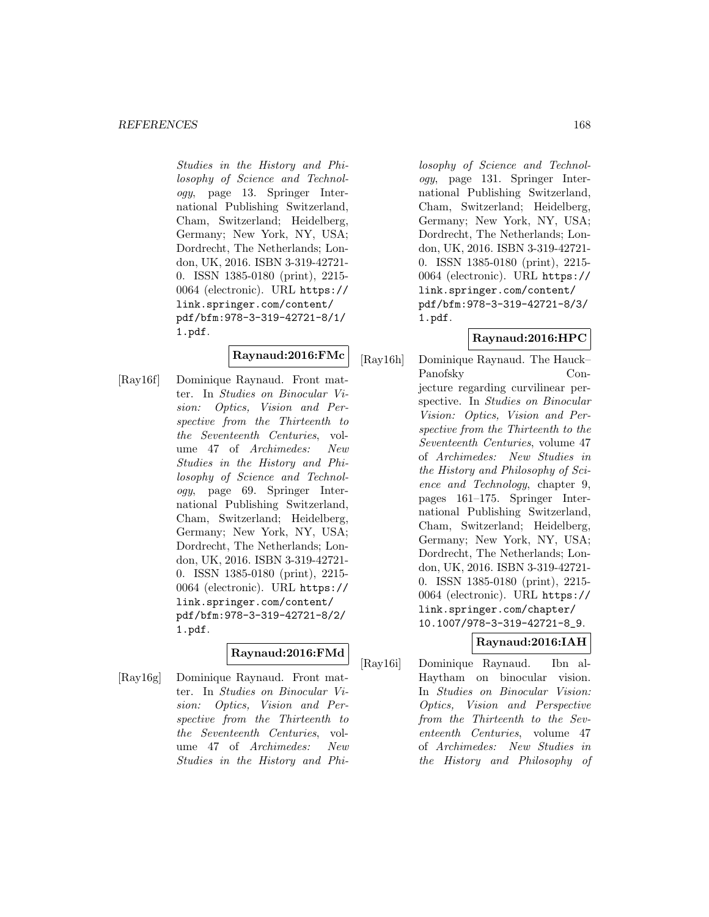Studies in the History and Philosophy of Science and Technology, page 13. Springer International Publishing Switzerland, Cham, Switzerland; Heidelberg, Germany; New York, NY, USA; Dordrecht, The Netherlands; London, UK, 2016. ISBN 3-319-42721- 0. ISSN 1385-0180 (print), 2215- 0064 (electronic). URL https:// link.springer.com/content/ pdf/bfm:978-3-319-42721-8/1/ 1.pdf.

## **Raynaud:2016:FMc**

[Ray16f] Dominique Raynaud. Front matter. In Studies on Binocular Vision: Optics, Vision and Perspective from the Thirteenth to the Seventeenth Centuries, volume 47 of Archimedes: New Studies in the History and Philosophy of Science and Technology, page 69. Springer International Publishing Switzerland, Cham, Switzerland; Heidelberg, Germany; New York, NY, USA; Dordrecht, The Netherlands; London, UK, 2016. ISBN 3-319-42721- 0. ISSN 1385-0180 (print), 2215- 0064 (electronic). URL https:// link.springer.com/content/ pdf/bfm:978-3-319-42721-8/2/ 1.pdf.

## **Raynaud:2016:FMd**

[Ray16g] Dominique Raynaud. Front matter. In Studies on Binocular Vision: Optics, Vision and Perspective from the Thirteenth to the Seventeenth Centuries, volume 47 of Archimedes: New Studies in the History and Phi-

losophy of Science and Technology, page 131. Springer International Publishing Switzerland, Cham, Switzerland; Heidelberg, Germany; New York, NY, USA; Dordrecht, The Netherlands; London, UK, 2016. ISBN 3-319-42721- 0. ISSN 1385-0180 (print), 2215- 0064 (electronic). URL https:// link.springer.com/content/ pdf/bfm:978-3-319-42721-8/3/ 1.pdf.

## **Raynaud:2016:HPC**

[Ray16h] Dominique Raynaud. The Hauck– Panofsky Conjecture regarding curvilinear perspective. In Studies on Binocular Vision: Optics, Vision and Perspective from the Thirteenth to the Seventeenth Centuries, volume 47 of Archimedes: New Studies in the History and Philosophy of Science and Technology, chapter 9, pages 161–175. Springer International Publishing Switzerland, Cham, Switzerland; Heidelberg, Germany; New York, NY, USA; Dordrecht, The Netherlands; London, UK, 2016. ISBN 3-319-42721- 0. ISSN 1385-0180 (print), 2215- 0064 (electronic). URL https:// link.springer.com/chapter/ 10.1007/978-3-319-42721-8\_9.

# **Raynaud:2016:IAH**

[Ray16i] Dominique Raynaud. Ibn al-Haytham on binocular vision. In Studies on Binocular Vision: Optics, Vision and Perspective from the Thirteenth to the Seventeenth Centuries, volume 47 of Archimedes: New Studies in the History and Philosophy of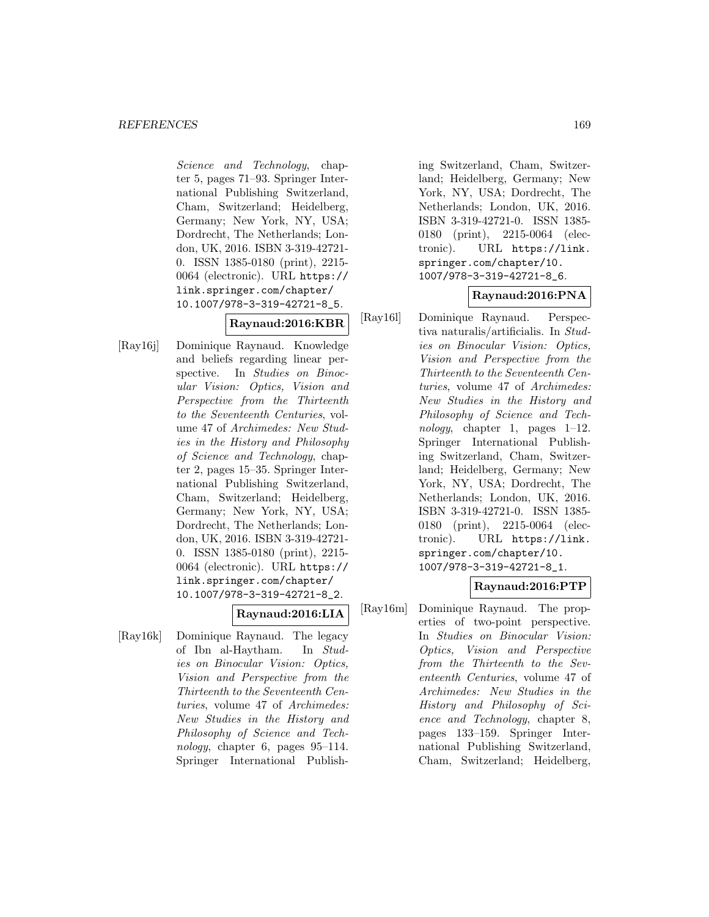Science and Technology, chapter 5, pages 71–93. Springer International Publishing Switzerland, Cham, Switzerland; Heidelberg, Germany; New York, NY, USA; Dordrecht, The Netherlands; London, UK, 2016. ISBN 3-319-42721- 0. ISSN 1385-0180 (print), 2215- 0064 (electronic). URL https:// link.springer.com/chapter/ 10.1007/978-3-319-42721-8\_5.

## **Raynaud:2016:KBR**

[Ray16j] Dominique Raynaud. Knowledge and beliefs regarding linear perspective. In *Studies on Binoc*ular Vision: Optics, Vision and Perspective from the Thirteenth to the Seventeenth Centuries, volume 47 of Archimedes: New Studies in the History and Philosophy of Science and Technology, chapter 2, pages 15–35. Springer International Publishing Switzerland, Cham, Switzerland; Heidelberg, Germany; New York, NY, USA; Dordrecht, The Netherlands; London, UK, 2016. ISBN 3-319-42721- 0. ISSN 1385-0180 (print), 2215- 0064 (electronic). URL https:// link.springer.com/chapter/ 10.1007/978-3-319-42721-8\_2.

# **Raynaud:2016:LIA**

[Ray16k] Dominique Raynaud. The legacy of Ibn al-Haytham. In Studies on Binocular Vision: Optics, Vision and Perspective from the Thirteenth to the Seventeenth Centuries, volume 47 of Archimedes: New Studies in the History and Philosophy of Science and Technology, chapter 6, pages 95–114. Springer International Publishing Switzerland, Cham, Switzerland; Heidelberg, Germany; New York, NY, USA; Dordrecht, The Netherlands; London, UK, 2016. ISBN 3-319-42721-0. ISSN 1385- 0180 (print), 2215-0064 (electronic). URL https://link. springer.com/chapter/10. 1007/978-3-319-42721-8\_6.

## **Raynaud:2016:PNA**

[Ray16l] Dominique Raynaud. Perspectiva naturalis/artificialis. In Studies on Binocular Vision: Optics, Vision and Perspective from the Thirteenth to the Seventeenth Centuries, volume 47 of Archimedes: New Studies in the History and Philosophy of Science and Technology, chapter 1, pages 1–12. Springer International Publishing Switzerland, Cham, Switzerland; Heidelberg, Germany; New York, NY, USA; Dordrecht, The Netherlands; London, UK, 2016. ISBN 3-319-42721-0. ISSN 1385- 0180 (print), 2215-0064 (electronic). URL https://link. springer.com/chapter/10. 1007/978-3-319-42721-8\_1.

## **Raynaud:2016:PTP**

[Ray16m] Dominique Raynaud. The properties of two-point perspective. In Studies on Binocular Vision: Optics, Vision and Perspective from the Thirteenth to the Seventeenth Centuries, volume 47 of Archimedes: New Studies in the History and Philosophy of Science and Technology, chapter 8, pages 133–159. Springer International Publishing Switzerland, Cham, Switzerland; Heidelberg,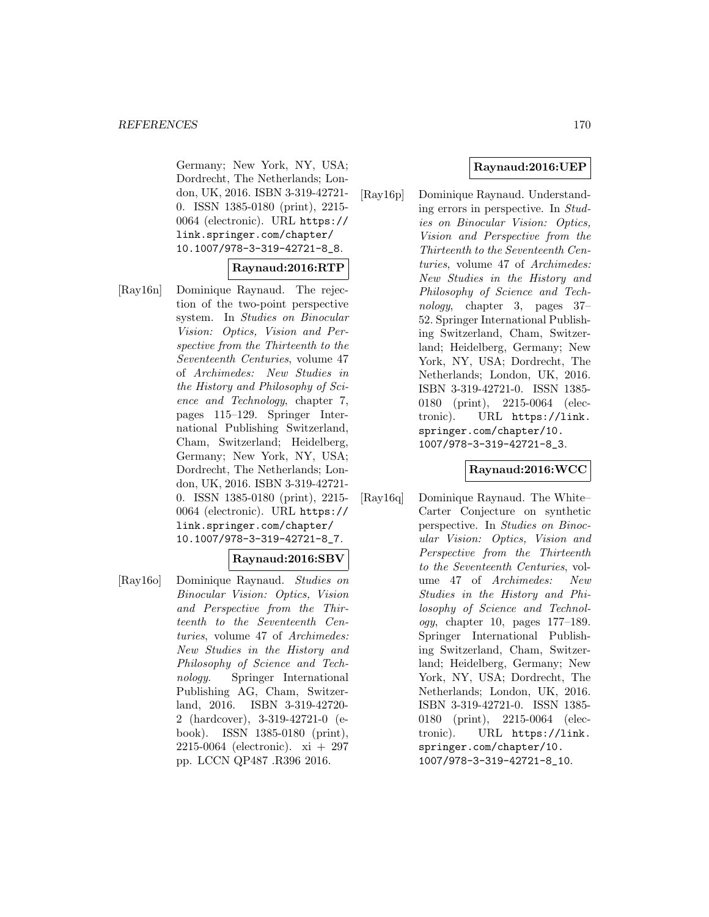Germany; New York, NY, USA; Dordrecht, The Netherlands; London, UK, 2016. ISBN 3-319-42721- 0. ISSN 1385-0180 (print), 2215- 0064 (electronic). URL https:// link.springer.com/chapter/ 10.1007/978-3-319-42721-8\_8.

## **Raynaud:2016:RTP**

[Ray16n] Dominique Raynaud. The rejection of the two-point perspective system. In Studies on Binocular Vision: Optics, Vision and Perspective from the Thirteenth to the Seventeenth Centuries, volume 47 of Archimedes: New Studies in the History and Philosophy of Science and Technology, chapter 7, pages 115–129. Springer International Publishing Switzerland, Cham, Switzerland; Heidelberg, Germany; New York, NY, USA; Dordrecht, The Netherlands; London, UK, 2016. ISBN 3-319-42721- 0. ISSN 1385-0180 (print), 2215- 0064 (electronic). URL https:// link.springer.com/chapter/ 10.1007/978-3-319-42721-8\_7.

## **Raynaud:2016:SBV**

[Ray16o] Dominique Raynaud. Studies on Binocular Vision: Optics, Vision and Perspective from the Thirteenth to the Seventeenth Centuries, volume 47 of Archimedes: New Studies in the History and Philosophy of Science and Technology. Springer International Publishing AG, Cham, Switzerland, 2016. ISBN 3-319-42720- 2 (hardcover), 3-319-42721-0 (ebook). ISSN 1385-0180 (print), 2215-0064 (electronic). xi + 297 pp. LCCN QP487 .R396 2016.

## **Raynaud:2016:UEP**

[Ray16p] Dominique Raynaud. Understanding errors in perspective. In Studies on Binocular Vision: Optics, Vision and Perspective from the Thirteenth to the Seventeenth Centuries, volume 47 of Archimedes: New Studies in the History and Philosophy of Science and Technology, chapter 3, pages 37– 52. Springer International Publishing Switzerland, Cham, Switzerland; Heidelberg, Germany; New York, NY, USA; Dordrecht, The Netherlands; London, UK, 2016. ISBN 3-319-42721-0. ISSN 1385- 0180 (print), 2215-0064 (electronic). URL https://link. springer.com/chapter/10. 1007/978-3-319-42721-8\_3.

#### **Raynaud:2016:WCC**

[Ray16q] Dominique Raynaud. The White– Carter Conjecture on synthetic perspective. In Studies on Binocular Vision: Optics, Vision and Perspective from the Thirteenth to the Seventeenth Centuries, volume 47 of Archimedes: New Studies in the History and Philosophy of Science and Technology, chapter 10, pages 177–189. Springer International Publishing Switzerland, Cham, Switzerland; Heidelberg, Germany; New York, NY, USA; Dordrecht, The Netherlands; London, UK, 2016. ISBN 3-319-42721-0. ISSN 1385- 0180 (print), 2215-0064 (electronic). URL https://link. springer.com/chapter/10. 1007/978-3-319-42721-8\_10.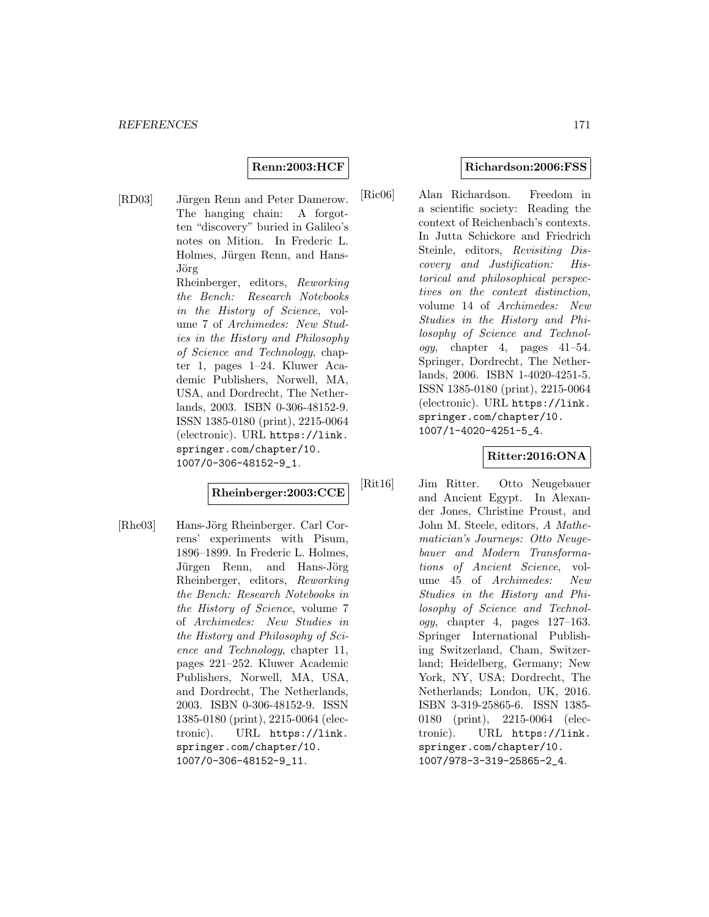#### **Renn:2003:HCF**

[RD03] Jürgen Renn and Peter Damerow. The hanging chain: A forgotten "discovery" buried in Galileo's notes on Mition. In Frederic L. Holmes, Jürgen Renn, and Hans-Jörg

Rheinberger, editors, Reworking the Bench: Research Notebooks in the History of Science, volume 7 of Archimedes: New Studies in the History and Philosophy of Science and Technology, chapter 1, pages 1–24. Kluwer Academic Publishers, Norwell, MA, USA, and Dordrecht, The Netherlands, 2003. ISBN 0-306-48152-9. ISSN 1385-0180 (print), 2215-0064 (electronic). URL https://link. springer.com/chapter/10. 1007/0-306-48152-9\_1.

# **Rheinberger:2003:CCE**

[Rhe03] Hans-Jörg Rheinberger. Carl Correns' experiments with Pisum, 1896–1899. In Frederic L. Holmes, Jürgen Renn, and Hans-Jörg Rheinberger, editors, Reworking the Bench: Research Notebooks in the History of Science, volume 7 of Archimedes: New Studies in the History and Philosophy of Science and Technology, chapter 11, pages 221–252. Kluwer Academic Publishers, Norwell, MA, USA, and Dordrecht, The Netherlands, 2003. ISBN 0-306-48152-9. ISSN 1385-0180 (print), 2215-0064 (electronic). URL https://link. springer.com/chapter/10. 1007/0-306-48152-9\_11.

#### **Richardson:2006:FSS**

[Ric06] Alan Richardson. Freedom in a scientific society: Reading the context of Reichenbach's contexts. In Jutta Schickore and Friedrich Steinle, editors, Revisiting Discovery and Justification: Historical and philosophical perspectives on the context distinction, volume 14 of Archimedes: New Studies in the History and Philosophy of Science and Technol*ogy*, chapter 4, pages  $41-54$ . Springer, Dordrecht, The Netherlands, 2006. ISBN 1-4020-4251-5. ISSN 1385-0180 (print), 2215-0064 (electronic). URL https://link. springer.com/chapter/10. 1007/1-4020-4251-5\_4.

#### **Ritter:2016:ONA**

[Rit16] Jim Ritter. Otto Neugebauer and Ancient Egypt. In Alexander Jones, Christine Proust, and John M. Steele, editors, A Mathematician's Journeys: Otto Neugebauer and Modern Transformations of Ancient Science, volume 45 of Archimedes: New Studies in the History and Philosophy of Science and Technology, chapter 4, pages 127–163. Springer International Publishing Switzerland, Cham, Switzerland; Heidelberg, Germany; New York, NY, USA; Dordrecht, The Netherlands; London, UK, 2016. ISBN 3-319-25865-6. ISSN 1385- 0180 (print), 2215-0064 (electronic). URL https://link. springer.com/chapter/10. 1007/978-3-319-25865-2\_4.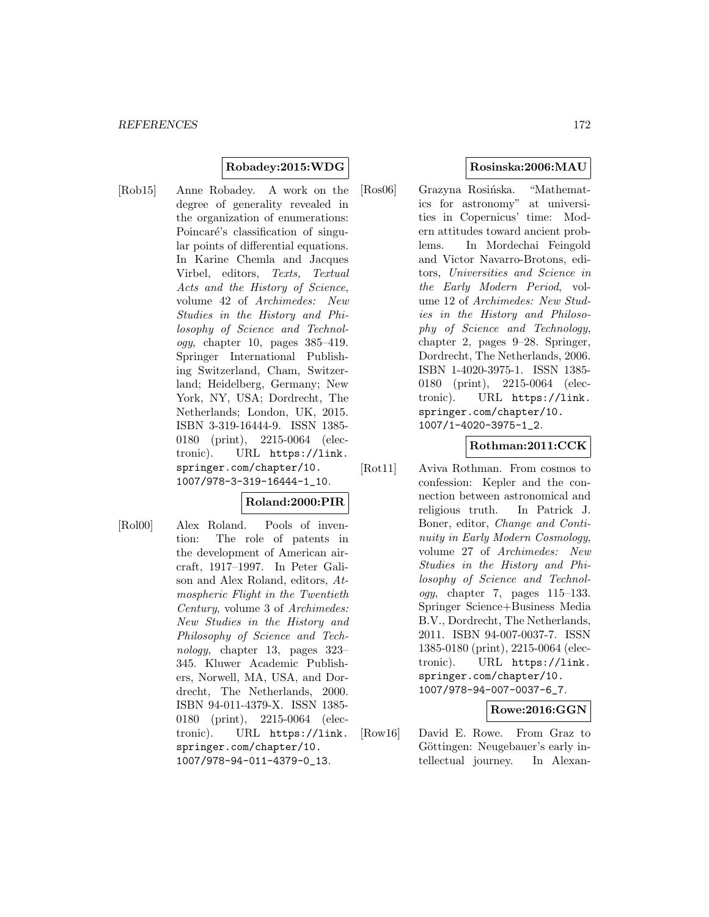## **Robadey:2015:WDG**

[Rob15] Anne Robadey. A work on the degree of generality revealed in the organization of enumerations: Poincaré's classification of singular points of differential equations. In Karine Chemla and Jacques Virbel, editors, Texts, Textual Acts and the History of Science, volume 42 of Archimedes: New Studies in the History and Philosophy of Science and Technol $oqy$ , chapter 10, pages  $385-419$ . Springer International Publishing Switzerland, Cham, Switzerland; Heidelberg, Germany; New York, NY, USA; Dordrecht, The Netherlands; London, UK, 2015. ISBN 3-319-16444-9. ISSN 1385- 0180 (print), 2215-0064 (electronic). URL https://link. springer.com/chapter/10. 1007/978-3-319-16444-1\_10.

#### **Roland:2000:PIR**

[Rol00] Alex Roland. Pools of invention: The role of patents in the development of American aircraft, 1917–1997. In Peter Galison and Alex Roland, editors, Atmospheric Flight in the Twentieth Century, volume 3 of Archimedes: New Studies in the History and Philosophy of Science and Technology, chapter 13, pages 323– 345. Kluwer Academic Publishers, Norwell, MA, USA, and Dordrecht, The Netherlands, 2000. ISBN 94-011-4379-X. ISSN 1385- 0180 (print), 2215-0064 (electronic). URL https://link. springer.com/chapter/10. 1007/978-94-011-4379-0\_13.

## **Rosinska:2006:MAU**

[Ros06] Grazyna Rosińska. "Mathematics for astronomy" at universities in Copernicus' time: Modern attitudes toward ancient problems. In Mordechai Feingold and Victor Navarro-Brotons, editors, Universities and Science in the Early Modern Period, volume 12 of Archimedes: New Studies in the History and Philosophy of Science and Technology, chapter 2, pages 9–28. Springer, Dordrecht, The Netherlands, 2006. ISBN 1-4020-3975-1. ISSN 1385- 0180 (print), 2215-0064 (electronic). URL https://link. springer.com/chapter/10. 1007/1-4020-3975-1\_2.

#### **Rothman:2011:CCK**

[Rot11] Aviva Rothman. From cosmos to confession: Kepler and the connection between astronomical and religious truth. In Patrick J. Boner, editor, Change and Continuity in Early Modern Cosmology, volume 27 of Archimedes: New Studies in the History and Philosophy of Science and Technology, chapter 7, pages 115–133. Springer Science+Business Media B.V., Dordrecht, The Netherlands, 2011. ISBN 94-007-0037-7. ISSN 1385-0180 (print), 2215-0064 (electronic). URL https://link. springer.com/chapter/10. 1007/978-94-007-0037-6\_7.

#### **Rowe:2016:GGN**

[Row16] David E. Rowe. From Graz to Göttingen: Neugebauer's early intellectual journey. In Alexan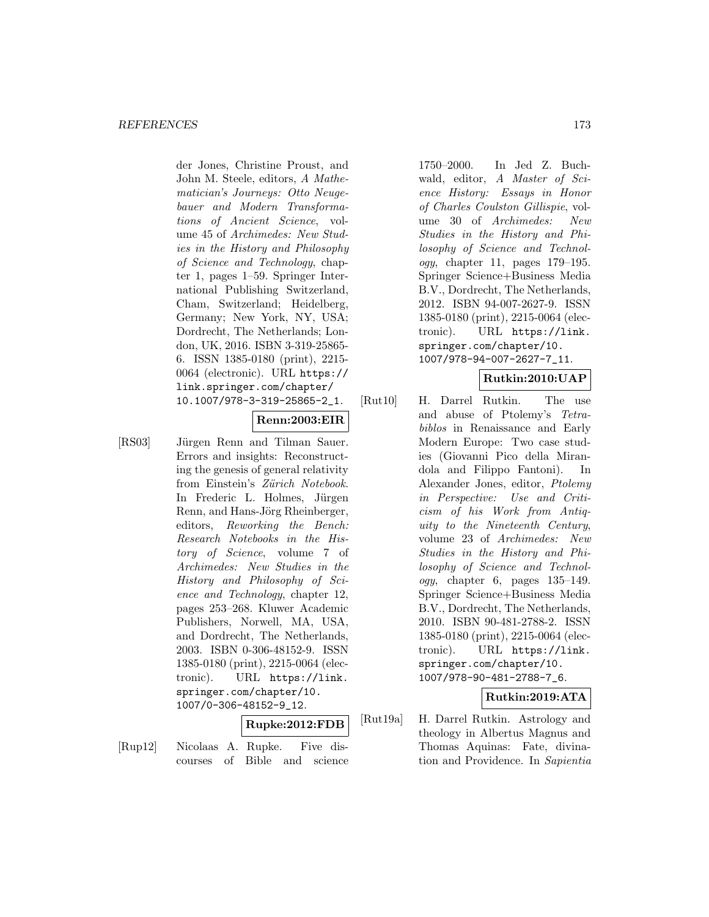der Jones, Christine Proust, and John M. Steele, editors, A Mathematician's Journeys: Otto Neugebauer and Modern Transformations of Ancient Science, volume 45 of Archimedes: New Studies in the History and Philosophy of Science and Technology, chapter 1, pages 1–59. Springer International Publishing Switzerland, Cham, Switzerland; Heidelberg, Germany; New York, NY, USA; Dordrecht, The Netherlands; London, UK, 2016. ISBN 3-319-25865- 6. ISSN 1385-0180 (print), 2215- 0064 (electronic). URL https:// link.springer.com/chapter/ 10.1007/978-3-319-25865-2\_1.

## **Renn:2003:EIR**

[RS03] Jürgen Renn and Tilman Sauer. Errors and insights: Reconstructing the genesis of general relativity from Einstein's Zürich Notebook. In Frederic L. Holmes, Jürgen Renn, and Hans-Jörg Rheinberger, editors, Reworking the Bench: Research Notebooks in the History of Science, volume 7 of Archimedes: New Studies in the History and Philosophy of Science and Technology, chapter 12, pages 253–268. Kluwer Academic Publishers, Norwell, MA, USA, and Dordrecht, The Netherlands, 2003. ISBN 0-306-48152-9. ISSN 1385-0180 (print), 2215-0064 (electronic). URL https://link. springer.com/chapter/10. 1007/0-306-48152-9\_12.

## **Rupke:2012:FDB**

[Rup12] Nicolaas A. Rupke. Five discourses of Bible and science 1750–2000. In Jed Z. Buchwald, editor, A Master of Science History: Essays in Honor of Charles Coulston Gillispie, volume 30 of Archimedes: New Studies in the History and Philosophy of Science and Technol $oqu$ , chapter 11, pages 179–195. Springer Science+Business Media B.V., Dordrecht, The Netherlands, 2012. ISBN 94-007-2627-9. ISSN 1385-0180 (print), 2215-0064 (electronic). URL https://link. springer.com/chapter/10. 1007/978-94-007-2627-7\_11.

## **Rutkin:2010:UAP**

[Rut10] H. Darrel Rutkin. The use and abuse of Ptolemy's Tetrabiblos in Renaissance and Early Modern Europe: Two case studies (Giovanni Pico della Mirandola and Filippo Fantoni). In Alexander Jones, editor, Ptolemy in Perspective: Use and Criticism of his Work from Antiquity to the Nineteenth Century, volume 23 of Archimedes: New Studies in the History and Philosophy of Science and Technology, chapter 6, pages  $135-149$ . Springer Science+Business Media B.V., Dordrecht, The Netherlands, 2010. ISBN 90-481-2788-2. ISSN 1385-0180 (print), 2215-0064 (electronic). URL https://link. springer.com/chapter/10. 1007/978-90-481-2788-7\_6.

#### **Rutkin:2019:ATA**

[Rut19a] H. Darrel Rutkin. Astrology and theology in Albertus Magnus and Thomas Aquinas: Fate, divination and Providence. In Sapientia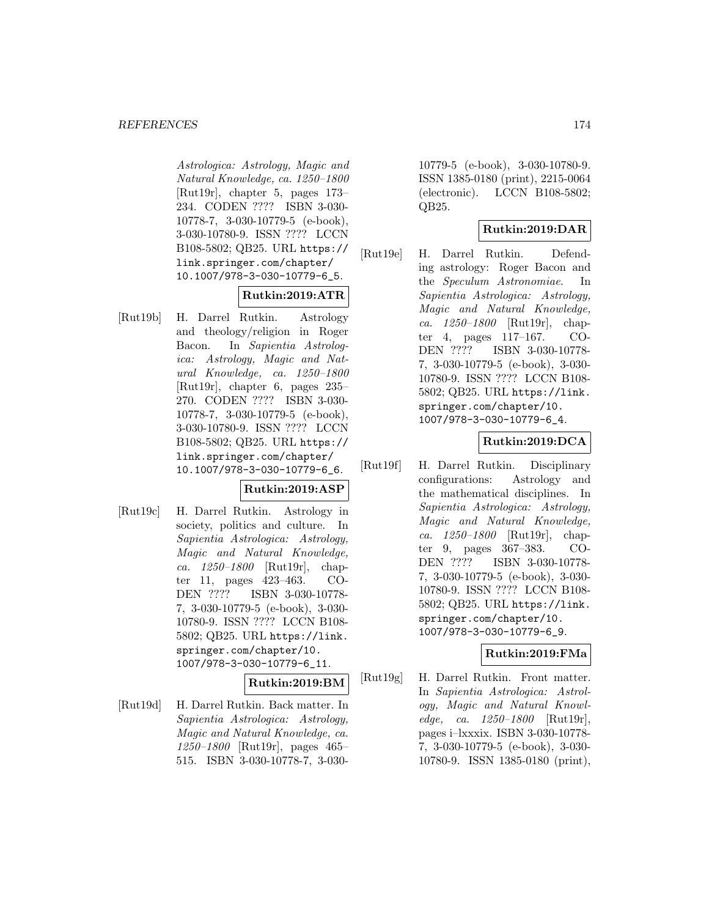Astrologica: Astrology, Magic and Natural Knowledge, ca. 1250–1800 [Rut19r], chapter 5, pages 173– 234. CODEN ???? ISBN 3-030- 10778-7, 3-030-10779-5 (e-book), 3-030-10780-9. ISSN ???? LCCN B108-5802; QB25. URL https:// link.springer.com/chapter/ 10.1007/978-3-030-10779-6\_5.

# **Rutkin:2019:ATR**

[Rut19b] H. Darrel Rutkin. Astrology and theology/religion in Roger Bacon. In Sapientia Astrologica: Astrology, Magic and Natural Knowledge, ca. 1250–1800 [Rut19r], chapter 6, pages 235– 270. CODEN ???? ISBN 3-030- 10778-7, 3-030-10779-5 (e-book), 3-030-10780-9. ISSN ???? LCCN B108-5802; QB25. URL https:// link.springer.com/chapter/ 10.1007/978-3-030-10779-6\_6.

## **Rutkin:2019:ASP**

[Rut19c] H. Darrel Rutkin. Astrology in society, politics and culture. In Sapientia Astrologica: Astrology, Magic and Natural Knowledge, ca. 1250–1800 [Rut19r], chapter 11, pages 423–463. CO-DEN ???? ISBN 3-030-10778- 7, 3-030-10779-5 (e-book), 3-030- 10780-9. ISSN ???? LCCN B108- 5802; QB25. URL https://link. springer.com/chapter/10. 1007/978-3-030-10779-6\_11.

**Rutkin:2019:BM**

[Rut19d] H. Darrel Rutkin. Back matter. In Sapientia Astrologica: Astrology, Magic and Natural Knowledge, ca. 1250–1800 [Rut19r], pages 465– 515. ISBN 3-030-10778-7, 3-030-

10779-5 (e-book), 3-030-10780-9. ISSN 1385-0180 (print), 2215-0064 (electronic). LCCN B108-5802; QB25.

# **Rutkin:2019:DAR**

[Rut19e] H. Darrel Rutkin. Defending astrology: Roger Bacon and the Speculum Astronomiae. In Sapientia Astrologica: Astrology, Magic and Natural Knowledge, ca. 1250–1800 [Rut19r], chapter 4, pages 117–167. CO-DEN ???? ISBN 3-030-10778- 7, 3-030-10779-5 (e-book), 3-030- 10780-9. ISSN ???? LCCN B108- 5802; QB25. URL https://link. springer.com/chapter/10. 1007/978-3-030-10779-6\_4.

## **Rutkin:2019:DCA**

[Rut19f] H. Darrel Rutkin. Disciplinary configurations: Astrology and the mathematical disciplines. In Sapientia Astrologica: Astrology, Magic and Natural Knowledge, ca. 1250–1800 [Rut19r], chapter 9, pages 367–383. CO-DEN ???? ISBN 3-030-10778- 7, 3-030-10779-5 (e-book), 3-030- 10780-9. ISSN ???? LCCN B108- 5802; QB25. URL https://link. springer.com/chapter/10. 1007/978-3-030-10779-6\_9.

## **Rutkin:2019:FMa**

[Rut19g] H. Darrel Rutkin. Front matter. In Sapientia Astrologica: Astrology, Magic and Natural Knowledge, ca. 1250–1800 [Rut19r], pages i–lxxxix. ISBN 3-030-10778- 7, 3-030-10779-5 (e-book), 3-030- 10780-9. ISSN 1385-0180 (print),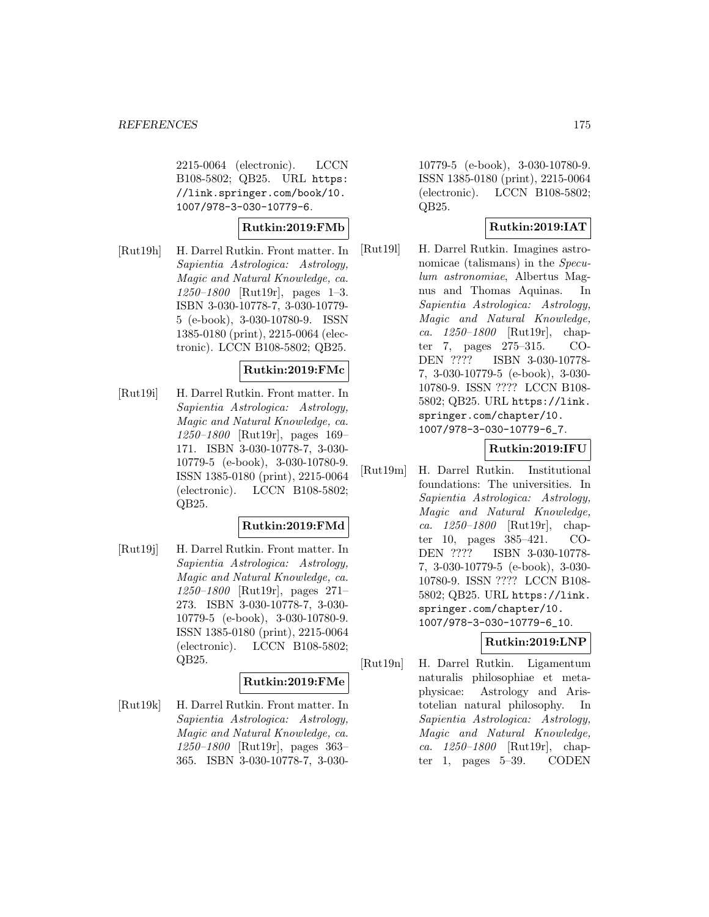2215-0064 (electronic). LCCN B108-5802; QB25. URL https: //link.springer.com/book/10. 1007/978-3-030-10779-6.

#### **Rutkin:2019:FMb**

[Rut19h] H. Darrel Rutkin. Front matter. In Sapientia Astrologica: Astrology, Magic and Natural Knowledge, ca. 1250–1800 [Rut19r], pages 1–3. ISBN 3-030-10778-7, 3-030-10779- 5 (e-book), 3-030-10780-9. ISSN 1385-0180 (print), 2215-0064 (electronic). LCCN B108-5802; QB25.

## **Rutkin:2019:FMc**

[Rut19i] H. Darrel Rutkin. Front matter. In Sapientia Astrologica: Astrology, Magic and Natural Knowledge, ca. 1250–1800 [Rut19r], pages 169– 171. ISBN 3-030-10778-7, 3-030- 10779-5 (e-book), 3-030-10780-9. ISSN 1385-0180 (print), 2215-0064 (electronic). LCCN B108-5802; QB25.

## **Rutkin:2019:FMd**

[Rut19j] H. Darrel Rutkin. Front matter. In Sapientia Astrologica: Astrology, Magic and Natural Knowledge, ca. 1250–1800 [Rut19r], pages 271– 273. ISBN 3-030-10778-7, 3-030- 10779-5 (e-book), 3-030-10780-9. ISSN 1385-0180 (print), 2215-0064 (electronic). LCCN B108-5802; QB25.

#### **Rutkin:2019:FMe**

[Rut19k] H. Darrel Rutkin. Front matter. In Sapientia Astrologica: Astrology, Magic and Natural Knowledge, ca. 1250–1800 [Rut19r], pages 363– 365. ISBN 3-030-10778-7, 3-030-

10779-5 (e-book), 3-030-10780-9. ISSN 1385-0180 (print), 2215-0064 (electronic). LCCN B108-5802; QB25.

## **Rutkin:2019:IAT**

[Rut19l] H. Darrel Rutkin. Imagines astronomicae (talismans) in the Speculum astronomiae, Albertus Magnus and Thomas Aquinas. In Sapientia Astrologica: Astrology, Magic and Natural Knowledge, ca.  $1250 - 1800$  [Rut19r], chapter 7, pages 275–315. CO-DEN ???? ISBN 3-030-10778- 7, 3-030-10779-5 (e-book), 3-030- 10780-9. ISSN ???? LCCN B108- 5802; QB25. URL https://link. springer.com/chapter/10. 1007/978-3-030-10779-6\_7.

## **Rutkin:2019:IFU**

[Rut19m] H. Darrel Rutkin. Institutional foundations: The universities. In Sapientia Astrologica: Astrology, Magic and Natural Knowledge, ca. 1250–1800 [Rut19r], chapter 10, pages 385–421. CO-DEN ???? ISBN 3-030-10778- 7, 3-030-10779-5 (e-book), 3-030- 10780-9. ISSN ???? LCCN B108- 5802; QB25. URL https://link. springer.com/chapter/10. 1007/978-3-030-10779-6\_10.

## **Rutkin:2019:LNP**

[Rut19n] H. Darrel Rutkin. Ligamentum naturalis philosophiae et metaphysicae: Astrology and Aristotelian natural philosophy. In Sapientia Astrologica: Astrology, Magic and Natural Knowledge, ca. 1250–1800 [Rut19r], chapter 1, pages 5–39. CODEN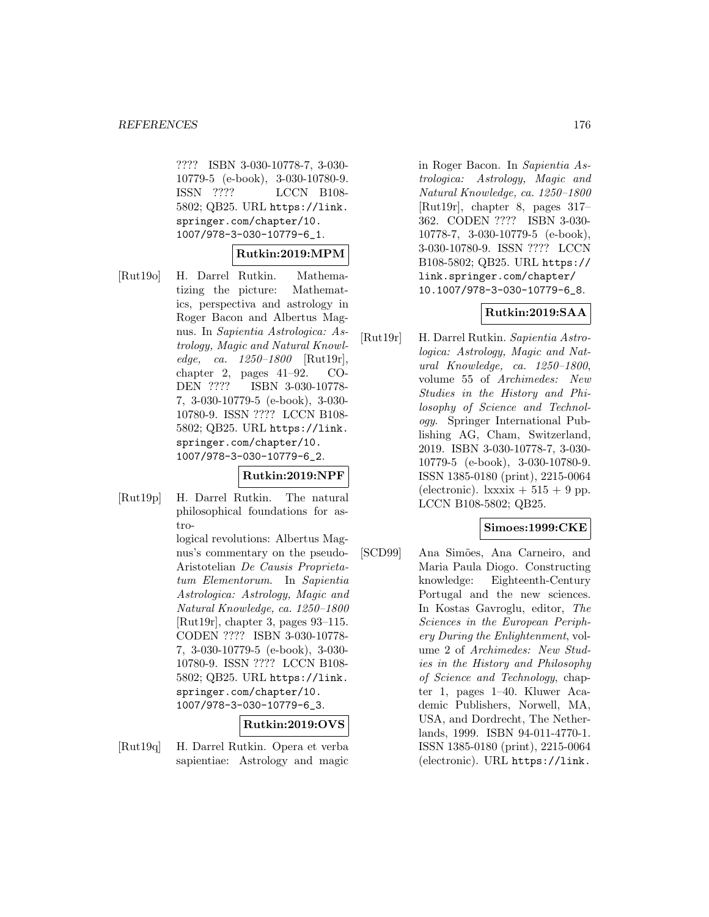???? ISBN 3-030-10778-7, 3-030- 10779-5 (e-book), 3-030-10780-9. ISSN ???? LCCN B108- 5802; QB25. URL https://link. springer.com/chapter/10. 1007/978-3-030-10779-6\_1.

## **Rutkin:2019:MPM**

[Rut19o] H. Darrel Rutkin. Mathematizing the picture: Mathematics, perspectiva and astrology in Roger Bacon and Albertus Magnus. In Sapientia Astrologica: Astrology, Magic and Natural Knowledge, ca. 1250–1800 [Rut19r], chapter 2, pages 41–92. CO-DEN ???? ISBN 3-030-10778- 7, 3-030-10779-5 (e-book), 3-030- 10780-9. ISSN ???? LCCN B108- 5802; QB25. URL https://link. springer.com/chapter/10. 1007/978-3-030-10779-6\_2.

#### **Rutkin:2019:NPF**

[Rut19p] H. Darrel Rutkin. The natural philosophical foundations for astro-

> logical revolutions: Albertus Magnus's commentary on the pseudo-Aristotelian De Causis Proprietatum Elementorum. In Sapientia Astrologica: Astrology, Magic and Natural Knowledge, ca. 1250–1800 [Rut19r], chapter 3, pages 93–115. CODEN ???? ISBN 3-030-10778- 7, 3-030-10779-5 (e-book), 3-030- 10780-9. ISSN ???? LCCN B108- 5802; QB25. URL https://link. springer.com/chapter/10. 1007/978-3-030-10779-6\_3.

## **Rutkin:2019:OVS**

[Rut19q] H. Darrel Rutkin. Opera et verba sapientiae: Astrology and magic

in Roger Bacon. In Sapientia Astrologica: Astrology, Magic and Natural Knowledge, ca. 1250–1800 [Rut19r], chapter 8, pages 317– 362. CODEN ???? ISBN 3-030- 10778-7, 3-030-10779-5 (e-book), 3-030-10780-9. ISSN ???? LCCN B108-5802; QB25. URL https:// link.springer.com/chapter/ 10.1007/978-3-030-10779-6\_8.

## **Rutkin:2019:SAA**

[Rut19r] H. Darrel Rutkin. Sapientia Astrologica: Astrology, Magic and Natural Knowledge, ca. 1250–1800, volume 55 of Archimedes: New Studies in the History and Philosophy of Science and Technology. Springer International Publishing AG, Cham, Switzerland, 2019. ISBN 3-030-10778-7, 3-030- 10779-5 (e-book), 3-030-10780-9. ISSN 1385-0180 (print), 2215-0064 (electronic).  $lxx\dot{x} + 515 + 9$  pp. LCCN B108-5802; QB25.

#### **Simoes:1999:CKE**

[SCD99] Ana Simões, Ana Carneiro, and Maria Paula Diogo. Constructing knowledge: Eighteenth-Century Portugal and the new sciences. In Kostas Gavroglu, editor, The Sciences in the European Periphery During the Enlightenment, volume 2 of Archimedes: New Studies in the History and Philosophy of Science and Technology, chapter 1, pages 1–40. Kluwer Academic Publishers, Norwell, MA, USA, and Dordrecht, The Netherlands, 1999. ISBN 94-011-4770-1. ISSN 1385-0180 (print), 2215-0064 (electronic). URL https://link.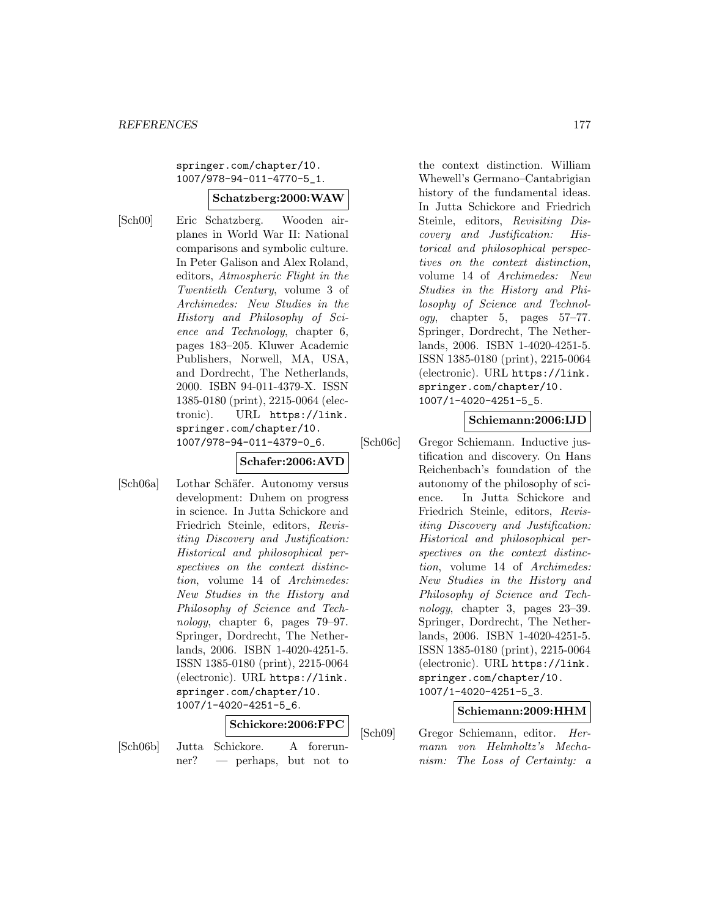springer.com/chapter/10. 1007/978-94-011-4770-5\_1.

#### **Schatzberg:2000:WAW**

[Sch00] Eric Schatzberg. Wooden airplanes in World War II: National comparisons and symbolic culture. In Peter Galison and Alex Roland, editors, Atmospheric Flight in the Twentieth Century, volume 3 of Archimedes: New Studies in the History and Philosophy of Science and Technology, chapter 6, pages 183–205. Kluwer Academic Publishers, Norwell, MA, USA, and Dordrecht, The Netherlands, 2000. ISBN 94-011-4379-X. ISSN 1385-0180 (print), 2215-0064 (electronic). URL https://link. springer.com/chapter/10. 1007/978-94-011-4379-0\_6.

# **Schafer:2006:AVD**

[Sch06a] Lothar Schäfer. Autonomy versus development: Duhem on progress in science. In Jutta Schickore and Friedrich Steinle, editors, Revisiting Discovery and Justification: Historical and philosophical perspectives on the context distinction, volume 14 of Archimedes: New Studies in the History and Philosophy of Science and Technology, chapter 6, pages 79–97. Springer, Dordrecht, The Netherlands, 2006. ISBN 1-4020-4251-5. ISSN 1385-0180 (print), 2215-0064 (electronic). URL https://link. springer.com/chapter/10. 1007/1-4020-4251-5\_6.

#### **Schickore:2006:FPC**

[Sch06b] Jutta Schickore. A forerunner? — perhaps, but not to the context distinction. William Whewell's Germano–Cantabrigian history of the fundamental ideas. In Jutta Schickore and Friedrich Steinle, editors, Revisiting Discovery and Justification: Historical and philosophical perspectives on the context distinction, volume 14 of Archimedes: New Studies in the History and Philosophy of Science and Technology, chapter 5, pages 57–77. Springer, Dordrecht, The Netherlands, 2006. ISBN 1-4020-4251-5. ISSN 1385-0180 (print), 2215-0064 (electronic). URL https://link. springer.com/chapter/10. 1007/1-4020-4251-5\_5.

## **Schiemann:2006:IJD**

[Sch06c] Gregor Schiemann. Inductive justification and discovery. On Hans Reichenbach's foundation of the autonomy of the philosophy of science. In Jutta Schickore and Friedrich Steinle, editors, Revisiting Discovery and Justification: Historical and philosophical perspectives on the context distinction, volume 14 of Archimedes: New Studies in the History and Philosophy of Science and Technology, chapter 3, pages 23–39. Springer, Dordrecht, The Netherlands, 2006. ISBN 1-4020-4251-5. ISSN 1385-0180 (print), 2215-0064 (electronic). URL https://link. springer.com/chapter/10. 1007/1-4020-4251-5\_3.

## **Schiemann:2009:HHM**

[Sch09] Gregor Schiemann, editor. Hermann von Helmholtz's Mechanism: The Loss of Certainty: a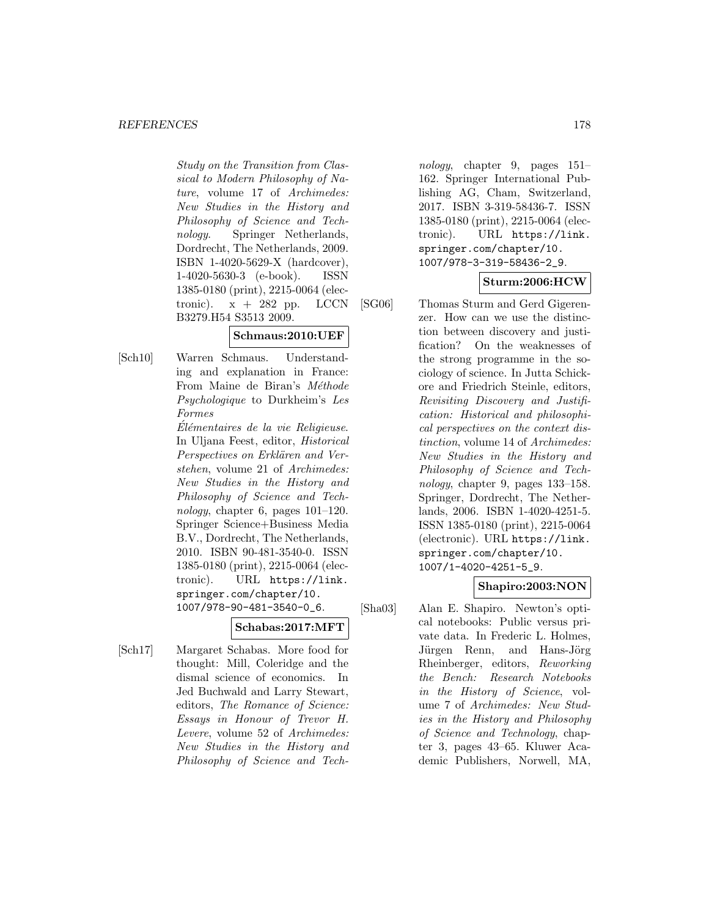Study on the Transition from Classical to Modern Philosophy of Nature, volume 17 of Archimedes: New Studies in the History and Philosophy of Science and Technology. Springer Netherlands, Dordrecht, The Netherlands, 2009. ISBN 1-4020-5629-X (hardcover), 1-4020-5630-3 (e-book). ISSN 1385-0180 (print), 2215-0064 (electronic).  $x + 282$  pp. LCCN B3279.H54 S3513 2009.

## **Schmaus:2010:UEF**

[Sch10] Warren Schmaus. Understanding and explanation in France: From Maine de Biran's Méthode Psychologique to Durkheim's Les Formes

> Élémentaires de la vie Religieuse. In Uljana Feest, editor, Historical Perspectives on Erklären and Verstehen, volume 21 of Archimedes: New Studies in the History and Philosophy of Science and Technology, chapter 6, pages  $101-120$ . Springer Science+Business Media B.V., Dordrecht, The Netherlands, 2010. ISBN 90-481-3540-0. ISSN 1385-0180 (print), 2215-0064 (electronic). URL https://link. springer.com/chapter/10. 1007/978-90-481-3540-0\_6.

> > **Schabas:2017:MFT**

[Sch17] Margaret Schabas. More food for thought: Mill, Coleridge and the dismal science of economics. In Jed Buchwald and Larry Stewart, editors, The Romance of Science: Essays in Honour of Trevor H. Levere, volume 52 of Archimedes: New Studies in the History and Philosophy of Science and Tech-

nology, chapter 9, pages 151– 162. Springer International Publishing AG, Cham, Switzerland, 2017. ISBN 3-319-58436-7. ISSN 1385-0180 (print), 2215-0064 (electronic). URL https://link. springer.com/chapter/10. 1007/978-3-319-58436-2\_9.

#### **Sturm:2006:HCW**

[SG06] Thomas Sturm and Gerd Gigerenzer. How can we use the distinction between discovery and justification? On the weaknesses of the strong programme in the sociology of science. In Jutta Schickore and Friedrich Steinle, editors, Revisiting Discovery and Justification: Historical and philosophical perspectives on the context distinction, volume 14 of Archimedes: New Studies in the History and Philosophy of Science and Technology, chapter 9, pages 133–158. Springer, Dordrecht, The Netherlands, 2006. ISBN 1-4020-4251-5. ISSN 1385-0180 (print), 2215-0064 (electronic). URL https://link. springer.com/chapter/10. 1007/1-4020-4251-5\_9.

## **Shapiro:2003:NON**

[Sha03] Alan E. Shapiro. Newton's optical notebooks: Public versus private data. In Frederic L. Holmes, Jürgen Renn, and Hans-Jörg Rheinberger, editors, Reworking the Bench: Research Notebooks in the History of Science, volume 7 of Archimedes: New Studies in the History and Philosophy of Science and Technology, chapter 3, pages 43–65. Kluwer Academic Publishers, Norwell, MA,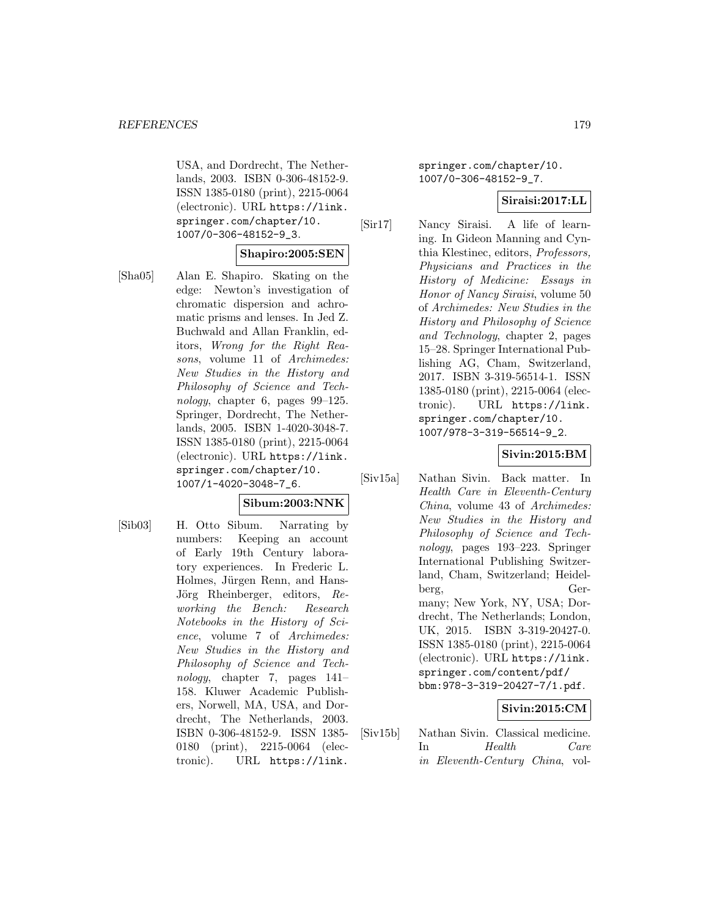USA, and Dordrecht, The Netherlands, 2003. ISBN 0-306-48152-9. ISSN 1385-0180 (print), 2215-0064 (electronic). URL https://link. springer.com/chapter/10. 1007/0-306-48152-9\_3.

#### **Shapiro:2005:SEN**

[Sha05] Alan E. Shapiro. Skating on the edge: Newton's investigation of chromatic dispersion and achromatic prisms and lenses. In Jed Z. Buchwald and Allan Franklin, editors, Wrong for the Right Reasons, volume 11 of Archimedes: New Studies in the History and Philosophy of Science and Technology, chapter 6, pages 99–125. Springer, Dordrecht, The Netherlands, 2005. ISBN 1-4020-3048-7. ISSN 1385-0180 (print), 2215-0064 (electronic). URL https://link. springer.com/chapter/10. 1007/1-4020-3048-7\_6.

#### **Sibum:2003:NNK**

[Sib03] H. Otto Sibum. Narrating by numbers: Keeping an account of Early 19th Century laboratory experiences. In Frederic L. Holmes, Jürgen Renn, and Hans-Jörg Rheinberger, editors, Reworking the Bench: Research Notebooks in the History of Science, volume 7 of Archimedes: New Studies in the History and Philosophy of Science and Technology, chapter 7, pages 141– 158. Kluwer Academic Publishers, Norwell, MA, USA, and Dordrecht, The Netherlands, 2003. ISBN 0-306-48152-9. ISSN 1385- 0180 (print), 2215-0064 (electronic). URL https://link.

springer.com/chapter/10. 1007/0-306-48152-9\_7.

#### **Siraisi:2017:LL**

[Sir17] Nancy Siraisi. A life of learning. In Gideon Manning and Cynthia Klestinec, editors, Professors, Physicians and Practices in the History of Medicine: Essays in Honor of Nancy Siraisi, volume 50 of Archimedes: New Studies in the History and Philosophy of Science and Technology, chapter 2, pages 15–28. Springer International Publishing AG, Cham, Switzerland, 2017. ISBN 3-319-56514-1. ISSN 1385-0180 (print), 2215-0064 (electronic). URL https://link. springer.com/chapter/10. 1007/978-3-319-56514-9\_2.

#### **Sivin:2015:BM**

[Siv15a] Nathan Sivin. Back matter. In Health Care in Eleventh-Century China, volume 43 of Archimedes: New Studies in the History and Philosophy of Science and Technology, pages 193–223. Springer International Publishing Switzerland, Cham, Switzerland; Heidelberg, Germany; New York, NY, USA; Dordrecht, The Netherlands; London, UK, 2015. ISBN 3-319-20427-0. ISSN 1385-0180 (print), 2215-0064 (electronic). URL https://link. springer.com/content/pdf/ bbm:978-3-319-20427-7/1.pdf.

## **Sivin:2015:CM**

[Siv15b] Nathan Sivin. Classical medicine. In Health Care in Eleventh-Century China, vol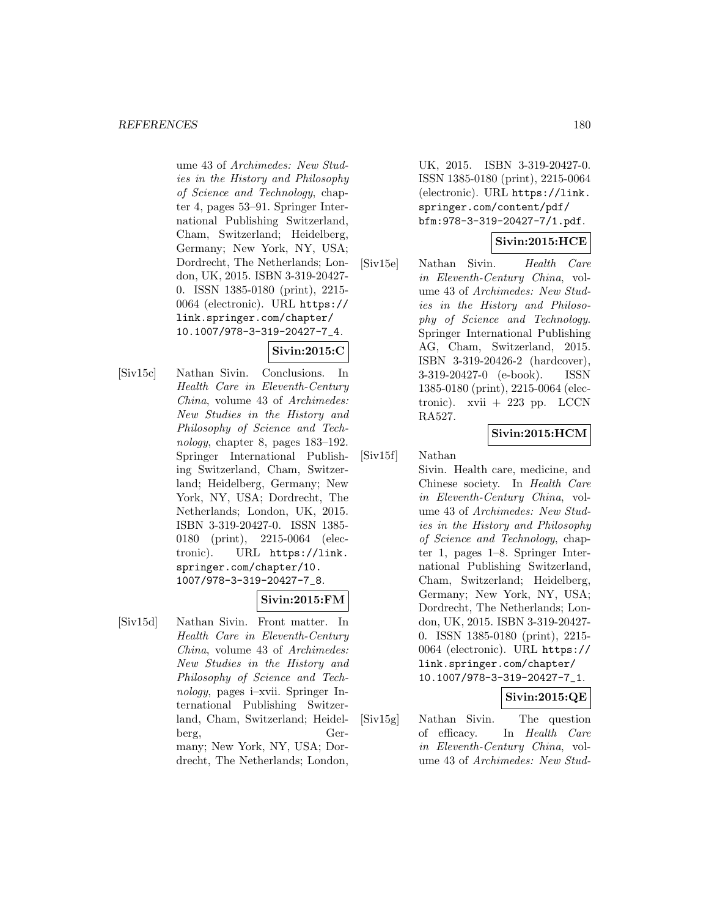ume 43 of Archimedes: New Studies in the History and Philosophy of Science and Technology, chapter 4, pages 53–91. Springer International Publishing Switzerland, Cham, Switzerland; Heidelberg, Germany; New York, NY, USA; Dordrecht, The Netherlands; London, UK, 2015. ISBN 3-319-20427- 0. ISSN 1385-0180 (print), 2215- 0064 (electronic). URL https:// link.springer.com/chapter/ 10.1007/978-3-319-20427-7\_4.

# **Sivin:2015:C**

[Siv15c] Nathan Sivin. Conclusions. In Health Care in Eleventh-Century China, volume 43 of Archimedes: New Studies in the History and Philosophy of Science and Technology, chapter 8, pages 183–192. Springer International Publishing Switzerland, Cham, Switzerland; Heidelberg, Germany; New York, NY, USA; Dordrecht, The Netherlands; London, UK, 2015. ISBN 3-319-20427-0. ISSN 1385- 0180 (print), 2215-0064 (electronic). URL https://link. springer.com/chapter/10. 1007/978-3-319-20427-7\_8.

## **Sivin:2015:FM**

[Siv15d] Nathan Sivin. Front matter. In Health Care in Eleventh-Century China, volume 43 of Archimedes: New Studies in the History and Philosophy of Science and Technology, pages i–xvii. Springer International Publishing Switzerland, Cham, Switzerland; Heidelberg, Germany; New York, NY, USA; Dordrecht, The Netherlands; London,

UK, 2015. ISBN 3-319-20427-0. ISSN 1385-0180 (print), 2215-0064 (electronic). URL https://link. springer.com/content/pdf/ bfm:978-3-319-20427-7/1.pdf.

## **Sivin:2015:HCE**

[Siv15e] Nathan Sivin. Health Care in Eleventh-Century China, volume 43 of Archimedes: New Studies in the History and Philosophy of Science and Technology. Springer International Publishing AG, Cham, Switzerland, 2015. ISBN 3-319-20426-2 (hardcover), 3-319-20427-0 (e-book). ISSN 1385-0180 (print), 2215-0064 (electronic).  $xvii + 223$  pp. LCCN RA527.

## **Sivin:2015:HCM**

[Siv15f] Nathan Sivin. Health care, medicine, and Chinese society. In Health Care in Eleventh-Century China, volume 43 of Archimedes: New Studies in the History and Philosophy of Science and Technology, chapter 1, pages 1–8. Springer International Publishing Switzerland, Cham, Switzerland; Heidelberg, Germany; New York, NY, USA; Dordrecht, The Netherlands; London, UK, 2015. ISBN 3-319-20427- 0. ISSN 1385-0180 (print), 2215- 0064 (electronic). URL https:// link.springer.com/chapter/ 10.1007/978-3-319-20427-7\_1.

#### **Sivin:2015:QE**

[Siv15g] Nathan Sivin. The question of efficacy. In Health Care in Eleventh-Century China, volume 43 of Archimedes: New Stud-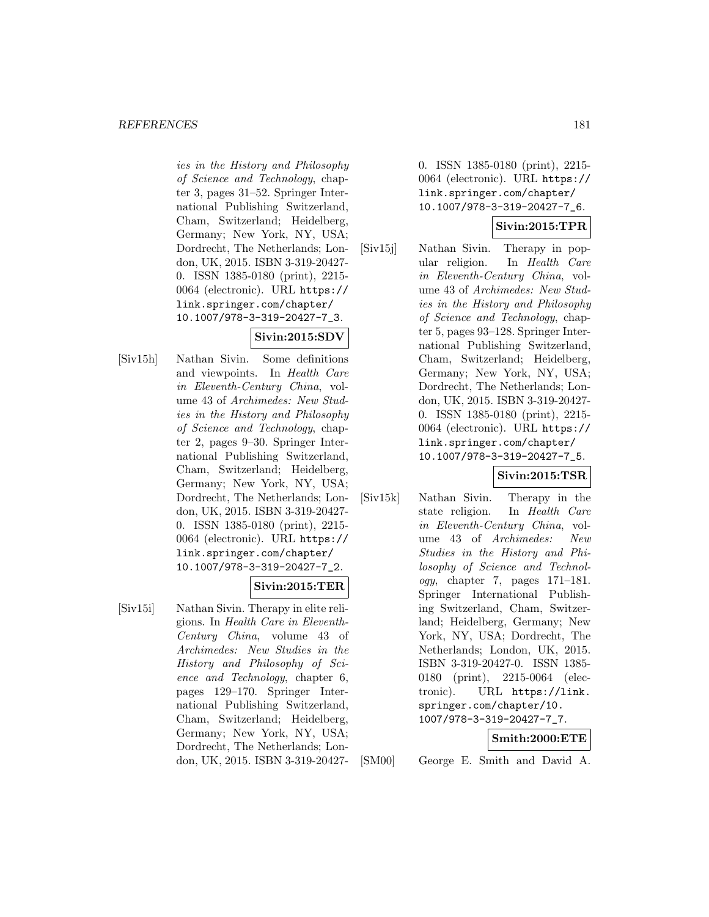ies in the History and Philosophy of Science and Technology, chapter 3, pages 31–52. Springer International Publishing Switzerland, Cham, Switzerland; Heidelberg, Germany; New York, NY, USA; Dordrecht, The Netherlands; London, UK, 2015. ISBN 3-319-20427- 0. ISSN 1385-0180 (print), 2215- 0064 (electronic). URL https:// link.springer.com/chapter/ 10.1007/978-3-319-20427-7\_3.

# **Sivin:2015:SDV**

[Siv15h] Nathan Sivin. Some definitions and viewpoints. In Health Care in Eleventh-Century China, volume 43 of Archimedes: New Studies in the History and Philosophy of Science and Technology, chapter 2, pages 9–30. Springer International Publishing Switzerland, Cham, Switzerland; Heidelberg, Germany; New York, NY, USA; Dordrecht, The Netherlands; London, UK, 2015. ISBN 3-319-20427- 0. ISSN 1385-0180 (print), 2215- 0064 (electronic). URL https:// link.springer.com/chapter/ 10.1007/978-3-319-20427-7\_2.

# **Sivin:2015:TER**

[Siv15i] Nathan Sivin. Therapy in elite religions. In Health Care in Eleventh-Century China, volume 43 of Archimedes: New Studies in the History and Philosophy of Science and Technology, chapter 6, pages 129–170. Springer International Publishing Switzerland, Cham, Switzerland; Heidelberg, Germany; New York, NY, USA; Dordrecht, The Netherlands; London, UK, 2015. ISBN 3-319-204270. ISSN 1385-0180 (print), 2215- 0064 (electronic). URL https:// link.springer.com/chapter/ 10.1007/978-3-319-20427-7\_6.

# **Sivin:2015:TPR**

[Siv15j] Nathan Sivin. Therapy in popular religion. In Health Care in Eleventh-Century China, volume 43 of Archimedes: New Studies in the History and Philosophy of Science and Technology, chapter 5, pages 93–128. Springer International Publishing Switzerland, Cham, Switzerland; Heidelberg, Germany; New York, NY, USA; Dordrecht, The Netherlands; London, UK, 2015. ISBN 3-319-20427- 0. ISSN 1385-0180 (print), 2215- 0064 (electronic). URL https:// link.springer.com/chapter/ 10.1007/978-3-319-20427-7\_5.

# **Sivin:2015:TSR**

[Siv15k] Nathan Sivin. Therapy in the state religion. In Health Care in Eleventh-Century China, volume 43 of Archimedes: New Studies in the History and Philosophy of Science and Technology, chapter 7, pages 171–181. Springer International Publishing Switzerland, Cham, Switzerland; Heidelberg, Germany; New York, NY, USA; Dordrecht, The Netherlands; London, UK, 2015. ISBN 3-319-20427-0. ISSN 1385- 0180 (print), 2215-0064 (electronic). URL https://link. springer.com/chapter/10. 1007/978-3-319-20427-7\_7.

# **Smith:2000:ETE**

[SM00] George E. Smith and David A.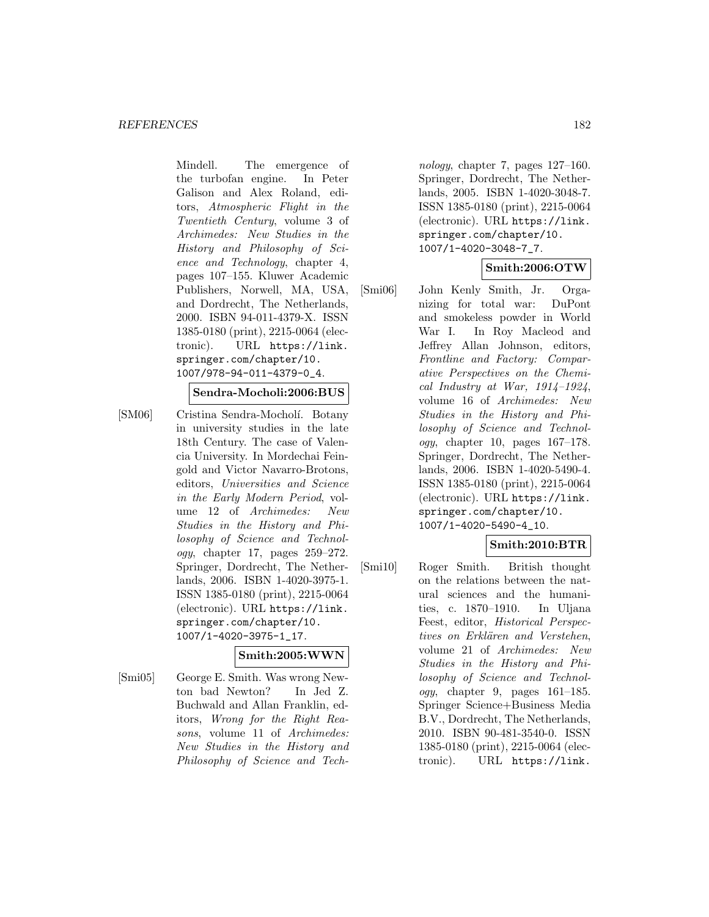Mindell. The emergence of the turbofan engine. In Peter Galison and Alex Roland, editors, Atmospheric Flight in the Twentieth Century, volume 3 of Archimedes: New Studies in the History and Philosophy of Science and Technology, chapter 4, pages 107–155. Kluwer Academic Publishers, Norwell, MA, USA, and Dordrecht, The Netherlands, 2000. ISBN 94-011-4379-X. ISSN 1385-0180 (print), 2215-0064 (electronic). URL https://link. springer.com/chapter/10. 1007/978-94-011-4379-0\_4.

#### **Sendra-Mocholi:2006:BUS**

[SM06] Cristina Sendra-Mocholí. Botany in university studies in the late 18th Century. The case of Valencia University. In Mordechai Feingold and Victor Navarro-Brotons, editors, Universities and Science in the Early Modern Period, volume 12 of Archimedes: New Studies in the History and Philosophy of Science and Technol $oqy$ , chapter 17, pages  $259-272$ . Springer, Dordrecht, The Netherlands, 2006. ISBN 1-4020-3975-1. ISSN 1385-0180 (print), 2215-0064 (electronic). URL https://link. springer.com/chapter/10. 1007/1-4020-3975-1\_17.

#### **Smith:2005:WWN**

[Smi05] George E. Smith. Was wrong Newton bad Newton? In Jed Z. Buchwald and Allan Franklin, editors, Wrong for the Right Reasons, volume 11 of Archimedes: New Studies in the History and Philosophy of Science and Tech-

nology, chapter 7, pages 127–160. Springer, Dordrecht, The Netherlands, 2005. ISBN 1-4020-3048-7. ISSN 1385-0180 (print), 2215-0064 (electronic). URL https://link. springer.com/chapter/10. 1007/1-4020-3048-7\_7.

## **Smith:2006:OTW**

[Smi06] John Kenly Smith, Jr. Organizing for total war: DuPont and smokeless powder in World War I. In Roy Macleod and Jeffrey Allan Johnson, editors, Frontline and Factory: Comparative Perspectives on the Chemical Industry at War,  $1914-1924$ , volume 16 of Archimedes: New Studies in the History and Philosophy of Science and Technology, chapter 10, pages  $167-178$ . Springer, Dordrecht, The Netherlands, 2006. ISBN 1-4020-5490-4. ISSN 1385-0180 (print), 2215-0064 (electronic). URL https://link. springer.com/chapter/10. 1007/1-4020-5490-4\_10.

# **Smith:2010:BTR**

[Smi10] Roger Smith. British thought on the relations between the natural sciences and the humanities, c. 1870–1910. In Uljana Feest, editor, Historical Perspectives on Erklären and Verstehen. volume 21 of Archimedes: New Studies in the History and Philosophy of Science and Technology, chapter 9, pages 161–185. Springer Science+Business Media B.V., Dordrecht, The Netherlands, 2010. ISBN 90-481-3540-0. ISSN 1385-0180 (print), 2215-0064 (electronic). URL https://link.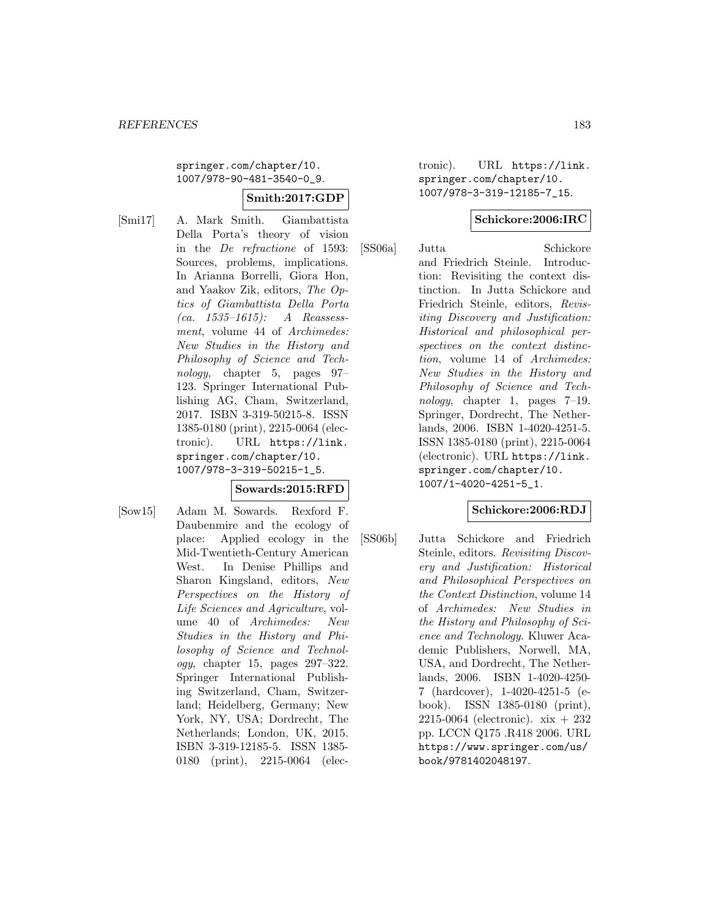springer.com/chapter/10. 1007/978-90-481-3540-0\_9.

### **Smith:2017:GDP**

[Smi17] A. Mark Smith. Giambattista Della Porta's theory of vision in the De refractione of 1593: Sources, problems, implications. In Arianna Borrelli, Giora Hon, and Yaakov Zik, editors, The Optics of Giambattista Della Porta (ca. 1535–1615): A Reassessment, volume 44 of Archimedes: New Studies in the History and Philosophy of Science and Technology, chapter 5, pages 97– 123. Springer International Publishing AG, Cham, Switzerland, 2017. ISBN 3-319-50215-8. ISSN 1385-0180 (print), 2215-0064 (electronic). URL https://link. springer.com/chapter/10. 1007/978-3-319-50215-1\_5.

# **Sowards:2015:RFD**

[Sow15] Adam M. Sowards. Rexford F. Daubenmire and the ecology of place: Applied ecology in the Mid-Twentieth-Century American West. In Denise Phillips and Sharon Kingsland, editors, New Perspectives on the History of Life Sciences and Agriculture, volume 40 of Archimedes: New Studies in the History and Philosophy of Science and Technology, chapter 15, pages 297–322. Springer International Publishing Switzerland, Cham, Switzerland; Heidelberg, Germany; New York, NY, USA; Dordrecht, The Netherlands; London, UK, 2015. ISBN 3-319-12185-5. ISSN 1385- 0180 (print), 2215-0064 (electronic). URL https://link. springer.com/chapter/10. 1007/978-3-319-12185-7\_15.

#### **Schickore:2006:IRC**

[SS06a] Jutta Schickore and Friedrich Steinle. Introduction: Revisiting the context distinction. In Jutta Schickore and Friedrich Steinle, editors, Revisiting Discovery and Justification: Historical and philosophical perspectives on the context distinction, volume 14 of Archimedes: New Studies in the History and Philosophy of Science and Technology, chapter 1, pages 7–19. Springer, Dordrecht, The Netherlands, 2006. ISBN 1-4020-4251-5. ISSN 1385-0180 (print), 2215-0064 (electronic). URL https://link. springer.com/chapter/10. 1007/1-4020-4251-5\_1.

#### **Schickore:2006:RDJ**

[SS06b] Jutta Schickore and Friedrich Steinle, editors. Revisiting Discovery and Justification: Historical and Philosophical Perspectives on the Context Distinction, volume 14 of Archimedes: New Studies in the History and Philosophy of Science and Technology. Kluwer Academic Publishers, Norwell, MA, USA, and Dordrecht, The Netherlands, 2006. ISBN 1-4020-4250- 7 (hardcover), 1-4020-4251-5 (ebook). ISSN 1385-0180 (print), 2215-0064 (electronic). xix + 232 pp. LCCN Q175 .R418 2006. URL https://www.springer.com/us/ book/9781402048197.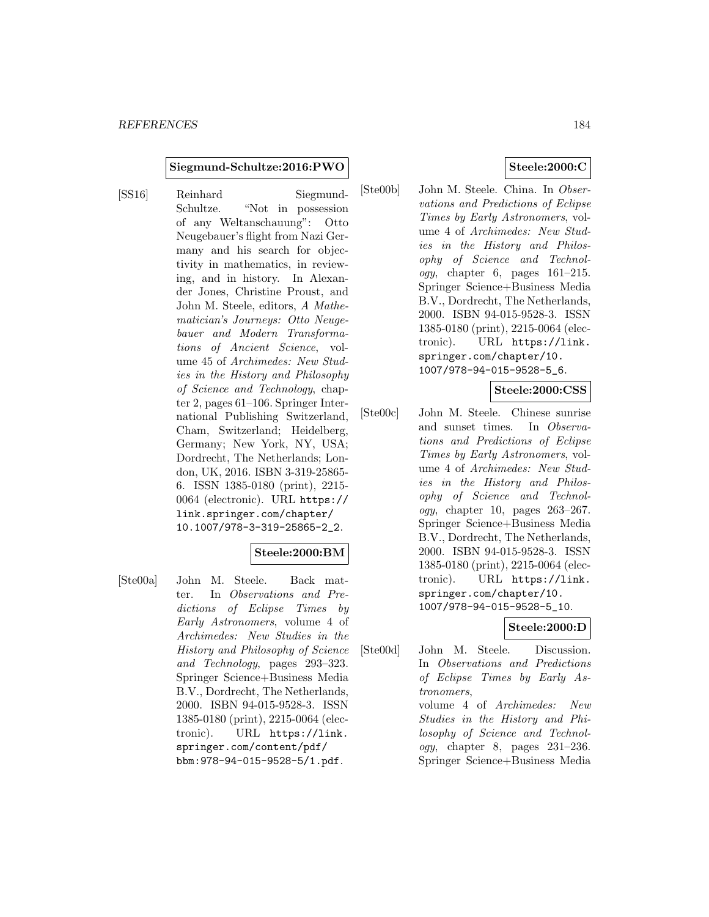#### **Siegmund-Schultze:2016:PWO**

[SS16] Reinhard Siegmund-Schultze. "Not in possession of any Weltanschauung": Otto Neugebauer's flight from Nazi Germany and his search for objectivity in mathematics, in reviewing, and in history. In Alexander Jones, Christine Proust, and John M. Steele, editors, A Mathematician's Journeys: Otto Neugebauer and Modern Transformations of Ancient Science, volume 45 of Archimedes: New Studies in the History and Philosophy of Science and Technology, chapter 2, pages 61–106. Springer International Publishing Switzerland, Cham, Switzerland; Heidelberg, Germany; New York, NY, USA; Dordrecht, The Netherlands; London, UK, 2016. ISBN 3-319-25865- 6. ISSN 1385-0180 (print), 2215- 0064 (electronic). URL https:// link.springer.com/chapter/ 10.1007/978-3-319-25865-2\_2.

#### **Steele:2000:BM**

[Ste00a] John M. Steele. Back matter. In Observations and Predictions of Eclipse Times by Early Astronomers, volume 4 of Archimedes: New Studies in the History and Philosophy of Science and Technology, pages 293–323. Springer Science+Business Media B.V., Dordrecht, The Netherlands, 2000. ISBN 94-015-9528-3. ISSN 1385-0180 (print), 2215-0064 (electronic). URL https://link. springer.com/content/pdf/ bbm:978-94-015-9528-5/1.pdf.

## **Steele:2000:C**

[Ste00b] John M. Steele. China. In Observations and Predictions of Eclipse Times by Early Astronomers, volume 4 of Archimedes: New Studies in the History and Philosophy of Science and Technology, chapter 6, pages 161–215. Springer Science+Business Media B.V., Dordrecht, The Netherlands, 2000. ISBN 94-015-9528-3. ISSN 1385-0180 (print), 2215-0064 (electronic). URL https://link. springer.com/chapter/10. 1007/978-94-015-9528-5\_6.

#### **Steele:2000:CSS**

[Ste00c] John M. Steele. Chinese sunrise and sunset times. In Observations and Predictions of Eclipse Times by Early Astronomers, volume 4 of Archimedes: New Studies in the History and Philosophy of Science and Technology, chapter 10, pages 263–267. Springer Science+Business Media B.V., Dordrecht, The Netherlands, 2000. ISBN 94-015-9528-3. ISSN 1385-0180 (print), 2215-0064 (electronic). URL https://link. springer.com/chapter/10. 1007/978-94-015-9528-5\_10.

# **Steele:2000:D**

[Ste00d] John M. Steele. Discussion. In Observations and Predictions of Eclipse Times by Early Astronomers, volume 4 of Archimedes: New Studies in the History and Philosophy of Science and Technology, chapter 8, pages 231–236. Springer Science+Business Media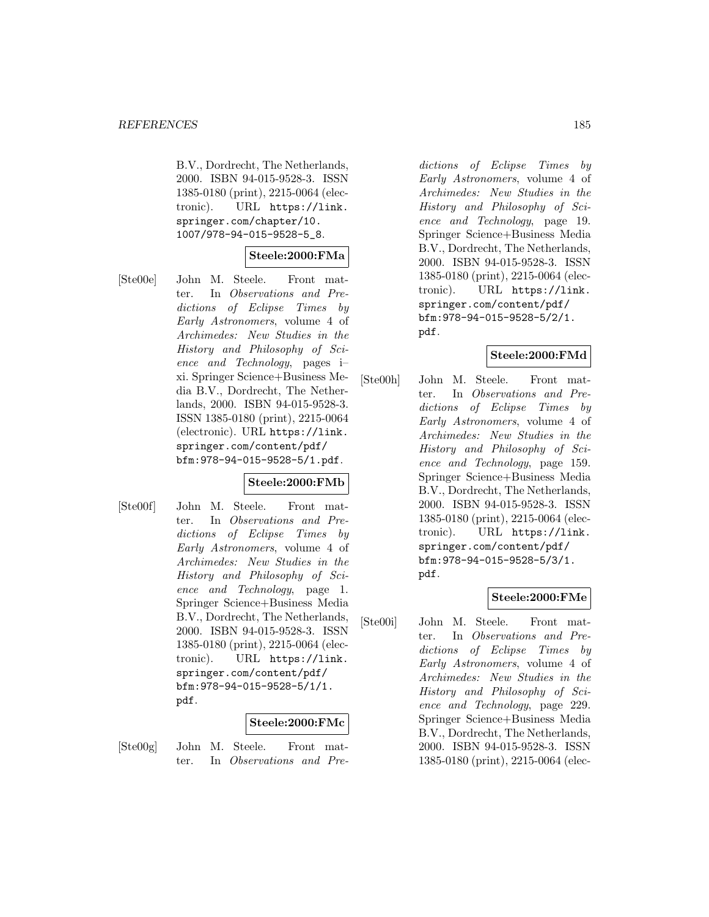B.V., Dordrecht, The Netherlands, 2000. ISBN 94-015-9528-3. ISSN 1385-0180 (print), 2215-0064 (electronic). URL https://link. springer.com/chapter/10. 1007/978-94-015-9528-5\_8.

## **Steele:2000:FMa**

[Ste00e] John M. Steele. Front matter. In Observations and Predictions of Eclipse Times by Early Astronomers, volume 4 of Archimedes: New Studies in the History and Philosophy of Science and Technology, pages i– xi. Springer Science+Business Media B.V., Dordrecht, The Netherlands, 2000. ISBN 94-015-9528-3. ISSN 1385-0180 (print), 2215-0064 (electronic). URL https://link. springer.com/content/pdf/ bfm:978-94-015-9528-5/1.pdf.

#### **Steele:2000:FMb**

[Ste00f] John M. Steele. Front matter. In Observations and Predictions of Eclipse Times by Early Astronomers, volume 4 of Archimedes: New Studies in the History and Philosophy of Science and Technology, page 1. Springer Science+Business Media B.V., Dordrecht, The Netherlands, 2000. ISBN 94-015-9528-3. ISSN 1385-0180 (print), 2215-0064 (electronic). URL https://link. springer.com/content/pdf/ bfm:978-94-015-9528-5/1/1. pdf.

#### **Steele:2000:FMc**

[Ste00g] John M. Steele. Front matter. In Observations and Pre-

dictions of Eclipse Times by Early Astronomers, volume 4 of Archimedes: New Studies in the History and Philosophy of Science and Technology, page 19. Springer Science+Business Media B.V., Dordrecht, The Netherlands, 2000. ISBN 94-015-9528-3. ISSN 1385-0180 (print), 2215-0064 (electronic). URL https://link. springer.com/content/pdf/ bfm:978-94-015-9528-5/2/1. pdf.

#### **Steele:2000:FMd**

[Ste00h] John M. Steele. Front matter. In Observations and Predictions of Eclipse Times by Early Astronomers, volume 4 of Archimedes: New Studies in the History and Philosophy of Science and Technology, page 159. Springer Science+Business Media B.V., Dordrecht, The Netherlands, 2000. ISBN 94-015-9528-3. ISSN 1385-0180 (print), 2215-0064 (electronic). URL https://link. springer.com/content/pdf/ bfm:978-94-015-9528-5/3/1. pdf.

### **Steele:2000:FMe**

[Ste00i] John M. Steele. Front matter. In Observations and Predictions of Eclipse Times by Early Astronomers, volume 4 of Archimedes: New Studies in the History and Philosophy of Science and Technology, page 229. Springer Science+Business Media B.V., Dordrecht, The Netherlands, 2000. ISBN 94-015-9528-3. ISSN 1385-0180 (print), 2215-0064 (elec-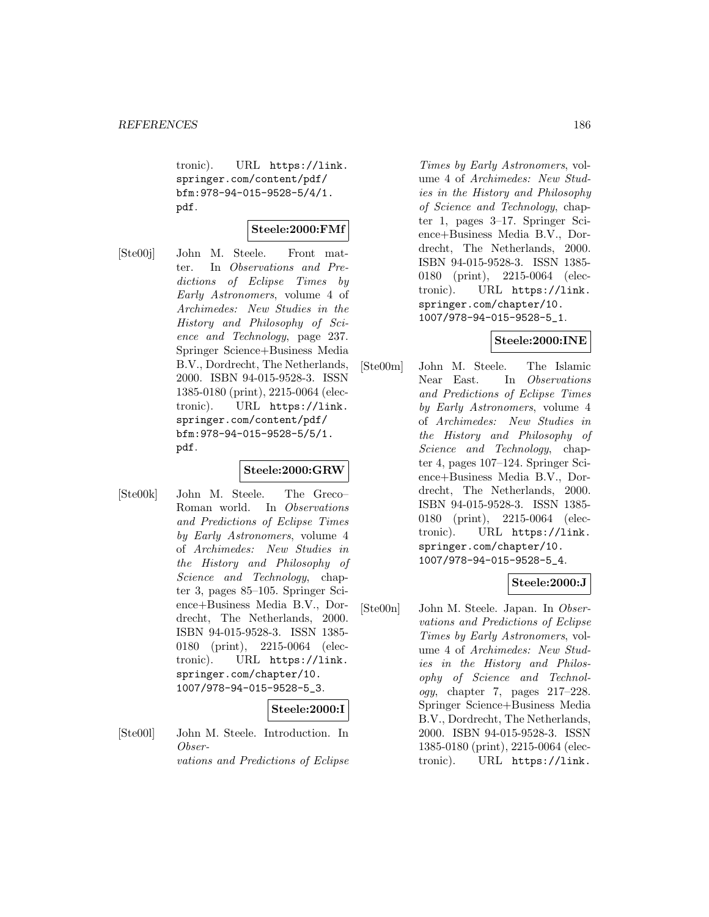tronic). URL https://link. springer.com/content/pdf/ bfm:978-94-015-9528-5/4/1. pdf.

# **Steele:2000:FMf**

[Ste00j] John M. Steele. Front matter. In Observations and Predictions of Eclipse Times by Early Astronomers, volume 4 of Archimedes: New Studies in the History and Philosophy of Science and Technology, page 237. Springer Science+Business Media B.V., Dordrecht, The Netherlands, 2000. ISBN 94-015-9528-3. ISSN 1385-0180 (print), 2215-0064 (electronic). URL https://link. springer.com/content/pdf/ bfm:978-94-015-9528-5/5/1. pdf.

# **Steele:2000:GRW**

[Ste00k] John M. Steele. The Greco– Roman world. In Observations and Predictions of Eclipse Times by Early Astronomers, volume 4 of Archimedes: New Studies in the History and Philosophy of Science and Technology, chapter 3, pages 85–105. Springer Science+Business Media B.V., Dordrecht, The Netherlands, 2000. ISBN 94-015-9528-3. ISSN 1385- 0180 (print), 2215-0064 (electronic). URL https://link. springer.com/chapter/10. 1007/978-94-015-9528-5\_3.

# **Steele:2000:I**

[Ste00l] John M. Steele. Introduction. In Observations and Predictions of Eclipse

Times by Early Astronomers, volume 4 of Archimedes: New Studies in the History and Philosophy of Science and Technology, chapter 1, pages 3–17. Springer Science+Business Media B.V., Dordrecht, The Netherlands, 2000. ISBN 94-015-9528-3. ISSN 1385- 0180 (print), 2215-0064 (electronic). URL https://link. springer.com/chapter/10. 1007/978-94-015-9528-5\_1.

# **Steele:2000:INE**

[Ste00m] John M. Steele. The Islamic Near East. In Observations and Predictions of Eclipse Times by Early Astronomers, volume 4 of Archimedes: New Studies in the History and Philosophy of Science and Technology, chapter 4, pages 107–124. Springer Science+Business Media B.V., Dordrecht, The Netherlands, 2000. ISBN 94-015-9528-3. ISSN 1385- 0180 (print), 2215-0064 (electronic). URL https://link. springer.com/chapter/10. 1007/978-94-015-9528-5\_4.

#### **Steele:2000:J**

[Ste00n] John M. Steele. Japan. In Observations and Predictions of Eclipse Times by Early Astronomers, volume 4 of Archimedes: New Studies in the History and Philosophy of Science and Technology, chapter 7, pages 217–228. Springer Science+Business Media B.V., Dordrecht, The Netherlands, 2000. ISBN 94-015-9528-3. ISSN 1385-0180 (print), 2215-0064 (electronic). URL https://link.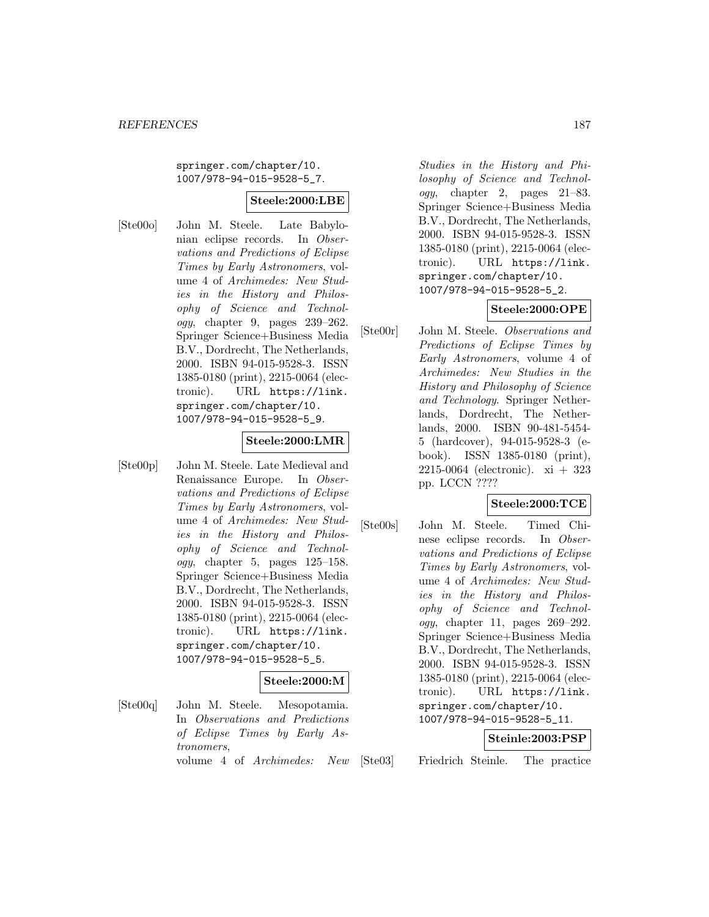springer.com/chapter/10. 1007/978-94-015-9528-5\_7.

# **Steele:2000:LBE**

[Ste00o] John M. Steele. Late Babylonian eclipse records. In Observations and Predictions of Eclipse Times by Early Astronomers, volume 4 of Archimedes: New Studies in the History and Philosophy of Science and Technology, chapter 9, pages 239–262. Springer Science+Business Media B.V., Dordrecht, The Netherlands, 2000. ISBN 94-015-9528-3. ISSN 1385-0180 (print), 2215-0064 (electronic). URL https://link. springer.com/chapter/10. 1007/978-94-015-9528-5\_9.

### **Steele:2000:LMR**

[Ste00p] John M. Steele. Late Medieval and Renaissance Europe. In Observations and Predictions of Eclipse Times by Early Astronomers, volume 4 of Archimedes: New Studies in the History and Philosophy of Science and Technol $ogy,$  chapter 5, pages  $125-158$ . Springer Science+Business Media B.V., Dordrecht, The Netherlands, 2000. ISBN 94-015-9528-3. ISSN 1385-0180 (print), 2215-0064 (electronic). URL https://link. springer.com/chapter/10. 1007/978-94-015-9528-5\_5.

#### **Steele:2000:M**

[Ste00q] John M. Steele. Mesopotamia. In Observations and Predictions of Eclipse Times by Early Astronomers, volume 4 of Archimedes: New

Studies in the History and Philosophy of Science and Technology, chapter 2, pages 21–83. Springer Science+Business Media B.V., Dordrecht, The Netherlands, 2000. ISBN 94-015-9528-3. ISSN 1385-0180 (print), 2215-0064 (electronic). URL https://link. springer.com/chapter/10. 1007/978-94-015-9528-5\_2.

# **Steele:2000:OPE**

[Ste00r] John M. Steele. Observations and Predictions of Eclipse Times by Early Astronomers, volume 4 of Archimedes: New Studies in the History and Philosophy of Science and Technology. Springer Netherlands, Dordrecht, The Netherlands, 2000. ISBN 90-481-5454- 5 (hardcover), 94-015-9528-3 (ebook). ISSN 1385-0180 (print), 2215-0064 (electronic). xi + 323 pp. LCCN ????

#### **Steele:2000:TCE**

[Ste00s] John M. Steele. Timed Chinese eclipse records. In Observations and Predictions of Eclipse Times by Early Astronomers, volume 4 of Archimedes: New Studies in the History and Philosophy of Science and Technology, chapter 11, pages 269–292. Springer Science+Business Media B.V., Dordrecht, The Netherlands, 2000. ISBN 94-015-9528-3. ISSN 1385-0180 (print), 2215-0064 (electronic). URL https://link. springer.com/chapter/10. 1007/978-94-015-9528-5\_11.

#### **Steinle:2003:PSP**

[Ste03] Friedrich Steinle. The practice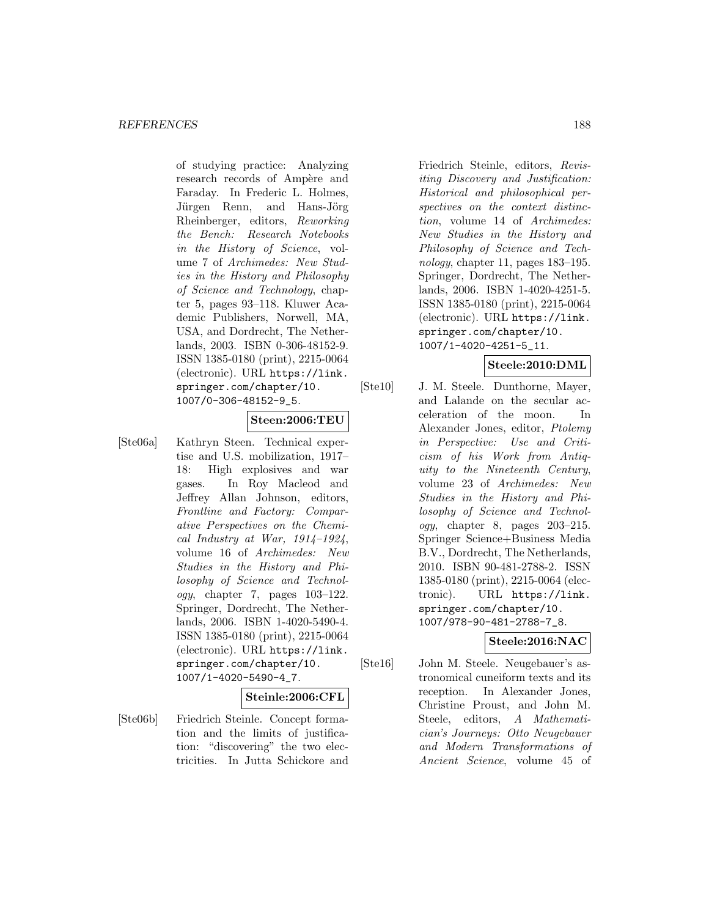of studying practice: Analyzing research records of Ampère and Faraday. In Frederic L. Holmes, Jürgen Renn, and Hans-Jörg Rheinberger, editors, Reworking the Bench: Research Notebooks in the History of Science, volume 7 of Archimedes: New Studies in the History and Philosophy of Science and Technology, chapter 5, pages 93–118. Kluwer Academic Publishers, Norwell, MA, USA, and Dordrecht, The Netherlands, 2003. ISBN 0-306-48152-9. ISSN 1385-0180 (print), 2215-0064 (electronic). URL https://link. springer.com/chapter/10. 1007/0-306-48152-9\_5.

# **Steen:2006:TEU**

[Ste06a] Kathryn Steen. Technical expertise and U.S. mobilization, 1917– 18: High explosives and war gases. In Roy Macleod and Jeffrey Allan Johnson, editors, Frontline and Factory: Comparative Perspectives on the Chemical Industry at War,  $1914-1924$ , volume 16 of Archimedes: New Studies in the History and Philosophy of Science and Technology, chapter 7, pages 103–122. Springer, Dordrecht, The Netherlands, 2006. ISBN 1-4020-5490-4. ISSN 1385-0180 (print), 2215-0064 (electronic). URL https://link. springer.com/chapter/10. 1007/1-4020-5490-4\_7.

#### **Steinle:2006:CFL**

[Ste06b] Friedrich Steinle. Concept formation and the limits of justification: "discovering" the two electricities. In Jutta Schickore and

Friedrich Steinle, editors, Revisiting Discovery and Justification: Historical and philosophical perspectives on the context distinction, volume 14 of Archimedes: New Studies in the History and Philosophy of Science and Technology, chapter 11, pages 183–195. Springer, Dordrecht, The Netherlands, 2006. ISBN 1-4020-4251-5. ISSN 1385-0180 (print), 2215-0064 (electronic). URL https://link. springer.com/chapter/10. 1007/1-4020-4251-5\_11.

#### **Steele:2010:DML**

[Ste10] J. M. Steele. Dunthorne, Mayer, and Lalande on the secular acceleration of the moon. In Alexander Jones, editor, Ptolemy in Perspective: Use and Criticism of his Work from Antiquity to the Nineteenth Century, volume 23 of Archimedes: New Studies in the History and Philosophy of Science and Technology, chapter 8, pages 203–215. Springer Science+Business Media B.V., Dordrecht, The Netherlands, 2010. ISBN 90-481-2788-2. ISSN 1385-0180 (print), 2215-0064 (electronic). URL https://link. springer.com/chapter/10. 1007/978-90-481-2788-7\_8.

#### **Steele:2016:NAC**

[Ste16] John M. Steele. Neugebauer's astronomical cuneiform texts and its reception. In Alexander Jones, Christine Proust, and John M. Steele, editors, A Mathematician's Journeys: Otto Neugebauer and Modern Transformations of Ancient Science, volume 45 of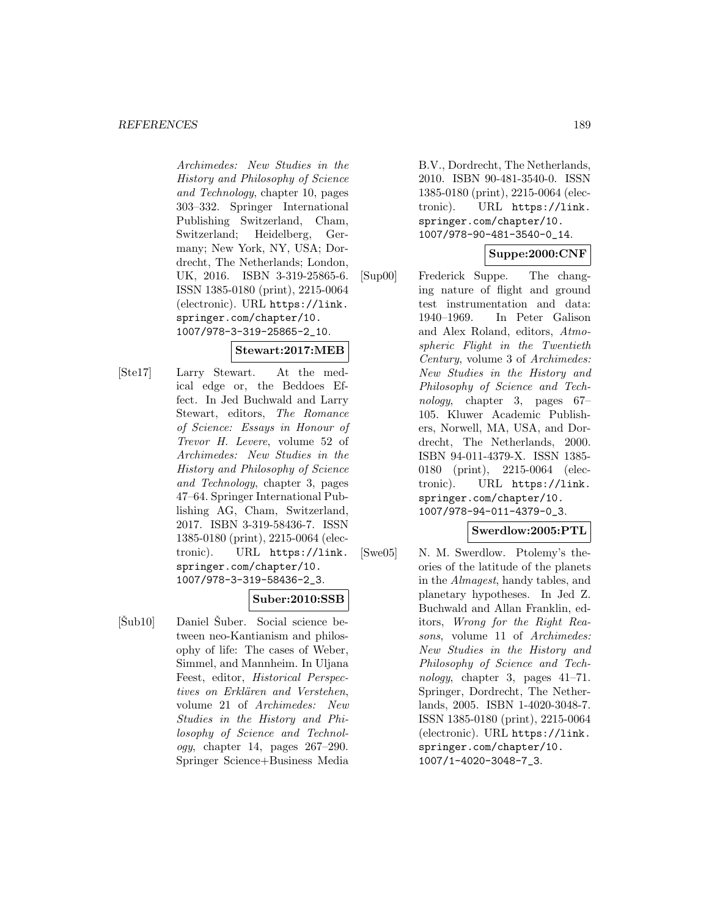Archimedes: New Studies in the History and Philosophy of Science and Technology, chapter 10, pages 303–332. Springer International Publishing Switzerland, Cham, Switzerland; Heidelberg, Germany; New York, NY, USA; Dordrecht, The Netherlands; London, UK, 2016. ISBN 3-319-25865-6. ISSN 1385-0180 (print), 2215-0064 (electronic). URL https://link. springer.com/chapter/10. 1007/978-3-319-25865-2\_10.

## **Stewart:2017:MEB**

[Ste17] Larry Stewart. At the medical edge or, the Beddoes Effect. In Jed Buchwald and Larry Stewart, editors, The Romance of Science: Essays in Honour of Trevor H. Levere, volume 52 of Archimedes: New Studies in the History and Philosophy of Science and Technology, chapter 3, pages 47–64. Springer International Publishing AG, Cham, Switzerland, 2017. ISBN 3-319-58436-7. ISSN 1385-0180 (print), 2215-0064 (electronic). URL https://link. springer.com/chapter/10. 1007/978-3-319-58436-2\_3.

# **Suber:2010:SSB**

 $[\text{\r{S}ub10}]$  Daniel Suber. Social science between neo-Kantianism and philosophy of life: The cases of Weber, Simmel, and Mannheim. In Uljana Feest, editor, Historical Perspectives on Erklären and Verstehen, volume 21 of Archimedes: New Studies in the History and Philosophy of Science and Technol $oqu$ , chapter 14, pages  $267-290$ . Springer Science+Business Media B.V., Dordrecht, The Netherlands, 2010. ISBN 90-481-3540-0. ISSN 1385-0180 (print), 2215-0064 (electronic). URL https://link. springer.com/chapter/10. 1007/978-90-481-3540-0\_14.

# **Suppe:2000:CNF**

[Sup00] Frederick Suppe. The changing nature of flight and ground test instrumentation and data: 1940–1969. In Peter Galison and Alex Roland, editors, Atmospheric Flight in the Twentieth Century, volume 3 of Archimedes: New Studies in the History and Philosophy of Science and Technology, chapter 3, pages 67– 105. Kluwer Academic Publishers, Norwell, MA, USA, and Dordrecht, The Netherlands, 2000. ISBN 94-011-4379-X. ISSN 1385- 0180 (print), 2215-0064 (electronic). URL https://link. springer.com/chapter/10. 1007/978-94-011-4379-0\_3.

#### **Swerdlow:2005:PTL**

[Swe05] N. M. Swerdlow. Ptolemy's theories of the latitude of the planets in the Almagest, handy tables, and planetary hypotheses. In Jed Z. Buchwald and Allan Franklin, editors, Wrong for the Right Reasons, volume 11 of Archimedes: New Studies in the History and Philosophy of Science and Technology, chapter 3, pages 41–71. Springer, Dordrecht, The Netherlands, 2005. ISBN 1-4020-3048-7. ISSN 1385-0180 (print), 2215-0064 (electronic). URL https://link. springer.com/chapter/10. 1007/1-4020-3048-7\_3.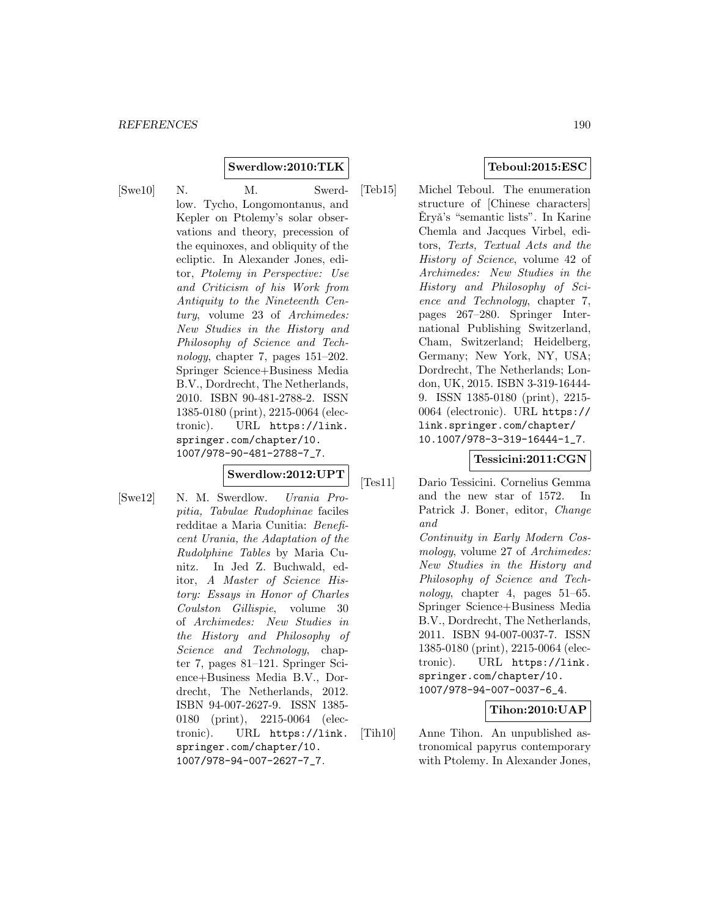**Swerdlow:2010:TLK**

[Swe10] N. M. Swerdlow. Tycho, Longomontanus, and Kepler on Ptolemy's solar observations and theory, precession of the equinoxes, and obliquity of the ecliptic. In Alexander Jones, editor, Ptolemy in Perspective: Use and Criticism of his Work from Antiquity to the Nineteenth Century, volume 23 of Archimedes: New Studies in the History and Philosophy of Science and Technology, chapter 7, pages 151–202. Springer Science+Business Media B.V., Dordrecht, The Netherlands, 2010. ISBN 90-481-2788-2. ISSN 1385-0180 (print), 2215-0064 (electronic). URL https://link. springer.com/chapter/10. 1007/978-90-481-2788-7\_7.

## **Swerdlow:2012:UPT**

[Swe12] N. M. Swerdlow. Urania Propitia, Tabulae Rudophinae faciles redditae a Maria Cunitia: Beneficent Urania, the Adaptation of the Rudolphine Tables by Maria Cunitz. In Jed Z. Buchwald, editor, A Master of Science History: Essays in Honor of Charles Coulston Gillispie, volume 30 of Archimedes: New Studies in the History and Philosophy of Science and Technology, chapter 7, pages 81–121. Springer Science+Business Media B.V., Dordrecht, The Netherlands, 2012. ISBN 94-007-2627-9. ISSN 1385- 0180 (print), 2215-0064 (electronic). URL https://link. springer.com/chapter/10. 1007/978-94-007-2627-7\_7.

[Teb15] Michel Teboul. The enumeration structure of [Chinese characters] Eryǎ's "semantic lists". In Karine Chemla and Jacques Virbel, editors, Texts, Textual Acts and the History of Science, volume 42 of Archimedes: New Studies in the History and Philosophy of Science and Technology, chapter 7, pages 267–280. Springer International Publishing Switzerland, Cham, Switzerland; Heidelberg, Germany; New York, NY, USA; Dordrecht, The Netherlands; London, UK, 2015. ISBN 3-319-16444- 9. ISSN 1385-0180 (print), 2215- 0064 (electronic). URL https:// link.springer.com/chapter/ 10.1007/978-3-319-16444-1\_7.

# **Tessicini:2011:CGN**

- [Tes11] Dario Tessicini. Cornelius Gemma and the new star of 1572. In Patrick J. Boner, editor, Change and Continuity in Early Modern Cosmology, volume 27 of Archimedes: New Studies in the History and Philosophy of Science and Technology, chapter 4, pages 51–65. Springer Science+Business Media B.V., Dordrecht, The Netherlands, 2011. ISBN 94-007-0037-7. ISSN 1385-0180 (print), 2215-0064 (electronic). URL https://link. springer.com/chapter/10. 1007/978-94-007-0037-6\_4. **Tihon:2010:UAP**
- [Tih10] Anne Tihon. An unpublished astronomical papyrus contemporary with Ptolemy. In Alexander Jones,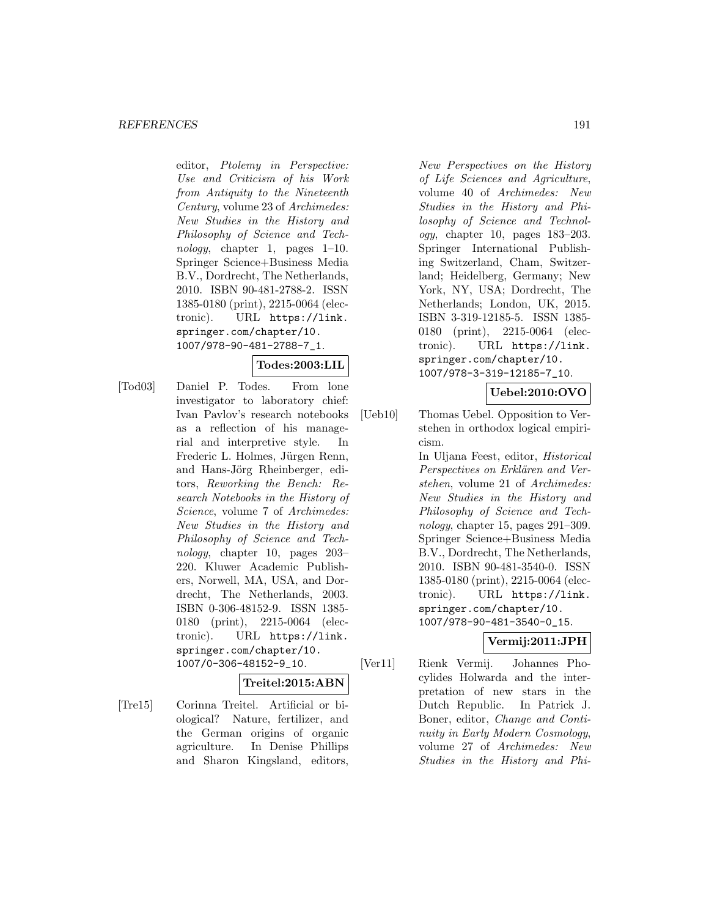editor, Ptolemy in Perspective: Use and Criticism of his Work from Antiquity to the Nineteenth Century, volume 23 of Archimedes: New Studies in the History and Philosophy of Science and Technology, chapter 1, pages 1–10. Springer Science+Business Media B.V., Dordrecht, The Netherlands, 2010. ISBN 90-481-2788-2. ISSN 1385-0180 (print), 2215-0064 (electronic). URL https://link. springer.com/chapter/10. 1007/978-90-481-2788-7\_1.

#### **Todes:2003:LIL**

[Tod03] Daniel P. Todes. From lone investigator to laboratory chief: Ivan Pavlov's research notebooks as a reflection of his managerial and interpretive style. In Frederic L. Holmes, Jürgen Renn, and Hans-Jörg Rheinberger, editors, Reworking the Bench: Research Notebooks in the History of Science, volume 7 of Archimedes: New Studies in the History and Philosophy of Science and Technology, chapter 10, pages 203– 220. Kluwer Academic Publishers, Norwell, MA, USA, and Dordrecht, The Netherlands, 2003. ISBN 0-306-48152-9. ISSN 1385- 0180 (print), 2215-0064 (electronic). URL https://link. springer.com/chapter/10. 1007/0-306-48152-9\_10.

**Treitel:2015:ABN**

[Tre15] Corinna Treitel. Artificial or biological? Nature, fertilizer, and the German origins of organic agriculture. In Denise Phillips and Sharon Kingsland, editors,

New Perspectives on the History of Life Sciences and Agriculture, volume 40 of Archimedes: New Studies in the History and Philosophy of Science and Technology, chapter 10, pages 183–203. Springer International Publishing Switzerland, Cham, Switzerland; Heidelberg, Germany; New York, NY, USA; Dordrecht, The Netherlands; London, UK, 2015. ISBN 3-319-12185-5. ISSN 1385- 0180 (print), 2215-0064 (electronic). URL https://link. springer.com/chapter/10. 1007/978-3-319-12185-7\_10.

## **Uebel:2010:OVO**

[Ueb10] Thomas Uebel. Opposition to Verstehen in orthodox logical empiricism.

> In Uljana Feest, editor, Historical Perspectives on Erklären and Verstehen, volume 21 of Archimedes: New Studies in the History and Philosophy of Science and Technology, chapter 15, pages 291–309. Springer Science+Business Media B.V., Dordrecht, The Netherlands, 2010. ISBN 90-481-3540-0. ISSN 1385-0180 (print), 2215-0064 (electronic). URL https://link. springer.com/chapter/10. 1007/978-90-481-3540-0\_15.

# **Vermij:2011:JPH**

[Ver11] Rienk Vermij. Johannes Phocylides Holwarda and the interpretation of new stars in the Dutch Republic. In Patrick J. Boner, editor, Change and Continuity in Early Modern Cosmology, volume 27 of Archimedes: New Studies in the History and Phi-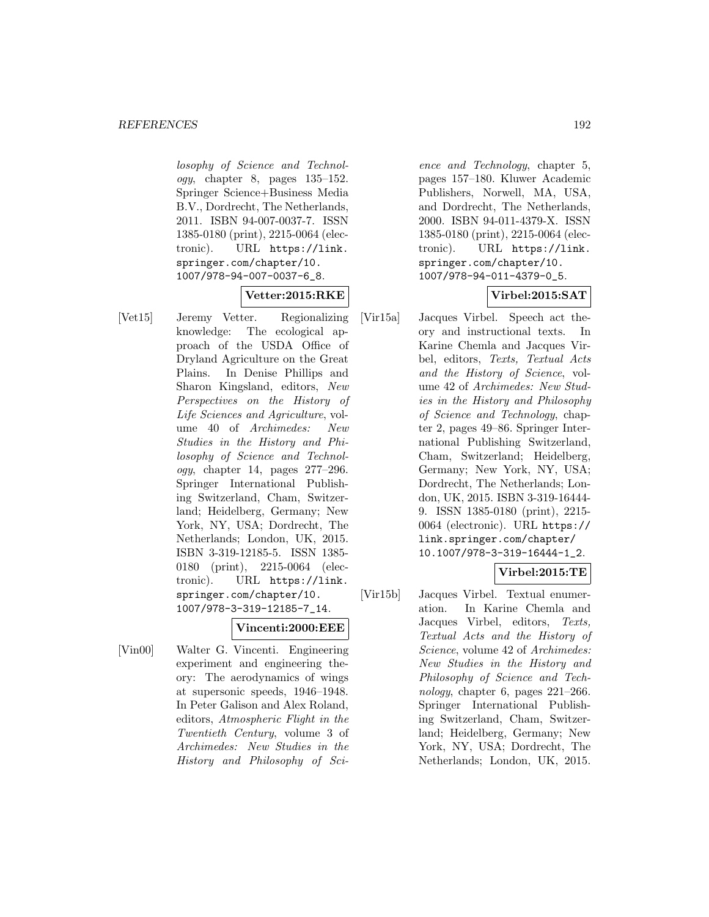losophy of Science and Technology, chapter 8, pages 135–152. Springer Science+Business Media B.V., Dordrecht, The Netherlands, 2011. ISBN 94-007-0037-7. ISSN 1385-0180 (print), 2215-0064 (electronic). URL https://link. springer.com/chapter/10. 1007/978-94-007-0037-6\_8.

# **Vetter:2015:RKE**

[Vet15] Jeremy Vetter. Regionalizing knowledge: The ecological approach of the USDA Office of Dryland Agriculture on the Great Plains. In Denise Phillips and Sharon Kingsland, editors, New Perspectives on the History of Life Sciences and Agriculture, volume 40 of Archimedes: New Studies in the History and Philosophy of Science and Technology, chapter 14, pages 277–296. Springer International Publishing Switzerland, Cham, Switzerland; Heidelberg, Germany; New York, NY, USA; Dordrecht, The Netherlands; London, UK, 2015. ISBN 3-319-12185-5. ISSN 1385- 0180 (print), 2215-0064 (electronic). URL https://link. springer.com/chapter/10. 1007/978-3-319-12185-7\_14.

# **Vincenti:2000:EEE**

[Vin00] Walter G. Vincenti. Engineering experiment and engineering theory: The aerodynamics of wings at supersonic speeds, 1946–1948. In Peter Galison and Alex Roland, editors, Atmospheric Flight in the Twentieth Century, volume 3 of Archimedes: New Studies in the History and Philosophy of Sci-

ence and Technology, chapter 5, pages 157–180. Kluwer Academic Publishers, Norwell, MA, USA, and Dordrecht, The Netherlands, 2000. ISBN 94-011-4379-X. ISSN 1385-0180 (print), 2215-0064 (electronic). URL https://link. springer.com/chapter/10. 1007/978-94-011-4379-0\_5.

# **Virbel:2015:SAT**

[Vir15a] Jacques Virbel. Speech act theory and instructional texts. In Karine Chemla and Jacques Virbel, editors, Texts, Textual Acts and the History of Science, volume 42 of Archimedes: New Studies in the History and Philosophy of Science and Technology, chapter 2, pages 49–86. Springer International Publishing Switzerland, Cham, Switzerland; Heidelberg, Germany; New York, NY, USA; Dordrecht, The Netherlands; London, UK, 2015. ISBN 3-319-16444- 9. ISSN 1385-0180 (print), 2215- 0064 (electronic). URL https:// link.springer.com/chapter/ 10.1007/978-3-319-16444-1\_2.

# **Virbel:2015:TE**

[Vir15b] Jacques Virbel. Textual enumeration. In Karine Chemla and Jacques Virbel, editors, Texts, Textual Acts and the History of Science, volume 42 of Archimedes: New Studies in the History and Philosophy of Science and Technology, chapter 6, pages 221–266. Springer International Publishing Switzerland, Cham, Switzerland; Heidelberg, Germany; New York, NY, USA; Dordrecht, The Netherlands; London, UK, 2015.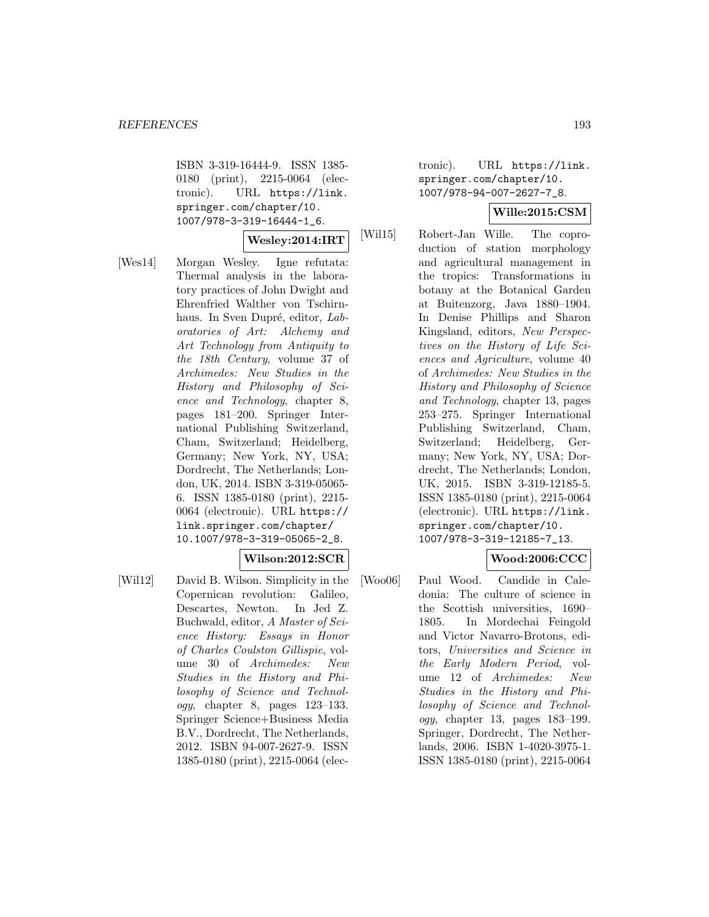ISBN 3-319-16444-9. ISSN 1385- 0180 (print), 2215-0064 (electronic). URL https://link. springer.com/chapter/10. 1007/978-3-319-16444-1\_6.

# **Wesley:2014:IRT**

[Wes14] Morgan Wesley. Igne refutata: Thermal analysis in the laboratory practices of John Dwight and Ehrenfried Walther von Tschirnhaus. In Sven Dupré, editor, Laboratories of Art: Alchemy and Art Technology from Antiquity to the 18th Century, volume 37 of Archimedes: New Studies in the History and Philosophy of Science and Technology, chapter 8, pages 181–200. Springer International Publishing Switzerland, Cham, Switzerland; Heidelberg, Germany; New York, NY, USA; Dordrecht, The Netherlands; London, UK, 2014. ISBN 3-319-05065- 6. ISSN 1385-0180 (print), 2215- 0064 (electronic). URL https:// link.springer.com/chapter/ 10.1007/978-3-319-05065-2\_8.

### **Wilson:2012:SCR**

[Wil12] David B. Wilson. Simplicity in the Copernican revolution: Galileo, Descartes, Newton. In Jed Z. Buchwald, editor, A Master of Science History: Essays in Honor of Charles Coulston Gillispie, volume 30 of Archimedes: New Studies in the History and Philosophy of Science and Technology, chapter 8, pages 123–133. Springer Science+Business Media B.V., Dordrecht, The Netherlands, 2012. ISBN 94-007-2627-9. ISSN 1385-0180 (print), 2215-0064 (electronic). URL https://link. springer.com/chapter/10. 1007/978-94-007-2627-7\_8.

# **Wille:2015:CSM**

[Wil15] Robert-Jan Wille. The coproduction of station morphology and agricultural management in the tropics: Transformations in botany at the Botanical Garden at Buitenzorg, Java 1880–1904. In Denise Phillips and Sharon Kingsland, editors, New Perspectives on the History of Life Sciences and Agriculture, volume 40 of Archimedes: New Studies in the History and Philosophy of Science and Technology, chapter 13, pages 253–275. Springer International Publishing Switzerland, Cham, Switzerland; Heidelberg, Germany; New York, NY, USA; Dordrecht, The Netherlands; London, UK, 2015. ISBN 3-319-12185-5. ISSN 1385-0180 (print), 2215-0064 (electronic). URL https://link. springer.com/chapter/10. 1007/978-3-319-12185-7\_13.

#### **Wood:2006:CCC**

[Woo06] Paul Wood. Candide in Caledonia: The culture of science in the Scottish universities, 1690– 1805. In Mordechai Feingold and Victor Navarro-Brotons, editors, Universities and Science in the Early Modern Period, volume 12 of Archimedes: New Studies in the History and Philosophy of Science and Technology, chapter 13, pages 183–199. Springer, Dordrecht, The Netherlands, 2006. ISBN 1-4020-3975-1. ISSN 1385-0180 (print), 2215-0064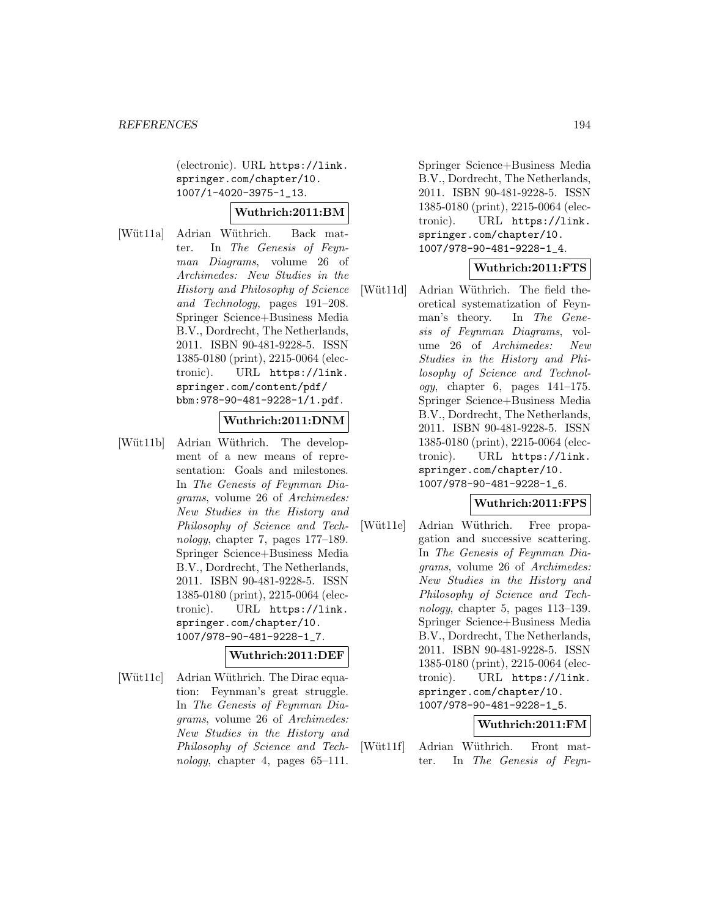(electronic). URL https://link. springer.com/chapter/10. 1007/1-4020-3975-1\_13.

### **Wuthrich:2011:BM**

[Wüt11a] Adrian Wüthrich. Back matter. In The Genesis of Feynman Diagrams, volume 26 of Archimedes: New Studies in the History and Philosophy of Science and Technology, pages 191–208. Springer Science+Business Media B.V., Dordrecht, The Netherlands, 2011. ISBN 90-481-9228-5. ISSN 1385-0180 (print), 2215-0064 (electronic). URL https://link. springer.com/content/pdf/ bbm:978-90-481-9228-1/1.pdf.

# **Wuthrich:2011:DNM**

[Wüt11b] Adrian Wüthrich. The development of a new means of representation: Goals and milestones. In The Genesis of Feynman Diagrams, volume 26 of Archimedes: New Studies in the History and Philosophy of Science and Technology, chapter 7, pages 177–189. Springer Science+Business Media B.V., Dordrecht, The Netherlands, 2011. ISBN 90-481-9228-5. ISSN 1385-0180 (print), 2215-0064 (electronic). URL https://link. springer.com/chapter/10. 1007/978-90-481-9228-1\_7.

#### **Wuthrich:2011:DEF**

[Wüt11c] Adrian Wüthrich. The Dirac equation: Feynman's great struggle. In The Genesis of Feynman Diagrams, volume 26 of Archimedes: New Studies in the History and Philosophy of Science and Technology, chapter 4, pages  $65-111$ .

Springer Science+Business Media B.V., Dordrecht, The Netherlands, 2011. ISBN 90-481-9228-5. ISSN 1385-0180 (print), 2215-0064 (electronic). URL https://link. springer.com/chapter/10. 1007/978-90-481-9228-1\_4.

## **Wuthrich:2011:FTS**

[Wüt11d] Adrian Wüthrich. The field theoretical systematization of Feynman's theory. In The Genesis of Feynman Diagrams, volume 26 of Archimedes: New Studies in the History and Philosophy of Science and Technology, chapter 6, pages 141–175. Springer Science+Business Media B.V., Dordrecht, The Netherlands, 2011. ISBN 90-481-9228-5. ISSN 1385-0180 (print), 2215-0064 (electronic). URL https://link. springer.com/chapter/10. 1007/978-90-481-9228-1\_6.

#### **Wuthrich:2011:FPS**

[Wüt11e] Adrian Wüthrich. Free propagation and successive scattering. In The Genesis of Feynman Diagrams, volume 26 of Archimedes: New Studies in the History and Philosophy of Science and Technology, chapter 5, pages 113–139. Springer Science+Business Media B.V., Dordrecht, The Netherlands, 2011. ISBN 90-481-9228-5. ISSN 1385-0180 (print), 2215-0064 (electronic). URL https://link. springer.com/chapter/10. 1007/978-90-481-9228-1\_5.

#### **Wuthrich:2011:FM**

[Wüt11f] Adrian Wüthrich. Front matter. In The Genesis of Feyn-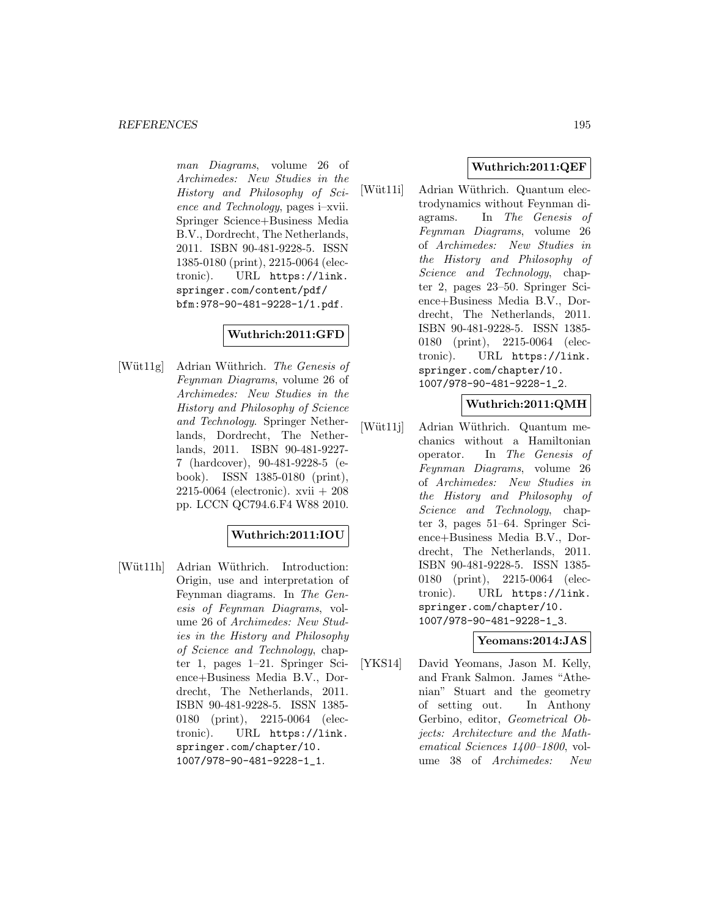man Diagrams, volume 26 of Archimedes: New Studies in the History and Philosophy of Science and Technology, pages i–xvii. Springer Science+Business Media B.V., Dordrecht, The Netherlands, 2011. ISBN 90-481-9228-5. ISSN 1385-0180 (print), 2215-0064 (electronic). URL https://link. springer.com/content/pdf/ bfm:978-90-481-9228-1/1.pdf.

# **Wuthrich:2011:GFD**

[Wüt11g] Adrian Wüthrich. The Genesis of Feynman Diagrams, volume 26 of Archimedes: New Studies in the History and Philosophy of Science and Technology. Springer Netherlands, Dordrecht, The Netherlands, 2011. ISBN 90-481-9227- 7 (hardcover), 90-481-9228-5 (ebook). ISSN 1385-0180 (print), 2215-0064 (electronic). xvii + 208 pp. LCCN QC794.6.F4 W88 2010.

# **Wuthrich:2011:IOU**

[Wüt11h] Adrian Wüthrich. Introduction: Origin, use and interpretation of Feynman diagrams. In The Genesis of Feynman Diagrams, volume 26 of Archimedes: New Studies in the History and Philosophy of Science and Technology, chapter 1, pages 1–21. Springer Science+Business Media B.V., Dordrecht, The Netherlands, 2011. ISBN 90-481-9228-5. ISSN 1385- 0180 (print), 2215-0064 (electronic). URL https://link. springer.com/chapter/10. 1007/978-90-481-9228-1\_1.

# **Wuthrich:2011:QEF**

[Wüt11i] Adrian Wüthrich. Quantum electrodynamics without Feynman diagrams. In The Genesis of Feynman Diagrams, volume 26 of Archimedes: New Studies in the History and Philosophy of Science and Technology, chapter 2, pages 23–50. Springer Science+Business Media B.V., Dordrecht, The Netherlands, 2011. ISBN 90-481-9228-5. ISSN 1385- 0180 (print), 2215-0064 (electronic). URL https://link. springer.com/chapter/10. 1007/978-90-481-9228-1\_2.

# **Wuthrich:2011:QMH**

[Wüt11j] Adrian Wüthrich. Quantum mechanics without a Hamiltonian operator. In The Genesis of Feynman Diagrams, volume 26 of Archimedes: New Studies in the History and Philosophy of Science and Technology, chapter 3, pages 51–64. Springer Science+Business Media B.V., Dordrecht, The Netherlands, 2011. ISBN 90-481-9228-5. ISSN 1385- 0180 (print), 2215-0064 (electronic). URL https://link. springer.com/chapter/10. 1007/978-90-481-9228-1\_3.

# **Yeomans:2014:JAS**

[YKS14] David Yeomans, Jason M. Kelly, and Frank Salmon. James "Athenian" Stuart and the geometry of setting out. In Anthony Gerbino, editor, Geometrical Objects: Architecture and the Mathematical Sciences 1400–1800, volume 38 of Archimedes: New